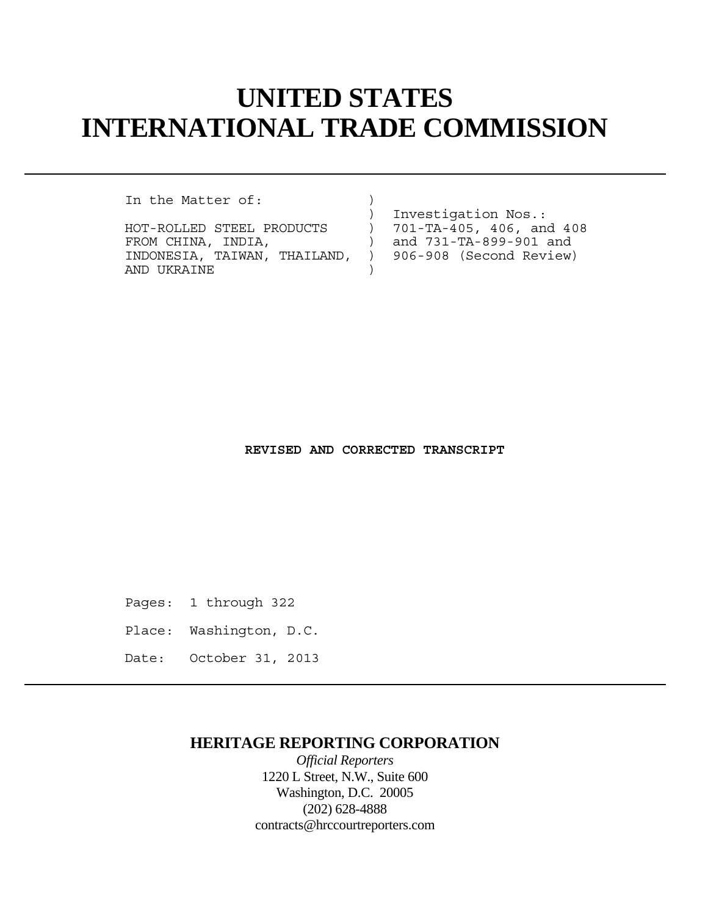# **UNITED STATES INTERNATIONAL TRADE COMMISSION**

In the Matter of:

HOT-ROLLED STEEL PRODUCTS ) 701-TA-405, 406, and 408 FROM CHINA, INDIA,  $\overline{)$  and 731-TA-899-901 and INDONESIA, TAIWAN, THAILAND, ) 906-908 (Second Review) AND UKRAINE )

) Investigation Nos.:

#### **REVISED AND CORRECTED TRANSCRIPT**

Pages: 1 through 322

- Place: Washington, D.C.
- Date: October 31, 2013

# **HERITAGE REPORTING CORPORATION**

*Official Reporters* 1220 L Street, N.W., Suite 600 Washington, D.C. 20005 (202) 628-4888 contracts@hrccourtreporters.com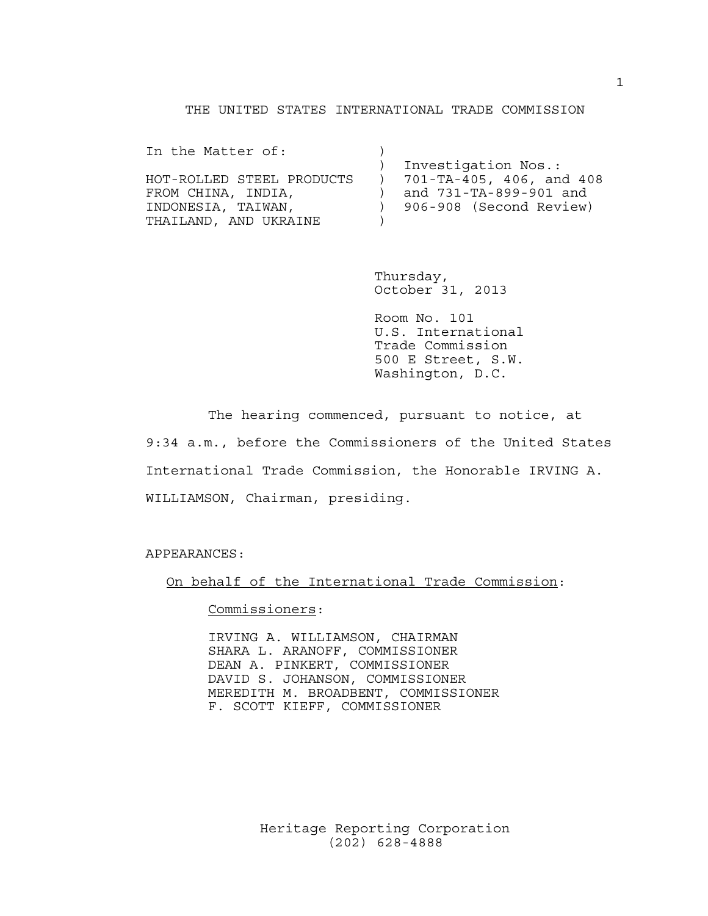### THE UNITED STATES INTERNATIONAL TRADE COMMISSION

| In the Matter of:         |                                      |
|---------------------------|--------------------------------------|
|                           | Investigation Nos.:                  |
| HOT-ROLLED STEEL PRODUCTS | $(1 - 701 - TA - 405, 406, and 408)$ |
| FROM CHINA, INDIA,        | and 731-TA-899-901 and               |
| INDONESIA, TAIWAN,        | 906-908 (Second Review)              |
| THAILAND, AND UKRAINE     |                                      |

 Thursday, October 31, 2013

 Room No. 101 U.S. International Trade Commission 500 E Street, S.W. Washington, D.C.

 The hearing commenced, pursuant to notice, at 9:34 a.m., before the Commissioners of the United States International Trade Commission, the Honorable IRVING A. WILLIAMSON, Chairman, presiding.

APPEARANCES:

On behalf of the International Trade Commission:

Commissioners:

 IRVING A. WILLIAMSON, CHAIRMAN SHARA L. ARANOFF, COMMISSIONER DEAN A. PINKERT, COMMISSIONER DAVID S. JOHANSON, COMMISSIONER MEREDITH M. BROADBENT, COMMISSIONER F. SCOTT KIEFF, COMMISSIONER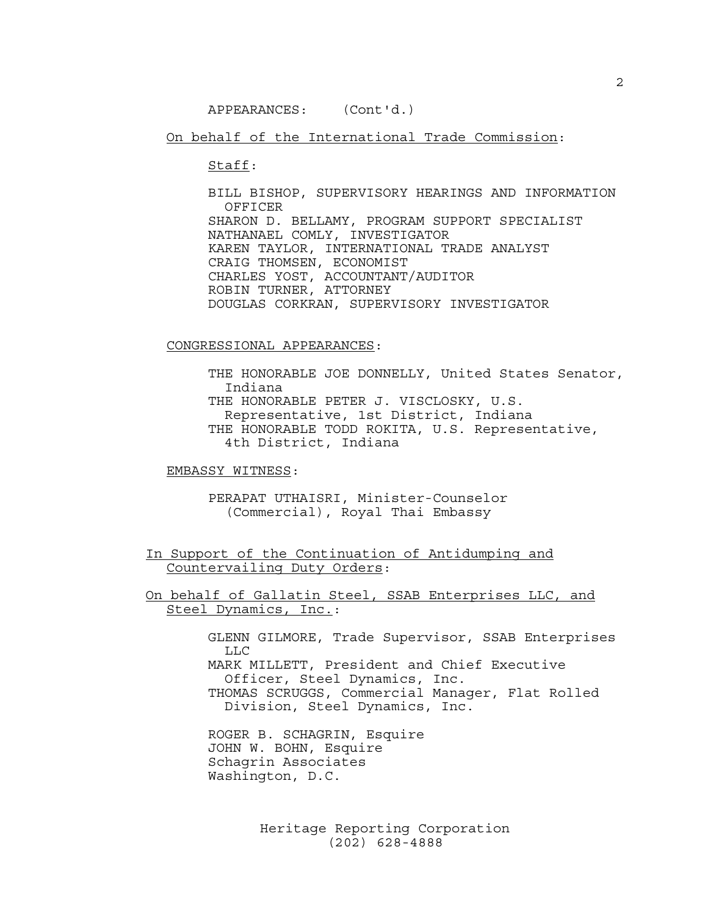On behalf of the International Trade Commission:

Staff:

 BILL BISHOP, SUPERVISORY HEARINGS AND INFORMATION OFFICER SHARON D. BELLAMY, PROGRAM SUPPORT SPECIALIST NATHANAEL COMLY, INVESTIGATOR KAREN TAYLOR, INTERNATIONAL TRADE ANALYST CRAIG THOMSEN, ECONOMIST CHARLES YOST, ACCOUNTANT/AUDITOR ROBIN TURNER, ATTORNEY DOUGLAS CORKRAN, SUPERVISORY INVESTIGATOR

#### CONGRESSIONAL APPEARANCES:

 THE HONORABLE JOE DONNELLY, United States Senator, Indiana THE HONORABLE PETER J. VISCLOSKY, U.S. Representative, 1st District, Indiana THE HONORABLE TODD ROKITA, U.S. Representative, 4th District, Indiana

EMBASSY WITNESS:

 PERAPAT UTHAISRI, Minister-Counselor (Commercial), Royal Thai Embassy

In Support of the Continuation of Antidumping and Countervailing Duty Orders:

On behalf of Gallatin Steel, SSAB Enterprises LLC, and Steel Dynamics, Inc.:

> GLENN GILMORE, Trade Supervisor, SSAB Enterprises LLC MARK MILLETT, President and Chief Executive Officer, Steel Dynamics, Inc.

 THOMAS SCRUGGS, Commercial Manager, Flat Rolled Division, Steel Dynamics, Inc.

 ROGER B. SCHAGRIN, Esquire JOHN W. BOHN, Esquire Schagrin Associates Washington, D.C.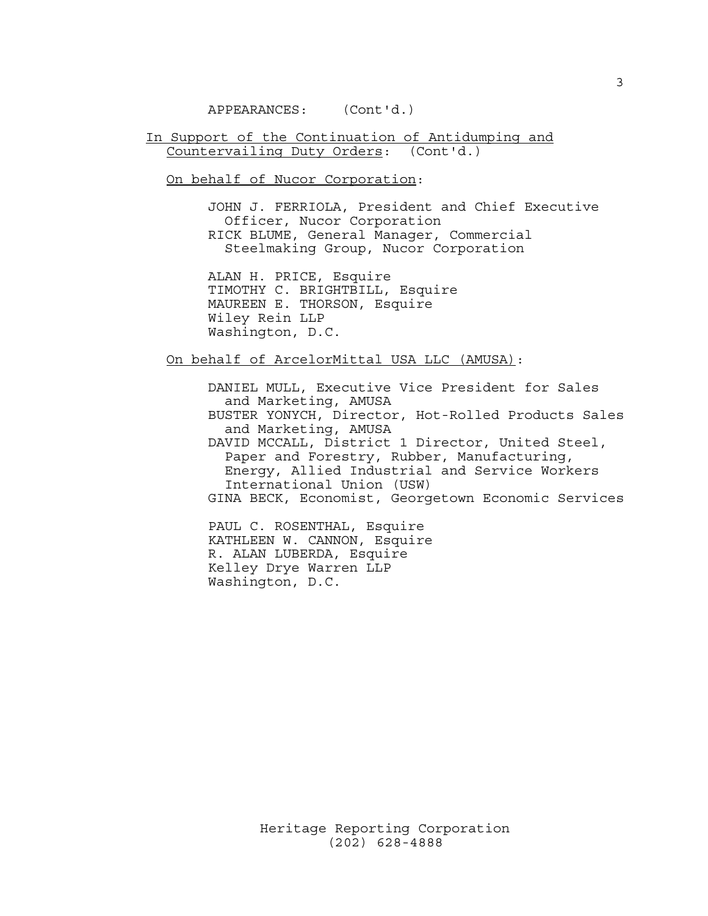In Support of the Continuation of Antidumping and Countervailing Duty Orders: (Cont'd.)

On behalf of Nucor Corporation:

 JOHN J. FERRIOLA, President and Chief Executive Officer, Nucor Corporation RICK BLUME, General Manager, Commercial Steelmaking Group, Nucor Corporation

 ALAN H. PRICE, Esquire TIMOTHY C. BRIGHTBILL, Esquire MAUREEN E. THORSON, Esquire Wiley Rein LLP Washington, D.C.

On behalf of ArcelorMittal USA LLC (AMUSA):

 DANIEL MULL, Executive Vice President for Sales and Marketing, AMUSA BUSTER YONYCH, Director, Hot-Rolled Products Sales and Marketing, AMUSA DAVID MCCALL, District 1 Director, United Steel, Paper and Forestry, Rubber, Manufacturing, Energy, Allied Industrial and Service Workers International Union (USW) GINA BECK, Economist, Georgetown Economic Services

 PAUL C. ROSENTHAL, Esquire KATHLEEN W. CANNON, Esquire R. ALAN LUBERDA, Esquire Kelley Drye Warren LLP Washington, D.C.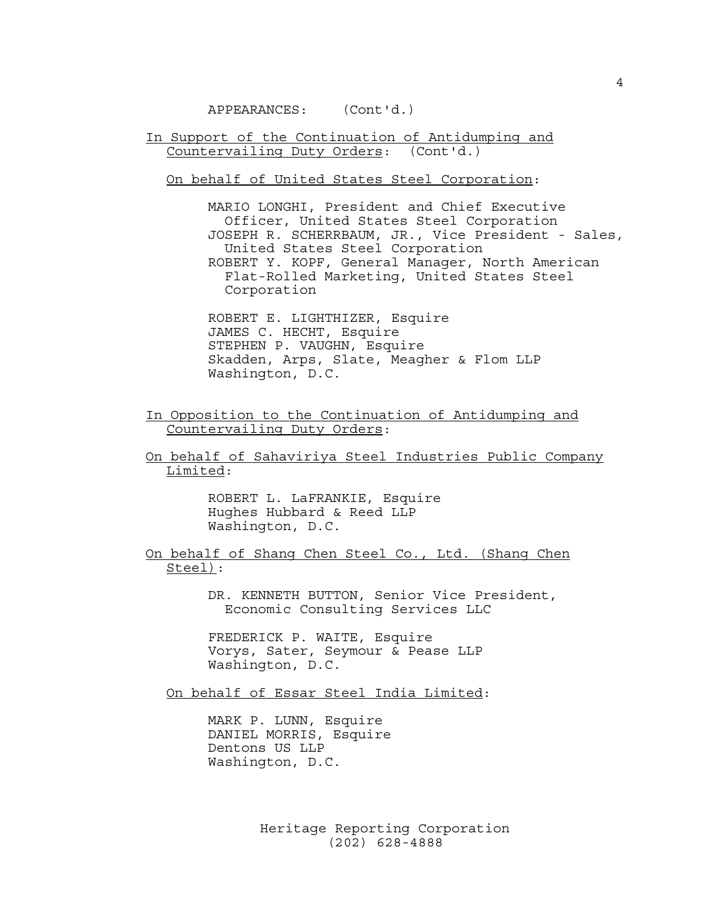In Support of the Continuation of Antidumping and Countervailing Duty Orders: (Cont'd.)

# On behalf of United States Steel Corporation:

 MARIO LONGHI, President and Chief Executive Officer, United States Steel Corporation JOSEPH R. SCHERRBAUM, JR., Vice President - Sales, United States Steel Corporation ROBERT Y. KOPF, General Manager, North American Flat-Rolled Marketing, United States Steel Corporation

 ROBERT E. LIGHTHIZER, Esquire JAMES C. HECHT, Esquire STEPHEN P. VAUGHN, Esquire Skadden, Arps, Slate, Meagher & Flom LLP Washington, D.C.

In Opposition to the Continuation of Antidumping and Countervailing Duty Orders:

On behalf of Sahaviriya Steel Industries Public Company Limited:

> ROBERT L. LaFRANKIE, Esquire Hughes Hubbard & Reed LLP Washington, D.C.

On behalf of Shang Chen Steel Co., Ltd. (Shang Chen Steel):

> DR. KENNETH BUTTON, Senior Vice President, Economic Consulting Services LLC

 FREDERICK P. WAITE, Esquire Vorys, Sater, Seymour & Pease LLP Washington, D.C.

On behalf of Essar Steel India Limited:

 MARK P. LUNN, Esquire DANIEL MORRIS, Esquire Dentons US LLP Washington, D.C.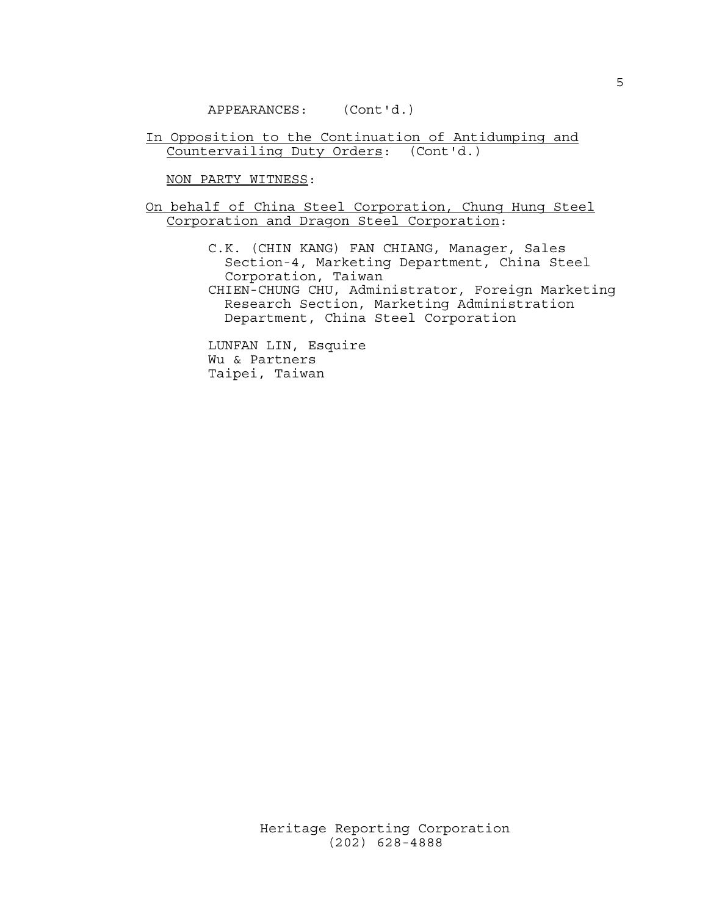In Opposition to the Continuation of Antidumping and Countervailing Duty Orders: (Cont'd.)

NON PARTY WITNESS:

On behalf of China Steel Corporation, Chung Hung Steel Corporation and Dragon Steel Corporation:

> C.K. (CHIN KANG) FAN CHIANG, Manager, Sales Section-4, Marketing Department, China Steel Corporation, Taiwan CHIEN-CHUNG CHU, Administrator, Foreign Marketing Research Section, Marketing Administration Department, China Steel Corporation

 LUNFAN LIN, Esquire Wu & Partners Taipei, Taiwan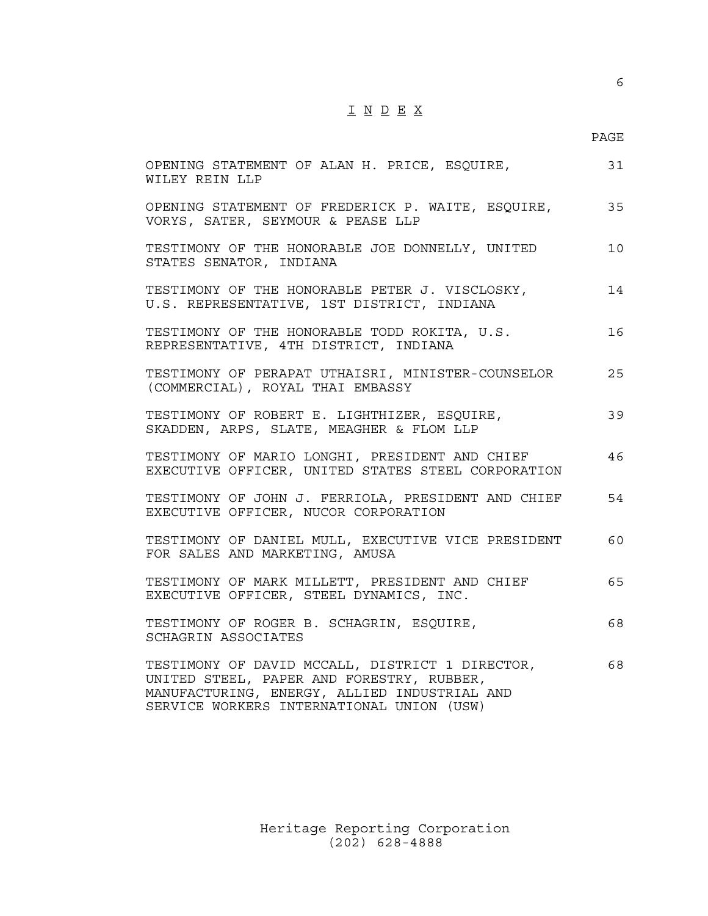# I N D E X

# en de la provincia de la provincia de la provincia de la provincia de la provincia de la provincia de la provi

| OPENING STATEMENT OF ALAN H. PRICE, ESQUIRE,<br>WILEY REIN LLP                                                                                                                            | 31 |
|-------------------------------------------------------------------------------------------------------------------------------------------------------------------------------------------|----|
| OPENING STATEMENT OF FREDERICK P. WAITE, ESQUIRE,<br>VORYS, SATER, SEYMOUR & PEASE LLP                                                                                                    | 35 |
| TESTIMONY OF THE HONORABLE JOE DONNELLY, UNITED<br>STATES SENATOR, INDIANA                                                                                                                | 10 |
| TESTIMONY OF THE HONORABLE PETER J. VISCLOSKY,<br>U.S. REPRESENTATIVE, 1ST DISTRICT, INDIANA                                                                                              | 14 |
| TESTIMONY OF THE HONORABLE TODD ROKITA, U.S.<br>REPRESENTATIVE, 4TH DISTRICT, INDIANA                                                                                                     | 16 |
| TESTIMONY OF PERAPAT UTHAISRI, MINISTER-COUNSELOR<br>(COMMERCIAL), ROYAL THAI EMBASSY                                                                                                     | 25 |
| TESTIMONY OF ROBERT E. LIGHTHIZER, ESQUIRE,<br>SKADDEN, ARPS, SLATE, MEAGHER & FLOM LLP                                                                                                   | 39 |
| TESTIMONY OF MARIO LONGHI, PRESIDENT AND CHIEF<br>EXECUTIVE OFFICER, UNITED STATES STEEL CORPORATION                                                                                      | 46 |
| TESTIMONY OF JOHN J. FERRIOLA, PRESIDENT AND CHIEF<br>EXECUTIVE OFFICER, NUCOR CORPORATION                                                                                                | 54 |
| TESTIMONY OF DANIEL MULL, EXECUTIVE VICE PRESIDENT<br>FOR SALES AND MARKETING, AMUSA                                                                                                      | 60 |
| TESTIMONY OF MARK MILLETT, PRESIDENT AND CHIEF<br>EXECUTIVE OFFICER, STEEL DYNAMICS, INC.                                                                                                 | 65 |
| TESTIMONY OF ROGER B. SCHAGRIN, ESQUIRE,<br>SCHAGRIN ASSOCIATES                                                                                                                           | 68 |
| TESTIMONY OF DAVID MCCALL, DISTRICT 1 DIRECTOR,<br>UNITED STEEL, PAPER AND FORESTRY, RUBBER,<br>MANUFACTURING, ENERGY, ALLIED INDUSTRIAL AND<br>SERVICE WORKERS INTERNATIONAL UNION (USW) | 68 |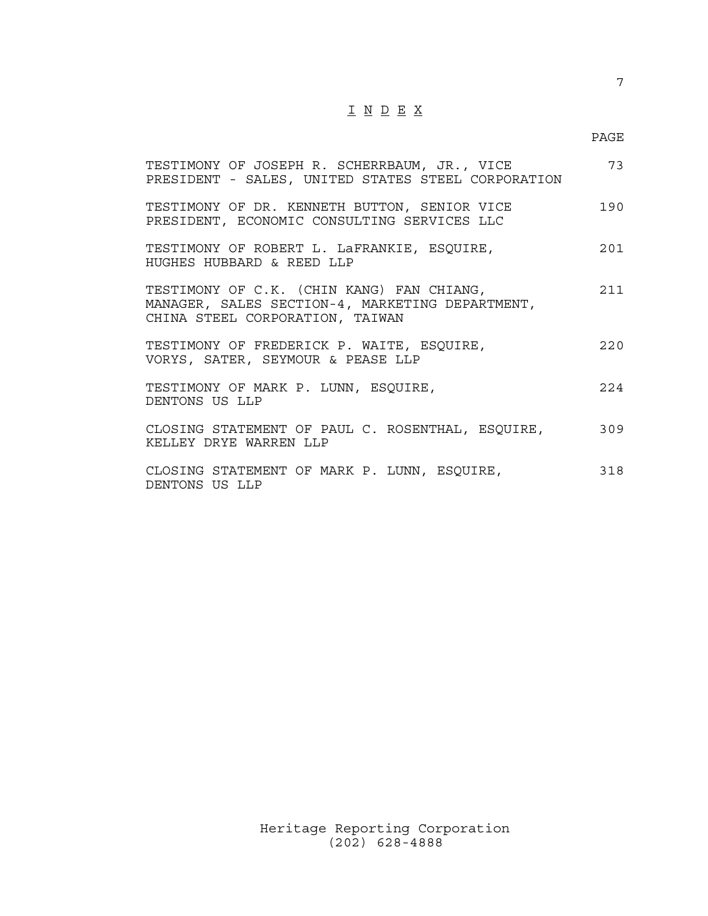# I N D E X

# en de la provincia de la provincia de la provincia de la provincia de la provincia de la provincia de la provi

| TESTIMONY OF JOSEPH R. SCHERRBAUM, JR., VICE<br>PRESIDENT - SALES, UNITED STATES STEEL CORPORATION                              | 73    |
|---------------------------------------------------------------------------------------------------------------------------------|-------|
| TESTIMONY OF DR. KENNETH BUTTON, SENIOR VICE<br>PRESIDENT, ECONOMIC CONSULTING SERVICES LLC                                     | 190   |
| TESTIMONY OF ROBERT L. LAFRANKIE, ESQUIRE,<br>HUGHES HUBBARD & REED LLP                                                         | 201   |
| TESTIMONY OF C.K. (CHIN KANG) FAN CHIANG,<br>MANAGER, SALES SECTION-4, MARKETING DEPARTMENT,<br>CHINA STEEL CORPORATION, TAIWAN | 211   |
| TESTIMONY OF FREDERICK P. WAITE, ESQUIRE,<br>VORYS, SATER, SEYMOUR & PEASE LLP                                                  | 220   |
| TESTIMONY OF MARK P. LUNN, ESQUIRE,<br>DENTONS US LLP                                                                           | 2.2.4 |
| CLOSING STATEMENT OF PAUL C. ROSENTHAL, ESQUIRE,<br>KELLEY DRYE WARREN LLP                                                      | 309   |
| CLOSING STATEMENT OF MARK P. LUNN, ESQUIRE,<br>DENTONS US LLP                                                                   | 318   |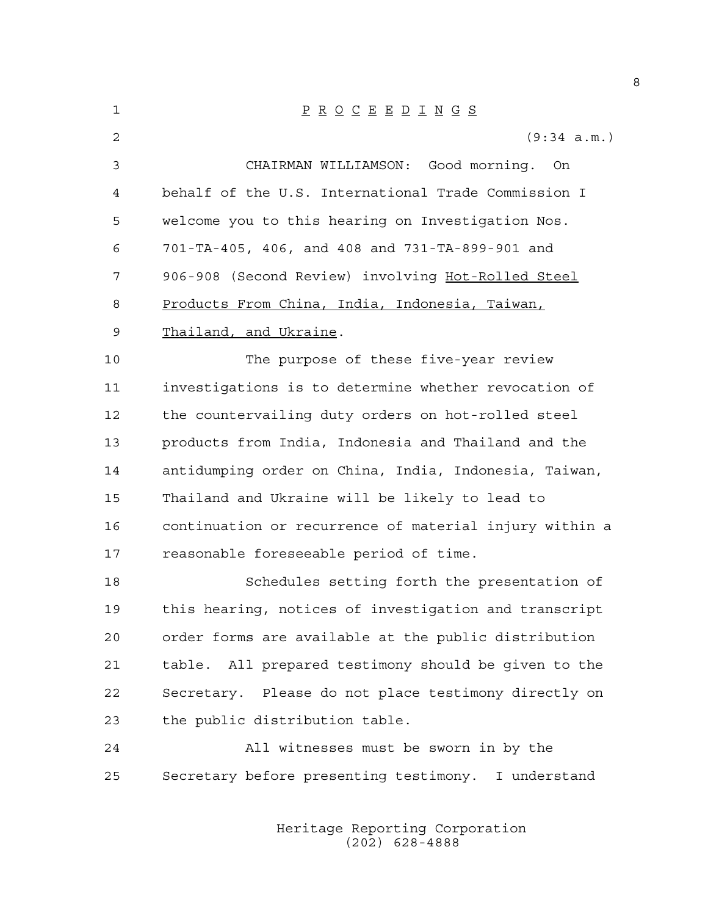| 1  | $\underline{P} \underline{R} \underline{O} \underline{C} \underline{E} \underline{E} \underline{D} \underline{I} \underline{N} \underline{G} \underline{S}$ |
|----|-------------------------------------------------------------------------------------------------------------------------------------------------------------|
| 2  | (9:34 a.m.)                                                                                                                                                 |
| 3  | CHAIRMAN WILLIAMSON: Good morning.<br>On                                                                                                                    |
| 4  | behalf of the U.S. International Trade Commission I                                                                                                         |
| 5  | welcome you to this hearing on Investigation Nos.                                                                                                           |
| 6  | 701-TA-405, 406, and 408 and 731-TA-899-901 and                                                                                                             |
| 7  | 906-908 (Second Review) involving Hot-Rolled Steel                                                                                                          |
| 8  | Products From China, India, Indonesia, Taiwan,                                                                                                              |
| 9  | Thailand, and Ukraine.                                                                                                                                      |
| 10 | The purpose of these five-year review                                                                                                                       |
| 11 | investigations is to determine whether revocation of                                                                                                        |
| 12 | the countervailing duty orders on hot-rolled steel                                                                                                          |
| 13 | products from India, Indonesia and Thailand and the                                                                                                         |
| 14 | antidumping order on China, India, Indonesia, Taiwan,                                                                                                       |
| 15 | Thailand and Ukraine will be likely to lead to                                                                                                              |
| 16 | continuation or recurrence of material injury within a                                                                                                      |
| 17 | reasonable foreseeable period of time.                                                                                                                      |
| 18 | Schedules setting forth the presentation of                                                                                                                 |
| 19 | this hearing, notices of investigation and transcript                                                                                                       |
| 20 | order forms are available at the public distribution                                                                                                        |
| 21 | table. All prepared testimony should be given to the                                                                                                        |
| 22 | Secretary. Please do not place testimony directly on                                                                                                        |
| 23 | the public distribution table.                                                                                                                              |
| 24 | All witnesses must be sworn in by the                                                                                                                       |
| 25 | Secretary before presenting testimony. I understand                                                                                                         |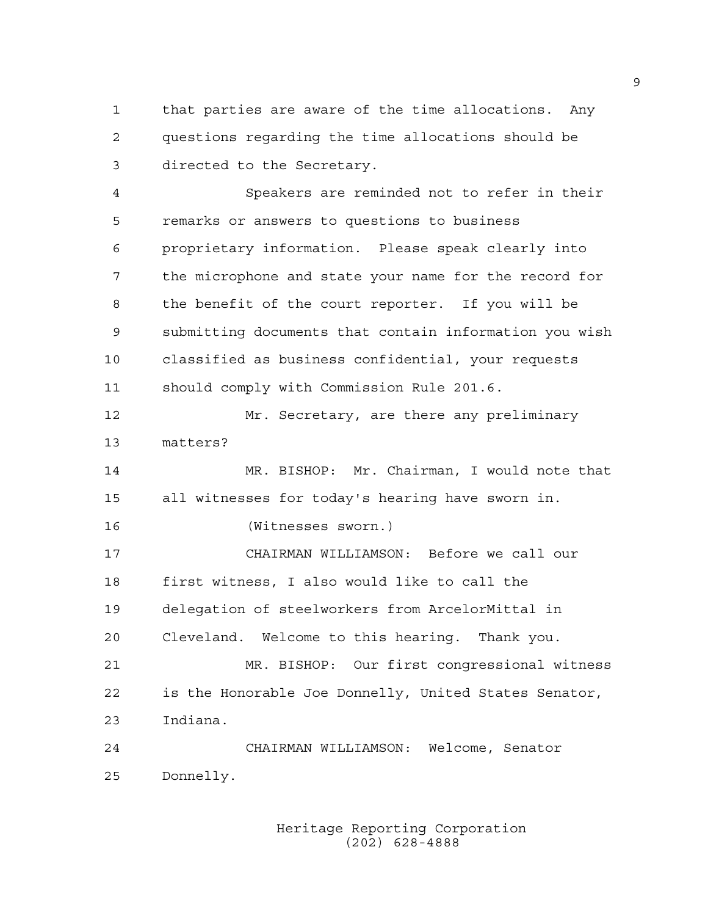1 that parties are aware of the time allocations. Any 2 questions regarding the time allocations should be 3 directed to the Secretary.

4 Speakers are reminded not to refer in their 5 remarks or answers to questions to business 6 proprietary information. Please speak clearly into 7 the microphone and state your name for the record for 8 the benefit of the court reporter. If you will be 9 submitting documents that contain information you wish 10 classified as business confidential, your requests 11 should comply with Commission Rule 201.6.

12 Mr. Secretary, are there any preliminary 13 matters?

14 MR. BISHOP: Mr. Chairman, I would note that 15 all witnesses for today's hearing have sworn in.

16 (Witnesses sworn.)

17 CHAIRMAN WILLIAMSON: Before we call our 18 first witness, I also would like to call the 19 delegation of steelworkers from ArcelorMittal in 20 Cleveland. Welcome to this hearing. Thank you. 21 MR. BISHOP: Our first congressional witness 22 is the Honorable Joe Donnelly, United States Senator, 23 Indiana.

24 CHAIRMAN WILLIAMSON: Welcome, Senator 25 Donnelly.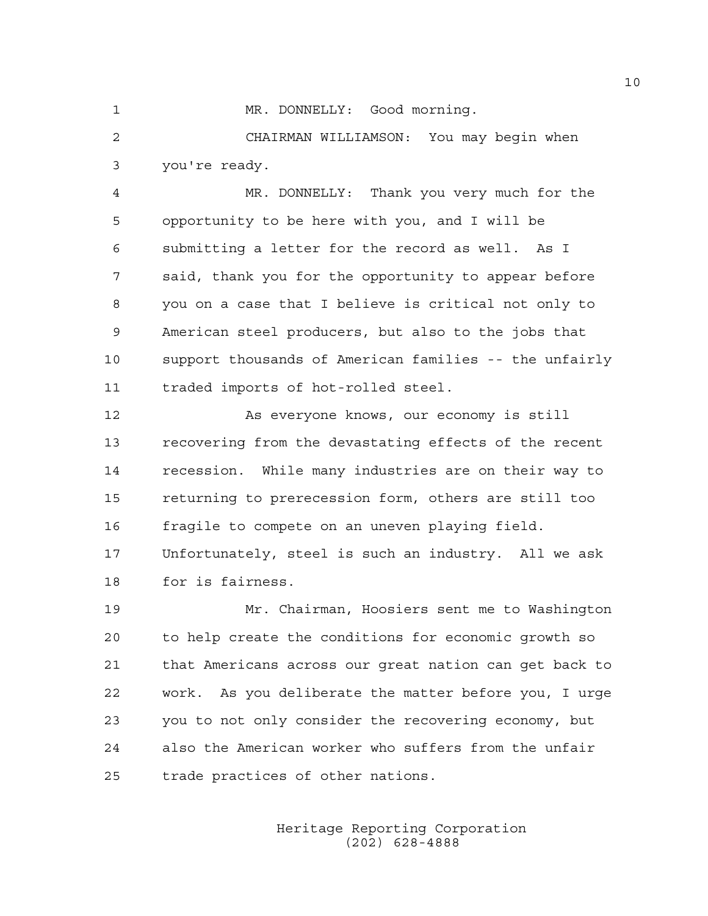1 MR. DONNELLY: Good morning.

2 CHAIRMAN WILLIAMSON: You may begin when 3 you're ready.

4 MR. DONNELLY: Thank you very much for the 5 opportunity to be here with you, and I will be 6 submitting a letter for the record as well. As I 7 said, thank you for the opportunity to appear before 8 you on a case that I believe is critical not only to 9 American steel producers, but also to the jobs that 10 support thousands of American families -- the unfairly 11 traded imports of hot-rolled steel.

12 As everyone knows, our economy is still 13 recovering from the devastating effects of the recent 14 recession. While many industries are on their way to 15 returning to prerecession form, others are still too 16 fragile to compete on an uneven playing field. 17 Unfortunately, steel is such an industry. All we ask 18 for is fairness.

19 Mr. Chairman, Hoosiers sent me to Washington 20 to help create the conditions for economic growth so 21 that Americans across our great nation can get back to 22 work. As you deliberate the matter before you, I urge 23 you to not only consider the recovering economy, but 24 also the American worker who suffers from the unfair 25 trade practices of other nations.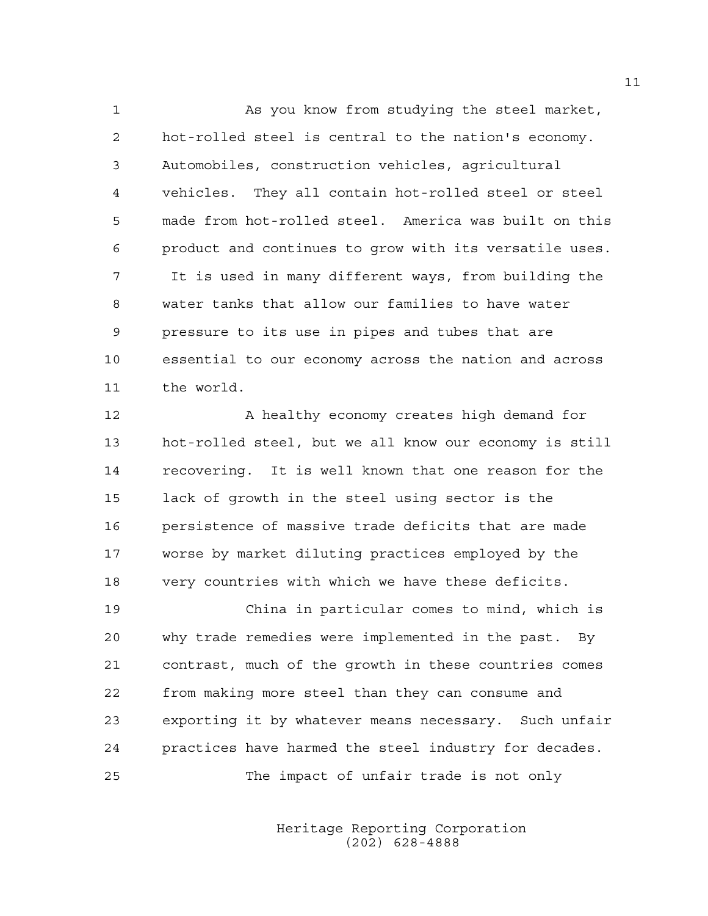1 As you know from studying the steel market, 2 hot-rolled steel is central to the nation's economy. 3 Automobiles, construction vehicles, agricultural 4 vehicles. They all contain hot-rolled steel or steel 5 made from hot-rolled steel. America was built on this 6 product and continues to grow with its versatile uses. 7 It is used in many different ways, from building the 8 water tanks that allow our families to have water 9 pressure to its use in pipes and tubes that are 10 essential to our economy across the nation and across 11 the world.

12 A healthy economy creates high demand for 13 hot-rolled steel, but we all know our economy is still 14 recovering. It is well known that one reason for the 15 lack of growth in the steel using sector is the 16 persistence of massive trade deficits that are made 17 worse by market diluting practices employed by the 18 very countries with which we have these deficits.

19 China in particular comes to mind, which is 20 why trade remedies were implemented in the past. By 21 contrast, much of the growth in these countries comes 22 from making more steel than they can consume and 23 exporting it by whatever means necessary. Such unfair 24 practices have harmed the steel industry for decades. 25 The impact of unfair trade is not only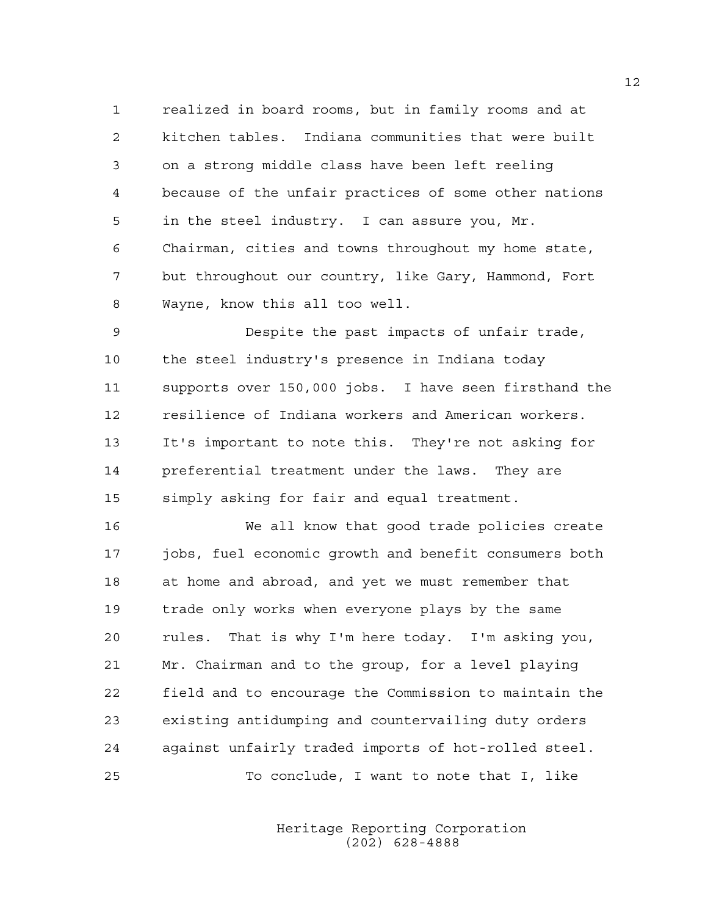1 realized in board rooms, but in family rooms and at 2 kitchen tables. Indiana communities that were built 3 on a strong middle class have been left reeling 4 because of the unfair practices of some other nations 5 in the steel industry. I can assure you, Mr. 6 Chairman, cities and towns throughout my home state, 7 but throughout our country, like Gary, Hammond, Fort 8 Wayne, know this all too well.

9 Despite the past impacts of unfair trade, 10 the steel industry's presence in Indiana today 11 supports over 150,000 jobs. I have seen firsthand the 12 resilience of Indiana workers and American workers. 13 It's important to note this. They're not asking for 14 preferential treatment under the laws. They are 15 simply asking for fair and equal treatment.

16 We all know that good trade policies create 17 jobs, fuel economic growth and benefit consumers both 18 at home and abroad, and yet we must remember that 19 trade only works when everyone plays by the same 20 rules. That is why I'm here today. I'm asking you, 21 Mr. Chairman and to the group, for a level playing 22 field and to encourage the Commission to maintain the 23 existing antidumping and countervailing duty orders 24 against unfairly traded imports of hot-rolled steel. 25 To conclude, I want to note that I, like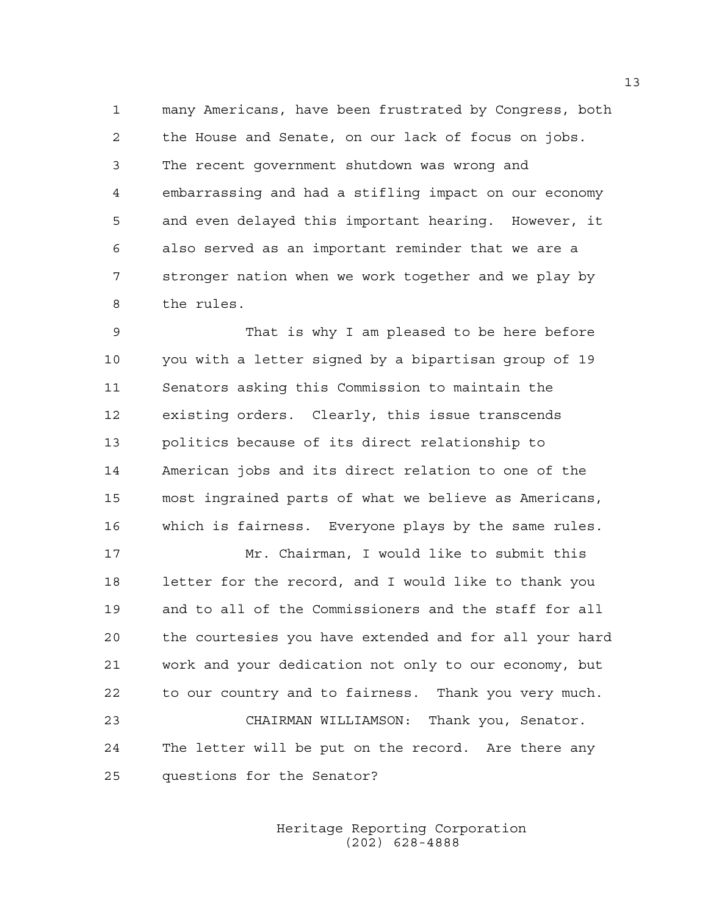1 many Americans, have been frustrated by Congress, both 2 the House and Senate, on our lack of focus on jobs. 3 The recent government shutdown was wrong and 4 embarrassing and had a stifling impact on our economy 5 and even delayed this important hearing. However, it 6 also served as an important reminder that we are a 7 stronger nation when we work together and we play by 8 the rules.

9 That is why I am pleased to be here before 10 you with a letter signed by a bipartisan group of 19 11 Senators asking this Commission to maintain the 12 existing orders. Clearly, this issue transcends 13 politics because of its direct relationship to 14 American jobs and its direct relation to one of the 15 most ingrained parts of what we believe as Americans, 16 which is fairness. Everyone plays by the same rules.

17 Mr. Chairman, I would like to submit this 18 letter for the record, and I would like to thank you 19 and to all of the Commissioners and the staff for all 20 the courtesies you have extended and for all your hard 21 work and your dedication not only to our economy, but 22 to our country and to fairness. Thank you very much. 23 CHAIRMAN WILLIAMSON: Thank you, Senator.

24 The letter will be put on the record. Are there any 25 questions for the Senator?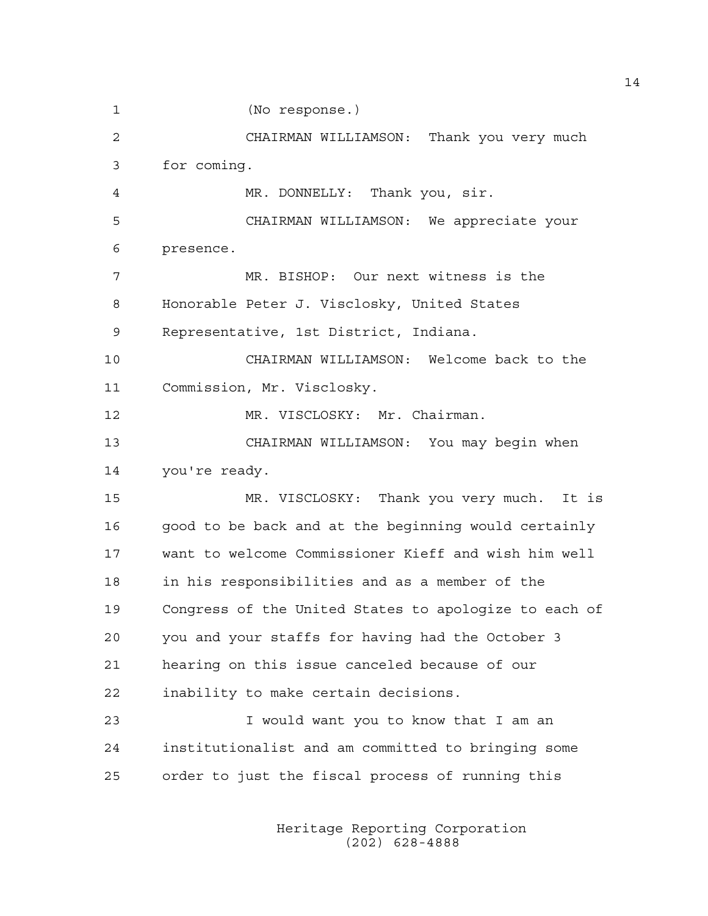1 (No response.) 2 CHAIRMAN WILLIAMSON: Thank you very much 3 for coming. 4 MR. DONNELLY: Thank you, sir. 5 CHAIRMAN WILLIAMSON: We appreciate your 6 presence. 7 MR. BISHOP: Our next witness is the 8 Honorable Peter J. Visclosky, United States 9 Representative, 1st District, Indiana. 10 CHAIRMAN WILLIAMSON: Welcome back to the 11 Commission, Mr. Visclosky. 12 MR. VISCLOSKY: Mr. Chairman. 13 CHAIRMAN WILLIAMSON: You may begin when 14 you're ready. 15 MR. VISCLOSKY: Thank you very much. It is 16 good to be back and at the beginning would certainly 17 want to welcome Commissioner Kieff and wish him well 18 in his responsibilities and as a member of the 19 Congress of the United States to apologize to each of 20 you and your staffs for having had the October 3 21 hearing on this issue canceled because of our 22 inability to make certain decisions. 23 I would want you to know that I am an 24 institutionalist and am committed to bringing some 25 order to just the fiscal process of running this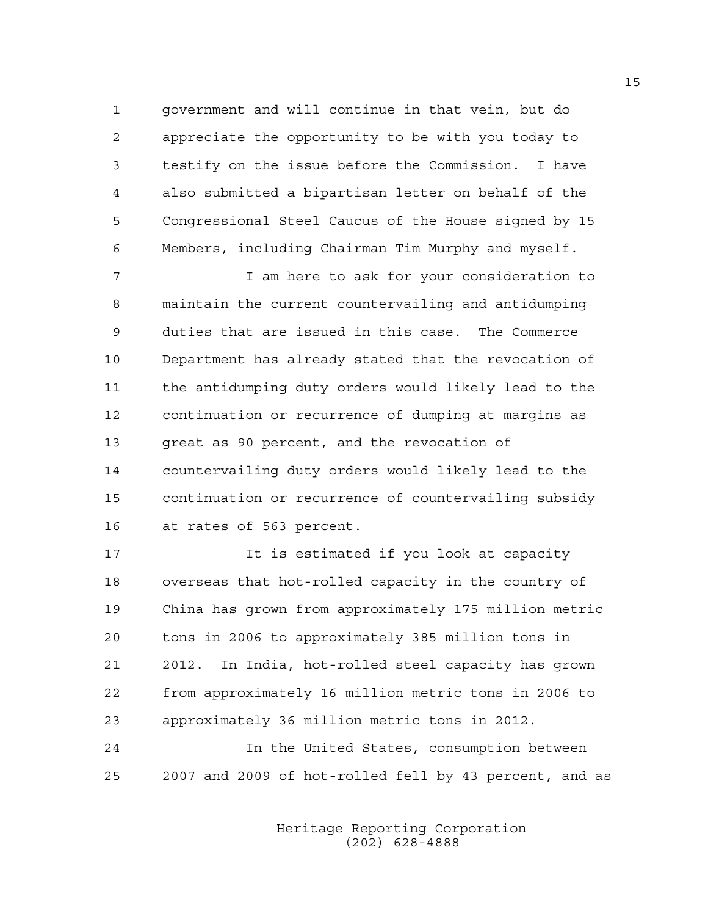1 government and will continue in that vein, but do 2 appreciate the opportunity to be with you today to 3 testify on the issue before the Commission. I have 4 also submitted a bipartisan letter on behalf of the 5 Congressional Steel Caucus of the House signed by 15 6 Members, including Chairman Tim Murphy and myself.

7 I am here to ask for your consideration to 8 maintain the current countervailing and antidumping 9 duties that are issued in this case. The Commerce 10 Department has already stated that the revocation of 11 the antidumping duty orders would likely lead to the 12 continuation or recurrence of dumping at margins as 13 great as 90 percent, and the revocation of 14 countervailing duty orders would likely lead to the 15 continuation or recurrence of countervailing subsidy 16 at rates of 563 percent.

17 17 It is estimated if you look at capacity 18 overseas that hot-rolled capacity in the country of 19 China has grown from approximately 175 million metric 20 tons in 2006 to approximately 385 million tons in 21 2012. In India, hot-rolled steel capacity has grown 22 from approximately 16 million metric tons in 2006 to 23 approximately 36 million metric tons in 2012.

24 In the United States, consumption between 25 2007 and 2009 of hot-rolled fell by 43 percent, and as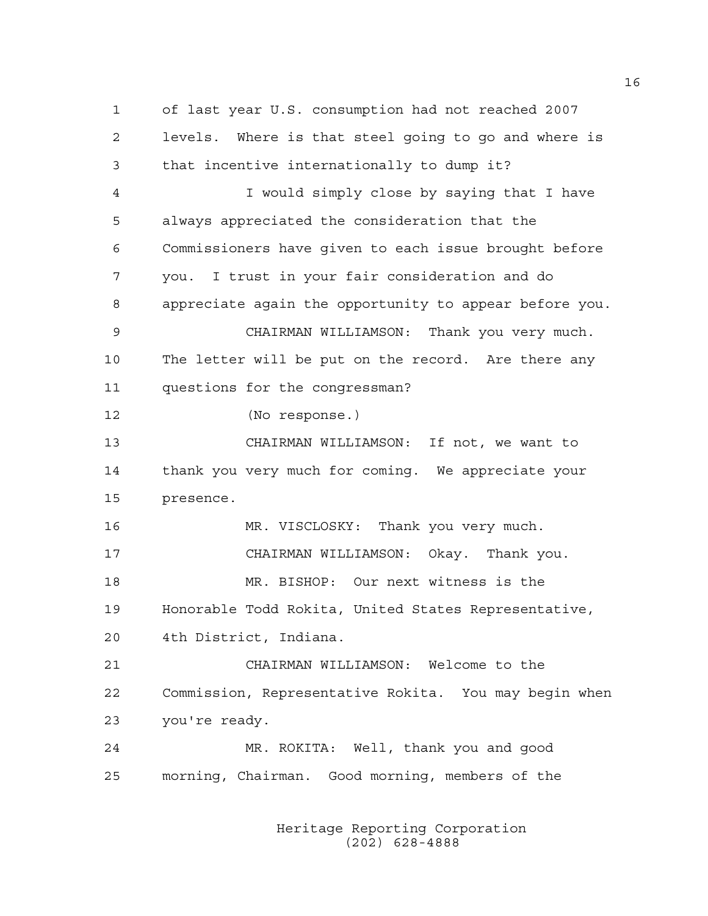1 of last year U.S. consumption had not reached 2007 2 levels. Where is that steel going to go and where is 3 that incentive internationally to dump it? 4 I would simply close by saying that I have 5 always appreciated the consideration that the 6 Commissioners have given to each issue brought before 7 you. I trust in your fair consideration and do 8 appreciate again the opportunity to appear before you. 9 CHAIRMAN WILLIAMSON: Thank you very much. 10 The letter will be put on the record. Are there any 11 questions for the congressman? 12 (No response.) 13 CHAIRMAN WILLIAMSON: If not, we want to 14 thank you very much for coming. We appreciate your 15 presence. 16 MR. VISCLOSKY: Thank you very much. 17 CHAIRMAN WILLIAMSON: Okay. Thank you. 18 MR. BISHOP: Our next witness is the 19 Honorable Todd Rokita, United States Representative, 20 4th District, Indiana. 21 CHAIRMAN WILLIAMSON: Welcome to the 22 Commission, Representative Rokita. You may begin when 23 you're ready. 24 MR. ROKITA: Well, thank you and good 25 morning, Chairman. Good morning, members of the

> Heritage Reporting Corporation (202) 628-4888

16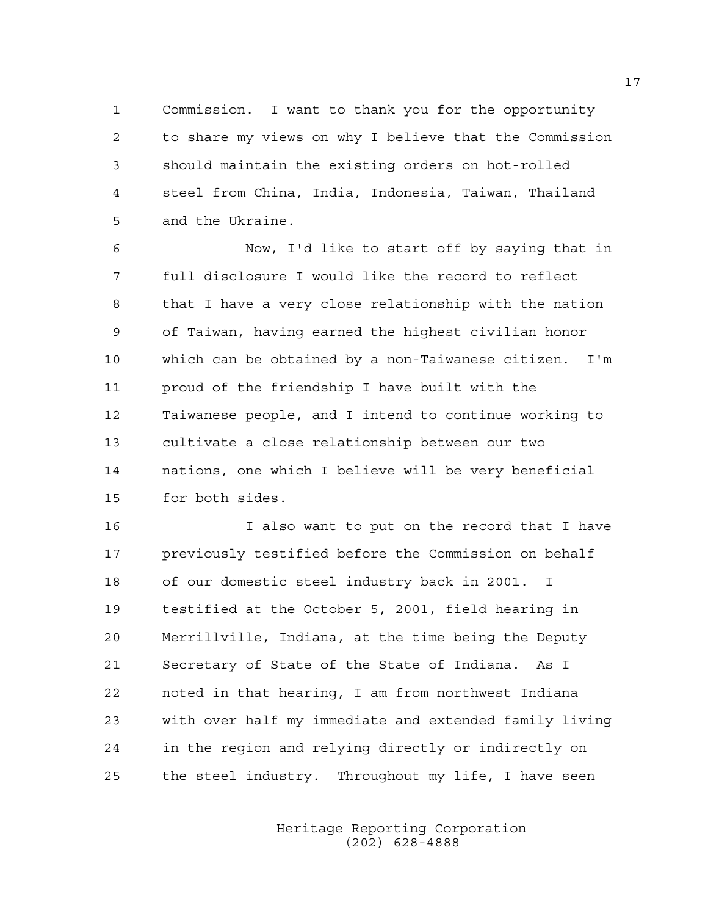1 Commission. I want to thank you for the opportunity 2 to share my views on why I believe that the Commission 3 should maintain the existing orders on hot-rolled 4 steel from China, India, Indonesia, Taiwan, Thailand 5 and the Ukraine.

6 Now, I'd like to start off by saying that in 7 full disclosure I would like the record to reflect 8 that I have a very close relationship with the nation 9 of Taiwan, having earned the highest civilian honor 10 which can be obtained by a non-Taiwanese citizen. I'm 11 proud of the friendship I have built with the 12 Taiwanese people, and I intend to continue working to 13 cultivate a close relationship between our two 14 nations, one which I believe will be very beneficial 15 for both sides.

16 I also want to put on the record that I have 17 previously testified before the Commission on behalf 18 of our domestic steel industry back in 2001. I 19 testified at the October 5, 2001, field hearing in 20 Merrillville, Indiana, at the time being the Deputy 21 Secretary of State of the State of Indiana. As I 22 noted in that hearing, I am from northwest Indiana 23 with over half my immediate and extended family living 24 in the region and relying directly or indirectly on 25 the steel industry. Throughout my life, I have seen

> Heritage Reporting Corporation (202) 628-4888

17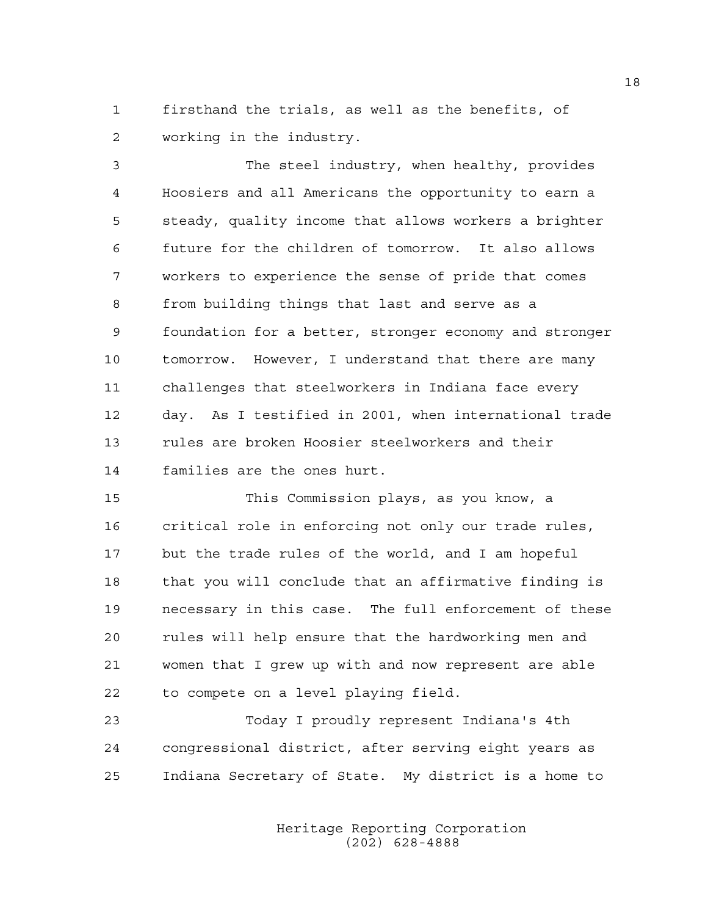1 firsthand the trials, as well as the benefits, of 2 working in the industry.

3 The steel industry, when healthy, provides 4 Hoosiers and all Americans the opportunity to earn a 5 steady, quality income that allows workers a brighter 6 future for the children of tomorrow. It also allows 7 workers to experience the sense of pride that comes 8 from building things that last and serve as a 9 foundation for a better, stronger economy and stronger 10 tomorrow. However, I understand that there are many 11 challenges that steelworkers in Indiana face every 12 day. As I testified in 2001, when international trade 13 rules are broken Hoosier steelworkers and their 14 families are the ones hurt.

15 This Commission plays, as you know, a 16 critical role in enforcing not only our trade rules, 17 but the trade rules of the world, and I am hopeful 18 that you will conclude that an affirmative finding is 19 necessary in this case. The full enforcement of these 20 rules will help ensure that the hardworking men and 21 women that I grew up with and now represent are able 22 to compete on a level playing field.

23 Today I proudly represent Indiana's 4th 24 congressional district, after serving eight years as 25 Indiana Secretary of State. My district is a home to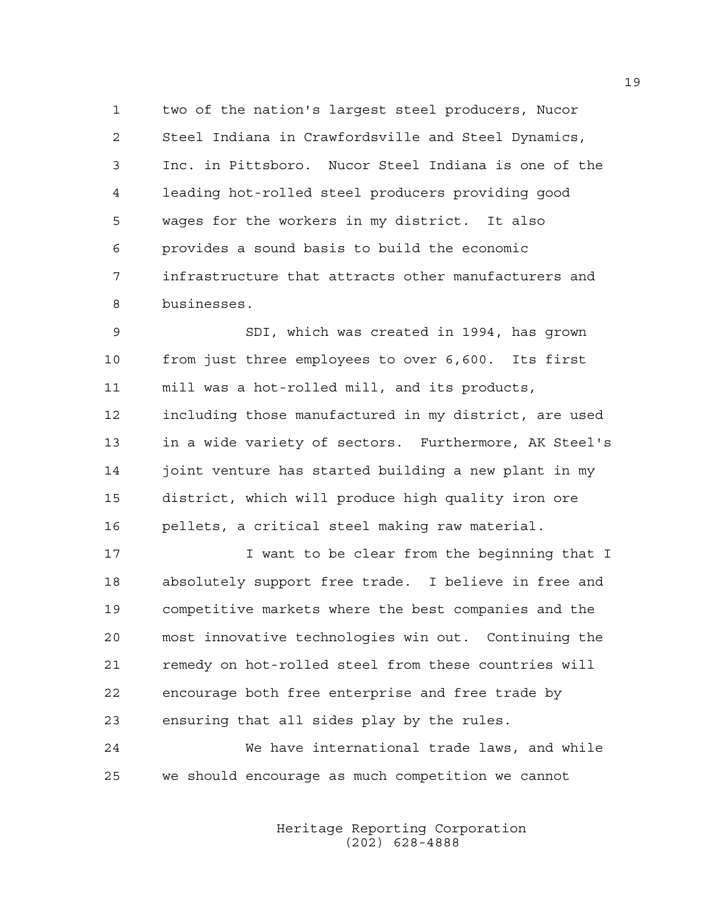1 two of the nation's largest steel producers, Nucor 2 Steel Indiana in Crawfordsville and Steel Dynamics, 3 Inc. in Pittsboro. Nucor Steel Indiana is one of the 4 leading hot-rolled steel producers providing good 5 wages for the workers in my district. It also 6 provides a sound basis to build the economic 7 infrastructure that attracts other manufacturers and 8 businesses.

9 SDI, which was created in 1994, has grown 10 from just three employees to over 6,600. Its first 11 mill was a hot-rolled mill, and its products, 12 including those manufactured in my district, are used 13 in a wide variety of sectors. Furthermore, AK Steel's 14 joint venture has started building a new plant in my 15 district, which will produce high quality iron ore 16 pellets, a critical steel making raw material.

17 I want to be clear from the beginning that I 18 absolutely support free trade. I believe in free and 19 competitive markets where the best companies and the 20 most innovative technologies win out. Continuing the 21 remedy on hot-rolled steel from these countries will 22 encourage both free enterprise and free trade by 23 ensuring that all sides play by the rules.

24 We have international trade laws, and while 25 we should encourage as much competition we cannot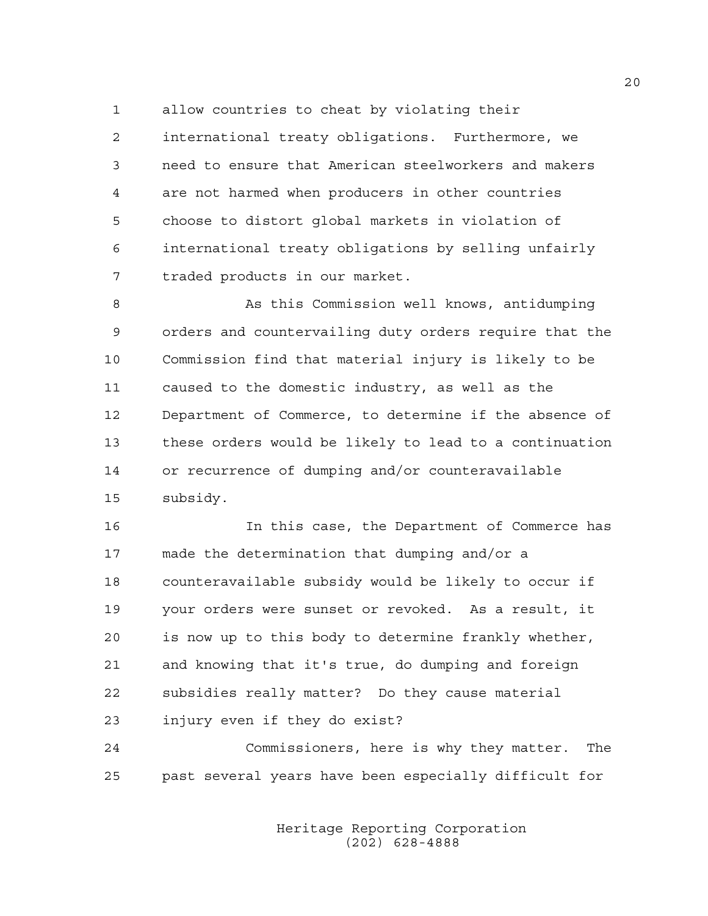1 allow countries to cheat by violating their

2 international treaty obligations. Furthermore, we 3 need to ensure that American steelworkers and makers 4 are not harmed when producers in other countries 5 choose to distort global markets in violation of 6 international treaty obligations by selling unfairly 7 traded products in our market.

8 As this Commission well knows, antidumping 9 orders and countervailing duty orders require that the 10 Commission find that material injury is likely to be 11 caused to the domestic industry, as well as the 12 Department of Commerce, to determine if the absence of 13 these orders would be likely to lead to a continuation 14 or recurrence of dumping and/or counteravailable 15 subsidy.

16 In this case, the Department of Commerce has 17 made the determination that dumping and/or a 18 counteravailable subsidy would be likely to occur if 19 your orders were sunset or revoked. As a result, it 20 is now up to this body to determine frankly whether, 21 and knowing that it's true, do dumping and foreign 22 subsidies really matter? Do they cause material 23 injury even if they do exist?

24 Commissioners, here is why they matter. The 25 past several years have been especially difficult for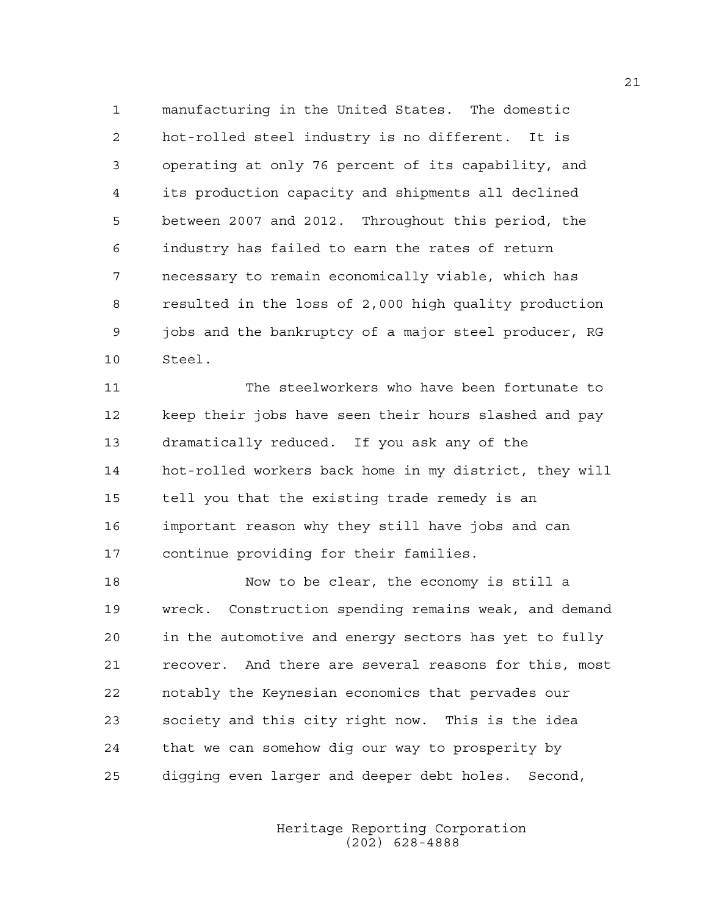1 manufacturing in the United States. The domestic 2 hot-rolled steel industry is no different. It is 3 operating at only 76 percent of its capability, and 4 its production capacity and shipments all declined 5 between 2007 and 2012. Throughout this period, the 6 industry has failed to earn the rates of return 7 necessary to remain economically viable, which has 8 resulted in the loss of 2,000 high quality production 9 jobs and the bankruptcy of a major steel producer, RG 10 Steel.

11 The steelworkers who have been fortunate to 12 keep their jobs have seen their hours slashed and pay 13 dramatically reduced. If you ask any of the 14 hot-rolled workers back home in my district, they will 15 tell you that the existing trade remedy is an 16 important reason why they still have jobs and can 17 continue providing for their families.

18 Now to be clear, the economy is still a 19 wreck. Construction spending remains weak, and demand 20 in the automotive and energy sectors has yet to fully 21 recover. And there are several reasons for this, most 22 notably the Keynesian economics that pervades our 23 society and this city right now. This is the idea 24 that we can somehow dig our way to prosperity by 25 digging even larger and deeper debt holes. Second,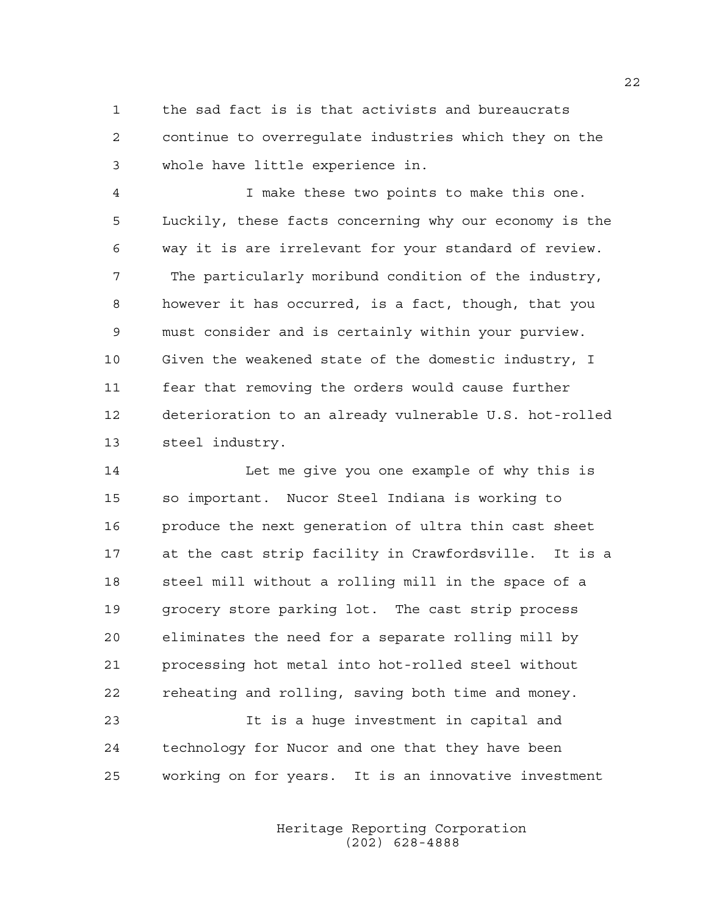1 the sad fact is is that activists and bureaucrats 2 continue to overregulate industries which they on the 3 whole have little experience in.

4 I make these two points to make this one. 5 Luckily, these facts concerning why our economy is the 6 way it is are irrelevant for your standard of review. 7 The particularly moribund condition of the industry, 8 however it has occurred, is a fact, though, that you 9 must consider and is certainly within your purview. 10 Given the weakened state of the domestic industry, I 11 fear that removing the orders would cause further 12 deterioration to an already vulnerable U.S. hot-rolled 13 steel industry.

14 Let me give you one example of why this is 15 so important. Nucor Steel Indiana is working to 16 produce the next generation of ultra thin cast sheet 17 at the cast strip facility in Crawfordsville. It is a 18 steel mill without a rolling mill in the space of a 19 grocery store parking lot. The cast strip process 20 eliminates the need for a separate rolling mill by 21 processing hot metal into hot-rolled steel without 22 reheating and rolling, saving both time and money.

23 It is a huge investment in capital and 24 technology for Nucor and one that they have been 25 working on for years. It is an innovative investment

> Heritage Reporting Corporation (202) 628-4888

22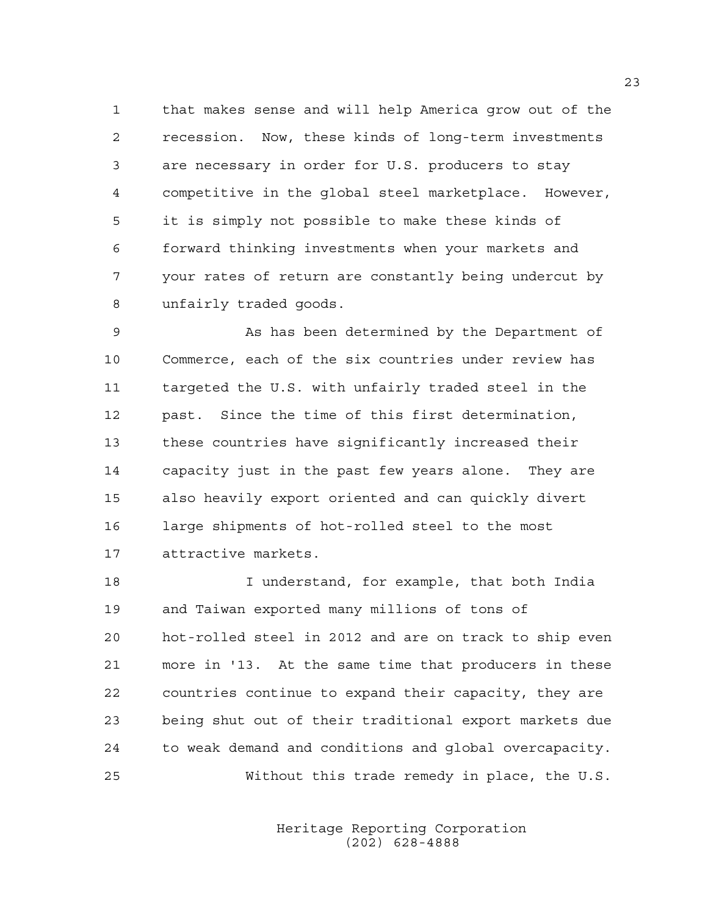1 that makes sense and will help America grow out of the 2 recession. Now, these kinds of long-term investments 3 are necessary in order for U.S. producers to stay 4 competitive in the global steel marketplace. However, 5 it is simply not possible to make these kinds of 6 forward thinking investments when your markets and 7 your rates of return are constantly being undercut by 8 unfairly traded goods.

9 As has been determined by the Department of 10 Commerce, each of the six countries under review has 11 targeted the U.S. with unfairly traded steel in the 12 past. Since the time of this first determination, 13 these countries have significantly increased their 14 capacity just in the past few years alone. They are 15 also heavily export oriented and can quickly divert 16 large shipments of hot-rolled steel to the most 17 attractive markets.

18 I understand, for example, that both India 19 and Taiwan exported many millions of tons of 20 hot-rolled steel in 2012 and are on track to ship even 21 more in '13. At the same time that producers in these 22 countries continue to expand their capacity, they are 23 being shut out of their traditional export markets due 24 to weak demand and conditions and global overcapacity. 25 Without this trade remedy in place, the U.S.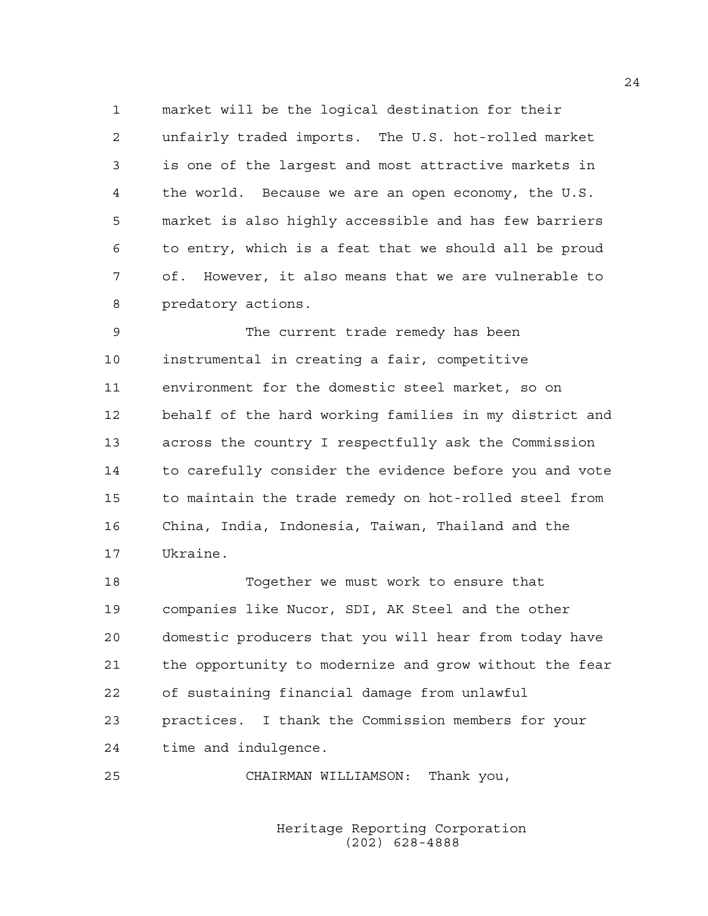1 market will be the logical destination for their 2 unfairly traded imports. The U.S. hot-rolled market 3 is one of the largest and most attractive markets in 4 the world. Because we are an open economy, the U.S. 5 market is also highly accessible and has few barriers 6 to entry, which is a feat that we should all be proud 7 of. However, it also means that we are vulnerable to 8 predatory actions.

9 The current trade remedy has been 10 instrumental in creating a fair, competitive 11 environment for the domestic steel market, so on 12 behalf of the hard working families in my district and 13 across the country I respectfully ask the Commission 14 to carefully consider the evidence before you and vote 15 to maintain the trade remedy on hot-rolled steel from 16 China, India, Indonesia, Taiwan, Thailand and the 17 Ukraine.

18 Together we must work to ensure that 19 companies like Nucor, SDI, AK Steel and the other 20 domestic producers that you will hear from today have 21 the opportunity to modernize and grow without the fear 22 of sustaining financial damage from unlawful 23 practices. I thank the Commission members for your 24 time and indulgence.

25 CHAIRMAN WILLIAMSON: Thank you,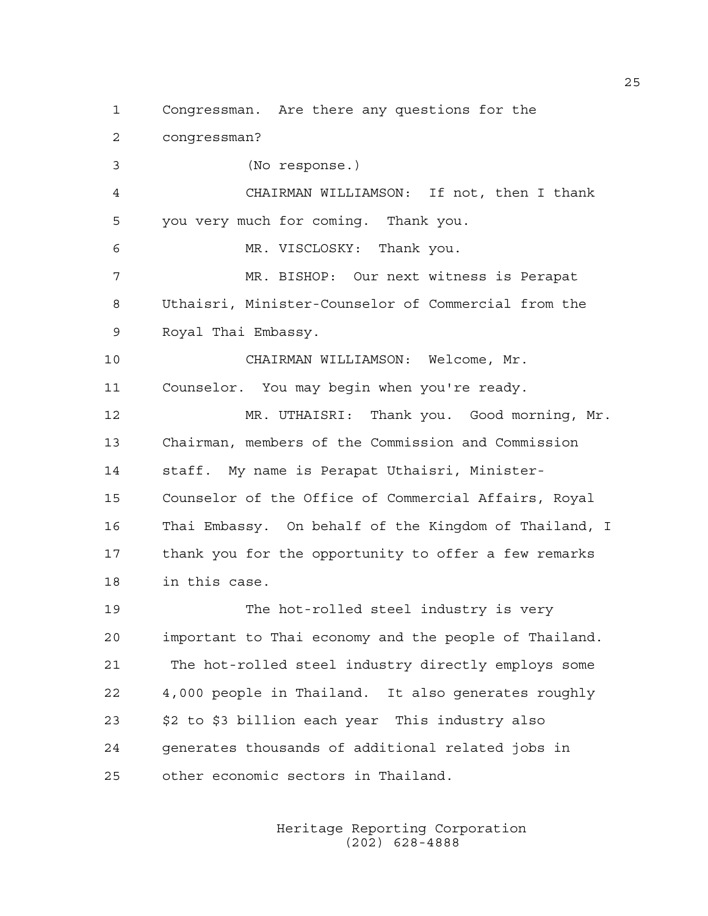1 Congressman. Are there any questions for the

2 congressman?

3 (No response.)

4 CHAIRMAN WILLIAMSON: If not, then I thank 5 you very much for coming. Thank you.

6 MR. VISCLOSKY: Thank you.

7 MR. BISHOP: Our next witness is Perapat 8 Uthaisri, Minister-Counselor of Commercial from the 9 Royal Thai Embassy.

10 CHAIRMAN WILLIAMSON: Welcome, Mr.

11 Counselor. You may begin when you're ready.

12 MR. UTHAISRI: Thank you. Good morning, Mr. 13 Chairman, members of the Commission and Commission 14 staff. My name is Perapat Uthaisri, Minister-15 Counselor of the Office of Commercial Affairs, Royal 16 Thai Embassy. On behalf of the Kingdom of Thailand, I 17 thank you for the opportunity to offer a few remarks 18 in this case.

19 The hot-rolled steel industry is very 20 important to Thai economy and the people of Thailand. 21 The hot-rolled steel industry directly employs some 22 4,000 people in Thailand. It also generates roughly 23 \$2 to \$3 billion each year This industry also 24 generates thousands of additional related jobs in 25 other economic sectors in Thailand.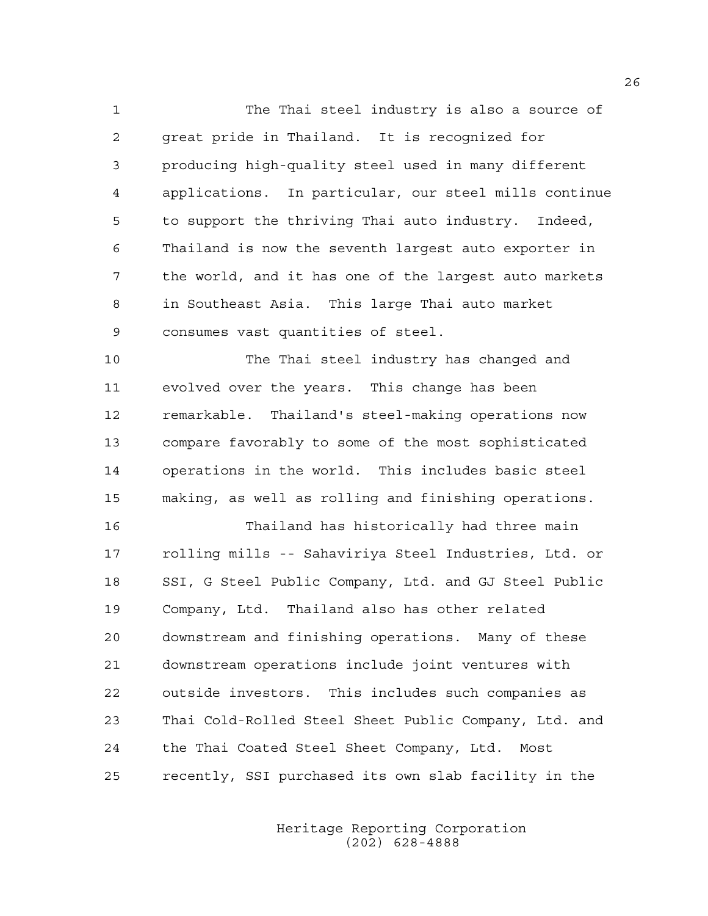1 The Thai steel industry is also a source of 2 great pride in Thailand. It is recognized for 3 producing high-quality steel used in many different 4 applications. In particular, our steel mills continue 5 to support the thriving Thai auto industry. Indeed, 6 Thailand is now the seventh largest auto exporter in 7 the world, and it has one of the largest auto markets 8 in Southeast Asia. This large Thai auto market 9 consumes vast quantities of steel.

10 The Thai steel industry has changed and 11 evolved over the years. This change has been 12 remarkable. Thailand's steel-making operations now 13 compare favorably to some of the most sophisticated 14 operations in the world. This includes basic steel 15 making, as well as rolling and finishing operations.

16 Thailand has historically had three main 17 rolling mills -- Sahaviriya Steel Industries, Ltd. or 18 SSI, G Steel Public Company, Ltd. and GJ Steel Public 19 Company, Ltd. Thailand also has other related 20 downstream and finishing operations. Many of these 21 downstream operations include joint ventures with 22 outside investors. This includes such companies as 23 Thai Cold-Rolled Steel Sheet Public Company, Ltd. and 24 the Thai Coated Steel Sheet Company, Ltd. Most 25 recently, SSI purchased its own slab facility in the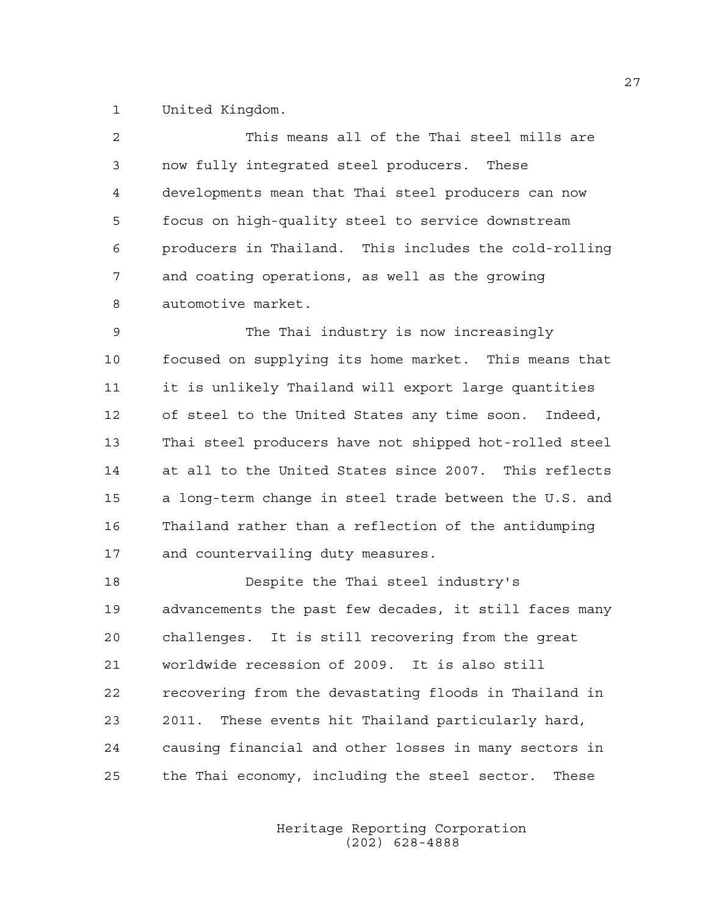1 United Kingdom.

| $\overline{2}$ | This means all of the Thai steel mills are             |
|----------------|--------------------------------------------------------|
| 3              | now fully integrated steel producers. These            |
| 4              | developments mean that Thai steel producers can now    |
| 5              | focus on high-quality steel to service downstream      |
| 6              | producers in Thailand. This includes the cold-rolling  |
| 7              | and coating operations, as well as the growing         |
| 8              | automotive market.                                     |
| 9              | The Thai industry is now increasingly                  |
| 10             | focused on supplying its home market. This means that  |
| 11             | it is unlikely Thailand will export large quantities   |
| 12             | of steel to the United States any time soon. Indeed,   |
| 13             | Thai steel producers have not shipped hot-rolled steel |
| 14             | at all to the United States since 2007. This reflects  |
| 15             | a long-term change in steel trade between the U.S. and |
| 16             | Thailand rather than a reflection of the antidumping   |
| 17             | and countervailing duty measures.                      |
| 18             | Despite the Thai steel industry's                      |
| 19             | advancements the past few decades, it still faces many |

20 challenges. It is still recovering from the great 21 worldwide recession of 2009. It is also still 22 recovering from the devastating floods in Thailand in 23 2011. These events hit Thailand particularly hard, 24 causing financial and other losses in many sectors in 25 the Thai economy, including the steel sector. These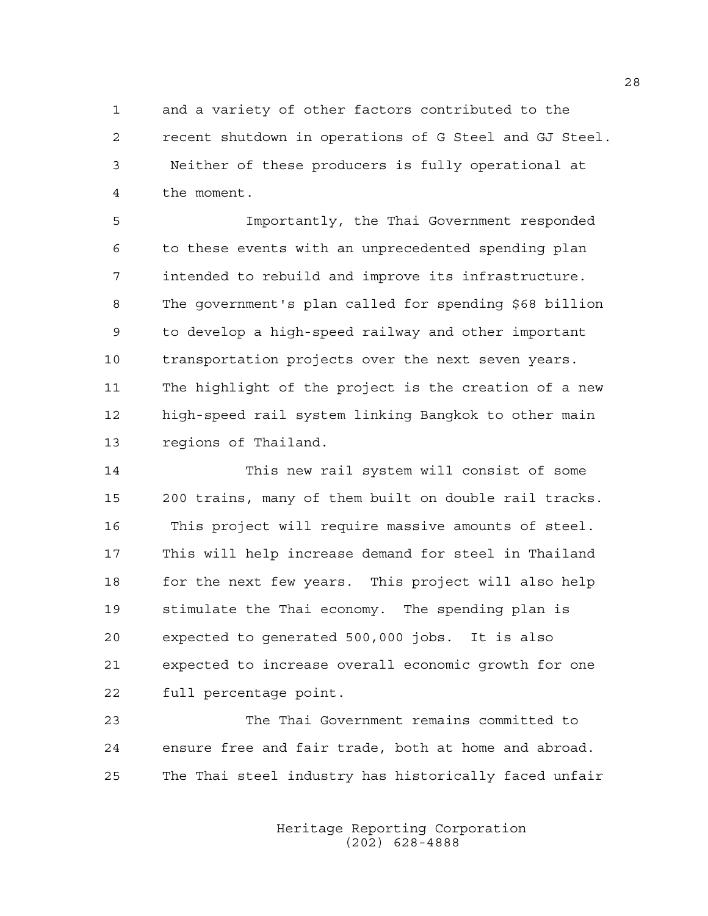1 and a variety of other factors contributed to the 2 recent shutdown in operations of G Steel and GJ Steel. 3 Neither of these producers is fully operational at 4 the moment.

5 Importantly, the Thai Government responded 6 to these events with an unprecedented spending plan 7 intended to rebuild and improve its infrastructure. 8 The government's plan called for spending \$68 billion 9 to develop a high-speed railway and other important 10 transportation projects over the next seven years. 11 The highlight of the project is the creation of a new 12 high-speed rail system linking Bangkok to other main 13 regions of Thailand.

14 This new rail system will consist of some 15 200 trains, many of them built on double rail tracks. 16 This project will require massive amounts of steel. 17 This will help increase demand for steel in Thailand 18 for the next few years. This project will also help 19 stimulate the Thai economy. The spending plan is 20 expected to generated 500,000 jobs. It is also 21 expected to increase overall economic growth for one 22 full percentage point.

23 The Thai Government remains committed to 24 ensure free and fair trade, both at home and abroad. 25 The Thai steel industry has historically faced unfair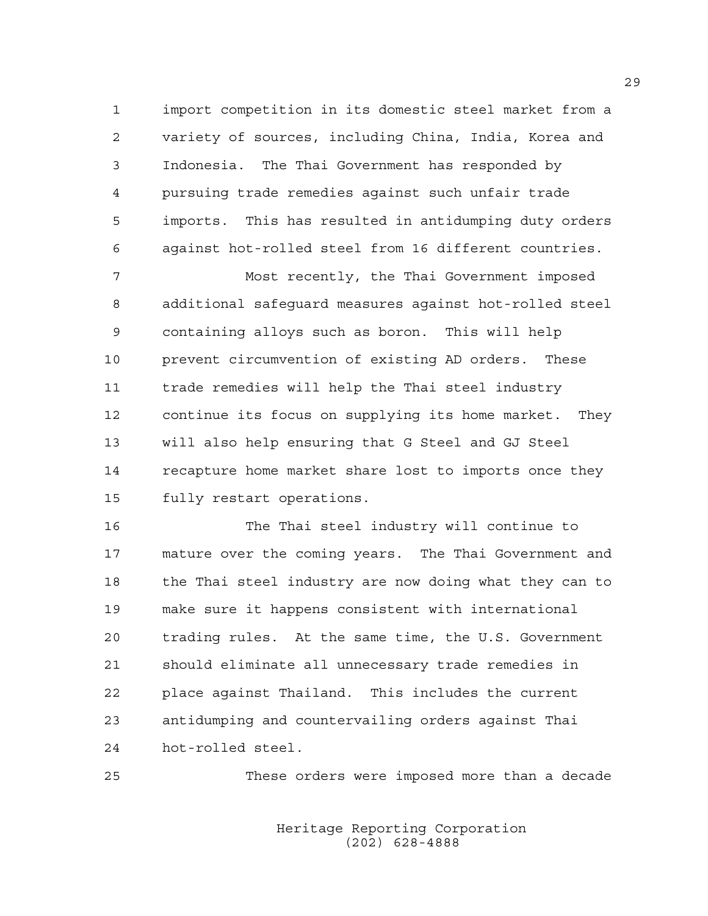1 import competition in its domestic steel market from a 2 variety of sources, including China, India, Korea and 3 Indonesia. The Thai Government has responded by 4 pursuing trade remedies against such unfair trade 5 imports. This has resulted in antidumping duty orders 6 against hot-rolled steel from 16 different countries.

7 Most recently, the Thai Government imposed 8 additional safeguard measures against hot-rolled steel 9 containing alloys such as boron. This will help 10 prevent circumvention of existing AD orders. These 11 trade remedies will help the Thai steel industry 12 continue its focus on supplying its home market. They 13 will also help ensuring that G Steel and GJ Steel 14 recapture home market share lost to imports once they 15 fully restart operations.

16 The Thai steel industry will continue to 17 mature over the coming years. The Thai Government and 18 the Thai steel industry are now doing what they can to 19 make sure it happens consistent with international 20 trading rules. At the same time, the U.S. Government 21 should eliminate all unnecessary trade remedies in 22 place against Thailand. This includes the current 23 antidumping and countervailing orders against Thai 24 hot-rolled steel.

25 These orders were imposed more than a decade

 Heritage Reporting Corporation (202) 628-4888

29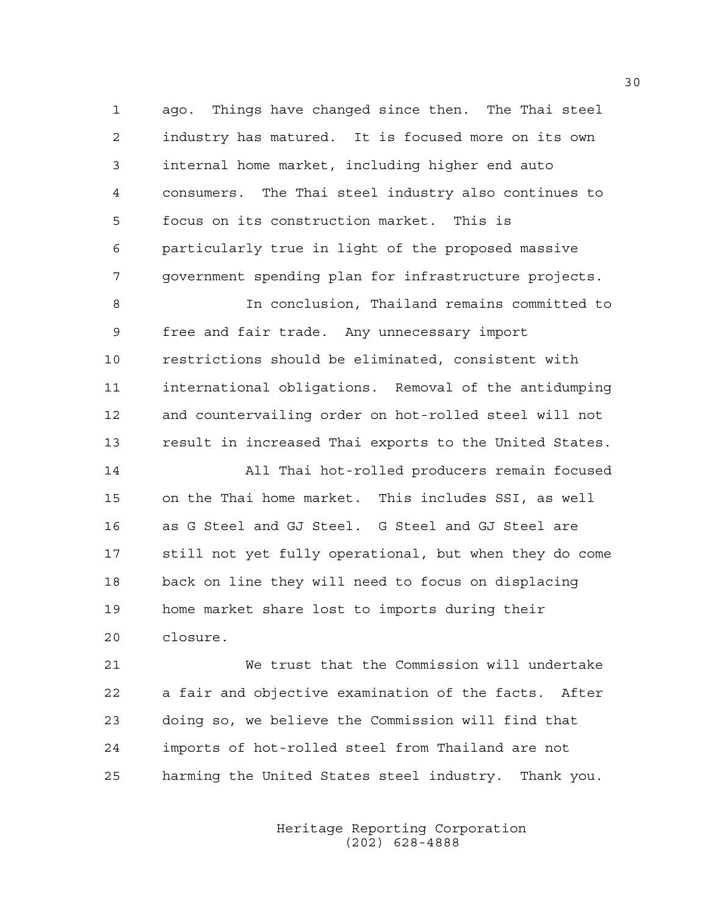1 ago. Things have changed since then. The Thai steel 2 industry has matured. It is focused more on its own 3 internal home market, including higher end auto 4 consumers. The Thai steel industry also continues to 5 focus on its construction market. This is 6 particularly true in light of the proposed massive 7 government spending plan for infrastructure projects.

8 In conclusion, Thailand remains committed to 9 free and fair trade. Any unnecessary import 10 restrictions should be eliminated, consistent with 11 international obligations. Removal of the antidumping 12 and countervailing order on hot-rolled steel will not 13 result in increased Thai exports to the United States.

14 All Thai hot-rolled producers remain focused 15 on the Thai home market. This includes SSI, as well 16 as G Steel and GJ Steel. G Steel and GJ Steel are 17 still not yet fully operational, but when they do come 18 back on line they will need to focus on displacing 19 home market share lost to imports during their 20 closure.

21 We trust that the Commission will undertake 22 a fair and objective examination of the facts. After 23 doing so, we believe the Commission will find that 24 imports of hot-rolled steel from Thailand are not 25 harming the United States steel industry. Thank you.

> Heritage Reporting Corporation (202) 628-4888

30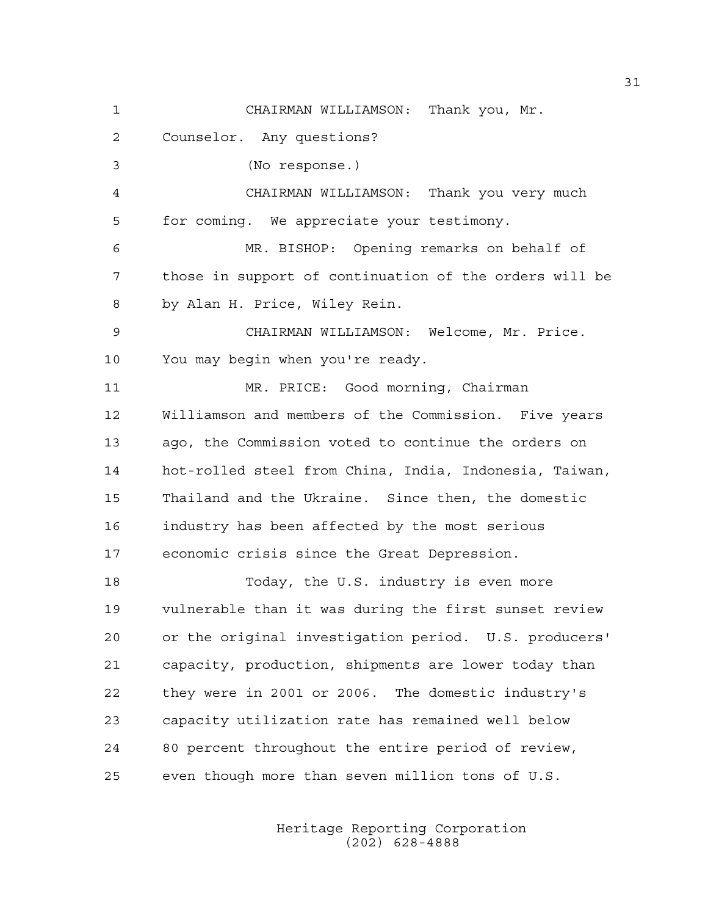1 CHAIRMAN WILLIAMSON: Thank you, Mr. 2 Counselor. Any questions? 3 (No response.) 4 CHAIRMAN WILLIAMSON: Thank you very much 5 for coming. We appreciate your testimony. 6 MR. BISHOP: Opening remarks on behalf of 7 those in support of continuation of the orders will be 8 by Alan H. Price, Wiley Rein. 9 CHAIRMAN WILLIAMSON: Welcome, Mr. Price. 10 You may begin when you're ready. 11 MR. PRICE: Good morning, Chairman 12 Williamson and members of the Commission. Five years 13 ago, the Commission voted to continue the orders on 14 hot-rolled steel from China, India, Indonesia, Taiwan, 15 Thailand and the Ukraine. Since then, the domestic 16 industry has been affected by the most serious 17 economic crisis since the Great Depression. 18 Today, the U.S. industry is even more 19 vulnerable than it was during the first sunset review 20 or the original investigation period. U.S. producers' 21 capacity, production, shipments are lower today than 22 they were in 2001 or 2006. The domestic industry's 23 capacity utilization rate has remained well below 24 80 percent throughout the entire period of review, 25 even though more than seven million tons of U.S.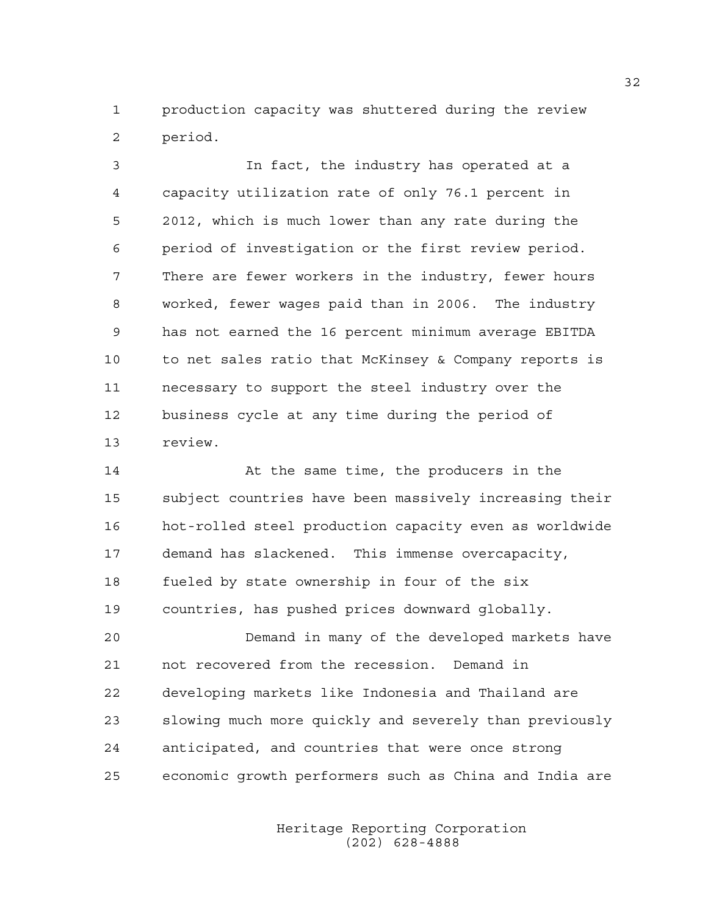1 production capacity was shuttered during the review 2 period.

3 In fact, the industry has operated at a 4 capacity utilization rate of only 76.1 percent in 5 2012, which is much lower than any rate during the 6 period of investigation or the first review period. 7 There are fewer workers in the industry, fewer hours 8 worked, fewer wages paid than in 2006. The industry 9 has not earned the 16 percent minimum average EBITDA 10 to net sales ratio that McKinsey & Company reports is 11 necessary to support the steel industry over the 12 business cycle at any time during the period of 13 review.

14 At the same time, the producers in the 15 subject countries have been massively increasing their 16 hot-rolled steel production capacity even as worldwide 17 demand has slackened. This immense overcapacity, 18 fueled by state ownership in four of the six 19 countries, has pushed prices downward globally. 20 Demand in many of the developed markets have 21 not recovered from the recession. Demand in 22 developing markets like Indonesia and Thailand are 23 slowing much more quickly and severely than previously

25 economic growth performers such as China and India are

24 anticipated, and countries that were once strong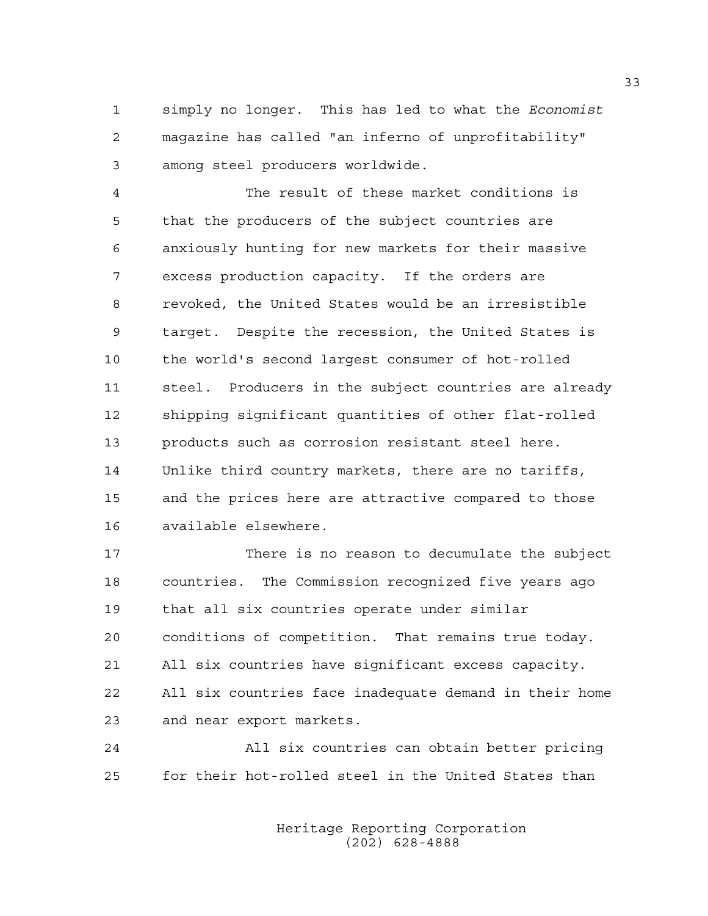1 simply no longer. This has led to what the *Economist* 2 magazine has called "an inferno of unprofitability" 3 among steel producers worldwide.

4 The result of these market conditions is 5 that the producers of the subject countries are 6 anxiously hunting for new markets for their massive 7 excess production capacity. If the orders are 8 revoked, the United States would be an irresistible 9 target. Despite the recession, the United States is 10 the world's second largest consumer of hot-rolled 11 steel. Producers in the subject countries are already 12 shipping significant quantities of other flat-rolled 13 products such as corrosion resistant steel here. 14 Unlike third country markets, there are no tariffs, 15 and the prices here are attractive compared to those 16 available elsewhere.

17 There is no reason to decumulate the subject 18 countries. The Commission recognized five years ago 19 that all six countries operate under similar 20 conditions of competition. That remains true today. 21 All six countries have significant excess capacity. 22 All six countries face inadequate demand in their home 23 and near export markets.

24 All six countries can obtain better pricing 25 for their hot-rolled steel in the United States than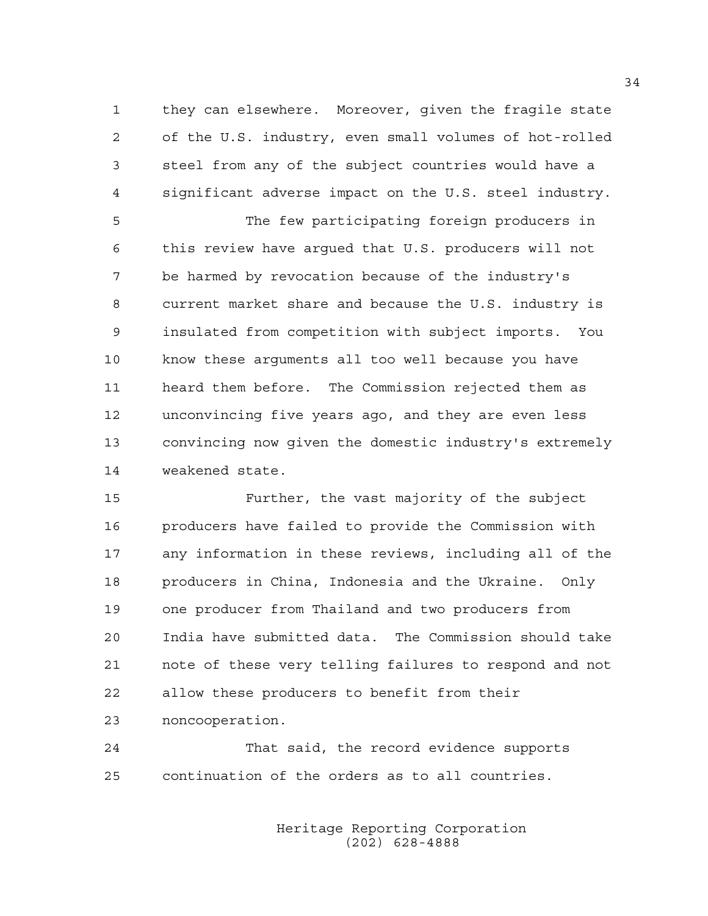1 they can elsewhere. Moreover, given the fragile state 2 of the U.S. industry, even small volumes of hot-rolled 3 steel from any of the subject countries would have a 4 significant adverse impact on the U.S. steel industry.

5 The few participating foreign producers in 6 this review have argued that U.S. producers will not 7 be harmed by revocation because of the industry's 8 current market share and because the U.S. industry is 9 insulated from competition with subject imports. You 10 know these arguments all too well because you have 11 heard them before. The Commission rejected them as 12 unconvincing five years ago, and they are even less 13 convincing now given the domestic industry's extremely 14 weakened state.

15 Further, the vast majority of the subject 16 producers have failed to provide the Commission with 17 any information in these reviews, including all of the 18 producers in China, Indonesia and the Ukraine. Only 19 one producer from Thailand and two producers from 20 India have submitted data. The Commission should take 21 note of these very telling failures to respond and not 22 allow these producers to benefit from their 23 noncooperation.

24 That said, the record evidence supports 25 continuation of the orders as to all countries.

> Heritage Reporting Corporation (202) 628-4888

34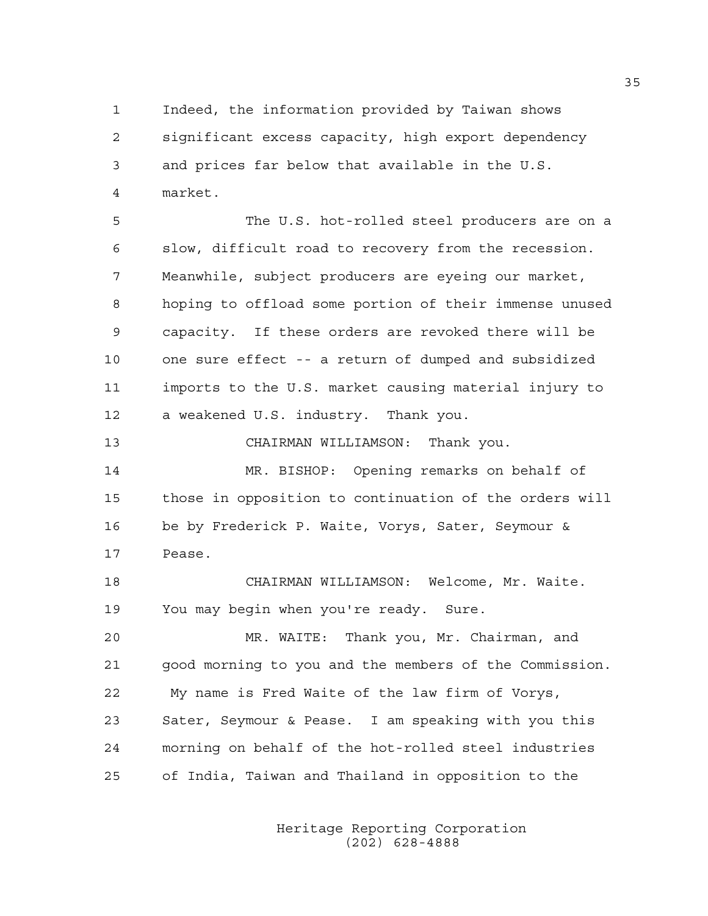1 Indeed, the information provided by Taiwan shows 2 significant excess capacity, high export dependency 3 and prices far below that available in the U.S. 4 market.

5 The U.S. hot-rolled steel producers are on a 6 slow, difficult road to recovery from the recession. 7 Meanwhile, subject producers are eyeing our market, 8 hoping to offload some portion of their immense unused 9 capacity. If these orders are revoked there will be 10 one sure effect -- a return of dumped and subsidized 11 imports to the U.S. market causing material injury to 12 a weakened U.S. industry. Thank you.

13 CHAIRMAN WILLIAMSON: Thank you.

14 MR. BISHOP: Opening remarks on behalf of 15 those in opposition to continuation of the orders will 16 be by Frederick P. Waite, Vorys, Sater, Seymour & 17 Pease.

18 CHAIRMAN WILLIAMSON: Welcome, Mr. Waite. 19 You may begin when you're ready. Sure.

20 MR. WAITE: Thank you, Mr. Chairman, and 21 good morning to you and the members of the Commission. 22 My name is Fred Waite of the law firm of Vorys, 23 Sater, Seymour & Pease. I am speaking with you this 24 morning on behalf of the hot-rolled steel industries 25 of India, Taiwan and Thailand in opposition to the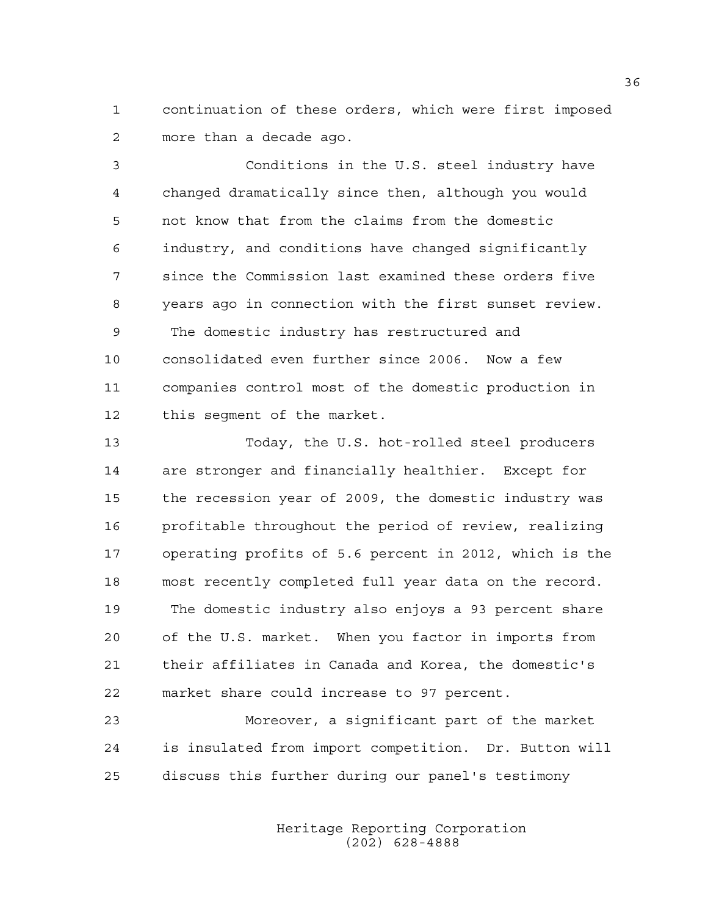1 continuation of these orders, which were first imposed 2 more than a decade ago.

3 Conditions in the U.S. steel industry have 4 changed dramatically since then, although you would 5 not know that from the claims from the domestic 6 industry, and conditions have changed significantly 7 since the Commission last examined these orders five 8 years ago in connection with the first sunset review. 9 The domestic industry has restructured and 10 consolidated even further since 2006. Now a few 11 companies control most of the domestic production in 12 this segment of the market.

13 Today, the U.S. hot-rolled steel producers 14 are stronger and financially healthier. Except for 15 the recession year of 2009, the domestic industry was 16 profitable throughout the period of review, realizing 17 operating profits of 5.6 percent in 2012, which is the 18 most recently completed full year data on the record. 19 The domestic industry also enjoys a 93 percent share 20 of the U.S. market. When you factor in imports from 21 their affiliates in Canada and Korea, the domestic's 22 market share could increase to 97 percent.

23 Moreover, a significant part of the market 24 is insulated from import competition. Dr. Button will 25 discuss this further during our panel's testimony

> Heritage Reporting Corporation (202) 628-4888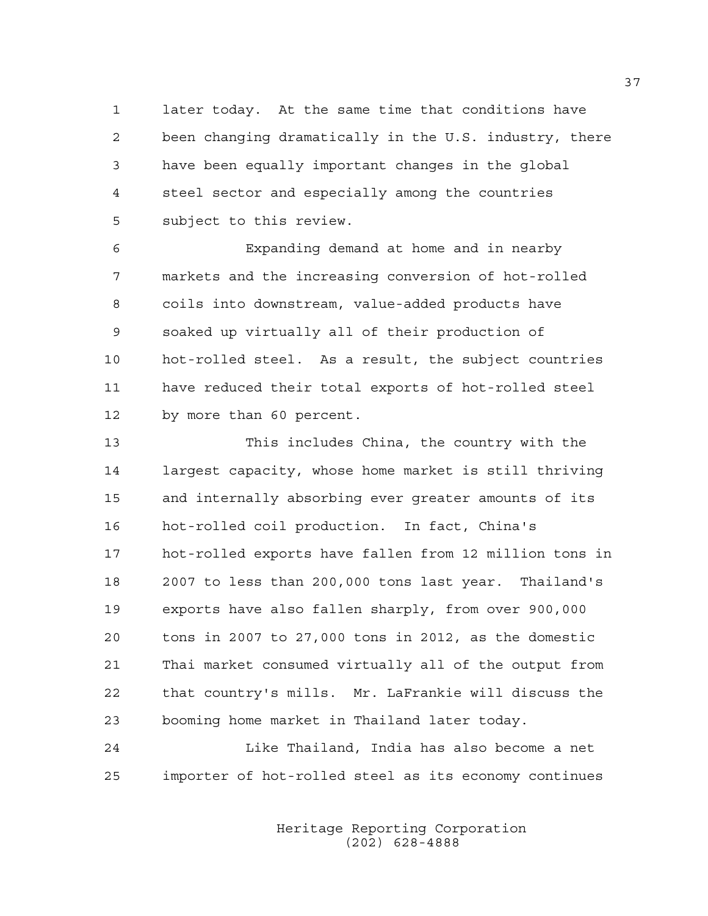1 later today. At the same time that conditions have 2 been changing dramatically in the U.S. industry, there 3 have been equally important changes in the global 4 steel sector and especially among the countries 5 subject to this review.

6 Expanding demand at home and in nearby 7 markets and the increasing conversion of hot-rolled 8 coils into downstream, value-added products have 9 soaked up virtually all of their production of 10 hot-rolled steel. As a result, the subject countries 11 have reduced their total exports of hot-rolled steel 12 by more than 60 percent.

13 This includes China, the country with the 14 largest capacity, whose home market is still thriving 15 and internally absorbing ever greater amounts of its 16 hot-rolled coil production. In fact, China's 17 hot-rolled exports have fallen from 12 million tons in 18 2007 to less than 200,000 tons last year. Thailand's 19 exports have also fallen sharply, from over 900,000 20 tons in 2007 to 27,000 tons in 2012, as the domestic 21 Thai market consumed virtually all of the output from 22 that country's mills. Mr. LaFrankie will discuss the 23 booming home market in Thailand later today.

24 Like Thailand, India has also become a net 25 importer of hot-rolled steel as its economy continues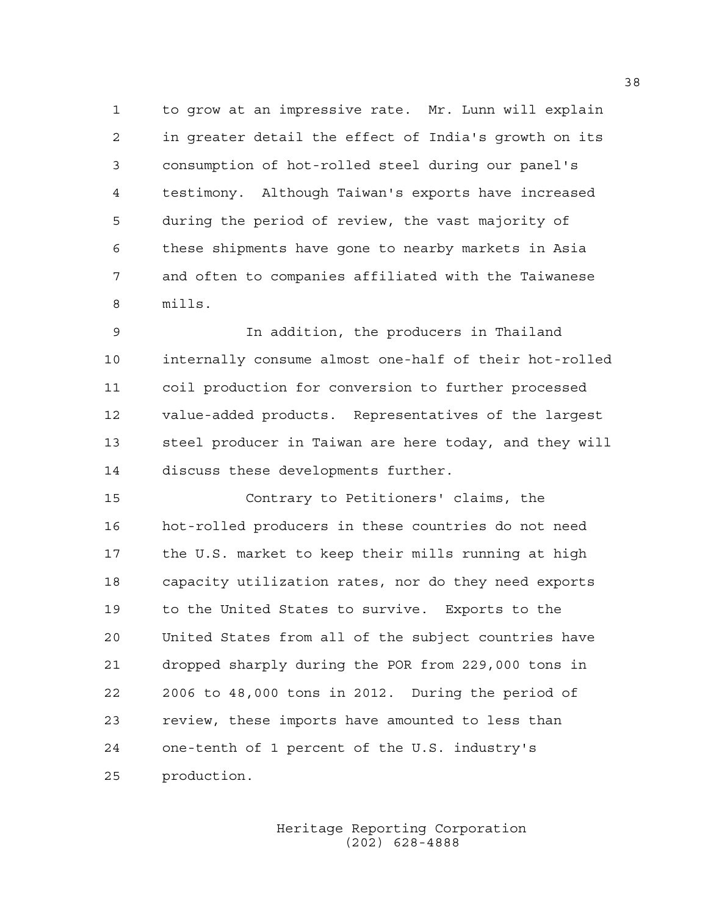1 to grow at an impressive rate. Mr. Lunn will explain 2 in greater detail the effect of India's growth on its 3 consumption of hot-rolled steel during our panel's 4 testimony. Although Taiwan's exports have increased 5 during the period of review, the vast majority of 6 these shipments have gone to nearby markets in Asia 7 and often to companies affiliated with the Taiwanese 8 mills.

9 In addition, the producers in Thailand 10 internally consume almost one-half of their hot-rolled 11 coil production for conversion to further processed 12 value-added products. Representatives of the largest 13 steel producer in Taiwan are here today, and they will 14 discuss these developments further.

15 Contrary to Petitioners' claims, the 16 hot-rolled producers in these countries do not need 17 the U.S. market to keep their mills running at high 18 capacity utilization rates, nor do they need exports 19 to the United States to survive. Exports to the 20 United States from all of the subject countries have 21 dropped sharply during the POR from 229,000 tons in 22 2006 to 48,000 tons in 2012. During the period of 23 review, these imports have amounted to less than 24 one-tenth of 1 percent of the U.S. industry's 25 production.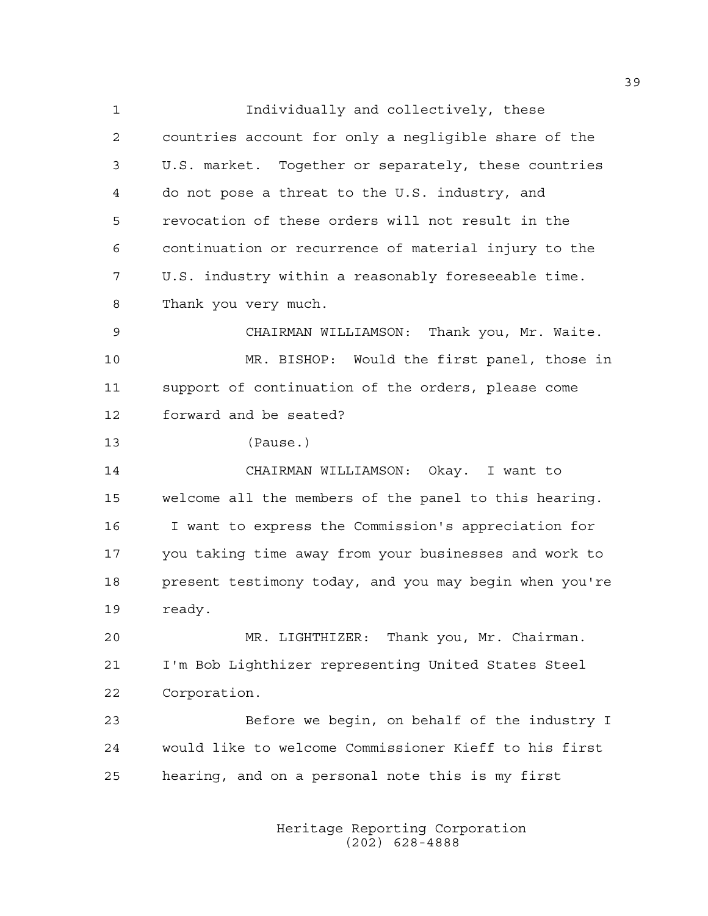1 Individually and collectively, these 2 countries account for only a negligible share of the 3 U.S. market. Together or separately, these countries 4 do not pose a threat to the U.S. industry, and 5 revocation of these orders will not result in the 6 continuation or recurrence of material injury to the 7 U.S. industry within a reasonably foreseeable time. 8 Thank you very much. 9 CHAIRMAN WILLIAMSON: Thank you, Mr. Waite. 10 MR. BISHOP: Would the first panel, those in 11 support of continuation of the orders, please come 12 forward and be seated? 13 (Pause.) 14 CHAIRMAN WILLIAMSON: Okay. I want to 15 welcome all the members of the panel to this hearing. 16 I want to express the Commission's appreciation for 17 you taking time away from your businesses and work to 18 present testimony today, and you may begin when you're 19 ready. 20 MR. LIGHTHIZER: Thank you, Mr. Chairman. 21 I'm Bob Lighthizer representing United States Steel 22 Corporation. 23 Before we begin, on behalf of the industry I 24 would like to welcome Commissioner Kieff to his first 25 hearing, and on a personal note this is my first

> Heritage Reporting Corporation (202) 628-4888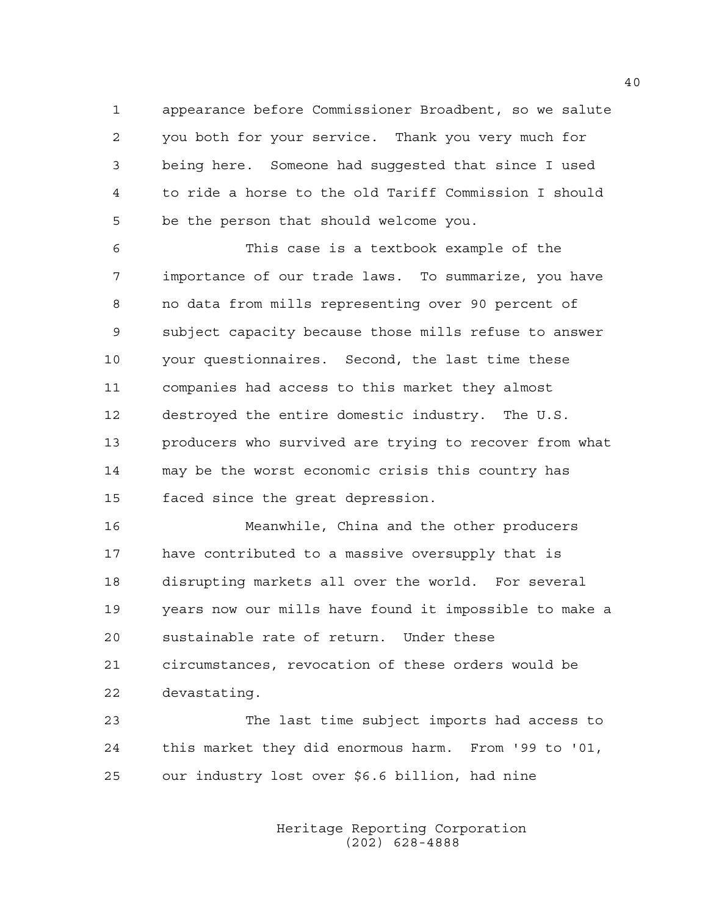1 appearance before Commissioner Broadbent, so we salute 2 you both for your service. Thank you very much for 3 being here. Someone had suggested that since I used 4 to ride a horse to the old Tariff Commission I should 5 be the person that should welcome you.

6 This case is a textbook example of the 7 importance of our trade laws. To summarize, you have 8 no data from mills representing over 90 percent of 9 subject capacity because those mills refuse to answer 10 your questionnaires. Second, the last time these 11 companies had access to this market they almost 12 destroyed the entire domestic industry. The U.S. 13 producers who survived are trying to recover from what 14 may be the worst economic crisis this country has 15 faced since the great depression.

16 Meanwhile, China and the other producers 17 have contributed to a massive oversupply that is 18 disrupting markets all over the world. For several 19 years now our mills have found it impossible to make a 20 sustainable rate of return. Under these 21 circumstances, revocation of these orders would be 22 devastating.

23 The last time subject imports had access to 24 this market they did enormous harm. From '99 to '01, 25 our industry lost over \$6.6 billion, had nine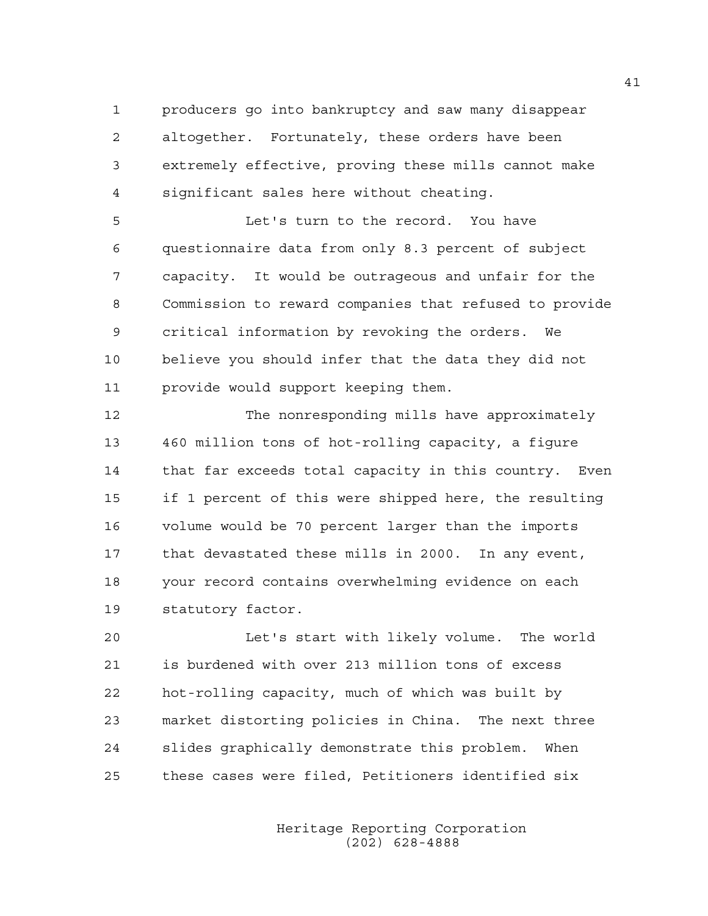1 producers go into bankruptcy and saw many disappear 2 altogether. Fortunately, these orders have been 3 extremely effective, proving these mills cannot make 4 significant sales here without cheating.

5 Let's turn to the record. You have 6 questionnaire data from only 8.3 percent of subject 7 capacity. It would be outrageous and unfair for the 8 Commission to reward companies that refused to provide 9 critical information by revoking the orders. We 10 believe you should infer that the data they did not 11 provide would support keeping them.

12 The nonresponding mills have approximately 13 460 million tons of hot-rolling capacity, a figure 14 that far exceeds total capacity in this country. Even 15 if 1 percent of this were shipped here, the resulting 16 volume would be 70 percent larger than the imports 17 that devastated these mills in 2000. In any event, 18 your record contains overwhelming evidence on each 19 statutory factor.

20 Let's start with likely volume. The world 21 is burdened with over 213 million tons of excess 22 hot-rolling capacity, much of which was built by 23 market distorting policies in China. The next three 24 slides graphically demonstrate this problem. When 25 these cases were filed, Petitioners identified six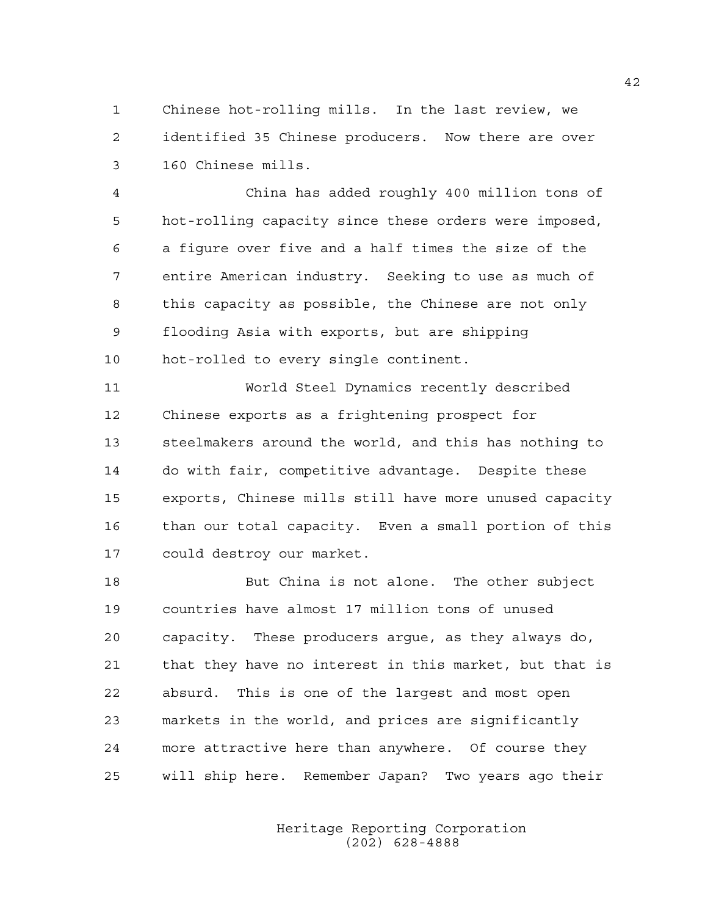1 Chinese hot-rolling mills. In the last review, we 2 identified 35 Chinese producers. Now there are over 3 160 Chinese mills.

4 China has added roughly 400 million tons of 5 hot-rolling capacity since these orders were imposed, 6 a figure over five and a half times the size of the 7 entire American industry. Seeking to use as much of 8 this capacity as possible, the Chinese are not only 9 flooding Asia with exports, but are shipping 10 hot-rolled to every single continent.

11 World Steel Dynamics recently described 12 Chinese exports as a frightening prospect for 13 steelmakers around the world, and this has nothing to 14 do with fair, competitive advantage. Despite these 15 exports, Chinese mills still have more unused capacity 16 than our total capacity. Even a small portion of this 17 could destroy our market.

18 But China is not alone. The other subject 19 countries have almost 17 million tons of unused 20 capacity. These producers argue, as they always do, 21 that they have no interest in this market, but that is 22 absurd. This is one of the largest and most open 23 markets in the world, and prices are significantly 24 more attractive here than anywhere. Of course they 25 will ship here. Remember Japan? Two years ago their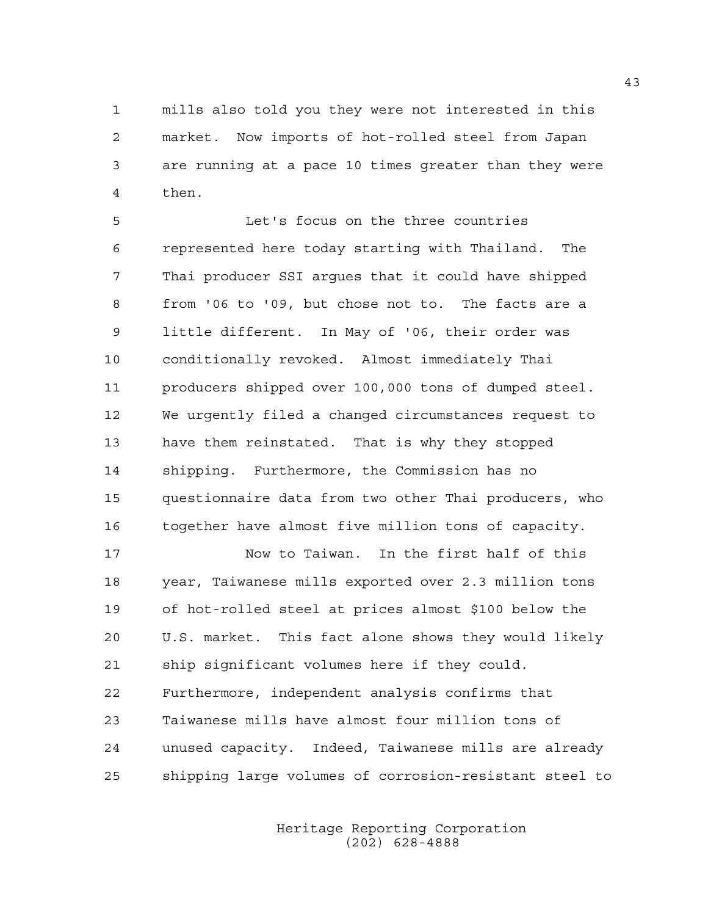1 mills also told you they were not interested in this 2 market. Now imports of hot-rolled steel from Japan 3 are running at a pace 10 times greater than they were 4 then.

5 Let's focus on the three countries 6 represented here today starting with Thailand. The 7 Thai producer SSI argues that it could have shipped 8 from '06 to '09, but chose not to. The facts are a 9 little different. In May of '06, their order was 10 conditionally revoked. Almost immediately Thai 11 producers shipped over 100,000 tons of dumped steel. 12 We urgently filed a changed circumstances request to 13 have them reinstated. That is why they stopped 14 shipping. Furthermore, the Commission has no 15 questionnaire data from two other Thai producers, who 16 together have almost five million tons of capacity.

17 Now to Taiwan. In the first half of this 18 year, Taiwanese mills exported over 2.3 million tons 19 of hot-rolled steel at prices almost \$100 below the 20 U.S. market. This fact alone shows they would likely 21 ship significant volumes here if they could. 22 Furthermore, independent analysis confirms that 23 Taiwanese mills have almost four million tons of 24 unused capacity. Indeed, Taiwanese mills are already 25 shipping large volumes of corrosion-resistant steel to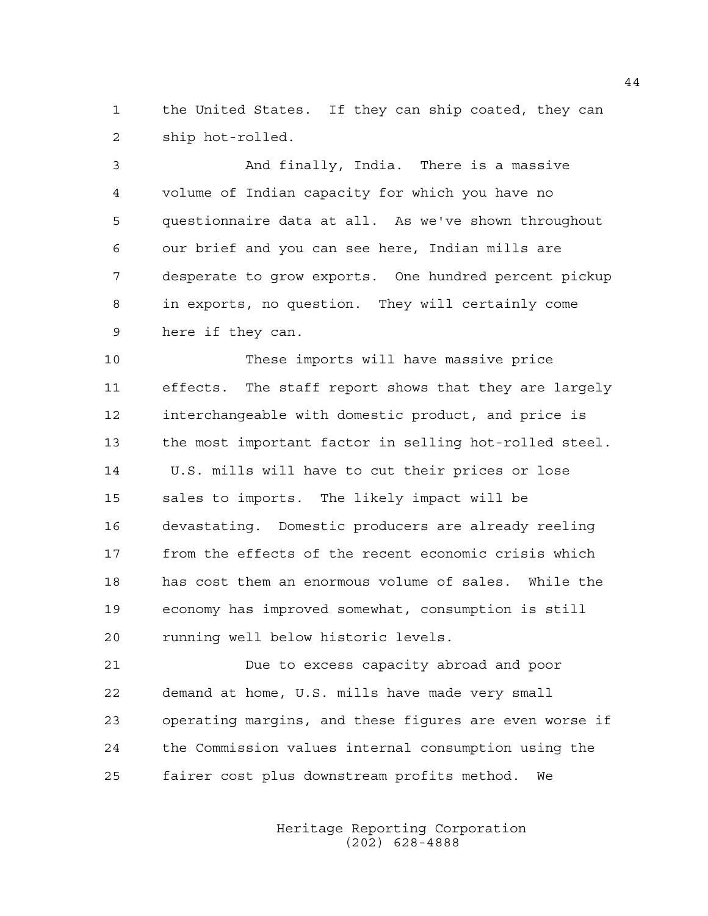1 the United States. If they can ship coated, they can 2 ship hot-rolled.

3 And finally, India. There is a massive 4 volume of Indian capacity for which you have no 5 questionnaire data at all. As we've shown throughout 6 our brief and you can see here, Indian mills are 7 desperate to grow exports. One hundred percent pickup 8 in exports, no question. They will certainly come 9 here if they can.

10 These imports will have massive price 11 effects. The staff report shows that they are largely 12 interchangeable with domestic product, and price is 13 the most important factor in selling hot-rolled steel. 14 U.S. mills will have to cut their prices or lose 15 sales to imports. The likely impact will be 16 devastating. Domestic producers are already reeling 17 from the effects of the recent economic crisis which 18 has cost them an enormous volume of sales. While the 19 economy has improved somewhat, consumption is still 20 running well below historic levels.

21 Due to excess capacity abroad and poor 22 demand at home, U.S. mills have made very small 23 operating margins, and these figures are even worse if 24 the Commission values internal consumption using the 25 fairer cost plus downstream profits method. We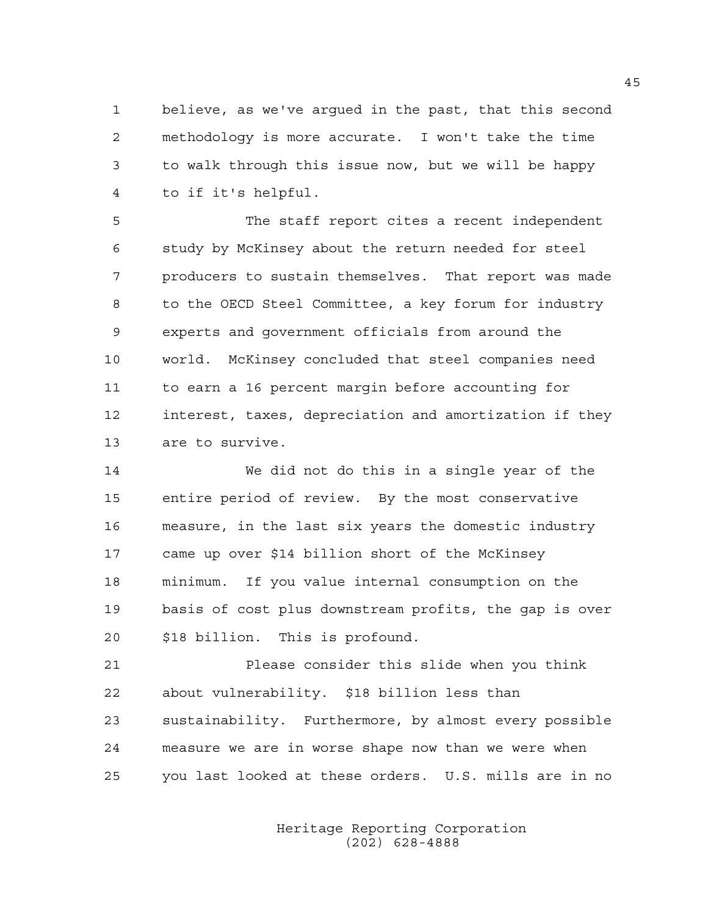1 believe, as we've argued in the past, that this second 2 methodology is more accurate. I won't take the time 3 to walk through this issue now, but we will be happy 4 to if it's helpful.

5 The staff report cites a recent independent 6 study by McKinsey about the return needed for steel 7 producers to sustain themselves. That report was made 8 to the OECD Steel Committee, a key forum for industry 9 experts and government officials from around the 10 world. McKinsey concluded that steel companies need 11 to earn a 16 percent margin before accounting for 12 interest, taxes, depreciation and amortization if they 13 are to survive.

14 We did not do this in a single year of the 15 entire period of review. By the most conservative 16 measure, in the last six years the domestic industry 17 came up over \$14 billion short of the McKinsey 18 minimum. If you value internal consumption on the 19 basis of cost plus downstream profits, the gap is over 20 \$18 billion. This is profound.

21 Please consider this slide when you think 22 about vulnerability. \$18 billion less than 23 sustainability. Furthermore, by almost every possible 24 measure we are in worse shape now than we were when 25 you last looked at these orders. U.S. mills are in no

> Heritage Reporting Corporation (202) 628-4888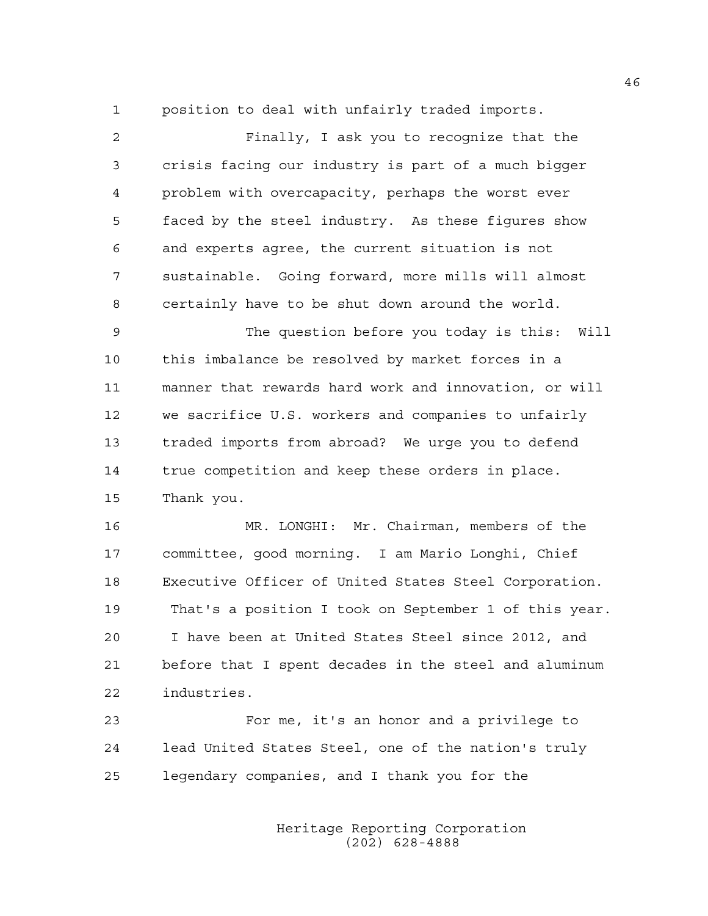1 position to deal with unfairly traded imports.

| $\overline{2}$ | Finally, I ask you to recognize that the              |
|----------------|-------------------------------------------------------|
| 3              | crisis facing our industry is part of a much bigger   |
| 4              | problem with overcapacity, perhaps the worst ever     |
| 5              | faced by the steel industry. As these figures show    |
| 6              | and experts agree, the current situation is not       |
| 7              | sustainable. Going forward, more mills will almost    |
| 8              | certainly have to be shut down around the world.      |
| 9              | The question before you today is this: Will           |
| 10             | this imbalance be resolved by market forces in a      |
| 11             | manner that rewards hard work and innovation, or will |
| 12             | we sacrifice U.S. workers and companies to unfairly   |
| 13             | traded imports from abroad? We urge you to defend     |
| 14             | true competition and keep these orders in place.      |
| 15             | Thank you.                                            |
| 16             | MR. LONGHI: Mr. Chairman, members of the              |
| 17             | committee, good morning. I am Mario Longhi, Chief     |
| 18             | Executive Officer of United States Steel Corporation. |

19 That's a position I took on September 1 of this year. 20 I have been at United States Steel since 2012, and 21 before that I spent decades in the steel and aluminum 22 industries.

23 For me, it's an honor and a privilege to 24 lead United States Steel, one of the nation's truly 25 legendary companies, and I thank you for the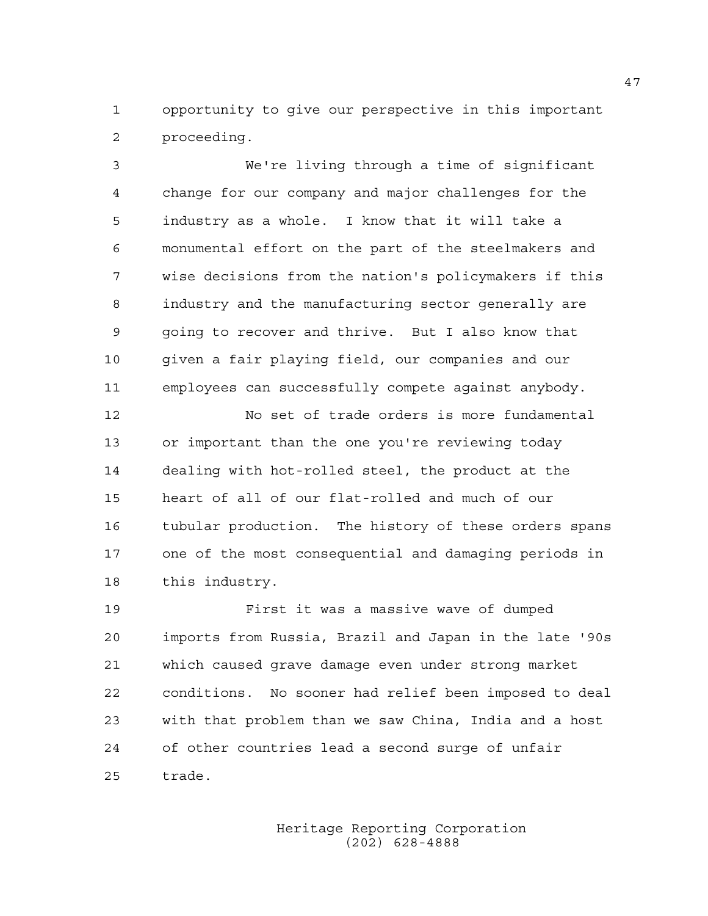1 opportunity to give our perspective in this important 2 proceeding.

3 We're living through a time of significant 4 change for our company and major challenges for the 5 industry as a whole. I know that it will take a 6 monumental effort on the part of the steelmakers and 7 wise decisions from the nation's policymakers if this 8 industry and the manufacturing sector generally are 9 going to recover and thrive. But I also know that 10 given a fair playing field, our companies and our 11 employees can successfully compete against anybody.

12 No set of trade orders is more fundamental 13 or important than the one you're reviewing today 14 dealing with hot-rolled steel, the product at the 15 heart of all of our flat-rolled and much of our 16 tubular production. The history of these orders spans 17 one of the most consequential and damaging periods in 18 this industry.

19 First it was a massive wave of dumped 20 imports from Russia, Brazil and Japan in the late '90s 21 which caused grave damage even under strong market 22 conditions. No sooner had relief been imposed to deal 23 with that problem than we saw China, India and a host 24 of other countries lead a second surge of unfair 25 trade.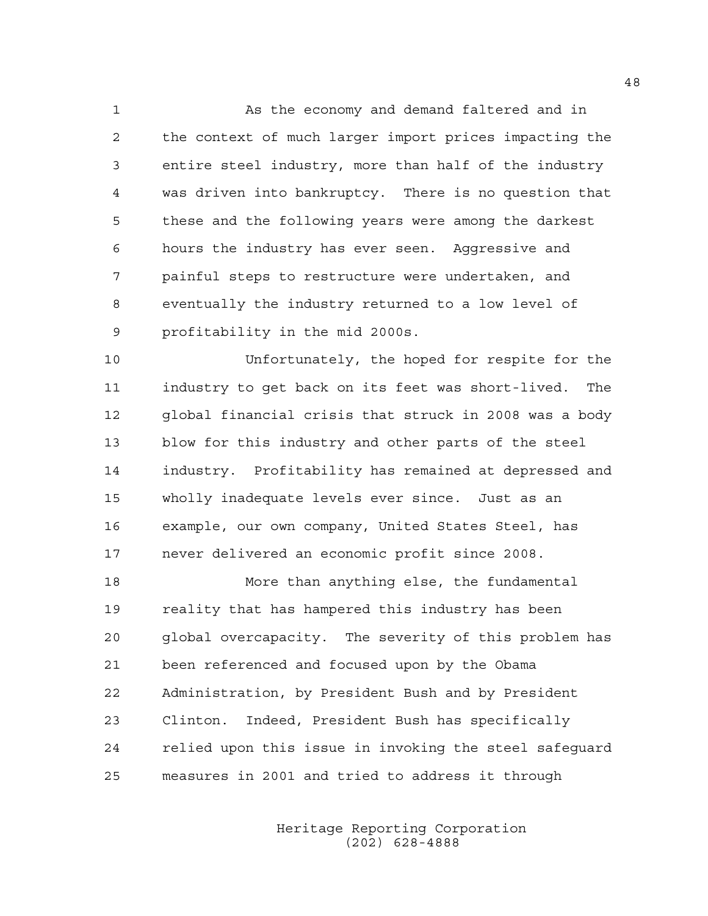1 As the economy and demand faltered and in 2 the context of much larger import prices impacting the 3 entire steel industry, more than half of the industry 4 was driven into bankruptcy. There is no question that 5 these and the following years were among the darkest 6 hours the industry has ever seen. Aggressive and 7 painful steps to restructure were undertaken, and 8 eventually the industry returned to a low level of 9 profitability in the mid 2000s.

10 Unfortunately, the hoped for respite for the 11 industry to get back on its feet was short-lived. The 12 global financial crisis that struck in 2008 was a body 13 blow for this industry and other parts of the steel 14 industry. Profitability has remained at depressed and 15 wholly inadequate levels ever since. Just as an 16 example, our own company, United States Steel, has 17 never delivered an economic profit since 2008.

18 More than anything else, the fundamental 19 reality that has hampered this industry has been 20 global overcapacity. The severity of this problem has 21 been referenced and focused upon by the Obama 22 Administration, by President Bush and by President 23 Clinton. Indeed, President Bush has specifically 24 relied upon this issue in invoking the steel safeguard 25 measures in 2001 and tried to address it through

> Heritage Reporting Corporation (202) 628-4888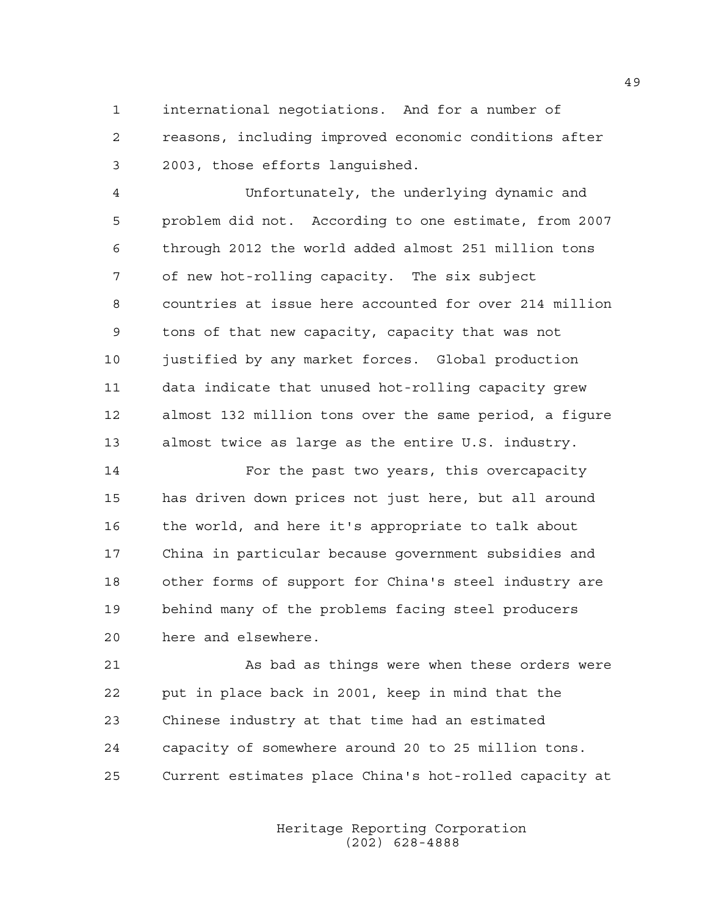1 international negotiations. And for a number of 2 reasons, including improved economic conditions after 3 2003, those efforts languished.

4 Unfortunately, the underlying dynamic and 5 problem did not. According to one estimate, from 2007 6 through 2012 the world added almost 251 million tons 7 of new hot-rolling capacity. The six subject 8 countries at issue here accounted for over 214 million 9 tons of that new capacity, capacity that was not 10 justified by any market forces. Global production 11 data indicate that unused hot-rolling capacity grew 12 almost 132 million tons over the same period, a figure 13 almost twice as large as the entire U.S. industry.

14 For the past two years, this overcapacity 15 has driven down prices not just here, but all around 16 the world, and here it's appropriate to talk about 17 China in particular because government subsidies and 18 other forms of support for China's steel industry are 19 behind many of the problems facing steel producers 20 here and elsewhere.

21 As bad as things were when these orders were 22 put in place back in 2001, keep in mind that the 23 Chinese industry at that time had an estimated 24 capacity of somewhere around 20 to 25 million tons. 25 Current estimates place China's hot-rolled capacity at

> Heritage Reporting Corporation (202) 628-4888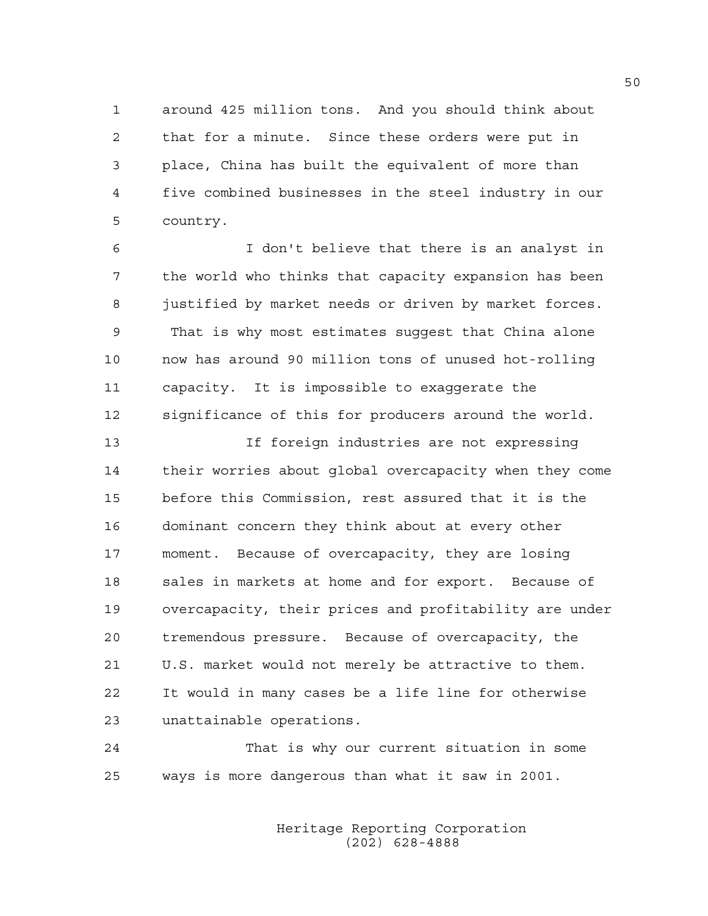1 around 425 million tons. And you should think about 2 that for a minute. Since these orders were put in 3 place, China has built the equivalent of more than 4 five combined businesses in the steel industry in our 5 country.

6 I don't believe that there is an analyst in 7 the world who thinks that capacity expansion has been 8 justified by market needs or driven by market forces. 9 That is why most estimates suggest that China alone 10 now has around 90 million tons of unused hot-rolling 11 capacity. It is impossible to exaggerate the 12 significance of this for producers around the world.

13 If foreign industries are not expressing 14 their worries about global overcapacity when they come 15 before this Commission, rest assured that it is the 16 dominant concern they think about at every other 17 moment. Because of overcapacity, they are losing 18 sales in markets at home and for export. Because of 19 overcapacity, their prices and profitability are under 20 tremendous pressure. Because of overcapacity, the 21 U.S. market would not merely be attractive to them. 22 It would in many cases be a life line for otherwise 23 unattainable operations.

24 That is why our current situation in some 25 ways is more dangerous than what it saw in 2001.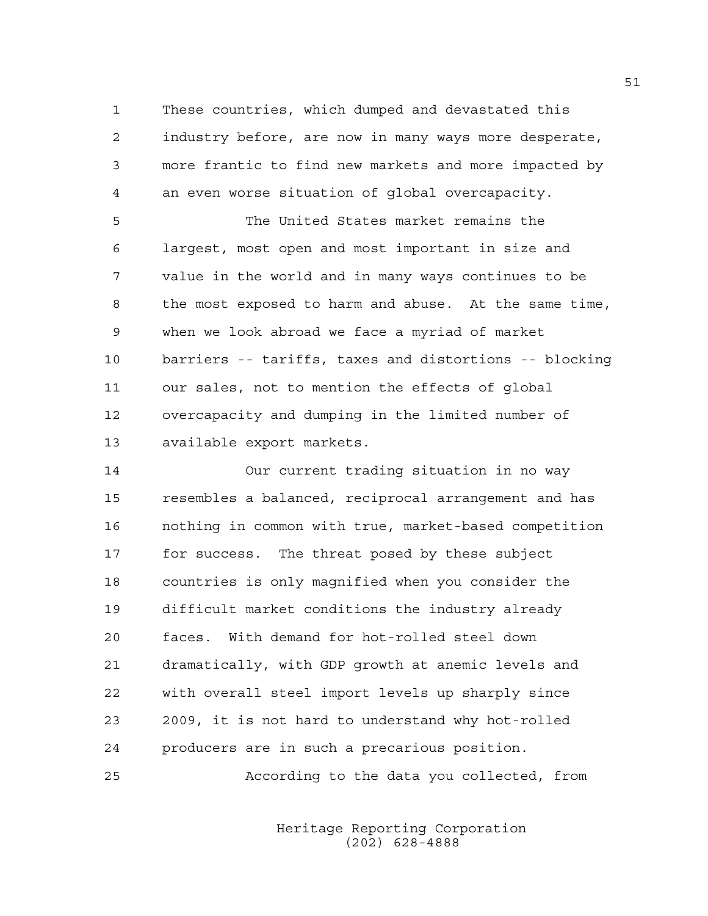1 These countries, which dumped and devastated this 2 industry before, are now in many ways more desperate, 3 more frantic to find new markets and more impacted by 4 an even worse situation of global overcapacity.

5 The United States market remains the 6 largest, most open and most important in size and 7 value in the world and in many ways continues to be 8 the most exposed to harm and abuse. At the same time, 9 when we look abroad we face a myriad of market 10 barriers -- tariffs, taxes and distortions -- blocking 11 our sales, not to mention the effects of global 12 overcapacity and dumping in the limited number of 13 available export markets.

14 Our current trading situation in no way 15 resembles a balanced, reciprocal arrangement and has 16 nothing in common with true, market-based competition 17 for success. The threat posed by these subject 18 countries is only magnified when you consider the 19 difficult market conditions the industry already 20 faces. With demand for hot-rolled steel down 21 dramatically, with GDP growth at anemic levels and 22 with overall steel import levels up sharply since 23 2009, it is not hard to understand why hot-rolled 24 producers are in such a precarious position.

25 According to the data you collected, from

 Heritage Reporting Corporation (202) 628-4888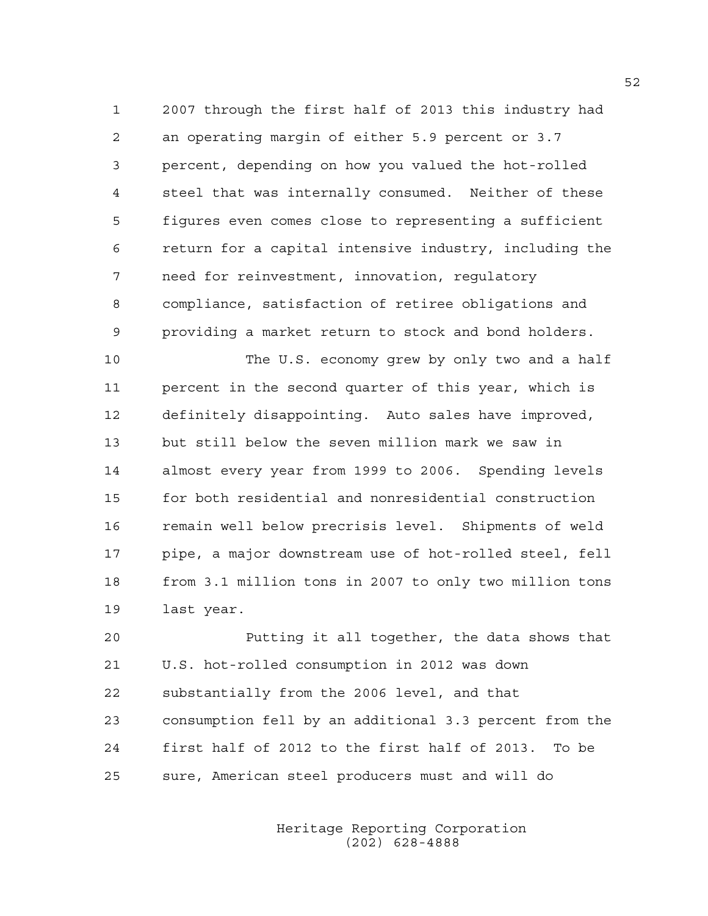1 2007 through the first half of 2013 this industry had 2 an operating margin of either 5.9 percent or 3.7 3 percent, depending on how you valued the hot-rolled 4 steel that was internally consumed. Neither of these 5 figures even comes close to representing a sufficient 6 return for a capital intensive industry, including the 7 need for reinvestment, innovation, regulatory 8 compliance, satisfaction of retiree obligations and 9 providing a market return to stock and bond holders.

10 The U.S. economy grew by only two and a half 11 percent in the second quarter of this year, which is 12 definitely disappointing. Auto sales have improved, 13 but still below the seven million mark we saw in 14 almost every year from 1999 to 2006. Spending levels 15 for both residential and nonresidential construction 16 remain well below precrisis level. Shipments of weld 17 pipe, a major downstream use of hot-rolled steel, fell 18 from 3.1 million tons in 2007 to only two million tons 19 last year.

20 Putting it all together, the data shows that 21 U.S. hot-rolled consumption in 2012 was down 22 substantially from the 2006 level, and that 23 consumption fell by an additional 3.3 percent from the 24 first half of 2012 to the first half of 2013. To be 25 sure, American steel producers must and will do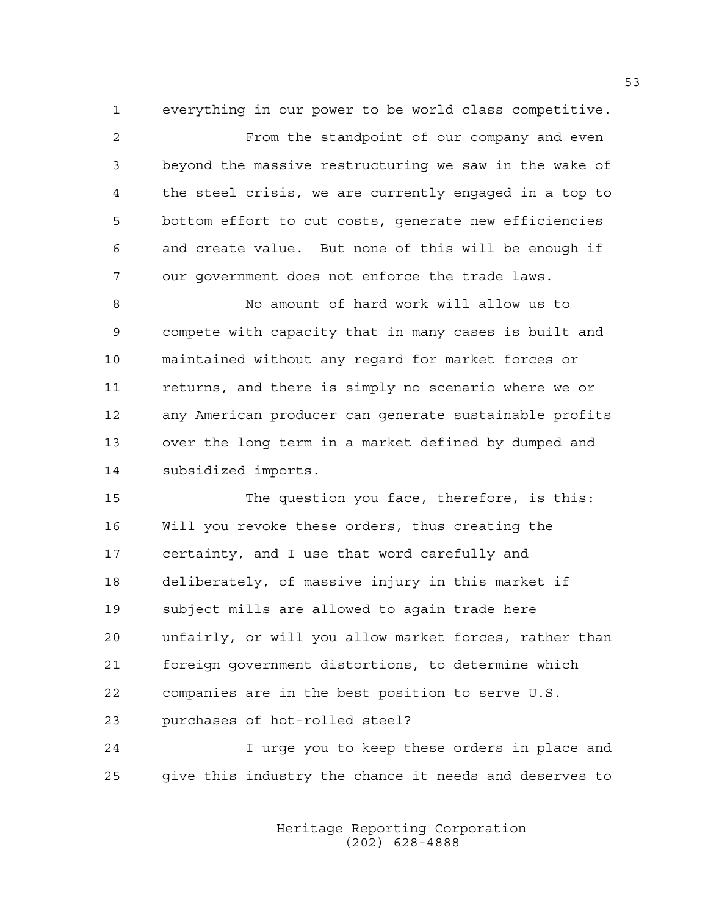1 everything in our power to be world class competitive.

2 From the standpoint of our company and even 3 beyond the massive restructuring we saw in the wake of 4 the steel crisis, we are currently engaged in a top to 5 bottom effort to cut costs, generate new efficiencies 6 and create value. But none of this will be enough if 7 our government does not enforce the trade laws.

8 No amount of hard work will allow us to 9 compete with capacity that in many cases is built and 10 maintained without any regard for market forces or 11 returns, and there is simply no scenario where we or 12 any American producer can generate sustainable profits 13 over the long term in a market defined by dumped and 14 subsidized imports.

15 The question you face, therefore, is this: 16 Will you revoke these orders, thus creating the 17 certainty, and I use that word carefully and 18 deliberately, of massive injury in this market if 19 subject mills are allowed to again trade here 20 unfairly, or will you allow market forces, rather than 21 foreign government distortions, to determine which 22 companies are in the best position to serve U.S. 23 purchases of hot-rolled steel?

24 I urge you to keep these orders in place and 25 give this industry the chance it needs and deserves to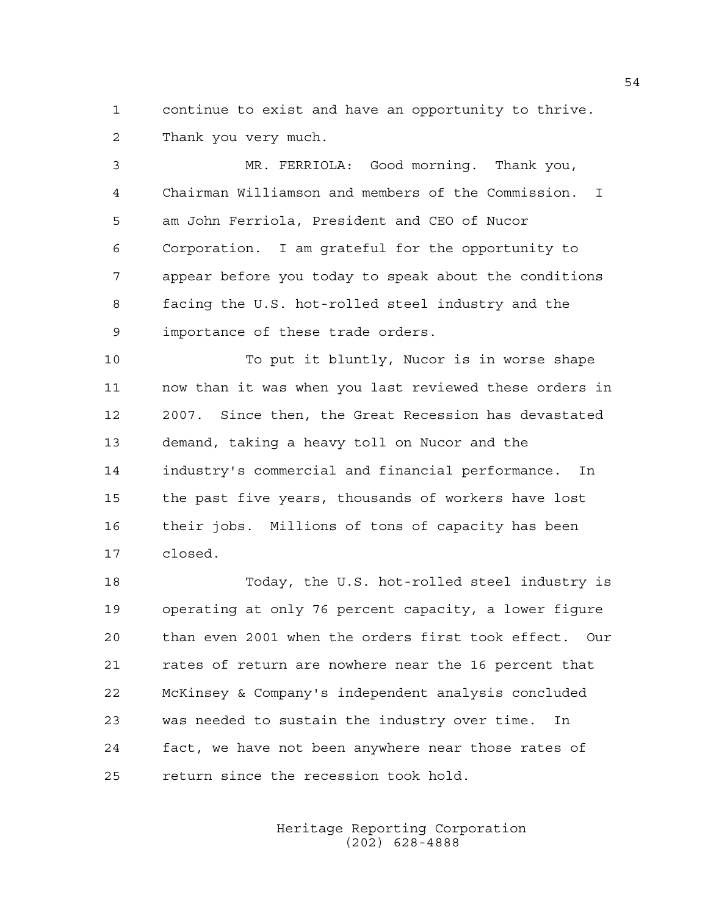1 continue to exist and have an opportunity to thrive. 2 Thank you very much.

3 MR. FERRIOLA: Good morning. Thank you, 4 Chairman Williamson and members of the Commission. I 5 am John Ferriola, President and CEO of Nucor 6 Corporation. I am grateful for the opportunity to 7 appear before you today to speak about the conditions 8 facing the U.S. hot-rolled steel industry and the 9 importance of these trade orders.

10 To put it bluntly, Nucor is in worse shape 11 now than it was when you last reviewed these orders in 12 2007. Since then, the Great Recession has devastated 13 demand, taking a heavy toll on Nucor and the 14 industry's commercial and financial performance. In 15 the past five years, thousands of workers have lost 16 their jobs. Millions of tons of capacity has been 17 closed.

18 Today, the U.S. hot-rolled steel industry is 19 operating at only 76 percent capacity, a lower figure 20 than even 2001 when the orders first took effect. Our 21 rates of return are nowhere near the 16 percent that 22 McKinsey & Company's independent analysis concluded 23 was needed to sustain the industry over time. In 24 fact, we have not been anywhere near those rates of 25 return since the recession took hold.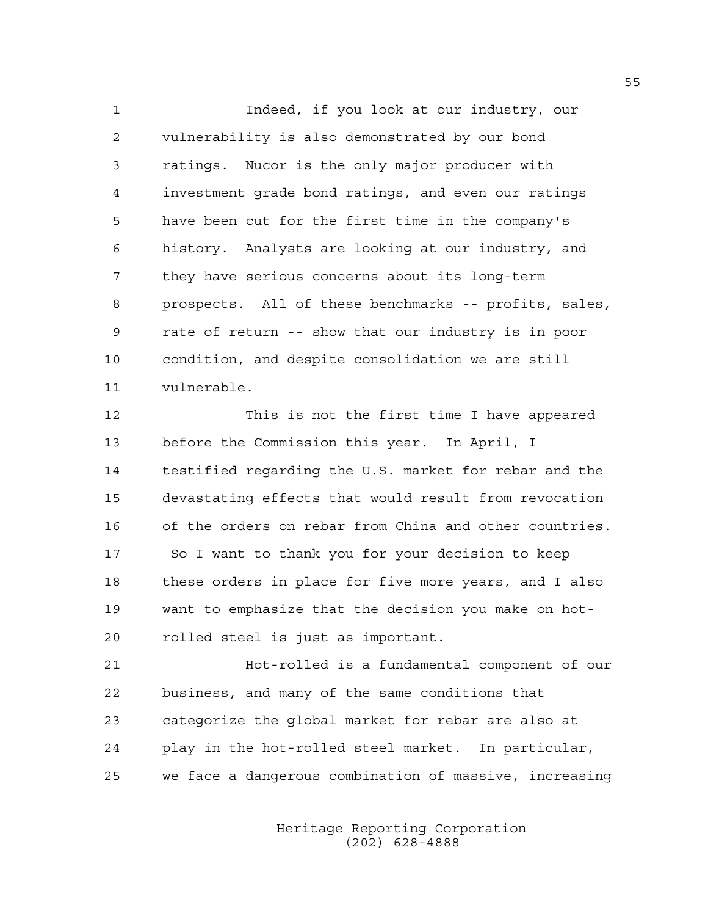1 Indeed, if you look at our industry, our 2 vulnerability is also demonstrated by our bond 3 ratings. Nucor is the only major producer with 4 investment grade bond ratings, and even our ratings 5 have been cut for the first time in the company's 6 history. Analysts are looking at our industry, and 7 they have serious concerns about its long-term 8 prospects. All of these benchmarks -- profits, sales, 9 rate of return -- show that our industry is in poor 10 condition, and despite consolidation we are still 11 vulnerable.

12 This is not the first time I have appeared 13 before the Commission this year. In April, I 14 testified regarding the U.S. market for rebar and the 15 devastating effects that would result from revocation 16 of the orders on rebar from China and other countries. 17 So I want to thank you for your decision to keep 18 these orders in place for five more years, and I also 19 want to emphasize that the decision you make on hot-20 rolled steel is just as important.

21 Hot-rolled is a fundamental component of our 22 business, and many of the same conditions that 23 categorize the global market for rebar are also at 24 play in the hot-rolled steel market. In particular, 25 we face a dangerous combination of massive, increasing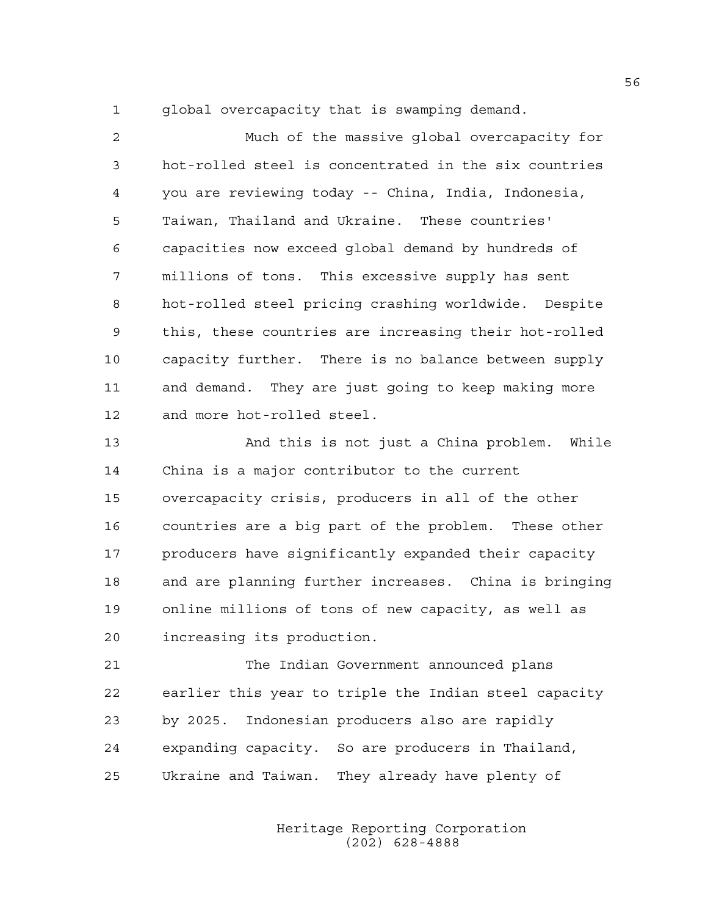1 global overcapacity that is swamping demand.

2 Much of the massive global overcapacity for 3 hot-rolled steel is concentrated in the six countries 4 you are reviewing today -- China, India, Indonesia, 5 Taiwan, Thailand and Ukraine. These countries' 6 capacities now exceed global demand by hundreds of 7 millions of tons. This excessive supply has sent 8 hot-rolled steel pricing crashing worldwide. Despite 9 this, these countries are increasing their hot-rolled 10 capacity further. There is no balance between supply 11 and demand. They are just going to keep making more 12 and more hot-rolled steel.

13 And this is not just a China problem. While 14 China is a major contributor to the current 15 overcapacity crisis, producers in all of the other 16 countries are a big part of the problem. These other 17 producers have significantly expanded their capacity 18 and are planning further increases. China is bringing 19 online millions of tons of new capacity, as well as 20 increasing its production.

21 The Indian Government announced plans 22 earlier this year to triple the Indian steel capacity 23 by 2025. Indonesian producers also are rapidly 24 expanding capacity. So are producers in Thailand, 25 Ukraine and Taiwan. They already have plenty of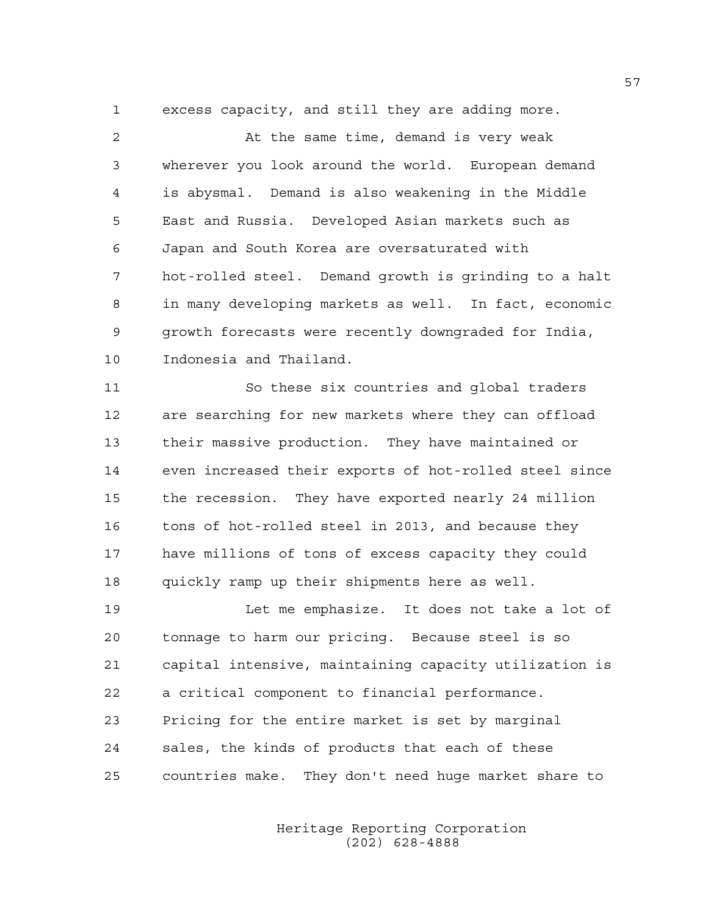1 excess capacity, and still they are adding more.

2 At the same time, demand is very weak 3 wherever you look around the world. European demand 4 is abysmal. Demand is also weakening in the Middle 5 East and Russia. Developed Asian markets such as 6 Japan and South Korea are oversaturated with 7 hot-rolled steel. Demand growth is grinding to a halt 8 in many developing markets as well. In fact, economic 9 growth forecasts were recently downgraded for India, 10 Indonesia and Thailand.

11 So these six countries and global traders 12 are searching for new markets where they can offload 13 their massive production. They have maintained or 14 even increased their exports of hot-rolled steel since 15 the recession. They have exported nearly 24 million 16 tons of hot-rolled steel in 2013, and because they 17 have millions of tons of excess capacity they could 18 quickly ramp up their shipments here as well.

19 Let me emphasize. It does not take a lot of 20 tonnage to harm our pricing. Because steel is so 21 capital intensive, maintaining capacity utilization is 22 a critical component to financial performance. 23 Pricing for the entire market is set by marginal 24 sales, the kinds of products that each of these 25 countries make. They don't need huge market share to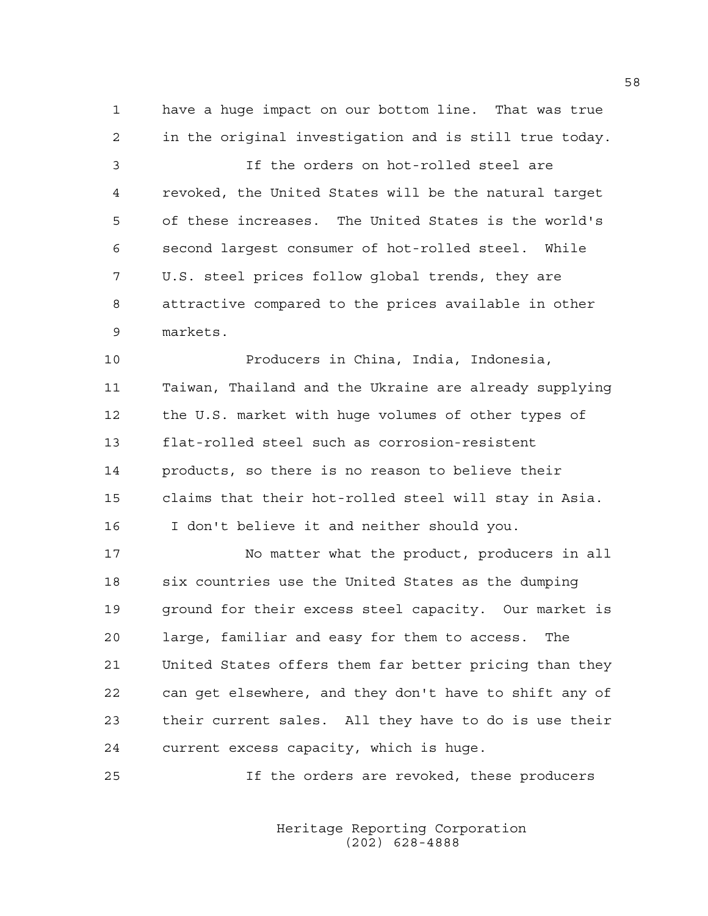1 have a huge impact on our bottom line. That was true 2 in the original investigation and is still true today.

3 If the orders on hot-rolled steel are 4 revoked, the United States will be the natural target 5 of these increases. The United States is the world's 6 second largest consumer of hot-rolled steel. While 7 U.S. steel prices follow global trends, they are 8 attractive compared to the prices available in other 9 markets.

10 Producers in China, India, Indonesia, 11 Taiwan, Thailand and the Ukraine are already supplying 12 the U.S. market with huge volumes of other types of 13 flat-rolled steel such as corrosion-resistent 14 products, so there is no reason to believe their 15 claims that their hot-rolled steel will stay in Asia. 16 I don't believe it and neither should you.

17 No matter what the product, producers in all 18 six countries use the United States as the dumping 19 ground for their excess steel capacity. Our market is 20 large, familiar and easy for them to access. The 21 United States offers them far better pricing than they 22 can get elsewhere, and they don't have to shift any of 23 their current sales. All they have to do is use their 24 current excess capacity, which is huge.

25 If the orders are revoked, these producers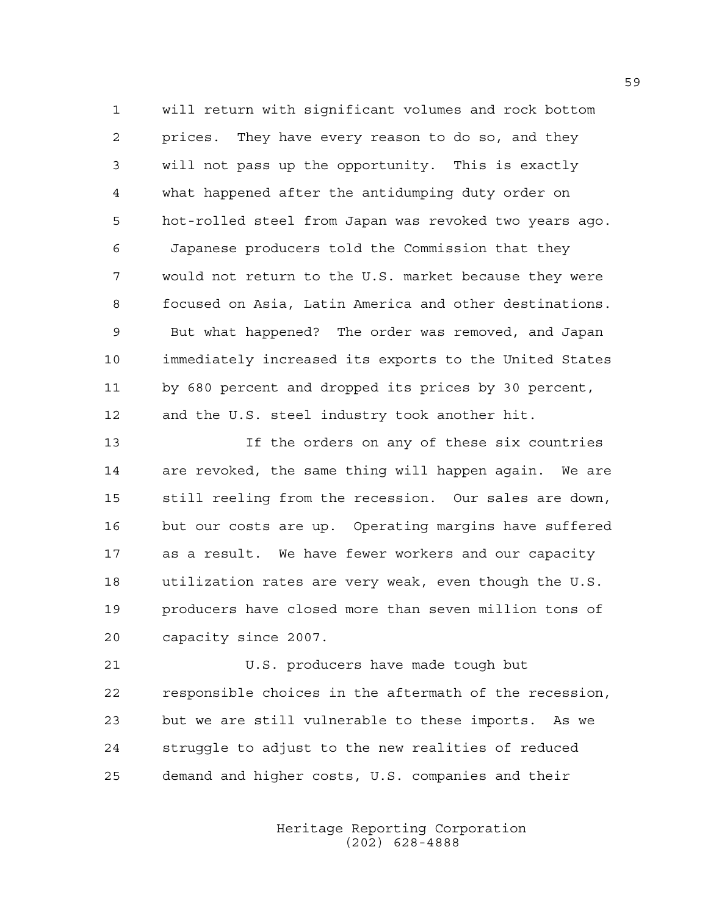1 will return with significant volumes and rock bottom 2 prices. They have every reason to do so, and they 3 will not pass up the opportunity. This is exactly 4 what happened after the antidumping duty order on 5 hot-rolled steel from Japan was revoked two years ago. 6 Japanese producers told the Commission that they 7 would not return to the U.S. market because they were 8 focused on Asia, Latin America and other destinations. 9 But what happened? The order was removed, and Japan 10 immediately increased its exports to the United States 11 by 680 percent and dropped its prices by 30 percent, 12 and the U.S. steel industry took another hit.

13 If the orders on any of these six countries 14 are revoked, the same thing will happen again. We are 15 still reeling from the recession. Our sales are down, 16 but our costs are up. Operating margins have suffered 17 as a result. We have fewer workers and our capacity 18 utilization rates are very weak, even though the U.S. 19 producers have closed more than seven million tons of 20 capacity since 2007.

21 U.S. producers have made tough but 22 responsible choices in the aftermath of the recession, 23 but we are still vulnerable to these imports. As we 24 struggle to adjust to the new realities of reduced 25 demand and higher costs, U.S. companies and their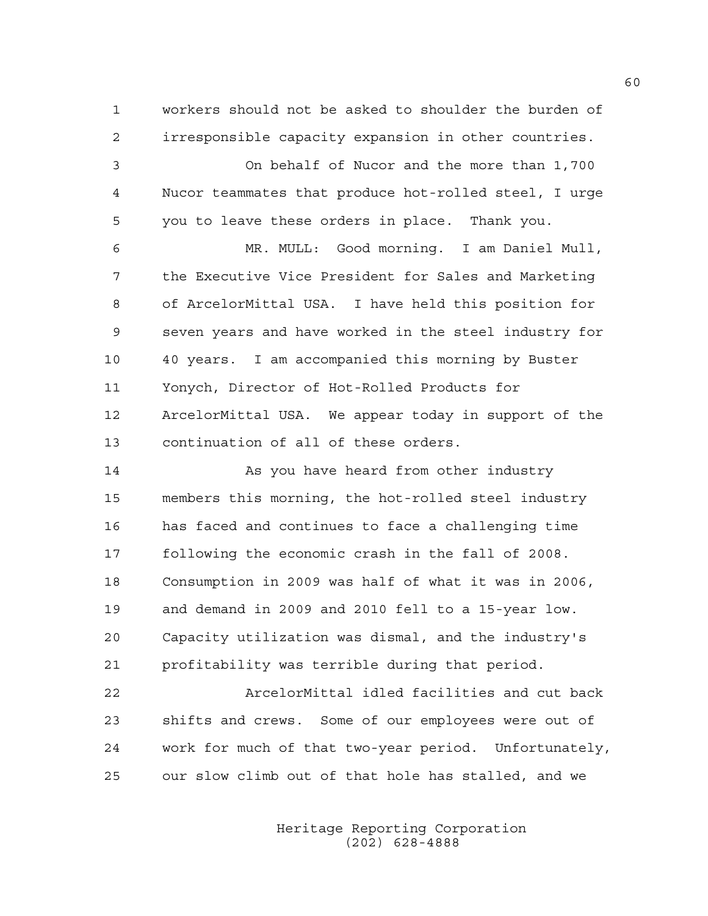1 workers should not be asked to shoulder the burden of 2 irresponsible capacity expansion in other countries.

3 On behalf of Nucor and the more than 1,700 4 Nucor teammates that produce hot-rolled steel, I urge 5 you to leave these orders in place. Thank you.

6 MR. MULL: Good morning. I am Daniel Mull, 7 the Executive Vice President for Sales and Marketing 8 of ArcelorMittal USA. I have held this position for 9 seven years and have worked in the steel industry for 10 40 years. I am accompanied this morning by Buster 11 Yonych, Director of Hot-Rolled Products for 12 ArcelorMittal USA. We appear today in support of the 13 continuation of all of these orders.

14 As you have heard from other industry 15 members this morning, the hot-rolled steel industry 16 has faced and continues to face a challenging time 17 following the economic crash in the fall of 2008. 18 Consumption in 2009 was half of what it was in 2006, 19 and demand in 2009 and 2010 fell to a 15-year low. 20 Capacity utilization was dismal, and the industry's 21 profitability was terrible during that period.

22 ArcelorMittal idled facilities and cut back 23 shifts and crews. Some of our employees were out of 24 work for much of that two-year period. Unfortunately, 25 our slow climb out of that hole has stalled, and we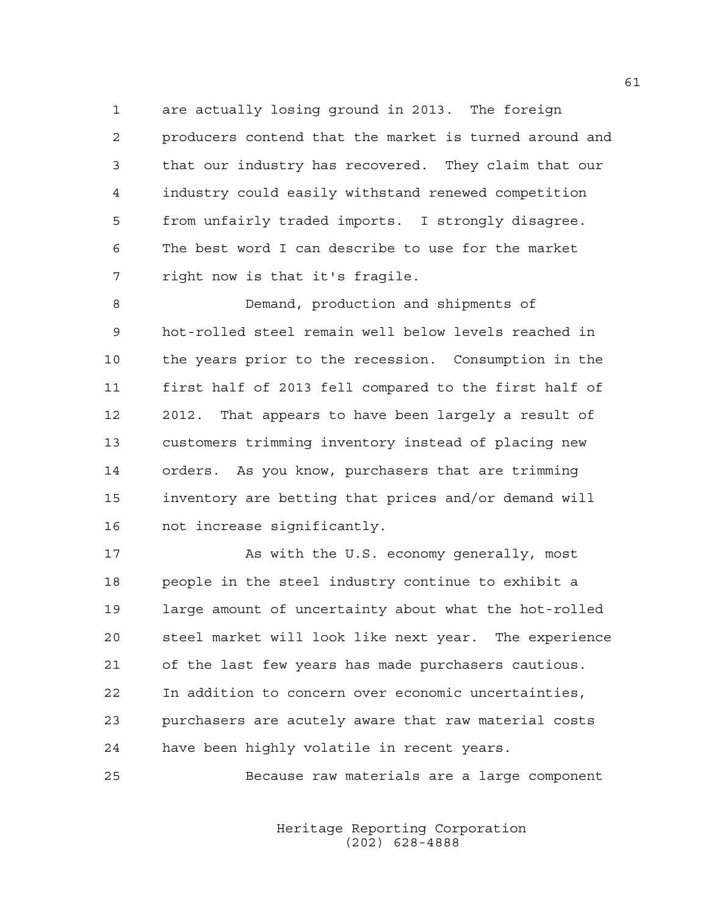1 are actually losing ground in 2013. The foreign 2 producers contend that the market is turned around and 3 that our industry has recovered. They claim that our 4 industry could easily withstand renewed competition 5 from unfairly traded imports. I strongly disagree. 6 The best word I can describe to use for the market 7 right now is that it's fragile.

8 Demand, production and shipments of 9 hot-rolled steel remain well below levels reached in 10 the years prior to the recession. Consumption in the 11 first half of 2013 fell compared to the first half of 12 2012. That appears to have been largely a result of 13 customers trimming inventory instead of placing new 14 orders. As you know, purchasers that are trimming 15 inventory are betting that prices and/or demand will 16 not increase significantly.

17 As with the U.S. economy generally, most 18 people in the steel industry continue to exhibit a 19 large amount of uncertainty about what the hot-rolled 20 steel market will look like next year. The experience 21 of the last few years has made purchasers cautious. 22 In addition to concern over economic uncertainties, 23 purchasers are acutely aware that raw material costs 24 have been highly volatile in recent years.

25 Because raw materials are a large component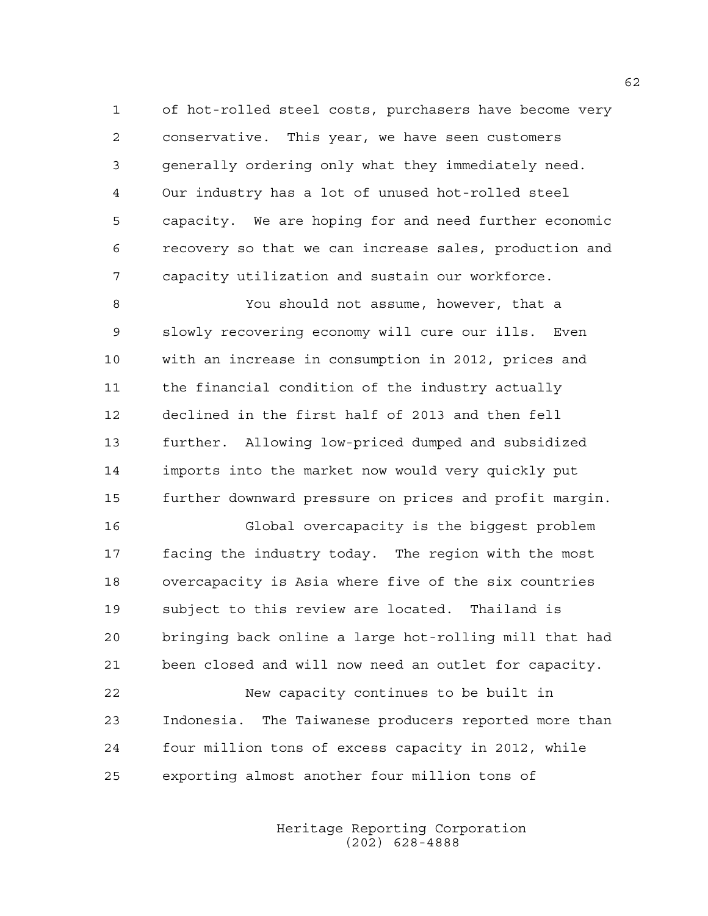1 of hot-rolled steel costs, purchasers have become very 2 conservative. This year, we have seen customers 3 generally ordering only what they immediately need. 4 Our industry has a lot of unused hot-rolled steel 5 capacity. We are hoping for and need further economic 6 recovery so that we can increase sales, production and 7 capacity utilization and sustain our workforce.

8 You should not assume, however, that a 9 slowly recovering economy will cure our ills. Even 10 with an increase in consumption in 2012, prices and 11 the financial condition of the industry actually 12 declined in the first half of 2013 and then fell 13 further. Allowing low-priced dumped and subsidized 14 imports into the market now would very quickly put 15 further downward pressure on prices and profit margin.

16 Global overcapacity is the biggest problem 17 facing the industry today. The region with the most 18 overcapacity is Asia where five of the six countries 19 subject to this review are located. Thailand is 20 bringing back online a large hot-rolling mill that had 21 been closed and will now need an outlet for capacity.

22 New capacity continues to be built in 23 Indonesia. The Taiwanese producers reported more than 24 four million tons of excess capacity in 2012, while 25 exporting almost another four million tons of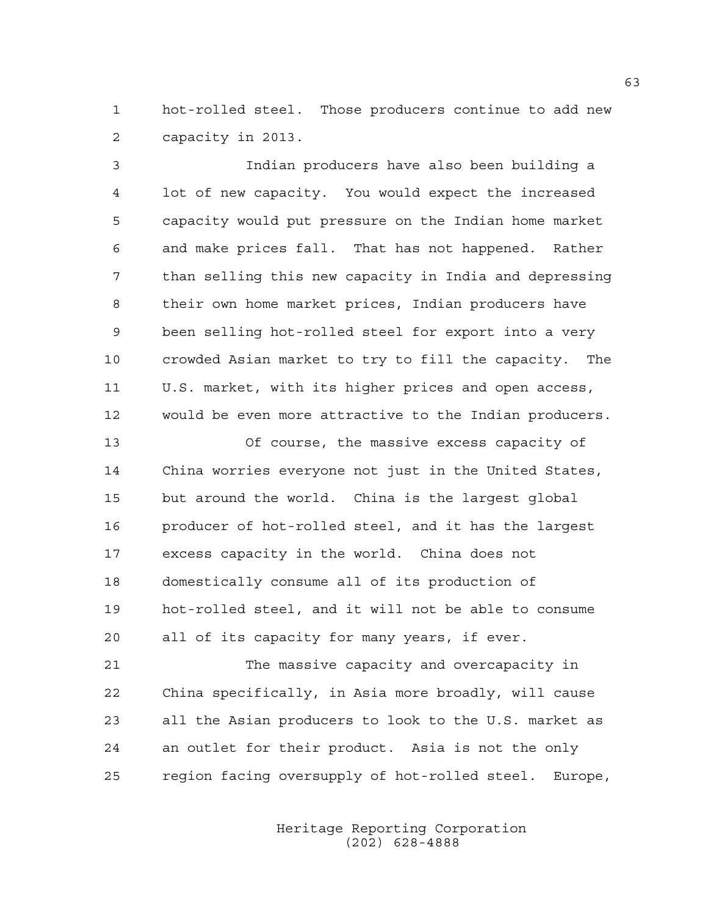1 hot-rolled steel. Those producers continue to add new 2 capacity in 2013.

3 Indian producers have also been building a 4 lot of new capacity. You would expect the increased 5 capacity would put pressure on the Indian home market 6 and make prices fall. That has not happened. Rather 7 than selling this new capacity in India and depressing 8 their own home market prices, Indian producers have 9 been selling hot-rolled steel for export into a very 10 crowded Asian market to try to fill the capacity. The 11 U.S. market, with its higher prices and open access, 12 would be even more attractive to the Indian producers.

13 Of course, the massive excess capacity of 14 China worries everyone not just in the United States, 15 but around the world. China is the largest global 16 producer of hot-rolled steel, and it has the largest 17 excess capacity in the world. China does not 18 domestically consume all of its production of 19 hot-rolled steel, and it will not be able to consume 20 all of its capacity for many years, if ever.

21 The massive capacity and overcapacity in 22 China specifically, in Asia more broadly, will cause 23 all the Asian producers to look to the U.S. market as 24 an outlet for their product. Asia is not the only 25 region facing oversupply of hot-rolled steel. Europe,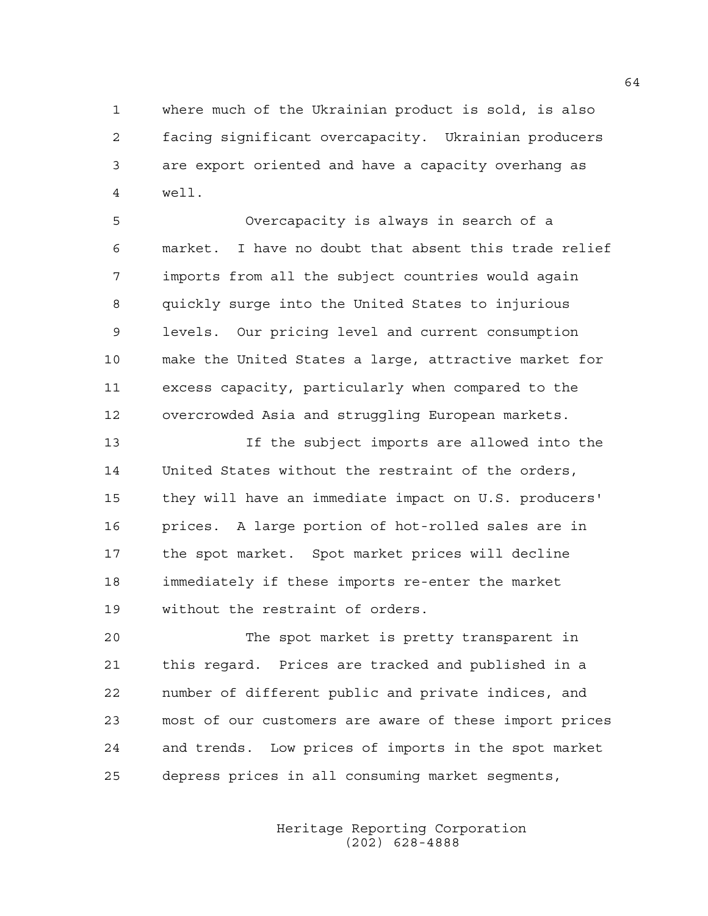1 where much of the Ukrainian product is sold, is also 2 facing significant overcapacity. Ukrainian producers 3 are export oriented and have a capacity overhang as 4 well.

5 Overcapacity is always in search of a 6 market. I have no doubt that absent this trade relief 7 imports from all the subject countries would again 8 quickly surge into the United States to injurious 9 levels. Our pricing level and current consumption 10 make the United States a large, attractive market for 11 excess capacity, particularly when compared to the 12 overcrowded Asia and struggling European markets.

13 If the subject imports are allowed into the 14 United States without the restraint of the orders, 15 they will have an immediate impact on U.S. producers' 16 prices. A large portion of hot-rolled sales are in 17 the spot market. Spot market prices will decline 18 immediately if these imports re-enter the market 19 without the restraint of orders.

20 The spot market is pretty transparent in 21 this regard. Prices are tracked and published in a 22 number of different public and private indices, and 23 most of our customers are aware of these import prices 24 and trends. Low prices of imports in the spot market 25 depress prices in all consuming market segments,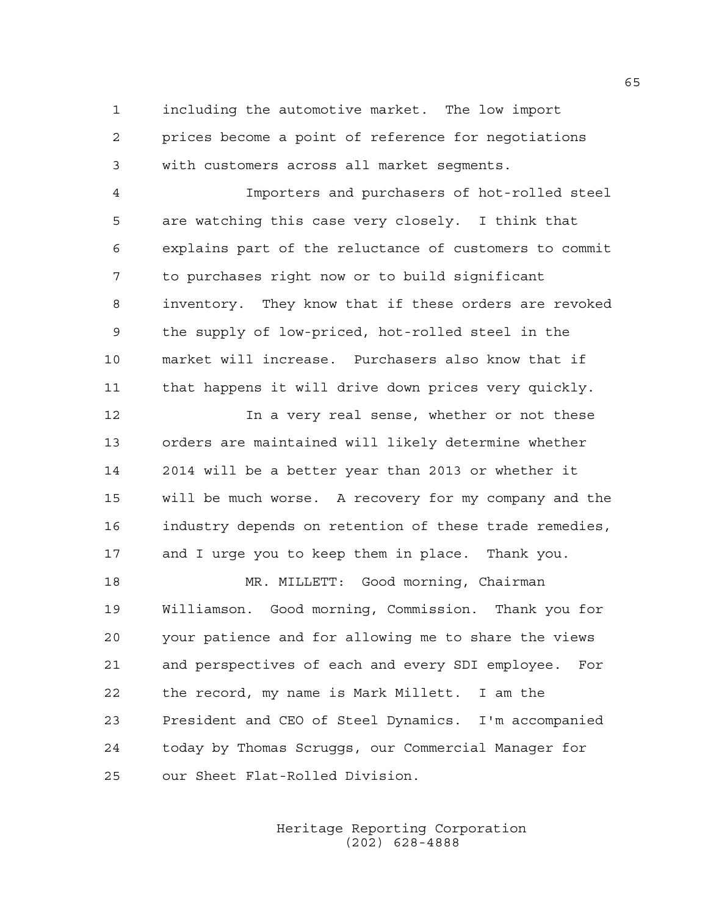1 including the automotive market. The low import 2 prices become a point of reference for negotiations 3 with customers across all market segments.

4 Importers and purchasers of hot-rolled steel 5 are watching this case very closely. I think that 6 explains part of the reluctance of customers to commit 7 to purchases right now or to build significant 8 inventory. They know that if these orders are revoked 9 the supply of low-priced, hot-rolled steel in the 10 market will increase. Purchasers also know that if 11 that happens it will drive down prices very quickly.

12 In a very real sense, whether or not these 13 orders are maintained will likely determine whether 14 2014 will be a better year than 2013 or whether it 15 will be much worse. A recovery for my company and the 16 industry depends on retention of these trade remedies, 17 and I urge you to keep them in place. Thank you.

18 MR. MILLETT: Good morning, Chairman 19 Williamson. Good morning, Commission. Thank you for 20 your patience and for allowing me to share the views 21 and perspectives of each and every SDI employee. For 22 the record, my name is Mark Millett. I am the 23 President and CEO of Steel Dynamics. I'm accompanied 24 today by Thomas Scruggs, our Commercial Manager for 25 our Sheet Flat-Rolled Division.

> Heritage Reporting Corporation (202) 628-4888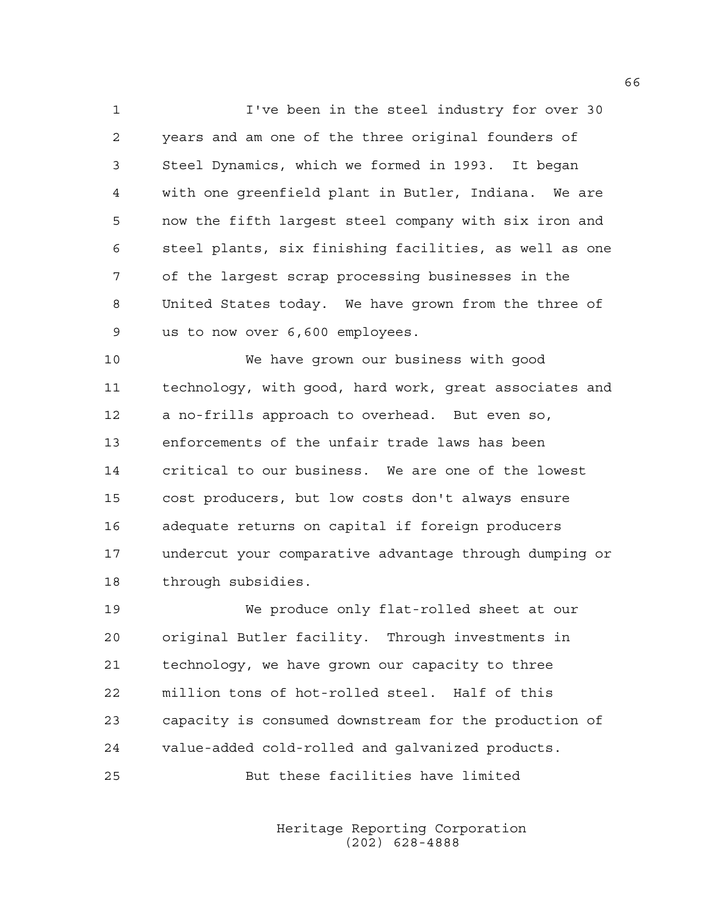1 I've been in the steel industry for over 30 2 years and am one of the three original founders of 3 Steel Dynamics, which we formed in 1993. It began 4 with one greenfield plant in Butler, Indiana. We are 5 now the fifth largest steel company with six iron and 6 steel plants, six finishing facilities, as well as one 7 of the largest scrap processing businesses in the 8 United States today. We have grown from the three of 9 us to now over 6,600 employees.

10 We have grown our business with good 11 technology, with good, hard work, great associates and 12 a no-frills approach to overhead. But even so, 13 enforcements of the unfair trade laws has been 14 critical to our business. We are one of the lowest 15 cost producers, but low costs don't always ensure 16 adequate returns on capital if foreign producers 17 undercut your comparative advantage through dumping or 18 through subsidies.

19 We produce only flat-rolled sheet at our 20 original Butler facility. Through investments in 21 technology, we have grown our capacity to three 22 million tons of hot-rolled steel. Half of this 23 capacity is consumed downstream for the production of 24 value-added cold-rolled and galvanized products.

25 But these facilities have limited

Heritage Reporting Corporation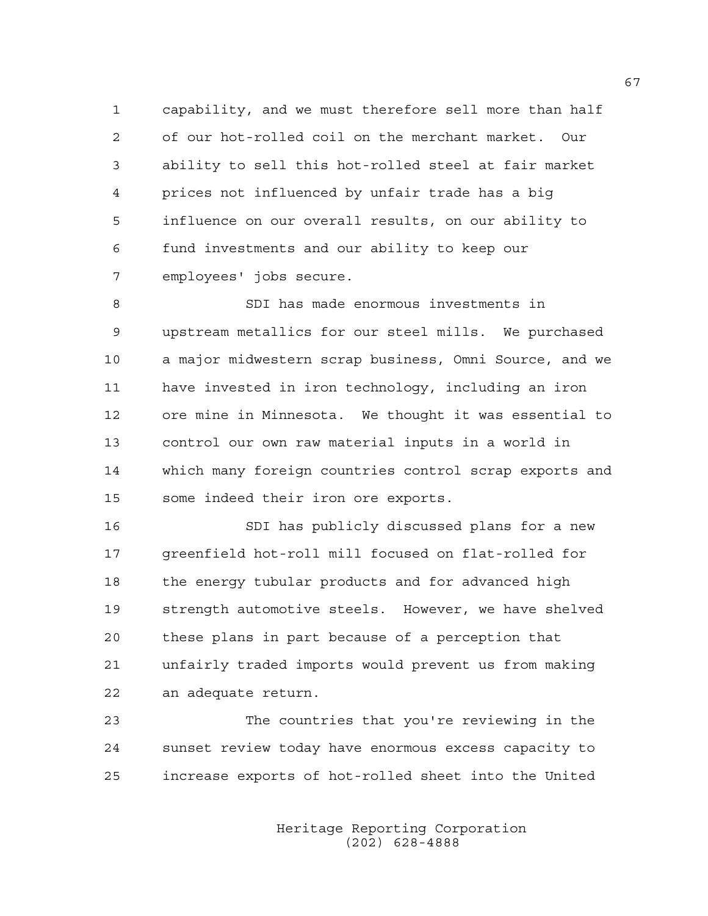1 capability, and we must therefore sell more than half 2 of our hot-rolled coil on the merchant market. Our 3 ability to sell this hot-rolled steel at fair market 4 prices not influenced by unfair trade has a big 5 influence on our overall results, on our ability to 6 fund investments and our ability to keep our 7 employees' jobs secure.

8 SDI has made enormous investments in 9 upstream metallics for our steel mills. We purchased 10 a major midwestern scrap business, Omni Source, and we 11 have invested in iron technology, including an iron 12 ore mine in Minnesota. We thought it was essential to 13 control our own raw material inputs in a world in 14 which many foreign countries control scrap exports and 15 some indeed their iron ore exports.

16 SDI has publicly discussed plans for a new 17 greenfield hot-roll mill focused on flat-rolled for 18 the energy tubular products and for advanced high 19 strength automotive steels. However, we have shelved 20 these plans in part because of a perception that 21 unfairly traded imports would prevent us from making 22 an adequate return.

23 The countries that you're reviewing in the 24 sunset review today have enormous excess capacity to 25 increase exports of hot-rolled sheet into the United

> Heritage Reporting Corporation (202) 628-4888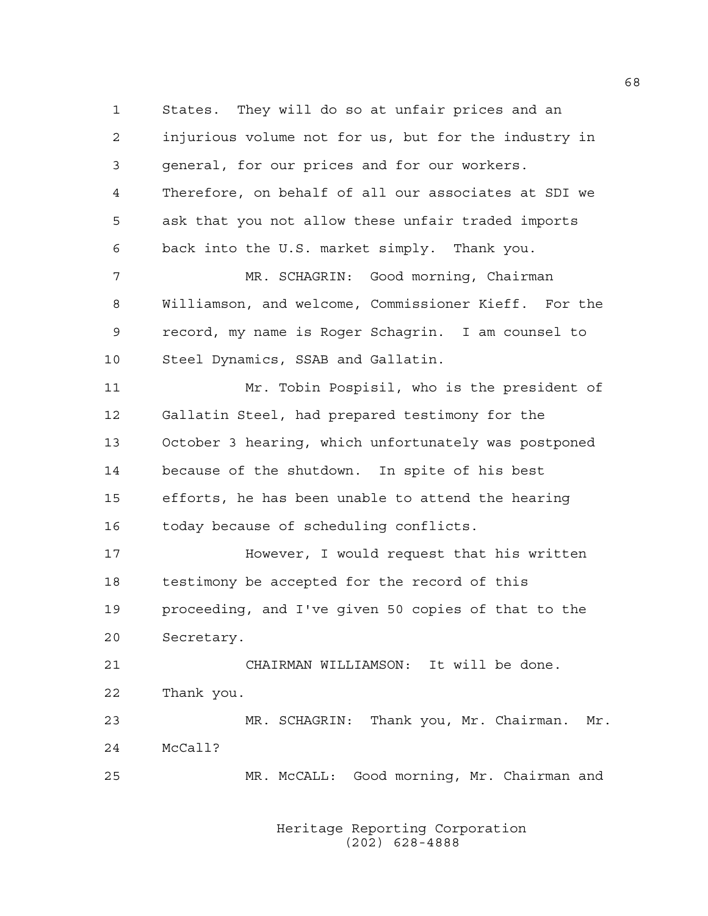1 States. They will do so at unfair prices and an 2 injurious volume not for us, but for the industry in 3 general, for our prices and for our workers. 4 Therefore, on behalf of all our associates at SDI we 5 ask that you not allow these unfair traded imports 6 back into the U.S. market simply. Thank you. 7 MR. SCHAGRIN: Good morning, Chairman 8 Williamson, and welcome, Commissioner Kieff. For the 9 record, my name is Roger Schagrin. I am counsel to 10 Steel Dynamics, SSAB and Gallatin. 11 Mr. Tobin Pospisil, who is the president of 12 Gallatin Steel, had prepared testimony for the 13 October 3 hearing, which unfortunately was postponed 14 because of the shutdown. In spite of his best 15 efforts, he has been unable to attend the hearing 16 today because of scheduling conflicts. 17 However, I would request that his written 18 testimony be accepted for the record of this 19 proceeding, and I've given 50 copies of that to the 20 Secretary. 21 CHAIRMAN WILLIAMSON: It will be done. 22 Thank you. 23 MR. SCHAGRIN: Thank you, Mr. Chairman. Mr. 24 McCall? 25 MR. McCALL: Good morning, Mr. Chairman and

> Heritage Reporting Corporation (202) 628-4888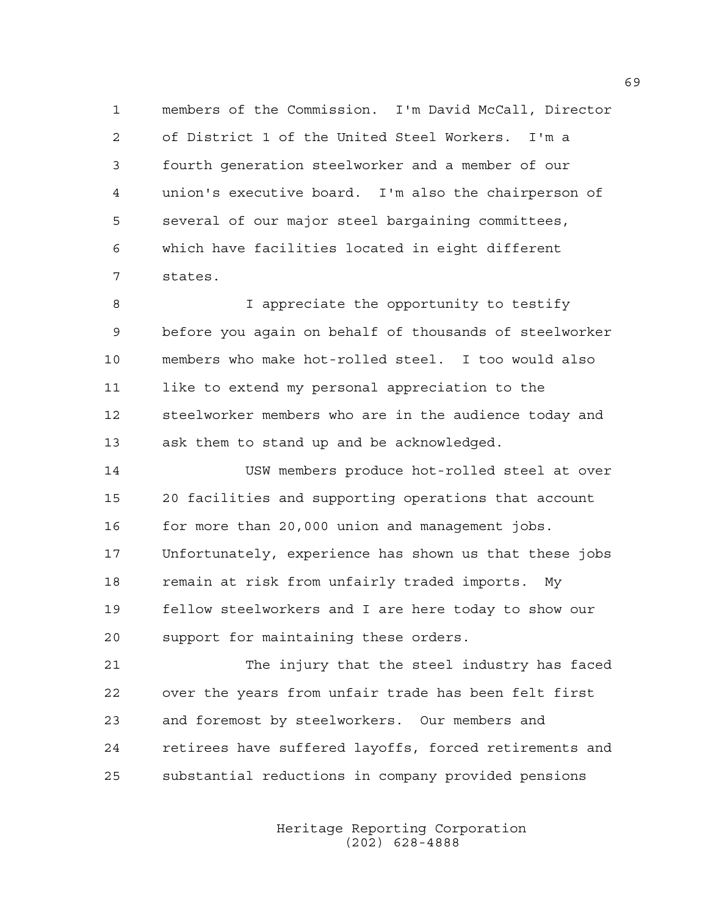1 members of the Commission. I'm David McCall, Director 2 of District 1 of the United Steel Workers. I'm a 3 fourth generation steelworker and a member of our 4 union's executive board. I'm also the chairperson of 5 several of our major steel bargaining committees, 6 which have facilities located in eight different 7 states.

8 I appreciate the opportunity to testify 9 before you again on behalf of thousands of steelworker 10 members who make hot-rolled steel. I too would also 11 like to extend my personal appreciation to the 12 steelworker members who are in the audience today and 13 ask them to stand up and be acknowledged.

14 USW members produce hot-rolled steel at over 15 20 facilities and supporting operations that account 16 for more than 20,000 union and management jobs. 17 Unfortunately, experience has shown us that these jobs 18 remain at risk from unfairly traded imports. My 19 fellow steelworkers and I are here today to show our 20 support for maintaining these orders.

21 The injury that the steel industry has faced 22 over the years from unfair trade has been felt first 23 and foremost by steelworkers. Our members and 24 retirees have suffered layoffs, forced retirements and 25 substantial reductions in company provided pensions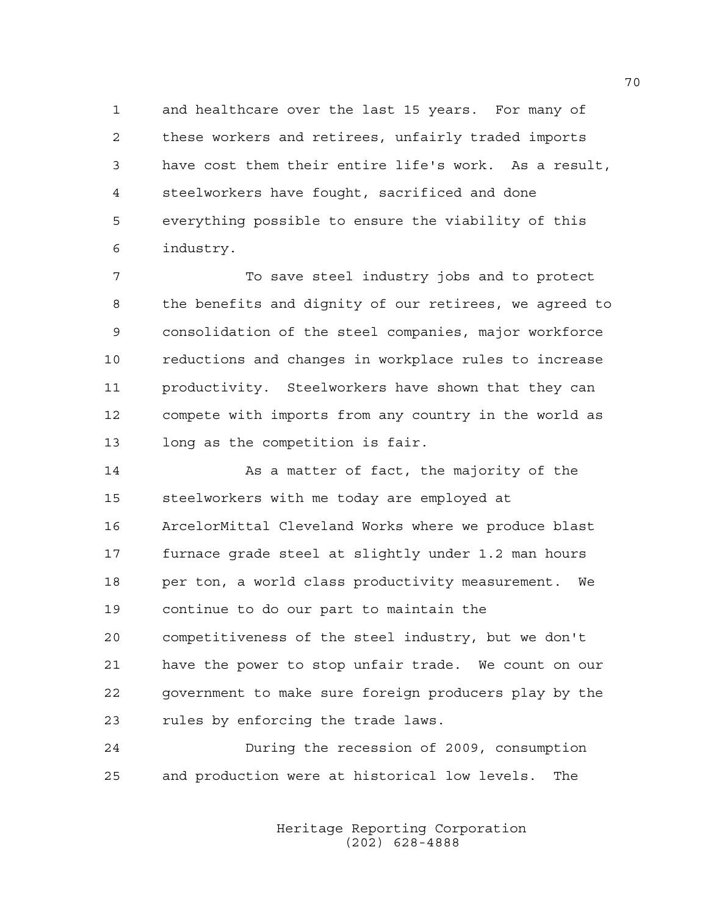1 and healthcare over the last 15 years. For many of 2 these workers and retirees, unfairly traded imports 3 have cost them their entire life's work. As a result, 4 steelworkers have fought, sacrificed and done 5 everything possible to ensure the viability of this 6 industry.

7 To save steel industry jobs and to protect 8 the benefits and dignity of our retirees, we agreed to 9 consolidation of the steel companies, major workforce 10 reductions and changes in workplace rules to increase 11 productivity. Steelworkers have shown that they can 12 compete with imports from any country in the world as 13 long as the competition is fair.

14 As a matter of fact, the majority of the 15 steelworkers with me today are employed at 16 ArcelorMittal Cleveland Works where we produce blast 17 furnace grade steel at slightly under 1.2 man hours 18 per ton, a world class productivity measurement. We 19 continue to do our part to maintain the 20 competitiveness of the steel industry, but we don't 21 have the power to stop unfair trade. We count on our 22 government to make sure foreign producers play by the 23 rules by enforcing the trade laws.

24 During the recession of 2009, consumption 25 and production were at historical low levels. The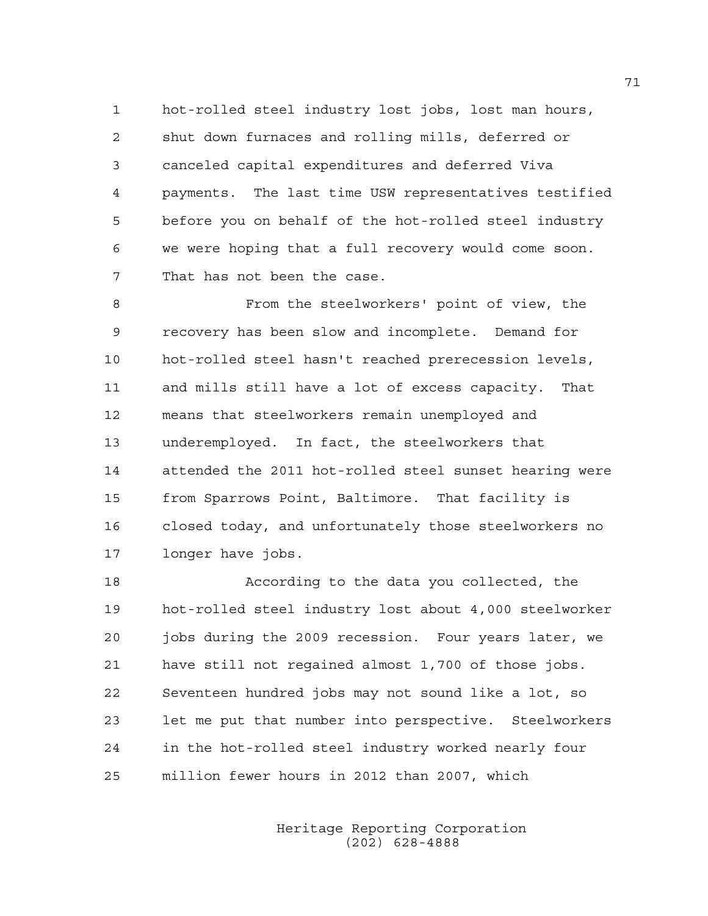1 hot-rolled steel industry lost jobs, lost man hours, 2 shut down furnaces and rolling mills, deferred or 3 canceled capital expenditures and deferred Viva 4 payments. The last time USW representatives testified 5 before you on behalf of the hot-rolled steel industry 6 we were hoping that a full recovery would come soon. 7 That has not been the case.

8 From the steelworkers' point of view, the 9 recovery has been slow and incomplete. Demand for 10 hot-rolled steel hasn't reached prerecession levels, 11 and mills still have a lot of excess capacity. That 12 means that steelworkers remain unemployed and 13 underemployed. In fact, the steelworkers that 14 attended the 2011 hot-rolled steel sunset hearing were 15 from Sparrows Point, Baltimore. That facility is 16 closed today, and unfortunately those steelworkers no 17 longer have jobs.

18 According to the data you collected, the 19 hot-rolled steel industry lost about 4,000 steelworker 20 jobs during the 2009 recession. Four years later, we 21 have still not regained almost 1,700 of those jobs. 22 Seventeen hundred jobs may not sound like a lot, so 23 let me put that number into perspective. Steelworkers 24 in the hot-rolled steel industry worked nearly four 25 million fewer hours in 2012 than 2007, which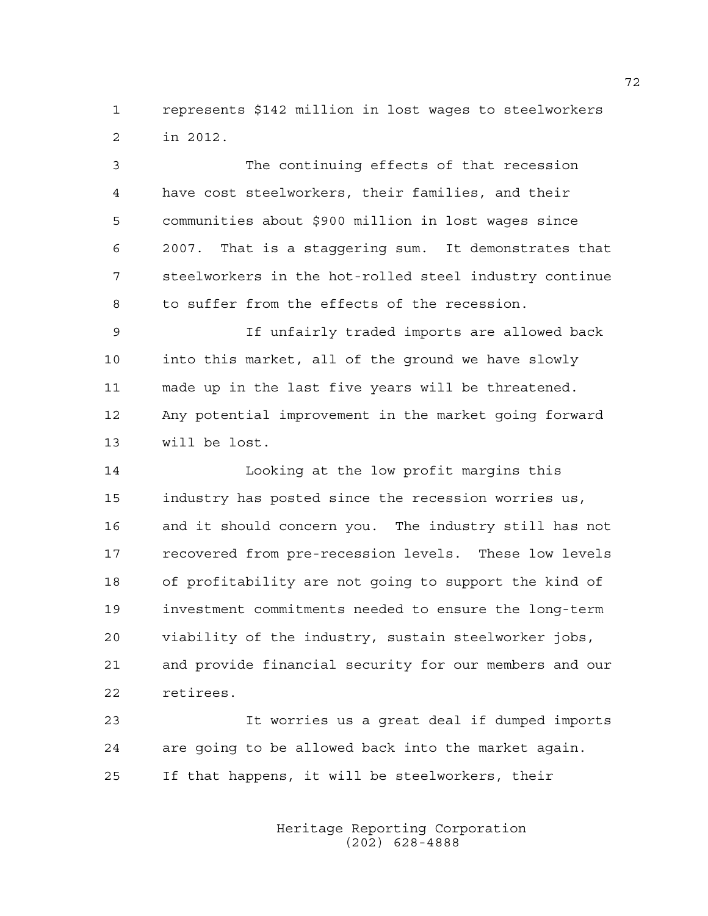1 represents \$142 million in lost wages to steelworkers 2 in 2012.

3 The continuing effects of that recession 4 have cost steelworkers, their families, and their 5 communities about \$900 million in lost wages since 6 2007. That is a staggering sum. It demonstrates that 7 steelworkers in the hot-rolled steel industry continue 8 to suffer from the effects of the recession.

9 If unfairly traded imports are allowed back 10 into this market, all of the ground we have slowly 11 made up in the last five years will be threatened. 12 Any potential improvement in the market going forward 13 will be lost.

14 Looking at the low profit margins this 15 industry has posted since the recession worries us, 16 and it should concern you. The industry still has not 17 recovered from pre-recession levels. These low levels 18 of profitability are not going to support the kind of 19 investment commitments needed to ensure the long-term 20 viability of the industry, sustain steelworker jobs, 21 and provide financial security for our members and our 22 retirees.

23 It worries us a great deal if dumped imports 24 are going to be allowed back into the market again. 25 If that happens, it will be steelworkers, their

> Heritage Reporting Corporation (202) 628-4888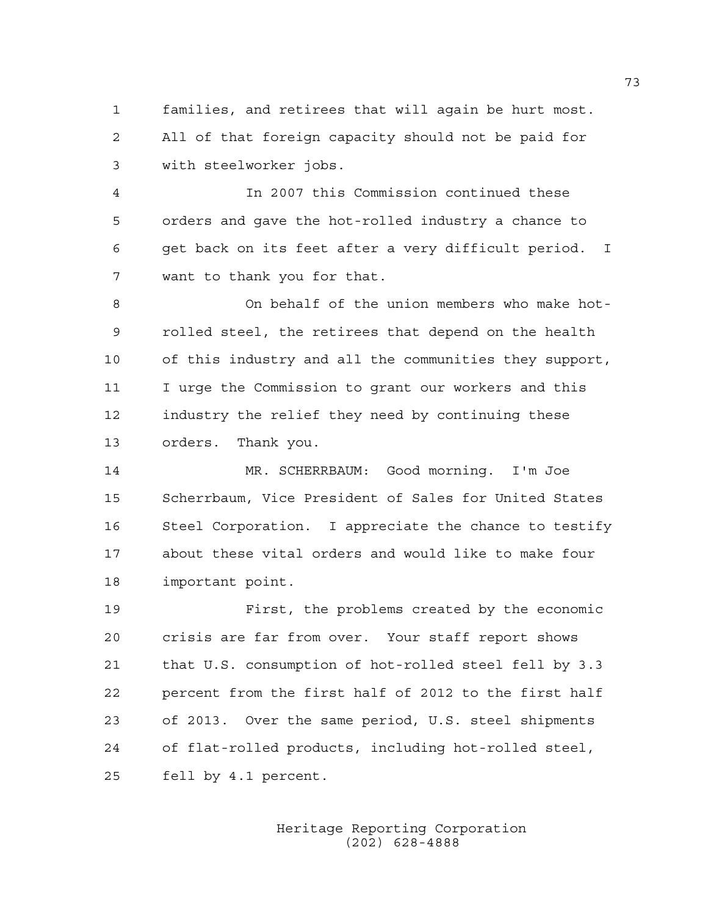1 families, and retirees that will again be hurt most. 2 All of that foreign capacity should not be paid for 3 with steelworker jobs.

4 In 2007 this Commission continued these 5 orders and gave the hot-rolled industry a chance to 6 get back on its feet after a very difficult period. I 7 want to thank you for that.

8 On behalf of the union members who make hot-9 rolled steel, the retirees that depend on the health 10 of this industry and all the communities they support, 11 I urge the Commission to grant our workers and this 12 industry the relief they need by continuing these 13 orders. Thank you.

14 MR. SCHERRBAUM: Good morning. I'm Joe 15 Scherrbaum, Vice President of Sales for United States 16 Steel Corporation. I appreciate the chance to testify 17 about these vital orders and would like to make four 18 important point.

19 First, the problems created by the economic 20 crisis are far from over. Your staff report shows 21 that U.S. consumption of hot-rolled steel fell by 3.3 22 percent from the first half of 2012 to the first half 23 of 2013. Over the same period, U.S. steel shipments 24 of flat-rolled products, including hot-rolled steel, 25 fell by 4.1 percent.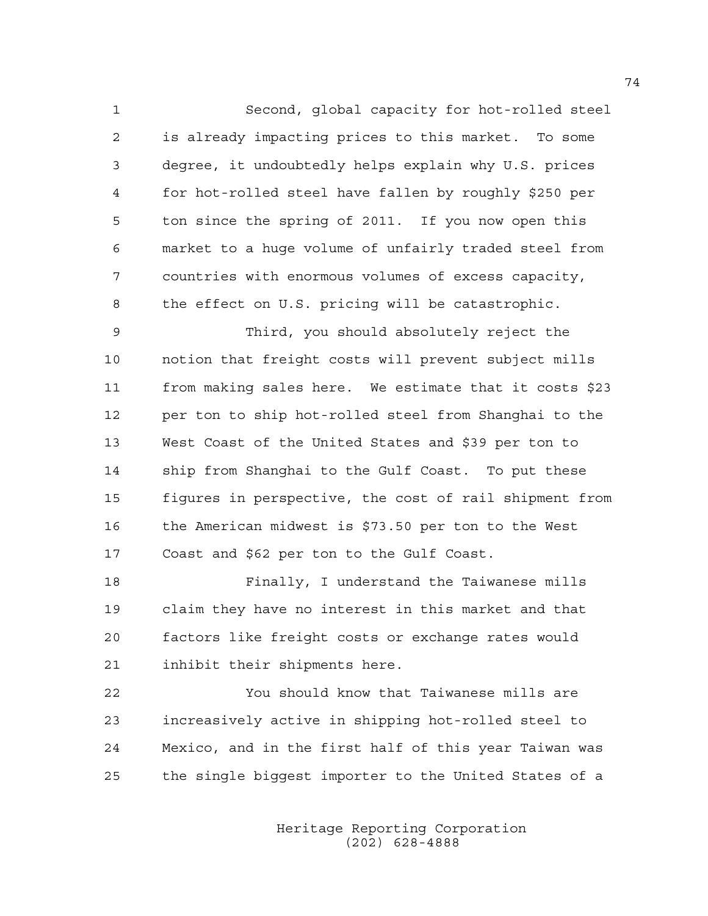1 Second, global capacity for hot-rolled steel 2 is already impacting prices to this market. To some 3 degree, it undoubtedly helps explain why U.S. prices 4 for hot-rolled steel have fallen by roughly \$250 per 5 ton since the spring of 2011. If you now open this 6 market to a huge volume of unfairly traded steel from 7 countries with enormous volumes of excess capacity, 8 the effect on U.S. pricing will be catastrophic.

9 Third, you should absolutely reject the 10 notion that freight costs will prevent subject mills 11 from making sales here. We estimate that it costs \$23 12 per ton to ship hot-rolled steel from Shanghai to the 13 West Coast of the United States and \$39 per ton to 14 ship from Shanghai to the Gulf Coast. To put these 15 figures in perspective, the cost of rail shipment from 16 the American midwest is \$73.50 per ton to the West 17 Coast and \$62 per ton to the Gulf Coast.

18 Finally, I understand the Taiwanese mills 19 claim they have no interest in this market and that 20 factors like freight costs or exchange rates would 21 inhibit their shipments here.

22 You should know that Taiwanese mills are 23 increasively active in shipping hot-rolled steel to 24 Mexico, and in the first half of this year Taiwan was 25 the single biggest importer to the United States of a

> Heritage Reporting Corporation (202) 628-4888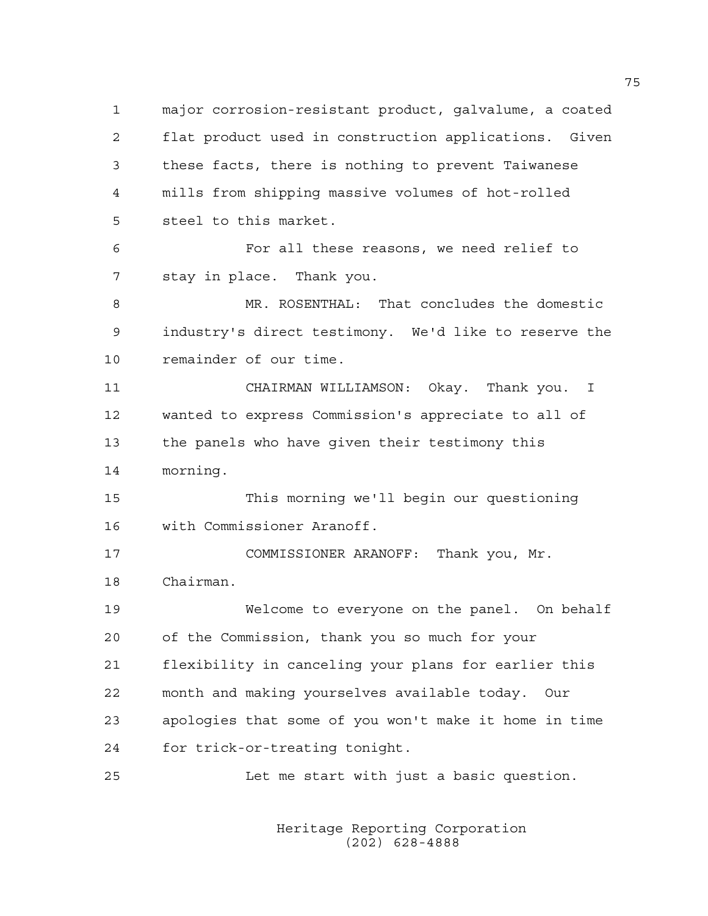2 flat product used in construction applications. Given 3 these facts, there is nothing to prevent Taiwanese 4 mills from shipping massive volumes of hot-rolled 5 steel to this market. 6 For all these reasons, we need relief to 7 stay in place. Thank you. 8 MR. ROSENTHAL: That concludes the domestic 9 industry's direct testimony. We'd like to reserve the 10 remainder of our time. 11 CHAIRMAN WILLIAMSON: Okay. Thank you. I 12 wanted to express Commission's appreciate to all of 13 the panels who have given their testimony this 14 morning. 15 This morning we'll begin our questioning 16 with Commissioner Aranoff. 17 COMMISSIONER ARANOFF: Thank you, Mr. 18 Chairman. 19 Welcome to everyone on the panel. On behalf 20 of the Commission, thank you so much for your 21 flexibility in canceling your plans for earlier this 22 month and making yourselves available today. Our

1 major corrosion-resistant product, galvalume, a coated

23 apologies that some of you won't make it home in time 24 for trick-or-treating tonight.

25 Let me start with just a basic question.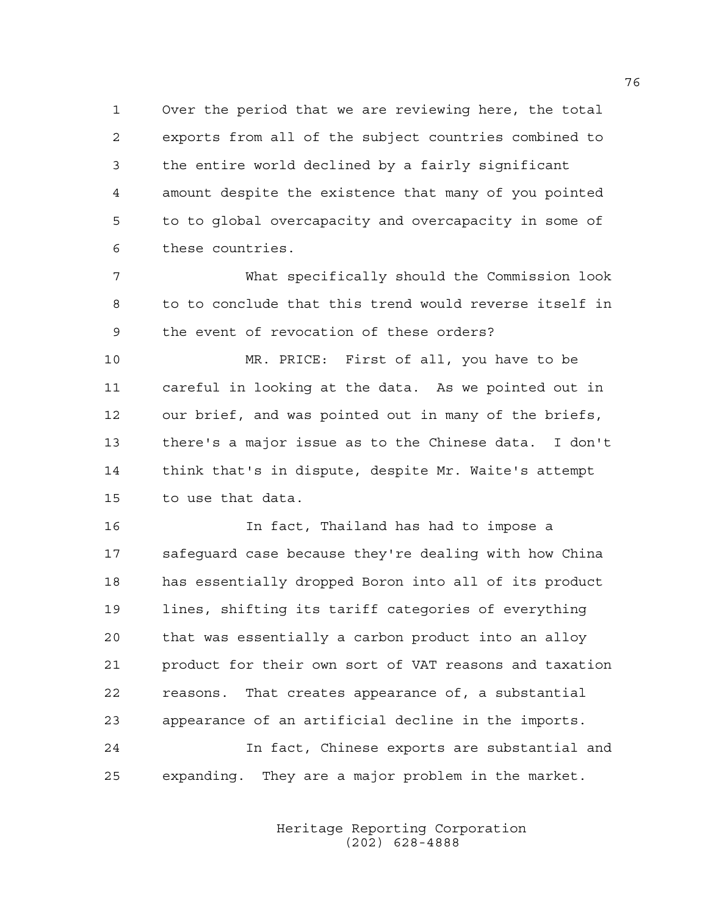1 Over the period that we are reviewing here, the total 2 exports from all of the subject countries combined to 3 the entire world declined by a fairly significant 4 amount despite the existence that many of you pointed 5 to to global overcapacity and overcapacity in some of 6 these countries.

7 What specifically should the Commission look 8 to to conclude that this trend would reverse itself in 9 the event of revocation of these orders?

10 MR. PRICE: First of all, you have to be 11 careful in looking at the data. As we pointed out in 12 our brief, and was pointed out in many of the briefs, 13 there's a major issue as to the Chinese data. I don't 14 think that's in dispute, despite Mr. Waite's attempt 15 to use that data.

16 In fact, Thailand has had to impose a 17 safeguard case because they're dealing with how China 18 has essentially dropped Boron into all of its product 19 lines, shifting its tariff categories of everything 20 that was essentially a carbon product into an alloy 21 product for their own sort of VAT reasons and taxation 22 reasons. That creates appearance of, a substantial 23 appearance of an artificial decline in the imports.

24 In fact, Chinese exports are substantial and 25 expanding. They are a major problem in the market.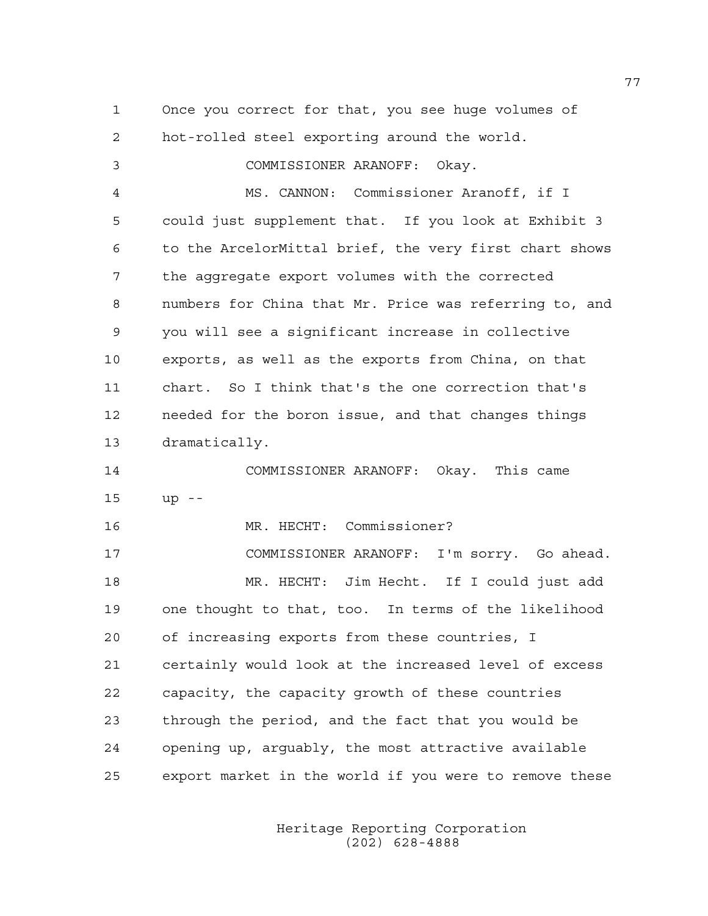1 Once you correct for that, you see huge volumes of 2 hot-rolled steel exporting around the world. 3 COMMISSIONER ARANOFF: Okay. 4 MS. CANNON: Commissioner Aranoff, if I 5 could just supplement that. If you look at Exhibit 3 6 to the ArcelorMittal brief, the very first chart shows 7 the aggregate export volumes with the corrected 8 numbers for China that Mr. Price was referring to, and 9 you will see a significant increase in collective 10 exports, as well as the exports from China, on that 11 chart. So I think that's the one correction that's 12 needed for the boron issue, and that changes things 13 dramatically. 14 COMMISSIONER ARANOFF: Okay. This came 15 up -- 16 MR. HECHT: Commissioner? 17 COMMISSIONER ARANOFF: I'm sorry. Go ahead. 18 MR. HECHT: Jim Hecht. If I could just add

19 one thought to that, too. In terms of the likelihood 20 of increasing exports from these countries, I 21 certainly would look at the increased level of excess 22 capacity, the capacity growth of these countries 23 through the period, and the fact that you would be 24 opening up, arguably, the most attractive available 25 export market in the world if you were to remove these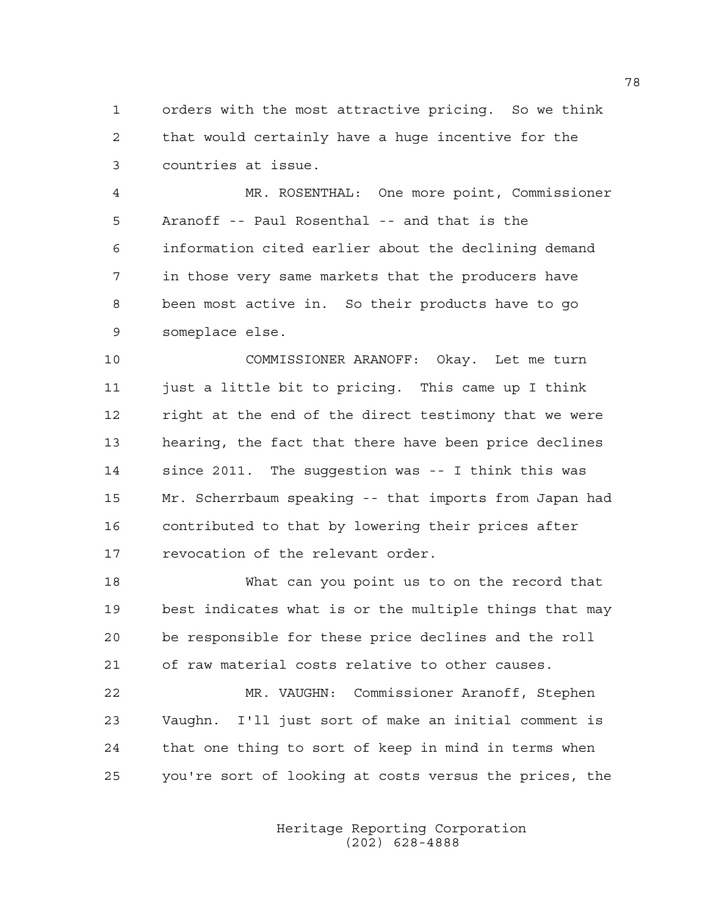1 orders with the most attractive pricing. So we think 2 that would certainly have a huge incentive for the 3 countries at issue.

4 MR. ROSENTHAL: One more point, Commissioner 5 Aranoff -- Paul Rosenthal -- and that is the 6 information cited earlier about the declining demand 7 in those very same markets that the producers have 8 been most active in. So their products have to go 9 someplace else.

10 COMMISSIONER ARANOFF: Okay. Let me turn 11 just a little bit to pricing. This came up I think 12 right at the end of the direct testimony that we were 13 hearing, the fact that there have been price declines 14 since 2011. The suggestion was -- I think this was 15 Mr. Scherrbaum speaking -- that imports from Japan had 16 contributed to that by lowering their prices after 17 revocation of the relevant order.

18 What can you point us to on the record that 19 best indicates what is or the multiple things that may 20 be responsible for these price declines and the roll 21 of raw material costs relative to other causes.

22 MR. VAUGHN: Commissioner Aranoff, Stephen 23 Vaughn. I'll just sort of make an initial comment is 24 that one thing to sort of keep in mind in terms when 25 you're sort of looking at costs versus the prices, the

> Heritage Reporting Corporation (202) 628-4888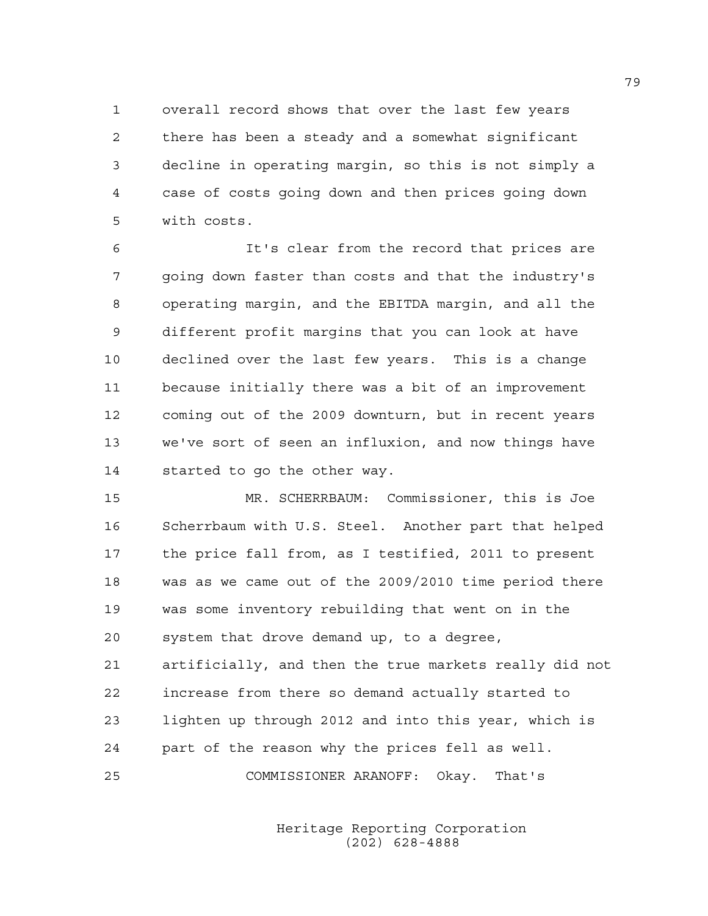1 overall record shows that over the last few years 2 there has been a steady and a somewhat significant 3 decline in operating margin, so this is not simply a 4 case of costs going down and then prices going down 5 with costs.

6 It's clear from the record that prices are 7 going down faster than costs and that the industry's 8 operating margin, and the EBITDA margin, and all the 9 different profit margins that you can look at have 10 declined over the last few years. This is a change 11 because initially there was a bit of an improvement 12 coming out of the 2009 downturn, but in recent years 13 we've sort of seen an influxion, and now things have 14 started to go the other way.

15 MR. SCHERRBAUM: Commissioner, this is Joe 16 Scherrbaum with U.S. Steel. Another part that helped 17 the price fall from, as I testified, 2011 to present 18 was as we came out of the 2009/2010 time period there 19 was some inventory rebuilding that went on in the 20 system that drove demand up, to a degree, 21 artificially, and then the true markets really did not 22 increase from there so demand actually started to 23 lighten up through 2012 and into this year, which is 24 part of the reason why the prices fell as well. 25 COMMISSIONER ARANOFF: Okay. That's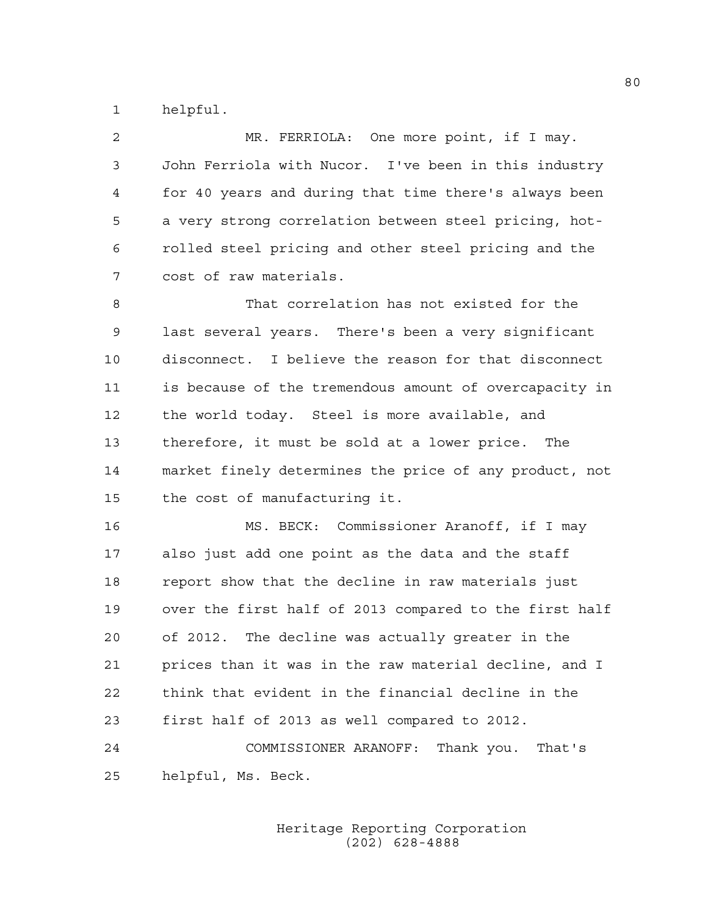1 helpful.

2 MR. FERRIOLA: One more point, if I may. 3 John Ferriola with Nucor. I've been in this industry 4 for 40 years and during that time there's always been 5 a very strong correlation between steel pricing, hot-6 rolled steel pricing and other steel pricing and the 7 cost of raw materials.

8 That correlation has not existed for the 9 last several years. There's been a very significant 10 disconnect. I believe the reason for that disconnect 11 is because of the tremendous amount of overcapacity in 12 the world today. Steel is more available, and 13 therefore, it must be sold at a lower price. The 14 market finely determines the price of any product, not 15 the cost of manufacturing it.

16 MS. BECK: Commissioner Aranoff, if I may 17 also just add one point as the data and the staff 18 report show that the decline in raw materials just 19 over the first half of 2013 compared to the first half 20 of 2012. The decline was actually greater in the 21 prices than it was in the raw material decline, and I 22 think that evident in the financial decline in the 23 first half of 2013 as well compared to 2012.

24 COMMISSIONER ARANOFF: Thank you. That's 25 helpful, Ms. Beck.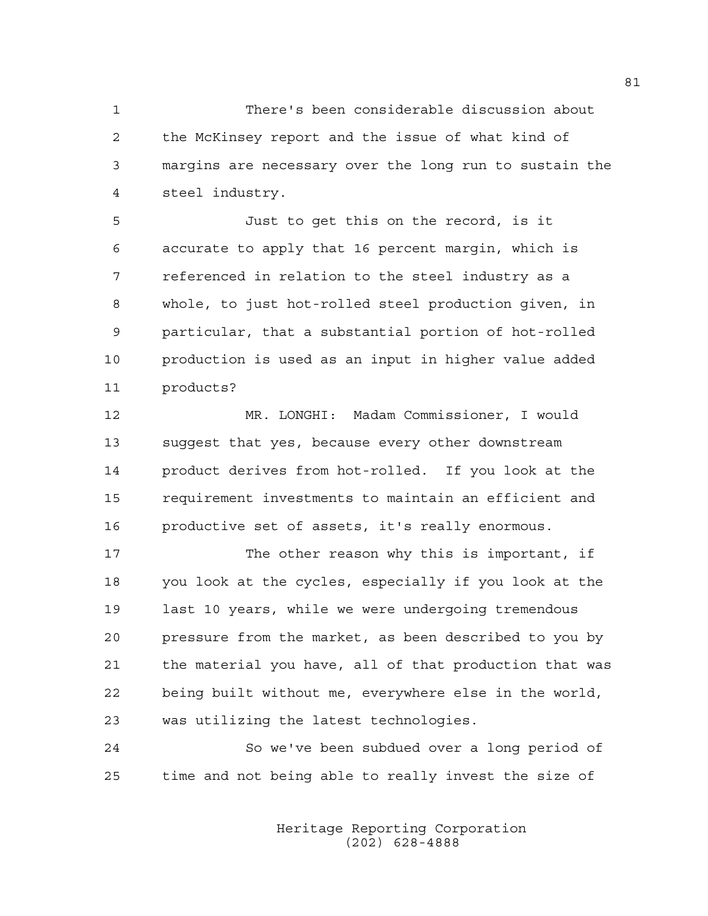1 There's been considerable discussion about 2 the McKinsey report and the issue of what kind of 3 margins are necessary over the long run to sustain the 4 steel industry.

5 Just to get this on the record, is it 6 accurate to apply that 16 percent margin, which is 7 referenced in relation to the steel industry as a 8 whole, to just hot-rolled steel production given, in 9 particular, that a substantial portion of hot-rolled 10 production is used as an input in higher value added 11 products?

12 MR. LONGHI: Madam Commissioner, I would 13 suggest that yes, because every other downstream 14 product derives from hot-rolled. If you look at the 15 requirement investments to maintain an efficient and 16 productive set of assets, it's really enormous.

17 The other reason why this is important, if 18 you look at the cycles, especially if you look at the 19 last 10 years, while we were undergoing tremendous 20 pressure from the market, as been described to you by 21 the material you have, all of that production that was 22 being built without me, everywhere else in the world, 23 was utilizing the latest technologies.

24 So we've been subdued over a long period of 25 time and not being able to really invest the size of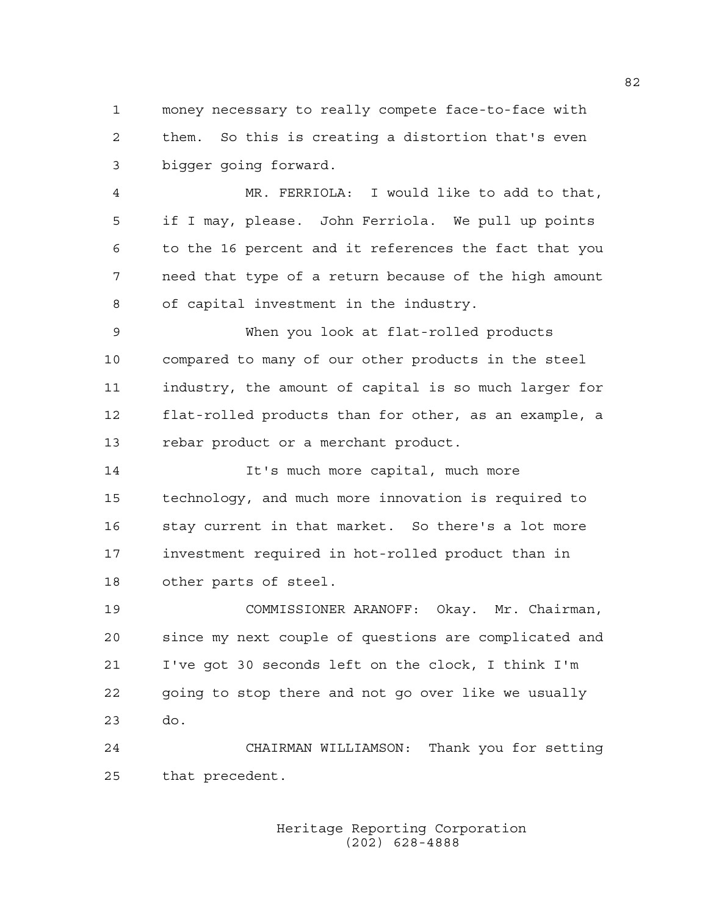1 money necessary to really compete face-to-face with 2 them. So this is creating a distortion that's even 3 bigger going forward.

4 MR. FERRIOLA: I would like to add to that, 5 if I may, please. John Ferriola. We pull up points 6 to the 16 percent and it references the fact that you 7 need that type of a return because of the high amount 8 of capital investment in the industry.

9 When you look at flat-rolled products 10 compared to many of our other products in the steel 11 industry, the amount of capital is so much larger for 12 flat-rolled products than for other, as an example, a 13 rebar product or a merchant product.

14 14 It's much more capital, much more 15 technology, and much more innovation is required to 16 stay current in that market. So there's a lot more 17 investment required in hot-rolled product than in 18 other parts of steel.

19 COMMISSIONER ARANOFF: Okay. Mr. Chairman, 20 since my next couple of questions are complicated and 21 I've got 30 seconds left on the clock, I think I'm 22 going to stop there and not go over like we usually 23 do.

24 CHAIRMAN WILLIAMSON: Thank you for setting 25 that precedent.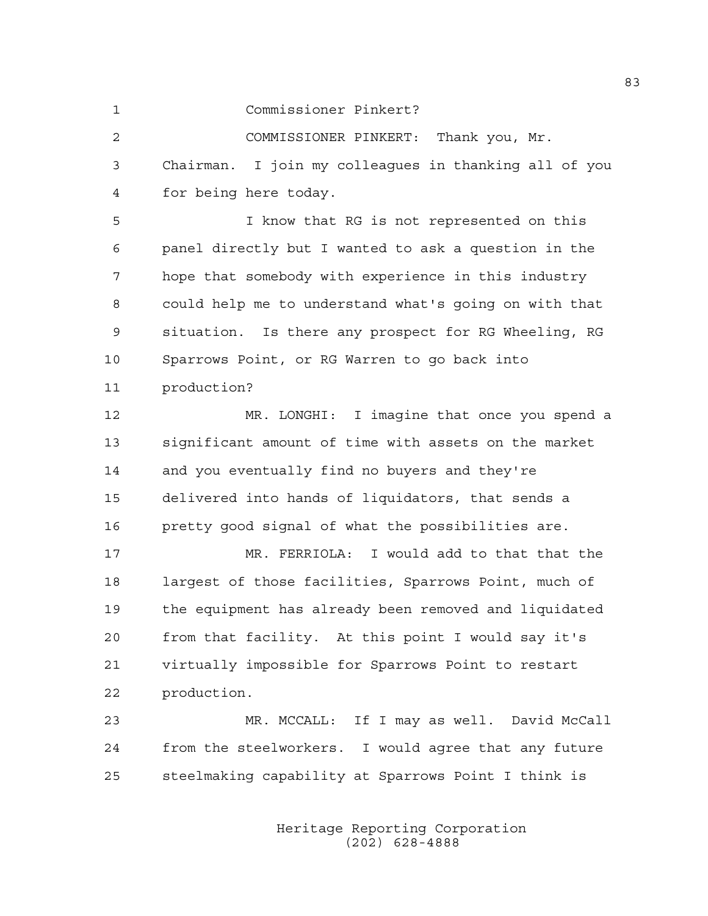1 Commissioner Pinkert?

2 COMMISSIONER PINKERT: Thank you, Mr. 3 Chairman. I join my colleagues in thanking all of you 4 for being here today.

5 I know that RG is not represented on this 6 panel directly but I wanted to ask a question in the 7 hope that somebody with experience in this industry 8 could help me to understand what's going on with that 9 situation. Is there any prospect for RG Wheeling, RG 10 Sparrows Point, or RG Warren to go back into 11 production?

12 MR. LONGHI: I imagine that once you spend a 13 significant amount of time with assets on the market 14 and you eventually find no buyers and they're 15 delivered into hands of liquidators, that sends a 16 pretty good signal of what the possibilities are.

17 MR. FERRIOLA: I would add to that that the 18 largest of those facilities, Sparrows Point, much of 19 the equipment has already been removed and liquidated 20 from that facility. At this point I would say it's 21 virtually impossible for Sparrows Point to restart 22 production.

23 MR. MCCALL: If I may as well. David McCall 24 from the steelworkers. I would agree that any future 25 steelmaking capability at Sparrows Point I think is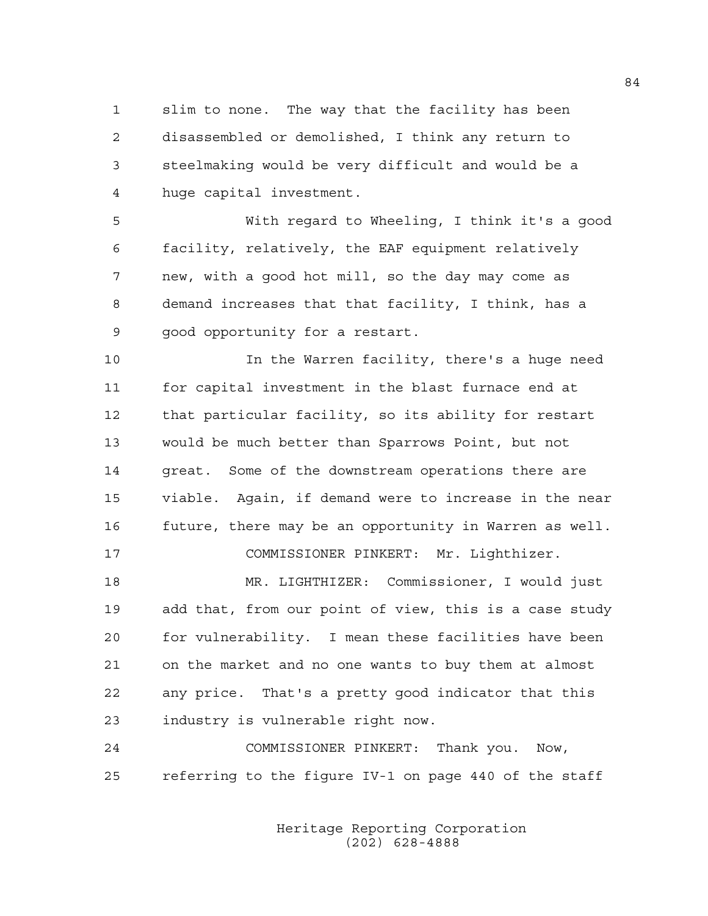1 slim to none. The way that the facility has been 2 disassembled or demolished, I think any return to 3 steelmaking would be very difficult and would be a 4 huge capital investment.

5 With regard to Wheeling, I think it's a good 6 facility, relatively, the EAF equipment relatively 7 new, with a good hot mill, so the day may come as 8 demand increases that that facility, I think, has a 9 good opportunity for a restart.

10 In the Warren facility, there's a huge need 11 for capital investment in the blast furnace end at 12 that particular facility, so its ability for restart 13 would be much better than Sparrows Point, but not 14 great. Some of the downstream operations there are 15 viable. Again, if demand were to increase in the near 16 future, there may be an opportunity in Warren as well.

17 COMMISSIONER PINKERT: Mr. Lighthizer.

18 MR. LIGHTHIZER: Commissioner, I would just 19 add that, from our point of view, this is a case study 20 for vulnerability. I mean these facilities have been 21 on the market and no one wants to buy them at almost 22 any price. That's a pretty good indicator that this 23 industry is vulnerable right now.

24 COMMISSIONER PINKERT: Thank you. Now, 25 referring to the figure IV-1 on page 440 of the staff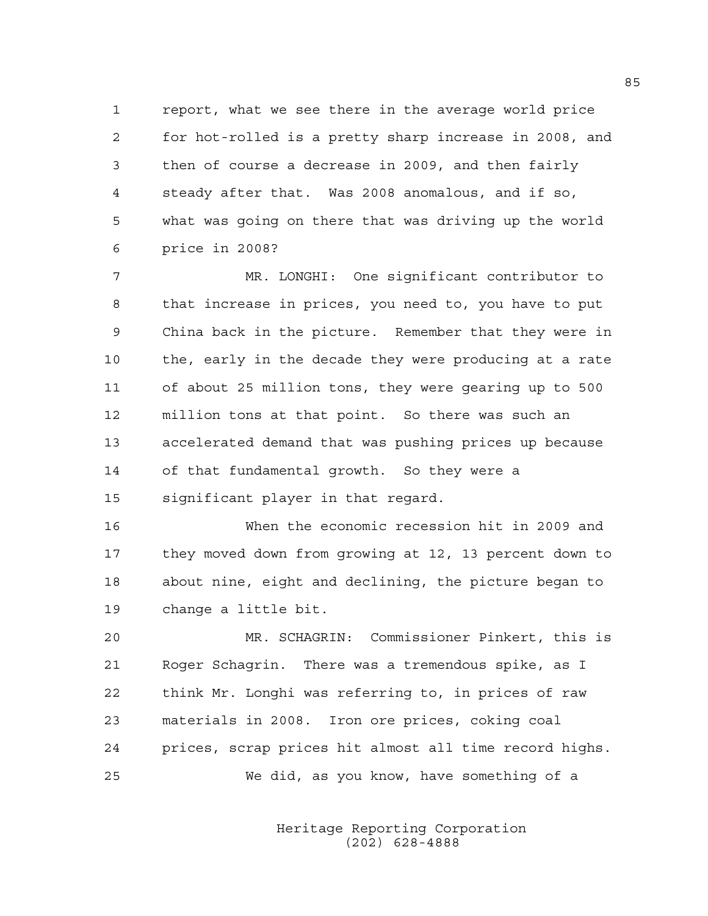1 report, what we see there in the average world price 2 for hot-rolled is a pretty sharp increase in 2008, and 3 then of course a decrease in 2009, and then fairly 4 steady after that. Was 2008 anomalous, and if so, 5 what was going on there that was driving up the world 6 price in 2008?

7 MR. LONGHI: One significant contributor to 8 that increase in prices, you need to, you have to put 9 China back in the picture. Remember that they were in 10 the, early in the decade they were producing at a rate 11 of about 25 million tons, they were gearing up to 500 12 million tons at that point. So there was such an 13 accelerated demand that was pushing prices up because 14 of that fundamental growth. So they were a 15 significant player in that regard.

16 When the economic recession hit in 2009 and 17 they moved down from growing at 12, 13 percent down to 18 about nine, eight and declining, the picture began to 19 change a little bit.

20 MR. SCHAGRIN: Commissioner Pinkert, this is 21 Roger Schagrin. There was a tremendous spike, as I 22 think Mr. Longhi was referring to, in prices of raw 23 materials in 2008. Iron ore prices, coking coal 24 prices, scrap prices hit almost all time record highs. 25 We did, as you know, have something of a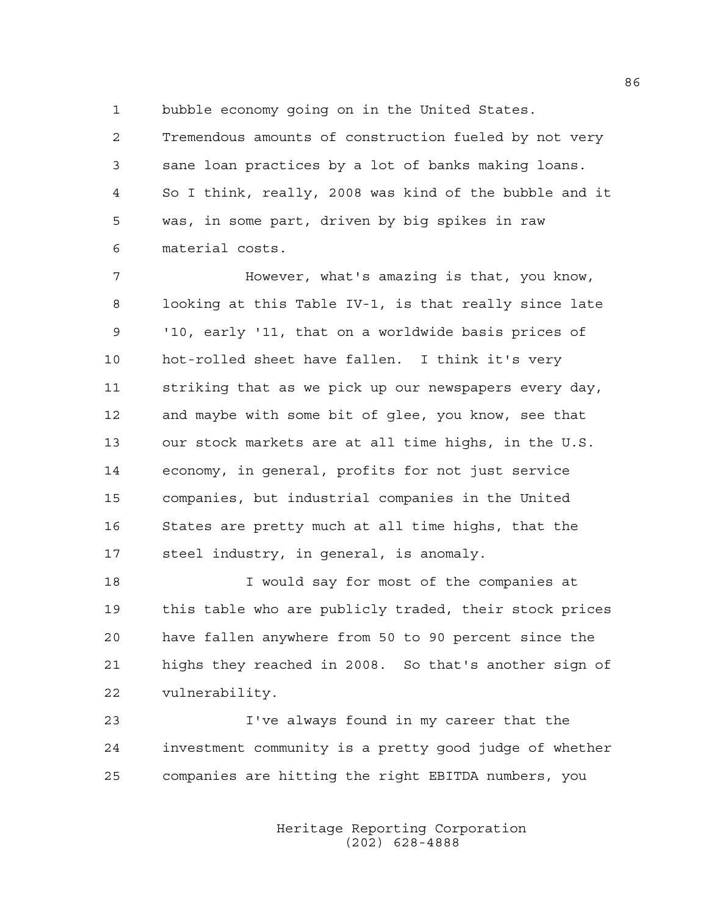1 bubble economy going on in the United States.

2 Tremendous amounts of construction fueled by not very 3 sane loan practices by a lot of banks making loans. 4 So I think, really, 2008 was kind of the bubble and it 5 was, in some part, driven by big spikes in raw 6 material costs.

7 However, what's amazing is that, you know, 8 looking at this Table IV-1, is that really since late 9 '10, early '11, that on a worldwide basis prices of 10 hot-rolled sheet have fallen. I think it's very 11 striking that as we pick up our newspapers every day, 12 and maybe with some bit of glee, you know, see that 13 our stock markets are at all time highs, in the U.S. 14 economy, in general, profits for not just service 15 companies, but industrial companies in the United 16 States are pretty much at all time highs, that the 17 steel industry, in general, is anomaly.

18 I would say for most of the companies at 19 this table who are publicly traded, their stock prices 20 have fallen anywhere from 50 to 90 percent since the 21 highs they reached in 2008. So that's another sign of 22 vulnerability.

23 I've always found in my career that the 24 investment community is a pretty good judge of whether 25 companies are hitting the right EBITDA numbers, you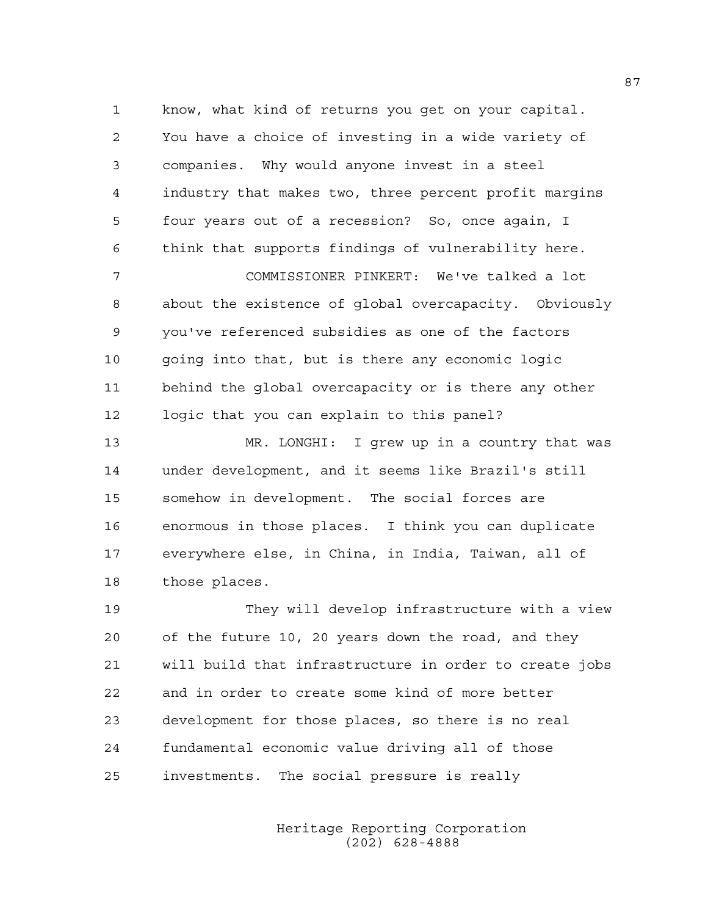1 know, what kind of returns you get on your capital. 2 You have a choice of investing in a wide variety of 3 companies. Why would anyone invest in a steel 4 industry that makes two, three percent profit margins 5 four years out of a recession? So, once again, I 6 think that supports findings of vulnerability here.

7 COMMISSIONER PINKERT: We've talked a lot 8 about the existence of global overcapacity. Obviously 9 you've referenced subsidies as one of the factors 10 going into that, but is there any economic logic 11 behind the global overcapacity or is there any other 12 logic that you can explain to this panel?

13 MR. LONGHI: I grew up in a country that was 14 under development, and it seems like Brazil's still 15 somehow in development. The social forces are 16 enormous in those places. I think you can duplicate 17 everywhere else, in China, in India, Taiwan, all of 18 those places.

19 They will develop infrastructure with a view 20 of the future 10, 20 years down the road, and they 21 will build that infrastructure in order to create jobs 22 and in order to create some kind of more better 23 development for those places, so there is no real 24 fundamental economic value driving all of those 25 investments. The social pressure is really

> Heritage Reporting Corporation (202) 628-4888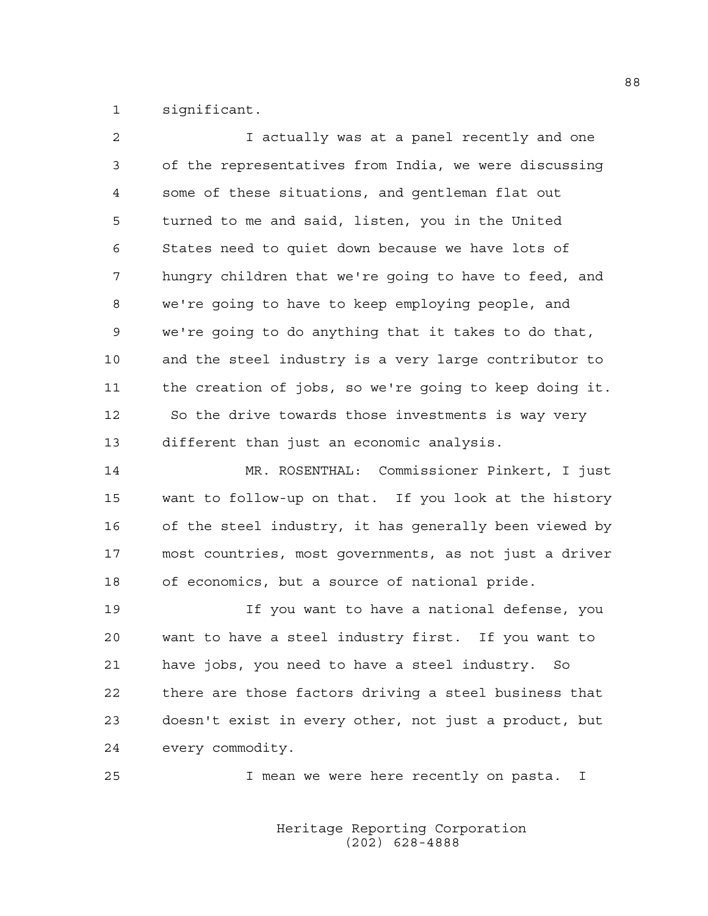1 significant.

| 2  | I actually was at a panel recently and one             |
|----|--------------------------------------------------------|
| 3  | of the representatives from India, we were discussing  |
| 4  | some of these situations, and gentleman flat out       |
| 5  | turned to me and said, listen, you in the United       |
| 6  | States need to quiet down because we have lots of      |
| 7  | hungry children that we're going to have to feed, and  |
| 8  | we're going to have to keep employing people, and      |
| 9  | we're going to do anything that it takes to do that,   |
| 10 | and the steel industry is a very large contributor to  |
| 11 | the creation of jobs, so we're going to keep doing it. |
| 12 | So the drive towards those investments is way very     |
| 13 | different than just an economic analysis.              |

14 MR. ROSENTHAL: Commissioner Pinkert, I just 15 want to follow-up on that. If you look at the history 16 of the steel industry, it has generally been viewed by 17 most countries, most governments, as not just a driver 18 of economics, but a source of national pride.

19 If you want to have a national defense, you 20 want to have a steel industry first. If you want to 21 have jobs, you need to have a steel industry. So 22 there are those factors driving a steel business that 23 doesn't exist in every other, not just a product, but 24 every commodity.

25 I mean we were here recently on pasta. I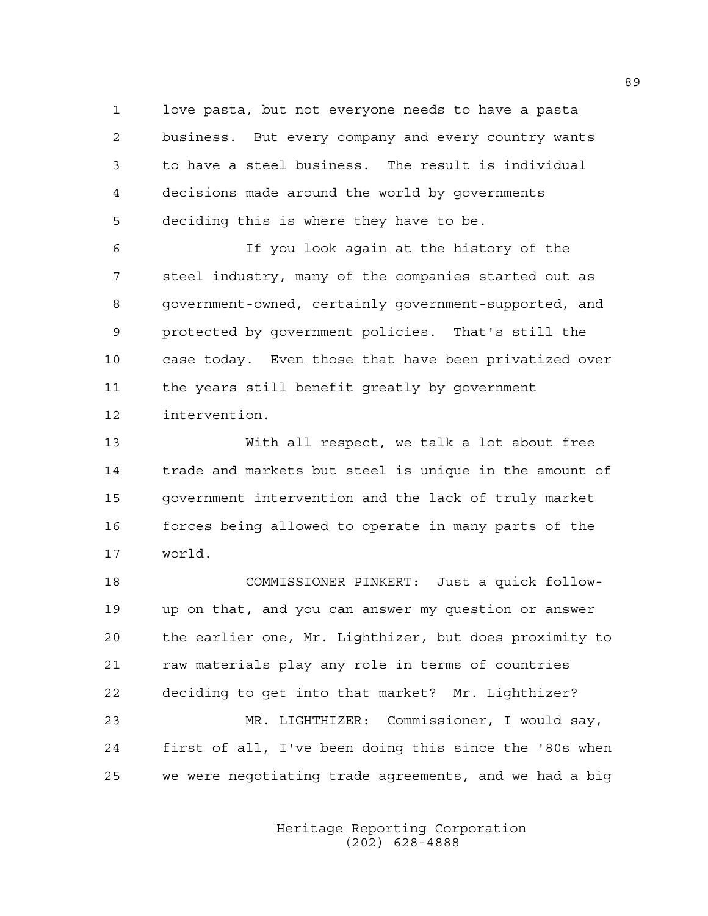1 love pasta, but not everyone needs to have a pasta 2 business. But every company and every country wants 3 to have a steel business. The result is individual 4 decisions made around the world by governments 5 deciding this is where they have to be.

6 If you look again at the history of the 7 steel industry, many of the companies started out as 8 government-owned, certainly government-supported, and 9 protected by government policies. That's still the 10 case today. Even those that have been privatized over 11 the years still benefit greatly by government 12 intervention.

13 With all respect, we talk a lot about free 14 trade and markets but steel is unique in the amount of 15 government intervention and the lack of truly market 16 forces being allowed to operate in many parts of the 17 world.

18 COMMISSIONER PINKERT: Just a quick follow-19 up on that, and you can answer my question or answer 20 the earlier one, Mr. Lighthizer, but does proximity to 21 raw materials play any role in terms of countries 22 deciding to get into that market? Mr. Lighthizer? 23 MR. LIGHTHIZER: Commissioner, I would say, 24 first of all, I've been doing this since the '80s when 25 we were negotiating trade agreements, and we had a big

> Heritage Reporting Corporation (202) 628-4888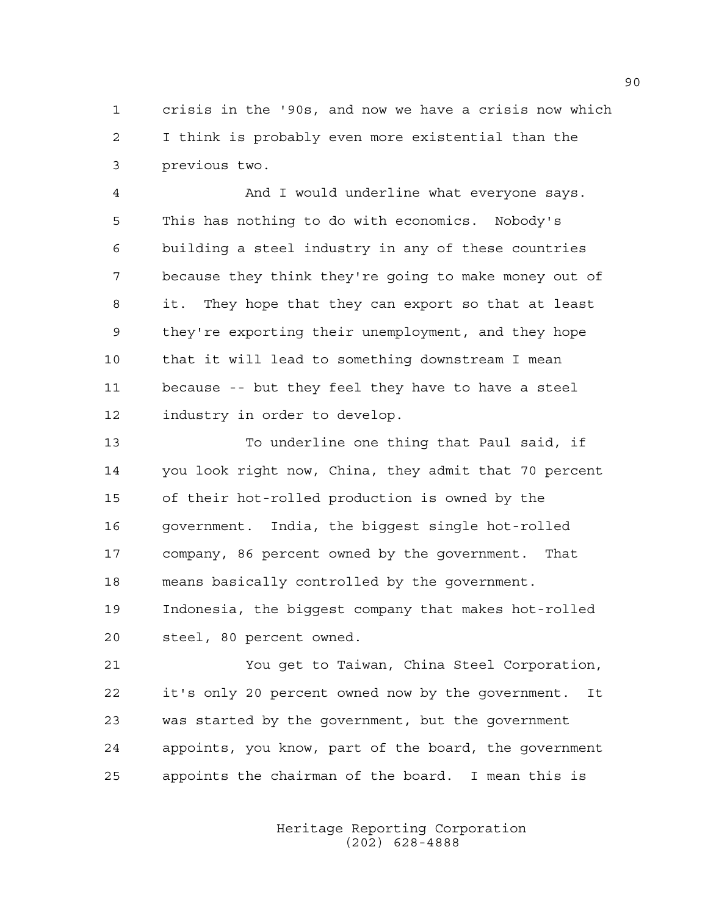1 crisis in the '90s, and now we have a crisis now which 2 I think is probably even more existential than the 3 previous two.

4 And I would underline what everyone says. 5 This has nothing to do with economics. Nobody's 6 building a steel industry in any of these countries 7 because they think they're going to make money out of 8 it. They hope that they can export so that at least 9 they're exporting their unemployment, and they hope 10 that it will lead to something downstream I mean 11 because -- but they feel they have to have a steel 12 industry in order to develop.

13 To underline one thing that Paul said, if 14 you look right now, China, they admit that 70 percent 15 of their hot-rolled production is owned by the 16 government. India, the biggest single hot-rolled 17 company, 86 percent owned by the government. That 18 means basically controlled by the government. 19 Indonesia, the biggest company that makes hot-rolled 20 steel, 80 percent owned.

21 You get to Taiwan, China Steel Corporation, 22 it's only 20 percent owned now by the government. It 23 was started by the government, but the government 24 appoints, you know, part of the board, the government 25 appoints the chairman of the board. I mean this is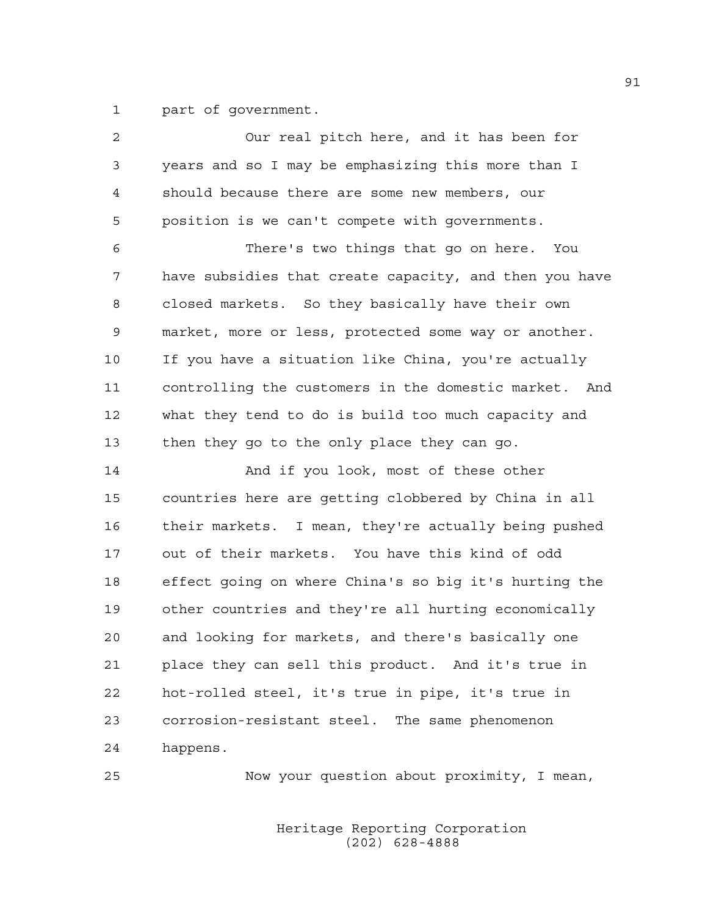1 part of government.

| 2  | Our real pitch here, and it has been for               |
|----|--------------------------------------------------------|
| 3  | years and so I may be emphasizing this more than I     |
| 4  | should because there are some new members, our         |
| 5  | position is we can't compete with governments.         |
| 6  | There's two things that go on here. You                |
| 7  | have subsidies that create capacity, and then you have |
| 8  | closed markets. So they basically have their own       |
| 9  | market, more or less, protected some way or another.   |
| 10 | If you have a situation like China, you're actually    |
| 11 | controlling the customers in the domestic market. And  |
| 12 | what they tend to do is build too much capacity and    |
| 13 | then they go to the only place they can go.            |
| 14 | And if you look, most of these other                   |
| 15 | countries here are getting clobbered by China in all   |
| 16 | their markets. I mean, they're actually being pushed   |
| 17 | out of their markets. You have this kind of odd        |
| 18 | effect going on where China's so big it's hurting the  |
| 19 | other countries and they're all hurting economically   |
| 20 | and looking for markets, and there's basically one     |
| 21 | place they can sell this product. And it's true in     |
| 22 | hot-rolled steel, it's true in pipe, it's true in      |
| 23 | corrosion-resistant steel. The same phenomenon         |
| 24 | happens.                                               |
|    |                                                        |

25 Now your question about proximity, I mean,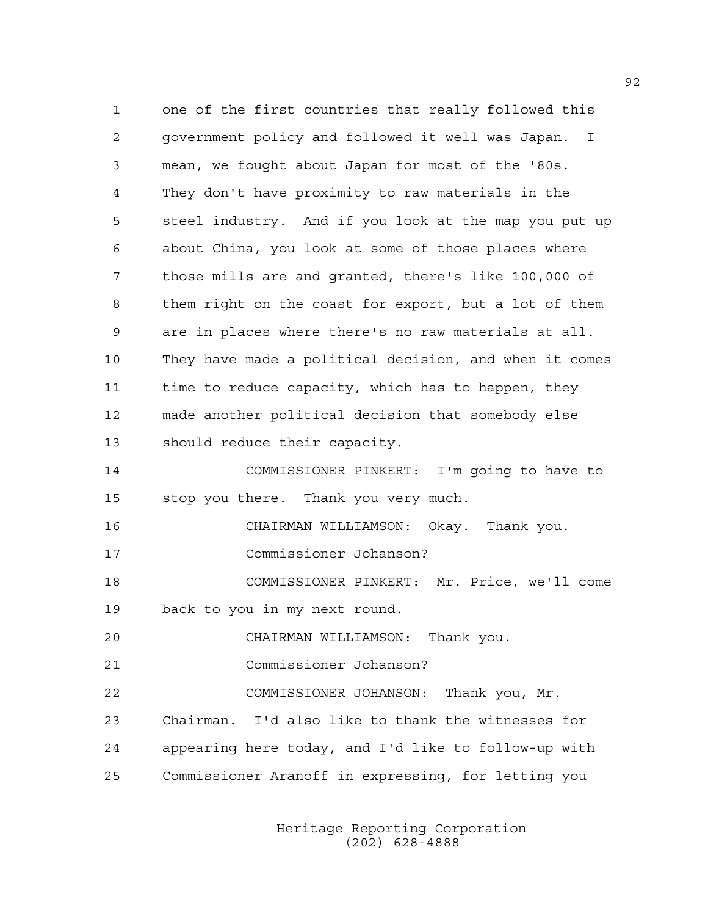1 one of the first countries that really followed this 2 government policy and followed it well was Japan. I 3 mean, we fought about Japan for most of the '80s. 4 They don't have proximity to raw materials in the 5 steel industry. And if you look at the map you put up 6 about China, you look at some of those places where 7 those mills are and granted, there's like 100,000 of 8 them right on the coast for export, but a lot of them 9 are in places where there's no raw materials at all. 10 They have made a political decision, and when it comes 11 time to reduce capacity, which has to happen, they 12 made another political decision that somebody else 13 should reduce their capacity. 14 COMMISSIONER PINKERT: I'm going to have to 15 stop you there. Thank you very much. 16 CHAIRMAN WILLIAMSON: Okay. Thank you. 17 Commissioner Johanson? 18 COMMISSIONER PINKERT: Mr. Price, we'll come 19 back to you in my next round. 20 CHAIRMAN WILLIAMSON: Thank you. 21 Commissioner Johanson? 22 COMMISSIONER JOHANSON: Thank you, Mr. 23 Chairman. I'd also like to thank the witnesses for 24 appearing here today, and I'd like to follow-up with 25 Commissioner Aranoff in expressing, for letting you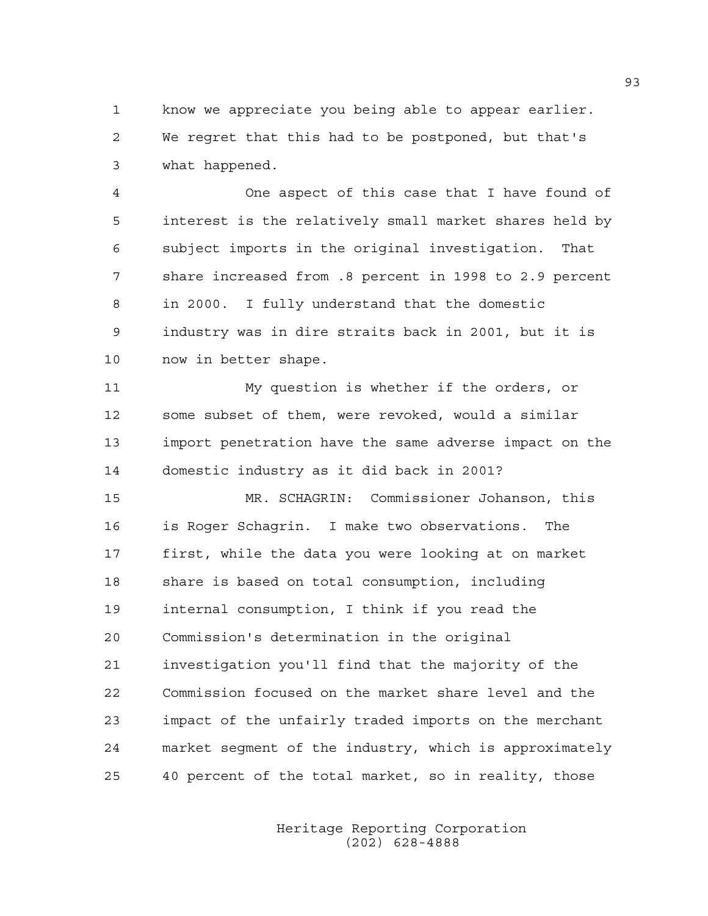1 know we appreciate you being able to appear earlier. 2 We regret that this had to be postponed, but that's 3 what happened.

4 One aspect of this case that I have found of 5 interest is the relatively small market shares held by 6 subject imports in the original investigation. That 7 share increased from .8 percent in 1998 to 2.9 percent 8 in 2000. I fully understand that the domestic 9 industry was in dire straits back in 2001, but it is 10 now in better shape.

11 My question is whether if the orders, or 12 some subset of them, were revoked, would a similar 13 import penetration have the same adverse impact on the 14 domestic industry as it did back in 2001?

15 MR. SCHAGRIN: Commissioner Johanson, this 16 is Roger Schagrin. I make two observations. The 17 first, while the data you were looking at on market 18 share is based on total consumption, including 19 internal consumption, I think if you read the 20 Commission's determination in the original 21 investigation you'll find that the majority of the 22 Commission focused on the market share level and the 23 impact of the unfairly traded imports on the merchant 24 market segment of the industry, which is approximately 25 40 percent of the total market, so in reality, those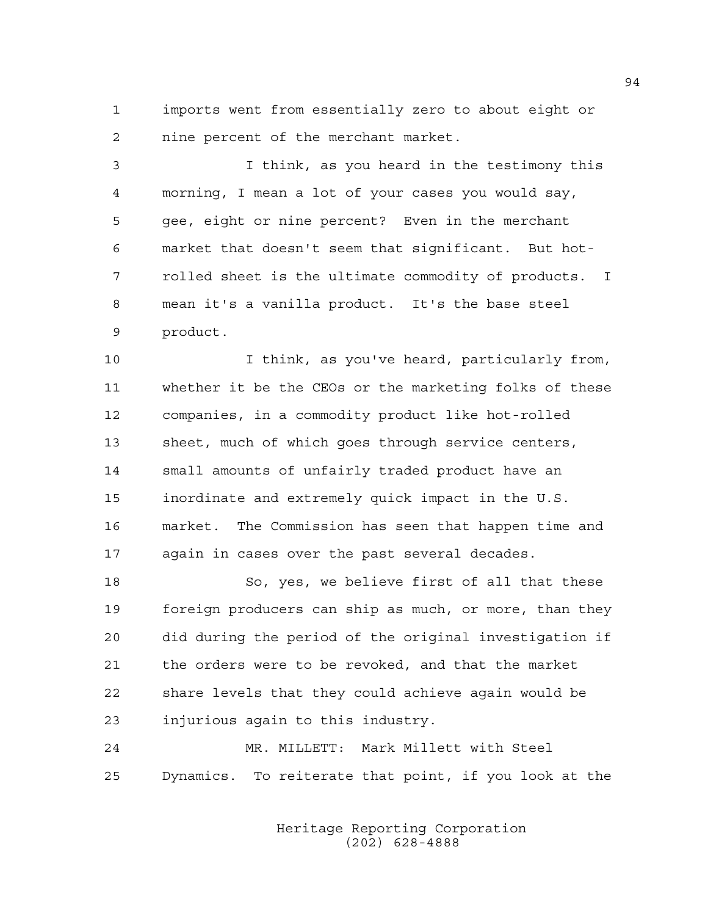1 imports went from essentially zero to about eight or 2 nine percent of the merchant market.

3 I think, as you heard in the testimony this 4 morning, I mean a lot of your cases you would say, 5 gee, eight or nine percent? Even in the merchant 6 market that doesn't seem that significant. But hot-7 rolled sheet is the ultimate commodity of products. I 8 mean it's a vanilla product. It's the base steel 9 product.

10 I think, as you've heard, particularly from, 11 whether it be the CEOs or the marketing folks of these 12 companies, in a commodity product like hot-rolled 13 sheet, much of which goes through service centers, 14 small amounts of unfairly traded product have an 15 inordinate and extremely quick impact in the U.S. 16 market. The Commission has seen that happen time and 17 again in cases over the past several decades.

18 So, yes, we believe first of all that these 19 foreign producers can ship as much, or more, than they 20 did during the period of the original investigation if 21 the orders were to be revoked, and that the market 22 share levels that they could achieve again would be 23 injurious again to this industry.

24 MR. MILLETT: Mark Millett with Steel 25 Dynamics. To reiterate that point, if you look at the

> Heritage Reporting Corporation (202) 628-4888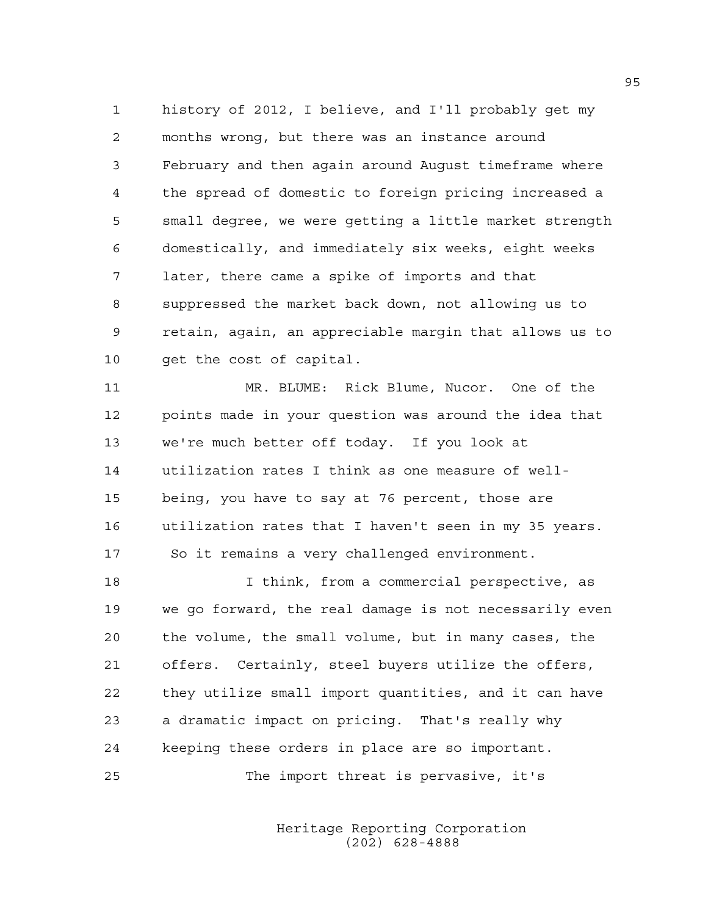1 history of 2012, I believe, and I'll probably get my 2 months wrong, but there was an instance around 3 February and then again around August timeframe where 4 the spread of domestic to foreign pricing increased a 5 small degree, we were getting a little market strength 6 domestically, and immediately six weeks, eight weeks 7 later, there came a spike of imports and that 8 suppressed the market back down, not allowing us to 9 retain, again, an appreciable margin that allows us to 10 get the cost of capital.

11 MR. BLUME: Rick Blume, Nucor. One of the 12 points made in your question was around the idea that 13 we're much better off today. If you look at 14 utilization rates I think as one measure of well-15 being, you have to say at 76 percent, those are 16 utilization rates that I haven't seen in my 35 years. 17 So it remains a very challenged environment.

18 I think, from a commercial perspective, as 19 we go forward, the real damage is not necessarily even 20 the volume, the small volume, but in many cases, the 21 offers. Certainly, steel buyers utilize the offers, 22 they utilize small import quantities, and it can have 23 a dramatic impact on pricing. That's really why 24 keeping these orders in place are so important.

25 The import threat is pervasive, it's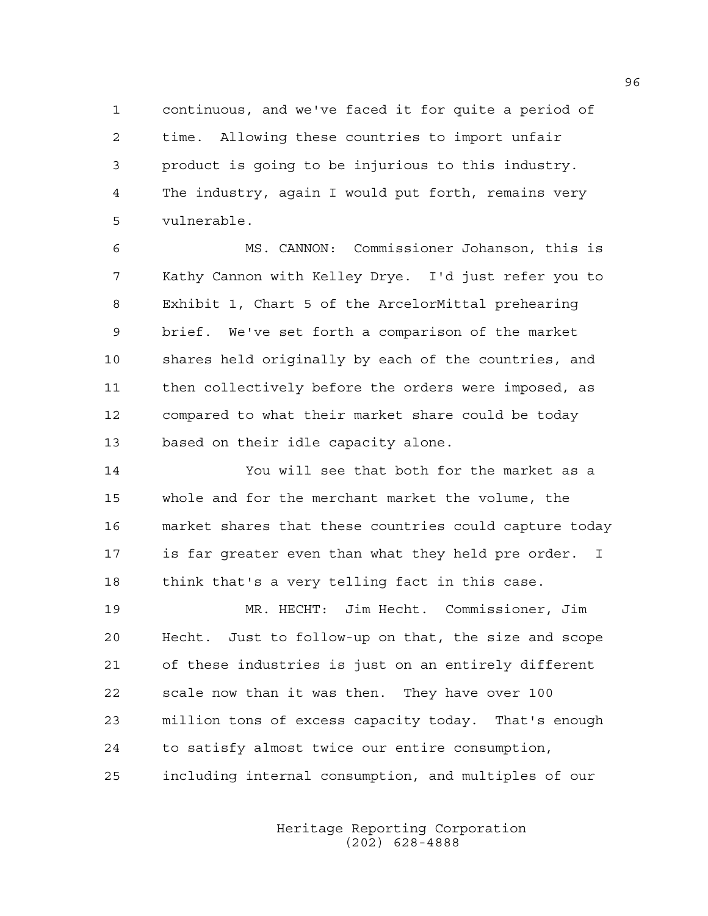1 continuous, and we've faced it for quite a period of 2 time. Allowing these countries to import unfair 3 product is going to be injurious to this industry. 4 The industry, again I would put forth, remains very 5 vulnerable.

6 MS. CANNON: Commissioner Johanson, this is 7 Kathy Cannon with Kelley Drye. I'd just refer you to 8 Exhibit 1, Chart 5 of the ArcelorMittal prehearing 9 brief. We've set forth a comparison of the market 10 shares held originally by each of the countries, and 11 then collectively before the orders were imposed, as 12 compared to what their market share could be today 13 based on their idle capacity alone.

14 You will see that both for the market as a 15 whole and for the merchant market the volume, the 16 market shares that these countries could capture today 17 is far greater even than what they held pre order. I 18 think that's a very telling fact in this case.

19 MR. HECHT: Jim Hecht. Commissioner, Jim 20 Hecht. Just to follow-up on that, the size and scope 21 of these industries is just on an entirely different 22 scale now than it was then. They have over 100 23 million tons of excess capacity today. That's enough 24 to satisfy almost twice our entire consumption, 25 including internal consumption, and multiples of our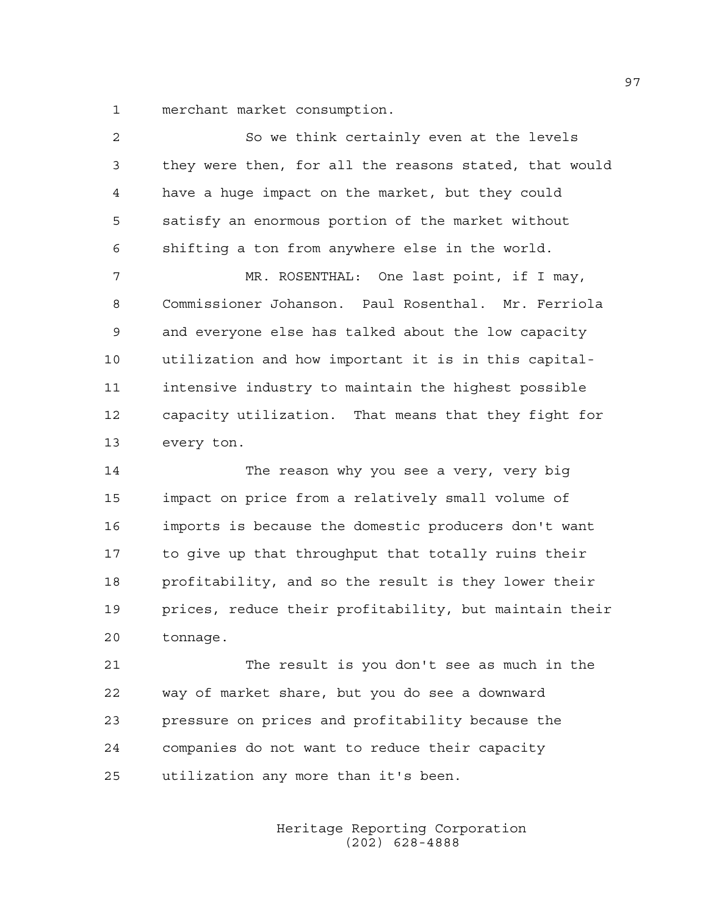1 merchant market consumption.

| $\overline{2}$ | So we think certainly even at the levels               |
|----------------|--------------------------------------------------------|
| 3              | they were then, for all the reasons stated, that would |
| 4              | have a huge impact on the market, but they could       |
| 5              | satisfy an enormous portion of the market without      |
| 6              | shifting a ton from anywhere else in the world.        |
| 7              | MR. ROSENTHAL: One last point, if I may,               |
| 8              | Commissioner Johanson. Paul Rosenthal. Mr. Ferriola    |
| 9              | and everyone else has talked about the low capacity    |
| 10             | utilization and how important it is in this capital-   |
| 11             | intensive industry to maintain the highest possible    |
| 12             | capacity utilization. That means that they fight for   |
| 13             | every ton.                                             |
| 14             | The reason why you see a very, very big                |
| 15             | impact on price from a relatively small volume of      |
| 16             | imports is because the domestic producers don't want   |
| 17             | to give up that throughput that totally ruins their    |
| 18             | profitability, and so the result is they lower their   |
| 19             | prices, reduce their profitability, but maintain their |
| 20             | tonnage.                                               |

21 The result is you don't see as much in the 22 way of market share, but you do see a downward 23 pressure on prices and profitability because the 24 companies do not want to reduce their capacity 25 utilization any more than it's been.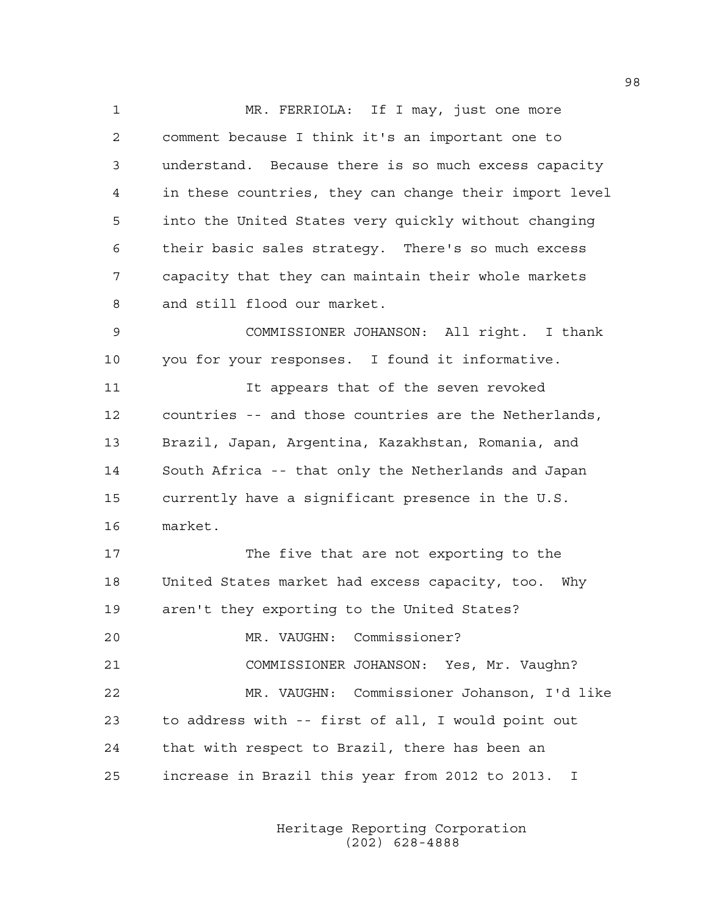1 MR. FERRIOLA: If I may, just one more 2 comment because I think it's an important one to 3 understand. Because there is so much excess capacity 4 in these countries, they can change their import level 5 into the United States very quickly without changing 6 their basic sales strategy. There's so much excess 7 capacity that they can maintain their whole markets 8 and still flood our market. 9 COMMISSIONER JOHANSON: All right. I thank 10 you for your responses. I found it informative. 11 It appears that of the seven revoked 12 countries -- and those countries are the Netherlands, 13 Brazil, Japan, Argentina, Kazakhstan, Romania, and 14 South Africa -- that only the Netherlands and Japan 15 currently have a significant presence in the U.S. 16 market. 17 The five that are not exporting to the 18 United States market had excess capacity, too. Why 19 aren't they exporting to the United States? 20 MR. VAUGHN: Commissioner? 21 COMMISSIONER JOHANSON: Yes, Mr. Vaughn? 22 MR. VAUGHN: Commissioner Johanson, I'd like 23 to address with -- first of all, I would point out 24 that with respect to Brazil, there has been an 25 increase in Brazil this year from 2012 to 2013. I

> Heritage Reporting Corporation (202) 628-4888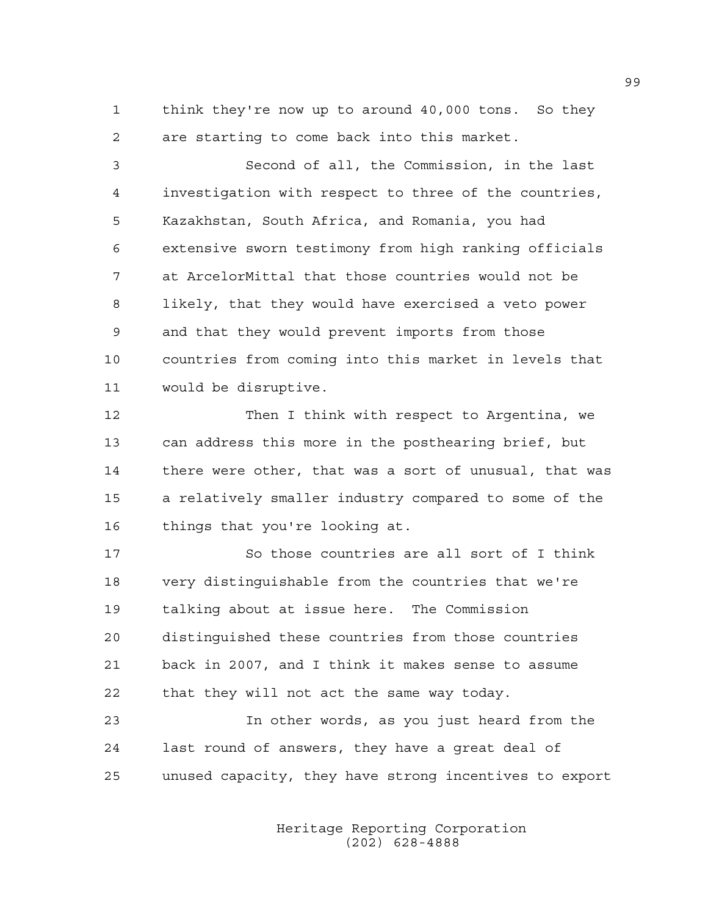1 think they're now up to around 40,000 tons. So they 2 are starting to come back into this market.

3 Second of all, the Commission, in the last 4 investigation with respect to three of the countries, 5 Kazakhstan, South Africa, and Romania, you had 6 extensive sworn testimony from high ranking officials 7 at ArcelorMittal that those countries would not be 8 likely, that they would have exercised a veto power 9 and that they would prevent imports from those 10 countries from coming into this market in levels that 11 would be disruptive.

12 Then I think with respect to Argentina, we 13 can address this more in the posthearing brief, but 14 there were other, that was a sort of unusual, that was 15 a relatively smaller industry compared to some of the 16 things that you're looking at.

17 So those countries are all sort of I think 18 very distinguishable from the countries that we're 19 talking about at issue here. The Commission 20 distinguished these countries from those countries 21 back in 2007, and I think it makes sense to assume 22 that they will not act the same way today.

23 In other words, as you just heard from the 24 last round of answers, they have a great deal of 25 unused capacity, they have strong incentives to export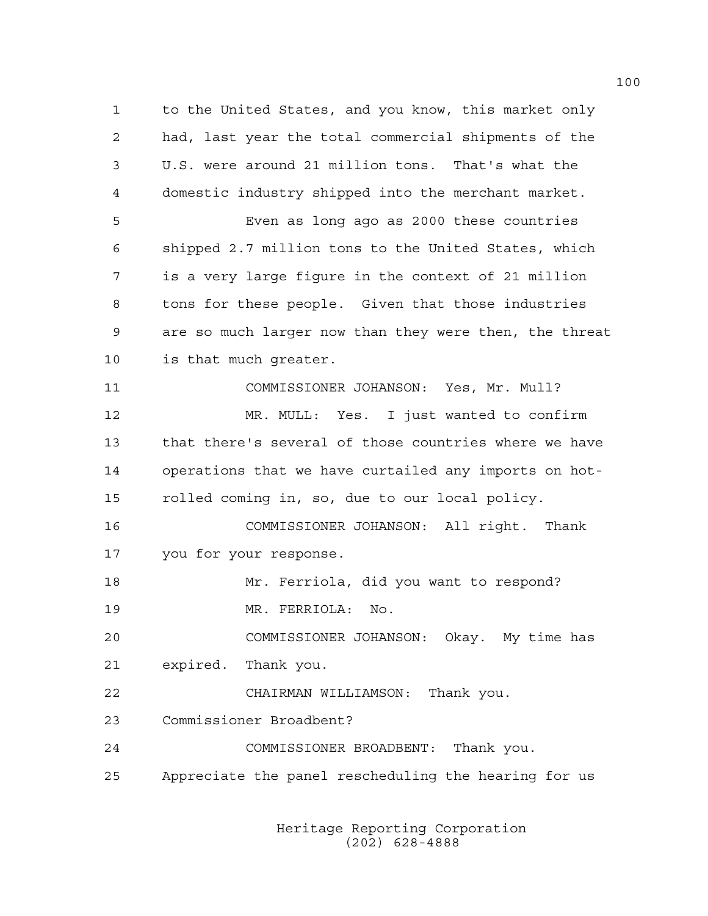1 to the United States, and you know, this market only 2 had, last year the total commercial shipments of the 3 U.S. were around 21 million tons. That's what the 4 domestic industry shipped into the merchant market. 5 Even as long ago as 2000 these countries 6 shipped 2.7 million tons to the United States, which 7 is a very large figure in the context of 21 million 8 tons for these people. Given that those industries 9 are so much larger now than they were then, the threat 10 is that much greater. 11 COMMISSIONER JOHANSON: Yes, Mr. Mull? 12 MR. MULL: Yes. I just wanted to confirm 13 that there's several of those countries where we have 14 operations that we have curtailed any imports on hot-15 rolled coming in, so, due to our local policy. 16 COMMISSIONER JOHANSON: All right. Thank 17 you for your response. 18 Mr. Ferriola, did you want to respond? 19 MR. FERRIOLA: No. 20 COMMISSIONER JOHANSON: Okay. My time has 21 expired. Thank you. 22 CHAIRMAN WILLIAMSON: Thank you. 23 Commissioner Broadbent? 24 COMMISSIONER BROADBENT: Thank you. 25 Appreciate the panel rescheduling the hearing for us

> Heritage Reporting Corporation (202) 628-4888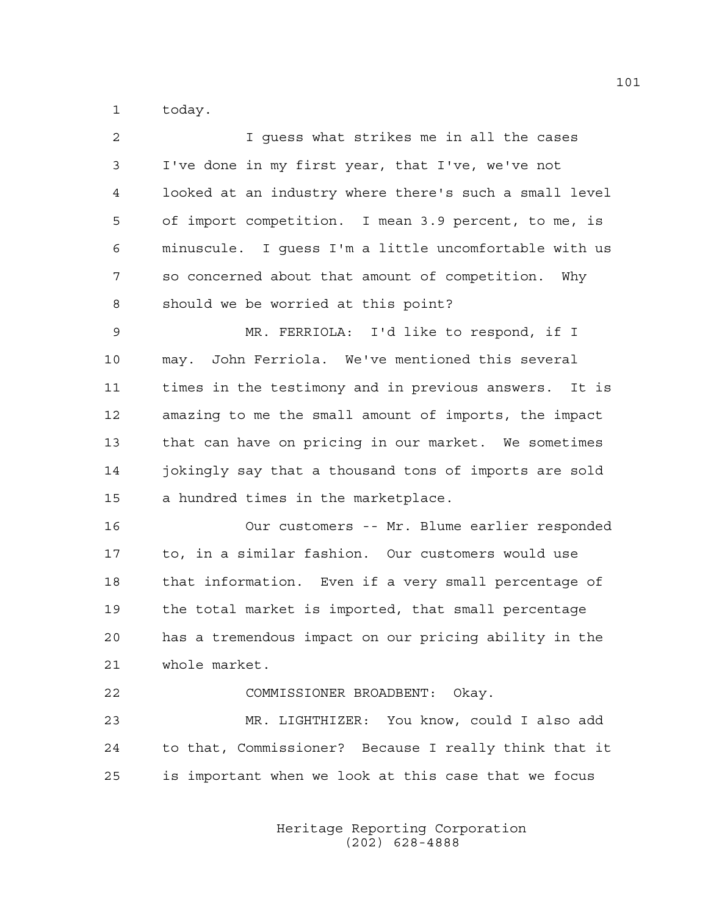1 today.

| 2  | I guess what strikes me in all the cases               |
|----|--------------------------------------------------------|
| 3  | I've done in my first year, that I've, we've not       |
| 4  | looked at an industry where there's such a small level |
| 5  | of import competition. I mean 3.9 percent, to me, is   |
| 6  | minuscule. I quess I'm a little uncomfortable with us  |
| 7  | so concerned about that amount of competition. Why     |
| 8  | should we be worried at this point?                    |
| 9  | MR. FERRIOLA: I'd like to respond, if I                |
| 10 | may. John Ferriola. We've mentioned this several       |
| 11 | times in the testimony and in previous answers. It is  |
| 12 | amazing to me the small amount of imports, the impact  |
| 13 | that can have on pricing in our market. We sometimes   |
| 14 | jokingly say that a thousand tons of imports are sold  |
| 15 | a hundred times in the marketplace.                    |
| 16 | Our customers -- Mr. Blume earlier responded           |
| 17 | to, in a similar fashion. Our customers would use      |
| 18 | that information. Even if a very small percentage of   |
| 19 | the total market is imported, that small percentage    |
| 20 | has a tremendous impact on our pricing ability in the  |
| 21 | whole market.                                          |
| 22 | COMMISSIONER BROADBENT: Okay.                          |
| 23 | MR. LIGHTHIZER: You know, could I also add             |
| 24 | to that, Commissioner? Because I really think that it  |
| 25 | is important when we look at this case that we focus   |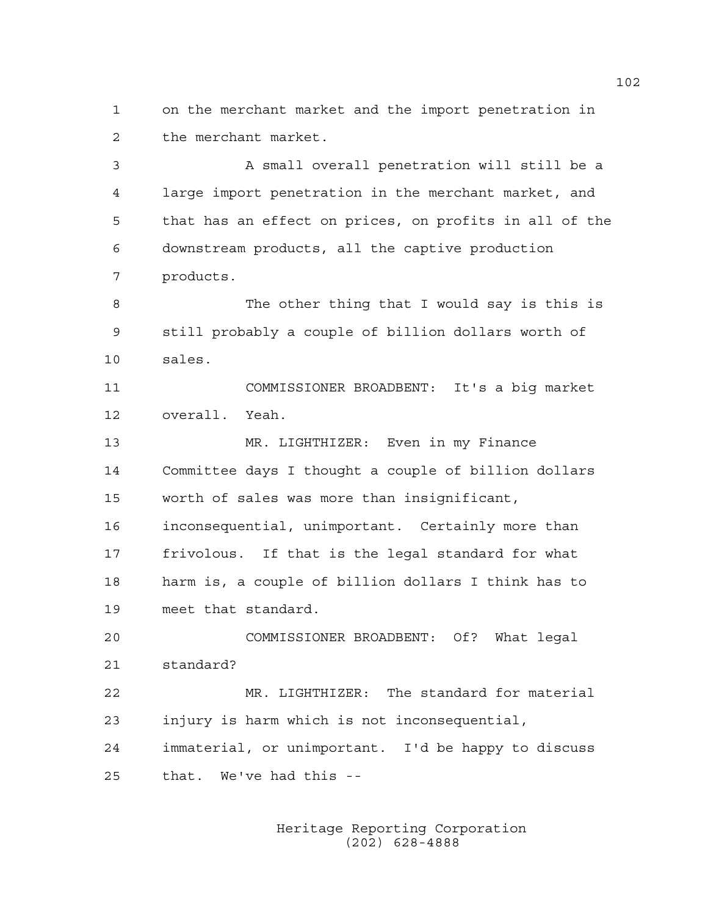1 on the merchant market and the import penetration in 2 the merchant market.

3 A small overall penetration will still be a 4 large import penetration in the merchant market, and 5 that has an effect on prices, on profits in all of the 6 downstream products, all the captive production 7 products. 8 The other thing that I would say is this is 9 still probably a couple of billion dollars worth of 10 sales. 11 COMMISSIONER BROADBENT: It's a big market 12 overall. Yeah. 13 MR. LIGHTHIZER: Even in my Finance

14 Committee days I thought a couple of billion dollars 15 worth of sales was more than insignificant, 16 inconsequential, unimportant. Certainly more than 17 frivolous. If that is the legal standard for what 18 harm is, a couple of billion dollars I think has to 19 meet that standard.

20 COMMISSIONER BROADBENT: Of? What legal 21 standard?

22 MR. LIGHTHIZER: The standard for material 23 injury is harm which is not inconsequential, 24 immaterial, or unimportant. I'd be happy to discuss 25 that. We've had this --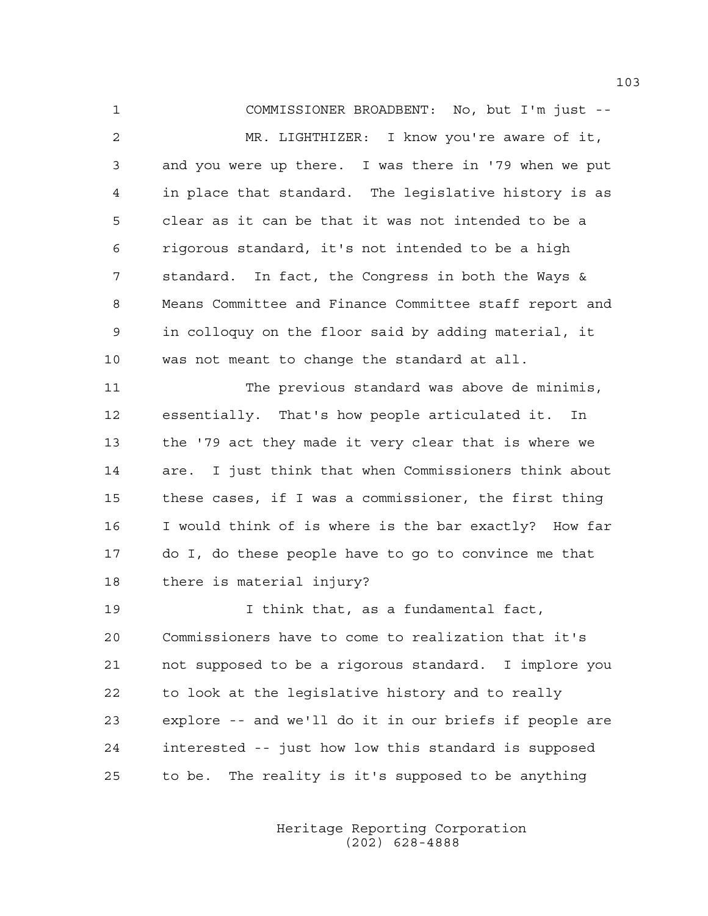1 COMMISSIONER BROADBENT: No, but I'm just -- 2 MR. LIGHTHIZER: I know you're aware of it, 3 and you were up there. I was there in '79 when we put 4 in place that standard. The legislative history is as 5 clear as it can be that it was not intended to be a 6 rigorous standard, it's not intended to be a high 7 standard. In fact, the Congress in both the Ways & 8 Means Committee and Finance Committee staff report and 9 in colloquy on the floor said by adding material, it 10 was not meant to change the standard at all.

11 The previous standard was above de minimis, 12 essentially. That's how people articulated it. In 13 the '79 act they made it very clear that is where we 14 are. I just think that when Commissioners think about 15 these cases, if I was a commissioner, the first thing 16 I would think of is where is the bar exactly? How far 17 do I, do these people have to go to convince me that 18 there is material injury?

19 I think that, as a fundamental fact, 20 Commissioners have to come to realization that it's 21 not supposed to be a rigorous standard. I implore you 22 to look at the legislative history and to really 23 explore -- and we'll do it in our briefs if people are 24 interested -- just how low this standard is supposed 25 to be. The reality is it's supposed to be anything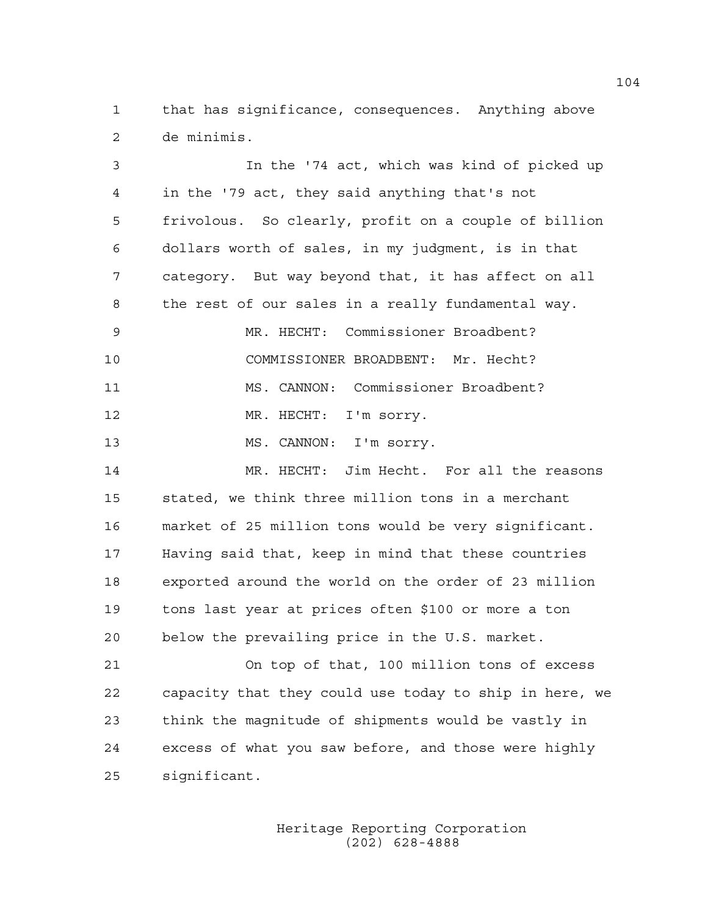1 that has significance, consequences. Anything above 2 de minimis.

3 In the '74 act, which was kind of picked up 4 in the '79 act, they said anything that's not 5 frivolous. So clearly, profit on a couple of billion 6 dollars worth of sales, in my judgment, is in that 7 category. But way beyond that, it has affect on all 8 the rest of our sales in a really fundamental way. 9 MR. HECHT: Commissioner Broadbent? 10 COMMISSIONER BROADBENT: Mr. Hecht? 11 MS. CANNON: Commissioner Broadbent? 12 MR. HECHT: I'm sorry. 13 MS. CANNON: I'm sorry. 14 MR. HECHT: Jim Hecht. For all the reasons 15 stated, we think three million tons in a merchant 16 market of 25 million tons would be very significant. 17 Having said that, keep in mind that these countries 18 exported around the world on the order of 23 million 19 tons last year at prices often \$100 or more a ton 20 below the prevailing price in the U.S. market. 21 On top of that, 100 million tons of excess 22 capacity that they could use today to ship in here, we 23 think the magnitude of shipments would be vastly in 24 excess of what you saw before, and those were highly 25 significant.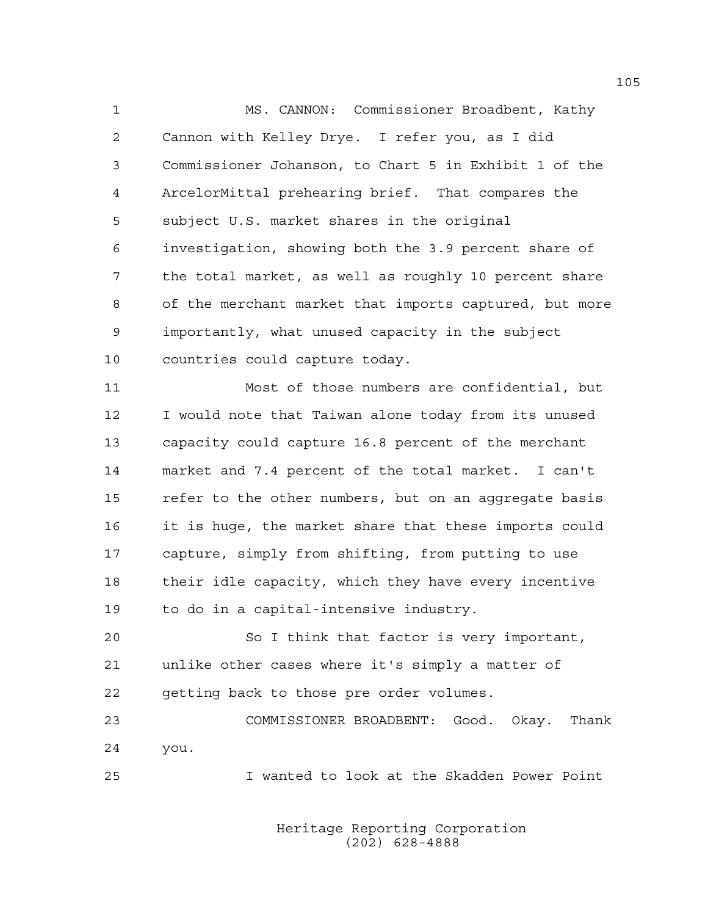1 MS. CANNON: Commissioner Broadbent, Kathy 2 Cannon with Kelley Drye. I refer you, as I did 3 Commissioner Johanson, to Chart 5 in Exhibit 1 of the 4 ArcelorMittal prehearing brief. That compares the 5 subject U.S. market shares in the original 6 investigation, showing both the 3.9 percent share of 7 the total market, as well as roughly 10 percent share 8 of the merchant market that imports captured, but more 9 importantly, what unused capacity in the subject 10 countries could capture today.

11 Most of those numbers are confidential, but 12 I would note that Taiwan alone today from its unused 13 capacity could capture 16.8 percent of the merchant 14 market and 7.4 percent of the total market. I can't 15 refer to the other numbers, but on an aggregate basis 16 it is huge, the market share that these imports could 17 capture, simply from shifting, from putting to use 18 their idle capacity, which they have every incentive 19 to do in a capital-intensive industry.

20 So I think that factor is very important, 21 unlike other cases where it's simply a matter of 22 getting back to those pre order volumes.

23 COMMISSIONER BROADBENT: Good. Okay. Thank 24 you.

25 I wanted to look at the Skadden Power Point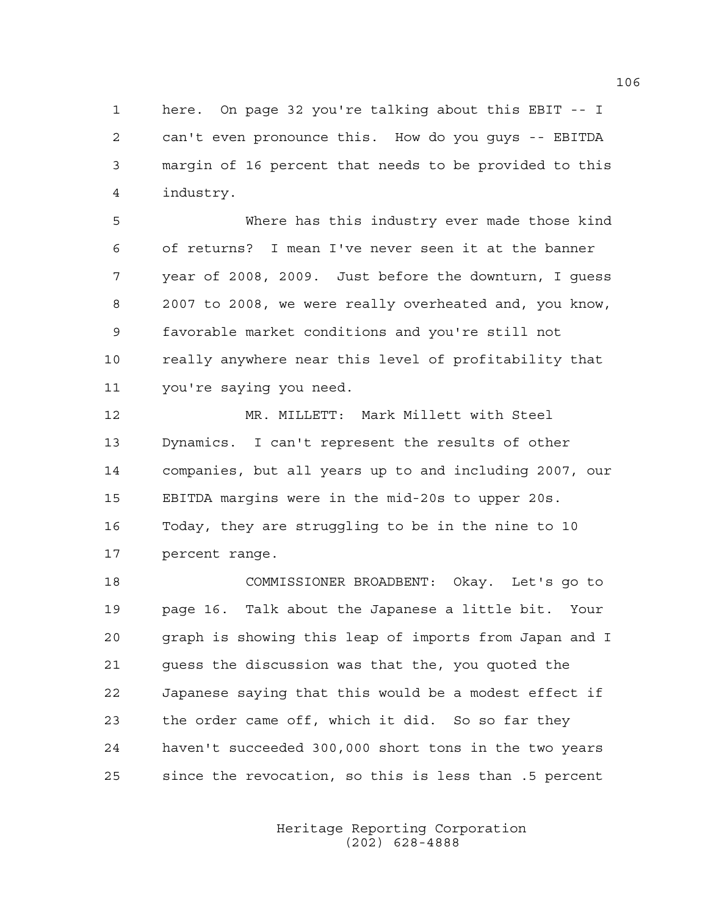1 here. On page 32 you're talking about this EBIT -- I 2 can't even pronounce this. How do you guys -- EBITDA 3 margin of 16 percent that needs to be provided to this 4 industry.

5 Where has this industry ever made those kind 6 of returns? I mean I've never seen it at the banner 7 year of 2008, 2009. Just before the downturn, I guess 8 2007 to 2008, we were really overheated and, you know, 9 favorable market conditions and you're still not 10 really anywhere near this level of profitability that 11 you're saying you need.

12 MR. MILLETT: Mark Millett with Steel 13 Dynamics. I can't represent the results of other 14 companies, but all years up to and including 2007, our 15 EBITDA margins were in the mid-20s to upper 20s. 16 Today, they are struggling to be in the nine to 10 17 percent range.

18 COMMISSIONER BROADBENT: Okay. Let's go to 19 page 16. Talk about the Japanese a little bit. Your 20 graph is showing this leap of imports from Japan and I 21 guess the discussion was that the, you quoted the 22 Japanese saying that this would be a modest effect if 23 the order came off, which it did. So so far they 24 haven't succeeded 300,000 short tons in the two years 25 since the revocation, so this is less than .5 percent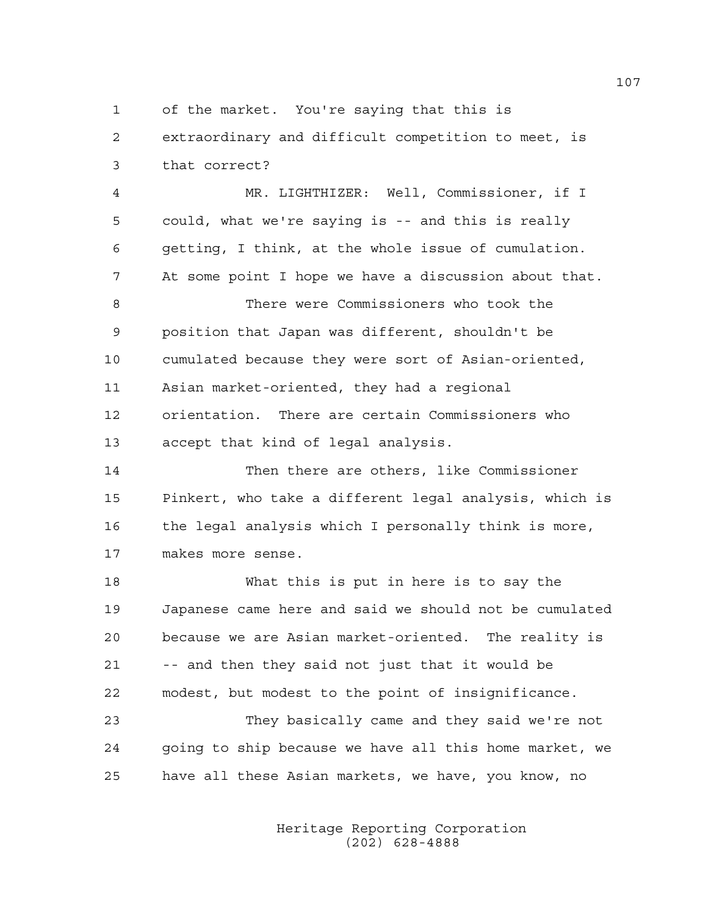1 of the market. You're saying that this is

2 extraordinary and difficult competition to meet, is 3 that correct?

4 MR. LIGHTHIZER: Well, Commissioner, if I 5 could, what we're saying is -- and this is really 6 getting, I think, at the whole issue of cumulation. 7 At some point I hope we have a discussion about that. 8 There were Commissioners who took the 9 position that Japan was different, shouldn't be 10 cumulated because they were sort of Asian-oriented, 11 Asian market-oriented, they had a regional 12 orientation. There are certain Commissioners who 13 accept that kind of legal analysis.

14 Then there are others, like Commissioner 15 Pinkert, who take a different legal analysis, which is 16 the legal analysis which I personally think is more, 17 makes more sense.

18 What this is put in here is to say the 19 Japanese came here and said we should not be cumulated 20 because we are Asian market-oriented. The reality is 21 -- and then they said not just that it would be 22 modest, but modest to the point of insignificance.

23 They basically came and they said we're not 24 going to ship because we have all this home market, we 25 have all these Asian markets, we have, you know, no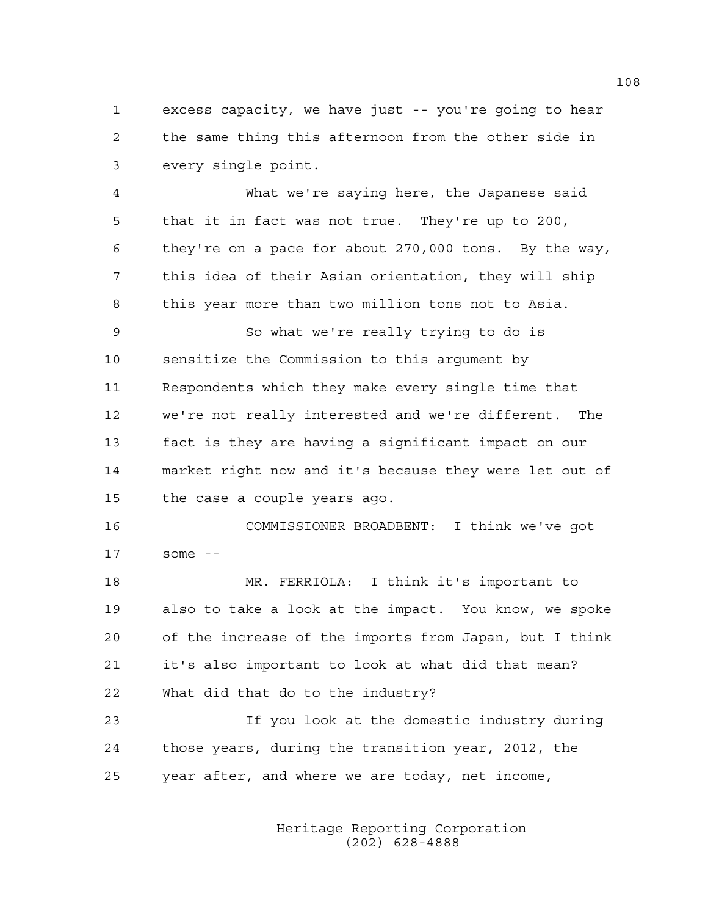1 excess capacity, we have just -- you're going to hear 2 the same thing this afternoon from the other side in 3 every single point.

4 What we're saying here, the Japanese said 5 that it in fact was not true. They're up to 200, 6 they're on a pace for about 270,000 tons. By the way, 7 this idea of their Asian orientation, they will ship 8 this year more than two million tons not to Asia.

9 So what we're really trying to do is 10 sensitize the Commission to this argument by 11 Respondents which they make every single time that 12 we're not really interested and we're different. The 13 fact is they are having a significant impact on our 14 market right now and it's because they were let out of 15 the case a couple years ago.

16 COMMISSIONER BROADBENT: I think we've got 17 some --

18 MR. FERRIOLA: I think it's important to 19 also to take a look at the impact. You know, we spoke 20 of the increase of the imports from Japan, but I think 21 it's also important to look at what did that mean? 22 What did that do to the industry?

23 If you look at the domestic industry during 24 those years, during the transition year, 2012, the 25 year after, and where we are today, net income,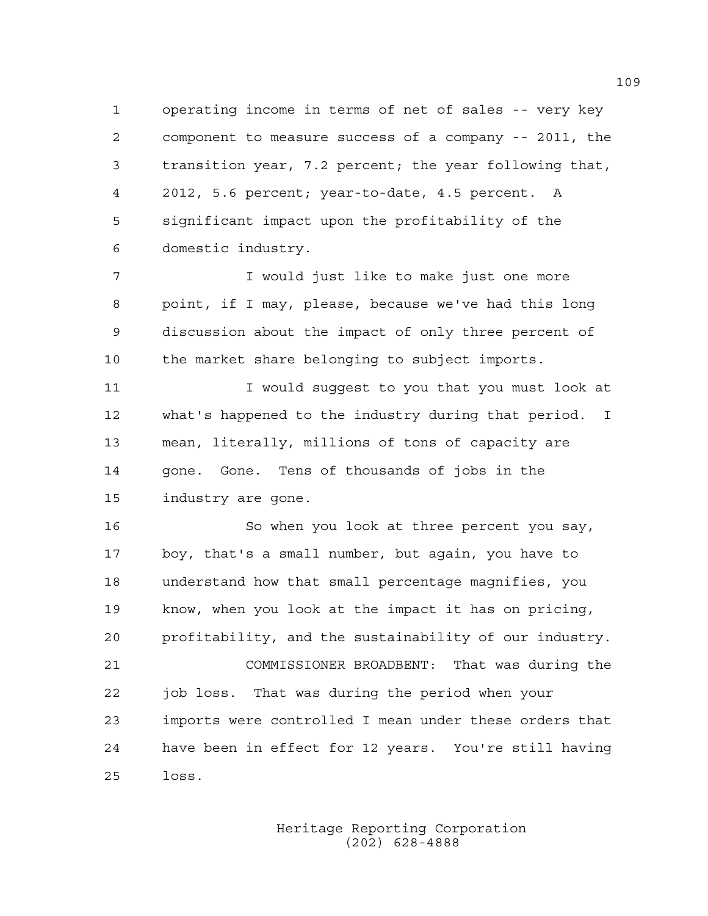1 operating income in terms of net of sales -- very key 2 component to measure success of a company -- 2011, the 3 transition year, 7.2 percent; the year following that, 4 2012, 5.6 percent; year-to-date, 4.5 percent. A 5 significant impact upon the profitability of the 6 domestic industry.

7 I would just like to make just one more 8 point, if I may, please, because we've had this long 9 discussion about the impact of only three percent of 10 the market share belonging to subject imports.

11 11 I would suggest to you that you must look at 12 what's happened to the industry during that period. I 13 mean, literally, millions of tons of capacity are 14 gone. Gone. Tens of thousands of jobs in the 15 industry are gone.

16 So when you look at three percent you say, 17 boy, that's a small number, but again, you have to 18 understand how that small percentage magnifies, you 19 know, when you look at the impact it has on pricing, 20 profitability, and the sustainability of our industry. 21 COMMISSIONER BROADBENT: That was during the 22 job loss. That was during the period when your 23 imports were controlled I mean under these orders that 24 have been in effect for 12 years. You're still having 25 loss.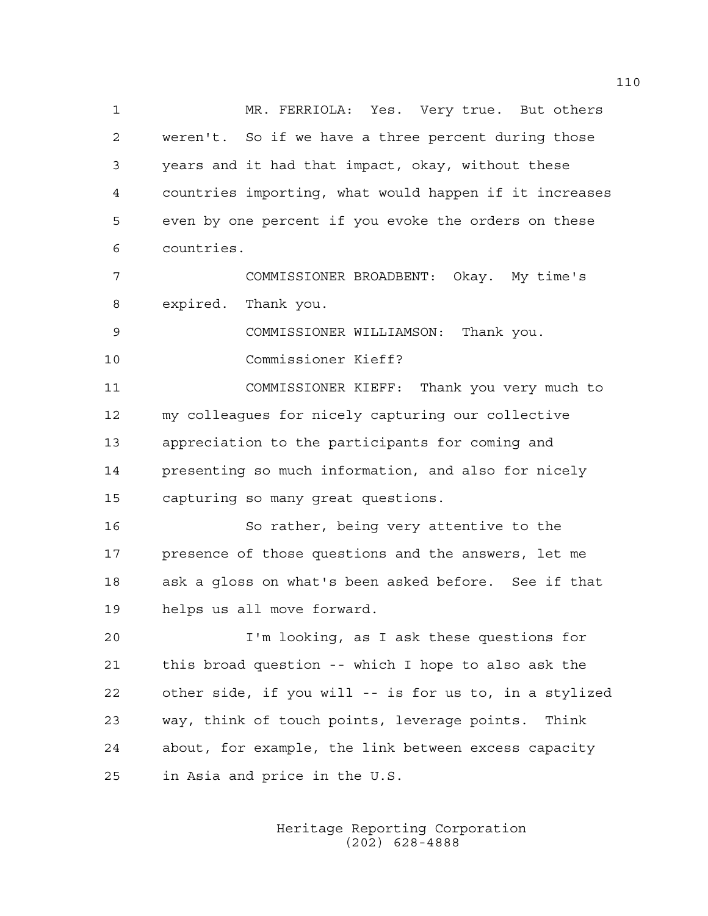1 MR. FERRIOLA: Yes. Very true. But others 2 weren't. So if we have a three percent during those 3 years and it had that impact, okay, without these 4 countries importing, what would happen if it increases 5 even by one percent if you evoke the orders on these 6 countries.

7 COMMISSIONER BROADBENT: Okay. My time's 8 expired. Thank you.

9 COMMISSIONER WILLIAMSON: Thank you.

10 Commissioner Kieff?

11 COMMISSIONER KIEFF: Thank you very much to 12 my colleagues for nicely capturing our collective 13 appreciation to the participants for coming and 14 presenting so much information, and also for nicely 15 capturing so many great questions.

16 So rather, being very attentive to the 17 presence of those questions and the answers, let me 18 ask a gloss on what's been asked before. See if that 19 helps us all move forward.

20 I'm looking, as I ask these questions for 21 this broad question -- which I hope to also ask the 22 other side, if you will -- is for us to, in a stylized 23 way, think of touch points, leverage points. Think 24 about, for example, the link between excess capacity 25 in Asia and price in the U.S.

> Heritage Reporting Corporation (202) 628-4888

110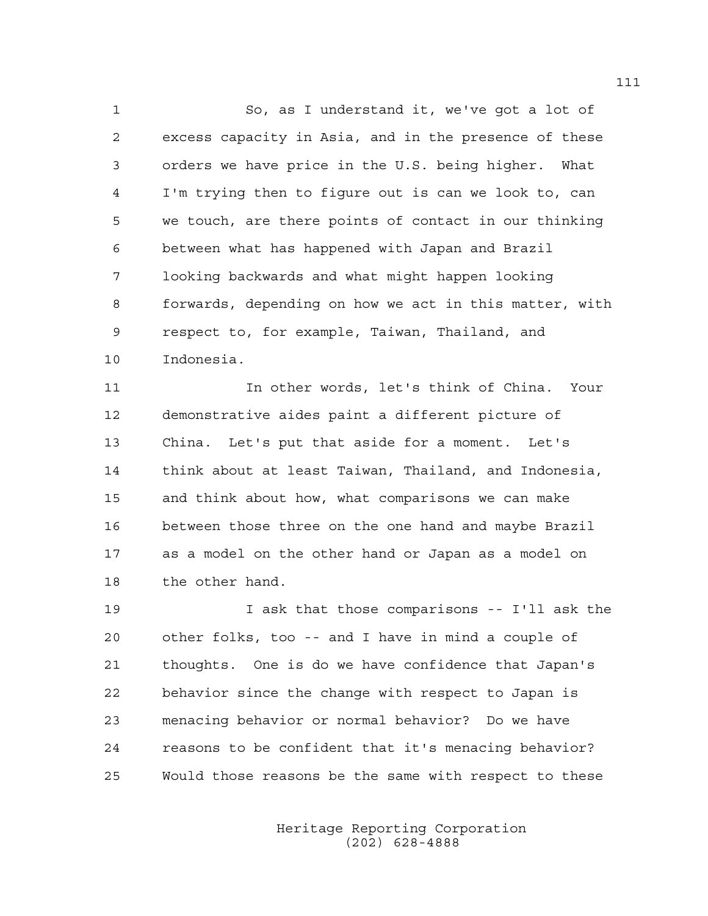1 So, as I understand it, we've got a lot of 2 excess capacity in Asia, and in the presence of these 3 orders we have price in the U.S. being higher. What 4 I'm trying then to figure out is can we look to, can 5 we touch, are there points of contact in our thinking 6 between what has happened with Japan and Brazil 7 looking backwards and what might happen looking 8 forwards, depending on how we act in this matter, with 9 respect to, for example, Taiwan, Thailand, and 10 Indonesia.

11 In other words, let's think of China. Your 12 demonstrative aides paint a different picture of 13 China. Let's put that aside for a moment. Let's 14 think about at least Taiwan, Thailand, and Indonesia, 15 and think about how, what comparisons we can make 16 between those three on the one hand and maybe Brazil 17 as a model on the other hand or Japan as a model on 18 the other hand.

19 I ask that those comparisons -- I'll ask the 20 other folks, too -- and I have in mind a couple of 21 thoughts. One is do we have confidence that Japan's 22 behavior since the change with respect to Japan is 23 menacing behavior or normal behavior? Do we have 24 reasons to be confident that it's menacing behavior? 25 Would those reasons be the same with respect to these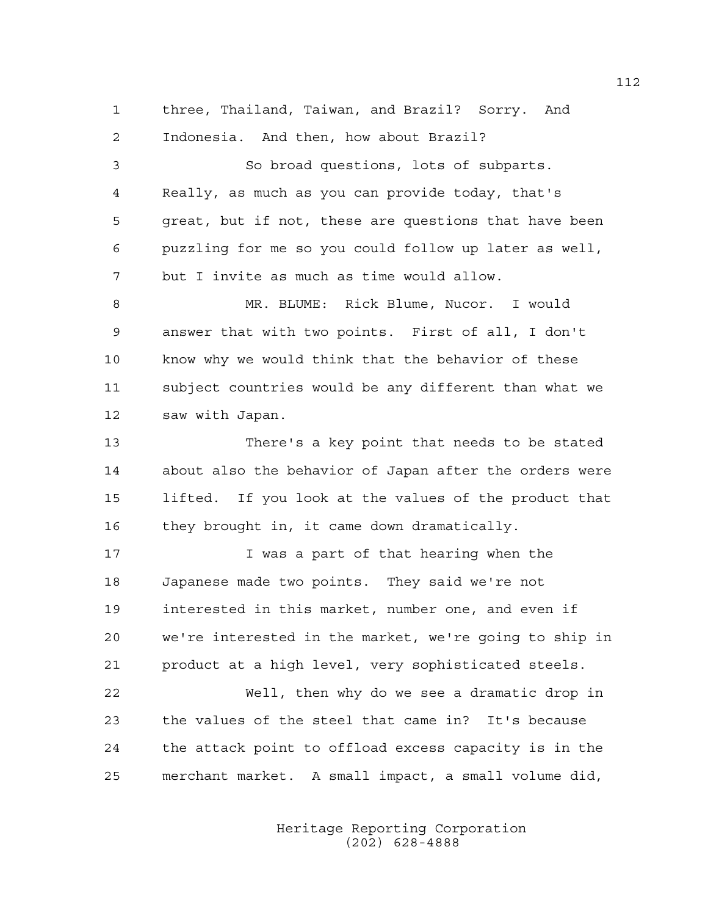1 three, Thailand, Taiwan, and Brazil? Sorry. And 2 Indonesia. And then, how about Brazil? 3 So broad questions, lots of subparts. 4 Really, as much as you can provide today, that's 5 great, but if not, these are questions that have been 6 puzzling for me so you could follow up later as well, 7 but I invite as much as time would allow. 8 MR. BLUME: Rick Blume, Nucor. I would 9 answer that with two points. First of all, I don't 10 know why we would think that the behavior of these 11 subject countries would be any different than what we 12 saw with Japan. 13 There's a key point that needs to be stated 14 about also the behavior of Japan after the orders were 15 lifted. If you look at the values of the product that 16 they brought in, it came down dramatically. 17 I was a part of that hearing when the 18 Japanese made two points. They said we're not 19 interested in this market, number one, and even if 20 we're interested in the market, we're going to ship in 21 product at a high level, very sophisticated steels. 22 Well, then why do we see a dramatic drop in 23 the values of the steel that came in? It's because

25 merchant market. A small impact, a small volume did,

24 the attack point to offload excess capacity is in the

 Heritage Reporting Corporation (202) 628-4888

112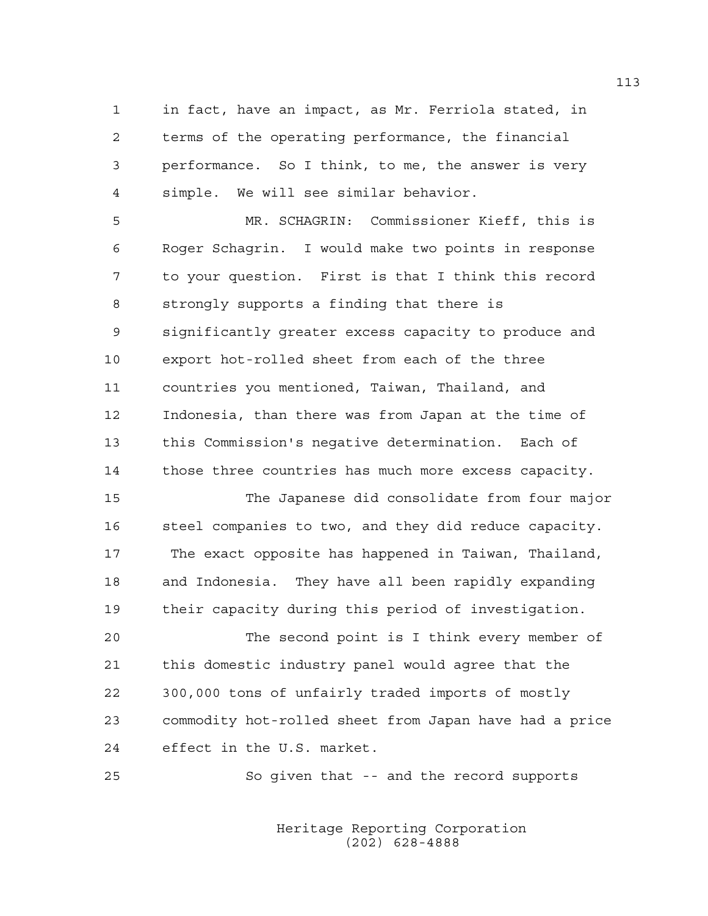1 in fact, have an impact, as Mr. Ferriola stated, in 2 terms of the operating performance, the financial 3 performance. So I think, to me, the answer is very 4 simple. We will see similar behavior.

5 MR. SCHAGRIN: Commissioner Kieff, this is 6 Roger Schagrin. I would make two points in response 7 to your question. First is that I think this record 8 strongly supports a finding that there is 9 significantly greater excess capacity to produce and 10 export hot-rolled sheet from each of the three 11 countries you mentioned, Taiwan, Thailand, and 12 Indonesia, than there was from Japan at the time of 13 this Commission's negative determination. Each of 14 those three countries has much more excess capacity.

15 The Japanese did consolidate from four major 16 steel companies to two, and they did reduce capacity. 17 The exact opposite has happened in Taiwan, Thailand, 18 and Indonesia. They have all been rapidly expanding 19 their capacity during this period of investigation.

20 The second point is I think every member of 21 this domestic industry panel would agree that the 22 300,000 tons of unfairly traded imports of mostly 23 commodity hot-rolled sheet from Japan have had a price 24 effect in the U.S. market.

25 So given that -- and the record supports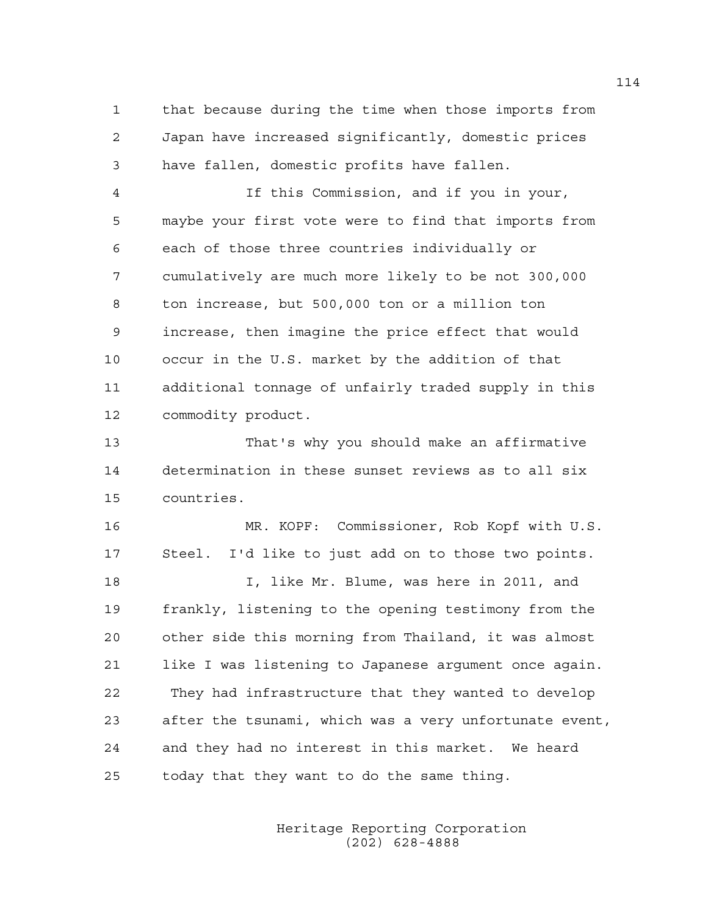1 that because during the time when those imports from 2 Japan have increased significantly, domestic prices 3 have fallen, domestic profits have fallen.

4 If this Commission, and if you in your, 5 maybe your first vote were to find that imports from 6 each of those three countries individually or 7 cumulatively are much more likely to be not 300,000 8 ton increase, but 500,000 ton or a million ton 9 increase, then imagine the price effect that would 10 occur in the U.S. market by the addition of that 11 additional tonnage of unfairly traded supply in this 12 commodity product.

13 That's why you should make an affirmative 14 determination in these sunset reviews as to all six 15 countries.

16 MR. KOPF: Commissioner, Rob Kopf with U.S. 17 Steel. I'd like to just add on to those two points. 18 I, like Mr. Blume, was here in 2011, and 19 frankly, listening to the opening testimony from the 20 other side this morning from Thailand, it was almost 21 like I was listening to Japanese argument once again. 22 They had infrastructure that they wanted to develop 23 after the tsunami, which was a very unfortunate event, 24 and they had no interest in this market. We heard 25 today that they want to do the same thing.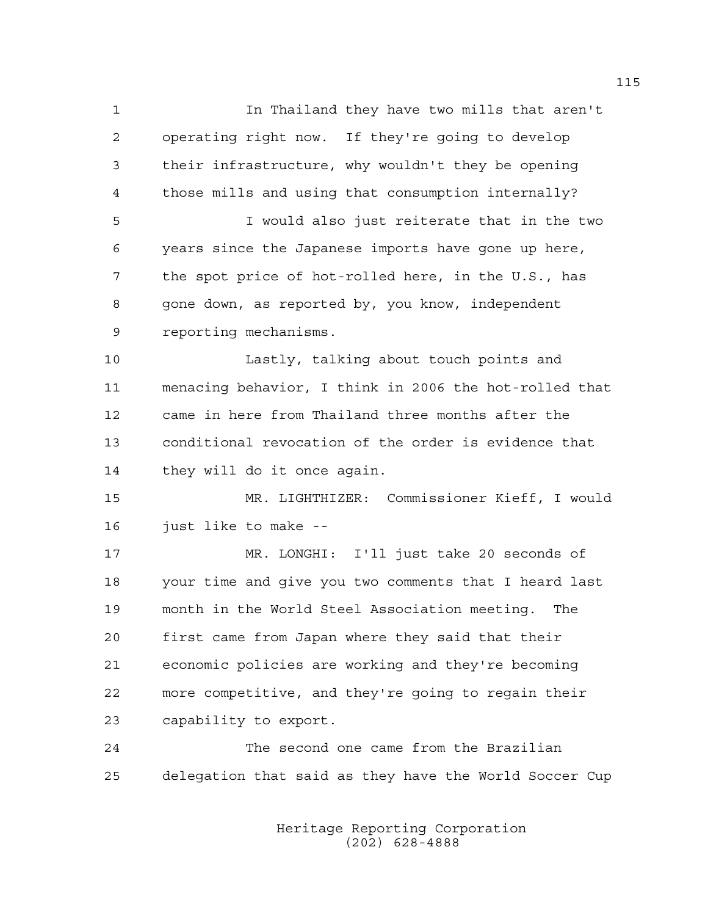1 In Thailand they have two mills that aren't 2 operating right now. If they're going to develop 3 their infrastructure, why wouldn't they be opening 4 those mills and using that consumption internally? 5 I would also just reiterate that in the two 6 years since the Japanese imports have gone up here, 7 the spot price of hot-rolled here, in the U.S., has 8 gone down, as reported by, you know, independent 9 reporting mechanisms. 10 Lastly, talking about touch points and 11 menacing behavior, I think in 2006 the hot-rolled that 12 came in here from Thailand three months after the 13 conditional revocation of the order is evidence that 14 they will do it once again. 15 MR. LIGHTHIZER: Commissioner Kieff, I would 16 just like to make -- 17 MR. LONGHI: I'll just take 20 seconds of 18 your time and give you two comments that I heard last 19 month in the World Steel Association meeting. The 20 first came from Japan where they said that their 21 economic policies are working and they're becoming 22 more competitive, and they're going to regain their 23 capability to export. 24 The second one came from the Brazilian 25 delegation that said as they have the World Soccer Cup

> Heritage Reporting Corporation (202) 628-4888

115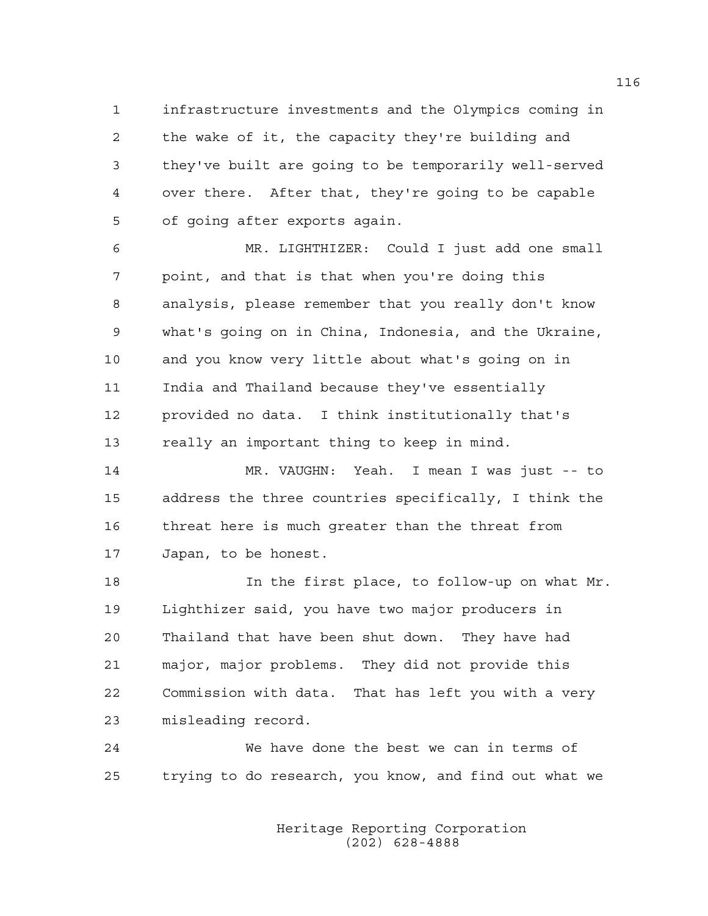1 infrastructure investments and the Olympics coming in 2 the wake of it, the capacity they're building and 3 they've built are going to be temporarily well-served 4 over there. After that, they're going to be capable 5 of going after exports again.

6 MR. LIGHTHIZER: Could I just add one small 7 point, and that is that when you're doing this 8 analysis, please remember that you really don't know 9 what's going on in China, Indonesia, and the Ukraine, 10 and you know very little about what's going on in 11 India and Thailand because they've essentially 12 provided no data. I think institutionally that's 13 really an important thing to keep in mind.

14 MR. VAUGHN: Yeah. I mean I was just -- to 15 address the three countries specifically, I think the 16 threat here is much greater than the threat from 17 Japan, to be honest.

18 In the first place, to follow-up on what Mr. 19 Lighthizer said, you have two major producers in 20 Thailand that have been shut down. They have had 21 major, major problems. They did not provide this 22 Commission with data. That has left you with a very 23 misleading record.

24 We have done the best we can in terms of 25 trying to do research, you know, and find out what we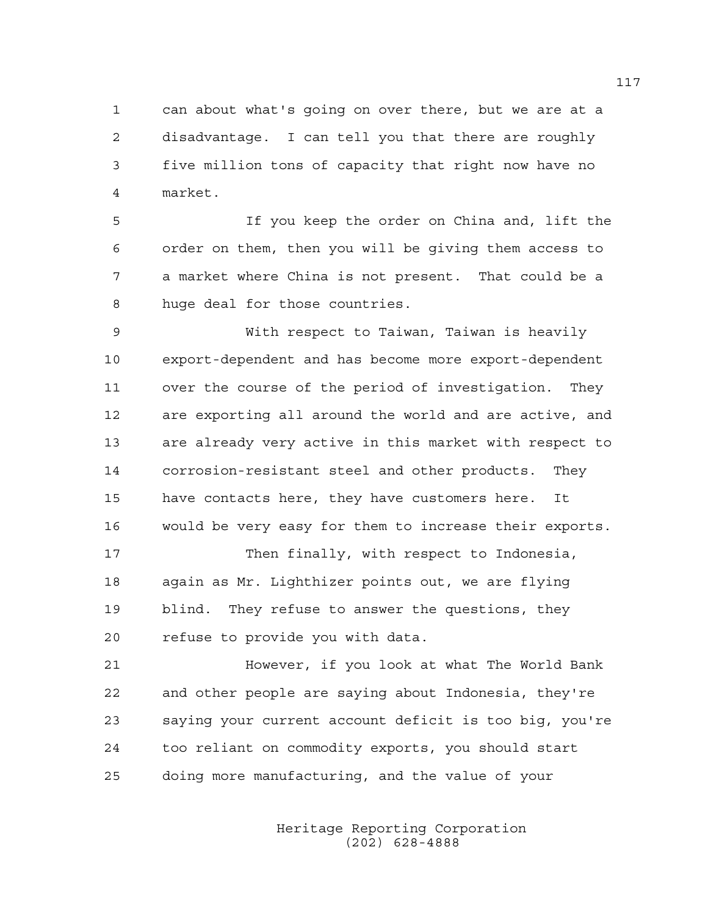1 can about what's going on over there, but we are at a 2 disadvantage. I can tell you that there are roughly 3 five million tons of capacity that right now have no 4 market.

5 If you keep the order on China and, lift the 6 order on them, then you will be giving them access to 7 a market where China is not present. That could be a 8 huge deal for those countries.

9 With respect to Taiwan, Taiwan is heavily 10 export-dependent and has become more export-dependent 11 over the course of the period of investigation. They 12 are exporting all around the world and are active, and 13 are already very active in this market with respect to 14 corrosion-resistant steel and other products. They 15 have contacts here, they have customers here. It 16 would be very easy for them to increase their exports.

17 Then finally, with respect to Indonesia, 18 again as Mr. Lighthizer points out, we are flying 19 blind. They refuse to answer the questions, they 20 refuse to provide you with data.

21 However, if you look at what The World Bank 22 and other people are saying about Indonesia, they're 23 saying your current account deficit is too big, you're 24 too reliant on commodity exports, you should start 25 doing more manufacturing, and the value of your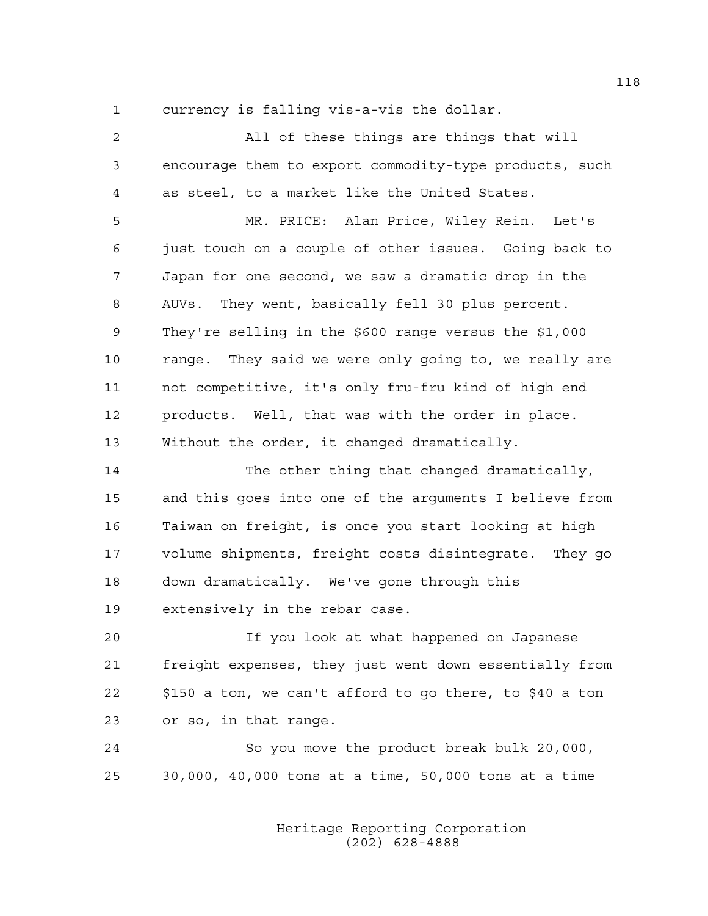1 currency is falling vis-a-vis the dollar.

| 2  | All of these things are things that will                |
|----|---------------------------------------------------------|
| 3  | encourage them to export commodity-type products, such  |
| 4  | as steel, to a market like the United States.           |
| 5  | MR. PRICE: Alan Price, Wiley Rein. Let's                |
| 6  | just touch on a couple of other issues. Going back to   |
| 7  | Japan for one second, we saw a dramatic drop in the     |
| 8  | AUVs. They went, basically fell 30 plus percent.        |
| 9  | They're selling in the \$600 range versus the \$1,000   |
| 10 | range. They said we were only going to, we really are   |
| 11 | not competitive, it's only fru-fru kind of high end     |
| 12 | products. Well, that was with the order in place.       |
| 13 | Without the order, it changed dramatically.             |
| 14 | The other thing that changed dramatically,              |
| 15 | and this goes into one of the arguments I believe from  |
| 16 | Taiwan on freight, is once you start looking at high    |
| 17 | volume shipments, freight costs disintegrate. They go   |
| 18 | down dramatically. We've gone through this              |
| 19 | extensively in the rebar case.                          |
| 20 | If you look at what happened on Japanese                |
| 21 | freight expenses, they just went down essentially from  |
| 22 | \$150 a ton, we can't afford to go there, to \$40 a ton |
| 23 | or so, in that range.                                   |
| 24 | So you move the product break bulk 20,000,              |
| 25 | 30,000, 40,000 tons at a time, 50,000 tons at a time    |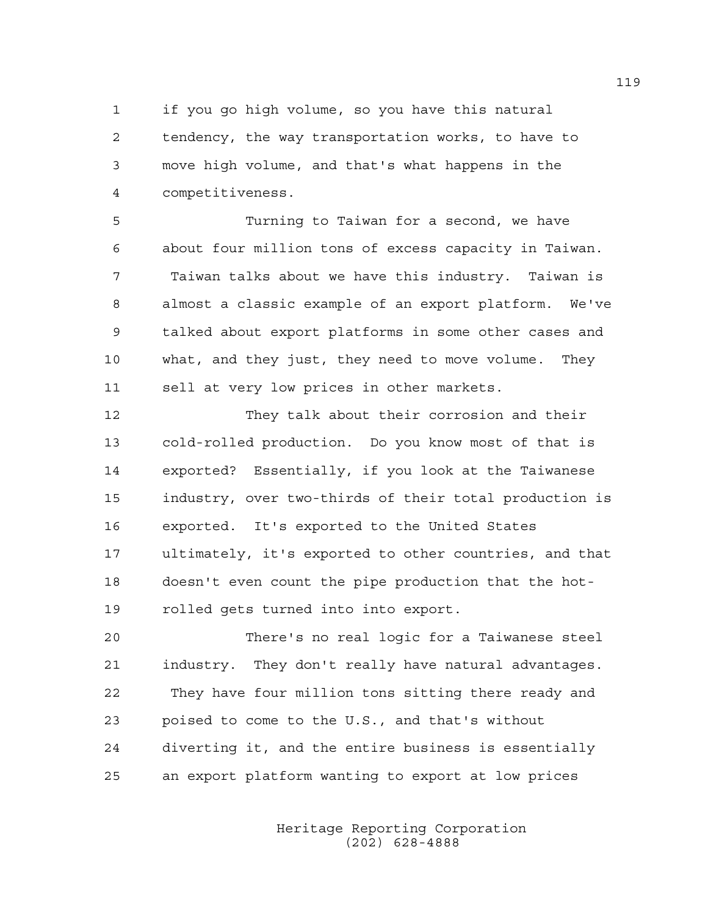1 if you go high volume, so you have this natural 2 tendency, the way transportation works, to have to 3 move high volume, and that's what happens in the 4 competitiveness.

5 Turning to Taiwan for a second, we have 6 about four million tons of excess capacity in Taiwan. 7 Taiwan talks about we have this industry. Taiwan is 8 almost a classic example of an export platform. We've 9 talked about export platforms in some other cases and 10 what, and they just, they need to move volume. They 11 sell at very low prices in other markets.

12 They talk about their corrosion and their 13 cold-rolled production. Do you know most of that is 14 exported? Essentially, if you look at the Taiwanese 15 industry, over two-thirds of their total production is 16 exported. It's exported to the United States 17 ultimately, it's exported to other countries, and that 18 doesn't even count the pipe production that the hot-19 rolled gets turned into into export.

20 There's no real logic for a Taiwanese steel 21 industry. They don't really have natural advantages. 22 They have four million tons sitting there ready and 23 poised to come to the U.S., and that's without 24 diverting it, and the entire business is essentially 25 an export platform wanting to export at low prices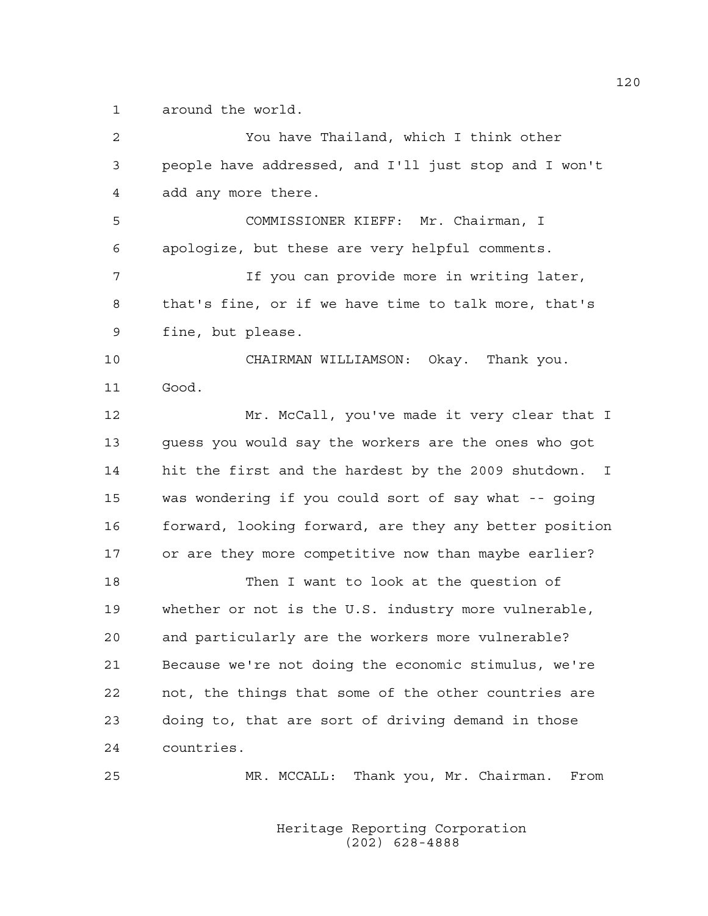1 around the world.

2 You have Thailand, which I think other 3 people have addressed, and I'll just stop and I won't 4 add any more there. 5 COMMISSIONER KIEFF: Mr. Chairman, I 6 apologize, but these are very helpful comments. 7 If you can provide more in writing later, 8 that's fine, or if we have time to talk more, that's 9 fine, but please. 10 CHAIRMAN WILLIAMSON: Okay. Thank you. 11 Good. 12 Mr. McCall, you've made it very clear that I 13 guess you would say the workers are the ones who got 14 hit the first and the hardest by the 2009 shutdown. I 15 was wondering if you could sort of say what -- going 16 forward, looking forward, are they any better position 17 or are they more competitive now than maybe earlier? 18 Then I want to look at the question of 19 whether or not is the U.S. industry more vulnerable, 20 and particularly are the workers more vulnerable? 21 Because we're not doing the economic stimulus, we're 22 not, the things that some of the other countries are 23 doing to, that are sort of driving demand in those 24 countries. 25 MR. MCCALL: Thank you, Mr. Chairman. From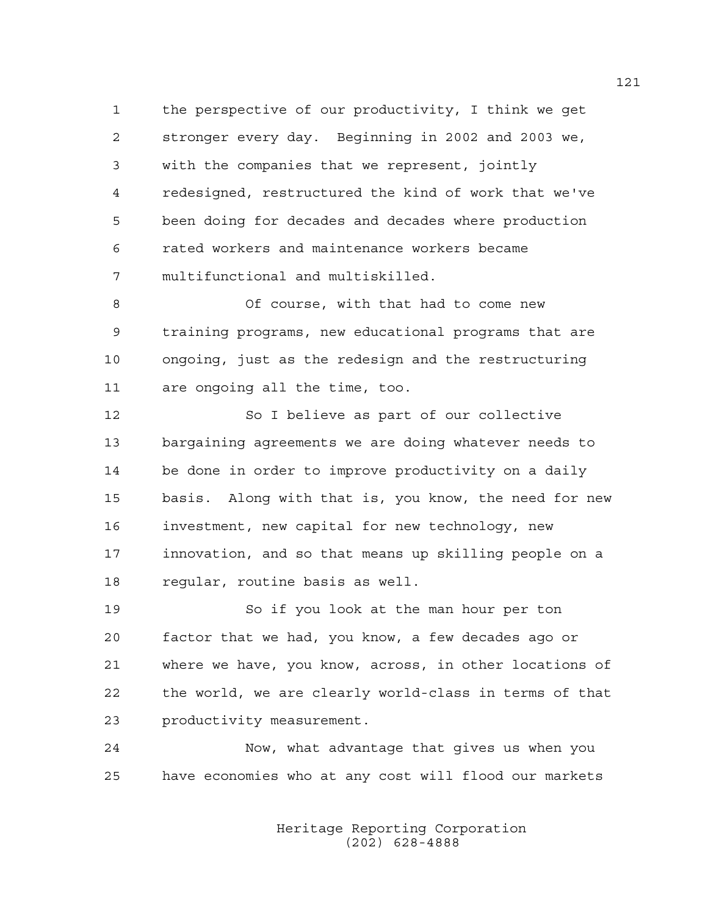1 the perspective of our productivity, I think we get 2 stronger every day. Beginning in 2002 and 2003 we, 3 with the companies that we represent, jointly 4 redesigned, restructured the kind of work that we've 5 been doing for decades and decades where production 6 rated workers and maintenance workers became 7 multifunctional and multiskilled.

8 Of course, with that had to come new 9 training programs, new educational programs that are 10 ongoing, just as the redesign and the restructuring 11 are ongoing all the time, too.

12 So I believe as part of our collective 13 bargaining agreements we are doing whatever needs to 14 be done in order to improve productivity on a daily 15 basis. Along with that is, you know, the need for new 16 investment, new capital for new technology, new 17 innovation, and so that means up skilling people on a 18 regular, routine basis as well.

19 So if you look at the man hour per ton 20 factor that we had, you know, a few decades ago or 21 where we have, you know, across, in other locations of 22 the world, we are clearly world-class in terms of that 23 productivity measurement.

24 Now, what advantage that gives us when you 25 have economies who at any cost will flood our markets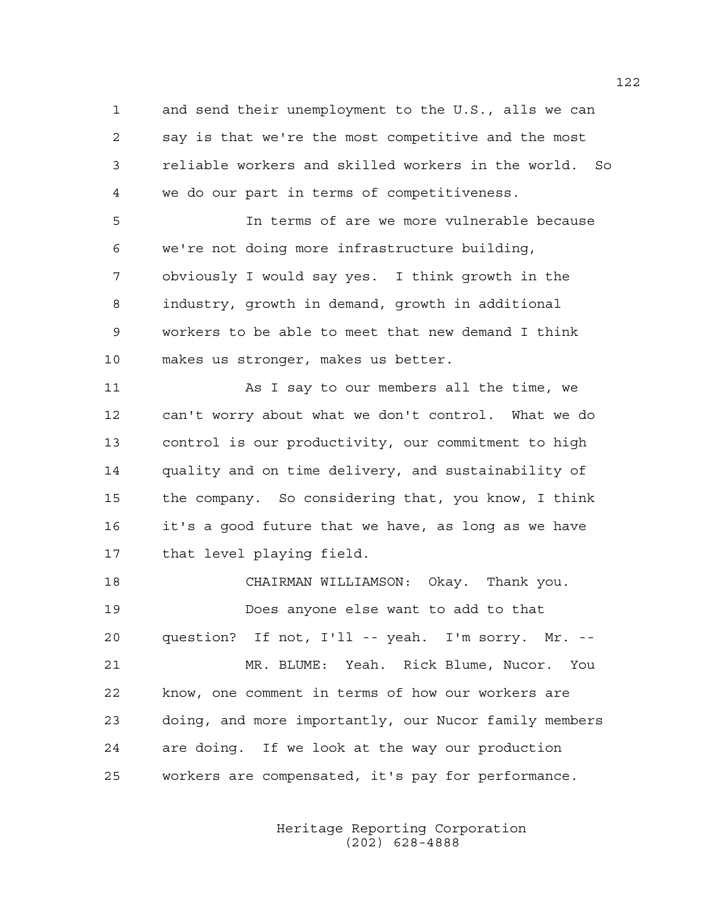1 and send their unemployment to the U.S., alls we can 2 say is that we're the most competitive and the most 3 reliable workers and skilled workers in the world. So 4 we do our part in terms of competitiveness.

5 In terms of are we more vulnerable because 6 we're not doing more infrastructure building, 7 obviously I would say yes. I think growth in the 8 industry, growth in demand, growth in additional 9 workers to be able to meet that new demand I think 10 makes us stronger, makes us better.

11 As I say to our members all the time, we 12 can't worry about what we don't control. What we do 13 control is our productivity, our commitment to high 14 quality and on time delivery, and sustainability of 15 the company. So considering that, you know, I think 16 it's a good future that we have, as long as we have 17 that level playing field.

18 CHAIRMAN WILLIAMSON: Okay. Thank you. 19 Does anyone else want to add to that 20 question? If not, I'll -- yeah. I'm sorry. Mr. -- 21 MR. BLUME: Yeah. Rick Blume, Nucor. You 22 know, one comment in terms of how our workers are 23 doing, and more importantly, our Nucor family members 24 are doing. If we look at the way our production 25 workers are compensated, it's pay for performance.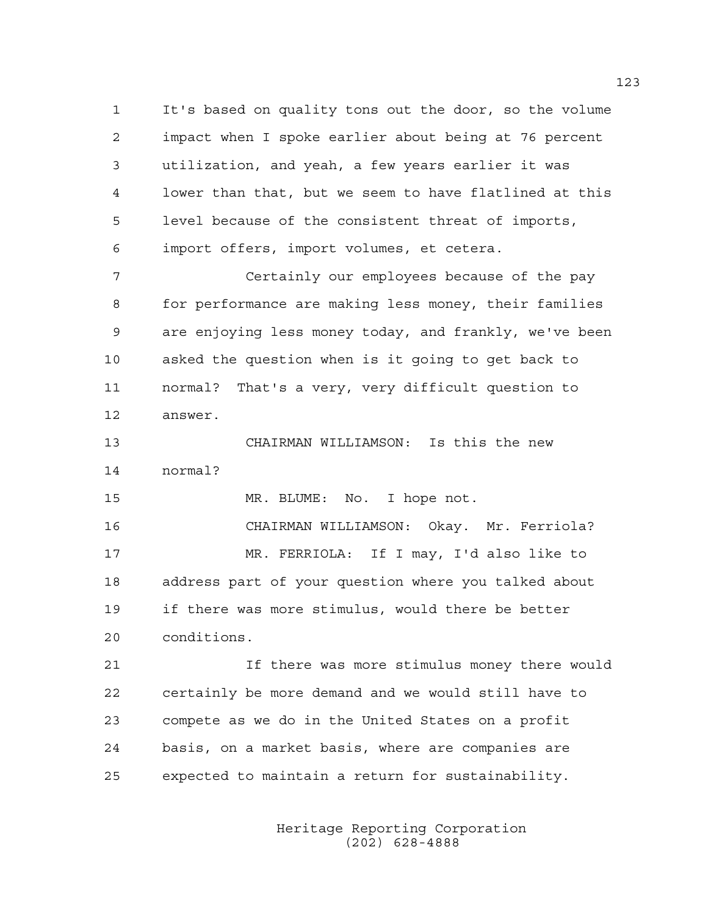1 It's based on quality tons out the door, so the volume 2 impact when I spoke earlier about being at 76 percent 3 utilization, and yeah, a few years earlier it was 4 lower than that, but we seem to have flatlined at this 5 level because of the consistent threat of imports, 6 import offers, import volumes, et cetera.

7 Certainly our employees because of the pay 8 for performance are making less money, their families 9 are enjoying less money today, and frankly, we've been 10 asked the question when is it going to get back to 11 normal? That's a very, very difficult question to 12 answer.

13 CHAIRMAN WILLIAMSON: Is this the new 14 normal?

15 MR. BLUME: No. I hope not.

16 CHAIRMAN WILLIAMSON: Okay. Mr. Ferriola? 17 MR. FERRIOLA: If I may, I'd also like to 18 address part of your question where you talked about 19 if there was more stimulus, would there be better 20 conditions.

21 If there was more stimulus money there would 22 certainly be more demand and we would still have to 23 compete as we do in the United States on a profit 24 basis, on a market basis, where are companies are 25 expected to maintain a return for sustainability.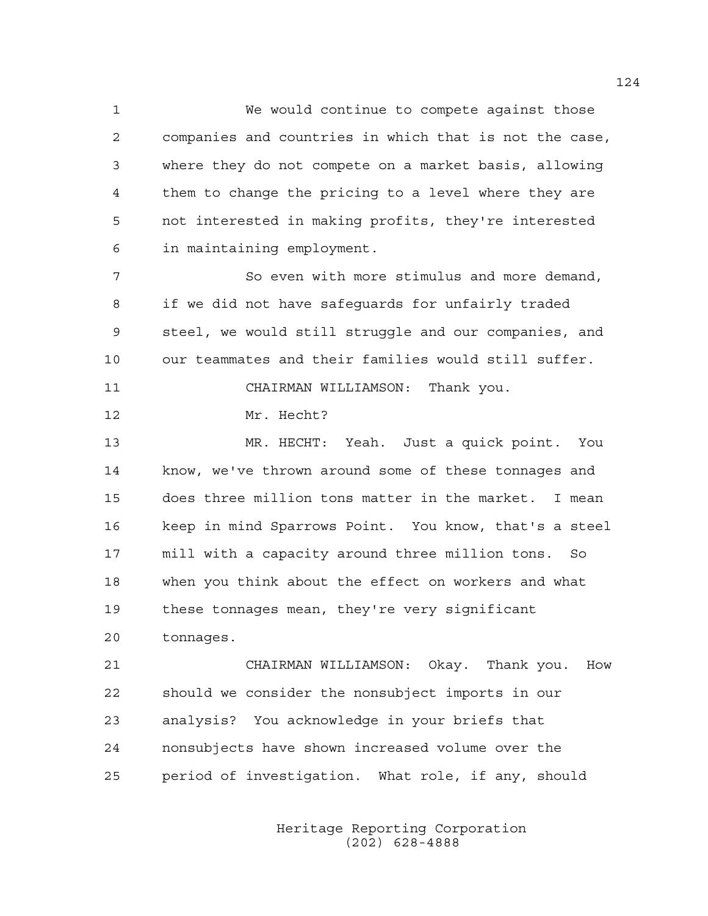1 We would continue to compete against those 2 companies and countries in which that is not the case, 3 where they do not compete on a market basis, allowing 4 them to change the pricing to a level where they are 5 not interested in making profits, they're interested 6 in maintaining employment.

7 So even with more stimulus and more demand, 8 if we did not have safeguards for unfairly traded 9 steel, we would still struggle and our companies, and 10 our teammates and their families would still suffer. 11 CHAIRMAN WILLIAMSON: Thank you.

12 Mr. Hecht?

13 MR. HECHT: Yeah. Just a quick point. You 14 know, we've thrown around some of these tonnages and 15 does three million tons matter in the market. I mean 16 keep in mind Sparrows Point. You know, that's a steel 17 mill with a capacity around three million tons. So 18 when you think about the effect on workers and what 19 these tonnages mean, they're very significant 20 tonnages.

21 CHAIRMAN WILLIAMSON: Okay. Thank you. How 22 should we consider the nonsubject imports in our 23 analysis? You acknowledge in your briefs that 24 nonsubjects have shown increased volume over the 25 period of investigation. What role, if any, should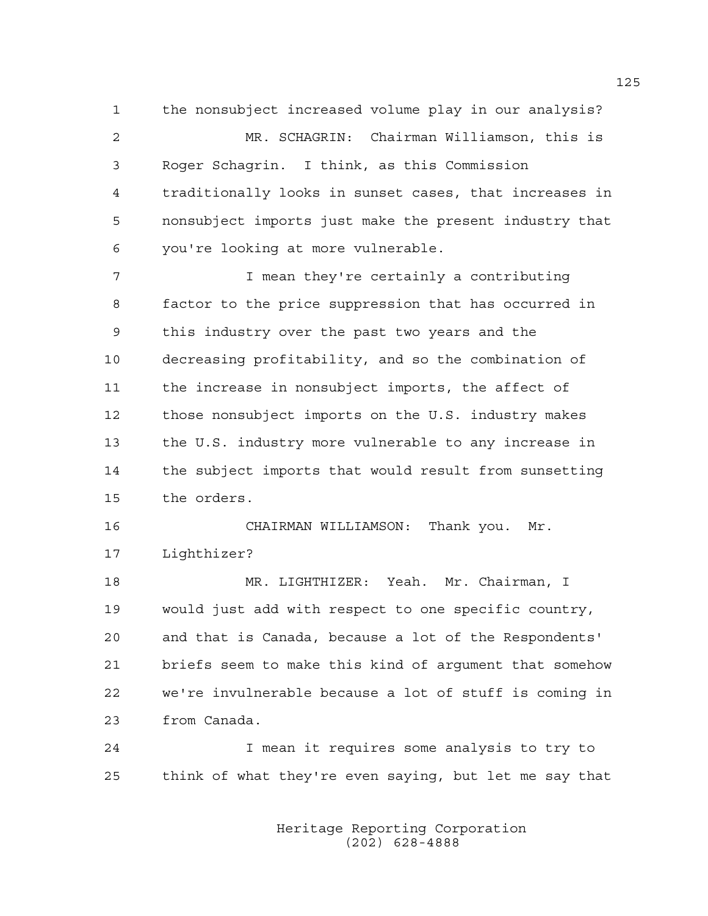1 the nonsubject increased volume play in our analysis? 2 MR. SCHAGRIN: Chairman Williamson, this is 3 Roger Schagrin. I think, as this Commission 4 traditionally looks in sunset cases, that increases in 5 nonsubject imports just make the present industry that 6 you're looking at more vulnerable.

7 I mean they're certainly a contributing 8 factor to the price suppression that has occurred in 9 this industry over the past two years and the 10 decreasing profitability, and so the combination of 11 the increase in nonsubject imports, the affect of 12 those nonsubject imports on the U.S. industry makes 13 the U.S. industry more vulnerable to any increase in 14 the subject imports that would result from sunsetting 15 the orders.

16 CHAIRMAN WILLIAMSON: Thank you. Mr. 17 Lighthizer?

18 MR. LIGHTHIZER: Yeah. Mr. Chairman, I 19 would just add with respect to one specific country, 20 and that is Canada, because a lot of the Respondents' 21 briefs seem to make this kind of argument that somehow 22 we're invulnerable because a lot of stuff is coming in 23 from Canada.

24 I mean it requires some analysis to try to 25 think of what they're even saying, but let me say that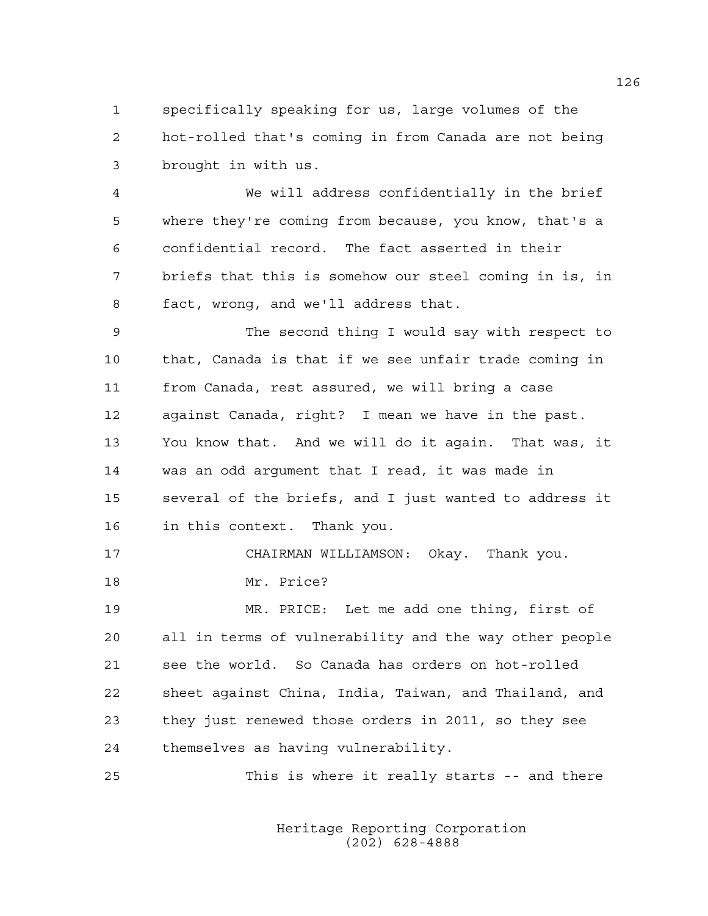1 specifically speaking for us, large volumes of the 2 hot-rolled that's coming in from Canada are not being 3 brought in with us.

4 We will address confidentially in the brief 5 where they're coming from because, you know, that's a 6 confidential record. The fact asserted in their 7 briefs that this is somehow our steel coming in is, in 8 fact, wrong, and we'll address that.

9 The second thing I would say with respect to 10 that, Canada is that if we see unfair trade coming in 11 from Canada, rest assured, we will bring a case 12 against Canada, right? I mean we have in the past. 13 You know that. And we will do it again. That was, it 14 was an odd argument that I read, it was made in 15 several of the briefs, and I just wanted to address it 16 in this context. Thank you.

17 CHAIRMAN WILLIAMSON: Okay. Thank you. 18 Mr. Price?

19 MR. PRICE: Let me add one thing, first of 20 all in terms of vulnerability and the way other people 21 see the world. So Canada has orders on hot-rolled 22 sheet against China, India, Taiwan, and Thailand, and 23 they just renewed those orders in 2011, so they see 24 themselves as having vulnerability.

25 This is where it really starts -- and there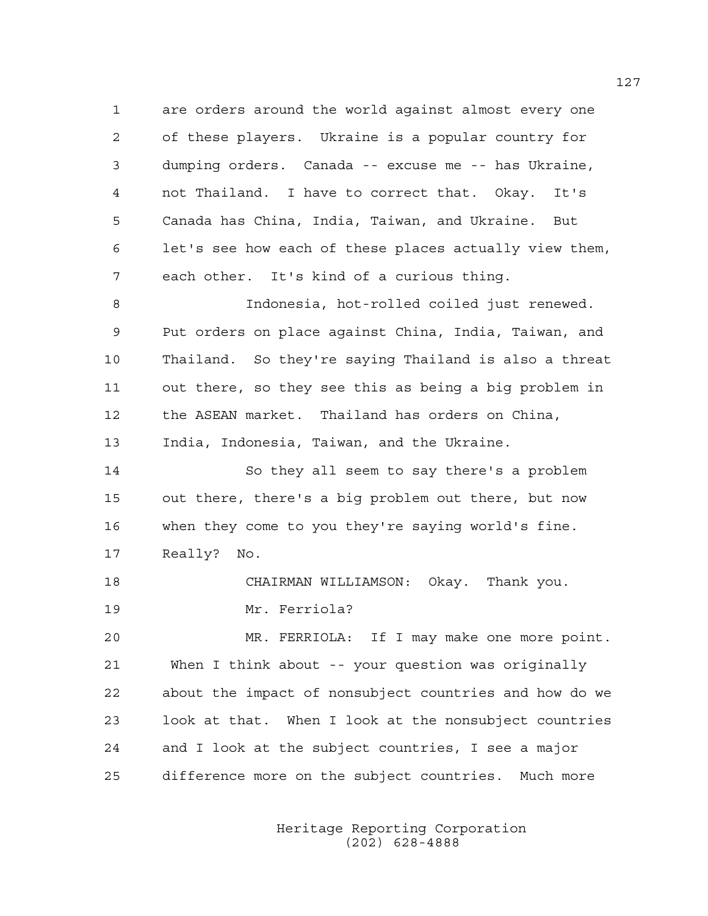1 are orders around the world against almost every one 2 of these players. Ukraine is a popular country for 3 dumping orders. Canada -- excuse me -- has Ukraine, 4 not Thailand. I have to correct that. Okay. It's 5 Canada has China, India, Taiwan, and Ukraine. But 6 let's see how each of these places actually view them, 7 each other. It's kind of a curious thing.

8 Indonesia, hot-rolled coiled just renewed. 9 Put orders on place against China, India, Taiwan, and 10 Thailand. So they're saying Thailand is also a threat 11 out there, so they see this as being a big problem in 12 the ASEAN market. Thailand has orders on China, 13 India, Indonesia, Taiwan, and the Ukraine.

14 So they all seem to say there's a problem 15 out there, there's a big problem out there, but now 16 when they come to you they're saying world's fine. 17 Really? No.

18 CHAIRMAN WILLIAMSON: Okay. Thank you.

19 Mr. Ferriola?

20 MR. FERRIOLA: If I may make one more point. 21 When I think about -- your question was originally 22 about the impact of nonsubject countries and how do we 23 look at that. When I look at the nonsubject countries 24 and I look at the subject countries, I see a major 25 difference more on the subject countries. Much more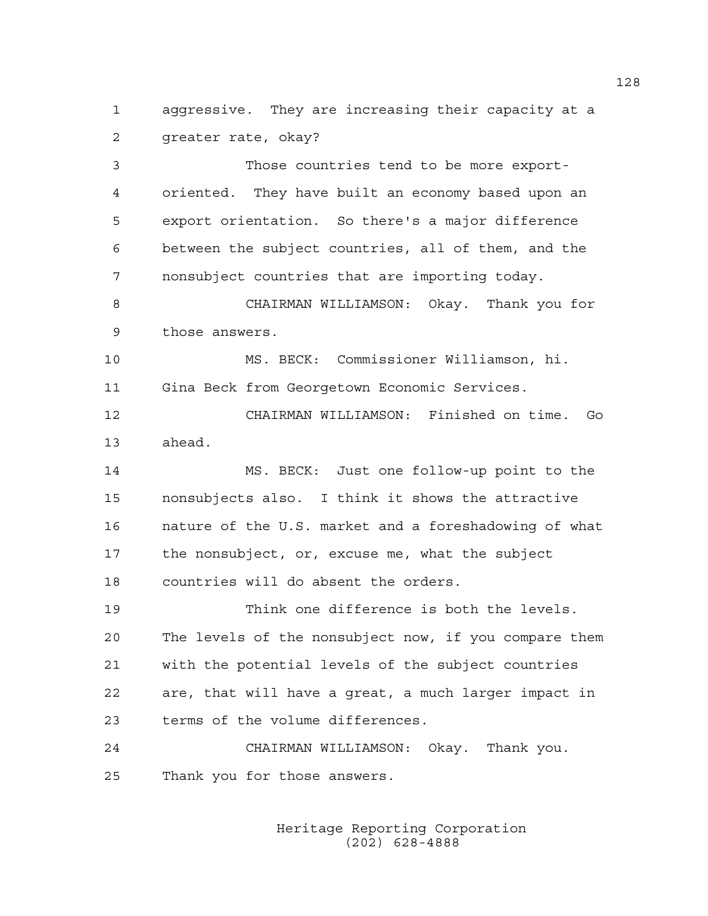1 aggressive. They are increasing their capacity at a 2 greater rate, okay?

3 Those countries tend to be more export-4 oriented. They have built an economy based upon an 5 export orientation. So there's a major difference 6 between the subject countries, all of them, and the 7 nonsubject countries that are importing today. 8 CHAIRMAN WILLIAMSON: Okay. Thank you for 9 those answers.

10 MS. BECK: Commissioner Williamson, hi. 11 Gina Beck from Georgetown Economic Services.

12 CHAIRMAN WILLIAMSON: Finished on time. Go 13 ahead.

14 MS. BECK: Just one follow-up point to the 15 nonsubjects also. I think it shows the attractive 16 nature of the U.S. market and a foreshadowing of what 17 the nonsubject, or, excuse me, what the subject 18 countries will do absent the orders.

19 Think one difference is both the levels. 20 The levels of the nonsubject now, if you compare them 21 with the potential levels of the subject countries 22 are, that will have a great, a much larger impact in 23 terms of the volume differences.

24 CHAIRMAN WILLIAMSON: Okay. Thank you. 25 Thank you for those answers.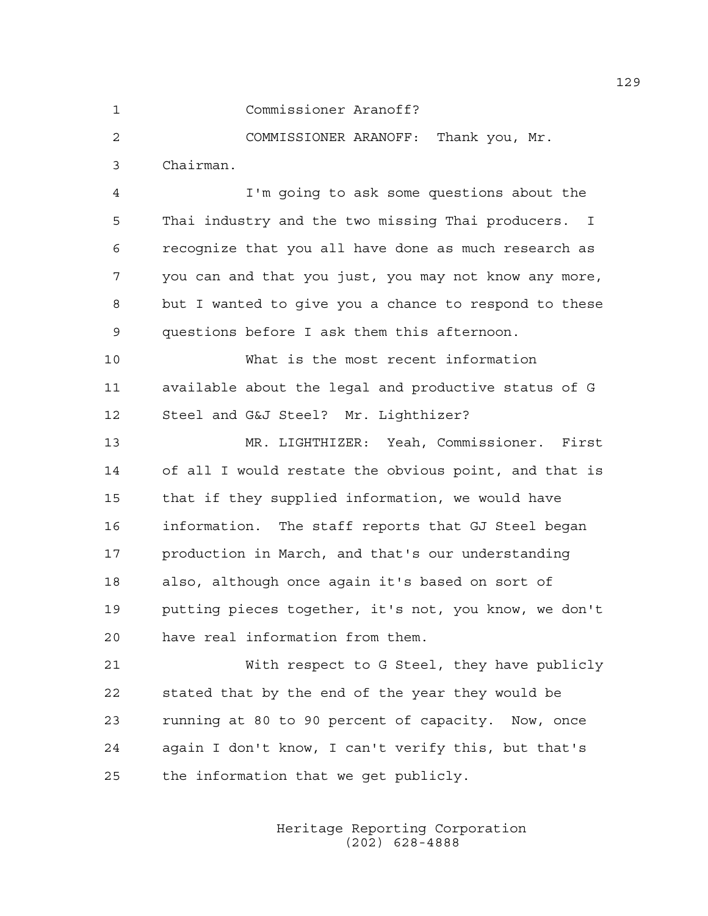1 Commissioner Aranoff?

2 COMMISSIONER ARANOFF: Thank you, Mr. 3 Chairman.

4 I'm going to ask some questions about the 5 Thai industry and the two missing Thai producers. I 6 recognize that you all have done as much research as 7 you can and that you just, you may not know any more, 8 but I wanted to give you a chance to respond to these 9 questions before I ask them this afternoon.

10 What is the most recent information 11 available about the legal and productive status of G 12 Steel and G&J Steel? Mr. Lighthizer?

13 MR. LIGHTHIZER: Yeah, Commissioner. First 14 of all I would restate the obvious point, and that is 15 that if they supplied information, we would have 16 information. The staff reports that GJ Steel began 17 production in March, and that's our understanding 18 also, although once again it's based on sort of 19 putting pieces together, it's not, you know, we don't 20 have real information from them.

21 With respect to G Steel, they have publicly 22 stated that by the end of the year they would be 23 running at 80 to 90 percent of capacity. Now, once 24 again I don't know, I can't verify this, but that's 25 the information that we get publicly.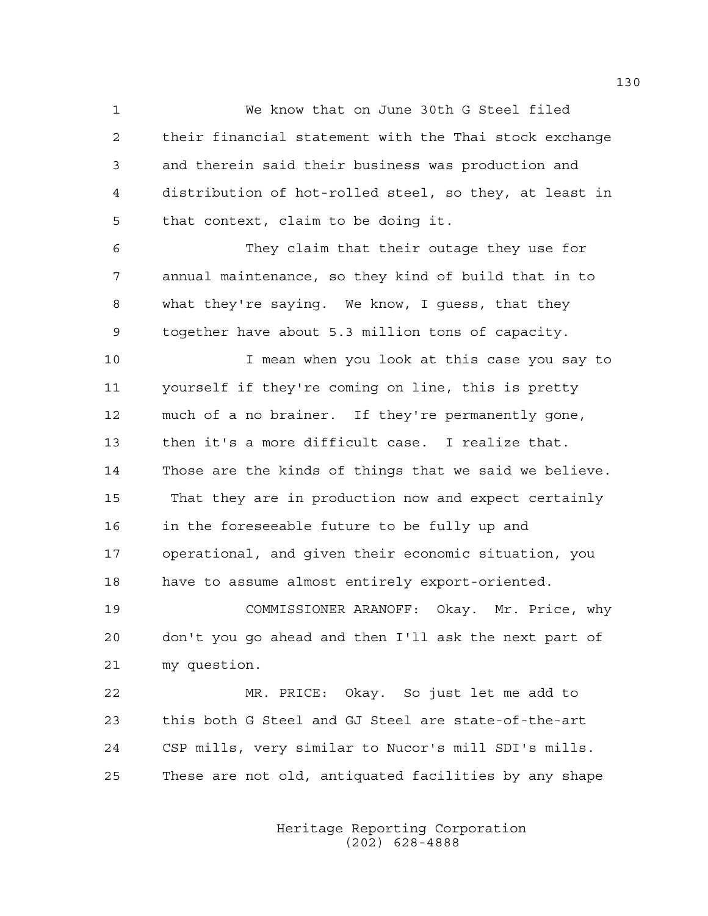1 We know that on June 30th G Steel filed 2 their financial statement with the Thai stock exchange 3 and therein said their business was production and 4 distribution of hot-rolled steel, so they, at least in 5 that context, claim to be doing it.

6 They claim that their outage they use for 7 annual maintenance, so they kind of build that in to 8 what they're saying. We know, I guess, that they 9 together have about 5.3 million tons of capacity.

10 I mean when you look at this case you say to 11 yourself if they're coming on line, this is pretty 12 much of a no brainer. If they're permanently gone, 13 then it's a more difficult case. I realize that. 14 Those are the kinds of things that we said we believe. 15 That they are in production now and expect certainly 16 in the foreseeable future to be fully up and 17 operational, and given their economic situation, you 18 have to assume almost entirely export-oriented.

19 COMMISSIONER ARANOFF: Okay. Mr. Price, why 20 don't you go ahead and then I'll ask the next part of 21 my question.

22 MR. PRICE: Okay. So just let me add to 23 this both G Steel and GJ Steel are state-of-the-art 24 CSP mills, very similar to Nucor's mill SDI's mills. 25 These are not old, antiquated facilities by any shape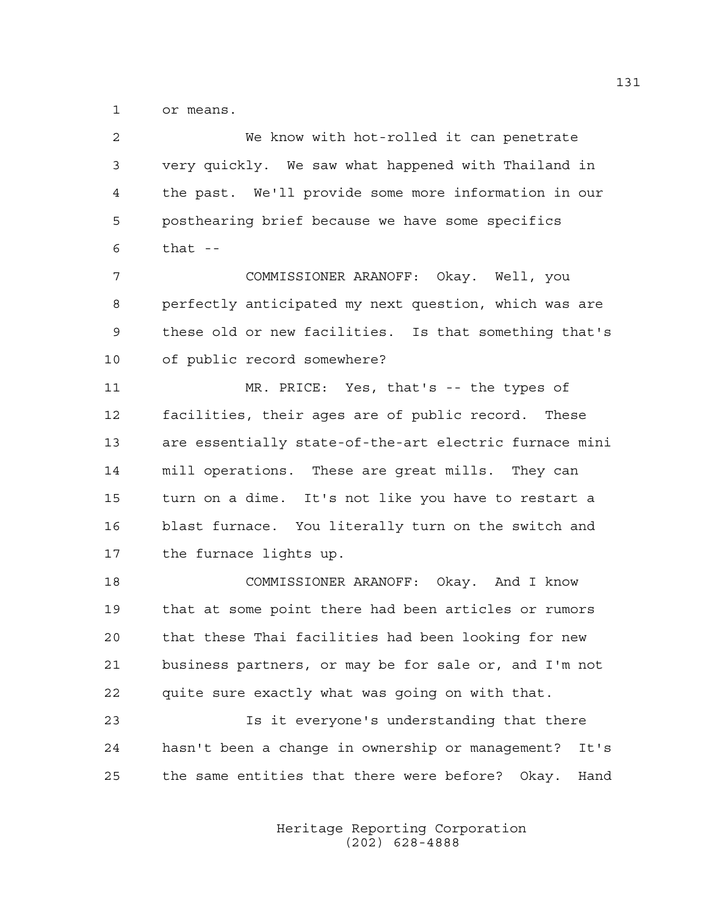1 or means.

2 We know with hot-rolled it can penetrate 3 very quickly. We saw what happened with Thailand in 4 the past. We'll provide some more information in our 5 posthearing brief because we have some specifics  $6$  that  $-$ 

7 COMMISSIONER ARANOFF: Okay. Well, you 8 perfectly anticipated my next question, which was are 9 these old or new facilities. Is that something that's 10 of public record somewhere?

11 MR. PRICE: Yes, that's -- the types of 12 facilities, their ages are of public record. These 13 are essentially state-of-the-art electric furnace mini 14 mill operations. These are great mills. They can 15 turn on a dime. It's not like you have to restart a 16 blast furnace. You literally turn on the switch and 17 the furnace lights up.

18 COMMISSIONER ARANOFF: Okay. And I know 19 that at some point there had been articles or rumors 20 that these Thai facilities had been looking for new 21 business partners, or may be for sale or, and I'm not 22 quite sure exactly what was going on with that.

23 Is it everyone's understanding that there 24 hasn't been a change in ownership or management? It's 25 the same entities that there were before? Okay. Hand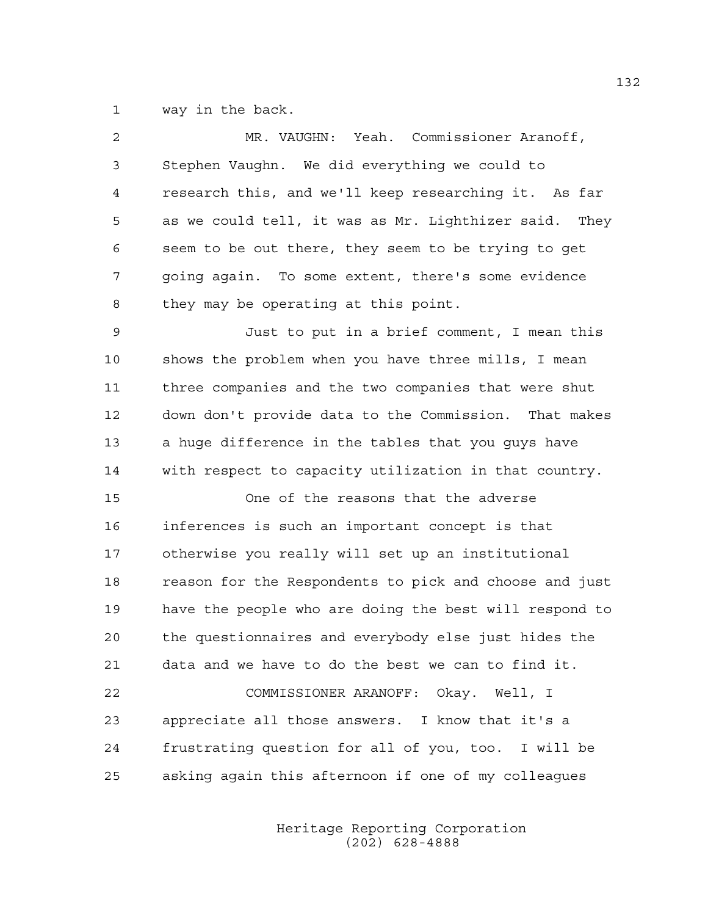1 way in the back.

| $\overline{c}$ | MR. VAUGHN: Yeah. Commissioner Aranoff,                |
|----------------|--------------------------------------------------------|
| 3              | Stephen Vaughn. We did everything we could to          |
| 4              | research this, and we'll keep researching it. As far   |
| 5              | as we could tell, it was as Mr. Lighthizer said. They  |
| 6              | seem to be out there, they seem to be trying to get    |
| 7              | going again. To some extent, there's some evidence     |
| 8              | they may be operating at this point.                   |
| 9              | Just to put in a brief comment, I mean this            |
| 10             | shows the problem when you have three mills, I mean    |
| 11             | three companies and the two companies that were shut   |
| 12             | down don't provide data to the Commission. That makes  |
| 13             | a huge difference in the tables that you guys have     |
| 14             | with respect to capacity utilization in that country.  |
| 15             | One of the reasons that the adverse                    |
| 16             | inferences is such an important concept is that        |
| 17             | otherwise you really will set up an institutional      |
| 18             | reason for the Respondents to pick and choose and just |
| 19             | have the people who are doing the best will respond to |
| 20             | the questionnaires and everybody else just hides the   |
| 21             | data and we have to do the best we can to find it.     |
| 22             | COMMISSIONER ARANOFF: Okay. Well, I                    |
| 23             | appreciate all those answers. I know that it's a       |
| 24             | frustrating question for all of you, too. I will be    |
| 25             | asking again this afternoon if one of my colleagues    |
|                |                                                        |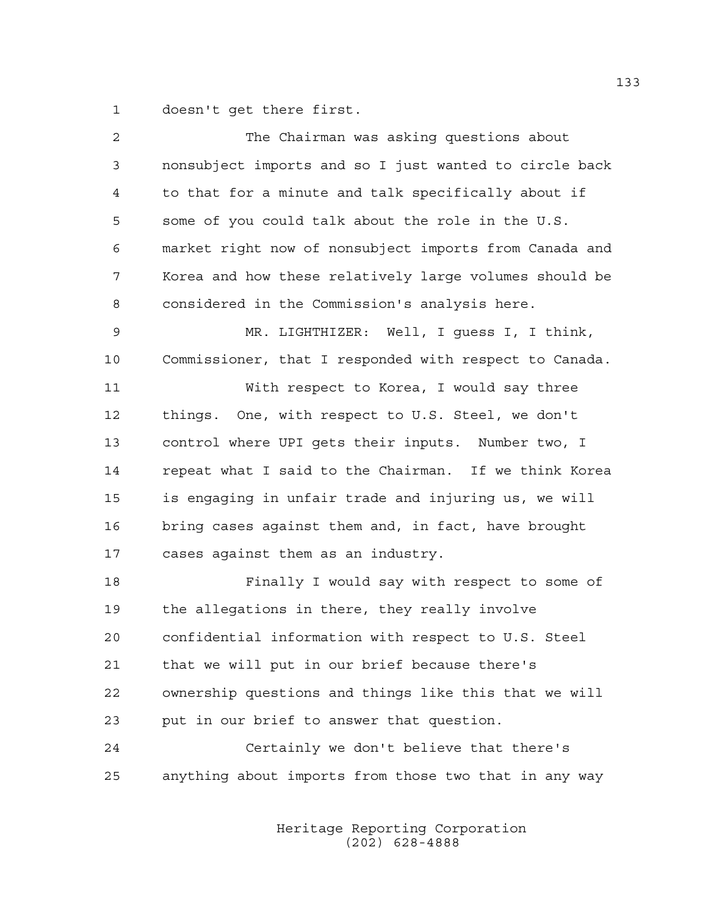1 doesn't get there first.

| $\overline{c}$ | The Chairman was asking questions about                |
|----------------|--------------------------------------------------------|
| 3              | nonsubject imports and so I just wanted to circle back |
| 4              | to that for a minute and talk specifically about if    |
| 5              | some of you could talk about the role in the U.S.      |
| 6              | market right now of nonsubject imports from Canada and |
| 7              | Korea and how these relatively large volumes should be |
| 8              | considered in the Commission's analysis here.          |
| 9              | MR. LIGHTHIZER: Well, I guess I, I think,              |
| 10             | Commissioner, that I responded with respect to Canada. |
| 11             | With respect to Korea, I would say three               |
| 12             | things. One, with respect to U.S. Steel, we don't      |
| 13             | control where UPI gets their inputs. Number two, I     |
| 14             | repeat what I said to the Chairman. If we think Korea  |
| 15             | is engaging in unfair trade and injuring us, we will   |
| 16             | bring cases against them and, in fact, have brought    |
| 17             | cases against them as an industry.                     |
| 18             | Finally I would say with respect to some of            |
| 19             | the allegations in there, they really involve          |
| 20             | confidential information with respect to U.S. Steel    |
| 21             | that we will put in our brief because there's          |
| 22             | ownership questions and things like this that we will  |
| 23             | put in our brief to answer that question.              |
| 24             | Certainly we don't believe that there's                |
| 25             | anything about imports from those two that in any way  |
|                |                                                        |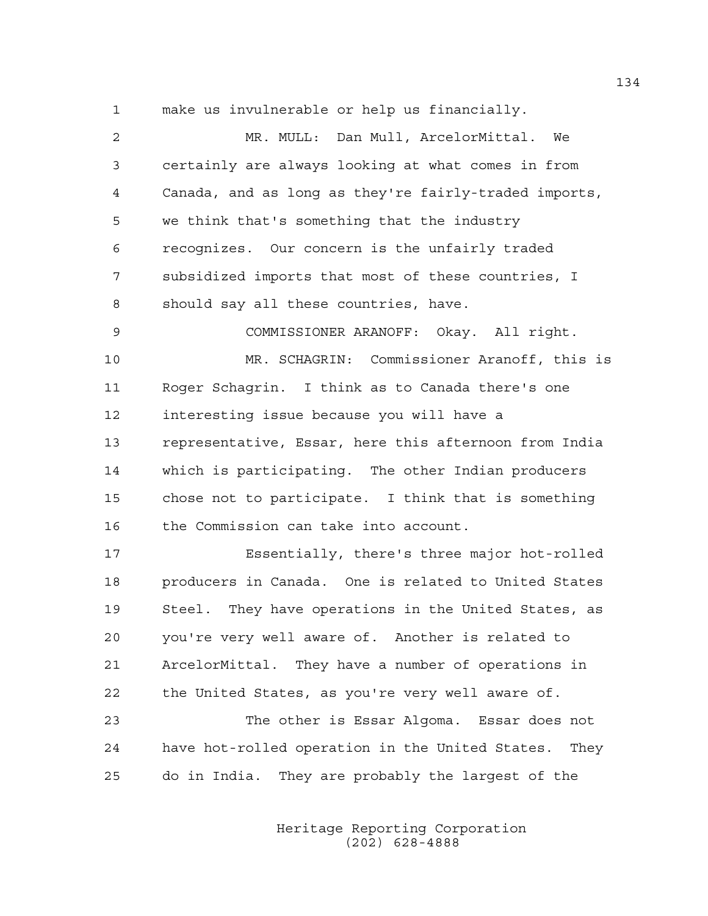1 make us invulnerable or help us financially.

2 MR. MULL: Dan Mull, ArcelorMittal. We 3 certainly are always looking at what comes in from 4 Canada, and as long as they're fairly-traded imports, 5 we think that's something that the industry 6 recognizes. Our concern is the unfairly traded 7 subsidized imports that most of these countries, I 8 should say all these countries, have. 9 COMMISSIONER ARANOFF: Okay. All right. 10 MR. SCHAGRIN: Commissioner Aranoff, this is 11 Roger Schagrin. I think as to Canada there's one 12 interesting issue because you will have a 13 representative, Essar, here this afternoon from India 14 which is participating. The other Indian producers 15 chose not to participate. I think that is something 16 the Commission can take into account. 17 Essentially, there's three major hot-rolled 18 producers in Canada. One is related to United States 19 Steel. They have operations in the United States, as 20 you're very well aware of. Another is related to 21 ArcelorMittal. They have a number of operations in 22 the United States, as you're very well aware of. 23 The other is Essar Algoma. Essar does not

24 have hot-rolled operation in the United States. They 25 do in India. They are probably the largest of the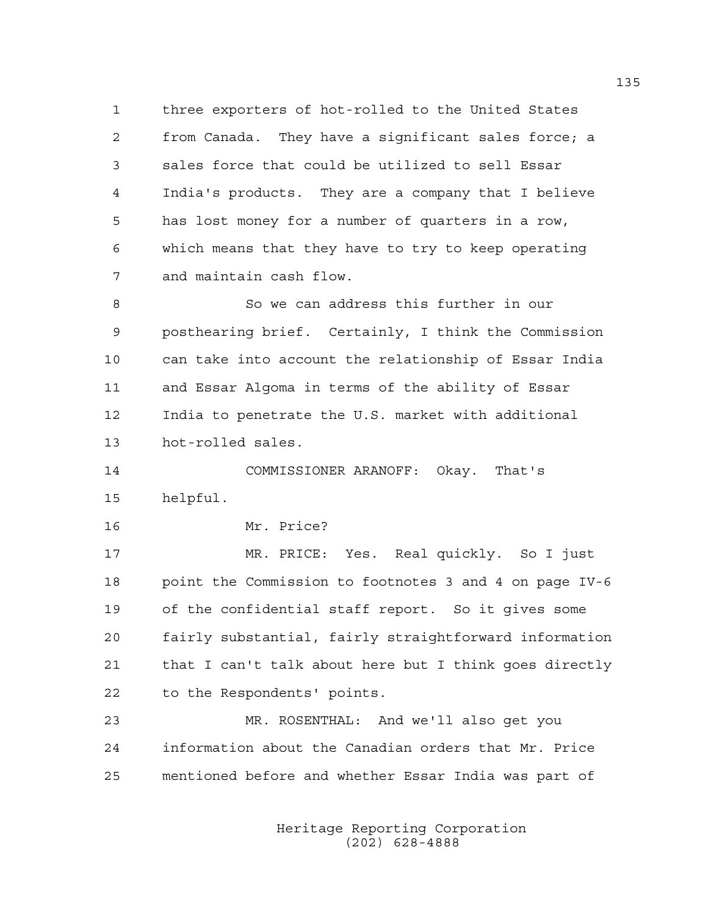1 three exporters of hot-rolled to the United States 2 from Canada. They have a significant sales force; a 3 sales force that could be utilized to sell Essar 4 India's products. They are a company that I believe 5 has lost money for a number of quarters in a row, 6 which means that they have to try to keep operating 7 and maintain cash flow.

8 So we can address this further in our 9 posthearing brief. Certainly, I think the Commission 10 can take into account the relationship of Essar India 11 and Essar Algoma in terms of the ability of Essar 12 India to penetrate the U.S. market with additional 13 hot-rolled sales.

14 COMMISSIONER ARANOFF: Okay. That's 15 helpful.

16 Mr. Price?

17 MR. PRICE: Yes. Real quickly. So I just 18 point the Commission to footnotes 3 and 4 on page IV-6 19 of the confidential staff report. So it gives some 20 fairly substantial, fairly straightforward information 21 that I can't talk about here but I think goes directly 22 to the Respondents' points.

23 MR. ROSENTHAL: And we'll also get you 24 information about the Canadian orders that Mr. Price 25 mentioned before and whether Essar India was part of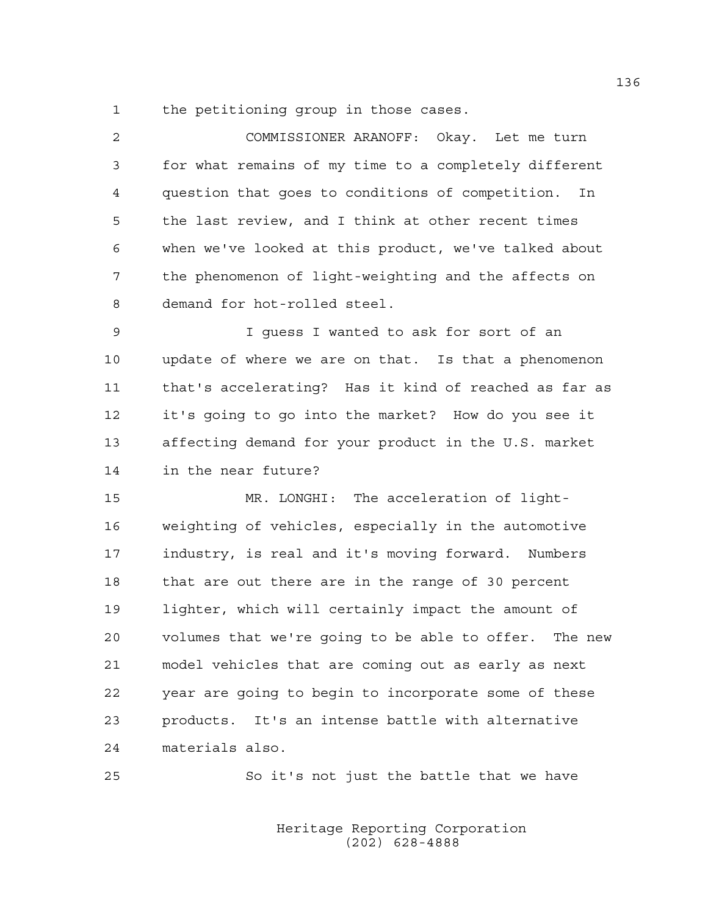1 the petitioning group in those cases.

| $\mathfrak{D}$  | COMMISSIONER ARANOFF: Okay. Let me turn               |
|-----------------|-------------------------------------------------------|
| 3               | for what remains of my time to a completely different |
| 4               | question that goes to conditions of competition. In   |
| 5               | the last review, and I think at other recent times    |
| 6               | when we've looked at this product, we've talked about |
| 7               | the phenomenon of light-weighting and the affects on  |
| 8               | demand for hot-rolled steel.                          |
| 9               | I guess I wanted to ask for sort of an                |
| 10 <sub>o</sub> | update of where we are on that. Is that a phenomenon  |
| 11              | that's accelerating? Has it kind of reached as far as |
| 12              | it's going to go into the market? How do you see it   |
| 13              | affecting demand for your product in the U.S. market  |
|                 |                                                       |

14 in the near future?

15 MR. LONGHI: The acceleration of light-16 weighting of vehicles, especially in the automotive 17 industry, is real and it's moving forward. Numbers 18 that are out there are in the range of 30 percent 19 lighter, which will certainly impact the amount of 20 volumes that we're going to be able to offer. The new 21 model vehicles that are coming out as early as next 22 year are going to begin to incorporate some of these 23 products. It's an intense battle with alternative 24 materials also.

25 So it's not just the battle that we have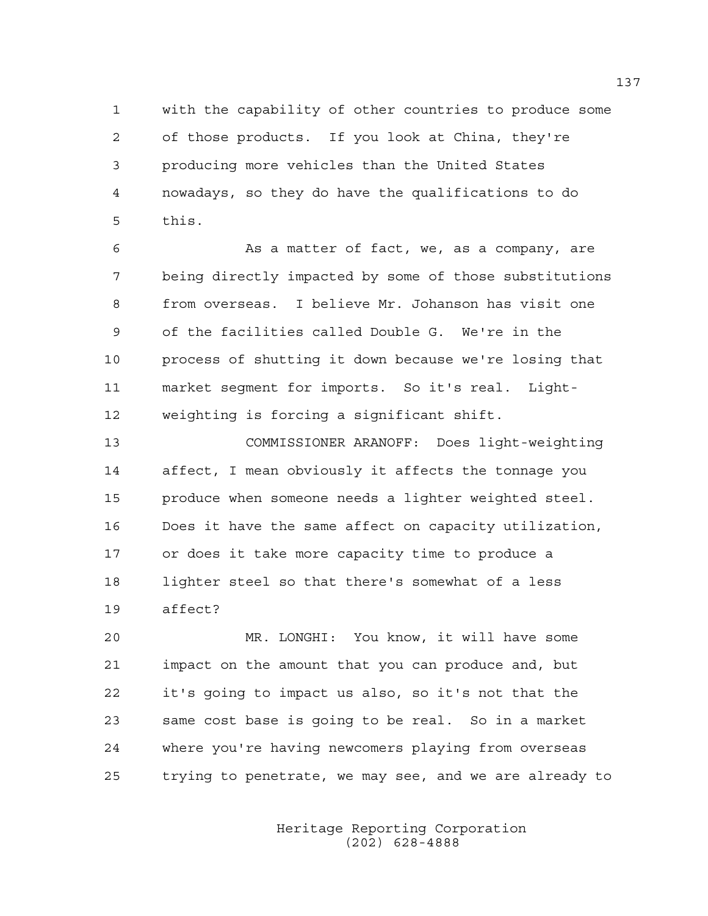1 with the capability of other countries to produce some 2 of those products. If you look at China, they're 3 producing more vehicles than the United States 4 nowadays, so they do have the qualifications to do 5 this.

6 As a matter of fact, we, as a company, are 7 being directly impacted by some of those substitutions 8 from overseas. I believe Mr. Johanson has visit one 9 of the facilities called Double G. We're in the 10 process of shutting it down because we're losing that 11 market segment for imports. So it's real. Light-12 weighting is forcing a significant shift.

13 COMMISSIONER ARANOFF: Does light-weighting 14 affect, I mean obviously it affects the tonnage you 15 produce when someone needs a lighter weighted steel. 16 Does it have the same affect on capacity utilization, 17 or does it take more capacity time to produce a 18 lighter steel so that there's somewhat of a less 19 affect?

20 MR. LONGHI: You know, it will have some 21 impact on the amount that you can produce and, but 22 it's going to impact us also, so it's not that the 23 same cost base is going to be real. So in a market 24 where you're having newcomers playing from overseas 25 trying to penetrate, we may see, and we are already to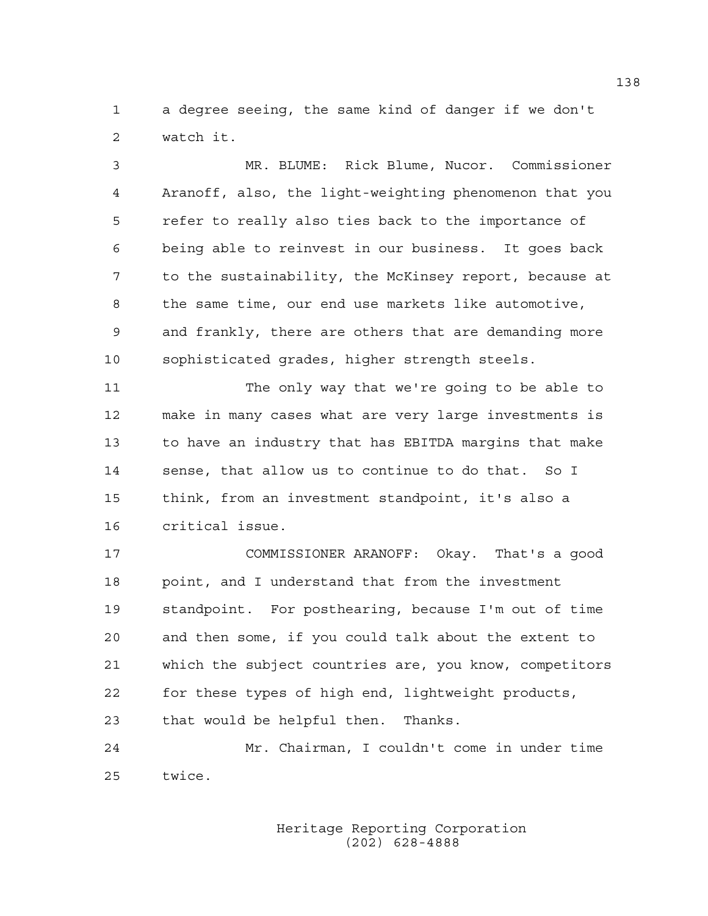1 a degree seeing, the same kind of danger if we don't 2 watch it.

3 MR. BLUME: Rick Blume, Nucor. Commissioner 4 Aranoff, also, the light-weighting phenomenon that you 5 refer to really also ties back to the importance of 6 being able to reinvest in our business. It goes back 7 to the sustainability, the McKinsey report, because at 8 the same time, our end use markets like automotive, 9 and frankly, there are others that are demanding more 10 sophisticated grades, higher strength steels.

11 The only way that we're going to be able to 12 make in many cases what are very large investments is 13 to have an industry that has EBITDA margins that make 14 sense, that allow us to continue to do that. So I 15 think, from an investment standpoint, it's also a 16 critical issue.

17 COMMISSIONER ARANOFF: Okay. That's a good 18 point, and I understand that from the investment 19 standpoint. For posthearing, because I'm out of time 20 and then some, if you could talk about the extent to 21 which the subject countries are, you know, competitors 22 for these types of high end, lightweight products, 23 that would be helpful then. Thanks.

24 Mr. Chairman, I couldn't come in under time 25 twice.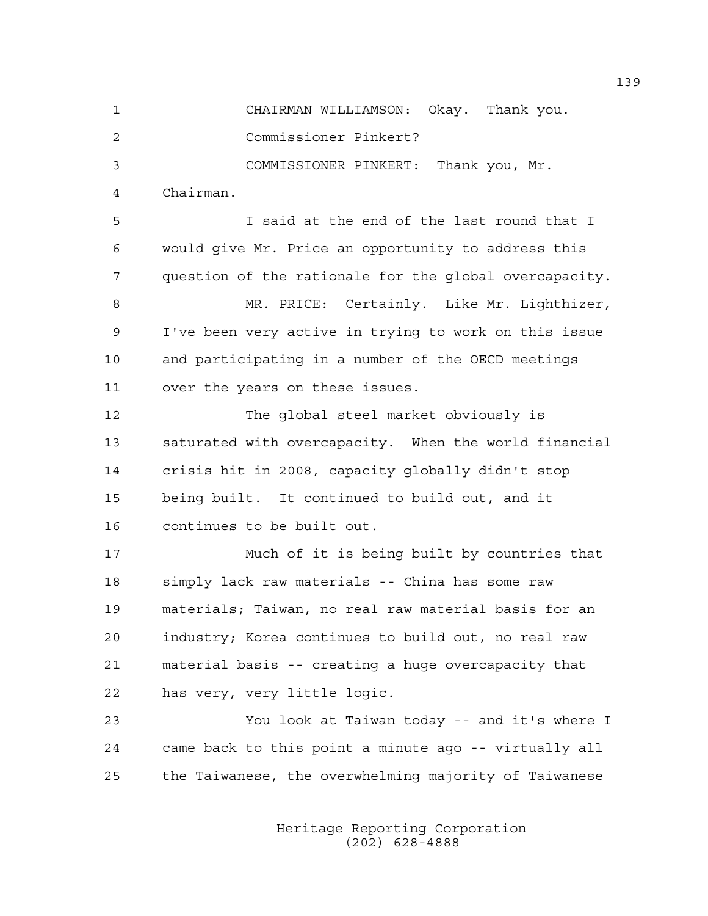1 CHAIRMAN WILLIAMSON: Okay. Thank you.

2 Commissioner Pinkert?

3 COMMISSIONER PINKERT: Thank you, Mr.

4 Chairman.

5 I said at the end of the last round that I 6 would give Mr. Price an opportunity to address this 7 question of the rationale for the global overcapacity.

8 MR. PRICE: Certainly. Like Mr. Lighthizer, 9 I've been very active in trying to work on this issue 10 and participating in a number of the OECD meetings 11 over the years on these issues.

12 The global steel market obviously is 13 saturated with overcapacity. When the world financial 14 crisis hit in 2008, capacity globally didn't stop 15 being built. It continued to build out, and it 16 continues to be built out.

17 Much of it is being built by countries that 18 simply lack raw materials -- China has some raw 19 materials; Taiwan, no real raw material basis for an 20 industry; Korea continues to build out, no real raw 21 material basis -- creating a huge overcapacity that 22 has very, very little logic.

23 You look at Taiwan today -- and it's where I 24 came back to this point a minute ago -- virtually all 25 the Taiwanese, the overwhelming majority of Taiwanese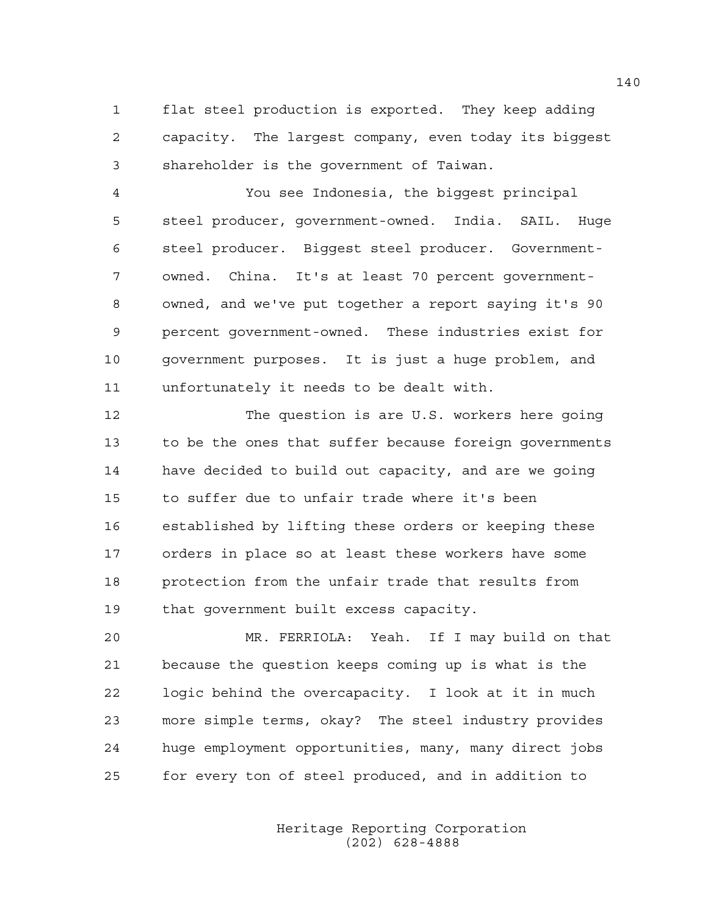1 flat steel production is exported. They keep adding 2 capacity. The largest company, even today its biggest 3 shareholder is the government of Taiwan.

4 You see Indonesia, the biggest principal 5 steel producer, government-owned. India. SAIL. Huge 6 steel producer. Biggest steel producer. Government-7 owned. China. It's at least 70 percent government-8 owned, and we've put together a report saying it's 90 9 percent government-owned. These industries exist for 10 government purposes. It is just a huge problem, and 11 unfortunately it needs to be dealt with.

12 The question is are U.S. workers here going 13 to be the ones that suffer because foreign governments 14 have decided to build out capacity, and are we going 15 to suffer due to unfair trade where it's been 16 established by lifting these orders or keeping these 17 orders in place so at least these workers have some 18 protection from the unfair trade that results from 19 that government built excess capacity.

20 MR. FERRIOLA: Yeah. If I may build on that 21 because the question keeps coming up is what is the 22 logic behind the overcapacity. I look at it in much 23 more simple terms, okay? The steel industry provides 24 huge employment opportunities, many, many direct jobs 25 for every ton of steel produced, and in addition to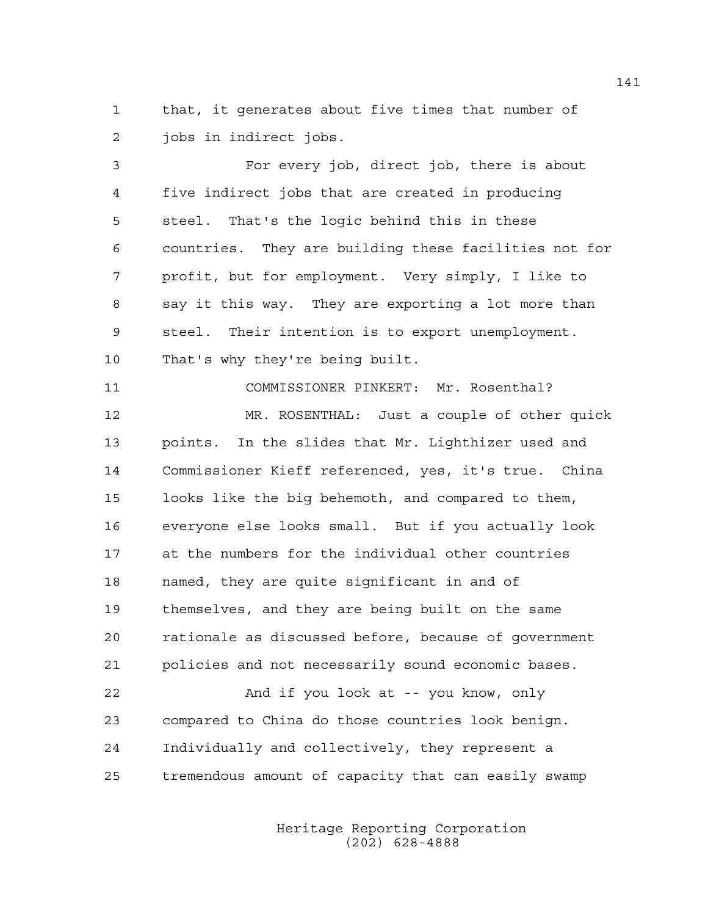1 that, it generates about five times that number of 2 jobs in indirect jobs.

3 For every job, direct job, there is about 4 five indirect jobs that are created in producing 5 steel. That's the logic behind this in these 6 countries. They are building these facilities not for 7 profit, but for employment. Very simply, I like to 8 say it this way. They are exporting a lot more than 9 steel. Their intention is to export unemployment. 10 That's why they're being built.

11 COMMISSIONER PINKERT: Mr. Rosenthal? 12 MR. ROSENTHAL: Just a couple of other quick 13 points. In the slides that Mr. Lighthizer used and 14 Commissioner Kieff referenced, yes, it's true. China 15 looks like the big behemoth, and compared to them, 16 everyone else looks small. But if you actually look 17 at the numbers for the individual other countries 18 named, they are quite significant in and of 19 themselves, and they are being built on the same 20 rationale as discussed before, because of government 21 policies and not necessarily sound economic bases. 22 And if you look at -- you know, only 23 compared to China do those countries look benign. 24 Individually and collectively, they represent a

25 tremendous amount of capacity that can easily swamp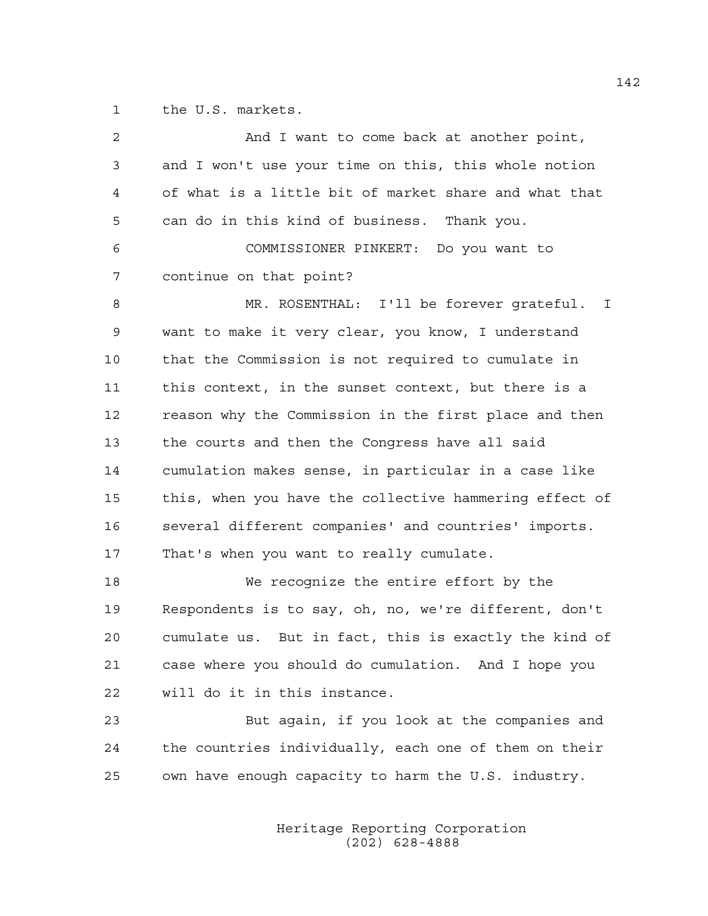1 the U.S. markets.

| 2  | And I want to come back at another point,              |
|----|--------------------------------------------------------|
| 3  | and I won't use your time on this, this whole notion   |
| 4  | of what is a little bit of market share and what that  |
| 5  | can do in this kind of business. Thank you.            |
| 6  | COMMISSIONER PINKERT: Do you want to                   |
| 7  | continue on that point?                                |
| 8  | MR. ROSENTHAL: I'll be forever grateful. I             |
| 9  | want to make it very clear, you know, I understand     |
| 10 | that the Commission is not required to cumulate in     |
| 11 | this context, in the sunset context, but there is a    |
| 12 | reason why the Commission in the first place and then  |
| 13 | the courts and then the Congress have all said         |
| 14 | cumulation makes sense, in particular in a case like   |
| 15 | this, when you have the collective hammering effect of |
| 16 | several different companies' and countries' imports.   |
| 17 | That's when you want to really cumulate.               |
| 18 | We recognize the entire effort by the                  |
| 19 | Respondents is to say, oh, no, we're different, don't  |
| 20 | cumulate us. But in fact, this is exactly the kind of  |
| 21 | case where you should do cumulation. And I hope you    |
| 22 | will do it in this instance.                           |
| 23 | But again, if you look at the companies and            |
| 24 | the countries individually, each one of them on their  |
| 25 | own have enough capacity to harm the U.S. industry.    |
|    |                                                        |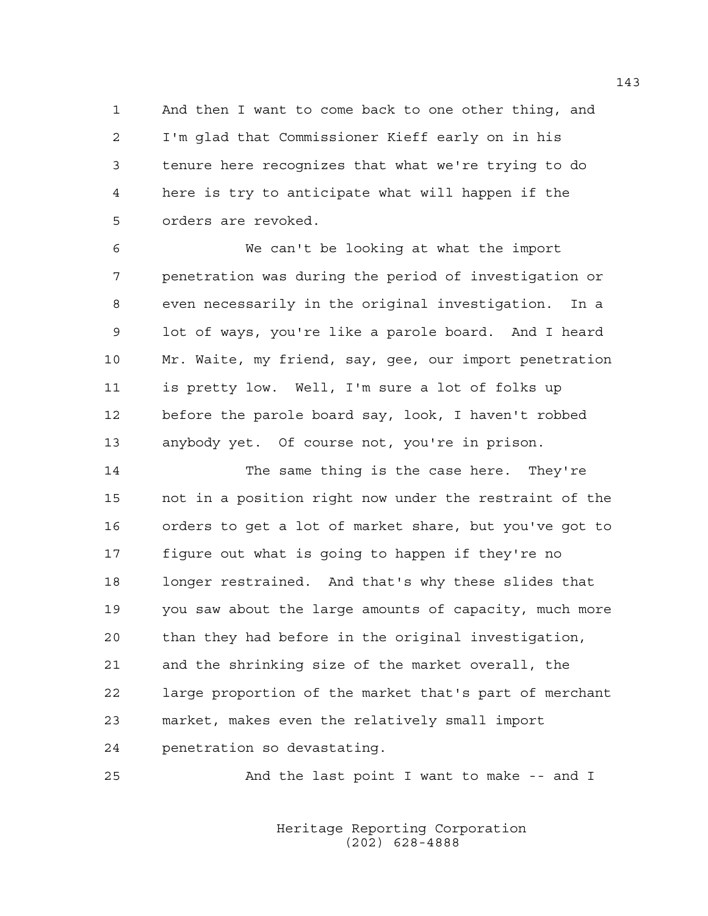1 And then I want to come back to one other thing, and 2 I'm glad that Commissioner Kieff early on in his 3 tenure here recognizes that what we're trying to do 4 here is try to anticipate what will happen if the 5 orders are revoked.

6 We can't be looking at what the import 7 penetration was during the period of investigation or 8 even necessarily in the original investigation. In a 9 lot of ways, you're like a parole board. And I heard 10 Mr. Waite, my friend, say, gee, our import penetration 11 is pretty low. Well, I'm sure a lot of folks up 12 before the parole board say, look, I haven't robbed 13 anybody yet. Of course not, you're in prison.

14 The same thing is the case here. They're 15 not in a position right now under the restraint of the 16 orders to get a lot of market share, but you've got to 17 figure out what is going to happen if they're no 18 longer restrained. And that's why these slides that 19 you saw about the large amounts of capacity, much more 20 than they had before in the original investigation, 21 and the shrinking size of the market overall, the 22 large proportion of the market that's part of merchant 23 market, makes even the relatively small import 24 penetration so devastating.

25 And the last point I want to make -- and I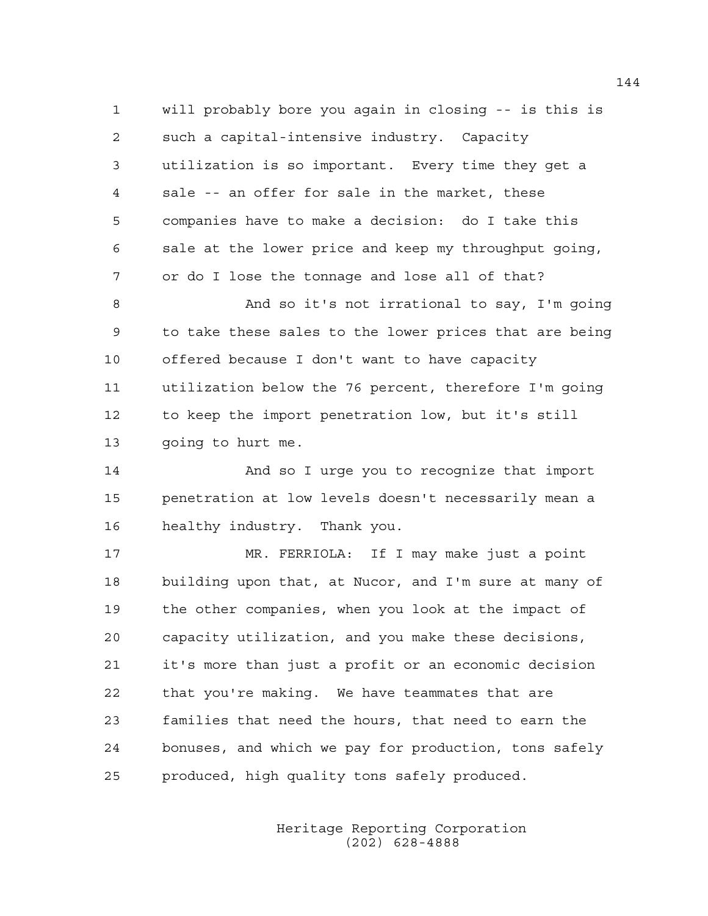1 will probably bore you again in closing -- is this is 2 such a capital-intensive industry. Capacity 3 utilization is so important. Every time they get a 4 sale -- an offer for sale in the market, these 5 companies have to make a decision: do I take this 6 sale at the lower price and keep my throughput going, 7 or do I lose the tonnage and lose all of that?

8 And so it's not irrational to say, I'm going 9 to take these sales to the lower prices that are being 10 offered because I don't want to have capacity 11 utilization below the 76 percent, therefore I'm going 12 to keep the import penetration low, but it's still 13 going to hurt me.

14 And so I urge you to recognize that import 15 penetration at low levels doesn't necessarily mean a 16 healthy industry. Thank you.

17 MR. FERRIOLA: If I may make just a point 18 building upon that, at Nucor, and I'm sure at many of 19 the other companies, when you look at the impact of 20 capacity utilization, and you make these decisions, 21 it's more than just a profit or an economic decision 22 that you're making. We have teammates that are 23 families that need the hours, that need to earn the 24 bonuses, and which we pay for production, tons safely 25 produced, high quality tons safely produced.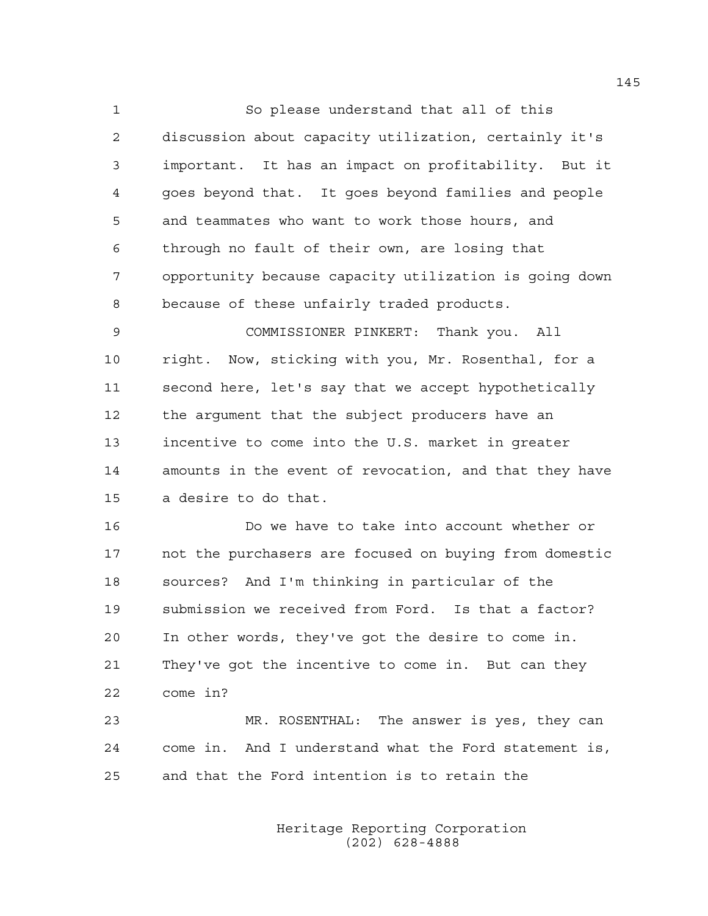1 So please understand that all of this 2 discussion about capacity utilization, certainly it's 3 important. It has an impact on profitability. But it 4 goes beyond that. It goes beyond families and people 5 and teammates who want to work those hours, and 6 through no fault of their own, are losing that 7 opportunity because capacity utilization is going down 8 because of these unfairly traded products.

9 COMMISSIONER PINKERT: Thank you. All 10 right. Now, sticking with you, Mr. Rosenthal, for a 11 second here, let's say that we accept hypothetically 12 the argument that the subject producers have an 13 incentive to come into the U.S. market in greater 14 amounts in the event of revocation, and that they have 15 a desire to do that.

16 Do we have to take into account whether or 17 not the purchasers are focused on buying from domestic 18 sources? And I'm thinking in particular of the 19 submission we received from Ford. Is that a factor? 20 In other words, they've got the desire to come in. 21 They've got the incentive to come in. But can they 22 come in?

23 MR. ROSENTHAL: The answer is yes, they can 24 come in. And I understand what the Ford statement is, 25 and that the Ford intention is to retain the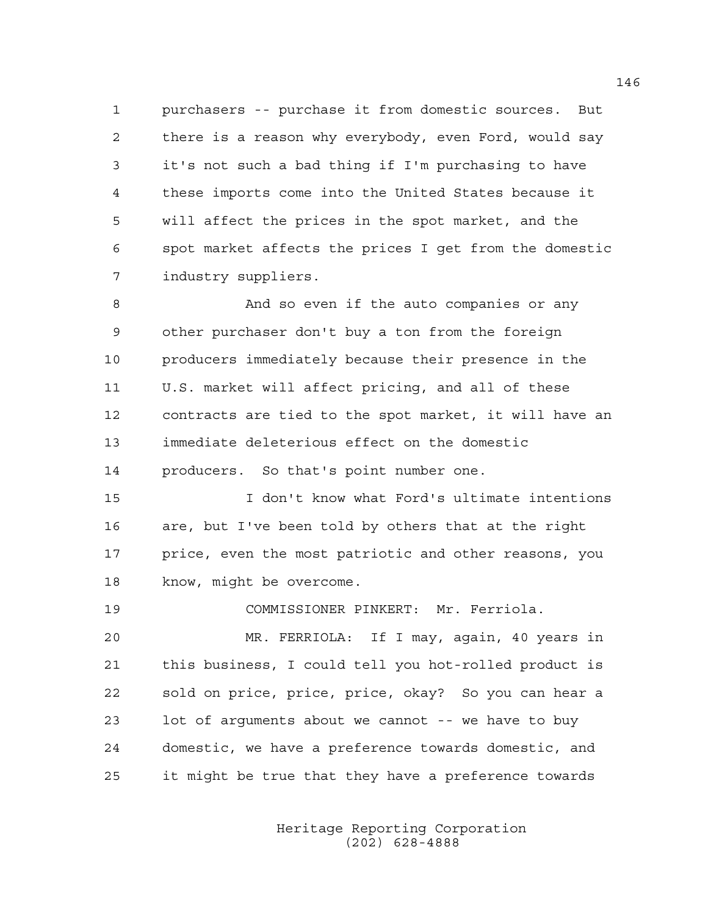1 purchasers -- purchase it from domestic sources. But 2 there is a reason why everybody, even Ford, would say 3 it's not such a bad thing if I'm purchasing to have 4 these imports come into the United States because it 5 will affect the prices in the spot market, and the 6 spot market affects the prices I get from the domestic 7 industry suppliers.

8 And so even if the auto companies or any 9 other purchaser don't buy a ton from the foreign 10 producers immediately because their presence in the 11 U.S. market will affect pricing, and all of these 12 contracts are tied to the spot market, it will have an 13 immediate deleterious effect on the domestic 14 producers. So that's point number one.

15 I don't know what Ford's ultimate intentions 16 are, but I've been told by others that at the right 17 price, even the most patriotic and other reasons, you 18 know, might be overcome.

19 COMMISSIONER PINKERT: Mr. Ferriola.

20 MR. FERRIOLA: If I may, again, 40 years in 21 this business, I could tell you hot-rolled product is 22 sold on price, price, price, okay? So you can hear a 23 lot of arguments about we cannot -- we have to buy 24 domestic, we have a preference towards domestic, and 25 it might be true that they have a preference towards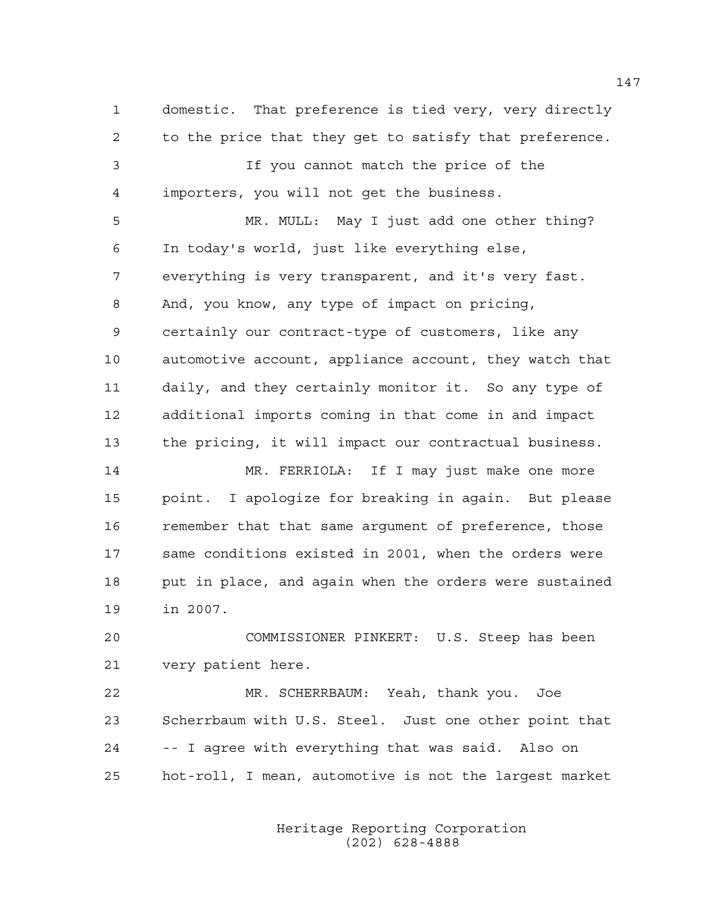1 domestic. That preference is tied very, very directly 2 to the price that they get to satisfy that preference. 3 If you cannot match the price of the 4 importers, you will not get the business. 5 MR. MULL: May I just add one other thing? 6 In today's world, just like everything else, 7 everything is very transparent, and it's very fast. 8 And, you know, any type of impact on pricing, 9 certainly our contract-type of customers, like any 10 automotive account, appliance account, they watch that 11 daily, and they certainly monitor it. So any type of 12 additional imports coming in that come in and impact 13 the pricing, it will impact our contractual business. 14 MR. FERRIOLA: If I may just make one more 15 point. I apologize for breaking in again. But please 16 remember that that same argument of preference, those 17 same conditions existed in 2001, when the orders were 18 put in place, and again when the orders were sustained 19 in 2007. 20 COMMISSIONER PINKERT: U.S. Steep has been 21 very patient here. 22 MR. SCHERRBAUM: Yeah, thank you. Joe

23 Scherrbaum with U.S. Steel. Just one other point that 24 -- I agree with everything that was said. Also on 25 hot-roll, I mean, automotive is not the largest market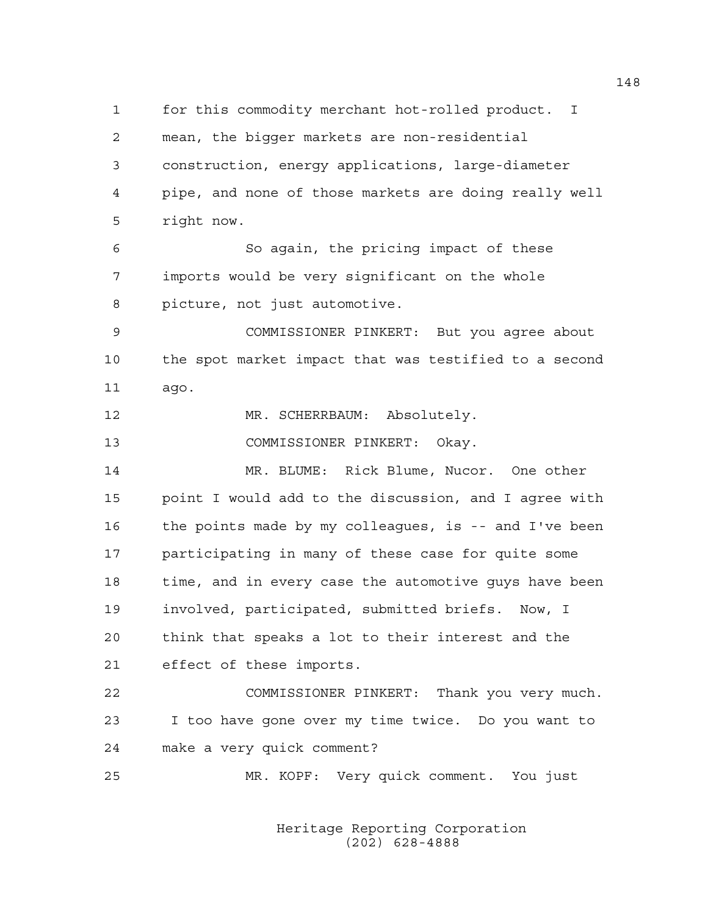1 for this commodity merchant hot-rolled product. I 2 mean, the bigger markets are non-residential 3 construction, energy applications, large-diameter 4 pipe, and none of those markets are doing really well 5 right now. 6 So again, the pricing impact of these 7 imports would be very significant on the whole 8 picture, not just automotive. 9 COMMISSIONER PINKERT: But you agree about 10 the spot market impact that was testified to a second 11 ago. 12 MR. SCHERRBAUM: Absolutely. 13 COMMISSIONER PINKERT: Okay. 14 MR. BLUME: Rick Blume, Nucor. One other 15 point I would add to the discussion, and I agree with 16 the points made by my colleagues, is -- and I've been 17 participating in many of these case for quite some 18 time, and in every case the automotive guys have been 19 involved, participated, submitted briefs. Now, I 20 think that speaks a lot to their interest and the 21 effect of these imports. 22 COMMISSIONER PINKERT: Thank you very much. 23 I too have gone over my time twice. Do you want to 24 make a very quick comment? 25 MR. KOPF: Very quick comment. You just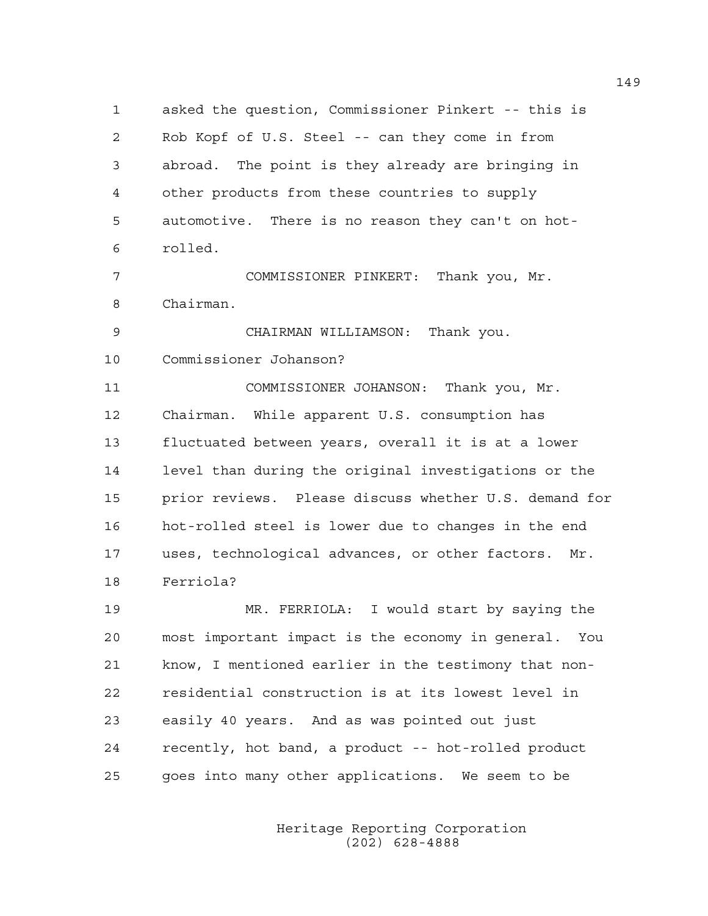1 asked the question, Commissioner Pinkert -- this is 2 Rob Kopf of U.S. Steel -- can they come in from 3 abroad. The point is they already are bringing in 4 other products from these countries to supply 5 automotive. There is no reason they can't on hot-6 rolled.

7 COMMISSIONER PINKERT: Thank you, Mr. 8 Chairman.

9 CHAIRMAN WILLIAMSON: Thank you. 10 Commissioner Johanson?

11 COMMISSIONER JOHANSON: Thank you, Mr. 12 Chairman. While apparent U.S. consumption has 13 fluctuated between years, overall it is at a lower 14 level than during the original investigations or the 15 prior reviews. Please discuss whether U.S. demand for 16 hot-rolled steel is lower due to changes in the end 17 uses, technological advances, or other factors. Mr. 18 Ferriola?

19 MR. FERRIOLA: I would start by saying the 20 most important impact is the economy in general. You 21 know, I mentioned earlier in the testimony that non-22 residential construction is at its lowest level in 23 easily 40 years. And as was pointed out just 24 recently, hot band, a product -- hot-rolled product 25 goes into many other applications. We seem to be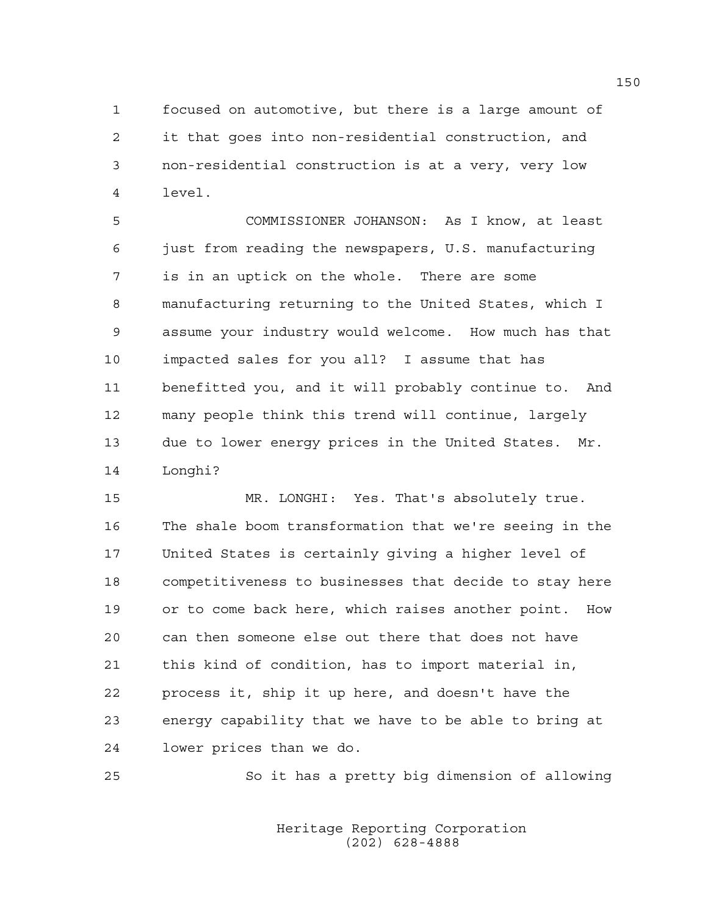1 focused on automotive, but there is a large amount of 2 it that goes into non-residential construction, and 3 non-residential construction is at a very, very low 4 level.

5 COMMISSIONER JOHANSON: As I know, at least 6 just from reading the newspapers, U.S. manufacturing 7 is in an uptick on the whole. There are some 8 manufacturing returning to the United States, which I 9 assume your industry would welcome. How much has that 10 impacted sales for you all? I assume that has 11 benefitted you, and it will probably continue to. And 12 many people think this trend will continue, largely 13 due to lower energy prices in the United States. Mr. 14 Longhi?

15 MR. LONGHI: Yes. That's absolutely true. 16 The shale boom transformation that we're seeing in the 17 United States is certainly giving a higher level of 18 competitiveness to businesses that decide to stay here 19 or to come back here, which raises another point. How 20 can then someone else out there that does not have 21 this kind of condition, has to import material in, 22 process it, ship it up here, and doesn't have the 23 energy capability that we have to be able to bring at 24 lower prices than we do.

25 So it has a pretty big dimension of allowing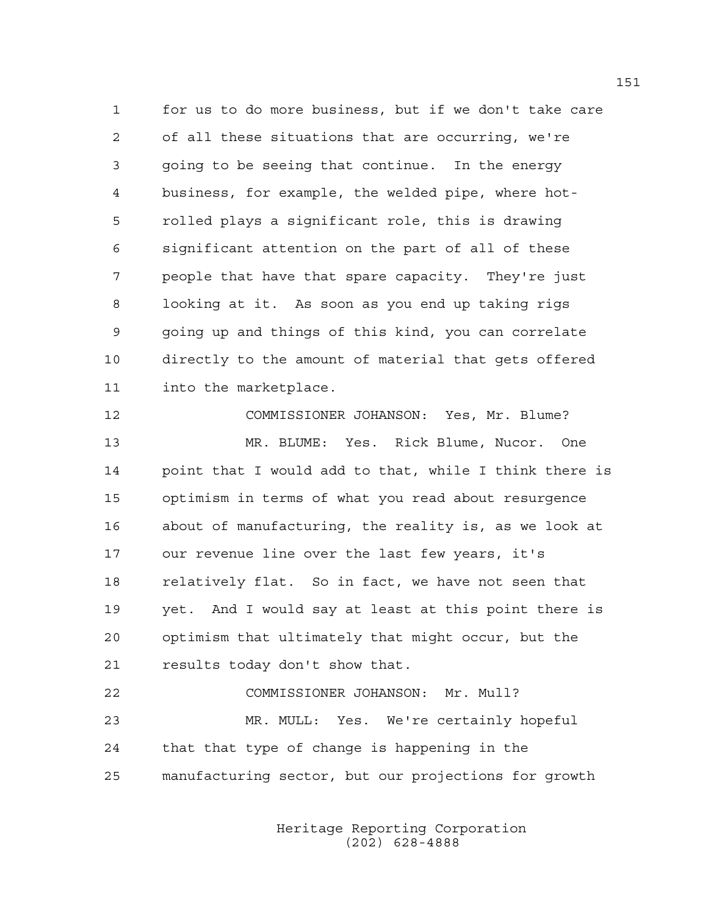1 for us to do more business, but if we don't take care 2 of all these situations that are occurring, we're 3 going to be seeing that continue. In the energy 4 business, for example, the welded pipe, where hot-5 rolled plays a significant role, this is drawing 6 significant attention on the part of all of these 7 people that have that spare capacity. They're just 8 looking at it. As soon as you end up taking rigs 9 going up and things of this kind, you can correlate 10 directly to the amount of material that gets offered 11 into the marketplace.

12 COMMISSIONER JOHANSON: Yes, Mr. Blume? 13 MR. BLUME: Yes. Rick Blume, Nucor. One 14 point that I would add to that, while I think there is 15 optimism in terms of what you read about resurgence 16 about of manufacturing, the reality is, as we look at 17 our revenue line over the last few years, it's 18 relatively flat. So in fact, we have not seen that 19 yet. And I would say at least at this point there is 20 optimism that ultimately that might occur, but the 21 results today don't show that.

22 COMMISSIONER JOHANSON: Mr. Mull? 23 MR. MULL: Yes. We're certainly hopeful 24 that that type of change is happening in the 25 manufacturing sector, but our projections for growth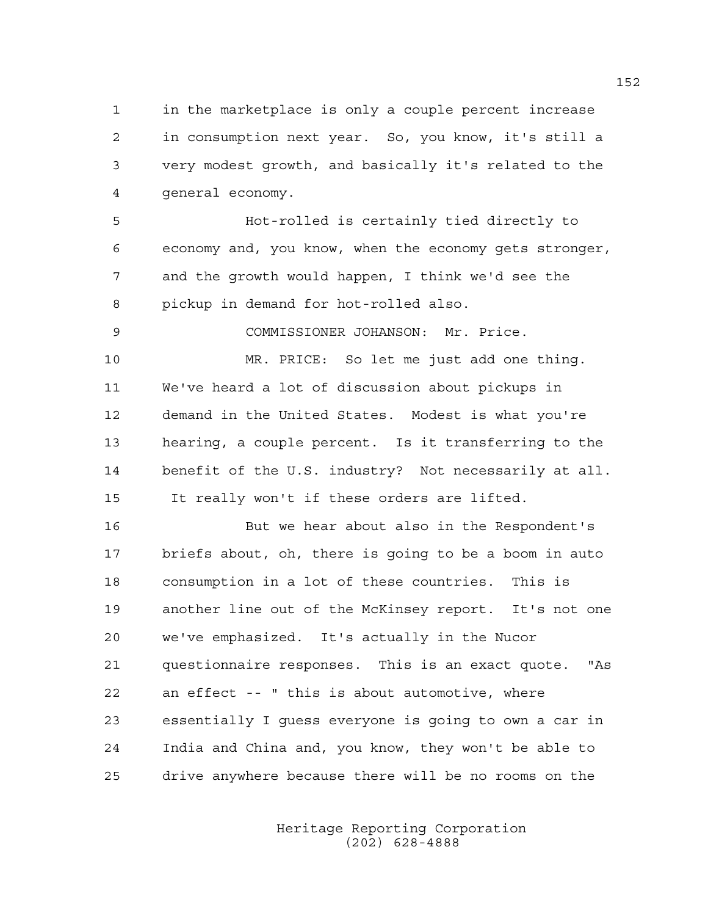1 in the marketplace is only a couple percent increase 2 in consumption next year. So, you know, it's still a 3 very modest growth, and basically it's related to the 4 general economy.

5 Hot-rolled is certainly tied directly to 6 economy and, you know, when the economy gets stronger, 7 and the growth would happen, I think we'd see the 8 pickup in demand for hot-rolled also.

9 COMMISSIONER JOHANSON: Mr. Price.

10 MR. PRICE: So let me just add one thing. 11 We've heard a lot of discussion about pickups in 12 demand in the United States. Modest is what you're 13 hearing, a couple percent. Is it transferring to the 14 benefit of the U.S. industry? Not necessarily at all. 15 It really won't if these orders are lifted.

16 But we hear about also in the Respondent's 17 briefs about, oh, there is going to be a boom in auto 18 consumption in a lot of these countries. This is 19 another line out of the McKinsey report. It's not one 20 we've emphasized. It's actually in the Nucor 21 questionnaire responses. This is an exact quote. "As 22 an effect -- " this is about automotive, where 23 essentially I guess everyone is going to own a car in 24 India and China and, you know, they won't be able to 25 drive anywhere because there will be no rooms on the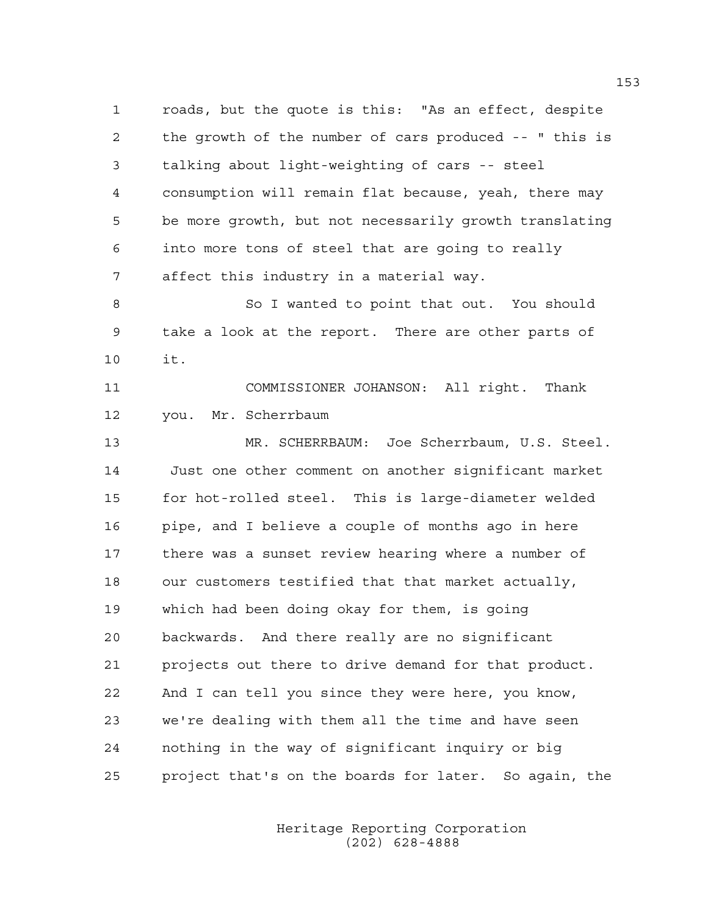1 roads, but the quote is this: "As an effect, despite 2 the growth of the number of cars produced -- " this is 3 talking about light-weighting of cars -- steel 4 consumption will remain flat because, yeah, there may 5 be more growth, but not necessarily growth translating 6 into more tons of steel that are going to really 7 affect this industry in a material way. 8 So I wanted to point that out. You should

9 take a look at the report. There are other parts of 10 it.

11 COMMISSIONER JOHANSON: All right. Thank 12 you. Mr. Scherrbaum

13 MR. SCHERRBAUM: Joe Scherrbaum, U.S. Steel. 14 Just one other comment on another significant market 15 for hot-rolled steel. This is large-diameter welded 16 pipe, and I believe a couple of months ago in here 17 there was a sunset review hearing where a number of 18 our customers testified that that market actually, 19 which had been doing okay for them, is going 20 backwards. And there really are no significant 21 projects out there to drive demand for that product. 22 And I can tell you since they were here, you know, 23 we're dealing with them all the time and have seen 24 nothing in the way of significant inquiry or big 25 project that's on the boards for later. So again, the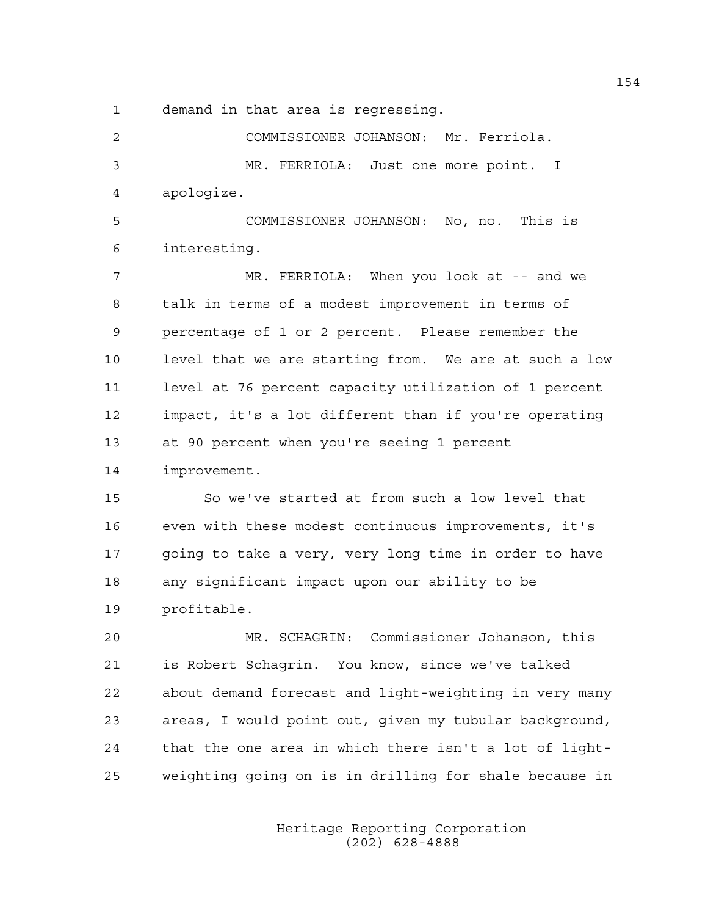1 demand in that area is regressing.

2 COMMISSIONER JOHANSON: Mr. Ferriola. 3 MR. FERRIOLA: Just one more point. I 4 apologize. 5 COMMISSIONER JOHANSON: No, no. This is 6 interesting. 7 MR. FERRIOLA: When you look at -- and we 8 talk in terms of a modest improvement in terms of 9 percentage of 1 or 2 percent. Please remember the 10 level that we are starting from. We are at such a low 11 level at 76 percent capacity utilization of 1 percent 12 impact, it's a lot different than if you're operating 13 at 90 percent when you're seeing 1 percent 14 improvement. 15 So we've started at from such a low level that 16 even with these modest continuous improvements, it's 17 going to take a very, very long time in order to have 18 any significant impact upon our ability to be 19 profitable. 20 MR. SCHAGRIN: Commissioner Johanson, this 21 is Robert Schagrin. You know, since we've talked 22 about demand forecast and light-weighting in very many 23 areas, I would point out, given my tubular background, 24 that the one area in which there isn't a lot of light-25 weighting going on is in drilling for shale because in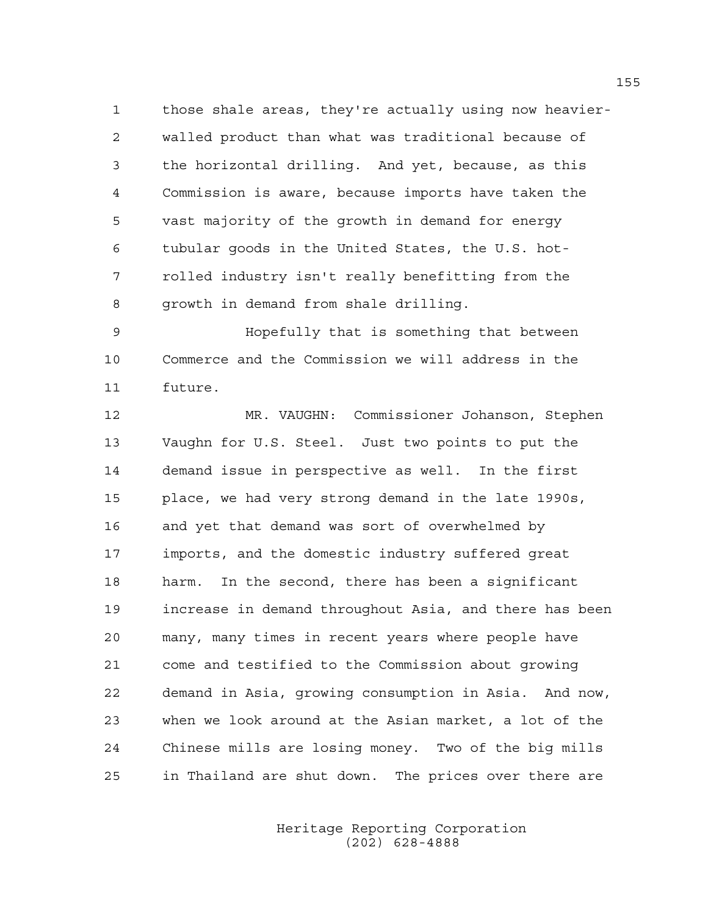1 those shale areas, they're actually using now heavier-2 walled product than what was traditional because of 3 the horizontal drilling. And yet, because, as this 4 Commission is aware, because imports have taken the 5 vast majority of the growth in demand for energy 6 tubular goods in the United States, the U.S. hot-7 rolled industry isn't really benefitting from the 8 growth in demand from shale drilling.

9 Hopefully that is something that between 10 Commerce and the Commission we will address in the 11 future.

12 MR. VAUGHN: Commissioner Johanson, Stephen 13 Vaughn for U.S. Steel. Just two points to put the 14 demand issue in perspective as well. In the first 15 place, we had very strong demand in the late 1990s, 16 and yet that demand was sort of overwhelmed by 17 imports, and the domestic industry suffered great 18 harm. In the second, there has been a significant 19 increase in demand throughout Asia, and there has been 20 many, many times in recent years where people have 21 come and testified to the Commission about growing 22 demand in Asia, growing consumption in Asia. And now, 23 when we look around at the Asian market, a lot of the 24 Chinese mills are losing money. Two of the big mills 25 in Thailand are shut down. The prices over there are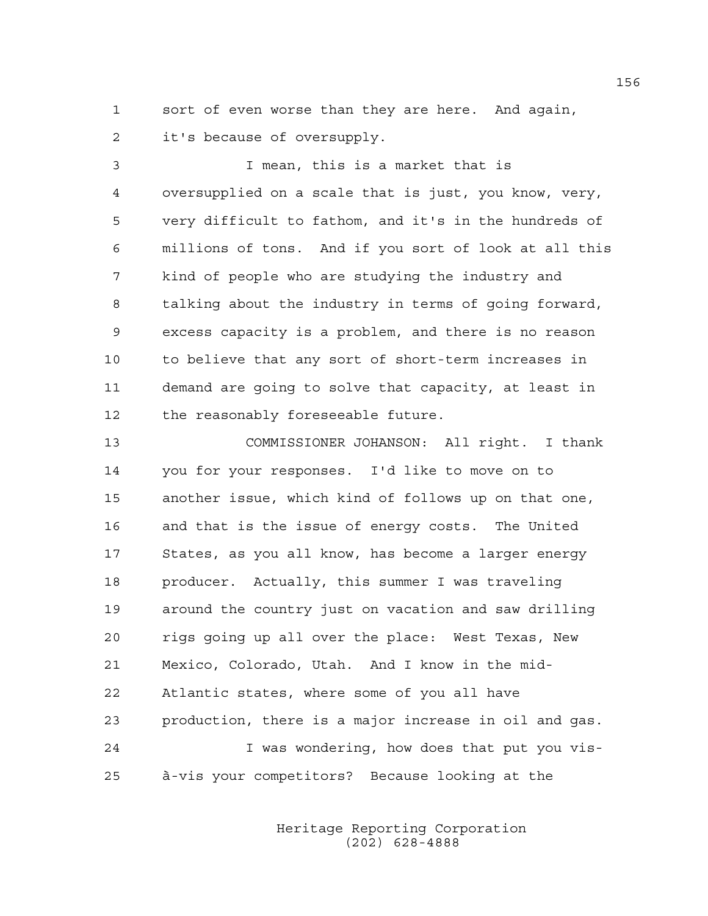1 sort of even worse than they are here. And again, 2 it's because of oversupply.

3 I mean, this is a market that is 4 oversupplied on a scale that is just, you know, very, 5 very difficult to fathom, and it's in the hundreds of 6 millions of tons. And if you sort of look at all this 7 kind of people who are studying the industry and 8 talking about the industry in terms of going forward, 9 excess capacity is a problem, and there is no reason 10 to believe that any sort of short-term increases in 11 demand are going to solve that capacity, at least in 12 the reasonably foreseeable future.

13 COMMISSIONER JOHANSON: All right. I thank 14 you for your responses. I'd like to move on to 15 another issue, which kind of follows up on that one, 16 and that is the issue of energy costs. The United 17 States, as you all know, has become a larger energy 18 producer. Actually, this summer I was traveling 19 around the country just on vacation and saw drilling 20 rigs going up all over the place: West Texas, New 21 Mexico, Colorado, Utah. And I know in the mid-22 Atlantic states, where some of you all have 23 production, there is a major increase in oil and gas. 24 I was wondering, how does that put you vis-25 à-vis your competitors? Because looking at the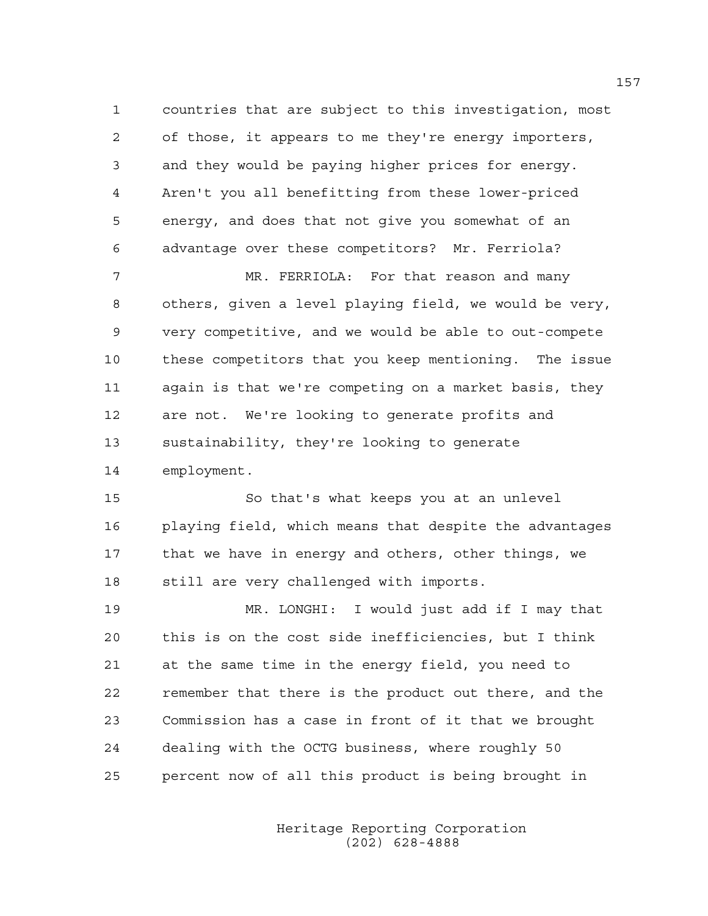1 countries that are subject to this investigation, most 2 of those, it appears to me they're energy importers, 3 and they would be paying higher prices for energy. 4 Aren't you all benefitting from these lower-priced 5 energy, and does that not give you somewhat of an 6 advantage over these competitors? Mr. Ferriola?

7 MR. FERRIOLA: For that reason and many 8 others, given a level playing field, we would be very, 9 very competitive, and we would be able to out-compete 10 these competitors that you keep mentioning. The issue 11 again is that we're competing on a market basis, they 12 are not. We're looking to generate profits and 13 sustainability, they're looking to generate 14 employment.

15 So that's what keeps you at an unlevel 16 playing field, which means that despite the advantages 17 that we have in energy and others, other things, we 18 still are very challenged with imports.

19 MR. LONGHI: I would just add if I may that 20 this is on the cost side inefficiencies, but I think 21 at the same time in the energy field, you need to 22 remember that there is the product out there, and the 23 Commission has a case in front of it that we brought 24 dealing with the OCTG business, where roughly 50 25 percent now of all this product is being brought in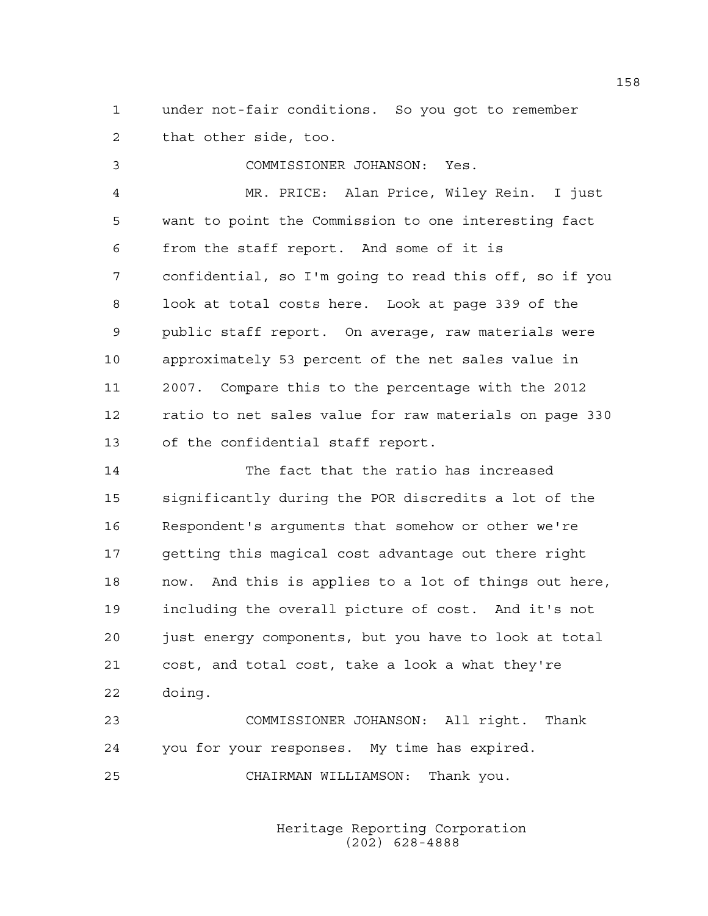1 under not-fair conditions. So you got to remember 2 that other side, too.

3 COMMISSIONER JOHANSON: Yes.

4 MR. PRICE: Alan Price, Wiley Rein. I just 5 want to point the Commission to one interesting fact 6 from the staff report. And some of it is 7 confidential, so I'm going to read this off, so if you 8 look at total costs here. Look at page 339 of the 9 public staff report. On average, raw materials were 10 approximately 53 percent of the net sales value in 11 2007. Compare this to the percentage with the 2012 12 ratio to net sales value for raw materials on page 330 13 of the confidential staff report.

14 The fact that the ratio has increased 15 significantly during the POR discredits a lot of the 16 Respondent's arguments that somehow or other we're 17 getting this magical cost advantage out there right 18 now. And this is applies to a lot of things out here, 19 including the overall picture of cost. And it's not 20 just energy components, but you have to look at total 21 cost, and total cost, take a look a what they're 22 doing.

23 COMMISSIONER JOHANSON: All right. Thank 24 you for your responses. My time has expired. 25 CHAIRMAN WILLIAMSON: Thank you.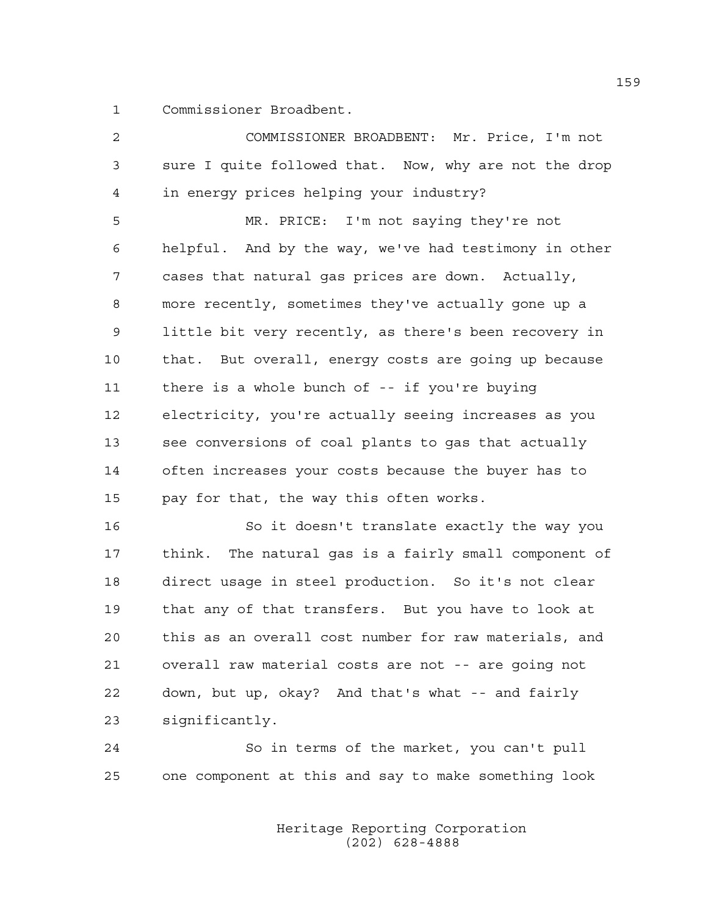1 Commissioner Broadbent.

2 COMMISSIONER BROADBENT: Mr. Price, I'm not 3 sure I quite followed that. Now, why are not the drop 4 in energy prices helping your industry? 5 MR. PRICE: I'm not saying they're not 6 helpful. And by the way, we've had testimony in other 7 cases that natural gas prices are down. Actually, 8 more recently, sometimes they've actually gone up a 9 little bit very recently, as there's been recovery in 10 that. But overall, energy costs are going up because 11 there is a whole bunch of -- if you're buying 12 electricity, you're actually seeing increases as you 13 see conversions of coal plants to gas that actually 14 often increases your costs because the buyer has to 15 pay for that, the way this often works. 16 So it doesn't translate exactly the way you 17 think. The natural gas is a fairly small component of 18 direct usage in steel production. So it's not clear 19 that any of that transfers. But you have to look at 20 this as an overall cost number for raw materials, and 21 overall raw material costs are not -- are going not 22 down, but up, okay? And that's what -- and fairly

23 significantly.

24 So in terms of the market, you can't pull 25 one component at this and say to make something look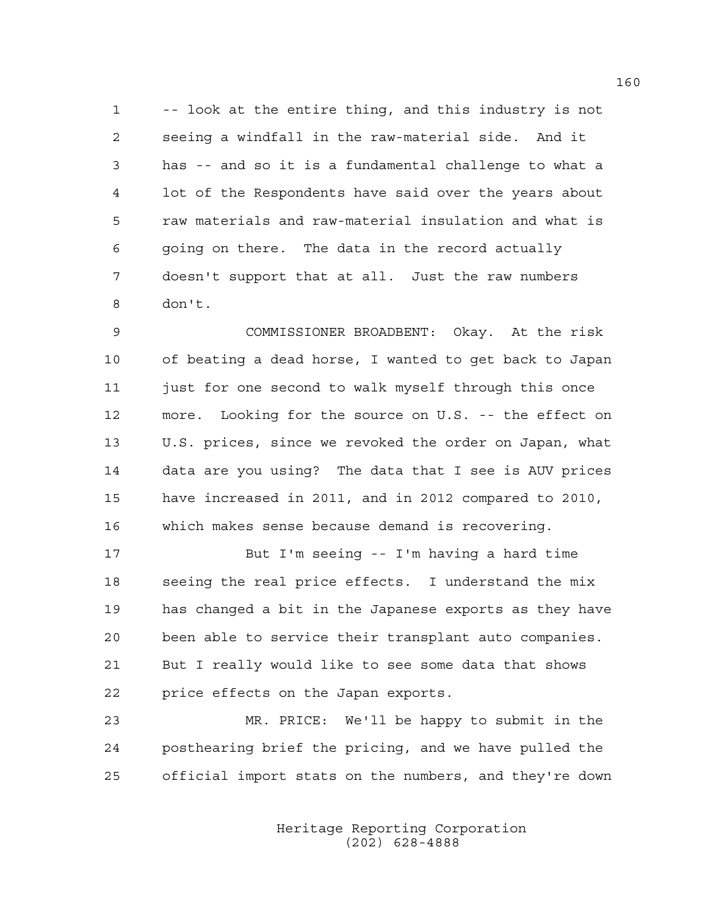1 -- look at the entire thing, and this industry is not 2 seeing a windfall in the raw-material side. And it 3 has -- and so it is a fundamental challenge to what a 4 lot of the Respondents have said over the years about 5 raw materials and raw-material insulation and what is 6 going on there. The data in the record actually 7 doesn't support that at all. Just the raw numbers 8 don't.

9 COMMISSIONER BROADBENT: Okay. At the risk 10 of beating a dead horse, I wanted to get back to Japan 11 just for one second to walk myself through this once 12 more. Looking for the source on U.S. -- the effect on 13 U.S. prices, since we revoked the order on Japan, what 14 data are you using? The data that I see is AUV prices 15 have increased in 2011, and in 2012 compared to 2010, 16 which makes sense because demand is recovering.

17 But I'm seeing -- I'm having a hard time 18 seeing the real price effects. I understand the mix 19 has changed a bit in the Japanese exports as they have 20 been able to service their transplant auto companies. 21 But I really would like to see some data that shows 22 price effects on the Japan exports.

23 MR. PRICE: We'll be happy to submit in the 24 posthearing brief the pricing, and we have pulled the 25 official import stats on the numbers, and they're down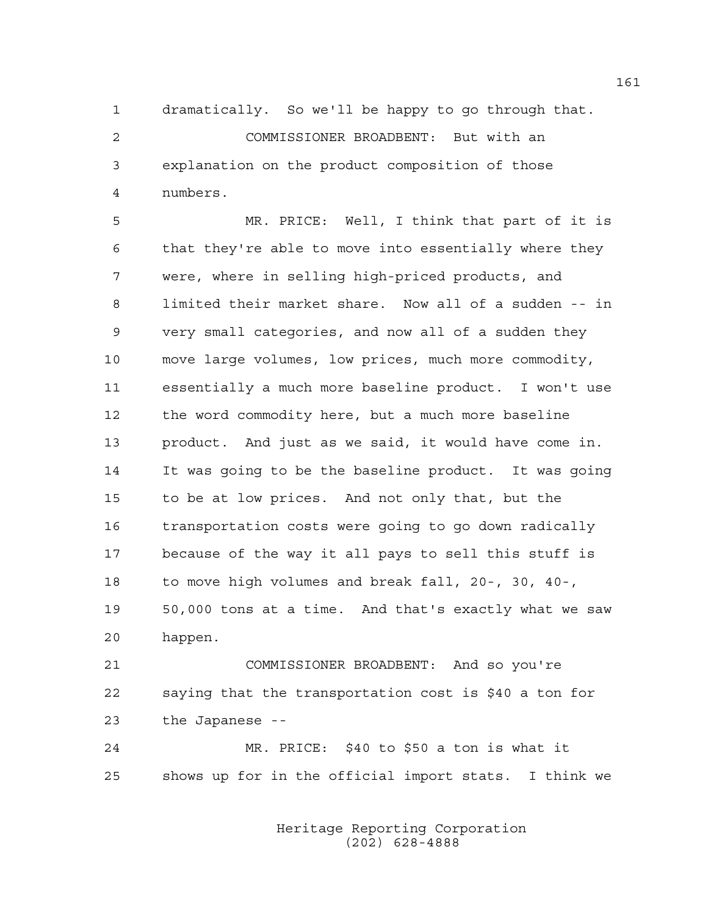1 dramatically. So we'll be happy to go through that. 2 COMMISSIONER BROADBENT: But with an 3 explanation on the product composition of those 4 numbers.

5 MR. PRICE: Well, I think that part of it is 6 that they're able to move into essentially where they 7 were, where in selling high-priced products, and 8 limited their market share. Now all of a sudden -- in 9 very small categories, and now all of a sudden they 10 move large volumes, low prices, much more commodity, 11 essentially a much more baseline product. I won't use 12 the word commodity here, but a much more baseline 13 product. And just as we said, it would have come in. 14 It was going to be the baseline product. It was going 15 to be at low prices. And not only that, but the 16 transportation costs were going to go down radically 17 because of the way it all pays to sell this stuff is 18 to move high volumes and break fall, 20-, 30, 40-, 19 50,000 tons at a time. And that's exactly what we saw 20 happen.

21 COMMISSIONER BROADBENT: And so you're 22 saying that the transportation cost is \$40 a ton for 23 the Japanese --

24 MR. PRICE: \$40 to \$50 a ton is what it 25 shows up for in the official import stats. I think we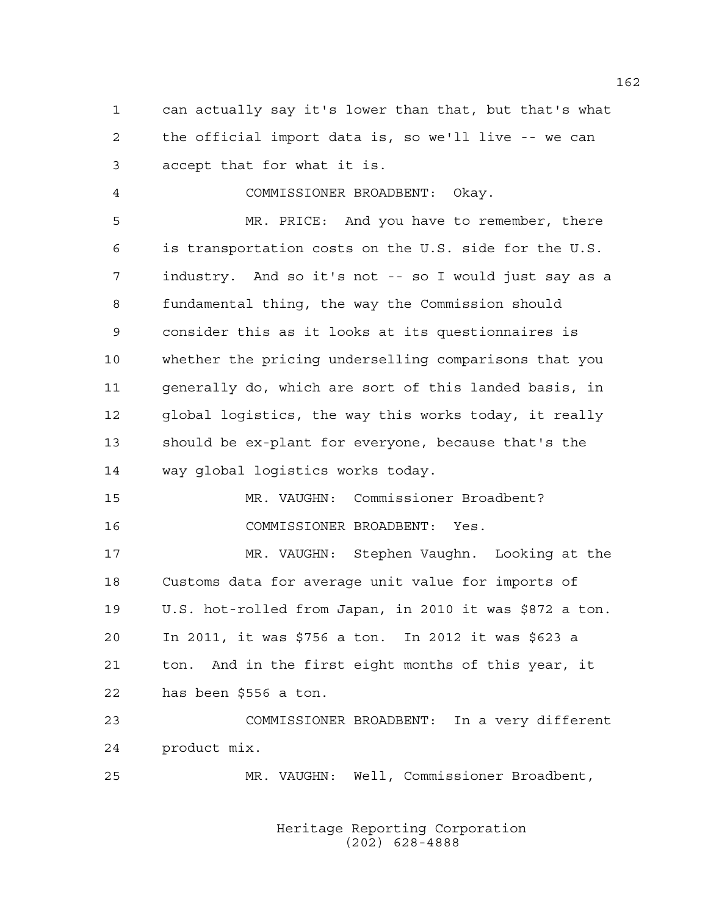1 can actually say it's lower than that, but that's what 2 the official import data is, so we'll live -- we can 3 accept that for what it is.

4 COMMISSIONER BROADBENT: Okay.

5 MR. PRICE: And you have to remember, there 6 is transportation costs on the U.S. side for the U.S. 7 industry. And so it's not -- so I would just say as a 8 fundamental thing, the way the Commission should 9 consider this as it looks at its questionnaires is 10 whether the pricing underselling comparisons that you 11 generally do, which are sort of this landed basis, in 12 global logistics, the way this works today, it really 13 should be ex-plant for everyone, because that's the 14 way global logistics works today.

15 MR. VAUGHN: Commissioner Broadbent? 16 COMMISSIONER BROADBENT: Yes.

17 MR. VAUGHN: Stephen Vaughn. Looking at the 18 Customs data for average unit value for imports of 19 U.S. hot-rolled from Japan, in 2010 it was \$872 a ton. 20 In 2011, it was \$756 a ton. In 2012 it was \$623 a 21 ton. And in the first eight months of this year, it 22 has been \$556 a ton.

23 COMMISSIONER BROADBENT: In a very different 24 product mix.

25 MR. VAUGHN: Well, Commissioner Broadbent,

 Heritage Reporting Corporation (202) 628-4888

162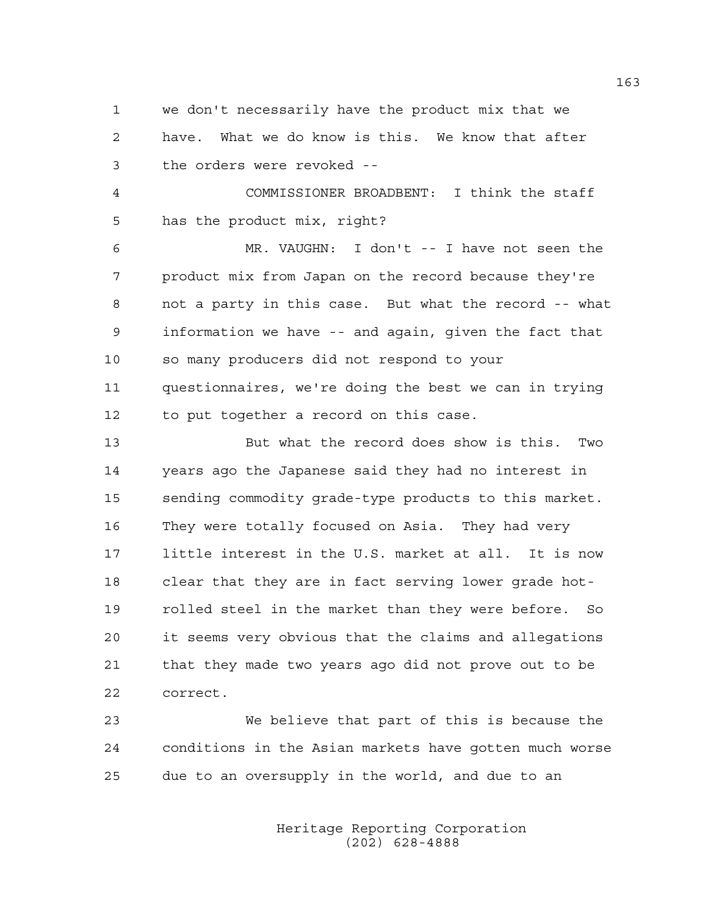1 we don't necessarily have the product mix that we 2 have. What we do know is this. We know that after 3 the orders were revoked --

4 COMMISSIONER BROADBENT: I think the staff 5 has the product mix, right?

6 MR. VAUGHN: I don't -- I have not seen the 7 product mix from Japan on the record because they're 8 not a party in this case. But what the record -- what 9 information we have -- and again, given the fact that 10 so many producers did not respond to your 11 questionnaires, we're doing the best we can in trying 12 to put together a record on this case.

13 But what the record does show is this. Two 14 years ago the Japanese said they had no interest in 15 sending commodity grade-type products to this market. 16 They were totally focused on Asia. They had very 17 little interest in the U.S. market at all. It is now 18 clear that they are in fact serving lower grade hot-19 rolled steel in the market than they were before. So 20 it seems very obvious that the claims and allegations 21 that they made two years ago did not prove out to be 22 correct.

23 We believe that part of this is because the 24 conditions in the Asian markets have gotten much worse 25 due to an oversupply in the world, and due to an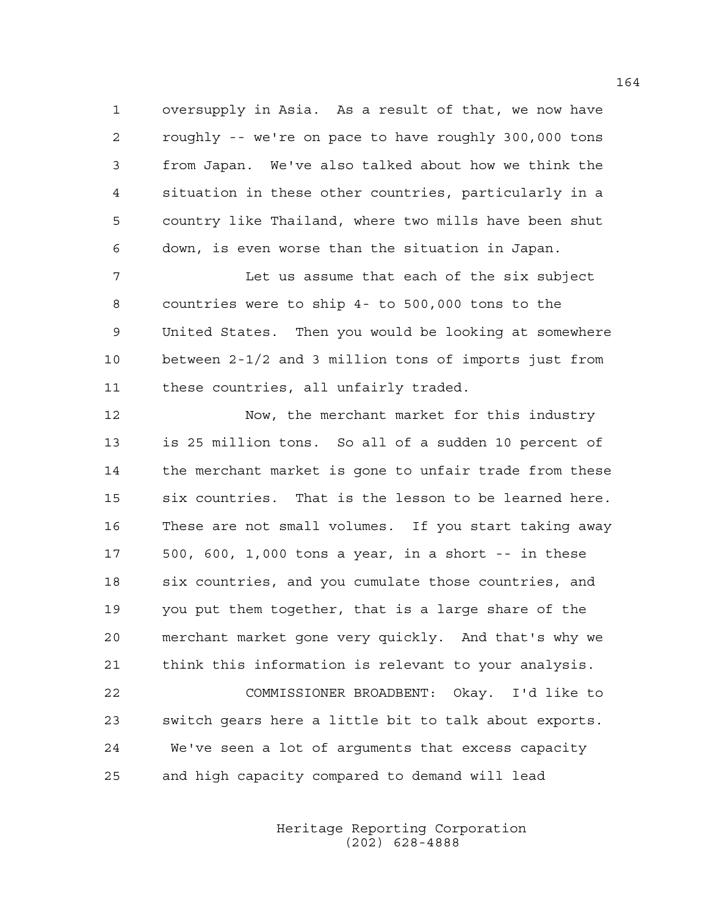1 oversupply in Asia. As a result of that, we now have 2 roughly -- we're on pace to have roughly 300,000 tons 3 from Japan. We've also talked about how we think the 4 situation in these other countries, particularly in a 5 country like Thailand, where two mills have been shut 6 down, is even worse than the situation in Japan.

7 Let us assume that each of the six subject 8 countries were to ship 4- to 500,000 tons to the 9 United States. Then you would be looking at somewhere 10 between 2-1/2 and 3 million tons of imports just from 11 these countries, all unfairly traded.

12 Now, the merchant market for this industry 13 is 25 million tons. So all of a sudden 10 percent of 14 the merchant market is gone to unfair trade from these 15 six countries. That is the lesson to be learned here. 16 These are not small volumes. If you start taking away 17 500, 600, 1,000 tons a year, in a short -- in these 18 six countries, and you cumulate those countries, and 19 you put them together, that is a large share of the 20 merchant market gone very quickly. And that's why we 21 think this information is relevant to your analysis. 22 COMMISSIONER BROADBENT: Okay. I'd like to 23 switch gears here a little bit to talk about exports.

24 We've seen a lot of arguments that excess capacity 25 and high capacity compared to demand will lead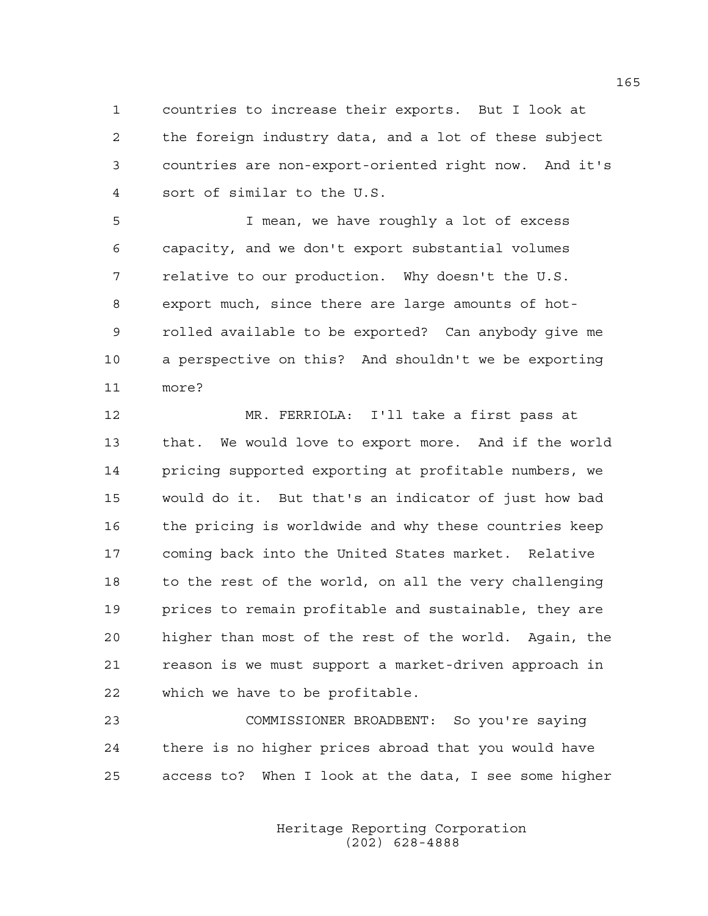1 countries to increase their exports. But I look at 2 the foreign industry data, and a lot of these subject 3 countries are non-export-oriented right now. And it's 4 sort of similar to the U.S.

5 I mean, we have roughly a lot of excess 6 capacity, and we don't export substantial volumes 7 relative to our production. Why doesn't the U.S. 8 export much, since there are large amounts of hot-9 rolled available to be exported? Can anybody give me 10 a perspective on this? And shouldn't we be exporting 11 more?

12 MR. FERRIOLA: I'll take a first pass at 13 that. We would love to export more. And if the world 14 pricing supported exporting at profitable numbers, we 15 would do it. But that's an indicator of just how bad 16 the pricing is worldwide and why these countries keep 17 coming back into the United States market. Relative 18 to the rest of the world, on all the very challenging 19 prices to remain profitable and sustainable, they are 20 higher than most of the rest of the world. Again, the 21 reason is we must support a market-driven approach in 22 which we have to be profitable.

23 COMMISSIONER BROADBENT: So you're saying 24 there is no higher prices abroad that you would have 25 access to? When I look at the data, I see some higher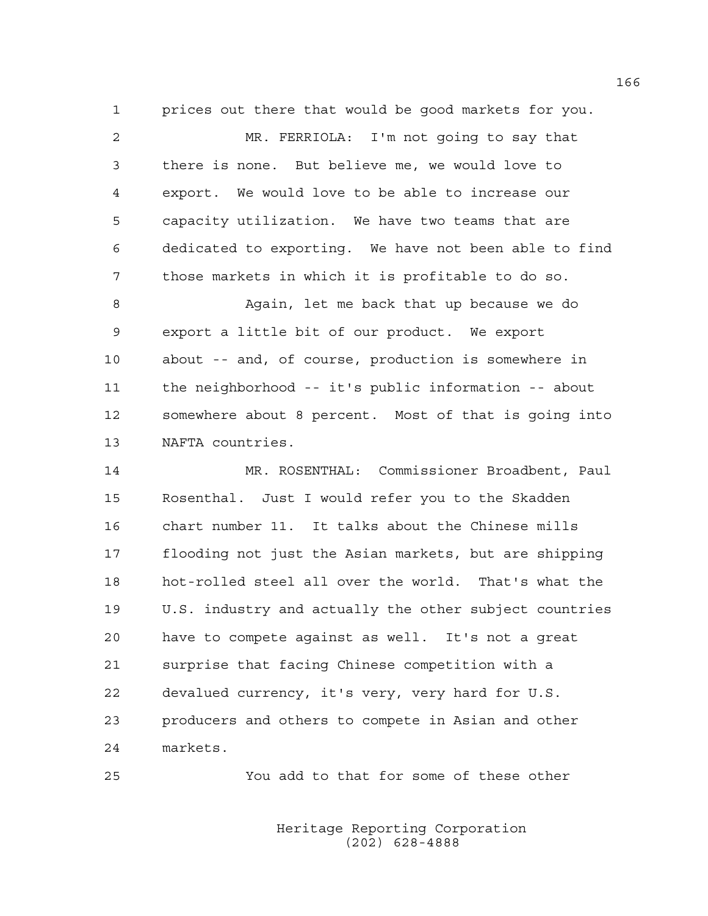1 prices out there that would be good markets for you. 2 MR. FERRIOLA: I'm not going to say that 3 there is none. But believe me, we would love to 4 export. We would love to be able to increase our 5 capacity utilization. We have two teams that are 6 dedicated to exporting. We have not been able to find 7 those markets in which it is profitable to do so. 8 Again, let me back that up because we do 9 export a little bit of our product. We export 10 about -- and, of course, production is somewhere in

11 the neighborhood -- it's public information -- about 12 somewhere about 8 percent. Most of that is going into 13 NAFTA countries.

14 MR. ROSENTHAL: Commissioner Broadbent, Paul 15 Rosenthal. Just I would refer you to the Skadden 16 chart number 11. It talks about the Chinese mills 17 flooding not just the Asian markets, but are shipping 18 hot-rolled steel all over the world. That's what the 19 U.S. industry and actually the other subject countries 20 have to compete against as well. It's not a great 21 surprise that facing Chinese competition with a 22 devalued currency, it's very, very hard for U.S. 23 producers and others to compete in Asian and other 24 markets.

25 You add to that for some of these other

 Heritage Reporting Corporation (202) 628-4888

166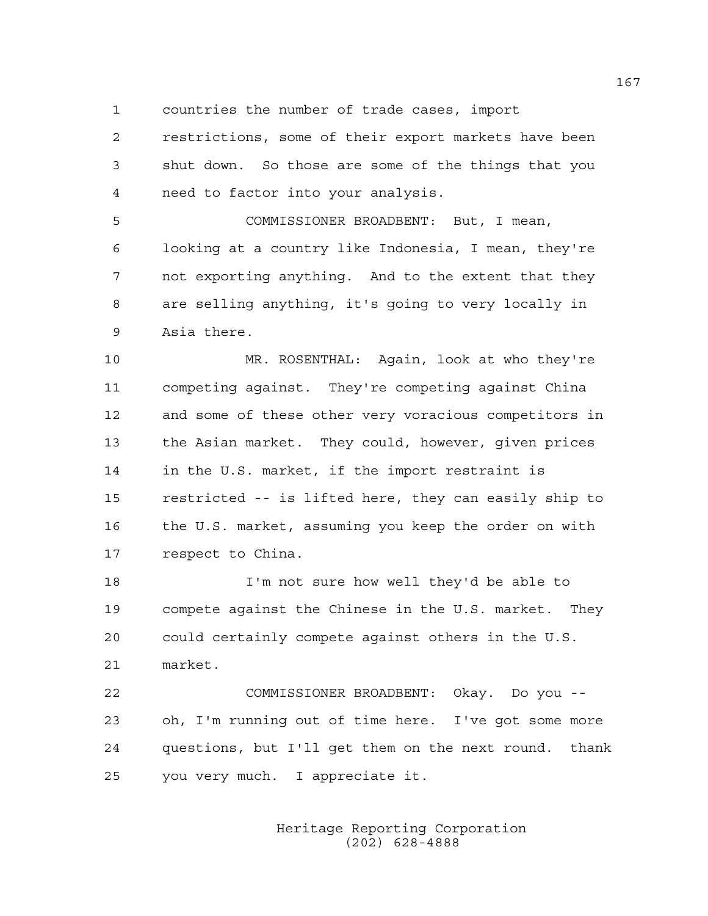1 countries the number of trade cases, import

2 restrictions, some of their export markets have been 3 shut down. So those are some of the things that you 4 need to factor into your analysis.

5 COMMISSIONER BROADBENT: But, I mean, 6 looking at a country like Indonesia, I mean, they're 7 not exporting anything. And to the extent that they 8 are selling anything, it's going to very locally in 9 Asia there.

10 MR. ROSENTHAL: Again, look at who they're 11 competing against. They're competing against China 12 and some of these other very voracious competitors in 13 the Asian market. They could, however, given prices 14 in the U.S. market, if the import restraint is 15 restricted -- is lifted here, they can easily ship to 16 the U.S. market, assuming you keep the order on with 17 respect to China.

18 I'm not sure how well they'd be able to 19 compete against the Chinese in the U.S. market. They 20 could certainly compete against others in the U.S. 21 market.

22 COMMISSIONER BROADBENT: Okay. Do you -- 23 oh, I'm running out of time here. I've got some more 24 questions, but I'll get them on the next round. thank 25 you very much. I appreciate it.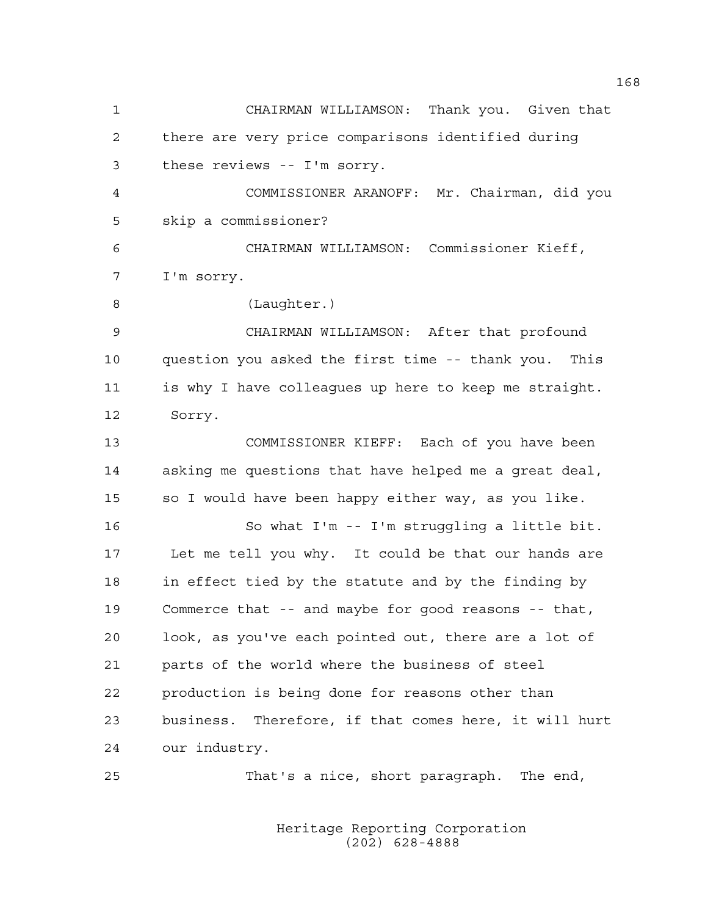1 CHAIRMAN WILLIAMSON: Thank you. Given that 2 there are very price comparisons identified during 3 these reviews -- I'm sorry. 4 COMMISSIONER ARANOFF: Mr. Chairman, did you 5 skip a commissioner? 6 CHAIRMAN WILLIAMSON: Commissioner Kieff, 7 I'm sorry. 8 (Laughter.) 9 CHAIRMAN WILLIAMSON: After that profound 10 question you asked the first time -- thank you. This 11 is why I have colleagues up here to keep me straight. 12 Sorry. 13 COMMISSIONER KIEFF: Each of you have been 14 asking me questions that have helped me a great deal, 15 so I would have been happy either way, as you like. 16 So what I'm -- I'm struggling a little bit. 17 Let me tell you why. It could be that our hands are 18 in effect tied by the statute and by the finding by 19 Commerce that -- and maybe for good reasons -- that, 20 look, as you've each pointed out, there are a lot of 21 parts of the world where the business of steel 22 production is being done for reasons other than 23 business. Therefore, if that comes here, it will hurt 24 our industry. 25 That's a nice, short paragraph. The end,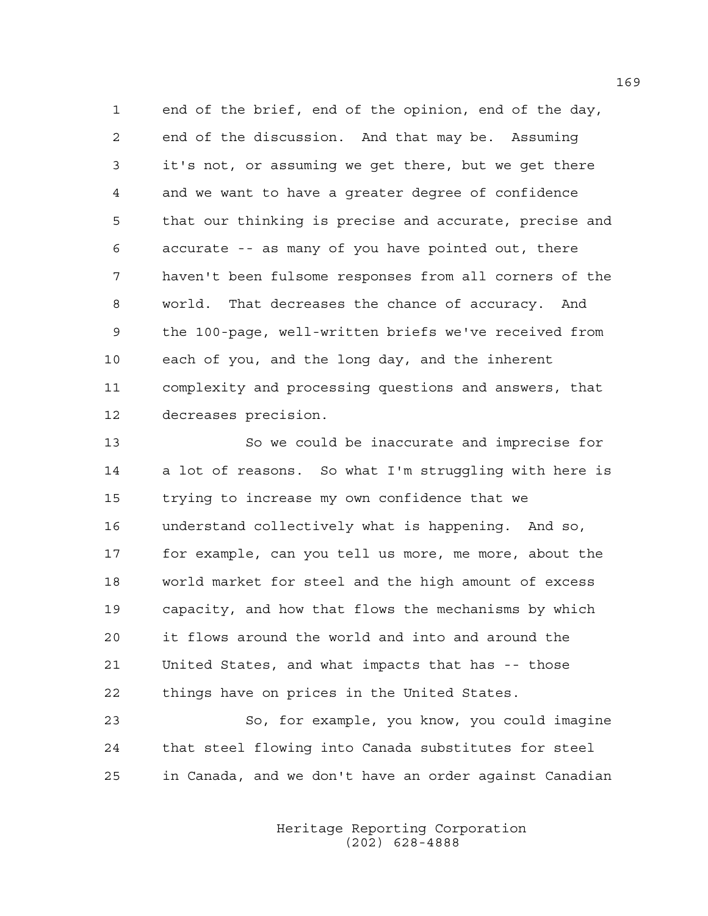1 end of the brief, end of the opinion, end of the day, 2 end of the discussion. And that may be. Assuming 3 it's not, or assuming we get there, but we get there 4 and we want to have a greater degree of confidence 5 that our thinking is precise and accurate, precise and 6 accurate -- as many of you have pointed out, there 7 haven't been fulsome responses from all corners of the 8 world. That decreases the chance of accuracy. And 9 the 100-page, well-written briefs we've received from 10 each of you, and the long day, and the inherent 11 complexity and processing questions and answers, that 12 decreases precision.

13 So we could be inaccurate and imprecise for 14 a lot of reasons. So what I'm struggling with here is 15 trying to increase my own confidence that we 16 understand collectively what is happening. And so, 17 for example, can you tell us more, me more, about the 18 world market for steel and the high amount of excess 19 capacity, and how that flows the mechanisms by which 20 it flows around the world and into and around the 21 United States, and what impacts that has -- those 22 things have on prices in the United States.

23 So, for example, you know, you could imagine 24 that steel flowing into Canada substitutes for steel 25 in Canada, and we don't have an order against Canadian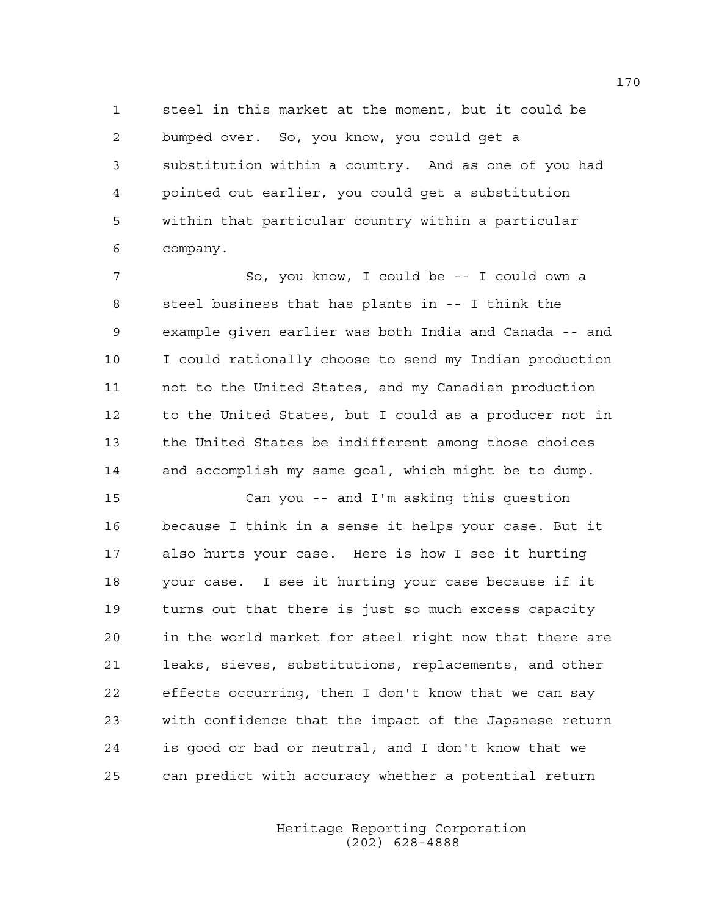1 steel in this market at the moment, but it could be 2 bumped over. So, you know, you could get a 3 substitution within a country. And as one of you had 4 pointed out earlier, you could get a substitution 5 within that particular country within a particular 6 company.

7 So, you know, I could be -- I could own a 8 steel business that has plants in -- I think the 9 example given earlier was both India and Canada -- and 10 I could rationally choose to send my Indian production 11 not to the United States, and my Canadian production 12 to the United States, but I could as a producer not in 13 the United States be indifferent among those choices 14 and accomplish my same goal, which might be to dump.

15 Can you -- and I'm asking this question 16 because I think in a sense it helps your case. But it 17 also hurts your case. Here is how I see it hurting 18 your case. I see it hurting your case because if it 19 turns out that there is just so much excess capacity 20 in the world market for steel right now that there are 21 leaks, sieves, substitutions, replacements, and other 22 effects occurring, then I don't know that we can say 23 with confidence that the impact of the Japanese return 24 is good or bad or neutral, and I don't know that we 25 can predict with accuracy whether a potential return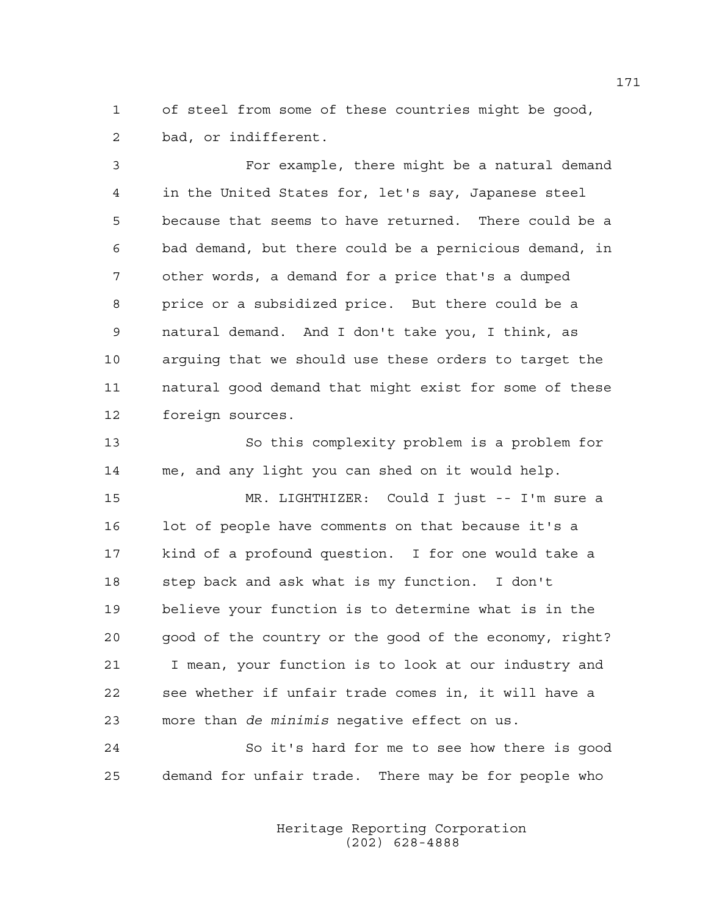1 of steel from some of these countries might be good, 2 bad, or indifferent.

3 For example, there might be a natural demand 4 in the United States for, let's say, Japanese steel 5 because that seems to have returned. There could be a 6 bad demand, but there could be a pernicious demand, in 7 other words, a demand for a price that's a dumped 8 price or a subsidized price. But there could be a 9 natural demand. And I don't take you, I think, as 10 arguing that we should use these orders to target the 11 natural good demand that might exist for some of these 12 foreign sources.

13 So this complexity problem is a problem for 14 me, and any light you can shed on it would help.

15 MR. LIGHTHIZER: Could I just -- I'm sure a 16 lot of people have comments on that because it's a 17 kind of a profound question. I for one would take a 18 step back and ask what is my function. I don't 19 believe your function is to determine what is in the 20 good of the country or the good of the economy, right? 21 I mean, your function is to look at our industry and 22 see whether if unfair trade comes in, it will have a 23 more than *de minimis* negative effect on us.

24 So it's hard for me to see how there is good 25 demand for unfair trade. There may be for people who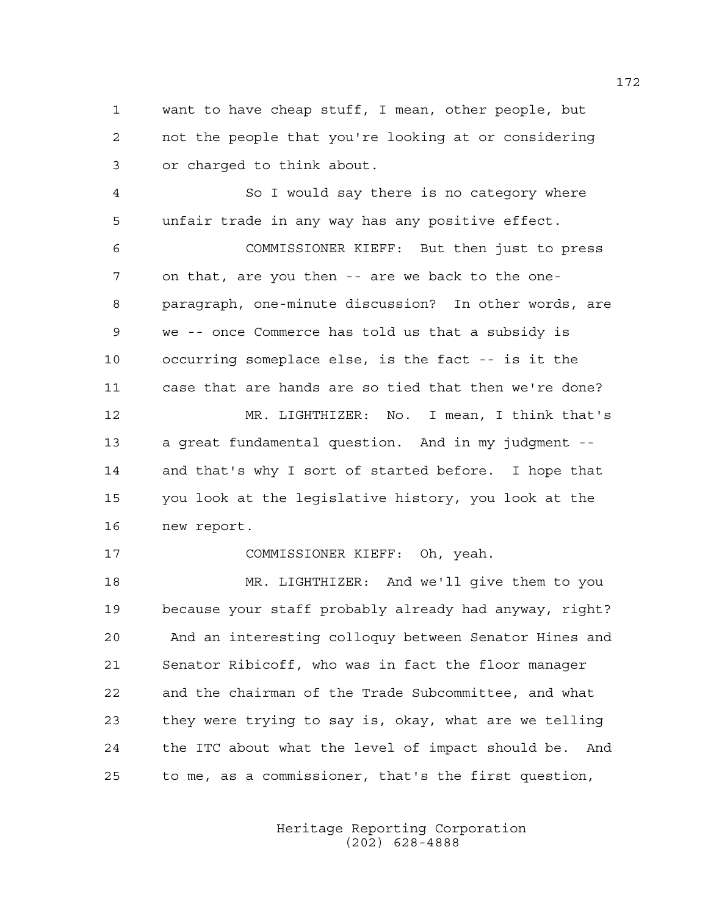1 want to have cheap stuff, I mean, other people, but 2 not the people that you're looking at or considering 3 or charged to think about.

4 So I would say there is no category where 5 unfair trade in any way has any positive effect.

6 COMMISSIONER KIEFF: But then just to press 7 on that, are you then -- are we back to the one-8 paragraph, one-minute discussion? In other words, are 9 we -- once Commerce has told us that a subsidy is 10 occurring someplace else, is the fact -- is it the 11 case that are hands are so tied that then we're done? 12 MR. LIGHTHIZER: No. I mean, I think that's 13 a great fundamental question. And in my judgment -- 14 and that's why I sort of started before. I hope that

15 you look at the legislative history, you look at the 16 new report.

17 COMMISSIONER KIEFF: Oh, yeah.

18 MR. LIGHTHIZER: And we'll give them to you 19 because your staff probably already had anyway, right? 20 And an interesting colloquy between Senator Hines and 21 Senator Ribicoff, who was in fact the floor manager 22 and the chairman of the Trade Subcommittee, and what 23 they were trying to say is, okay, what are we telling 24 the ITC about what the level of impact should be. And 25 to me, as a commissioner, that's the first question,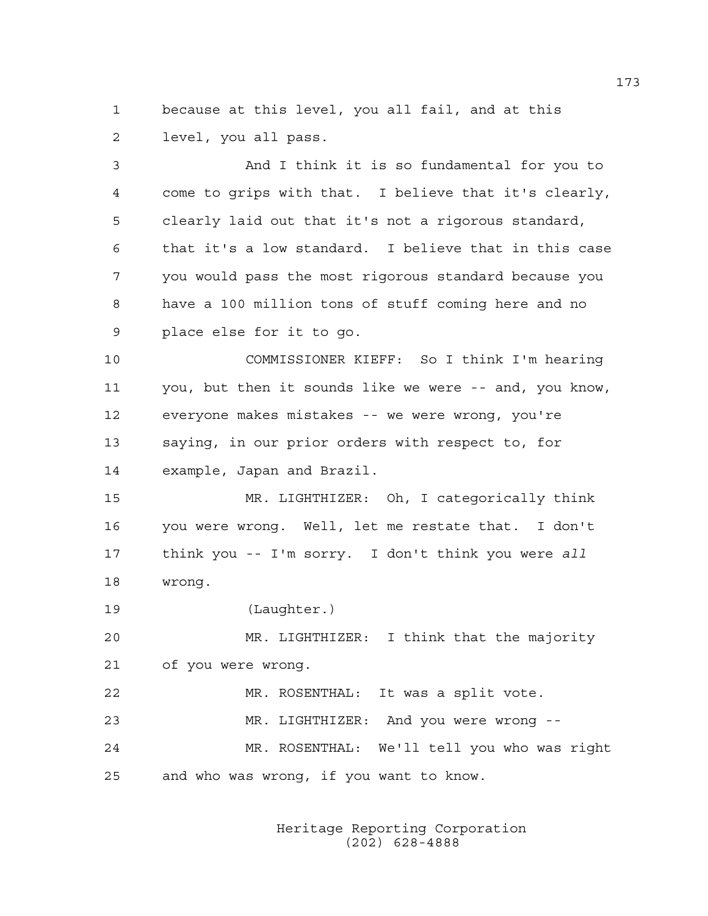1 because at this level, you all fail, and at this 2 level, you all pass.

3 And I think it is so fundamental for you to 4 come to grips with that. I believe that it's clearly, 5 clearly laid out that it's not a rigorous standard, 6 that it's a low standard. I believe that in this case 7 you would pass the most rigorous standard because you 8 have a 100 million tons of stuff coming here and no 9 place else for it to go.

10 COMMISSIONER KIEFF: So I think I'm hearing 11 you, but then it sounds like we were -- and, you know, 12 everyone makes mistakes -- we were wrong, you're 13 saying, in our prior orders with respect to, for 14 example, Japan and Brazil.

15 MR. LIGHTHIZER: Oh, I categorically think 16 you were wrong. Well, let me restate that. I don't 17 think you -- I'm sorry. I don't think you were *all* 18 wrong.

19 (Laughter.)

20 MR. LIGHTHIZER: I think that the majority 21 of you were wrong.

22 MR. ROSENTHAL: It was a split vote. 23 MR. LIGHTHIZER: And you were wrong -- 24 MR. ROSENTHAL: We'll tell you who was right 25 and who was wrong, if you want to know.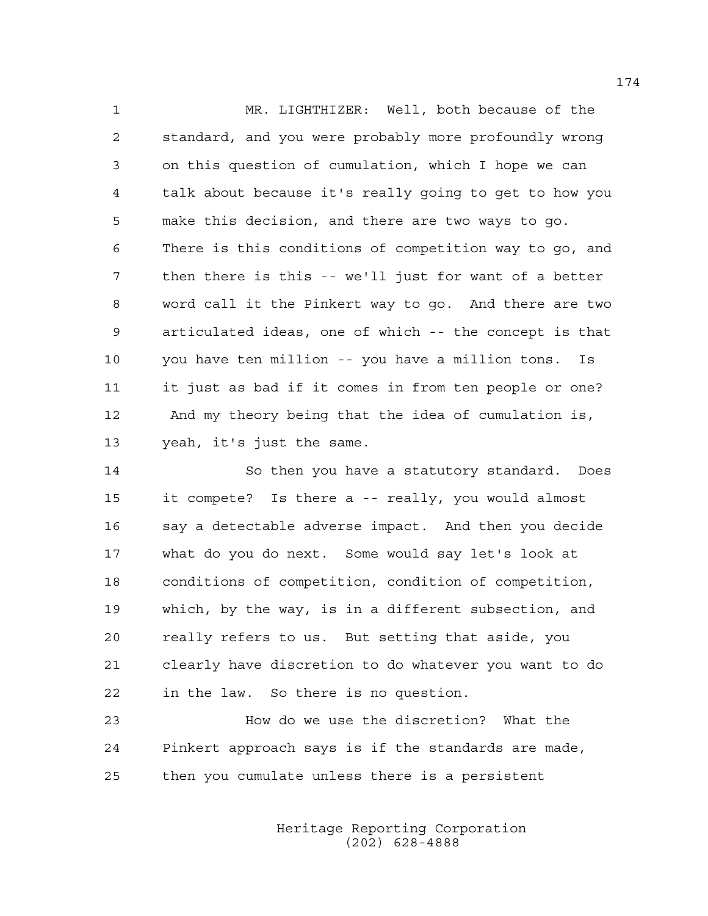1 MR. LIGHTHIZER: Well, both because of the 2 standard, and you were probably more profoundly wrong 3 on this question of cumulation, which I hope we can 4 talk about because it's really going to get to how you 5 make this decision, and there are two ways to go. 6 There is this conditions of competition way to go, and 7 then there is this -- we'll just for want of a better 8 word call it the Pinkert way to go. And there are two 9 articulated ideas, one of which -- the concept is that 10 you have ten million -- you have a million tons. Is 11 it just as bad if it comes in from ten people or one? 12 And my theory being that the idea of cumulation is, 13 yeah, it's just the same.

14 So then you have a statutory standard. Does 15 it compete? Is there a -- really, you would almost 16 say a detectable adverse impact. And then you decide 17 what do you do next. Some would say let's look at 18 conditions of competition, condition of competition, 19 which, by the way, is in a different subsection, and 20 really refers to us. But setting that aside, you 21 clearly have discretion to do whatever you want to do 22 in the law. So there is no question.

23 How do we use the discretion? What the 24 Pinkert approach says is if the standards are made, 25 then you cumulate unless there is a persistent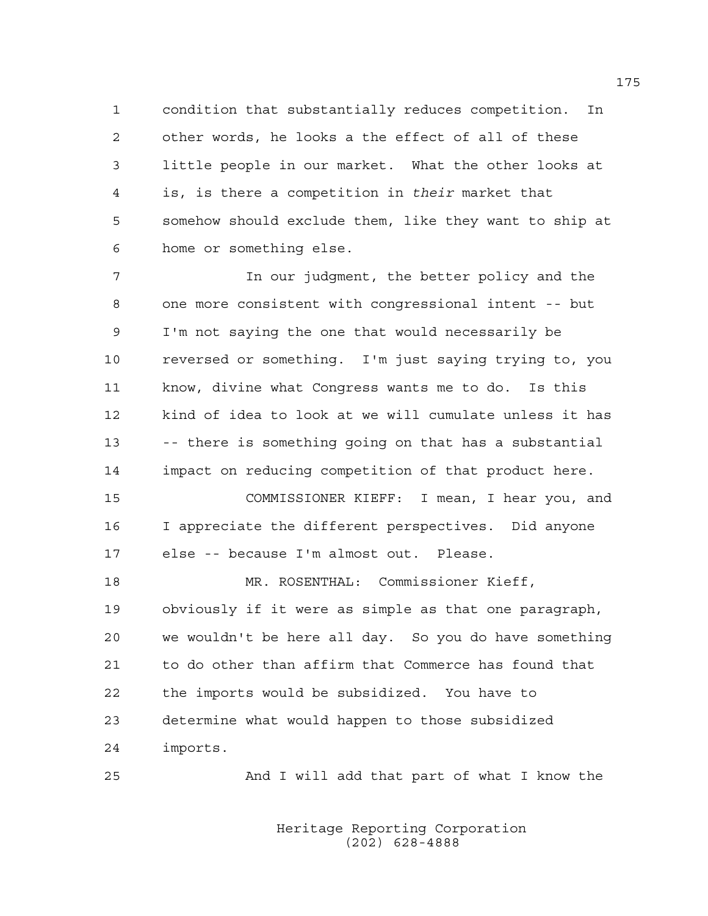1 condition that substantially reduces competition. In 2 other words, he looks a the effect of all of these 3 little people in our market. What the other looks at 4 is, is there a competition in *their* market that 5 somehow should exclude them, like they want to ship at 6 home or something else.

7 In our judgment, the better policy and the 8 one more consistent with congressional intent -- but 9 I'm not saying the one that would necessarily be 10 reversed or something. I'm just saying trying to, you 11 know, divine what Congress wants me to do. Is this 12 kind of idea to look at we will cumulate unless it has 13 -- there is something going on that has a substantial 14 impact on reducing competition of that product here. 15 COMMISSIONER KIEFF: I mean, I hear you, and 16 I appreciate the different perspectives. Did anyone 17 else -- because I'm almost out. Please. 18 MR. ROSENTHAL: Commissioner Kieff, 19 obviously if it were as simple as that one paragraph, 20 we wouldn't be here all day. So you do have something 21 to do other than affirm that Commerce has found that 22 the imports would be subsidized. You have to

23 determine what would happen to those subsidized

24 imports.

25 And I will add that part of what I know the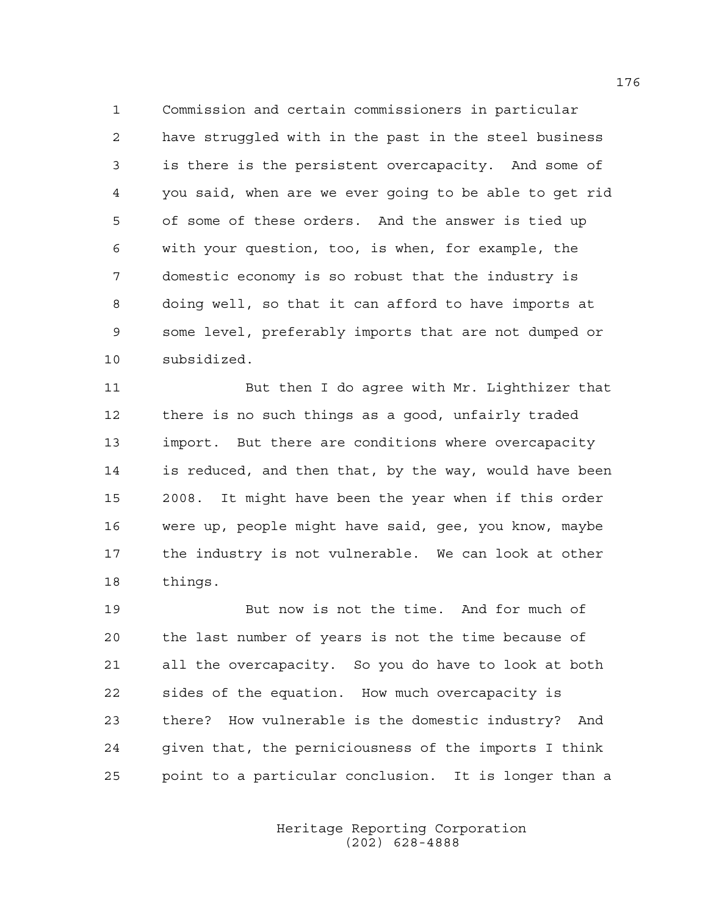1 Commission and certain commissioners in particular 2 have struggled with in the past in the steel business 3 is there is the persistent overcapacity. And some of 4 you said, when are we ever going to be able to get rid 5 of some of these orders. And the answer is tied up 6 with your question, too, is when, for example, the 7 domestic economy is so robust that the industry is 8 doing well, so that it can afford to have imports at 9 some level, preferably imports that are not dumped or 10 subsidized.

11 But then I do agree with Mr. Lighthizer that 12 there is no such things as a good, unfairly traded 13 import. But there are conditions where overcapacity 14 is reduced, and then that, by the way, would have been 15 2008. It might have been the year when if this order 16 were up, people might have said, gee, you know, maybe 17 the industry is not vulnerable. We can look at other 18 things.

19 But now is not the time. And for much of 20 the last number of years is not the time because of 21 all the overcapacity. So you do have to look at both 22 sides of the equation. How much overcapacity is 23 there? How vulnerable is the domestic industry? And 24 given that, the perniciousness of the imports I think 25 point to a particular conclusion. It is longer than a

> Heritage Reporting Corporation (202) 628-4888

176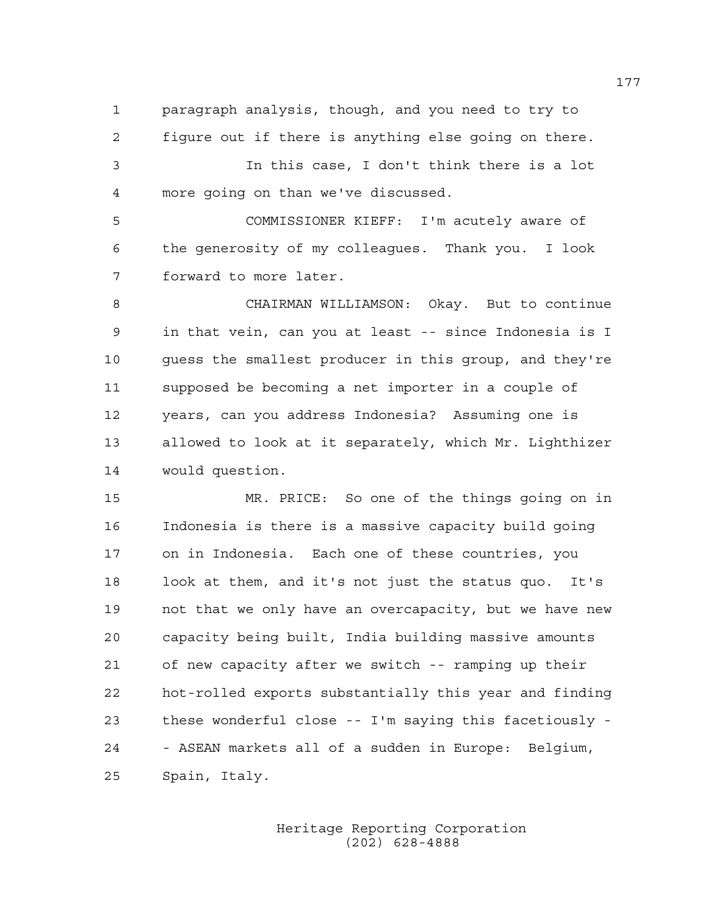1 paragraph analysis, though, and you need to try to 2 figure out if there is anything else going on there.

3 In this case, I don't think there is a lot 4 more going on than we've discussed.

5 COMMISSIONER KIEFF: I'm acutely aware of 6 the generosity of my colleagues. Thank you. I look 7 forward to more later.

8 CHAIRMAN WILLIAMSON: Okay. But to continue 9 in that vein, can you at least -- since Indonesia is I 10 guess the smallest producer in this group, and they're 11 supposed be becoming a net importer in a couple of 12 years, can you address Indonesia? Assuming one is 13 allowed to look at it separately, which Mr. Lighthizer 14 would question.

15 MR. PRICE: So one of the things going on in 16 Indonesia is there is a massive capacity build going 17 on in Indonesia. Each one of these countries, you 18 look at them, and it's not just the status quo. It's 19 not that we only have an overcapacity, but we have new 20 capacity being built, India building massive amounts 21 of new capacity after we switch -- ramping up their 22 hot-rolled exports substantially this year and finding 23 these wonderful close -- I'm saying this facetiously - 24 - ASEAN markets all of a sudden in Europe: Belgium, 25 Spain, Italy.

> Heritage Reporting Corporation (202) 628-4888

177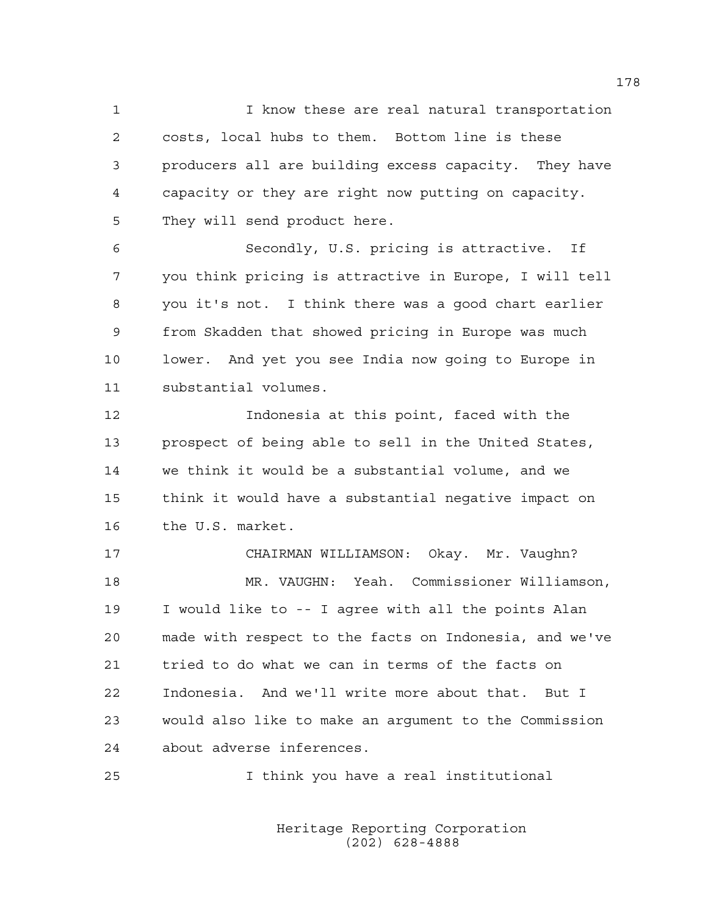1 I know these are real natural transportation 2 costs, local hubs to them. Bottom line is these 3 producers all are building excess capacity. They have 4 capacity or they are right now putting on capacity. 5 They will send product here.

6 Secondly, U.S. pricing is attractive. If 7 you think pricing is attractive in Europe, I will tell 8 you it's not. I think there was a good chart earlier 9 from Skadden that showed pricing in Europe was much 10 lower. And yet you see India now going to Europe in 11 substantial volumes.

12 Indonesia at this point, faced with the 13 prospect of being able to sell in the United States, 14 we think it would be a substantial volume, and we 15 think it would have a substantial negative impact on 16 the U.S. market.

17 CHAIRMAN WILLIAMSON: Okay. Mr. Vaughn? 18 MR. VAUGHN: Yeah. Commissioner Williamson, 19 I would like to -- I agree with all the points Alan 20 made with respect to the facts on Indonesia, and we've 21 tried to do what we can in terms of the facts on 22 Indonesia. And we'll write more about that. But I 23 would also like to make an argument to the Commission 24 about adverse inferences.

25 I think you have a real institutional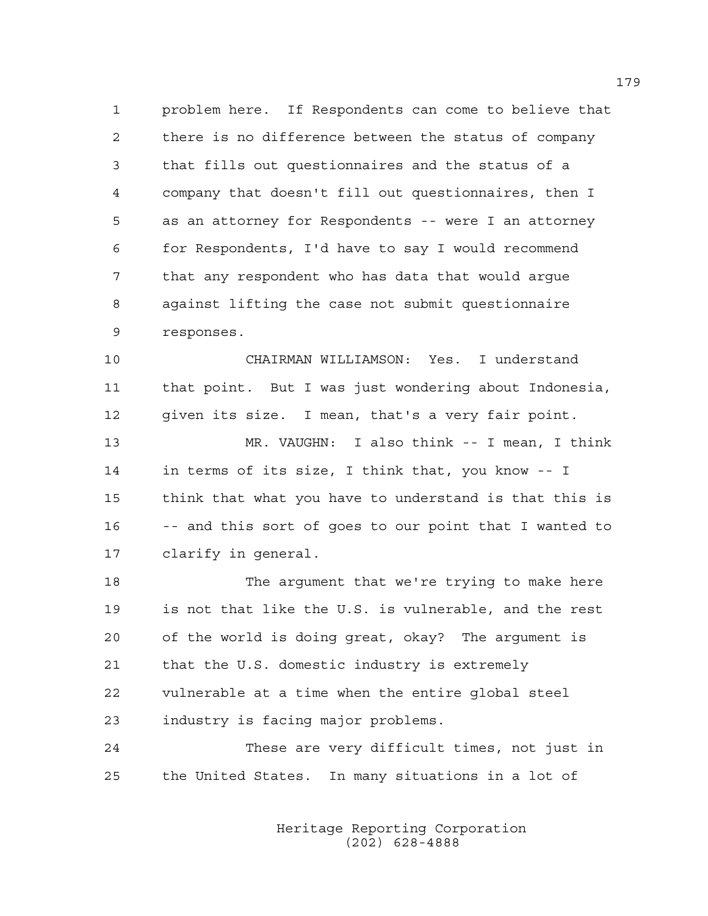1 problem here. If Respondents can come to believe that 2 there is no difference between the status of company 3 that fills out questionnaires and the status of a 4 company that doesn't fill out questionnaires, then I 5 as an attorney for Respondents -- were I an attorney 6 for Respondents, I'd have to say I would recommend 7 that any respondent who has data that would argue 8 against lifting the case not submit questionnaire 9 responses.

10 CHAIRMAN WILLIAMSON: Yes. I understand 11 that point. But I was just wondering about Indonesia, 12 given its size. I mean, that's a very fair point.

13 MR. VAUGHN: I also think -- I mean, I think 14 in terms of its size, I think that, you know -- I 15 think that what you have to understand is that this is 16 -- and this sort of goes to our point that I wanted to 17 clarify in general.

18 The argument that we're trying to make here 19 is not that like the U.S. is vulnerable, and the rest 20 of the world is doing great, okay? The argument is 21 that the U.S. domestic industry is extremely 22 vulnerable at a time when the entire global steel 23 industry is facing major problems.

24 These are very difficult times, not just in 25 the United States. In many situations in a lot of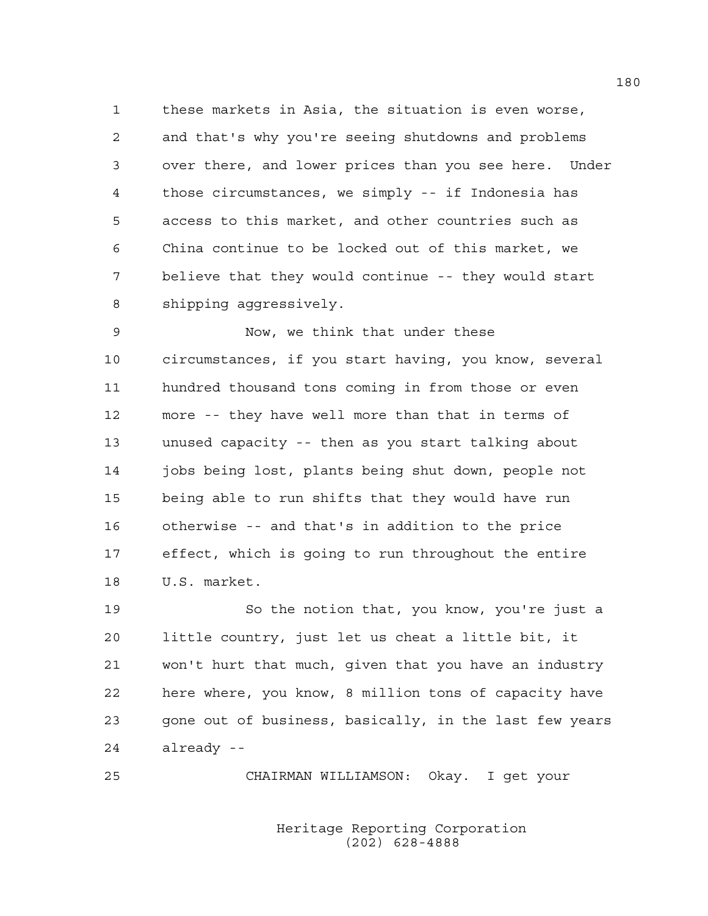1 these markets in Asia, the situation is even worse, 2 and that's why you're seeing shutdowns and problems 3 over there, and lower prices than you see here. Under 4 those circumstances, we simply -- if Indonesia has 5 access to this market, and other countries such as 6 China continue to be locked out of this market, we 7 believe that they would continue -- they would start 8 shipping aggressively.

9 Now, we think that under these 10 circumstances, if you start having, you know, several 11 hundred thousand tons coming in from those or even 12 more -- they have well more than that in terms of 13 unused capacity -- then as you start talking about 14 jobs being lost, plants being shut down, people not 15 being able to run shifts that they would have run 16 otherwise -- and that's in addition to the price 17 effect, which is going to run throughout the entire 18 U.S. market.

19 So the notion that, you know, you're just a 20 little country, just let us cheat a little bit, it 21 won't hurt that much, given that you have an industry 22 here where, you know, 8 million tons of capacity have 23 gone out of business, basically, in the last few years 24 already --

25 CHAIRMAN WILLIAMSON: Okay. I get your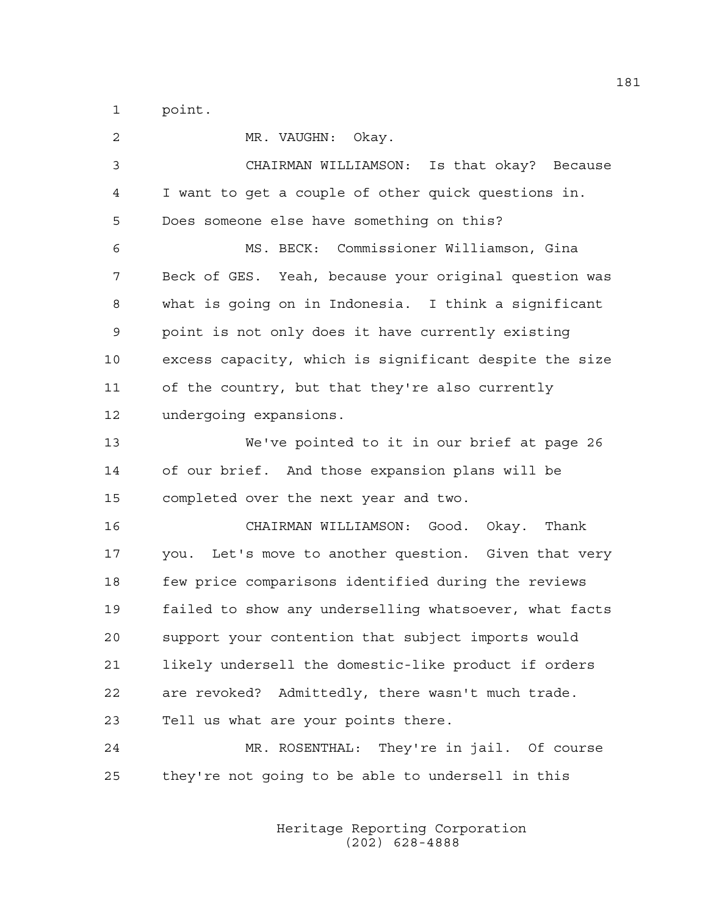1 point.

2 MR. VAUGHN: Okay. 3 CHAIRMAN WILLIAMSON: Is that okay? Because 4 I want to get a couple of other quick questions in. 5 Does someone else have something on this? 6 MS. BECK: Commissioner Williamson, Gina 7 Beck of GES. Yeah, because your original question was 8 what is going on in Indonesia. I think a significant 9 point is not only does it have currently existing 10 excess capacity, which is significant despite the size 11 of the country, but that they're also currently 12 undergoing expansions. 13 We've pointed to it in our brief at page 26 14 of our brief. And those expansion plans will be 15 completed over the next year and two. 16 CHAIRMAN WILLIAMSON: Good. Okay. Thank 17 you. Let's move to another question. Given that very 18 few price comparisons identified during the reviews 19 failed to show any underselling whatsoever, what facts 20 support your contention that subject imports would 21 likely undersell the domestic-like product if orders 22 are revoked? Admittedly, there wasn't much trade. 23 Tell us what are your points there. 24 MR. ROSENTHAL: They're in jail. Of course 25 they're not going to be able to undersell in this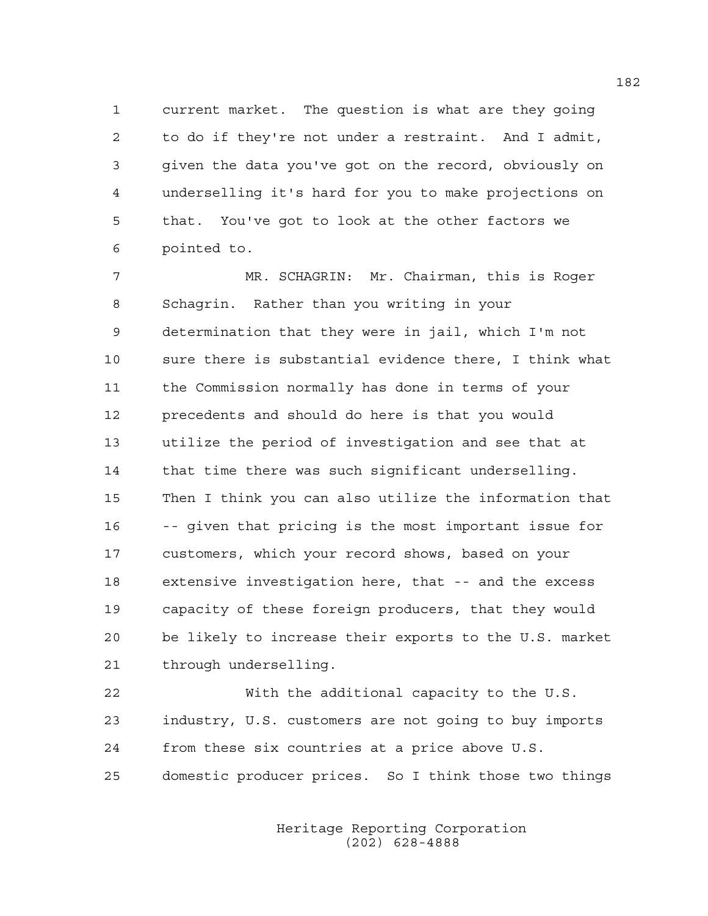1 current market. The question is what are they going 2 to do if they're not under a restraint. And I admit, 3 given the data you've got on the record, obviously on 4 underselling it's hard for you to make projections on 5 that. You've got to look at the other factors we 6 pointed to.

7 MR. SCHAGRIN: Mr. Chairman, this is Roger 8 Schagrin. Rather than you writing in your 9 determination that they were in jail, which I'm not 10 sure there is substantial evidence there, I think what 11 the Commission normally has done in terms of your 12 precedents and should do here is that you would 13 utilize the period of investigation and see that at 14 that time there was such significant underselling. 15 Then I think you can also utilize the information that 16 -- given that pricing is the most important issue for 17 customers, which your record shows, based on your 18 extensive investigation here, that -- and the excess 19 capacity of these foreign producers, that they would 20 be likely to increase their exports to the U.S. market 21 through underselling.

22 With the additional capacity to the U.S. 23 industry, U.S. customers are not going to buy imports 24 from these six countries at a price above U.S. 25 domestic producer prices. So I think those two things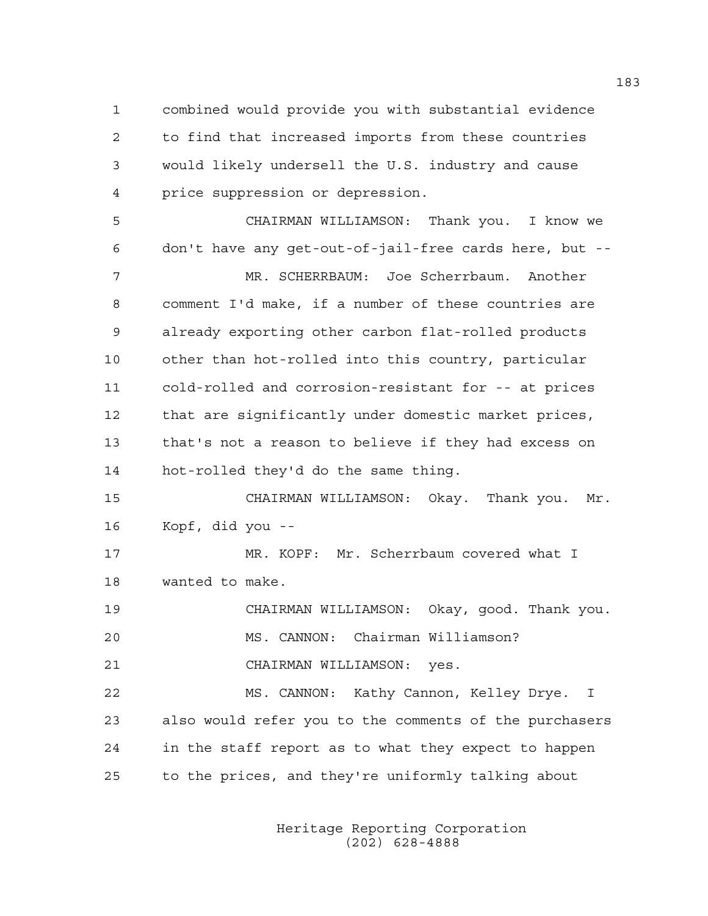1 combined would provide you with substantial evidence 2 to find that increased imports from these countries 3 would likely undersell the U.S. industry and cause 4 price suppression or depression.

5 CHAIRMAN WILLIAMSON: Thank you. I know we 6 don't have any get-out-of-jail-free cards here, but -- 7 MR. SCHERRBAUM: Joe Scherrbaum. Another 8 comment I'd make, if a number of these countries are 9 already exporting other carbon flat-rolled products 10 other than hot-rolled into this country, particular 11 cold-rolled and corrosion-resistant for -- at prices 12 that are significantly under domestic market prices, 13 that's not a reason to believe if they had excess on 14 hot-rolled they'd do the same thing.

15 CHAIRMAN WILLIAMSON: Okay. Thank you. Mr. 16 Kopf, did you --

17 MR. KOPF: Mr. Scherrbaum covered what I 18 wanted to make.

19 CHAIRMAN WILLIAMSON: Okay, good. Thank you. 20 MS. CANNON: Chairman Williamson?

21 CHAIRMAN WILLIAMSON: yes.

22 MS. CANNON: Kathy Cannon, Kelley Drye. I 23 also would refer you to the comments of the purchasers 24 in the staff report as to what they expect to happen 25 to the prices, and they're uniformly talking about

> Heritage Reporting Corporation (202) 628-4888

183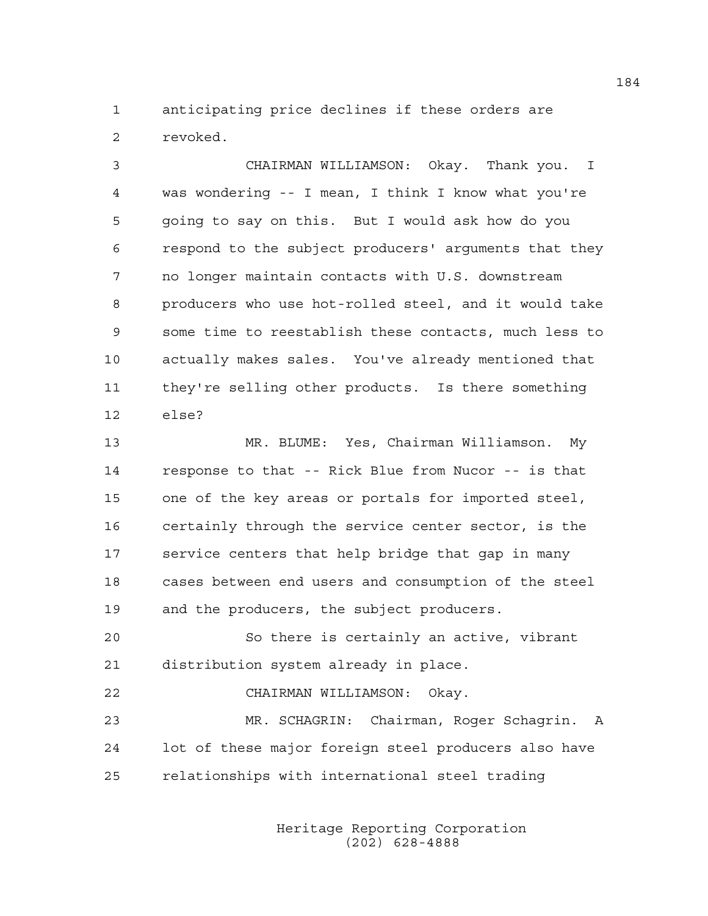1 anticipating price declines if these orders are 2 revoked.

3 CHAIRMAN WILLIAMSON: Okay. Thank you. I 4 was wondering -- I mean, I think I know what you're 5 going to say on this. But I would ask how do you 6 respond to the subject producers' arguments that they 7 no longer maintain contacts with U.S. downstream 8 producers who use hot-rolled steel, and it would take 9 some time to reestablish these contacts, much less to 10 actually makes sales. You've already mentioned that 11 they're selling other products. Is there something 12 else?

13 MR. BLUME: Yes, Chairman Williamson. My 14 response to that -- Rick Blue from Nucor -- is that 15 one of the key areas or portals for imported steel, 16 certainly through the service center sector, is the 17 service centers that help bridge that gap in many 18 cases between end users and consumption of the steel 19 and the producers, the subject producers.

20 So there is certainly an active, vibrant 21 distribution system already in place.

22 CHAIRMAN WILLIAMSON: Okay.

23 MR. SCHAGRIN: Chairman, Roger Schagrin. A 24 lot of these major foreign steel producers also have 25 relationships with international steel trading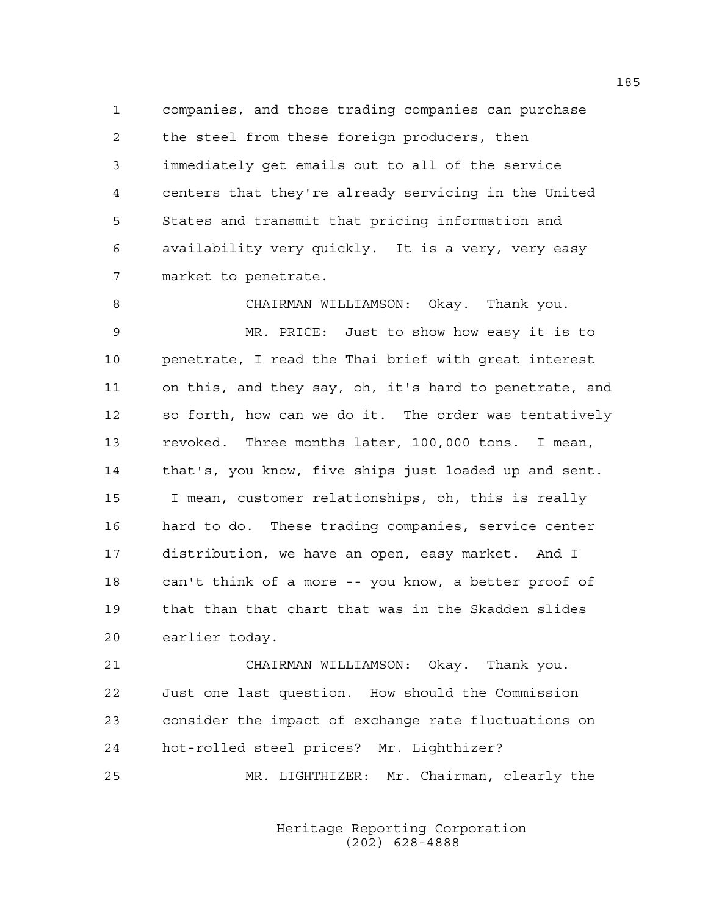1 companies, and those trading companies can purchase 2 the steel from these foreign producers, then 3 immediately get emails out to all of the service 4 centers that they're already servicing in the United 5 States and transmit that pricing information and 6 availability very quickly. It is a very, very easy 7 market to penetrate.

8 CHAIRMAN WILLIAMSON: Okay. Thank you. 9 MR. PRICE: Just to show how easy it is to 10 penetrate, I read the Thai brief with great interest 11 on this, and they say, oh, it's hard to penetrate, and 12 so forth, how can we do it. The order was tentatively 13 revoked. Three months later, 100,000 tons. I mean, 14 that's, you know, five ships just loaded up and sent. 15 I mean, customer relationships, oh, this is really 16 hard to do. These trading companies, service center 17 distribution, we have an open, easy market. And I 18 can't think of a more -- you know, a better proof of 19 that than that chart that was in the Skadden slides 20 earlier today.

21 CHAIRMAN WILLIAMSON: Okay. Thank you. 22 Just one last question. How should the Commission 23 consider the impact of exchange rate fluctuations on 24 hot-rolled steel prices? Mr. Lighthizer? 25 MR. LIGHTHIZER: Mr. Chairman, clearly the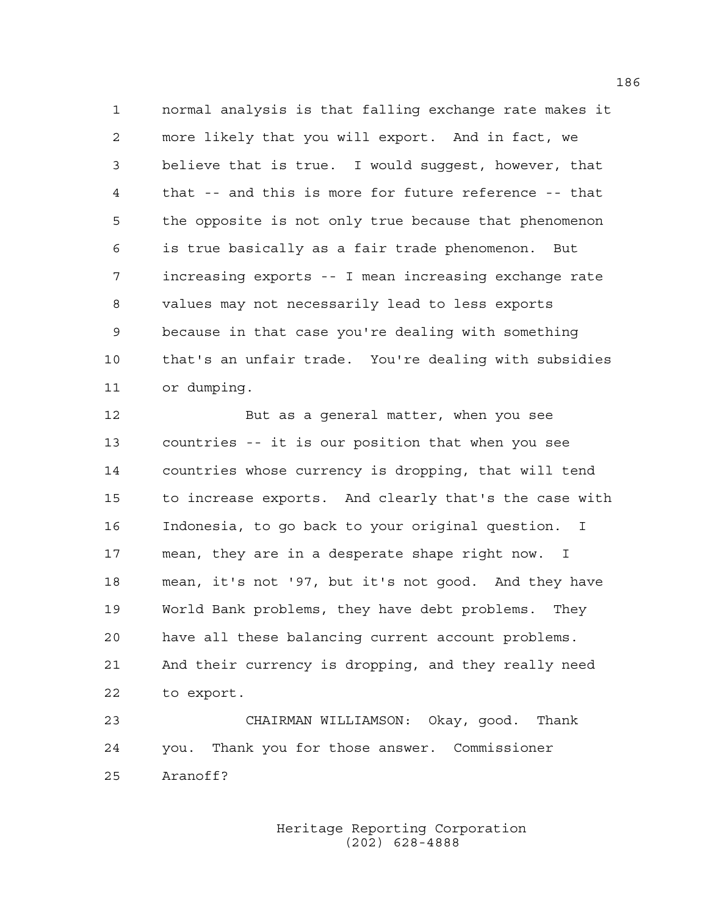1 normal analysis is that falling exchange rate makes it 2 more likely that you will export. And in fact, we 3 believe that is true. I would suggest, however, that 4 that -- and this is more for future reference -- that 5 the opposite is not only true because that phenomenon 6 is true basically as a fair trade phenomenon. But 7 increasing exports -- I mean increasing exchange rate 8 values may not necessarily lead to less exports 9 because in that case you're dealing with something 10 that's an unfair trade. You're dealing with subsidies 11 or dumping.

12 But as a general matter, when you see 13 countries -- it is our position that when you see 14 countries whose currency is dropping, that will tend 15 to increase exports. And clearly that's the case with 16 Indonesia, to go back to your original question. I 17 mean, they are in a desperate shape right now. I 18 mean, it's not '97, but it's not good. And they have 19 World Bank problems, they have debt problems. They 20 have all these balancing current account problems. 21 And their currency is dropping, and they really need 22 to export.

23 CHAIRMAN WILLIAMSON: Okay, good. Thank 24 you. Thank you for those answer. Commissioner 25 Aranoff?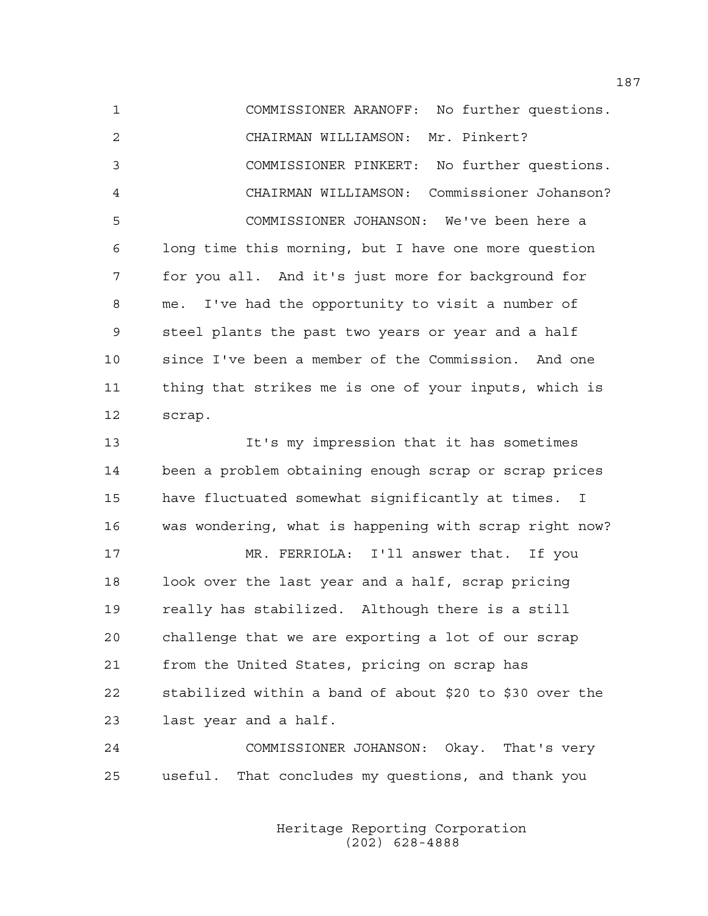1 COMMISSIONER ARANOFF: No further questions. 2 CHAIRMAN WILLIAMSON: Mr. Pinkert? 3 COMMISSIONER PINKERT: No further questions. 4 CHAIRMAN WILLIAMSON: Commissioner Johanson? 5 COMMISSIONER JOHANSON: We've been here a 6 long time this morning, but I have one more question 7 for you all. And it's just more for background for 8 me. I've had the opportunity to visit a number of 9 steel plants the past two years or year and a half 10 since I've been a member of the Commission. And one 11 thing that strikes me is one of your inputs, which is 12 scrap.

13 It's my impression that it has sometimes 14 been a problem obtaining enough scrap or scrap prices 15 have fluctuated somewhat significantly at times. I 16 was wondering, what is happening with scrap right now?

17 MR. FERRIOLA: I'll answer that. If you 18 look over the last year and a half, scrap pricing 19 really has stabilized. Although there is a still 20 challenge that we are exporting a lot of our scrap 21 from the United States, pricing on scrap has 22 stabilized within a band of about \$20 to \$30 over the 23 last year and a half.

24 COMMISSIONER JOHANSON: Okay. That's very 25 useful. That concludes my questions, and thank you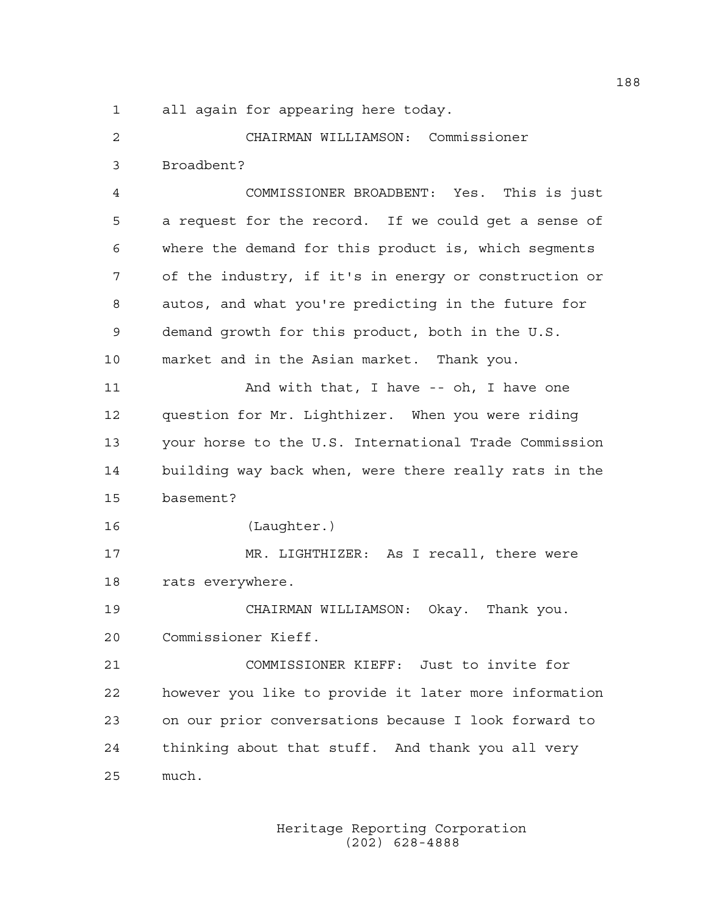1 all again for appearing here today.

2 CHAIRMAN WILLIAMSON: Commissioner 3 Broadbent?

4 COMMISSIONER BROADBENT: Yes. This is just 5 a request for the record. If we could get a sense of 6 where the demand for this product is, which segments 7 of the industry, if it's in energy or construction or 8 autos, and what you're predicting in the future for 9 demand growth for this product, both in the U.S. 10 market and in the Asian market. Thank you. 11 And with that, I have -- oh, I have one 12 question for Mr. Lighthizer. When you were riding 13 your horse to the U.S. International Trade Commission 14 building way back when, were there really rats in the 15 basement? 16 (Laughter.) 17 MR. LIGHTHIZER: As I recall, there were 18 rats everywhere. 19 CHAIRMAN WILLIAMSON: Okay. Thank you. 20 Commissioner Kieff. 21 COMMISSIONER KIEFF: Just to invite for 22 however you like to provide it later more information 23 on our prior conversations because I look forward to 24 thinking about that stuff. And thank you all very

25 much.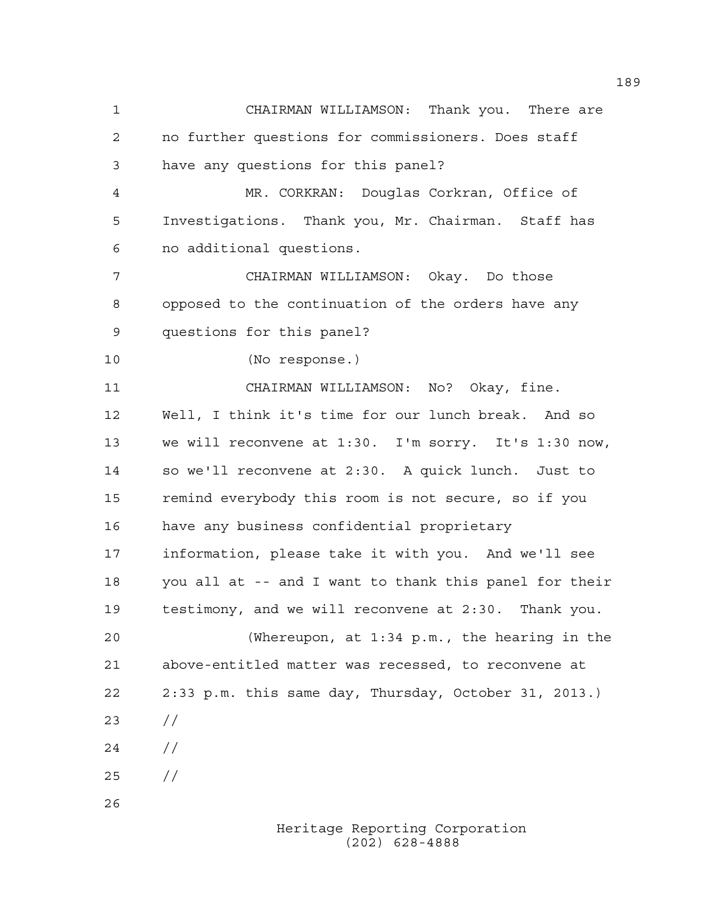Heritage Reporting Corporation 1 CHAIRMAN WILLIAMSON: Thank you. There are 2 no further questions for commissioners. Does staff 3 have any questions for this panel? 4 MR. CORKRAN: Douglas Corkran, Office of 5 Investigations. Thank you, Mr. Chairman. Staff has 6 no additional questions. 7 CHAIRMAN WILLIAMSON: Okay. Do those 8 opposed to the continuation of the orders have any 9 questions for this panel? 10 (No response.) 11 CHAIRMAN WILLIAMSON: No? Okay, fine. 12 Well, I think it's time for our lunch break. And so 13 we will reconvene at 1:30. I'm sorry. It's 1:30 now, 14 so we'll reconvene at 2:30. A quick lunch. Just to 15 remind everybody this room is not secure, so if you 16 have any business confidential proprietary 17 information, please take it with you. And we'll see 18 you all at -- and I want to thank this panel for their 19 testimony, and we will reconvene at 2:30. Thank you. 20 (Whereupon, at 1:34 p.m., the hearing in the 21 above-entitled matter was recessed, to reconvene at 22 2:33 p.m. this same day, Thursday, October 31, 2013.) 23 //  $24 /$ 25 // 26

(202) 628-4888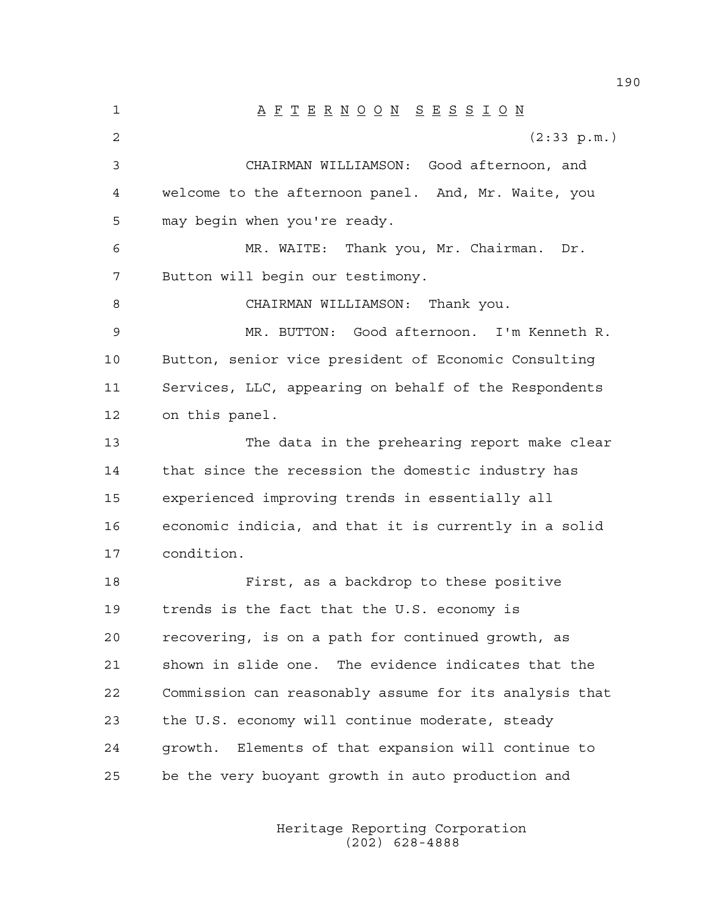1 A F T E R N O O N S E S S I O N 2 (2:33 p.m.) 3 CHAIRMAN WILLIAMSON: Good afternoon, and 4 welcome to the afternoon panel. And, Mr. Waite, you 5 may begin when you're ready. 6 MR. WAITE: Thank you, Mr. Chairman. Dr. 7 Button will begin our testimony. 8 CHAIRMAN WILLIAMSON: Thank you. 9 MR. BUTTON: Good afternoon. I'm Kenneth R. 10 Button, senior vice president of Economic Consulting 11 Services, LLC, appearing on behalf of the Respondents 12 on this panel. 13 The data in the prehearing report make clear 14 that since the recession the domestic industry has 15 experienced improving trends in essentially all 16 economic indicia, and that it is currently in a solid 17 condition. 18 First, as a backdrop to these positive 19 trends is the fact that the U.S. economy is 20 recovering, is on a path for continued growth, as 21 shown in slide one. The evidence indicates that the 22 Commission can reasonably assume for its analysis that 23 the U.S. economy will continue moderate, steady 24 growth. Elements of that expansion will continue to 25 be the very buoyant growth in auto production and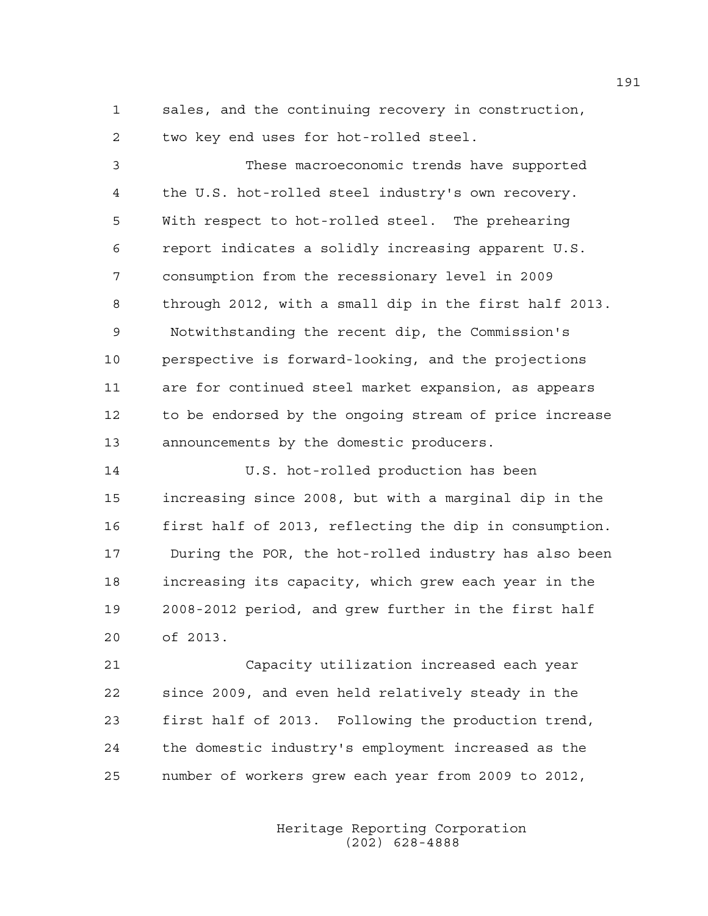1 sales, and the continuing recovery in construction, 2 two key end uses for hot-rolled steel.

3 These macroeconomic trends have supported 4 the U.S. hot-rolled steel industry's own recovery. 5 With respect to hot-rolled steel. The prehearing 6 report indicates a solidly increasing apparent U.S. 7 consumption from the recessionary level in 2009 8 through 2012, with a small dip in the first half 2013. 9 Notwithstanding the recent dip, the Commission's 10 perspective is forward-looking, and the projections 11 are for continued steel market expansion, as appears 12 to be endorsed by the ongoing stream of price increase 13 announcements by the domestic producers.

14 U.S. hot-rolled production has been 15 increasing since 2008, but with a marginal dip in the 16 first half of 2013, reflecting the dip in consumption. 17 During the POR, the hot-rolled industry has also been 18 increasing its capacity, which grew each year in the 19 2008-2012 period, and grew further in the first half 20 of 2013.

21 Capacity utilization increased each year 22 since 2009, and even held relatively steady in the 23 first half of 2013. Following the production trend, 24 the domestic industry's employment increased as the 25 number of workers grew each year from 2009 to 2012,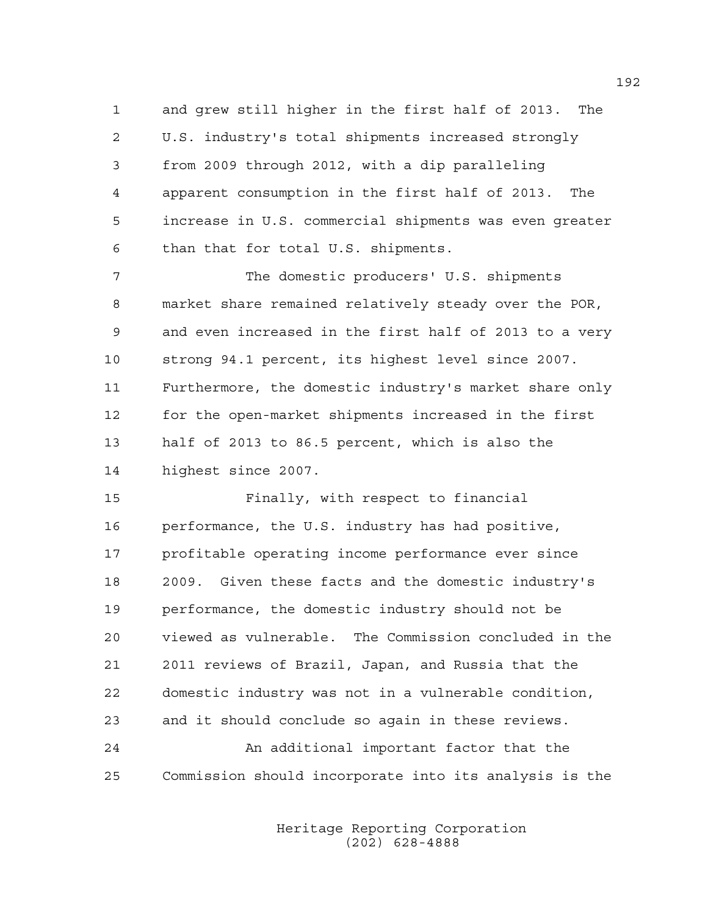1 and grew still higher in the first half of 2013. The 2 U.S. industry's total shipments increased strongly 3 from 2009 through 2012, with a dip paralleling 4 apparent consumption in the first half of 2013. The 5 increase in U.S. commercial shipments was even greater 6 than that for total U.S. shipments.

7 The domestic producers' U.S. shipments 8 market share remained relatively steady over the POR, 9 and even increased in the first half of 2013 to a very 10 strong 94.1 percent, its highest level since 2007. 11 Furthermore, the domestic industry's market share only 12 for the open-market shipments increased in the first 13 half of 2013 to 86.5 percent, which is also the 14 highest since 2007.

15 Finally, with respect to financial 16 performance, the U.S. industry has had positive, 17 profitable operating income performance ever since 18 2009. Given these facts and the domestic industry's 19 performance, the domestic industry should not be 20 viewed as vulnerable. The Commission concluded in the 21 2011 reviews of Brazil, Japan, and Russia that the 22 domestic industry was not in a vulnerable condition, 23 and it should conclude so again in these reviews. 24 An additional important factor that the 25 Commission should incorporate into its analysis is the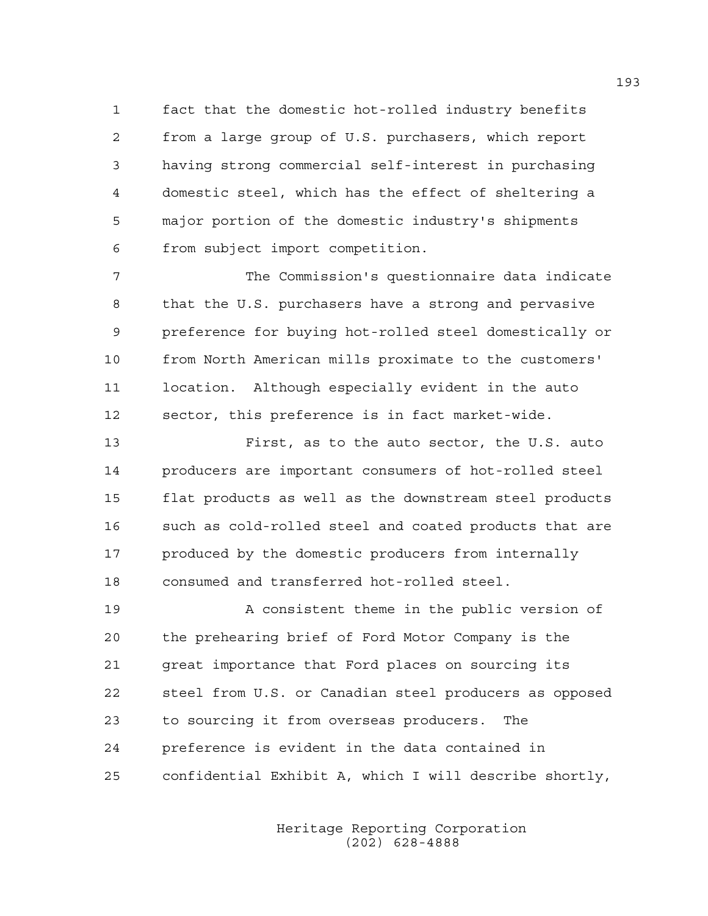1 fact that the domestic hot-rolled industry benefits 2 from a large group of U.S. purchasers, which report 3 having strong commercial self-interest in purchasing 4 domestic steel, which has the effect of sheltering a 5 major portion of the domestic industry's shipments 6 from subject import competition.

7 The Commission's questionnaire data indicate 8 that the U.S. purchasers have a strong and pervasive 9 preference for buying hot-rolled steel domestically or 10 from North American mills proximate to the customers' 11 location. Although especially evident in the auto 12 sector, this preference is in fact market-wide.

13 First, as to the auto sector, the U.S. auto 14 producers are important consumers of hot-rolled steel 15 flat products as well as the downstream steel products 16 such as cold-rolled steel and coated products that are 17 produced by the domestic producers from internally 18 consumed and transferred hot-rolled steel.

19 A consistent theme in the public version of 20 the prehearing brief of Ford Motor Company is the 21 great importance that Ford places on sourcing its 22 steel from U.S. or Canadian steel producers as opposed 23 to sourcing it from overseas producers. The 24 preference is evident in the data contained in 25 confidential Exhibit A, which I will describe shortly,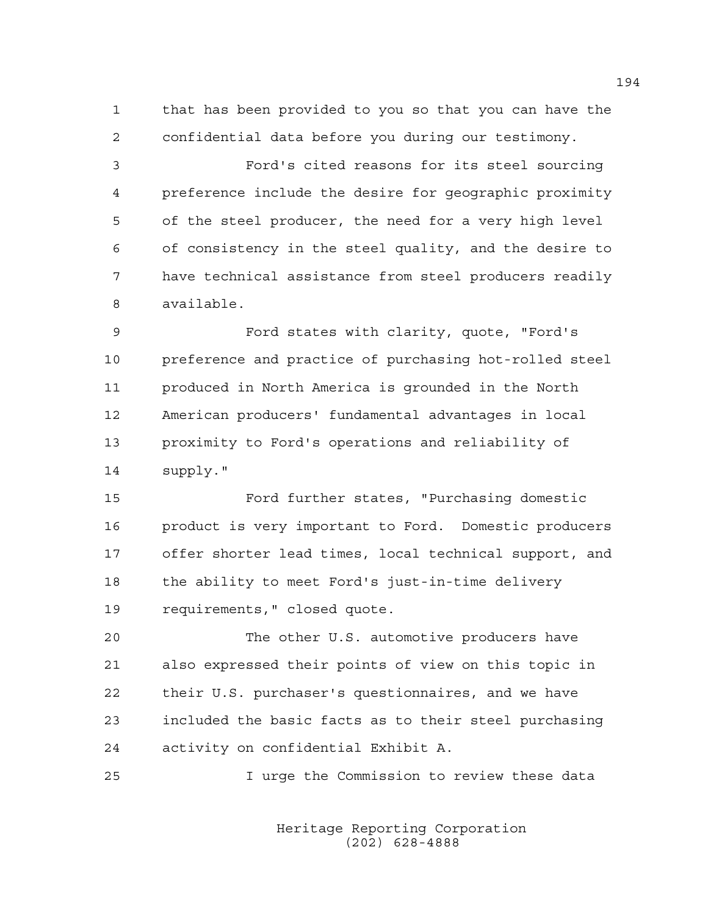1 that has been provided to you so that you can have the 2 confidential data before you during our testimony.

3 Ford's cited reasons for its steel sourcing 4 preference include the desire for geographic proximity 5 of the steel producer, the need for a very high level 6 of consistency in the steel quality, and the desire to 7 have technical assistance from steel producers readily 8 available.

9 Ford states with clarity, quote, "Ford's 10 preference and practice of purchasing hot-rolled steel 11 produced in North America is grounded in the North 12 American producers' fundamental advantages in local 13 proximity to Ford's operations and reliability of 14 supply."

15 Ford further states, "Purchasing domestic 16 product is very important to Ford. Domestic producers 17 offer shorter lead times, local technical support, and 18 the ability to meet Ford's just-in-time delivery 19 requirements," closed quote.

20 The other U.S. automotive producers have 21 also expressed their points of view on this topic in 22 their U.S. purchaser's questionnaires, and we have 23 included the basic facts as to their steel purchasing 24 activity on confidential Exhibit A.

25 I urge the Commission to review these data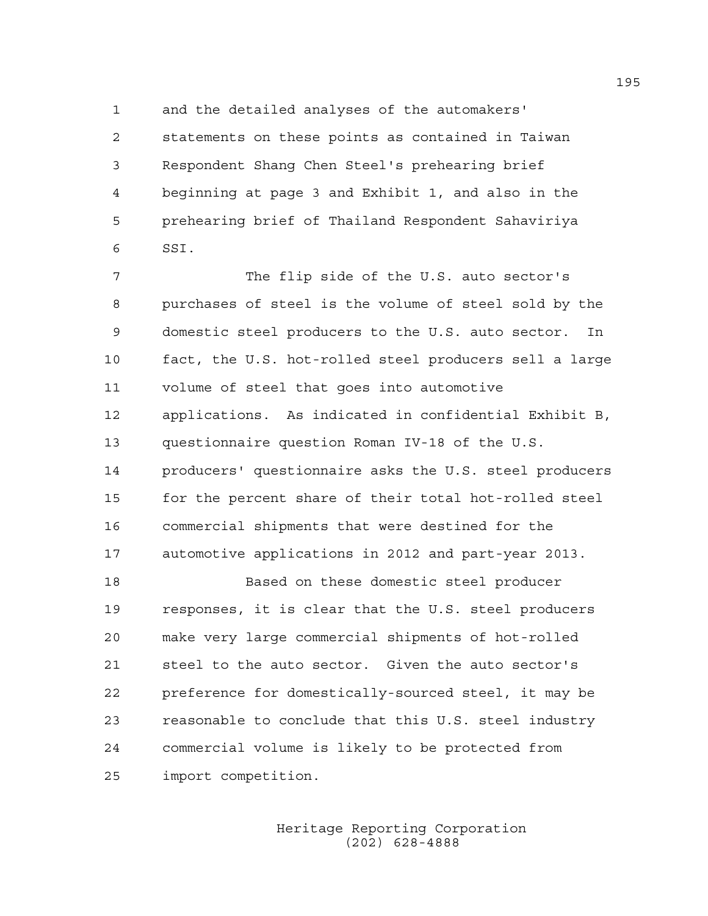1 and the detailed analyses of the automakers'

2 statements on these points as contained in Taiwan 3 Respondent Shang Chen Steel's prehearing brief 4 beginning at page 3 and Exhibit 1, and also in the 5 prehearing brief of Thailand Respondent Sahaviriya 6 SSI.

7 The flip side of the U.S. auto sector's 8 purchases of steel is the volume of steel sold by the 9 domestic steel producers to the U.S. auto sector. In 10 fact, the U.S. hot-rolled steel producers sell a large 11 volume of steel that goes into automotive 12 applications. As indicated in confidential Exhibit B, 13 questionnaire question Roman IV-18 of the U.S. 14 producers' questionnaire asks the U.S. steel producers 15 for the percent share of their total hot-rolled steel 16 commercial shipments that were destined for the 17 automotive applications in 2012 and part-year 2013. 18 Based on these domestic steel producer 19 responses, it is clear that the U.S. steel producers

20 make very large commercial shipments of hot-rolled 21 steel to the auto sector. Given the auto sector's 22 preference for domestically-sourced steel, it may be 23 reasonable to conclude that this U.S. steel industry 24 commercial volume is likely to be protected from 25 import competition.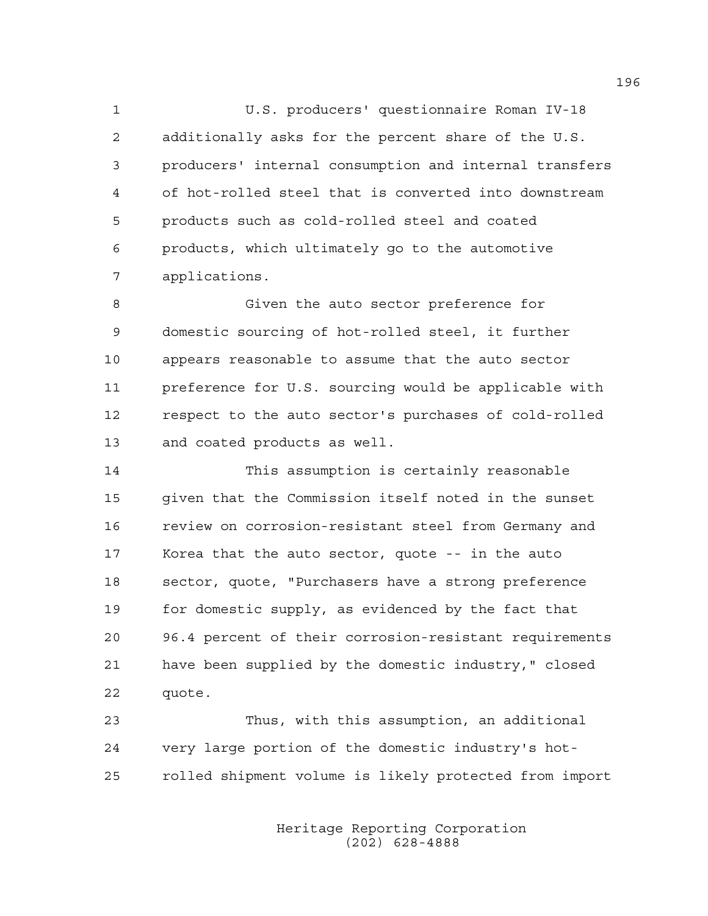1 U.S. producers' questionnaire Roman IV-18 2 additionally asks for the percent share of the U.S. 3 producers' internal consumption and internal transfers 4 of hot-rolled steel that is converted into downstream 5 products such as cold-rolled steel and coated 6 products, which ultimately go to the automotive 7 applications.

8 Given the auto sector preference for 9 domestic sourcing of hot-rolled steel, it further 10 appears reasonable to assume that the auto sector 11 preference for U.S. sourcing would be applicable with 12 respect to the auto sector's purchases of cold-rolled 13 and coated products as well.

14 This assumption is certainly reasonable 15 given that the Commission itself noted in the sunset 16 review on corrosion-resistant steel from Germany and 17 Korea that the auto sector, quote -- in the auto 18 sector, quote, "Purchasers have a strong preference 19 for domestic supply, as evidenced by the fact that 20 96.4 percent of their corrosion-resistant requirements 21 have been supplied by the domestic industry," closed 22 quote.

23 Thus, with this assumption, an additional 24 very large portion of the domestic industry's hot-25 rolled shipment volume is likely protected from import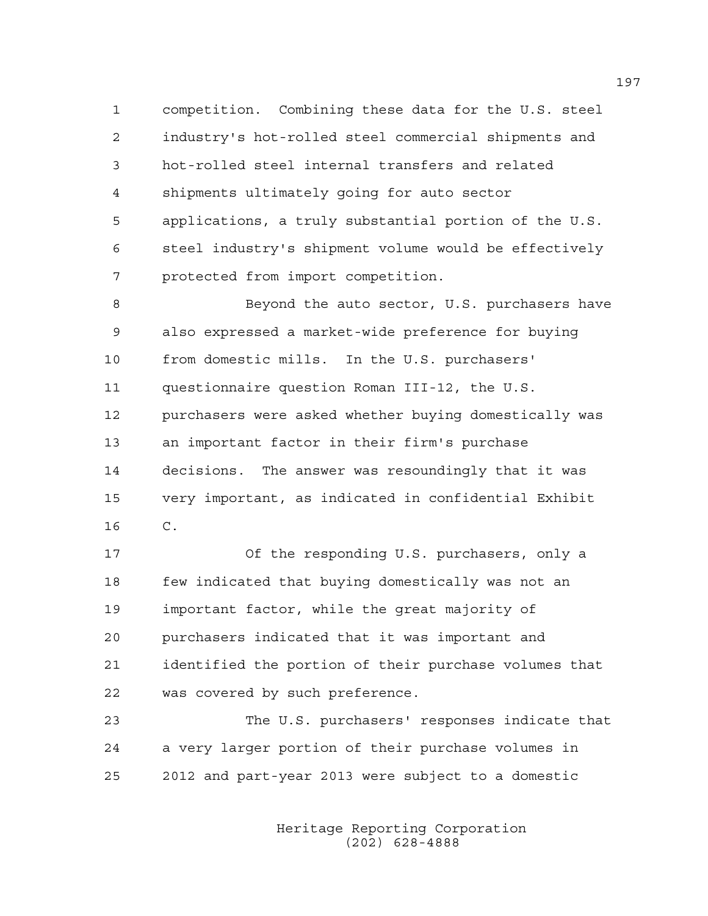1 competition. Combining these data for the U.S. steel 2 industry's hot-rolled steel commercial shipments and 3 hot-rolled steel internal transfers and related 4 shipments ultimately going for auto sector 5 applications, a truly substantial portion of the U.S. 6 steel industry's shipment volume would be effectively 7 protected from import competition.

8 Beyond the auto sector, U.S. purchasers have 9 also expressed a market-wide preference for buying 10 from domestic mills. In the U.S. purchasers' 11 questionnaire question Roman III-12, the U.S. 12 purchasers were asked whether buying domestically was 13 an important factor in their firm's purchase 14 decisions. The answer was resoundingly that it was 15 very important, as indicated in confidential Exhibit 16 C.

17 Of the responding U.S. purchasers, only a 18 few indicated that buying domestically was not an 19 important factor, while the great majority of 20 purchasers indicated that it was important and 21 identified the portion of their purchase volumes that 22 was covered by such preference.

23 The U.S. purchasers' responses indicate that 24 a very larger portion of their purchase volumes in 25 2012 and part-year 2013 were subject to a domestic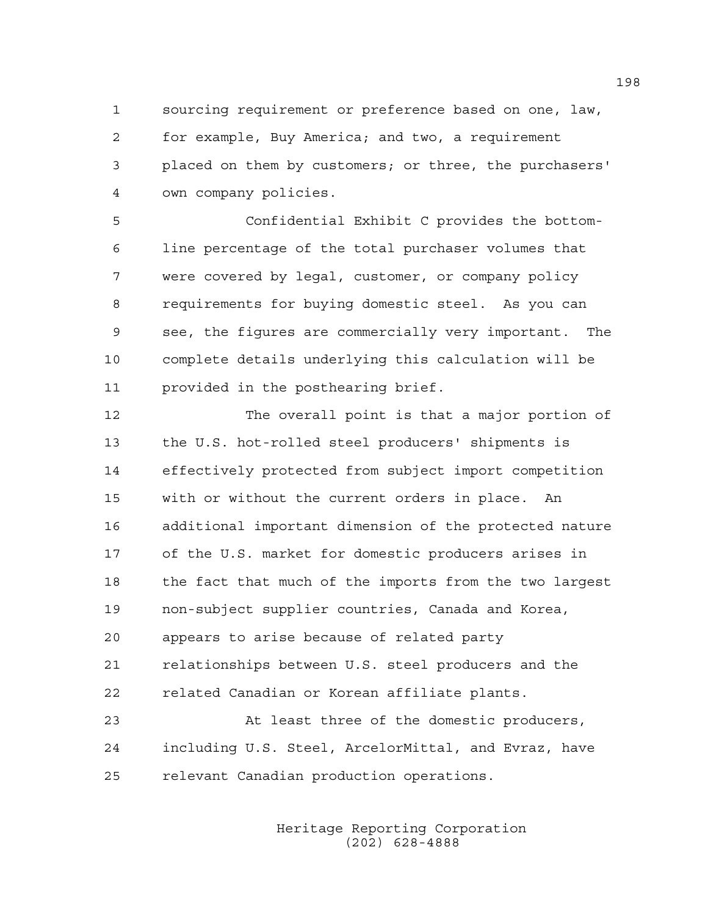1 sourcing requirement or preference based on one, law, 2 for example, Buy America; and two, a requirement 3 placed on them by customers; or three, the purchasers' 4 own company policies.

5 Confidential Exhibit C provides the bottom-6 line percentage of the total purchaser volumes that 7 were covered by legal, customer, or company policy 8 requirements for buying domestic steel. As you can 9 see, the figures are commercially very important. The 10 complete details underlying this calculation will be 11 provided in the posthearing brief.

12 The overall point is that a major portion of 13 the U.S. hot-rolled steel producers' shipments is 14 effectively protected from subject import competition 15 with or without the current orders in place. An 16 additional important dimension of the protected nature 17 of the U.S. market for domestic producers arises in 18 the fact that much of the imports from the two largest 19 non-subject supplier countries, Canada and Korea, 20 appears to arise because of related party 21 relationships between U.S. steel producers and the 22 related Canadian or Korean affiliate plants. 23 At least three of the domestic producers,

24 including U.S. Steel, ArcelorMittal, and Evraz, have 25 relevant Canadian production operations.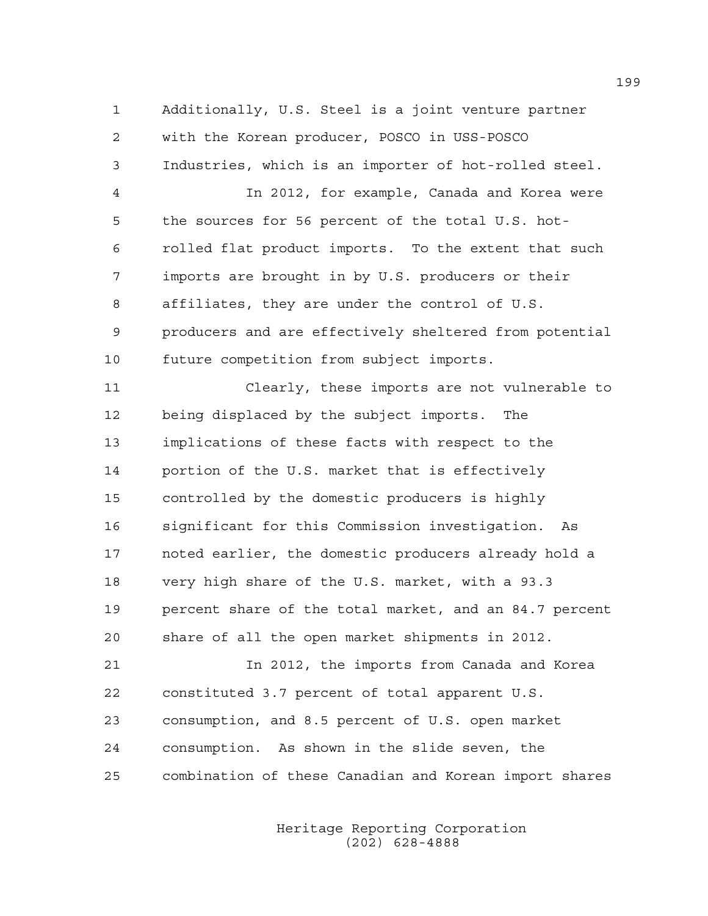1 Additionally, U.S. Steel is a joint venture partner 2 with the Korean producer, POSCO in USS-POSCO 3 Industries, which is an importer of hot-rolled steel. 4 In 2012, for example, Canada and Korea were 5 the sources for 56 percent of the total U.S. hot-6 rolled flat product imports. To the extent that such 7 imports are brought in by U.S. producers or their 8 affiliates, they are under the control of U.S. 9 producers and are effectively sheltered from potential 10 future competition from subject imports. 11 Clearly, these imports are not vulnerable to 12 being displaced by the subject imports. The 13 implications of these facts with respect to the 14 portion of the U.S. market that is effectively 15 controlled by the domestic producers is highly 16 significant for this Commission investigation. As 17 noted earlier, the domestic producers already hold a 18 very high share of the U.S. market, with a 93.3 19 percent share of the total market, and an 84.7 percent 20 share of all the open market shipments in 2012. 21 In 2012, the imports from Canada and Korea 22 constituted 3.7 percent of total apparent U.S. 23 consumption, and 8.5 percent of U.S. open market 24 consumption. As shown in the slide seven, the 25 combination of these Canadian and Korean import shares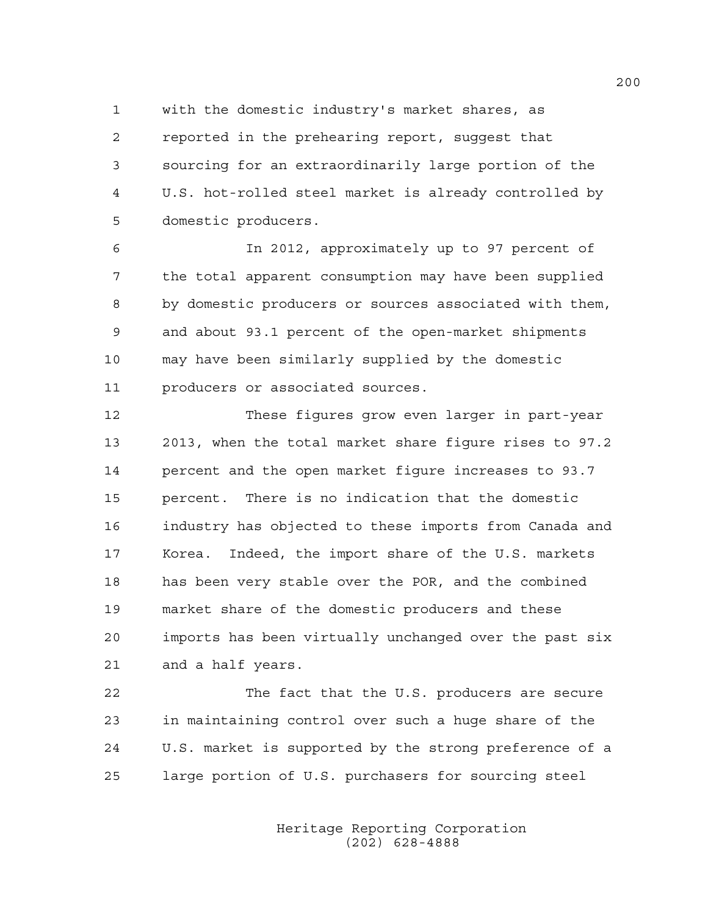1 with the domestic industry's market shares, as 2 reported in the prehearing report, suggest that 3 sourcing for an extraordinarily large portion of the 4 U.S. hot-rolled steel market is already controlled by 5 domestic producers.

6 In 2012, approximately up to 97 percent of 7 the total apparent consumption may have been supplied 8 by domestic producers or sources associated with them, 9 and about 93.1 percent of the open-market shipments 10 may have been similarly supplied by the domestic 11 producers or associated sources.

12 These figures grow even larger in part-year 13 2013, when the total market share figure rises to 97.2 14 percent and the open market figure increases to 93.7 15 percent. There is no indication that the domestic 16 industry has objected to these imports from Canada and 17 Korea. Indeed, the import share of the U.S. markets 18 has been very stable over the POR, and the combined 19 market share of the domestic producers and these 20 imports has been virtually unchanged over the past six 21 and a half years.

22 The fact that the U.S. producers are secure 23 in maintaining control over such a huge share of the 24 U.S. market is supported by the strong preference of a 25 large portion of U.S. purchasers for sourcing steel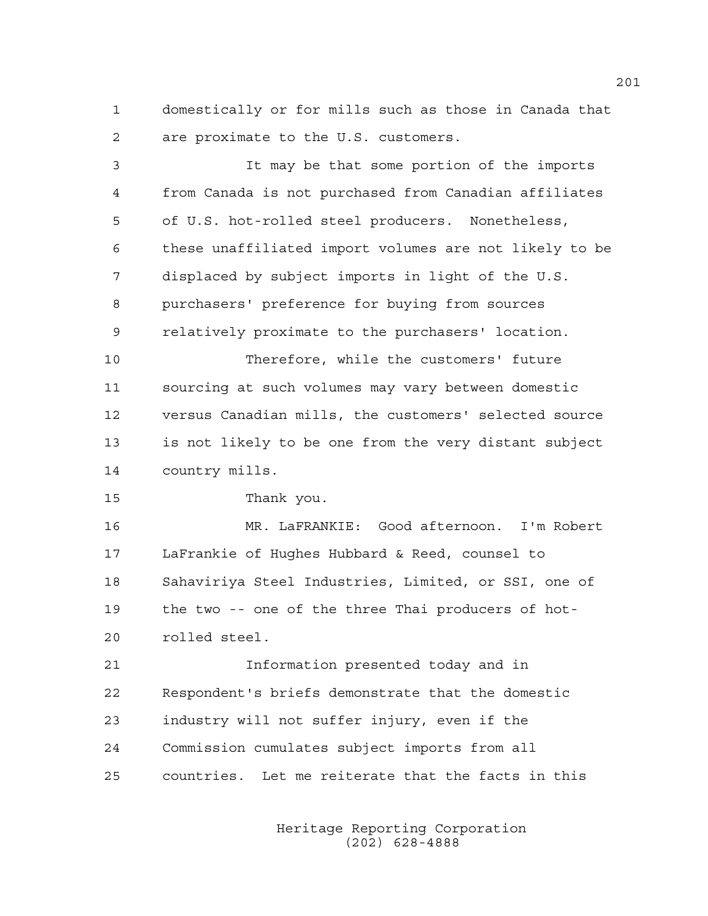1 domestically or for mills such as those in Canada that 2 are proximate to the U.S. customers.

3 It may be that some portion of the imports 4 from Canada is not purchased from Canadian affiliates 5 of U.S. hot-rolled steel producers. Nonetheless, 6 these unaffiliated import volumes are not likely to be 7 displaced by subject imports in light of the U.S. 8 purchasers' preference for buying from sources 9 relatively proximate to the purchasers' location. 10 Therefore, while the customers' future 11 sourcing at such volumes may vary between domestic 12 versus Canadian mills, the customers' selected source 13 is not likely to be one from the very distant subject 14 country mills. 15 Thank you. 16 MR. LaFRANKIE: Good afternoon. I'm Robert 17 LaFrankie of Hughes Hubbard & Reed, counsel to 18 Sahaviriya Steel Industries, Limited, or SSI, one of 19 the two -- one of the three Thai producers of hot-20 rolled steel. 21 Information presented today and in 22 Respondent's briefs demonstrate that the domestic 23 industry will not suffer injury, even if the 24 Commission cumulates subject imports from all 25 countries. Let me reiterate that the facts in this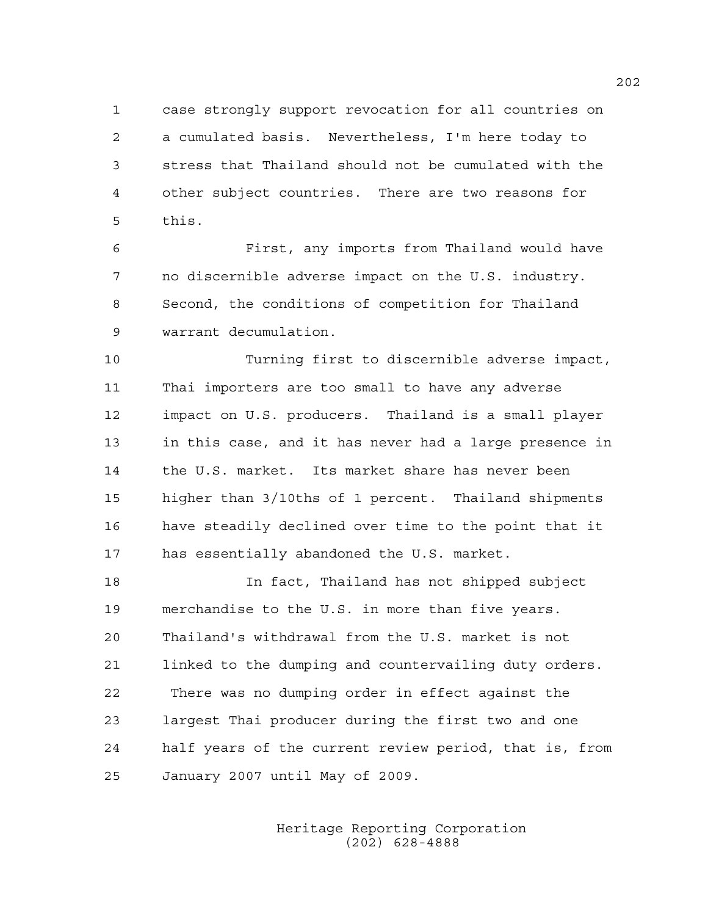1 case strongly support revocation for all countries on 2 a cumulated basis. Nevertheless, I'm here today to 3 stress that Thailand should not be cumulated with the 4 other subject countries. There are two reasons for 5 this.

6 First, any imports from Thailand would have 7 no discernible adverse impact on the U.S. industry. 8 Second, the conditions of competition for Thailand 9 warrant decumulation.

10 Turning first to discernible adverse impact, 11 Thai importers are too small to have any adverse 12 impact on U.S. producers. Thailand is a small player 13 in this case, and it has never had a large presence in 14 the U.S. market. Its market share has never been 15 higher than 3/10ths of 1 percent. Thailand shipments 16 have steadily declined over time to the point that it 17 has essentially abandoned the U.S. market.

18 In fact, Thailand has not shipped subject 19 merchandise to the U.S. in more than five years. 20 Thailand's withdrawal from the U.S. market is not 21 linked to the dumping and countervailing duty orders. 22 There was no dumping order in effect against the 23 largest Thai producer during the first two and one 24 half years of the current review period, that is, from 25 January 2007 until May of 2009.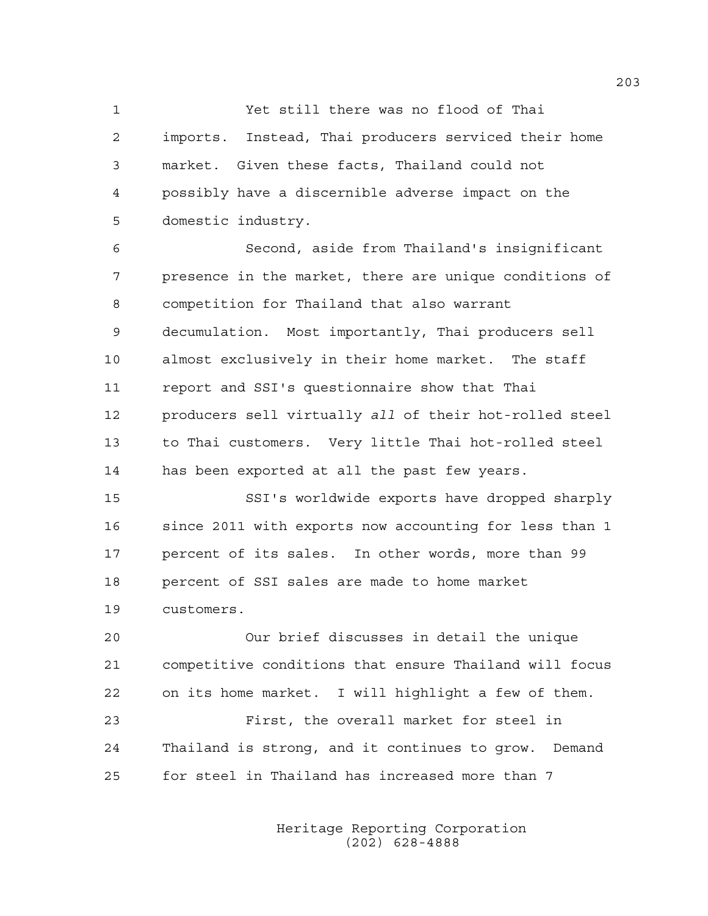1 Yet still there was no flood of Thai 2 imports. Instead, Thai producers serviced their home 3 market. Given these facts, Thailand could not 4 possibly have a discernible adverse impact on the 5 domestic industry.

6 Second, aside from Thailand's insignificant 7 presence in the market, there are unique conditions of 8 competition for Thailand that also warrant 9 decumulation. Most importantly, Thai producers sell 10 almost exclusively in their home market. The staff 11 report and SSI's questionnaire show that Thai 12 producers sell virtually *all* of their hot-rolled steel 13 to Thai customers. Very little Thai hot-rolled steel 14 has been exported at all the past few years.

15 SSI's worldwide exports have dropped sharply 16 since 2011 with exports now accounting for less than 1 17 percent of its sales. In other words, more than 99 18 percent of SSI sales are made to home market 19 customers.

20 Our brief discusses in detail the unique 21 competitive conditions that ensure Thailand will focus 22 on its home market. I will highlight a few of them. 23 First, the overall market for steel in 24 Thailand is strong, and it continues to grow. Demand 25 for steel in Thailand has increased more than 7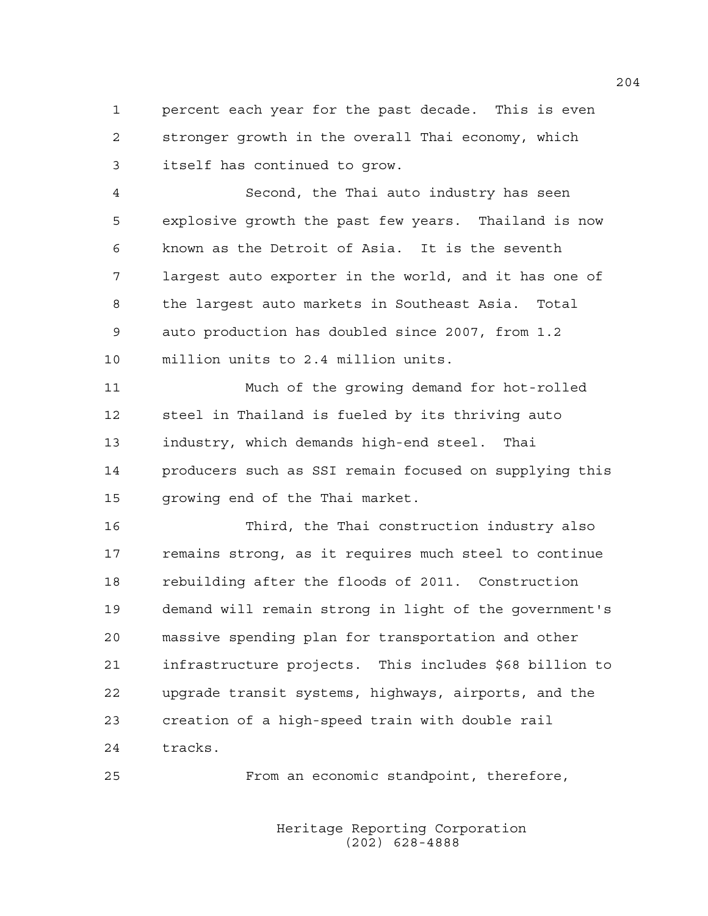1 percent each year for the past decade. This is even 2 stronger growth in the overall Thai economy, which 3 itself has continued to grow.

4 Second, the Thai auto industry has seen 5 explosive growth the past few years. Thailand is now 6 known as the Detroit of Asia. It is the seventh 7 largest auto exporter in the world, and it has one of 8 the largest auto markets in Southeast Asia. Total 9 auto production has doubled since 2007, from 1.2 10 million units to 2.4 million units.

11 Much of the growing demand for hot-rolled 12 steel in Thailand is fueled by its thriving auto 13 industry, which demands high-end steel. Thai 14 producers such as SSI remain focused on supplying this 15 growing end of the Thai market.

16 Third, the Thai construction industry also 17 remains strong, as it requires much steel to continue 18 rebuilding after the floods of 2011. Construction 19 demand will remain strong in light of the government's 20 massive spending plan for transportation and other 21 infrastructure projects. This includes \$68 billion to 22 upgrade transit systems, highways, airports, and the 23 creation of a high-speed train with double rail 24 tracks.

25 From an economic standpoint, therefore,

 Heritage Reporting Corporation (202) 628-4888

204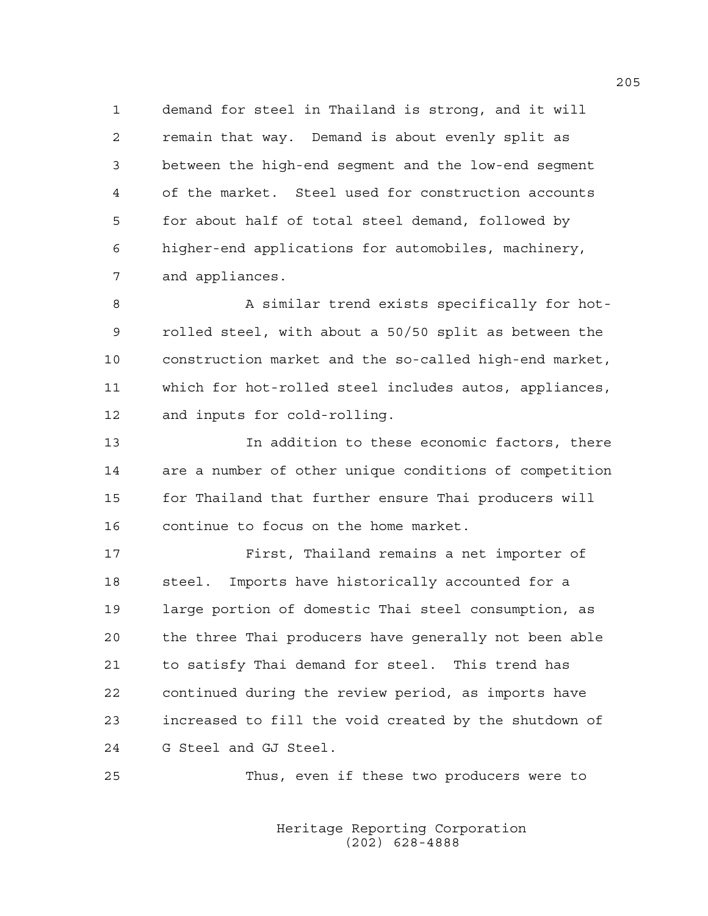1 demand for steel in Thailand is strong, and it will 2 remain that way. Demand is about evenly split as 3 between the high-end segment and the low-end segment 4 of the market. Steel used for construction accounts 5 for about half of total steel demand, followed by 6 higher-end applications for automobiles, machinery, 7 and appliances.

8 A similar trend exists specifically for hot-9 rolled steel, with about a 50/50 split as between the 10 construction market and the so-called high-end market, 11 which for hot-rolled steel includes autos, appliances, 12 and inputs for cold-rolling.

13 In addition to these economic factors, there 14 are a number of other unique conditions of competition 15 for Thailand that further ensure Thai producers will 16 continue to focus on the home market.

17 First, Thailand remains a net importer of 18 steel. Imports have historically accounted for a 19 large portion of domestic Thai steel consumption, as 20 the three Thai producers have generally not been able 21 to satisfy Thai demand for steel. This trend has 22 continued during the review period, as imports have 23 increased to fill the void created by the shutdown of 24 G Steel and GJ Steel.

25 Thus, even if these two producers were to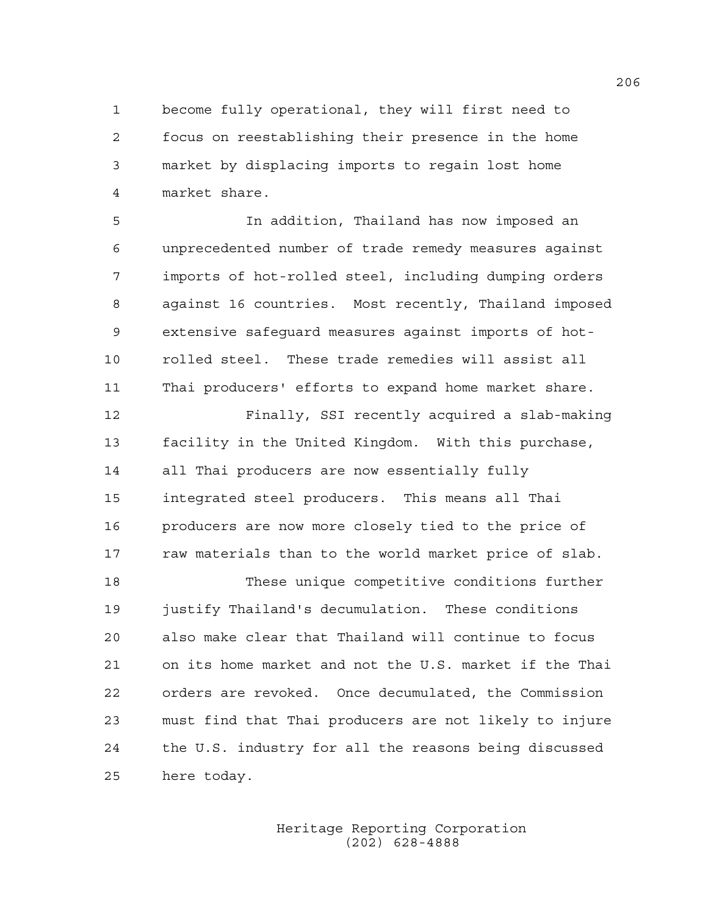1 become fully operational, they will first need to 2 focus on reestablishing their presence in the home 3 market by displacing imports to regain lost home 4 market share.

5 In addition, Thailand has now imposed an 6 unprecedented number of trade remedy measures against 7 imports of hot-rolled steel, including dumping orders 8 against 16 countries. Most recently, Thailand imposed 9 extensive safeguard measures against imports of hot-10 rolled steel. These trade remedies will assist all 11 Thai producers' efforts to expand home market share.

12 Finally, SSI recently acquired a slab-making 13 facility in the United Kingdom. With this purchase, 14 all Thai producers are now essentially fully 15 integrated steel producers. This means all Thai 16 producers are now more closely tied to the price of 17 raw materials than to the world market price of slab.

18 These unique competitive conditions further 19 justify Thailand's decumulation. These conditions 20 also make clear that Thailand will continue to focus 21 on its home market and not the U.S. market if the Thai 22 orders are revoked. Once decumulated, the Commission 23 must find that Thai producers are not likely to injure 24 the U.S. industry for all the reasons being discussed 25 here today.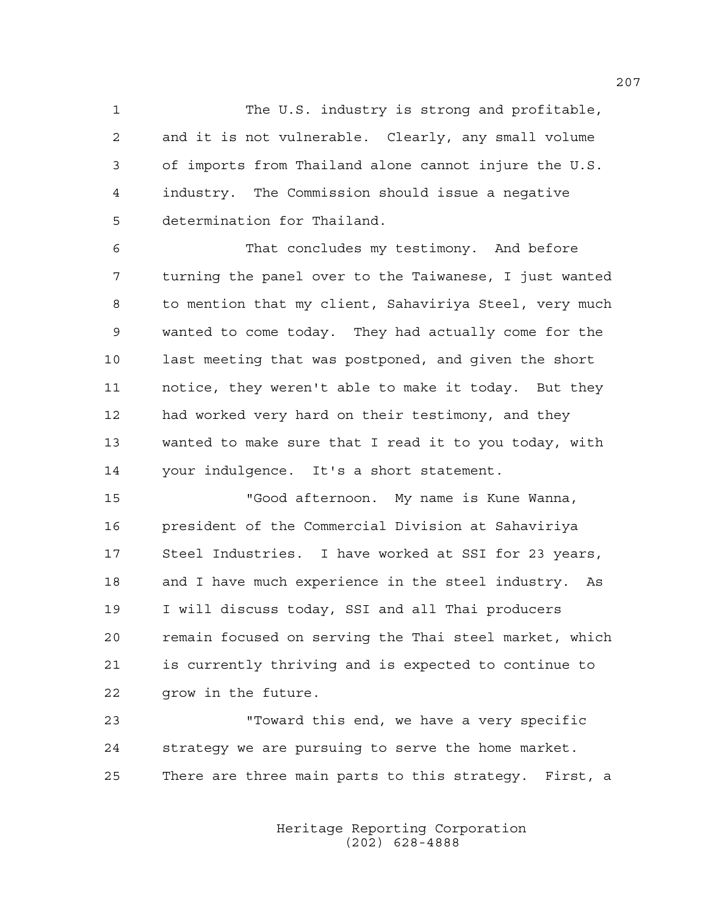1 The U.S. industry is strong and profitable, 2 and it is not vulnerable. Clearly, any small volume 3 of imports from Thailand alone cannot injure the U.S. 4 industry. The Commission should issue a negative 5 determination for Thailand.

6 That concludes my testimony. And before 7 turning the panel over to the Taiwanese, I just wanted 8 to mention that my client, Sahaviriya Steel, very much 9 wanted to come today. They had actually come for the 10 last meeting that was postponed, and given the short 11 notice, they weren't able to make it today. But they 12 had worked very hard on their testimony, and they 13 wanted to make sure that I read it to you today, with 14 your indulgence. It's a short statement.

15 "Good afternoon. My name is Kune Wanna, 16 president of the Commercial Division at Sahaviriya 17 Steel Industries. I have worked at SSI for 23 years, 18 and I have much experience in the steel industry. As 19 I will discuss today, SSI and all Thai producers 20 remain focused on serving the Thai steel market, which 21 is currently thriving and is expected to continue to 22 grow in the future.

23 "Toward this end, we have a very specific 24 strategy we are pursuing to serve the home market. 25 There are three main parts to this strategy. First, a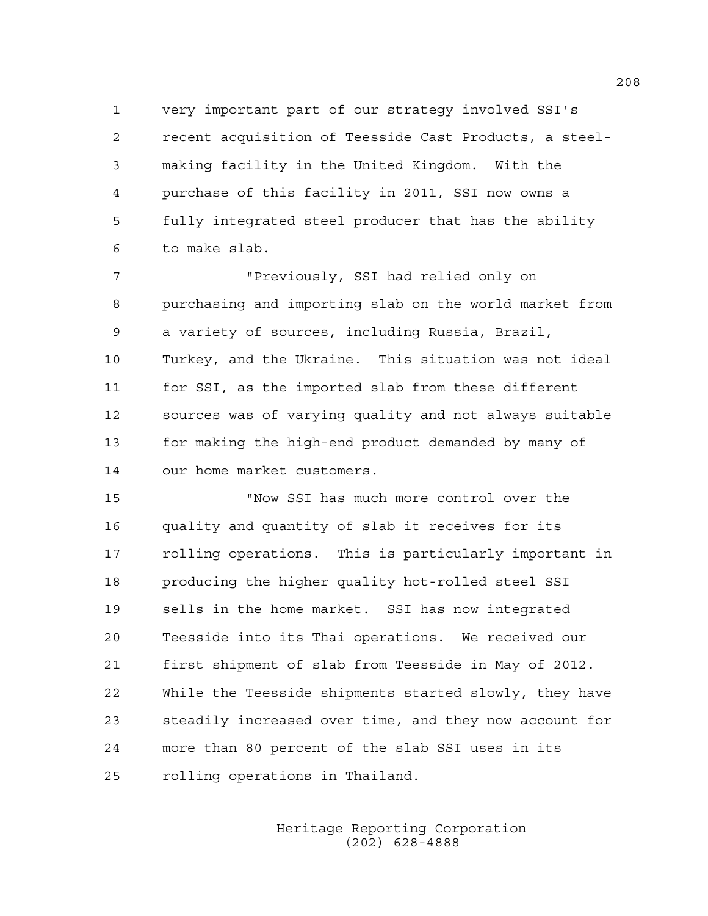1 very important part of our strategy involved SSI's 2 recent acquisition of Teesside Cast Products, a steel-3 making facility in the United Kingdom. With the 4 purchase of this facility in 2011, SSI now owns a 5 fully integrated steel producer that has the ability 6 to make slab.

7 "Previously, SSI had relied only on 8 purchasing and importing slab on the world market from 9 a variety of sources, including Russia, Brazil, 10 Turkey, and the Ukraine. This situation was not ideal 11 for SSI, as the imported slab from these different 12 sources was of varying quality and not always suitable 13 for making the high-end product demanded by many of 14 our home market customers.

15 "Now SSI has much more control over the 16 quality and quantity of slab it receives for its 17 rolling operations. This is particularly important in 18 producing the higher quality hot-rolled steel SSI 19 sells in the home market. SSI has now integrated 20 Teesside into its Thai operations. We received our 21 first shipment of slab from Teesside in May of 2012. 22 While the Teesside shipments started slowly, they have 23 steadily increased over time, and they now account for 24 more than 80 percent of the slab SSI uses in its 25 rolling operations in Thailand.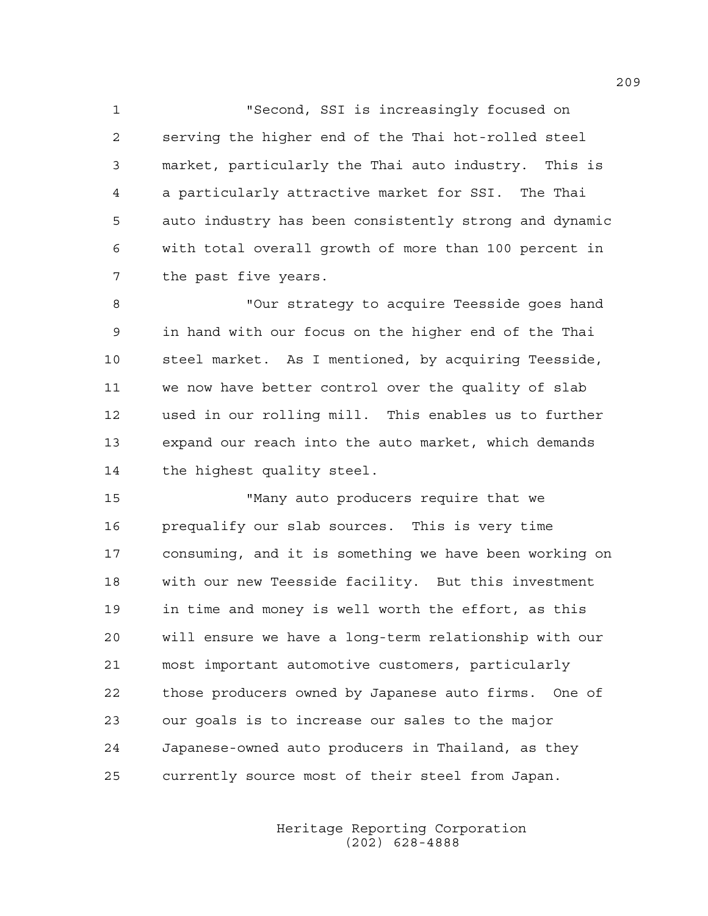1 "Second, SSI is increasingly focused on 2 serving the higher end of the Thai hot-rolled steel 3 market, particularly the Thai auto industry. This is 4 a particularly attractive market for SSI. The Thai 5 auto industry has been consistently strong and dynamic 6 with total overall growth of more than 100 percent in 7 the past five years.

8 "Our strategy to acquire Teesside goes hand 9 in hand with our focus on the higher end of the Thai 10 steel market. As I mentioned, by acquiring Teesside, 11 we now have better control over the quality of slab 12 used in our rolling mill. This enables us to further 13 expand our reach into the auto market, which demands 14 the highest quality steel.

15 "Many auto producers require that we 16 prequalify our slab sources. This is very time 17 consuming, and it is something we have been working on 18 with our new Teesside facility. But this investment 19 in time and money is well worth the effort, as this 20 will ensure we have a long-term relationship with our 21 most important automotive customers, particularly 22 those producers owned by Japanese auto firms. One of 23 our goals is to increase our sales to the major 24 Japanese-owned auto producers in Thailand, as they 25 currently source most of their steel from Japan.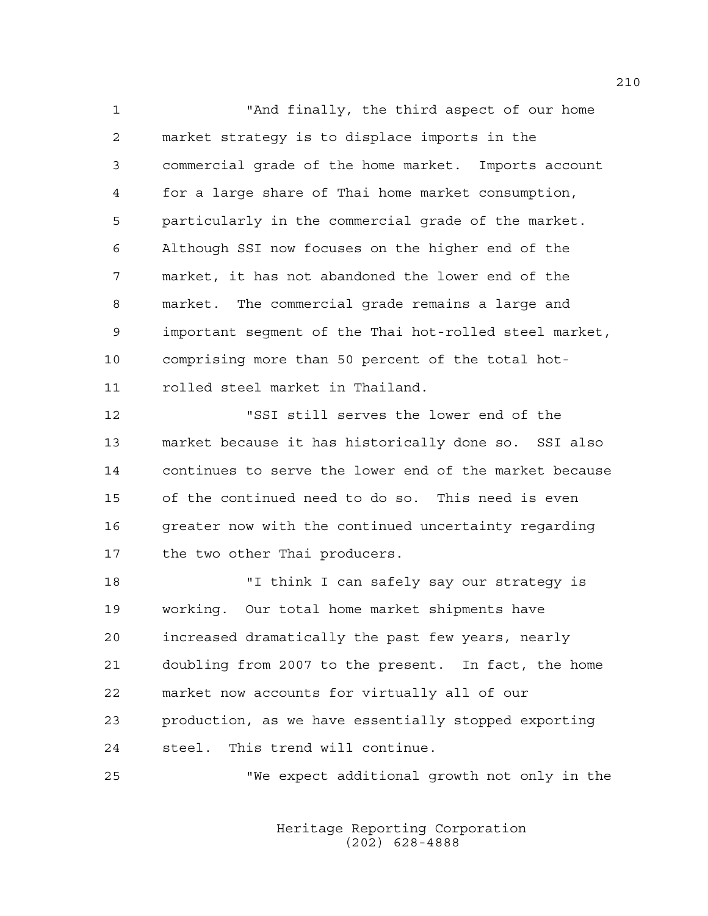1 "And finally, the third aspect of our home 2 market strategy is to displace imports in the 3 commercial grade of the home market. Imports account 4 for a large share of Thai home market consumption, 5 particularly in the commercial grade of the market. 6 Although SSI now focuses on the higher end of the 7 market, it has not abandoned the lower end of the 8 market. The commercial grade remains a large and 9 important segment of the Thai hot-rolled steel market, 10 comprising more than 50 percent of the total hot-11 rolled steel market in Thailand.

12 "SSI still serves the lower end of the 13 market because it has historically done so. SSI also 14 continues to serve the lower end of the market because 15 of the continued need to do so. This need is even 16 greater now with the continued uncertainty regarding 17 the two other Thai producers.

18 "I think I can safely say our strategy is 19 working. Our total home market shipments have 20 increased dramatically the past few years, nearly 21 doubling from 2007 to the present. In fact, the home 22 market now accounts for virtually all of our 23 production, as we have essentially stopped exporting 24 steel. This trend will continue.

25 "We expect additional growth not only in the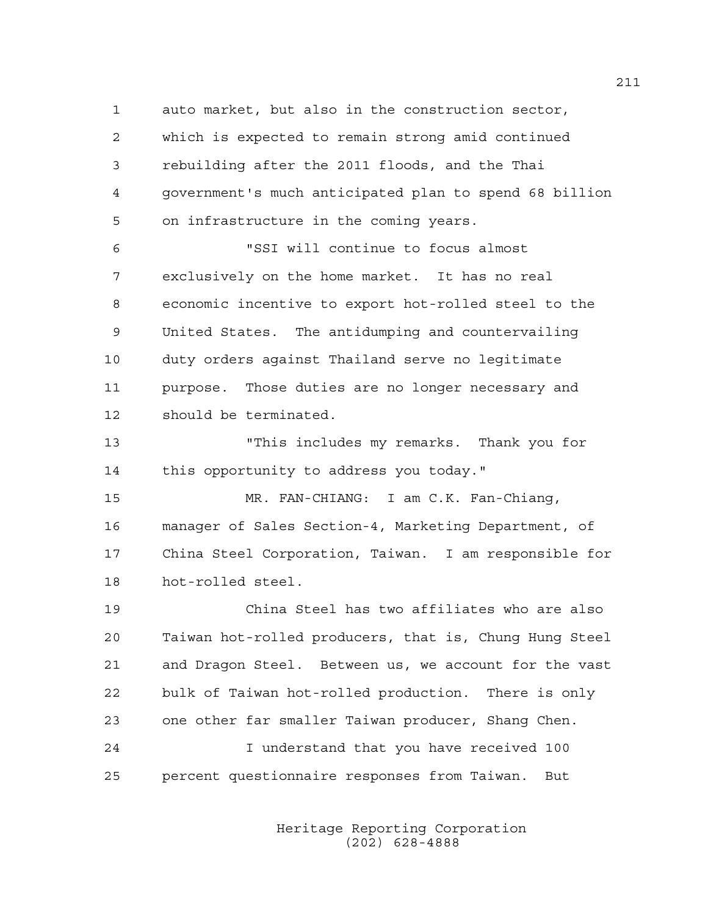1 auto market, but also in the construction sector, 2 which is expected to remain strong amid continued 3 rebuilding after the 2011 floods, and the Thai 4 government's much anticipated plan to spend 68 billion 5 on infrastructure in the coming years.

6 "SSI will continue to focus almost 7 exclusively on the home market. It has no real 8 economic incentive to export hot-rolled steel to the 9 United States. The antidumping and countervailing 10 duty orders against Thailand serve no legitimate 11 purpose. Those duties are no longer necessary and 12 should be terminated.

13 "This includes my remarks. Thank you for 14 this opportunity to address you today."

15 MR. FAN-CHIANG: I am C.K. Fan-Chiang, 16 manager of Sales Section-4, Marketing Department, of 17 China Steel Corporation, Taiwan. I am responsible for 18 hot-rolled steel.

19 China Steel has two affiliates who are also 20 Taiwan hot-rolled producers, that is, Chung Hung Steel 21 and Dragon Steel. Between us, we account for the vast 22 bulk of Taiwan hot-rolled production. There is only 23 one other far smaller Taiwan producer, Shang Chen. 24 I understand that you have received 100 25 percent questionnaire responses from Taiwan. But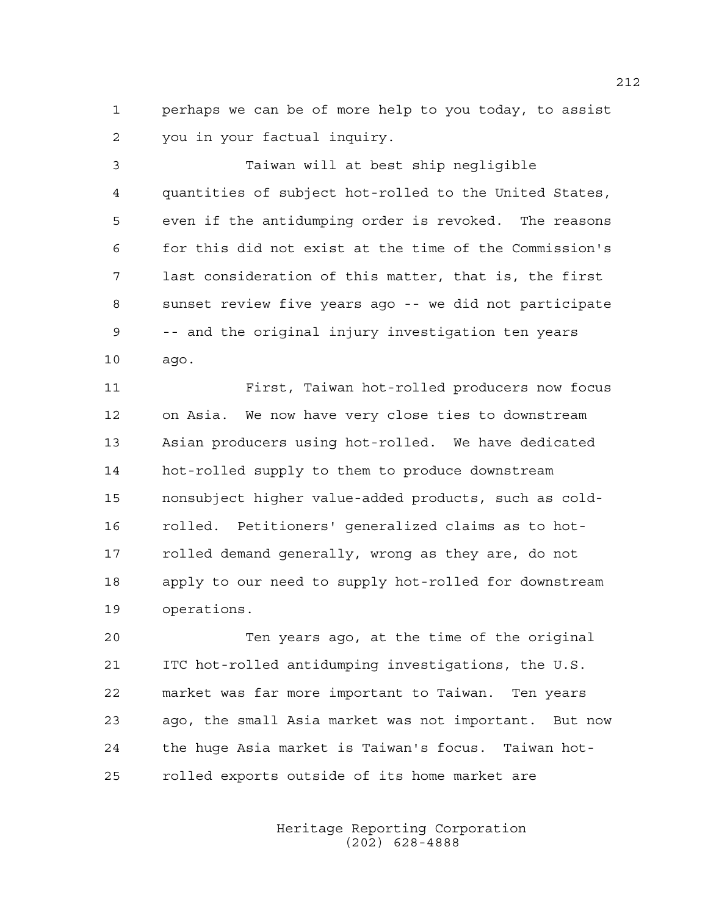1 perhaps we can be of more help to you today, to assist 2 you in your factual inquiry.

3 Taiwan will at best ship negligible 4 quantities of subject hot-rolled to the United States, 5 even if the antidumping order is revoked. The reasons 6 for this did not exist at the time of the Commission's 7 last consideration of this matter, that is, the first 8 sunset review five years ago -- we did not participate 9 -- and the original injury investigation ten years 10 ago.

11 First, Taiwan hot-rolled producers now focus 12 on Asia. We now have very close ties to downstream 13 Asian producers using hot-rolled. We have dedicated 14 hot-rolled supply to them to produce downstream 15 nonsubject higher value-added products, such as cold-16 rolled. Petitioners' generalized claims as to hot-17 rolled demand generally, wrong as they are, do not 18 apply to our need to supply hot-rolled for downstream 19 operations.

20 Ten years ago, at the time of the original 21 ITC hot-rolled antidumping investigations, the U.S. 22 market was far more important to Taiwan. Ten years 23 ago, the small Asia market was not important. But now 24 the huge Asia market is Taiwan's focus. Taiwan hot-25 rolled exports outside of its home market are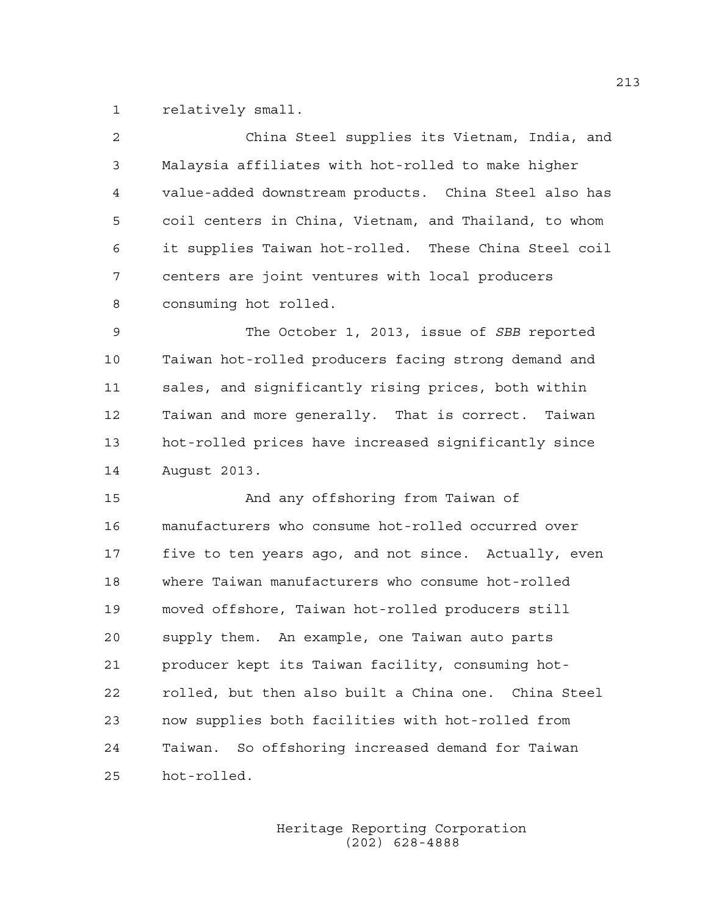1 relatively small.

| 2  | China Steel supplies its Vietnam, India, and          |
|----|-------------------------------------------------------|
| 3  | Malaysia affiliates with hot-rolled to make higher    |
| 4  | value-added downstream products. China Steel also has |
| 5  | coil centers in China, Vietnam, and Thailand, to whom |
| 6  | it supplies Taiwan hot-rolled. These China Steel coil |
| 7  | centers are joint ventures with local producers       |
| 8  | consuming hot rolled.                                 |
| 9  | The October 1, 2013, issue of SBB reported            |
| 10 | Taiwan hot-rolled producers facing strong demand and  |
| 11 | sales, and significantly rising prices, both within   |
| 12 | Taiwan and more generally. That is correct. Taiwan    |
| 13 | hot-rolled prices have increased significantly since  |
| 14 | August 2013.                                          |
| 15 | And any offshoring from Taiwan of                     |
| 16 | manufacturers who consume hot-rolled occurred over    |
| 17 | five to ten years ago, and not since. Actually, even  |
| 18 | where Taiwan manufacturers who consume hot-rolled     |
| 19 | moved offshore, Taiwan hot-rolled producers still     |
| 20 | supply them. An example, one Taiwan auto parts        |
| 21 | producer kept its Taiwan facility, consuming hot-     |
| 22 | rolled, but then also built a China one. China Steel  |
| 23 | now supplies both facilities with hot-rolled from     |
| 24 | So offshoring increased demand for Taiwan<br>Taiwan.  |
| 25 | hot-rolled.                                           |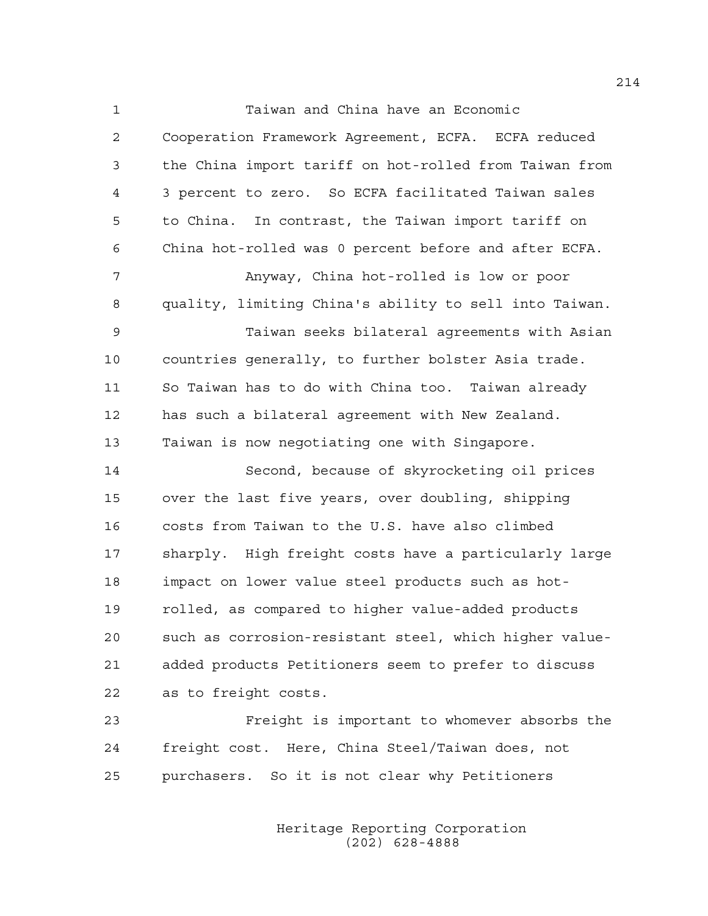1 Taiwan and China have an Economic 2 Cooperation Framework Agreement, ECFA. ECFA reduced 3 the China import tariff on hot-rolled from Taiwan from 4 3 percent to zero. So ECFA facilitated Taiwan sales 5 to China. In contrast, the Taiwan import tariff on 6 China hot-rolled was 0 percent before and after ECFA. 7 Anyway, China hot-rolled is low or poor 8 quality, limiting China's ability to sell into Taiwan. 9 Taiwan seeks bilateral agreements with Asian 10 countries generally, to further bolster Asia trade. 11 So Taiwan has to do with China too. Taiwan already 12 has such a bilateral agreement with New Zealand. 13 Taiwan is now negotiating one with Singapore. 14 Second, because of skyrocketing oil prices 15 over the last five years, over doubling, shipping 16 costs from Taiwan to the U.S. have also climbed 17 sharply. High freight costs have a particularly large 18 impact on lower value steel products such as hot-19 rolled, as compared to higher value-added products 20 such as corrosion-resistant steel, which higher value-21 added products Petitioners seem to prefer to discuss 22 as to freight costs.

23 Freight is important to whomever absorbs the 24 freight cost. Here, China Steel/Taiwan does, not 25 purchasers. So it is not clear why Petitioners

> Heritage Reporting Corporation (202) 628-4888

214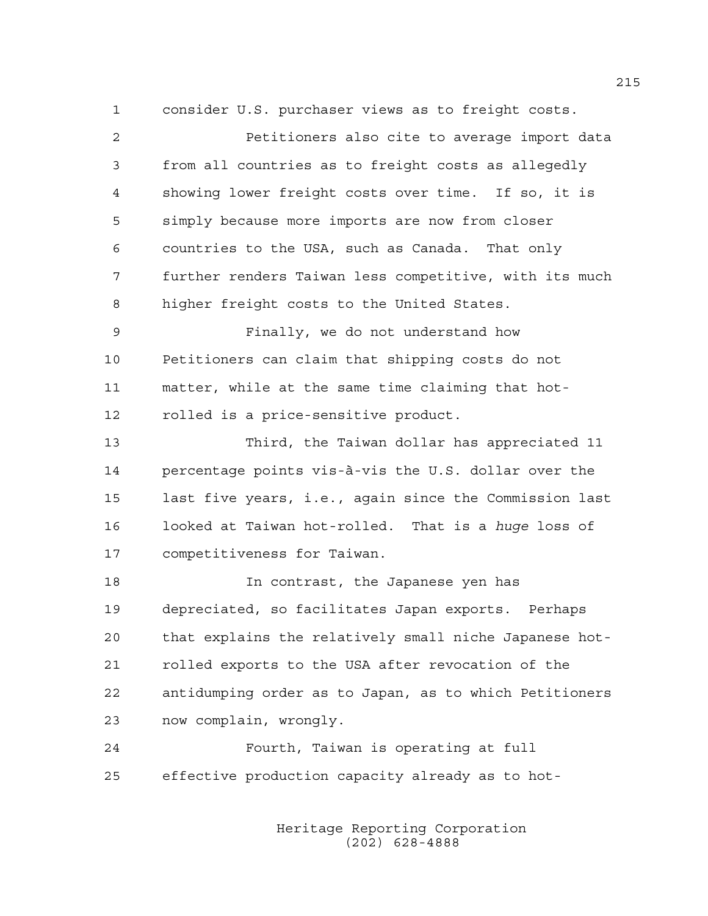1 consider U.S. purchaser views as to freight costs.

| 2  | Petitioners also cite to average import data           |
|----|--------------------------------------------------------|
| 3  | from all countries as to freight costs as allegedly    |
| 4  | showing lower freight costs over time. If so, it is    |
| 5  | simply because more imports are now from closer        |
| 6  | countries to the USA, such as Canada. That only        |
| 7  | further renders Taiwan less competitive, with its much |
| 8  | higher freight costs to the United States.             |
| 9  | Finally, we do not understand how                      |
| 10 | Petitioners can claim that shipping costs do not       |
| 11 | matter, while at the same time claiming that hot-      |
| 12 | rolled is a price-sensitive product.                   |
| 13 | Third, the Taiwan dollar has appreciated 11            |
| 14 | percentage points vis-à-vis the U.S. dollar over the   |
| 15 | last five years, i.e., again since the Commission last |
| 16 | looked at Taiwan hot-rolled. That is a huge loss of    |
| 17 | competitiveness for Taiwan.                            |
| 18 | In contrast, the Japanese yen has                      |
| 19 | depreciated, so facilitates Japan exports. Perhaps     |
| 20 | that explains the relatively small niche Japanese hot- |
| 21 | rolled exports to the USA after revocation of the      |
| 22 | antidumping order as to Japan, as to which Petitioners |
| 23 | now complain, wrongly.                                 |
| 24 | Fourth, Taiwan is operating at full                    |
| 25 | effective production capacity already as to hot-       |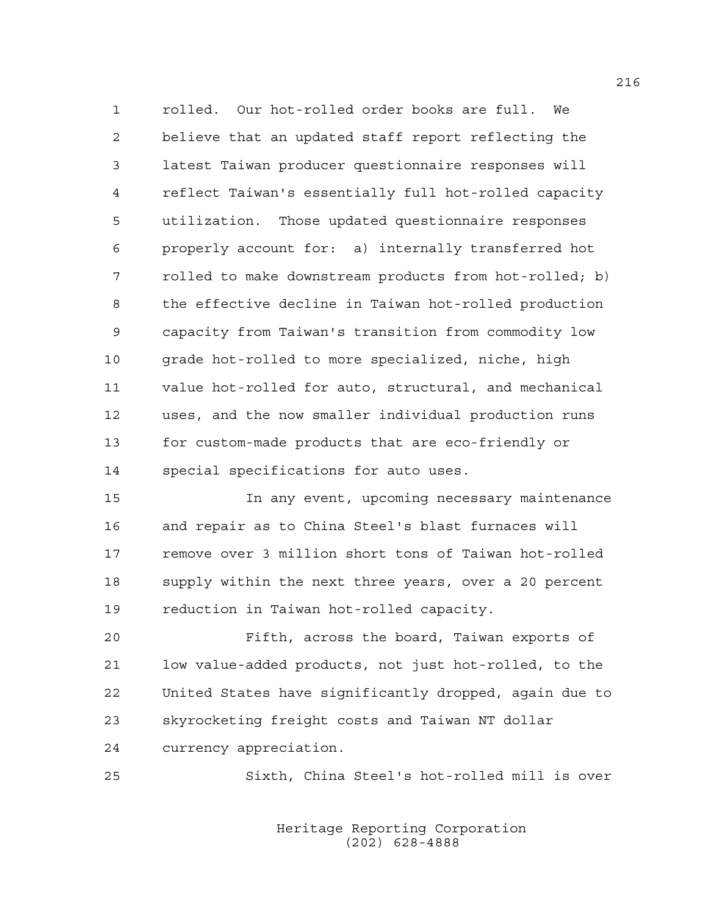1 rolled. Our hot-rolled order books are full. We 2 believe that an updated staff report reflecting the 3 latest Taiwan producer questionnaire responses will 4 reflect Taiwan's essentially full hot-rolled capacity 5 utilization. Those updated questionnaire responses 6 properly account for: a) internally transferred hot 7 rolled to make downstream products from hot-rolled; b) 8 the effective decline in Taiwan hot-rolled production 9 capacity from Taiwan's transition from commodity low 10 grade hot-rolled to more specialized, niche, high 11 value hot-rolled for auto, structural, and mechanical 12 uses, and the now smaller individual production runs 13 for custom-made products that are eco-friendly or 14 special specifications for auto uses.

15 In any event, upcoming necessary maintenance 16 and repair as to China Steel's blast furnaces will 17 remove over 3 million short tons of Taiwan hot-rolled 18 supply within the next three years, over a 20 percent 19 reduction in Taiwan hot-rolled capacity.

20 Fifth, across the board, Taiwan exports of 21 low value-added products, not just hot-rolled, to the 22 United States have significantly dropped, again due to 23 skyrocketing freight costs and Taiwan NT dollar 24 currency appreciation.

25 Sixth, China Steel's hot-rolled mill is over

 Heritage Reporting Corporation (202) 628-4888

216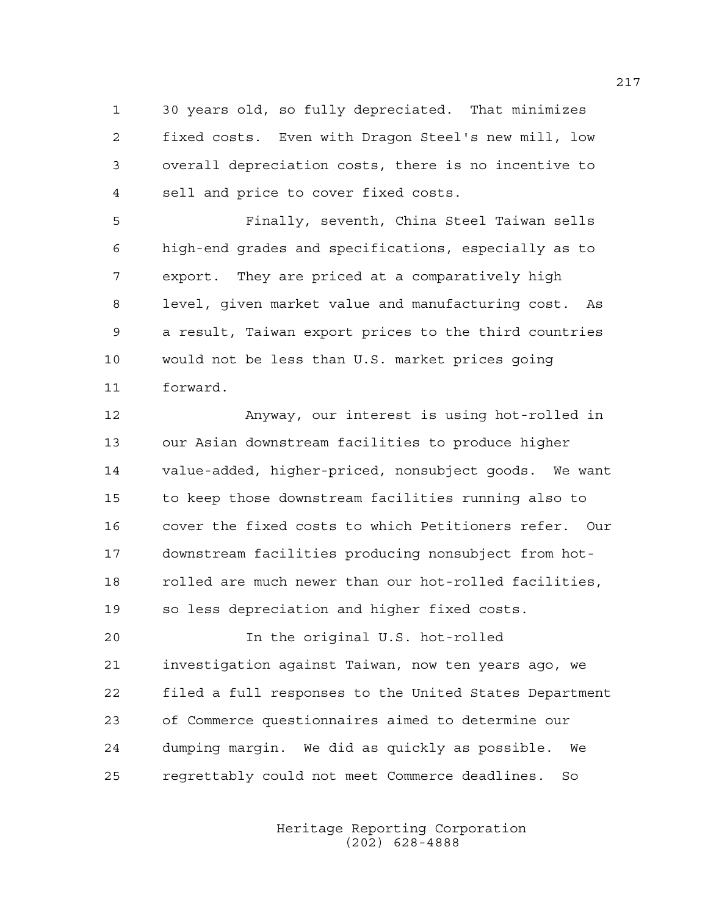1 30 years old, so fully depreciated. That minimizes 2 fixed costs. Even with Dragon Steel's new mill, low 3 overall depreciation costs, there is no incentive to 4 sell and price to cover fixed costs.

5 Finally, seventh, China Steel Taiwan sells 6 high-end grades and specifications, especially as to 7 export. They are priced at a comparatively high 8 level, given market value and manufacturing cost. As 9 a result, Taiwan export prices to the third countries 10 would not be less than U.S. market prices going 11 forward.

12 Anyway, our interest is using hot-rolled in 13 our Asian downstream facilities to produce higher 14 value-added, higher-priced, nonsubject goods. We want 15 to keep those downstream facilities running also to 16 cover the fixed costs to which Petitioners refer. Our 17 downstream facilities producing nonsubject from hot-18 rolled are much newer than our hot-rolled facilities, 19 so less depreciation and higher fixed costs.

20 In the original U.S. hot-rolled 21 investigation against Taiwan, now ten years ago, we 22 filed a full responses to the United States Department 23 of Commerce questionnaires aimed to determine our 24 dumping margin. We did as quickly as possible. We 25 regrettably could not meet Commerce deadlines. So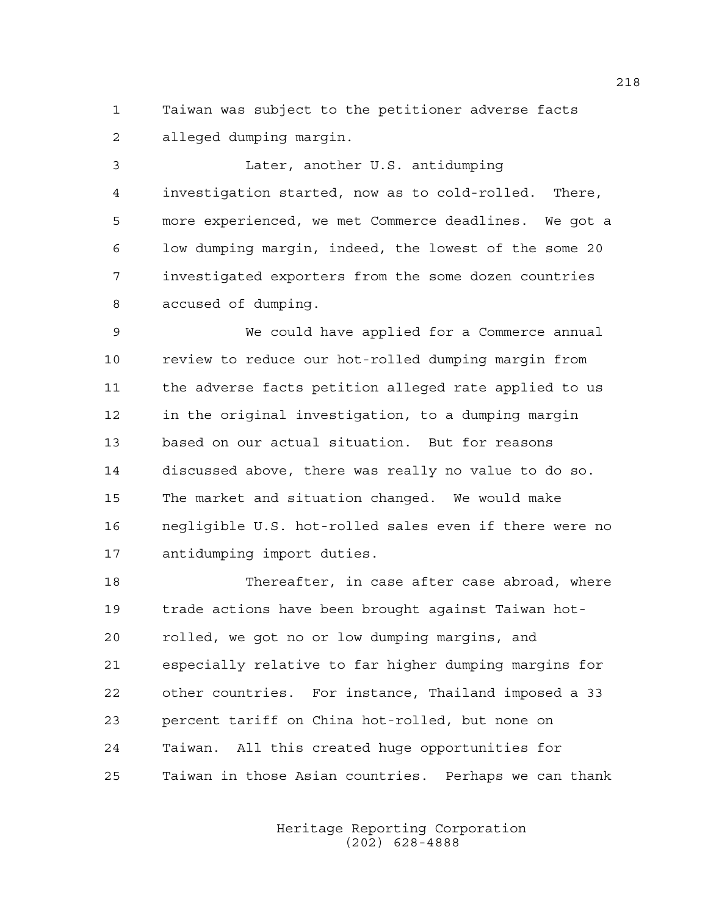1 Taiwan was subject to the petitioner adverse facts 2 alleged dumping margin.

3 Later, another U.S. antidumping 4 investigation started, now as to cold-rolled. There, 5 more experienced, we met Commerce deadlines. We got a 6 low dumping margin, indeed, the lowest of the some 20 7 investigated exporters from the some dozen countries 8 accused of dumping.

9 We could have applied for a Commerce annual 10 review to reduce our hot-rolled dumping margin from 11 the adverse facts petition alleged rate applied to us 12 in the original investigation, to a dumping margin 13 based on our actual situation. But for reasons 14 discussed above, there was really no value to do so. 15 The market and situation changed. We would make 16 negligible U.S. hot-rolled sales even if there were no 17 antidumping import duties.

18 Thereafter, in case after case abroad, where 19 trade actions have been brought against Taiwan hot-20 rolled, we got no or low dumping margins, and 21 especially relative to far higher dumping margins for 22 other countries. For instance, Thailand imposed a 33 23 percent tariff on China hot-rolled, but none on 24 Taiwan. All this created huge opportunities for 25 Taiwan in those Asian countries. Perhaps we can thank

> Heritage Reporting Corporation (202) 628-4888

218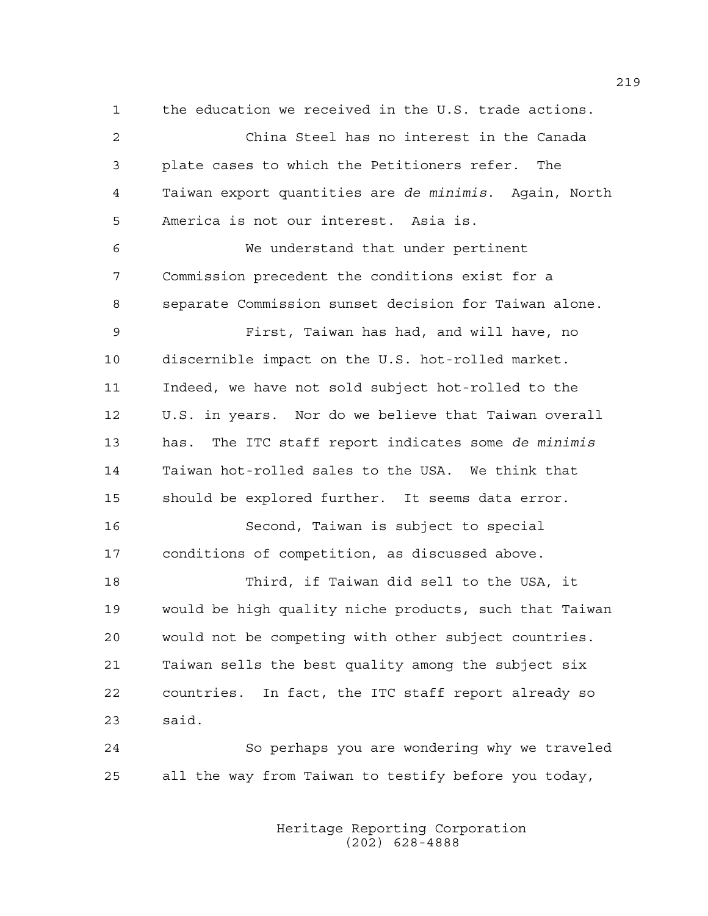1 the education we received in the U.S. trade actions.

2 China Steel has no interest in the Canada 3 plate cases to which the Petitioners refer. The 4 Taiwan export quantities are *de minimis*. Again, North 5 America is not our interest. Asia is. 6 We understand that under pertinent 7 Commission precedent the conditions exist for a 8 separate Commission sunset decision for Taiwan alone. 9 First, Taiwan has had, and will have, no 10 discernible impact on the U.S. hot-rolled market. 11 Indeed, we have not sold subject hot-rolled to the 12 U.S. in years. Nor do we believe that Taiwan overall 13 has. The ITC staff report indicates some *de minimis* 14 Taiwan hot-rolled sales to the USA. We think that 15 should be explored further. It seems data error. 16 Second, Taiwan is subject to special 17 conditions of competition, as discussed above. 18 Third, if Taiwan did sell to the USA, it 19 would be high quality niche products, such that Taiwan 20 would not be competing with other subject countries. 21 Taiwan sells the best quality among the subject six 22 countries. In fact, the ITC staff report already so 23 said. 24 So perhaps you are wondering why we traveled

> Heritage Reporting Corporation (202) 628-4888

25 all the way from Taiwan to testify before you today,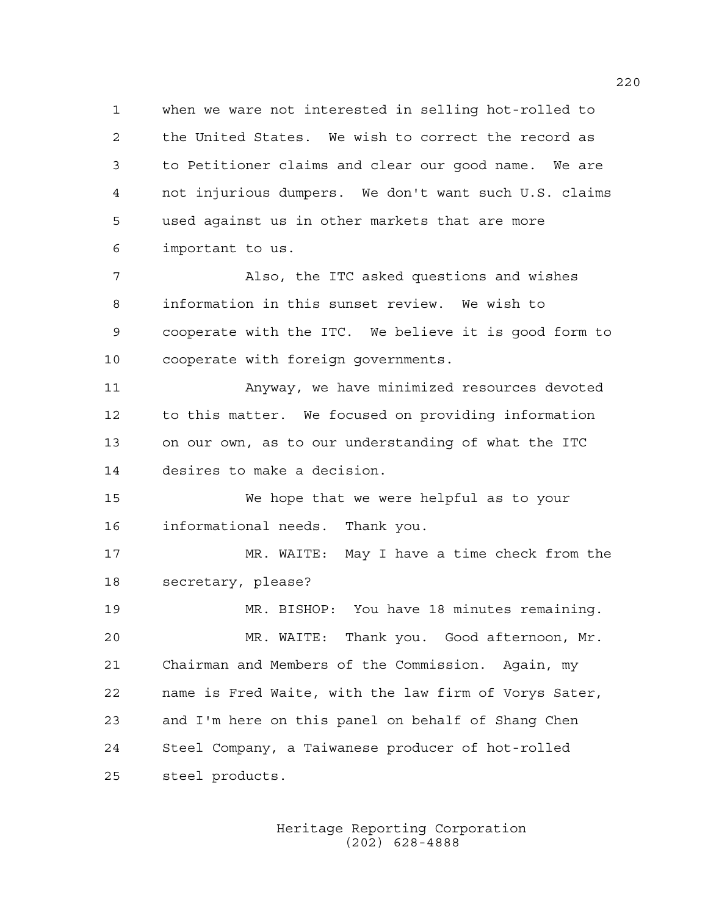1 when we ware not interested in selling hot-rolled to 2 the United States. We wish to correct the record as 3 to Petitioner claims and clear our good name. We are 4 not injurious dumpers. We don't want such U.S. claims 5 used against us in other markets that are more 6 important to us.

7 Also, the ITC asked questions and wishes 8 information in this sunset review. We wish to 9 cooperate with the ITC. We believe it is good form to 10 cooperate with foreign governments.

11 Anyway, we have minimized resources devoted 12 to this matter. We focused on providing information 13 on our own, as to our understanding of what the ITC 14 desires to make a decision.

15 We hope that we were helpful as to your 16 informational needs. Thank you.

17 MR. WAITE: May I have a time check from the 18 secretary, please?

19 MR. BISHOP: You have 18 minutes remaining. 20 MR. WAITE: Thank you. Good afternoon, Mr. 21 Chairman and Members of the Commission. Again, my 22 name is Fred Waite, with the law firm of Vorys Sater, 23 and I'm here on this panel on behalf of Shang Chen 24 Steel Company, a Taiwanese producer of hot-rolled 25 steel products.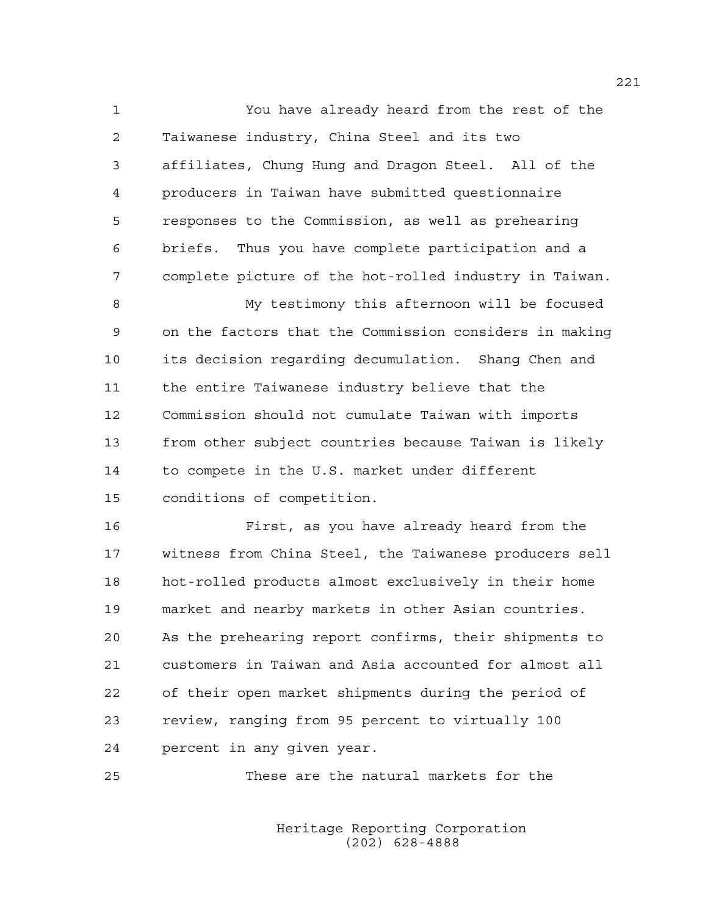1 You have already heard from the rest of the 2 Taiwanese industry, China Steel and its two 3 affiliates, Chung Hung and Dragon Steel. All of the 4 producers in Taiwan have submitted questionnaire 5 responses to the Commission, as well as prehearing 6 briefs. Thus you have complete participation and a 7 complete picture of the hot-rolled industry in Taiwan.

8 My testimony this afternoon will be focused 9 on the factors that the Commission considers in making 10 its decision regarding decumulation. Shang Chen and 11 the entire Taiwanese industry believe that the 12 Commission should not cumulate Taiwan with imports 13 from other subject countries because Taiwan is likely 14 to compete in the U.S. market under different 15 conditions of competition.

16 First, as you have already heard from the 17 witness from China Steel, the Taiwanese producers sell 18 hot-rolled products almost exclusively in their home 19 market and nearby markets in other Asian countries. 20 As the prehearing report confirms, their shipments to 21 customers in Taiwan and Asia accounted for almost all 22 of their open market shipments during the period of 23 review, ranging from 95 percent to virtually 100 24 percent in any given year.

25 These are the natural markets for the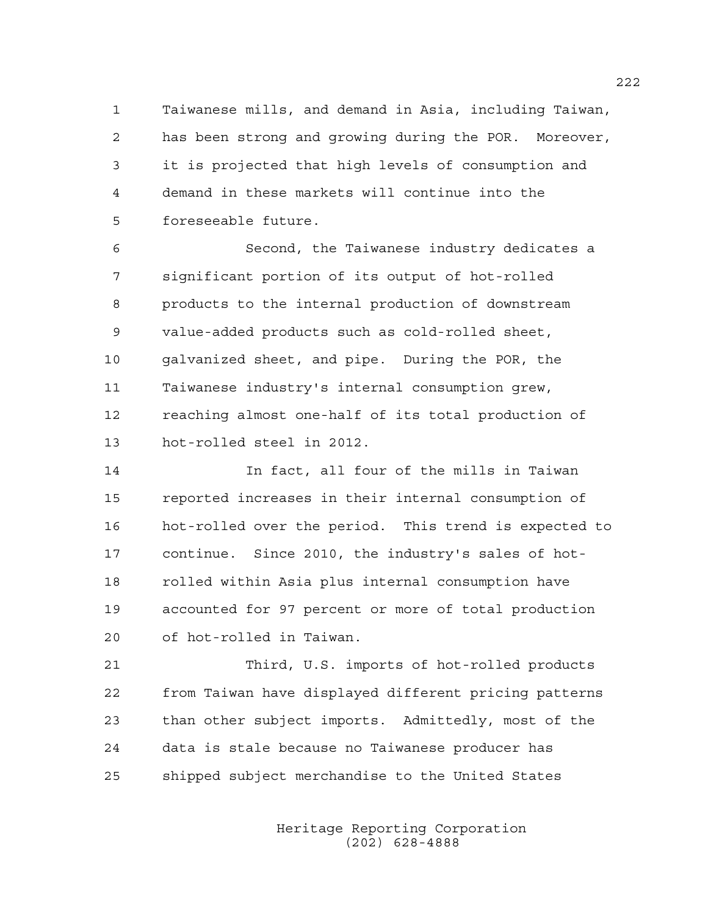1 Taiwanese mills, and demand in Asia, including Taiwan, 2 has been strong and growing during the POR. Moreover, 3 it is projected that high levels of consumption and 4 demand in these markets will continue into the 5 foreseeable future.

6 Second, the Taiwanese industry dedicates a 7 significant portion of its output of hot-rolled 8 products to the internal production of downstream 9 value-added products such as cold-rolled sheet, 10 galvanized sheet, and pipe. During the POR, the 11 Taiwanese industry's internal consumption grew, 12 reaching almost one-half of its total production of 13 hot-rolled steel in 2012.

14 In fact, all four of the mills in Taiwan 15 reported increases in their internal consumption of 16 hot-rolled over the period. This trend is expected to 17 continue. Since 2010, the industry's sales of hot-18 rolled within Asia plus internal consumption have 19 accounted for 97 percent or more of total production 20 of hot-rolled in Taiwan.

21 Third, U.S. imports of hot-rolled products 22 from Taiwan have displayed different pricing patterns 23 than other subject imports. Admittedly, most of the 24 data is stale because no Taiwanese producer has 25 shipped subject merchandise to the United States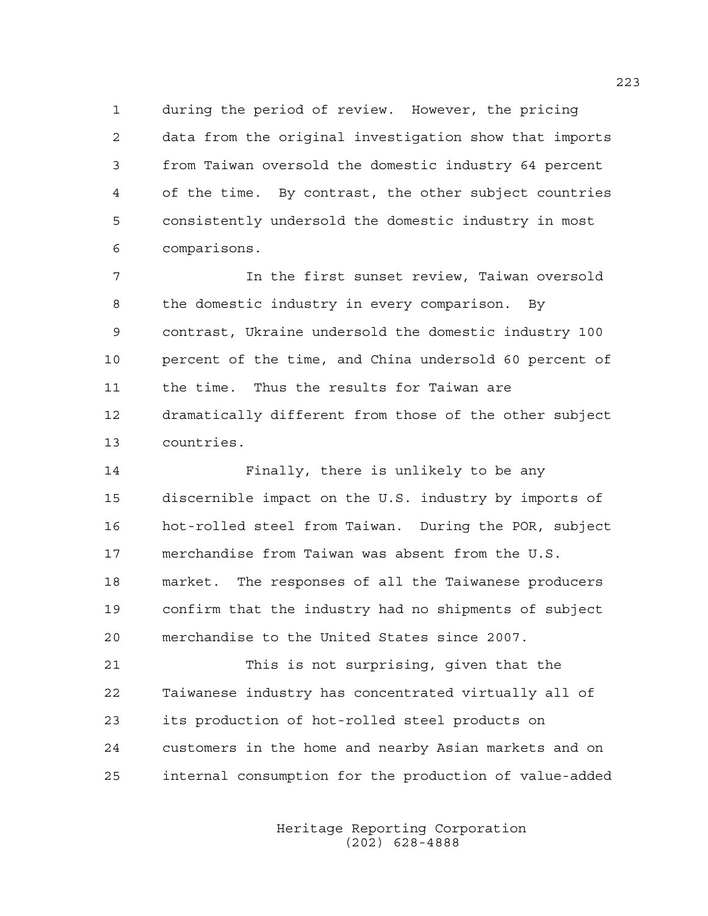1 during the period of review. However, the pricing 2 data from the original investigation show that imports 3 from Taiwan oversold the domestic industry 64 percent 4 of the time. By contrast, the other subject countries 5 consistently undersold the domestic industry in most 6 comparisons.

7 In the first sunset review, Taiwan oversold 8 the domestic industry in every comparison. By 9 contrast, Ukraine undersold the domestic industry 100 10 percent of the time, and China undersold 60 percent of 11 the time. Thus the results for Taiwan are 12 dramatically different from those of the other subject 13 countries.

14 Finally, there is unlikely to be any 15 discernible impact on the U.S. industry by imports of 16 hot-rolled steel from Taiwan. During the POR, subject 17 merchandise from Taiwan was absent from the U.S. 18 market. The responses of all the Taiwanese producers 19 confirm that the industry had no shipments of subject 20 merchandise to the United States since 2007.

21 This is not surprising, given that the 22 Taiwanese industry has concentrated virtually all of 23 its production of hot-rolled steel products on 24 customers in the home and nearby Asian markets and on 25 internal consumption for the production of value-added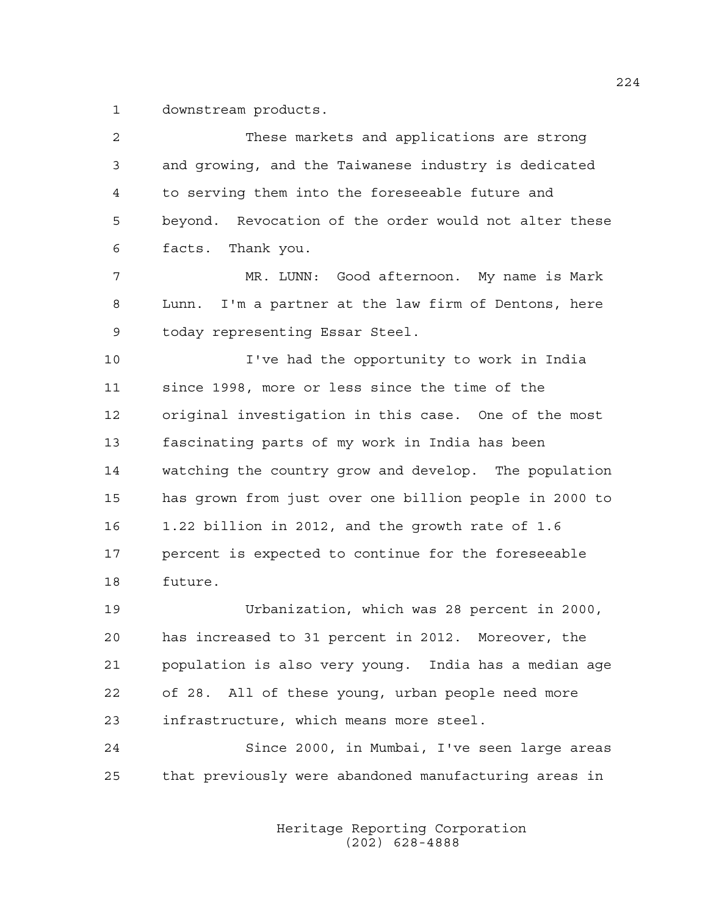1 downstream products.

| 2            | These markets and applications are strong               |
|--------------|---------------------------------------------------------|
| $\mathsf{3}$ | and growing, and the Taiwanese industry is dedicated    |
| 4            | to serving them into the foreseeable future and         |
| 5            | beyond. Revocation of the order would not alter these   |
| 6            | facts. Thank you.                                       |
| 7            | MR. LUNN: Good afternoon. My name is Mark               |
| 8            | I'm a partner at the law firm of Dentons, here<br>Lunn. |
| 9            | today representing Essar Steel.                         |
| 10           | I've had the opportunity to work in India               |
| 11           | since 1998, more or less since the time of the          |
| 12           | original investigation in this case. One of the most    |
| 13           | fascinating parts of my work in India has been          |
| 14           | watching the country grow and develop. The population   |
| 15           | has grown from just over one billion people in 2000 to  |
| 16           | 1.22 billion in 2012, and the growth rate of 1.6        |
| 17           | percent is expected to continue for the foreseeable     |
| 18           | future.                                                 |
| 19           | Urbanization, which was 28 percent in 2000,             |
| 20           | has increased to 31 percent in 2012. Moreover, the      |
| 21           | population is also very young. India has a median age   |
| 22           | of 28. All of these young, urban people need more       |
| 23           | infrastructure, which means more steel.                 |
| 24           | Since 2000, in Mumbai, I've seen large areas            |
| 25           | that previously were abandoned manufacturing areas in   |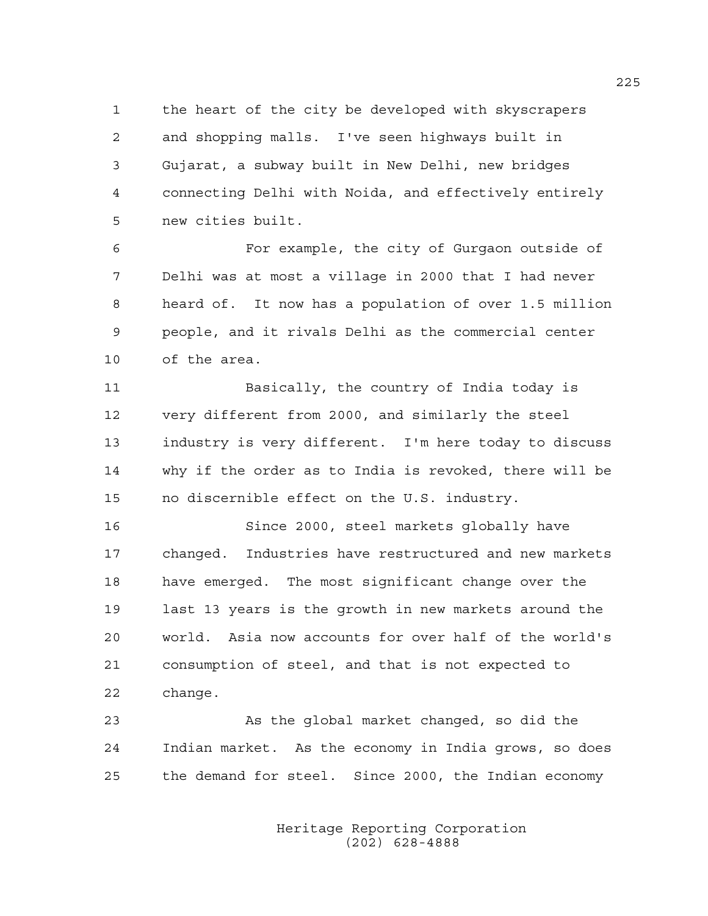1 the heart of the city be developed with skyscrapers 2 and shopping malls. I've seen highways built in 3 Gujarat, a subway built in New Delhi, new bridges 4 connecting Delhi with Noida, and effectively entirely 5 new cities built.

6 For example, the city of Gurgaon outside of 7 Delhi was at most a village in 2000 that I had never 8 heard of. It now has a population of over 1.5 million 9 people, and it rivals Delhi as the commercial center 10 of the area.

11 Basically, the country of India today is 12 very different from 2000, and similarly the steel 13 industry is very different. I'm here today to discuss 14 why if the order as to India is revoked, there will be 15 no discernible effect on the U.S. industry.

16 Since 2000, steel markets globally have 17 changed. Industries have restructured and new markets 18 have emerged. The most significant change over the 19 last 13 years is the growth in new markets around the 20 world. Asia now accounts for over half of the world's 21 consumption of steel, and that is not expected to 22 change.

23 As the global market changed, so did the 24 Indian market. As the economy in India grows, so does 25 the demand for steel. Since 2000, the Indian economy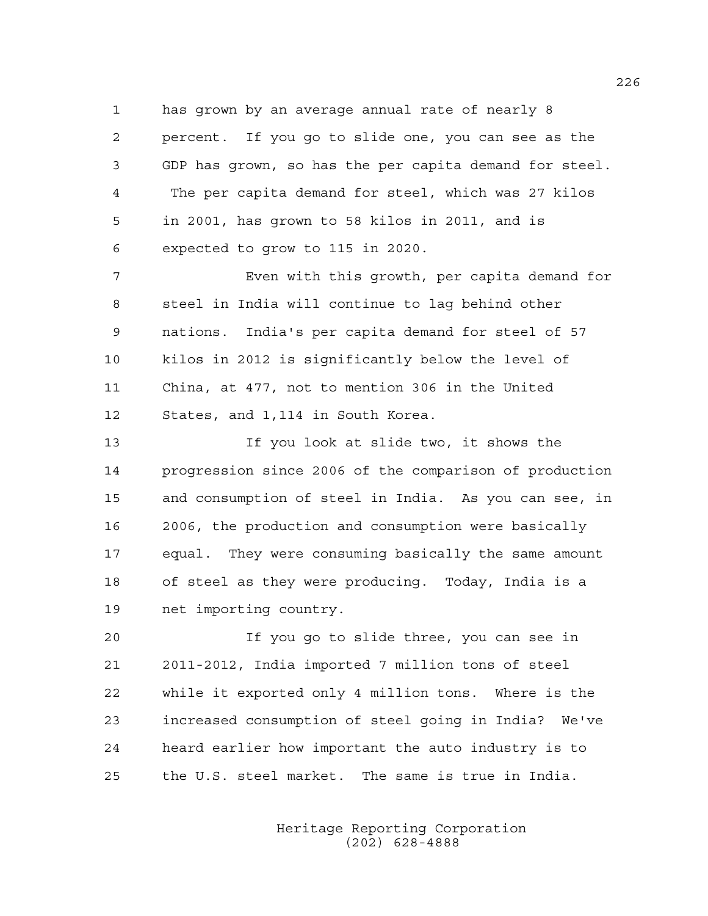1 has grown by an average annual rate of nearly 8 2 percent. If you go to slide one, you can see as the 3 GDP has grown, so has the per capita demand for steel. 4 The per capita demand for steel, which was 27 kilos 5 in 2001, has grown to 58 kilos in 2011, and is 6 expected to grow to 115 in 2020.

7 Even with this growth, per capita demand for 8 steel in India will continue to lag behind other 9 nations. India's per capita demand for steel of 57 10 kilos in 2012 is significantly below the level of 11 China, at 477, not to mention 306 in the United 12 States, and 1,114 in South Korea.

13 If you look at slide two, it shows the 14 progression since 2006 of the comparison of production 15 and consumption of steel in India. As you can see, in 16 2006, the production and consumption were basically 17 equal. They were consuming basically the same amount 18 of steel as they were producing. Today, India is a 19 net importing country.

20 If you go to slide three, you can see in 21 2011-2012, India imported 7 million tons of steel 22 while it exported only 4 million tons. Where is the 23 increased consumption of steel going in India? We've 24 heard earlier how important the auto industry is to 25 the U.S. steel market. The same is true in India.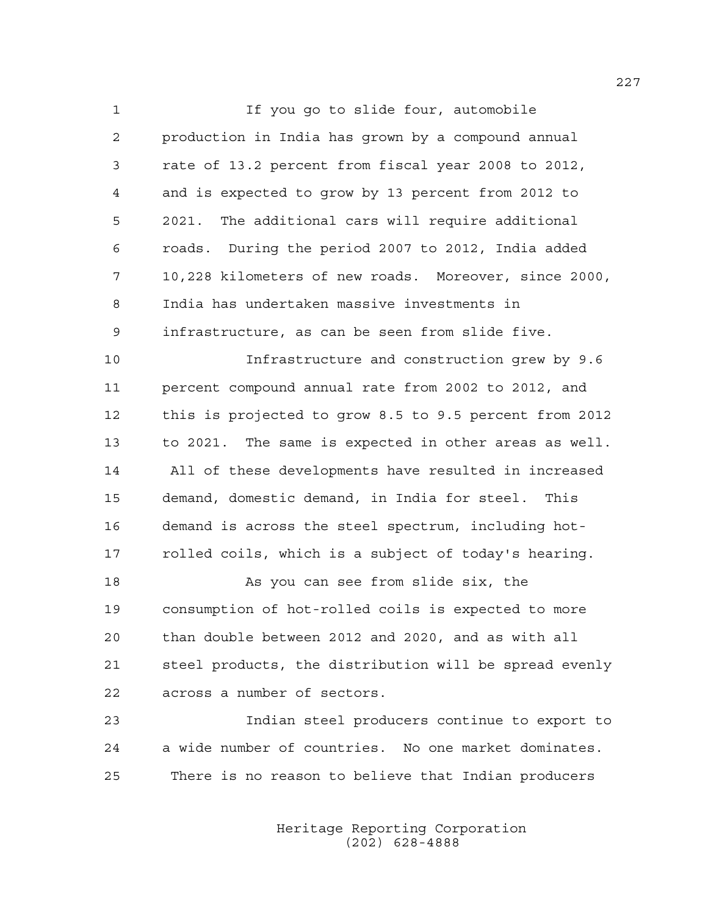1 If you go to slide four, automobile 2 production in India has grown by a compound annual 3 rate of 13.2 percent from fiscal year 2008 to 2012, 4 and is expected to grow by 13 percent from 2012 to 5 2021. The additional cars will require additional 6 roads. During the period 2007 to 2012, India added 7 10,228 kilometers of new roads. Moreover, since 2000, 8 India has undertaken massive investments in 9 infrastructure, as can be seen from slide five.

10 Infrastructure and construction grew by 9.6 11 percent compound annual rate from 2002 to 2012, and 12 this is projected to grow 8.5 to 9.5 percent from 2012 13 to 2021. The same is expected in other areas as well. 14 All of these developments have resulted in increased 15 demand, domestic demand, in India for steel. This 16 demand is across the steel spectrum, including hot-17 rolled coils, which is a subject of today's hearing.

18 As you can see from slide six, the 19 consumption of hot-rolled coils is expected to more 20 than double between 2012 and 2020, and as with all 21 steel products, the distribution will be spread evenly 22 across a number of sectors.

23 Indian steel producers continue to export to 24 a wide number of countries. No one market dominates. 25 There is no reason to believe that Indian producers

> Heritage Reporting Corporation (202) 628-4888

227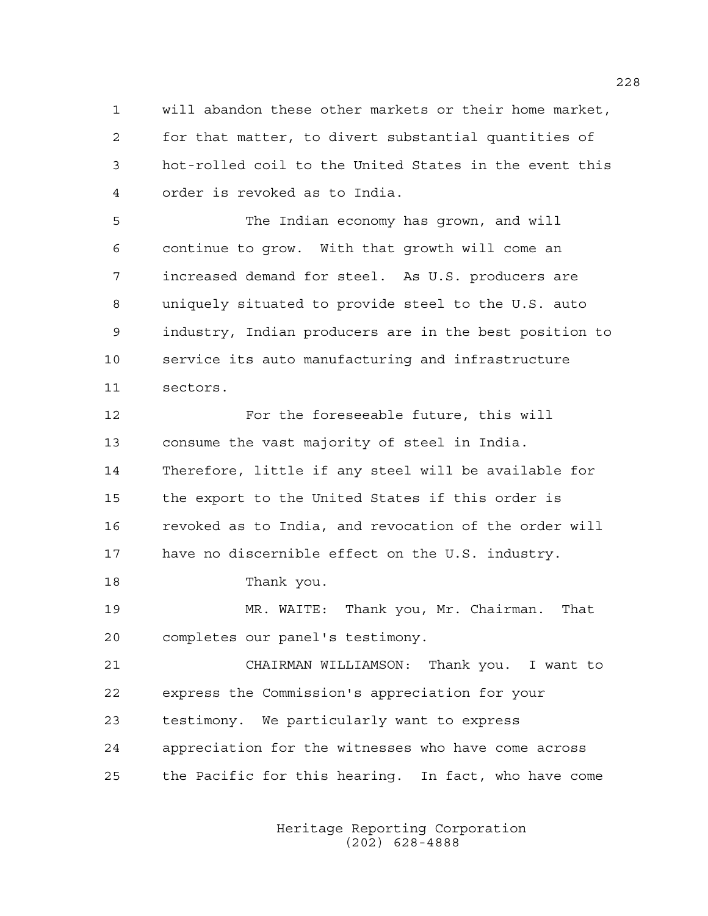1 will abandon these other markets or their home market, 2 for that matter, to divert substantial quantities of 3 hot-rolled coil to the United States in the event this 4 order is revoked as to India.

5 The Indian economy has grown, and will 6 continue to grow. With that growth will come an 7 increased demand for steel. As U.S. producers are 8 uniquely situated to provide steel to the U.S. auto 9 industry, Indian producers are in the best position to 10 service its auto manufacturing and infrastructure 11 sectors.

12 For the foreseeable future, this will 13 consume the vast majority of steel in India. 14 Therefore, little if any steel will be available for 15 the export to the United States if this order is 16 revoked as to India, and revocation of the order will 17 have no discernible effect on the U.S. industry.

18 Thank you.

19 MR. WAITE: Thank you, Mr. Chairman. That 20 completes our panel's testimony.

21 CHAIRMAN WILLIAMSON: Thank you. I want to 22 express the Commission's appreciation for your 23 testimony. We particularly want to express 24 appreciation for the witnesses who have come across 25 the Pacific for this hearing. In fact, who have come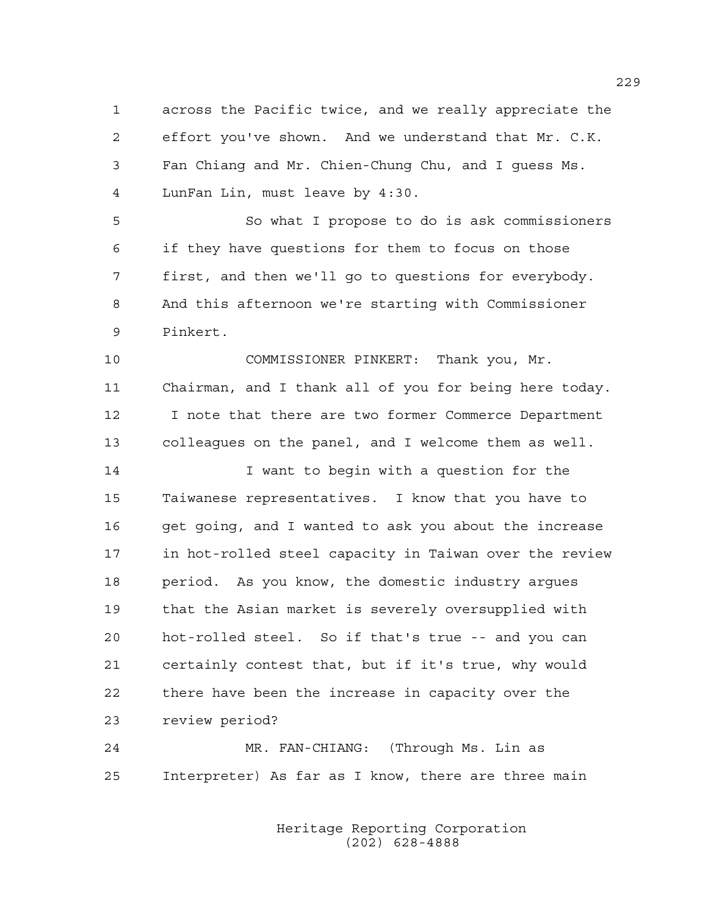1 across the Pacific twice, and we really appreciate the 2 effort you've shown. And we understand that Mr. C.K. 3 Fan Chiang and Mr. Chien-Chung Chu, and I guess Ms. 4 LunFan Lin, must leave by 4:30.

5 So what I propose to do is ask commissioners 6 if they have questions for them to focus on those 7 first, and then we'll go to questions for everybody. 8 And this afternoon we're starting with Commissioner 9 Pinkert.

10 COMMISSIONER PINKERT: Thank you, Mr. 11 Chairman, and I thank all of you for being here today. 12 I note that there are two former Commerce Department 13 colleagues on the panel, and I welcome them as well.

14 I want to begin with a question for the 15 Taiwanese representatives. I know that you have to 16 get going, and I wanted to ask you about the increase 17 in hot-rolled steel capacity in Taiwan over the review 18 period. As you know, the domestic industry argues 19 that the Asian market is severely oversupplied with 20 hot-rolled steel. So if that's true -- and you can 21 certainly contest that, but if it's true, why would 22 there have been the increase in capacity over the 23 review period?

24 MR. FAN-CHIANG: (Through Ms. Lin as 25 Interpreter) As far as I know, there are three main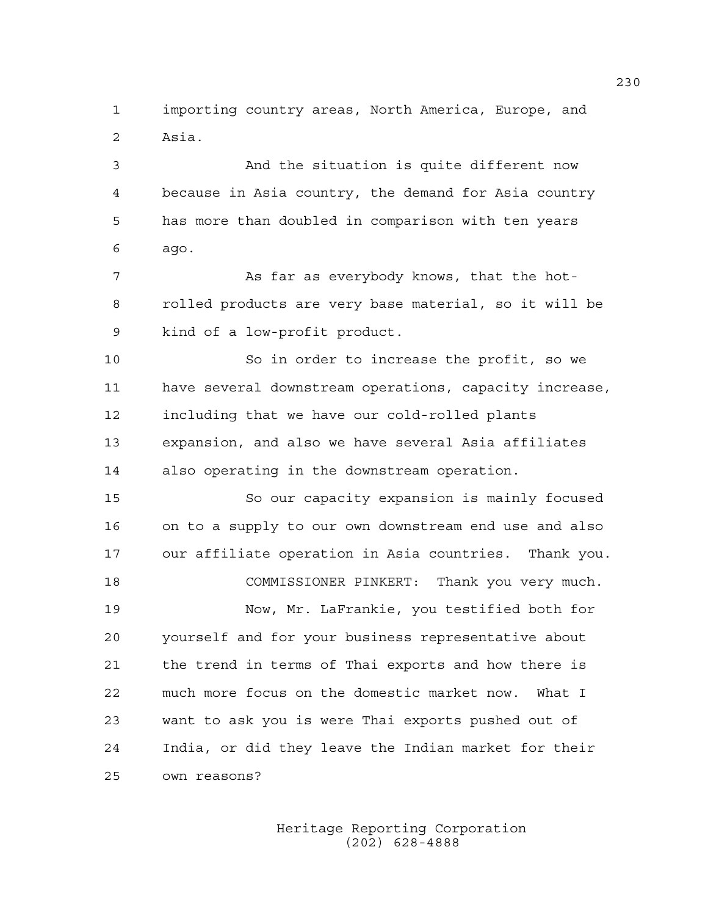1 importing country areas, North America, Europe, and 2 Asia.

3 And the situation is quite different now 4 because in Asia country, the demand for Asia country 5 has more than doubled in comparison with ten years 6 ago.

7 As far as everybody knows, that the hot-8 rolled products are very base material, so it will be 9 kind of a low-profit product.

10 So in order to increase the profit, so we 11 have several downstream operations, capacity increase, 12 including that we have our cold-rolled plants 13 expansion, and also we have several Asia affiliates 14 also operating in the downstream operation.

15 So our capacity expansion is mainly focused 16 on to a supply to our own downstream end use and also 17 our affiliate operation in Asia countries. Thank you. 18 COMMISSIONER PINKERT: Thank you very much.

19 Now, Mr. LaFrankie, you testified both for 20 yourself and for your business representative about 21 the trend in terms of Thai exports and how there is 22 much more focus on the domestic market now. What I 23 want to ask you is were Thai exports pushed out of 24 India, or did they leave the Indian market for their 25 own reasons?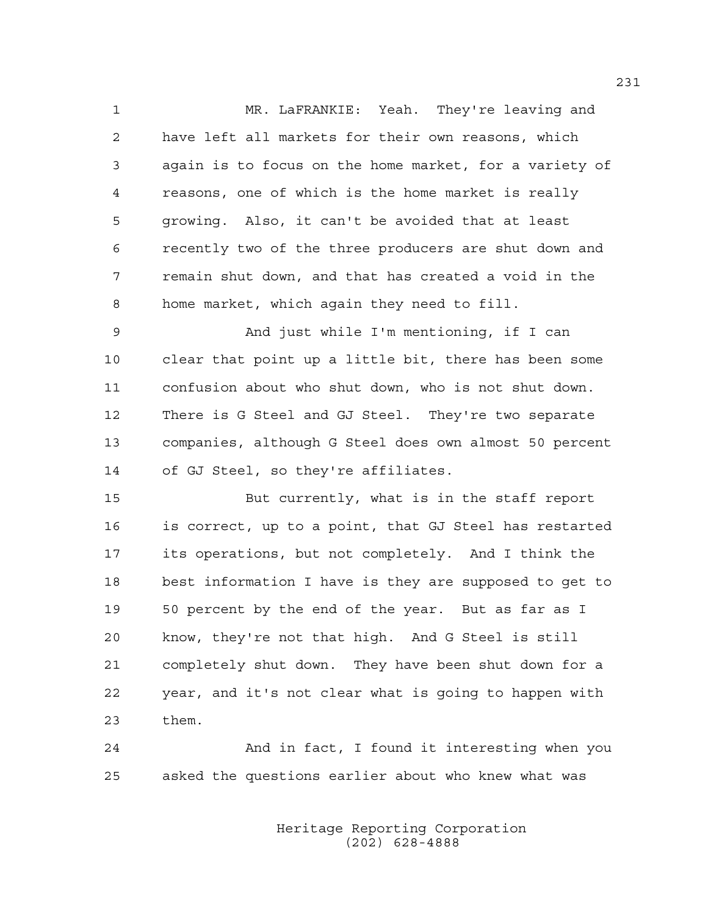1 MR. LaFRANKIE: Yeah. They're leaving and 2 have left all markets for their own reasons, which 3 again is to focus on the home market, for a variety of 4 reasons, one of which is the home market is really 5 growing. Also, it can't be avoided that at least 6 recently two of the three producers are shut down and 7 remain shut down, and that has created a void in the 8 home market, which again they need to fill.

9 And just while I'm mentioning, if I can 10 clear that point up a little bit, there has been some 11 confusion about who shut down, who is not shut down. 12 There is G Steel and GJ Steel. They're two separate 13 companies, although G Steel does own almost 50 percent 14 of GJ Steel, so they're affiliates.

15 But currently, what is in the staff report 16 is correct, up to a point, that GJ Steel has restarted 17 its operations, but not completely. And I think the 18 best information I have is they are supposed to get to 19 50 percent by the end of the year. But as far as I 20 know, they're not that high. And G Steel is still 21 completely shut down. They have been shut down for a 22 year, and it's not clear what is going to happen with 23 them.

24 And in fact, I found it interesting when you 25 asked the questions earlier about who knew what was

> Heritage Reporting Corporation (202) 628-4888

231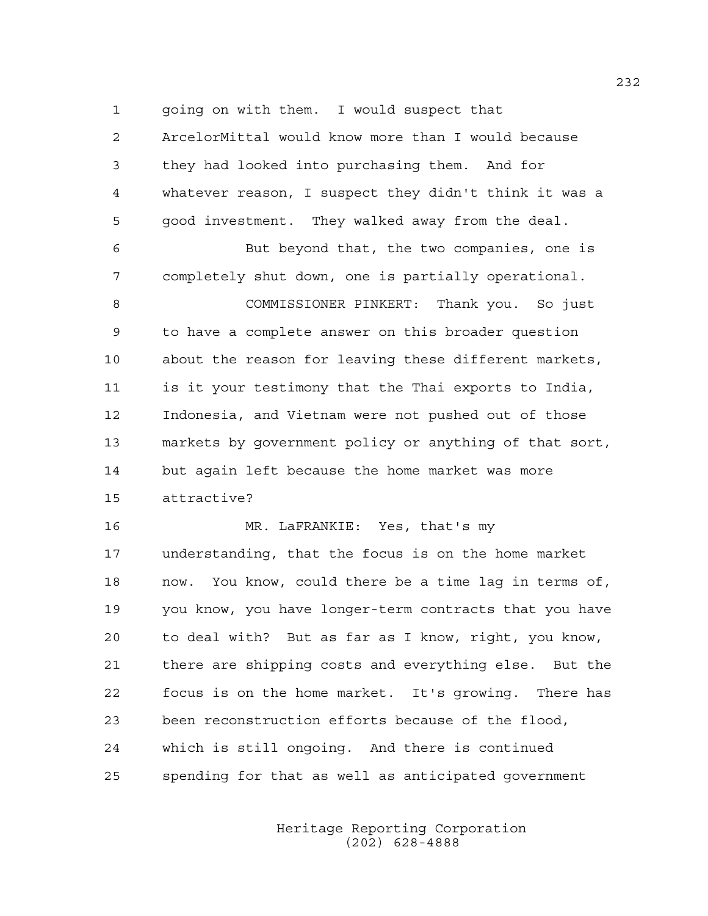1 going on with them. I would suspect that 2 ArcelorMittal would know more than I would because 3 they had looked into purchasing them. And for 4 whatever reason, I suspect they didn't think it was a 5 good investment. They walked away from the deal.

6 But beyond that, the two companies, one is 7 completely shut down, one is partially operational.

8 COMMISSIONER PINKERT: Thank you. So just 9 to have a complete answer on this broader question 10 about the reason for leaving these different markets, 11 is it your testimony that the Thai exports to India, 12 Indonesia, and Vietnam were not pushed out of those 13 markets by government policy or anything of that sort, 14 but again left because the home market was more 15 attractive?

16 MR. LaFRANKIE: Yes, that's my 17 understanding, that the focus is on the home market 18 now. You know, could there be a time lag in terms of, 19 you know, you have longer-term contracts that you have 20 to deal with? But as far as I know, right, you know, 21 there are shipping costs and everything else. But the 22 focus is on the home market. It's growing. There has 23 been reconstruction efforts because of the flood, 24 which is still ongoing. And there is continued 25 spending for that as well as anticipated government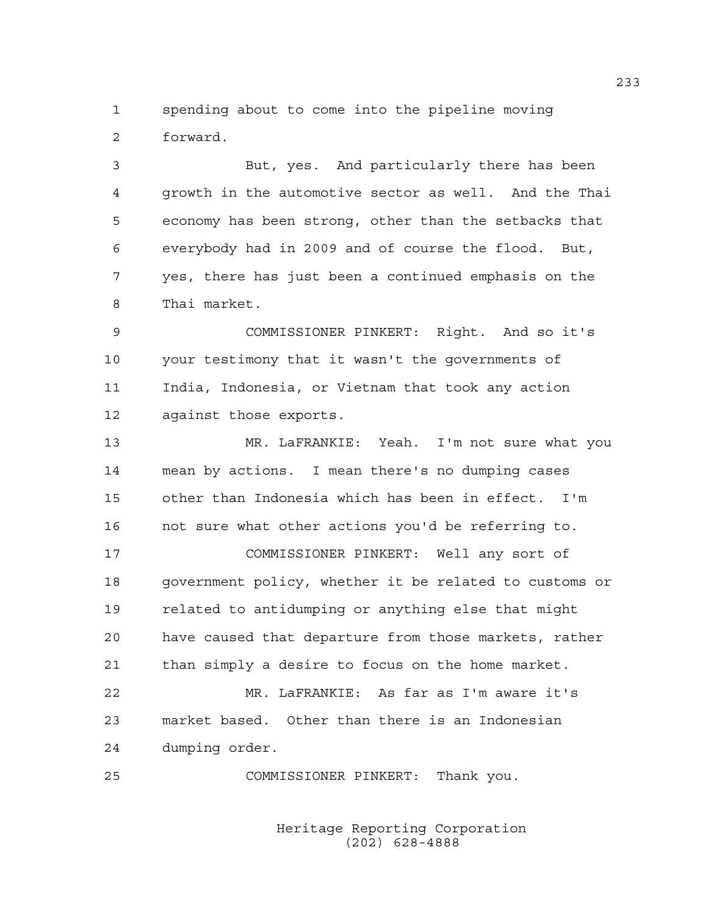1 spending about to come into the pipeline moving 2 forward.

3 But, yes. And particularly there has been 4 growth in the automotive sector as well. And the Thai 5 economy has been strong, other than the setbacks that 6 everybody had in 2009 and of course the flood. But, 7 yes, there has just been a continued emphasis on the 8 Thai market.

9 COMMISSIONER PINKERT: Right. And so it's 10 your testimony that it wasn't the governments of 11 India, Indonesia, or Vietnam that took any action 12 against those exports.

13 MR. LaFRANKIE: Yeah. I'm not sure what you 14 mean by actions. I mean there's no dumping cases 15 other than Indonesia which has been in effect. I'm 16 not sure what other actions you'd be referring to.

17 COMMISSIONER PINKERT: Well any sort of 18 government policy, whether it be related to customs or 19 related to antidumping or anything else that might 20 have caused that departure from those markets, rather 21 than simply a desire to focus on the home market.

22 MR. LaFRANKIE: As far as I'm aware it's 23 market based. Other than there is an Indonesian 24 dumping order.

25 COMMISSIONER PINKERT: Thank you.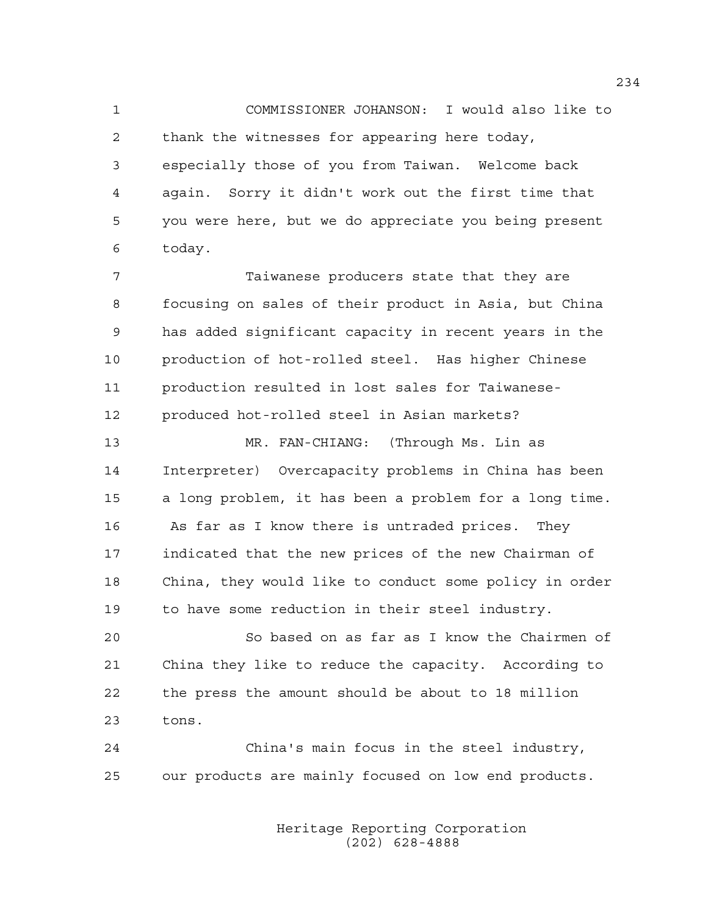1 COMMISSIONER JOHANSON: I would also like to 2 thank the witnesses for appearing here today, 3 especially those of you from Taiwan. Welcome back 4 again. Sorry it didn't work out the first time that 5 you were here, but we do appreciate you being present 6 today.

7 Taiwanese producers state that they are 8 focusing on sales of their product in Asia, but China 9 has added significant capacity in recent years in the 10 production of hot-rolled steel. Has higher Chinese 11 production resulted in lost sales for Taiwanese-12 produced hot-rolled steel in Asian markets?

13 MR. FAN-CHIANG: (Through Ms. Lin as 14 Interpreter) Overcapacity problems in China has been 15 a long problem, it has been a problem for a long time. 16 As far as I know there is untraded prices. They 17 indicated that the new prices of the new Chairman of 18 China, they would like to conduct some policy in order 19 to have some reduction in their steel industry.

20 So based on as far as I know the Chairmen of 21 China they like to reduce the capacity. According to 22 the press the amount should be about to 18 million 23 tons.

24 China's main focus in the steel industry, 25 our products are mainly focused on low end products.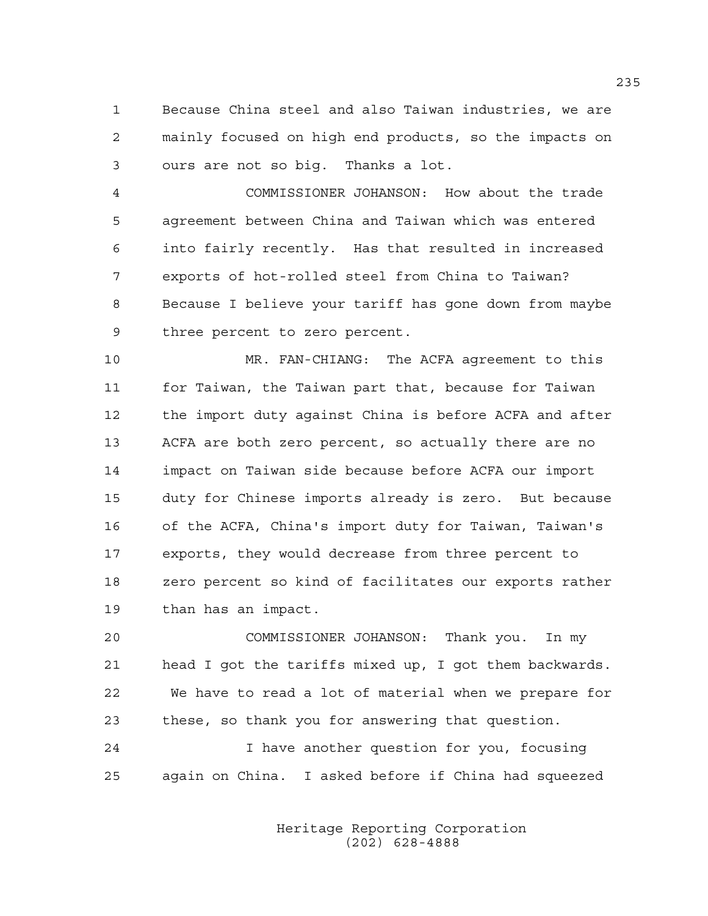1 Because China steel and also Taiwan industries, we are 2 mainly focused on high end products, so the impacts on 3 ours are not so big. Thanks a lot.

4 COMMISSIONER JOHANSON: How about the trade 5 agreement between China and Taiwan which was entered 6 into fairly recently. Has that resulted in increased 7 exports of hot-rolled steel from China to Taiwan? 8 Because I believe your tariff has gone down from maybe 9 three percent to zero percent.

10 MR. FAN-CHIANG: The ACFA agreement to this 11 for Taiwan, the Taiwan part that, because for Taiwan 12 the import duty against China is before ACFA and after 13 ACFA are both zero percent, so actually there are no 14 impact on Taiwan side because before ACFA our import 15 duty for Chinese imports already is zero. But because 16 of the ACFA, China's import duty for Taiwan, Taiwan's 17 exports, they would decrease from three percent to 18 zero percent so kind of facilitates our exports rather 19 than has an impact.

20 COMMISSIONER JOHANSON: Thank you. In my 21 head I got the tariffs mixed up, I got them backwards. 22 We have to read a lot of material when we prepare for 23 these, so thank you for answering that question.

24 I have another question for you, focusing 25 again on China. I asked before if China had squeezed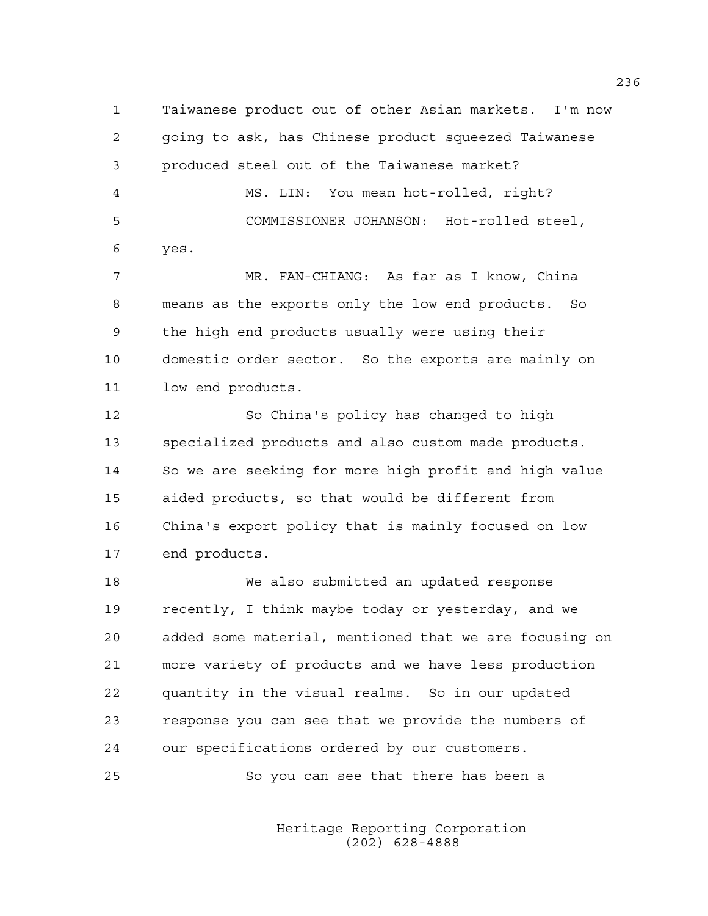1 Taiwanese product out of other Asian markets. I'm now 2 going to ask, has Chinese product squeezed Taiwanese 3 produced steel out of the Taiwanese market? 4 MS. LIN: You mean hot-rolled, right? 5 COMMISSIONER JOHANSON: Hot-rolled steel, 6 yes.

7 MR. FAN-CHIANG: As far as I know, China 8 means as the exports only the low end products. So 9 the high end products usually were using their 10 domestic order sector. So the exports are mainly on 11 low end products.

12 So China's policy has changed to high 13 specialized products and also custom made products. 14 So we are seeking for more high profit and high value 15 aided products, so that would be different from 16 China's export policy that is mainly focused on low 17 end products.

18 We also submitted an updated response 19 recently, I think maybe today or yesterday, and we 20 added some material, mentioned that we are focusing on 21 more variety of products and we have less production 22 quantity in the visual realms. So in our updated 23 response you can see that we provide the numbers of 24 our specifications ordered by our customers.

25 So you can see that there has been a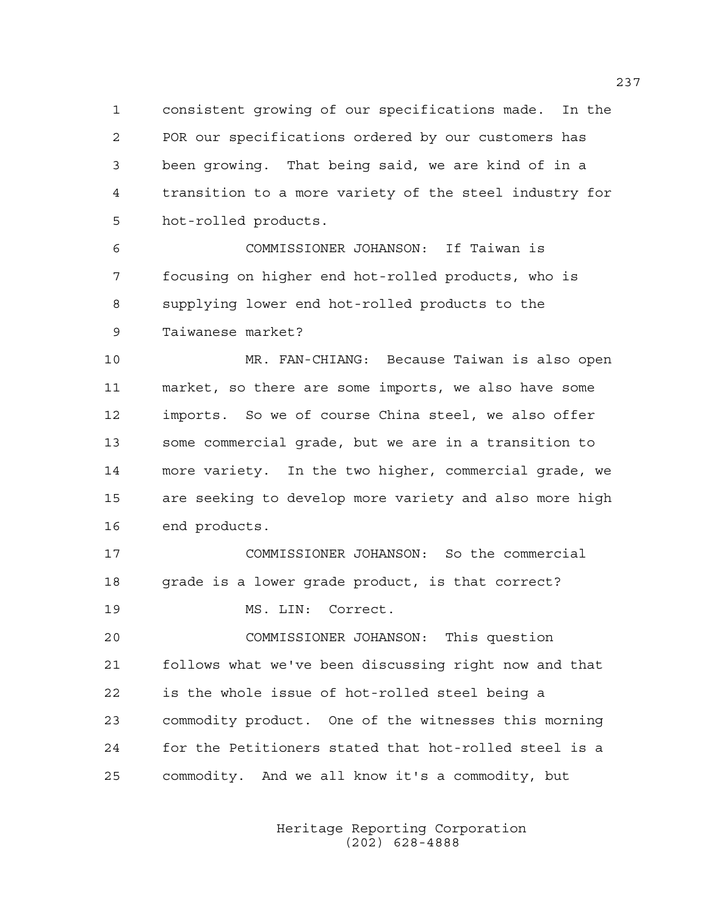1 consistent growing of our specifications made. In the 2 POR our specifications ordered by our customers has 3 been growing. That being said, we are kind of in a 4 transition to a more variety of the steel industry for 5 hot-rolled products.

6 COMMISSIONER JOHANSON: If Taiwan is 7 focusing on higher end hot-rolled products, who is 8 supplying lower end hot-rolled products to the 9 Taiwanese market?

10 MR. FAN-CHIANG: Because Taiwan is also open 11 market, so there are some imports, we also have some 12 imports. So we of course China steel, we also offer 13 some commercial grade, but we are in a transition to 14 more variety. In the two higher, commercial grade, we 15 are seeking to develop more variety and also more high 16 end products.

17 COMMISSIONER JOHANSON: So the commercial 18 grade is a lower grade product, is that correct? 19 MS. LIN: Correct.

20 COMMISSIONER JOHANSON: This question 21 follows what we've been discussing right now and that 22 is the whole issue of hot-rolled steel being a 23 commodity product. One of the witnesses this morning 24 for the Petitioners stated that hot-rolled steel is a 25 commodity. And we all know it's a commodity, but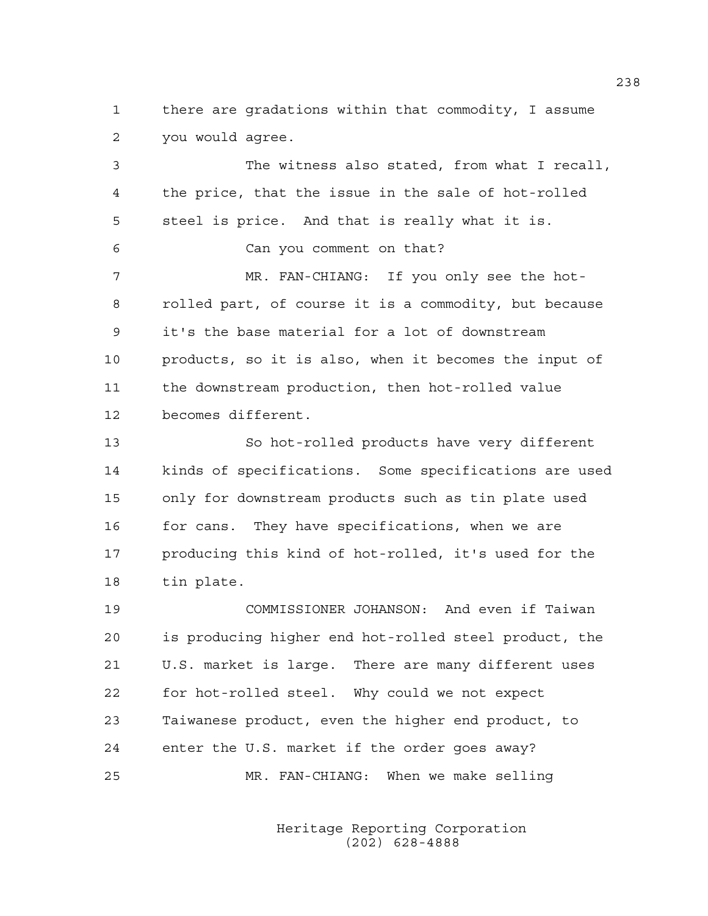1 there are gradations within that commodity, I assume 2 you would agree.

3 The witness also stated, from what I recall, 4 the price, that the issue in the sale of hot-rolled 5 steel is price. And that is really what it is. 6 Can you comment on that? 7 MR. FAN-CHIANG: If you only see the hot-8 rolled part, of course it is a commodity, but because 9 it's the base material for a lot of downstream 10 products, so it is also, when it becomes the input of 11 the downstream production, then hot-rolled value 12 becomes different. 13 So hot-rolled products have very different 14 kinds of specifications. Some specifications are used 15 only for downstream products such as tin plate used 16 for cans. They have specifications, when we are 17 producing this kind of hot-rolled, it's used for the 18 tin plate. 19 COMMISSIONER JOHANSON: And even if Taiwan

20 is producing higher end hot-rolled steel product, the 21 U.S. market is large. There are many different uses 22 for hot-rolled steel. Why could we not expect 23 Taiwanese product, even the higher end product, to 24 enter the U.S. market if the order goes away? 25 MR. FAN-CHIANG: When we make selling

> Heritage Reporting Corporation (202) 628-4888

238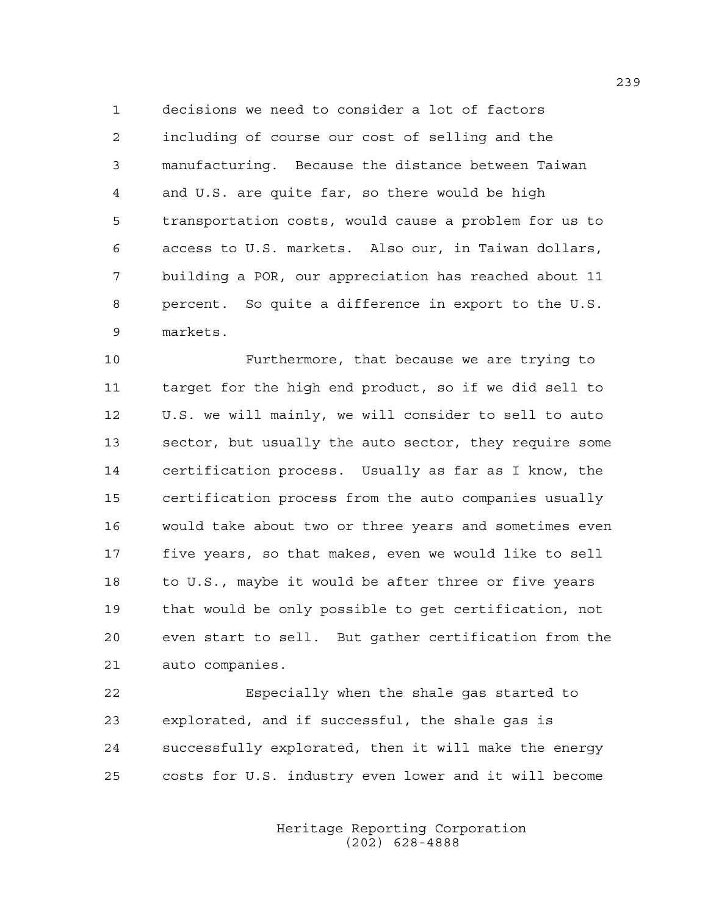1 decisions we need to consider a lot of factors 2 including of course our cost of selling and the 3 manufacturing. Because the distance between Taiwan 4 and U.S. are quite far, so there would be high 5 transportation costs, would cause a problem for us to 6 access to U.S. markets. Also our, in Taiwan dollars, 7 building a POR, our appreciation has reached about 11 8 percent. So quite a difference in export to the U.S. 9 markets.

10 Furthermore, that because we are trying to 11 target for the high end product, so if we did sell to 12 U.S. we will mainly, we will consider to sell to auto 13 sector, but usually the auto sector, they require some 14 certification process. Usually as far as I know, the 15 certification process from the auto companies usually 16 would take about two or three years and sometimes even 17 five years, so that makes, even we would like to sell 18 to U.S., maybe it would be after three or five years 19 that would be only possible to get certification, not 20 even start to sell. But gather certification from the 21 auto companies.

22 Especially when the shale gas started to 23 explorated, and if successful, the shale gas is 24 successfully explorated, then it will make the energy 25 costs for U.S. industry even lower and it will become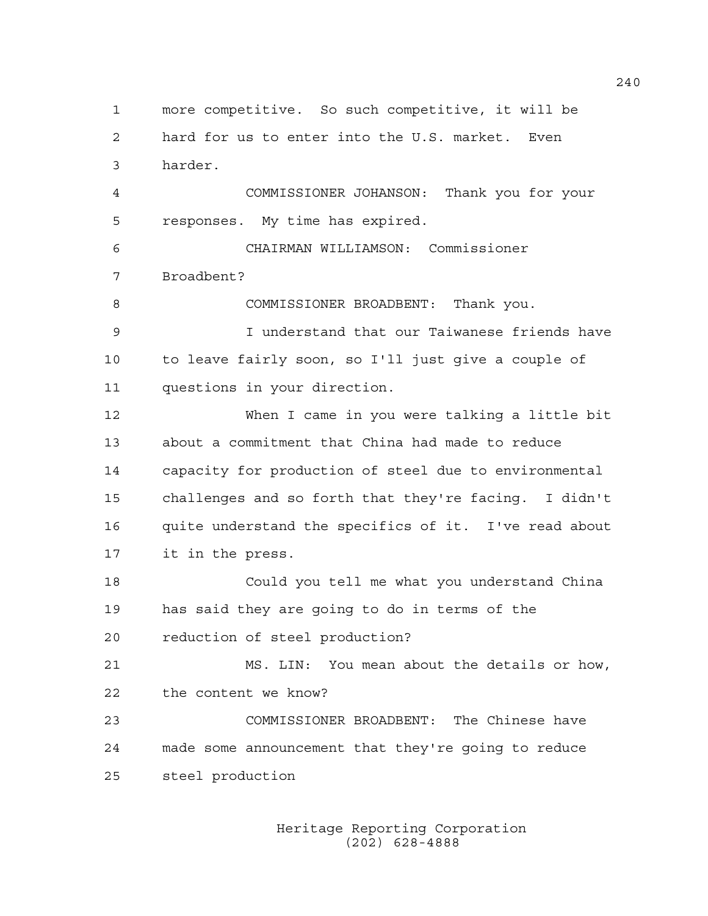1 more competitive. So such competitive, it will be 2 hard for us to enter into the U.S. market. Even 3 harder. 4 COMMISSIONER JOHANSON: Thank you for your 5 responses. My time has expired. 6 CHAIRMAN WILLIAMSON: Commissioner 7 Broadbent? 8 COMMISSIONER BROADBENT: Thank you. 9 I understand that our Taiwanese friends have 10 to leave fairly soon, so I'll just give a couple of 11 questions in your direction. 12 When I came in you were talking a little bit 13 about a commitment that China had made to reduce 14 capacity for production of steel due to environmental 15 challenges and so forth that they're facing. I didn't 16 quite understand the specifics of it. I've read about 17 it in the press. 18 Could you tell me what you understand China 19 has said they are going to do in terms of the 20 reduction of steel production? 21 MS. LIN: You mean about the details or how, 22 the content we know? 23 COMMISSIONER BROADBENT: The Chinese have 24 made some announcement that they're going to reduce 25 steel production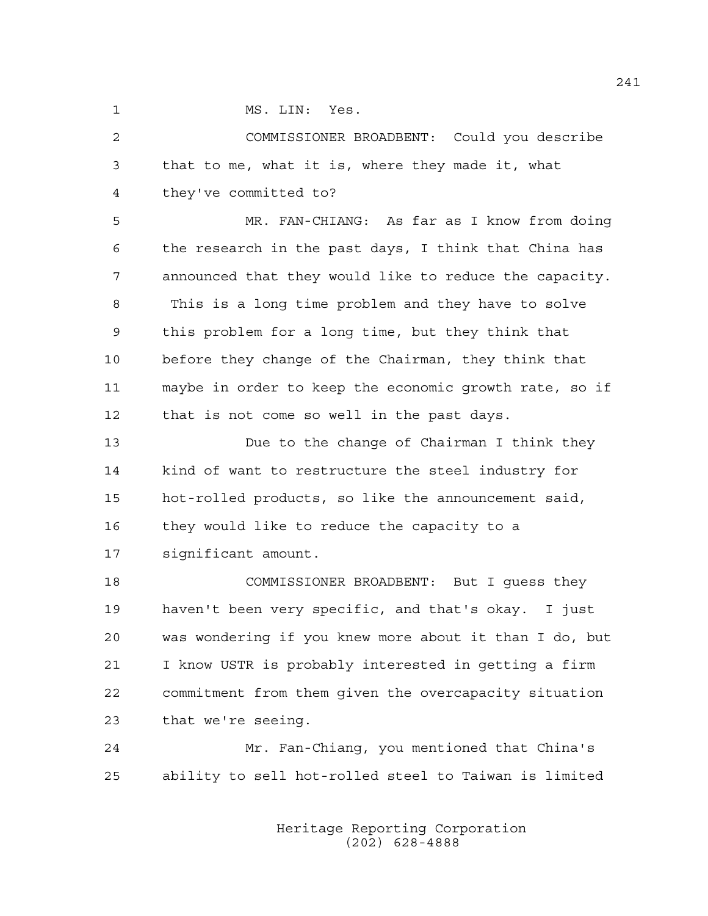1 MS. LIN: Yes.

2 COMMISSIONER BROADBENT: Could you describe 3 that to me, what it is, where they made it, what 4 they've committed to?

5 MR. FAN-CHIANG: As far as I know from doing 6 the research in the past days, I think that China has 7 announced that they would like to reduce the capacity. 8 This is a long time problem and they have to solve 9 this problem for a long time, but they think that 10 before they change of the Chairman, they think that 11 maybe in order to keep the economic growth rate, so if 12 that is not come so well in the past days.

13 Due to the change of Chairman I think they 14 kind of want to restructure the steel industry for 15 hot-rolled products, so like the announcement said, 16 they would like to reduce the capacity to a 17 significant amount.

18 COMMISSIONER BROADBENT: But I guess they 19 haven't been very specific, and that's okay. I just 20 was wondering if you knew more about it than I do, but 21 I know USTR is probably interested in getting a firm 22 commitment from them given the overcapacity situation 23 that we're seeing.

24 Mr. Fan-Chiang, you mentioned that China's 25 ability to sell hot-rolled steel to Taiwan is limited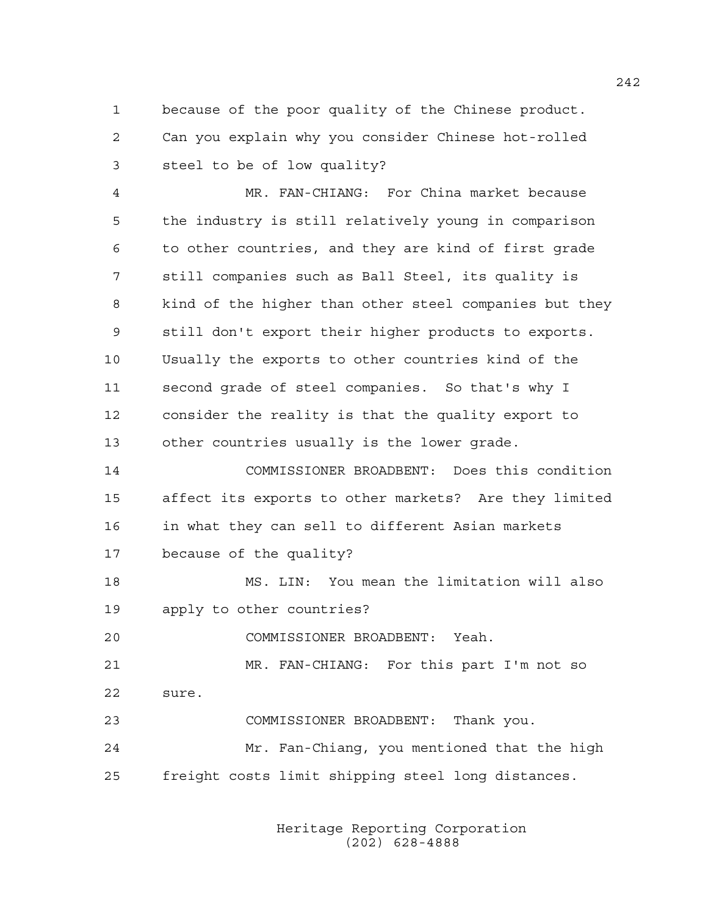1 because of the poor quality of the Chinese product. 2 Can you explain why you consider Chinese hot-rolled 3 steel to be of low quality?

4 MR. FAN-CHIANG: For China market because 5 the industry is still relatively young in comparison 6 to other countries, and they are kind of first grade 7 still companies such as Ball Steel, its quality is 8 kind of the higher than other steel companies but they 9 still don't export their higher products to exports. 10 Usually the exports to other countries kind of the 11 second grade of steel companies. So that's why I 12 consider the reality is that the quality export to 13 other countries usually is the lower grade.

14 COMMISSIONER BROADBENT: Does this condition 15 affect its exports to other markets? Are they limited 16 in what they can sell to different Asian markets 17 because of the quality?

18 MS. LIN: You mean the limitation will also 19 apply to other countries?

20 COMMISSIONER BROADBENT: Yeah.

21 MR. FAN-CHIANG: For this part I'm not so 22 sure.

23 COMMISSIONER BROADBENT: Thank you.

24 Mr. Fan-Chiang, you mentioned that the high 25 freight costs limit shipping steel long distances.

> Heritage Reporting Corporation (202) 628-4888

242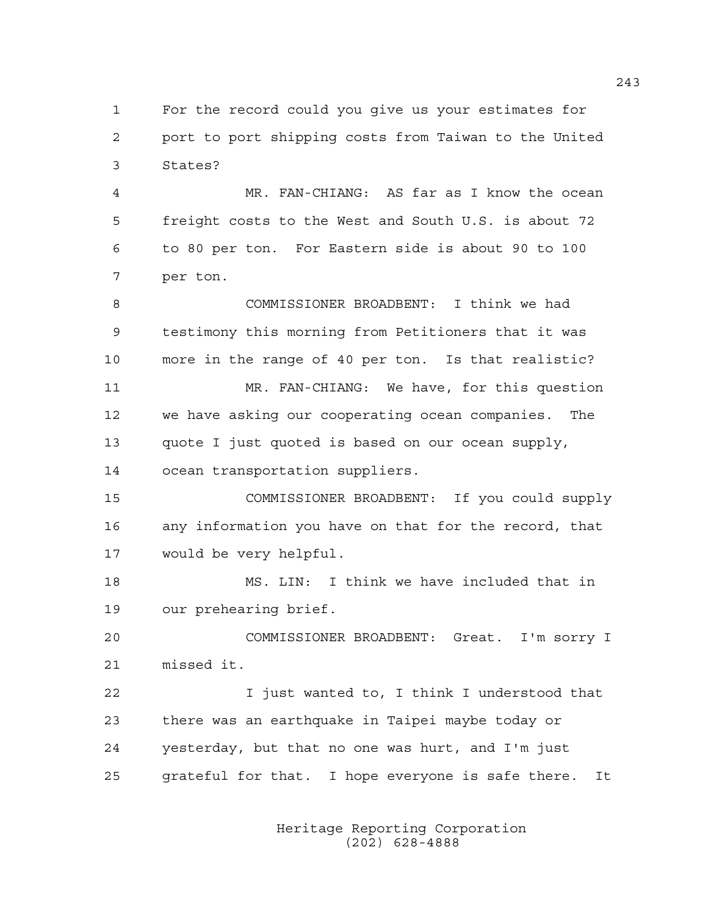1 For the record could you give us your estimates for 2 port to port shipping costs from Taiwan to the United 3 States?

4 MR. FAN-CHIANG: AS far as I know the ocean 5 freight costs to the West and South U.S. is about 72 6 to 80 per ton. For Eastern side is about 90 to 100 7 per ton.

8 COMMISSIONER BROADBENT: I think we had 9 testimony this morning from Petitioners that it was 10 more in the range of 40 per ton. Is that realistic? 11 MR. FAN-CHIANG: We have, for this question 12 we have asking our cooperating ocean companies. The 13 quote I just quoted is based on our ocean supply, 14 ocean transportation suppliers.

15 COMMISSIONER BROADBENT: If you could supply 16 any information you have on that for the record, that 17 would be very helpful.

18 MS. LIN: I think we have included that in 19 our prehearing brief.

20 COMMISSIONER BROADBENT: Great. I'm sorry I 21 missed it.

22 I just wanted to, I think I understood that 23 there was an earthquake in Taipei maybe today or 24 yesterday, but that no one was hurt, and I'm just 25 grateful for that. I hope everyone is safe there. It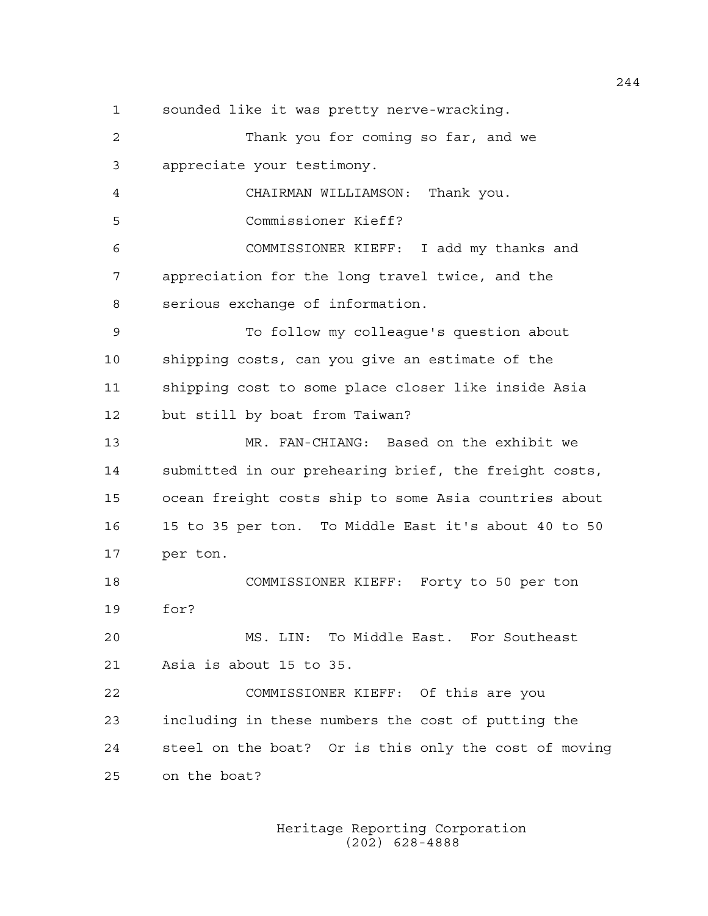1 sounded like it was pretty nerve-wracking. 2 Thank you for coming so far, and we 3 appreciate your testimony. 4 CHAIRMAN WILLIAMSON: Thank you. 5 Commissioner Kieff? 6 COMMISSIONER KIEFF: I add my thanks and 7 appreciation for the long travel twice, and the 8 serious exchange of information. 9 To follow my colleague's question about 10 shipping costs, can you give an estimate of the 11 shipping cost to some place closer like inside Asia 12 but still by boat from Taiwan? 13 MR. FAN-CHIANG: Based on the exhibit we 14 submitted in our prehearing brief, the freight costs, 15 ocean freight costs ship to some Asia countries about 16 15 to 35 per ton. To Middle East it's about 40 to 50 17 per ton. 18 COMMISSIONER KIEFF: Forty to 50 per ton 19 for? 20 MS. LIN: To Middle East. For Southeast 21 Asia is about 15 to 35. 22 COMMISSIONER KIEFF: Of this are you 23 including in these numbers the cost of putting the 24 steel on the boat? Or is this only the cost of moving 25 on the boat?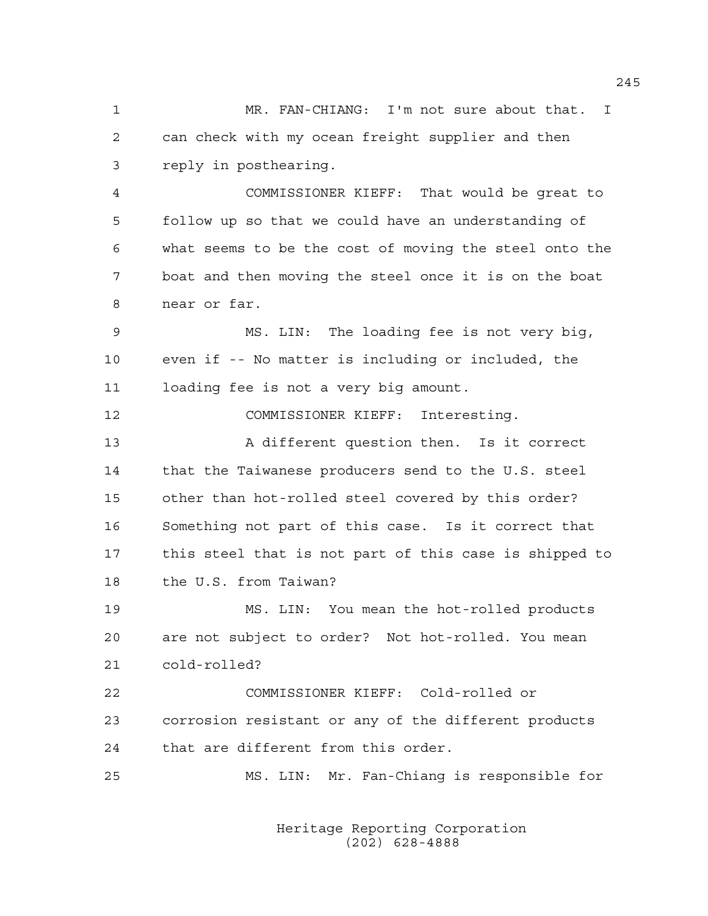1 MR. FAN-CHIANG: I'm not sure about that. I 2 can check with my ocean freight supplier and then 3 reply in posthearing.

4 COMMISSIONER KIEFF: That would be great to 5 follow up so that we could have an understanding of 6 what seems to be the cost of moving the steel onto the 7 boat and then moving the steel once it is on the boat 8 near or far.

9 MS. LIN: The loading fee is not very big, 10 even if -- No matter is including or included, the 11 loading fee is not a very big amount.

12 COMMISSIONER KIEFF: Interesting.

13 A different question then. Is it correct 14 that the Taiwanese producers send to the U.S. steel 15 other than hot-rolled steel covered by this order? 16 Something not part of this case. Is it correct that 17 this steel that is not part of this case is shipped to 18 the U.S. from Taiwan?

19 MS. LIN: You mean the hot-rolled products 20 are not subject to order? Not hot-rolled. You mean 21 cold-rolled?

22 COMMISSIONER KIEFF: Cold-rolled or 23 corrosion resistant or any of the different products 24 that are different from this order.

25 MS. LIN: Mr. Fan-Chiang is responsible for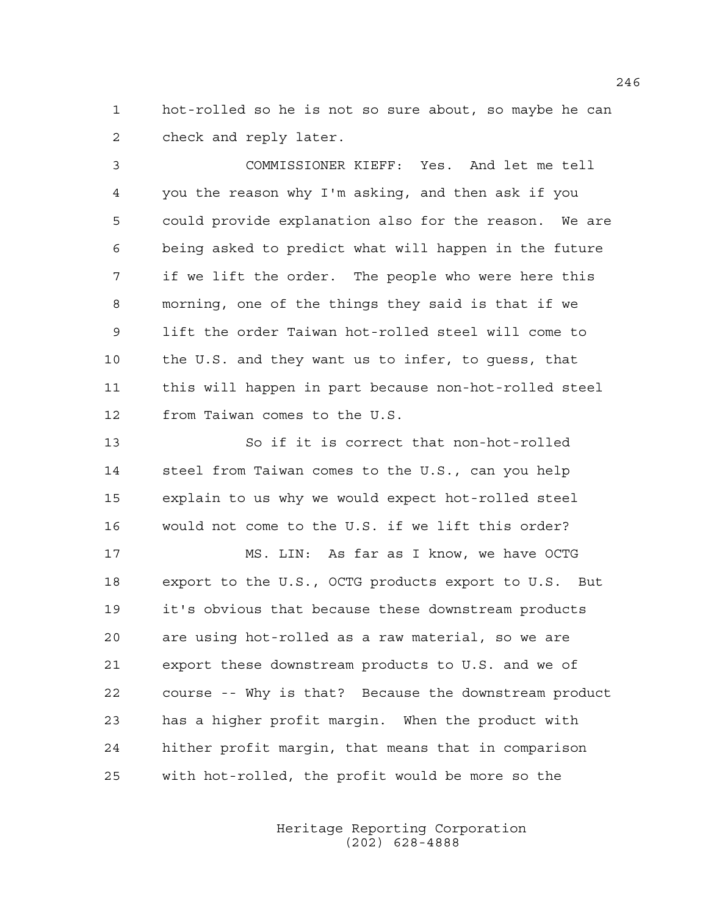1 hot-rolled so he is not so sure about, so maybe he can 2 check and reply later.

3 COMMISSIONER KIEFF: Yes. And let me tell 4 you the reason why I'm asking, and then ask if you 5 could provide explanation also for the reason. We are 6 being asked to predict what will happen in the future 7 if we lift the order. The people who were here this 8 morning, one of the things they said is that if we 9 lift the order Taiwan hot-rolled steel will come to 10 the U.S. and they want us to infer, to guess, that 11 this will happen in part because non-hot-rolled steel 12 from Taiwan comes to the U.S.

13 So if it is correct that non-hot-rolled 14 steel from Taiwan comes to the U.S., can you help 15 explain to us why we would expect hot-rolled steel 16 would not come to the U.S. if we lift this order?

17 MS. LIN: As far as I know, we have OCTG 18 export to the U.S., OCTG products export to U.S. But 19 it's obvious that because these downstream products 20 are using hot-rolled as a raw material, so we are 21 export these downstream products to U.S. and we of 22 course -- Why is that? Because the downstream product 23 has a higher profit margin. When the product with 24 hither profit margin, that means that in comparison 25 with hot-rolled, the profit would be more so the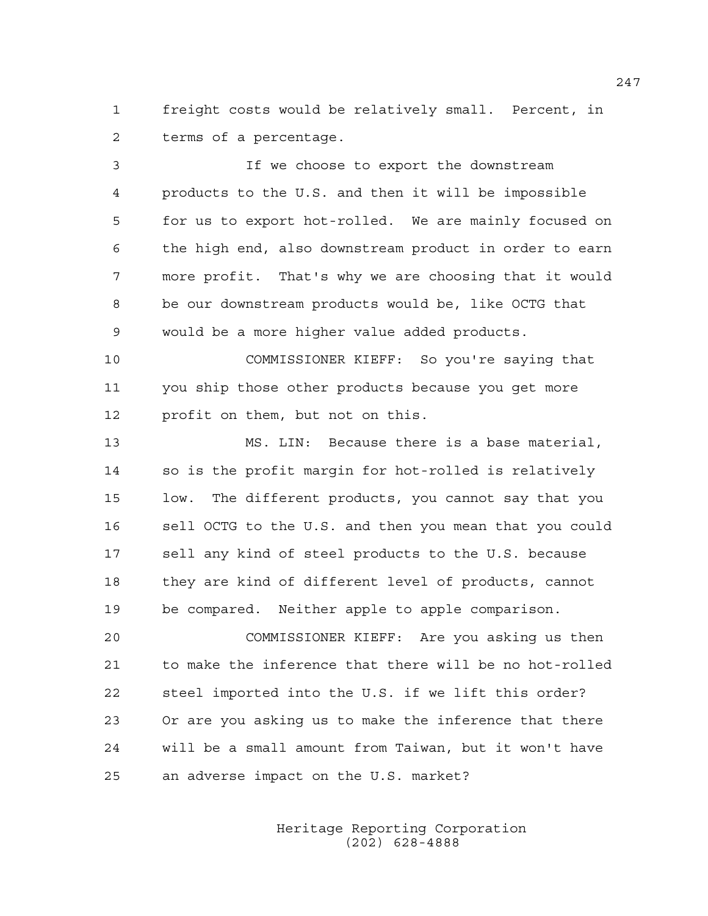1 freight costs would be relatively small. Percent, in 2 terms of a percentage.

3 If we choose to export the downstream 4 products to the U.S. and then it will be impossible 5 for us to export hot-rolled. We are mainly focused on 6 the high end, also downstream product in order to earn 7 more profit. That's why we are choosing that it would 8 be our downstream products would be, like OCTG that 9 would be a more higher value added products.

10 COMMISSIONER KIEFF: So you're saying that 11 you ship those other products because you get more 12 profit on them, but not on this.

13 MS. LIN: Because there is a base material, 14 so is the profit margin for hot-rolled is relatively 15 low. The different products, you cannot say that you 16 sell OCTG to the U.S. and then you mean that you could 17 sell any kind of steel products to the U.S. because 18 they are kind of different level of products, cannot 19 be compared. Neither apple to apple comparison.

20 COMMISSIONER KIEFF: Are you asking us then 21 to make the inference that there will be no hot-rolled 22 steel imported into the U.S. if we lift this order? 23 Or are you asking us to make the inference that there 24 will be a small amount from Taiwan, but it won't have 25 an adverse impact on the U.S. market?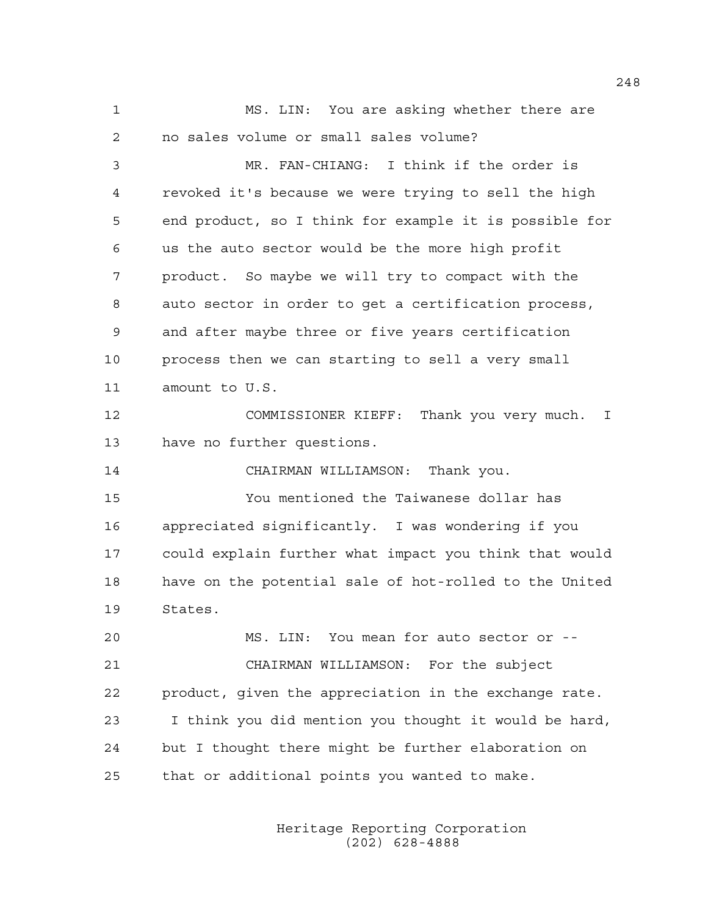1 MS. LIN: You are asking whether there are 2 no sales volume or small sales volume?

3 MR. FAN-CHIANG: I think if the order is 4 revoked it's because we were trying to sell the high 5 end product, so I think for example it is possible for 6 us the auto sector would be the more high profit 7 product. So maybe we will try to compact with the 8 auto sector in order to get a certification process, 9 and after maybe three or five years certification 10 process then we can starting to sell a very small 11 amount to U.S.

12 COMMISSIONER KIEFF: Thank you very much. I 13 have no further questions.

14 CHAIRMAN WILLIAMSON: Thank you.

15 You mentioned the Taiwanese dollar has 16 appreciated significantly. I was wondering if you 17 could explain further what impact you think that would 18 have on the potential sale of hot-rolled to the United 19 States.

20 MS. LIN: You mean for auto sector or -- 21 CHAIRMAN WILLIAMSON: For the subject 22 product, given the appreciation in the exchange rate. 23 I think you did mention you thought it would be hard, 24 but I thought there might be further elaboration on 25 that or additional points you wanted to make.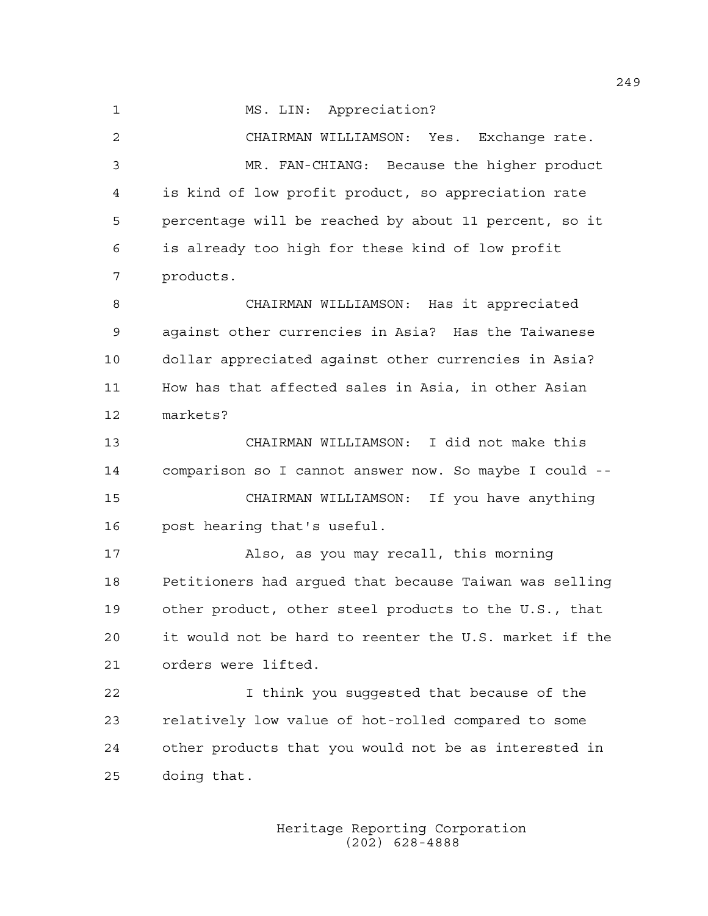1 MS. LIN: Appreciation? 2 CHAIRMAN WILLIAMSON: Yes. Exchange rate. 3 MR. FAN-CHIANG: Because the higher product 4 is kind of low profit product, so appreciation rate 5 percentage will be reached by about 11 percent, so it 6 is already too high for these kind of low profit 7 products. 8 CHAIRMAN WILLIAMSON: Has it appreciated 9 against other currencies in Asia? Has the Taiwanese 10 dollar appreciated against other currencies in Asia? 11 How has that affected sales in Asia, in other Asian 12 markets? 13 CHAIRMAN WILLIAMSON: I did not make this 14 comparison so I cannot answer now. So maybe I could -- 15 CHAIRMAN WILLIAMSON: If you have anything 16 post hearing that's useful. 17 Also, as you may recall, this morning 18 Petitioners had argued that because Taiwan was selling 19 other product, other steel products to the U.S., that 20 it would not be hard to reenter the U.S. market if the 21 orders were lifted. 22 I think you suggested that because of the 23 relatively low value of hot-rolled compared to some 24 other products that you would not be as interested in

> Heritage Reporting Corporation (202) 628-4888

25 doing that.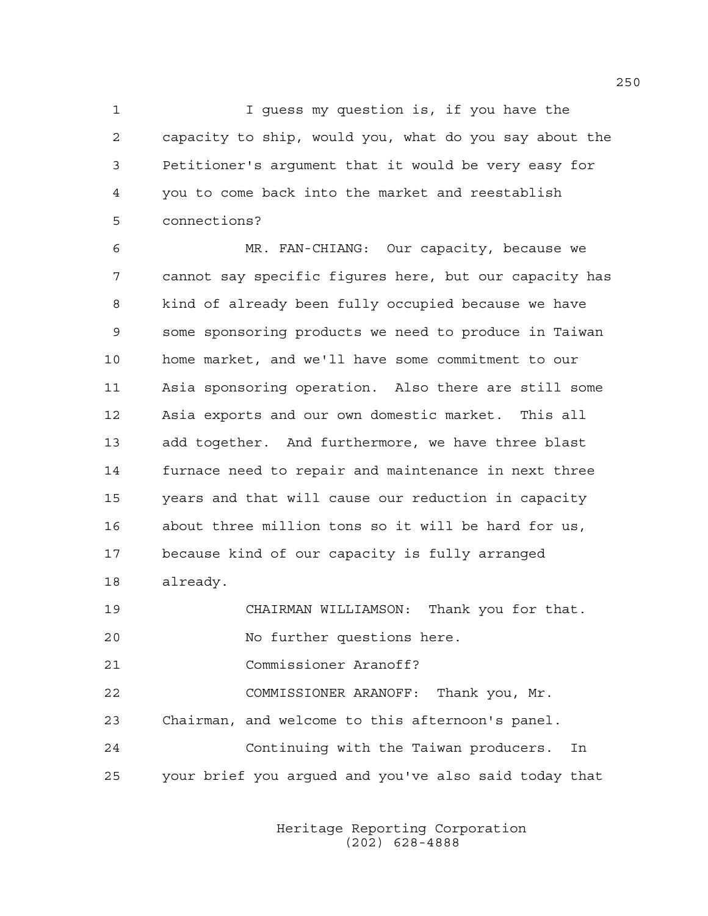1 I guess my question is, if you have the 2 capacity to ship, would you, what do you say about the 3 Petitioner's argument that it would be very easy for 4 you to come back into the market and reestablish 5 connections?

6 MR. FAN-CHIANG: Our capacity, because we 7 cannot say specific figures here, but our capacity has 8 kind of already been fully occupied because we have 9 some sponsoring products we need to produce in Taiwan 10 home market, and we'll have some commitment to our 11 Asia sponsoring operation. Also there are still some 12 Asia exports and our own domestic market. This all 13 add together. And furthermore, we have three blast 14 furnace need to repair and maintenance in next three 15 years and that will cause our reduction in capacity 16 about three million tons so it will be hard for us, 17 because kind of our capacity is fully arranged 18 already.

19 CHAIRMAN WILLIAMSON: Thank you for that.

20 No further questions here.

21 Commissioner Aranoff?

22 COMMISSIONER ARANOFF: Thank you, Mr.

23 Chairman, and welcome to this afternoon's panel.

24 Continuing with the Taiwan producers. In 25 your brief you argued and you've also said today that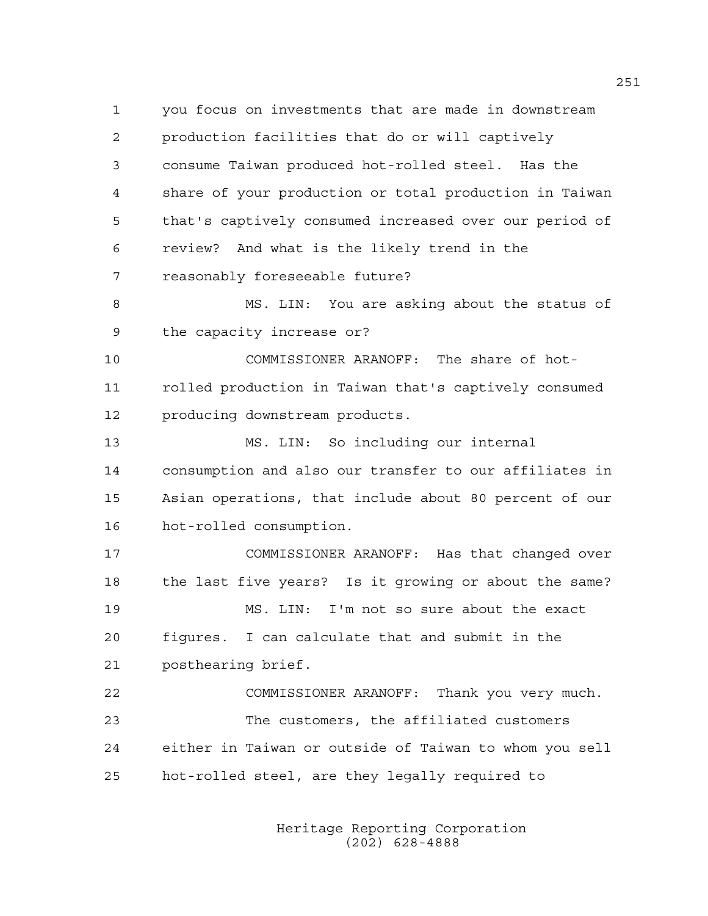1 you focus on investments that are made in downstream 2 production facilities that do or will captively 3 consume Taiwan produced hot-rolled steel. Has the 4 share of your production or total production in Taiwan 5 that's captively consumed increased over our period of 6 review? And what is the likely trend in the 7 reasonably foreseeable future? 8 MS. LIN: You are asking about the status of 9 the capacity increase or? 10 COMMISSIONER ARANOFF: The share of hot-11 rolled production in Taiwan that's captively consumed 12 producing downstream products. 13 MS. LIN: So including our internal 14 consumption and also our transfer to our affiliates in 15 Asian operations, that include about 80 percent of our 16 hot-rolled consumption. 17 COMMISSIONER ARANOFF: Has that changed over 18 the last five years? Is it growing or about the same? 19 MS. LIN: I'm not so sure about the exact 20 figures. I can calculate that and submit in the 21 posthearing brief. 22 COMMISSIONER ARANOFF: Thank you very much. 23 The customers, the affiliated customers 24 either in Taiwan or outside of Taiwan to whom you sell 25 hot-rolled steel, are they legally required to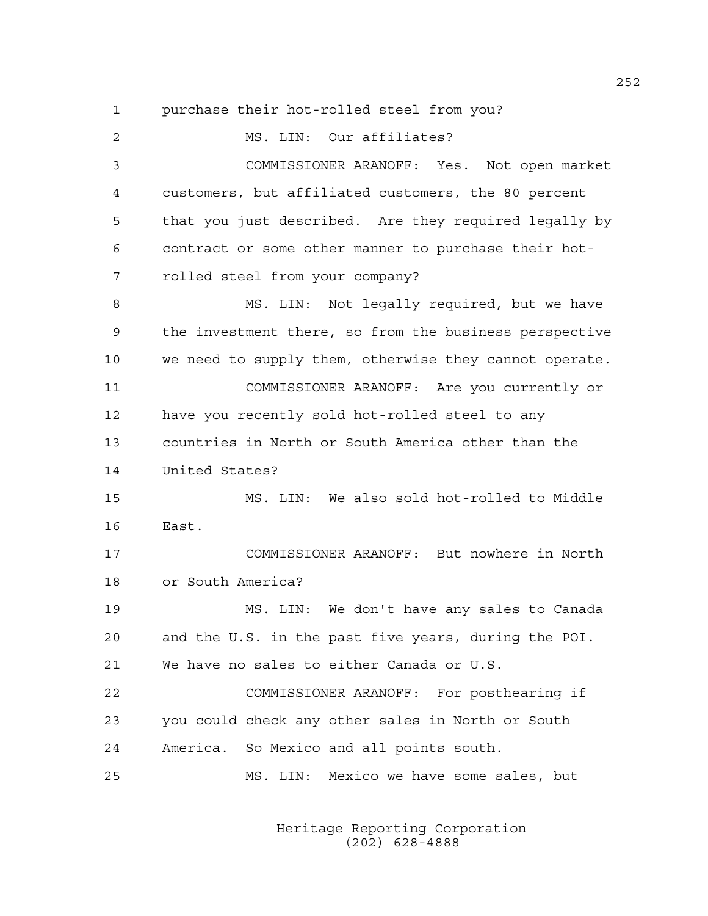1 purchase their hot-rolled steel from you? 2 MS. LIN: Our affiliates? 3 COMMISSIONER ARANOFF: Yes. Not open market 4 customers, but affiliated customers, the 80 percent 5 that you just described. Are they required legally by 6 contract or some other manner to purchase their hot-7 rolled steel from your company? 8 MS. LIN: Not legally required, but we have 9 the investment there, so from the business perspective 10 we need to supply them, otherwise they cannot operate. 11 COMMISSIONER ARANOFF: Are you currently or 12 have you recently sold hot-rolled steel to any 13 countries in North or South America other than the 14 United States? 15 MS. LIN: We also sold hot-rolled to Middle 16 East. 17 COMMISSIONER ARANOFF: But nowhere in North 18 or South America? 19 MS. LIN: We don't have any sales to Canada 20 and the U.S. in the past five years, during the POI. 21 We have no sales to either Canada or U.S. 22 COMMISSIONER ARANOFF: For posthearing if 23 you could check any other sales in North or South 24 America. So Mexico and all points south. 25 MS. LIN: Mexico we have some sales, but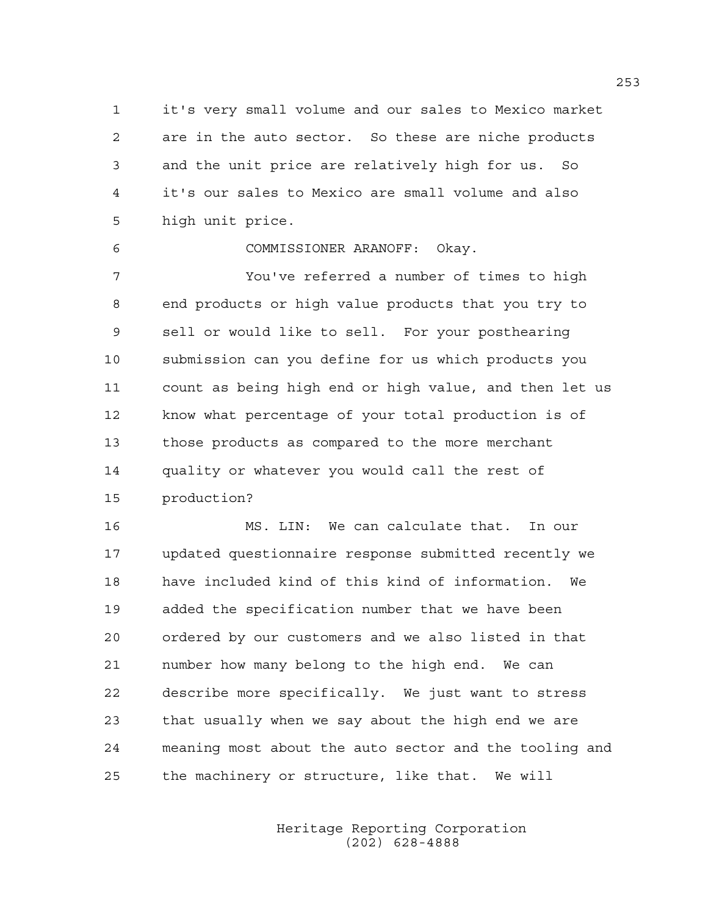1 it's very small volume and our sales to Mexico market 2 are in the auto sector. So these are niche products 3 and the unit price are relatively high for us. So 4 it's our sales to Mexico are small volume and also 5 high unit price.

6 COMMISSIONER ARANOFF: Okay.

7 You've referred a number of times to high 8 end products or high value products that you try to 9 sell or would like to sell. For your posthearing 10 submission can you define for us which products you 11 count as being high end or high value, and then let us 12 know what percentage of your total production is of 13 those products as compared to the more merchant 14 quality or whatever you would call the rest of 15 production?

16 MS. LIN: We can calculate that. In our 17 updated questionnaire response submitted recently we 18 have included kind of this kind of information. We 19 added the specification number that we have been 20 ordered by our customers and we also listed in that 21 number how many belong to the high end. We can 22 describe more specifically. We just want to stress 23 that usually when we say about the high end we are 24 meaning most about the auto sector and the tooling and 25 the machinery or structure, like that. We will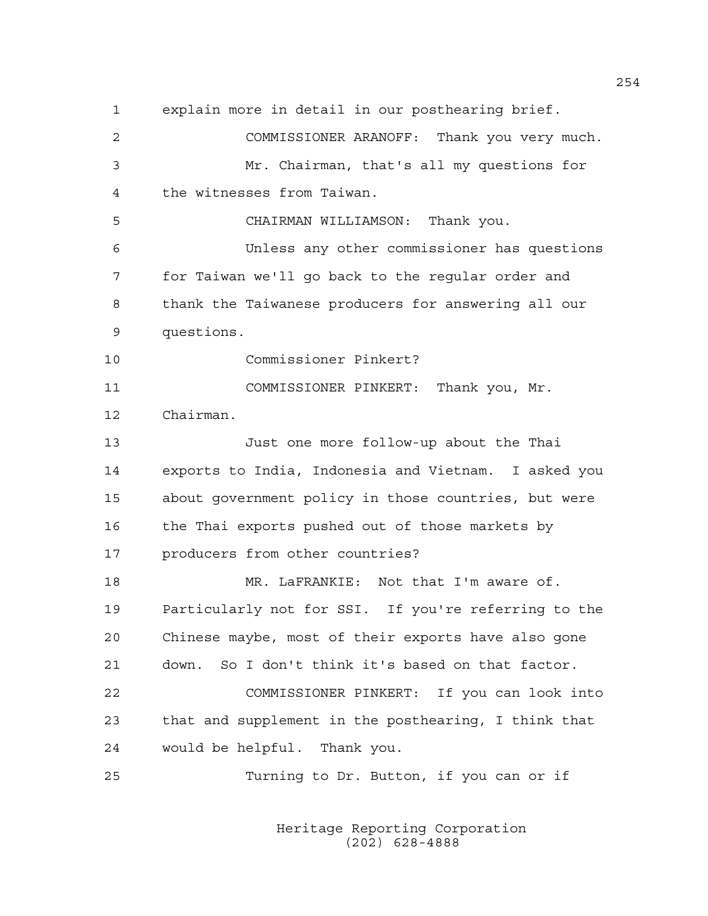1 explain more in detail in our posthearing brief. 2 COMMISSIONER ARANOFF: Thank you very much. 3 Mr. Chairman, that's all my questions for 4 the witnesses from Taiwan. 5 CHAIRMAN WILLIAMSON: Thank you. 6 Unless any other commissioner has questions 7 for Taiwan we'll go back to the regular order and 8 thank the Taiwanese producers for answering all our 9 questions. 10 Commissioner Pinkert? 11 COMMISSIONER PINKERT: Thank you, Mr. 12 Chairman. 13 Just one more follow-up about the Thai 14 exports to India, Indonesia and Vietnam. I asked you 15 about government policy in those countries, but were 16 the Thai exports pushed out of those markets by 17 producers from other countries? 18 MR. LaFRANKIE: Not that I'm aware of. 19 Particularly not for SSI. If you're referring to the 20 Chinese maybe, most of their exports have also gone 21 down. So I don't think it's based on that factor. 22 COMMISSIONER PINKERT: If you can look into 23 that and supplement in the posthearing, I think that 24 would be helpful. Thank you. 25 Turning to Dr. Button, if you can or if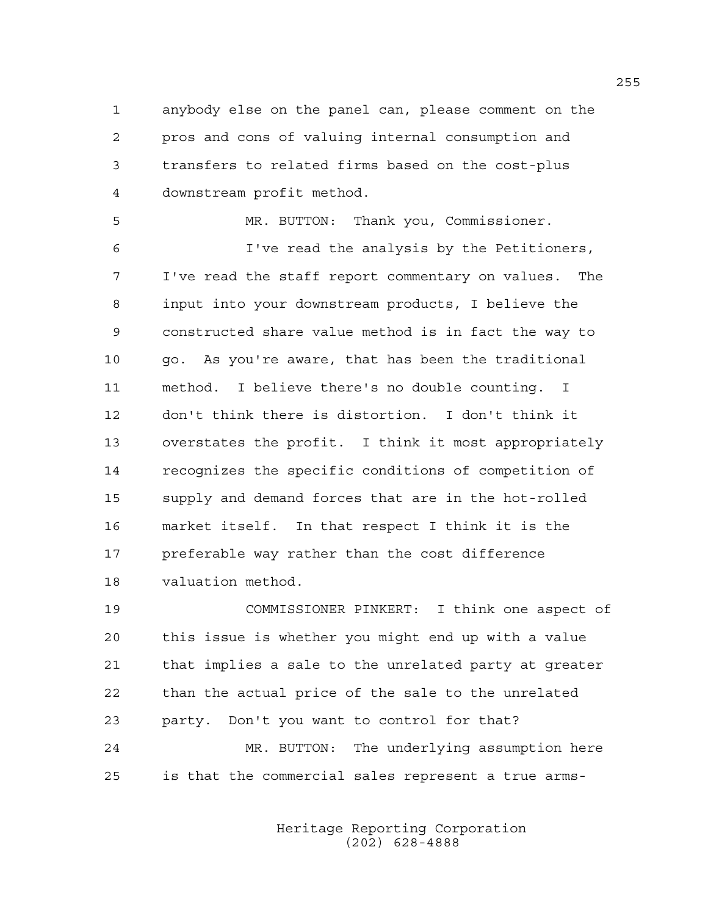1 anybody else on the panel can, please comment on the 2 pros and cons of valuing internal consumption and 3 transfers to related firms based on the cost-plus 4 downstream profit method.

5 MR. BUTTON: Thank you, Commissioner. 6 I've read the analysis by the Petitioners, 7 I've read the staff report commentary on values. The 8 input into your downstream products, I believe the 9 constructed share value method is in fact the way to 10 go. As you're aware, that has been the traditional 11 method. I believe there's no double counting. I 12 don't think there is distortion. I don't think it 13 overstates the profit. I think it most appropriately 14 recognizes the specific conditions of competition of 15 supply and demand forces that are in the hot-rolled 16 market itself. In that respect I think it is the 17 preferable way rather than the cost difference 18 valuation method.

19 COMMISSIONER PINKERT: I think one aspect of 20 this issue is whether you might end up with a value 21 that implies a sale to the unrelated party at greater 22 than the actual price of the sale to the unrelated 23 party. Don't you want to control for that? 24 MR. BUTTON: The underlying assumption here 25 is that the commercial sales represent a true arms-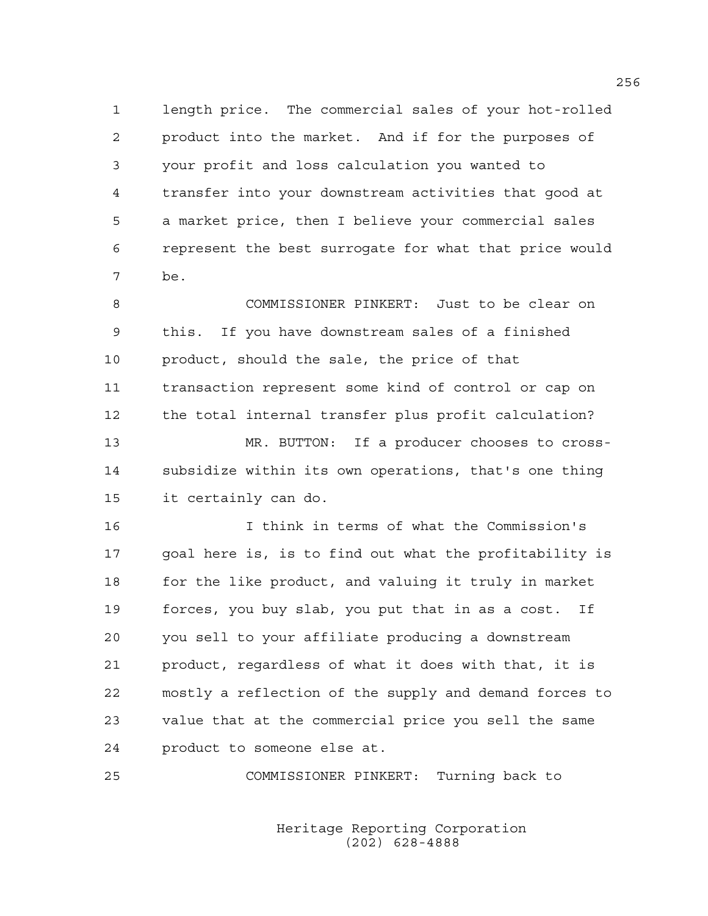1 length price. The commercial sales of your hot-rolled 2 product into the market. And if for the purposes of 3 your profit and loss calculation you wanted to 4 transfer into your downstream activities that good at 5 a market price, then I believe your commercial sales 6 represent the best surrogate for what that price would 7 be.

8 COMMISSIONER PINKERT: Just to be clear on 9 this. If you have downstream sales of a finished 10 product, should the sale, the price of that 11 transaction represent some kind of control or cap on 12 the total internal transfer plus profit calculation? 13 MR. BUTTON: If a producer chooses to cross-14 subsidize within its own operations, that's one thing 15 it certainly can do.

16 I think in terms of what the Commission's 17 goal here is, is to find out what the profitability is 18 for the like product, and valuing it truly in market 19 forces, you buy slab, you put that in as a cost. If 20 you sell to your affiliate producing a downstream 21 product, regardless of what it does with that, it is 22 mostly a reflection of the supply and demand forces to 23 value that at the commercial price you sell the same 24 product to someone else at.

25 COMMISSIONER PINKERT: Turning back to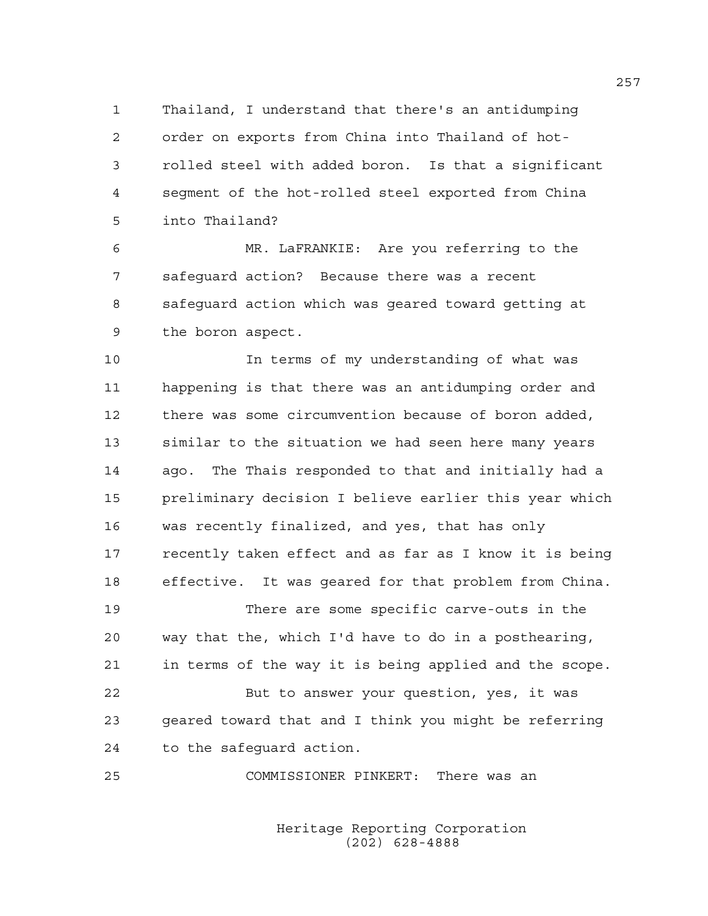1 Thailand, I understand that there's an antidumping 2 order on exports from China into Thailand of hot-3 rolled steel with added boron. Is that a significant 4 segment of the hot-rolled steel exported from China 5 into Thailand?

6 MR. LaFRANKIE: Are you referring to the 7 safeguard action? Because there was a recent 8 safeguard action which was geared toward getting at 9 the boron aspect.

10 In terms of my understanding of what was 11 happening is that there was an antidumping order and 12 there was some circumvention because of boron added, 13 similar to the situation we had seen here many years 14 ago. The Thais responded to that and initially had a 15 preliminary decision I believe earlier this year which 16 was recently finalized, and yes, that has only 17 recently taken effect and as far as I know it is being 18 effective. It was geared for that problem from China.

19 There are some specific carve-outs in the 20 way that the, which I'd have to do in a posthearing, 21 in terms of the way it is being applied and the scope.

22 But to answer your question, yes, it was 23 geared toward that and I think you might be referring 24 to the safeguard action.

25 COMMISSIONER PINKERT: There was an

 Heritage Reporting Corporation (202) 628-4888

257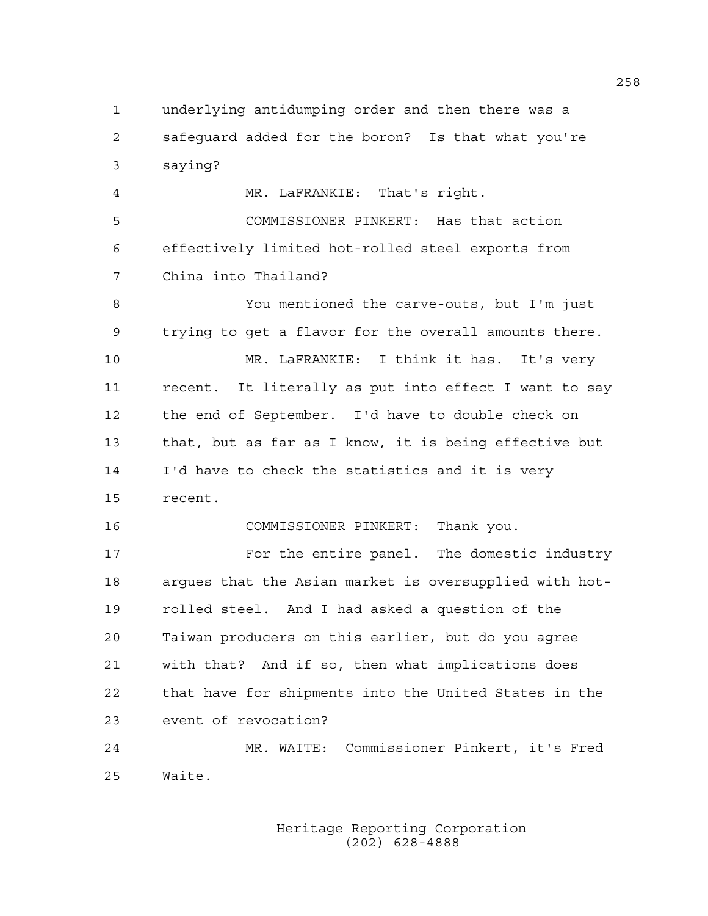1 underlying antidumping order and then there was a 2 safeguard added for the boron? Is that what you're 3 saying?

4 MR. LaFRANKIE: That's right. 5 COMMISSIONER PINKERT: Has that action 6 effectively limited hot-rolled steel exports from 7 China into Thailand?

8 You mentioned the carve-outs, but I'm just 9 trying to get a flavor for the overall amounts there. 10 MR. LaFRANKIE: I think it has. It's very 11 recent. It literally as put into effect I want to say 12 the end of September. I'd have to double check on 13 that, but as far as I know, it is being effective but 14 I'd have to check the statistics and it is very 15 recent.

16 COMMISSIONER PINKERT: Thank you.

17 For the entire panel. The domestic industry 18 argues that the Asian market is oversupplied with hot-19 rolled steel. And I had asked a question of the 20 Taiwan producers on this earlier, but do you agree 21 with that? And if so, then what implications does 22 that have for shipments into the United States in the 23 event of revocation?

24 MR. WAITE: Commissioner Pinkert, it's Fred 25 Waite.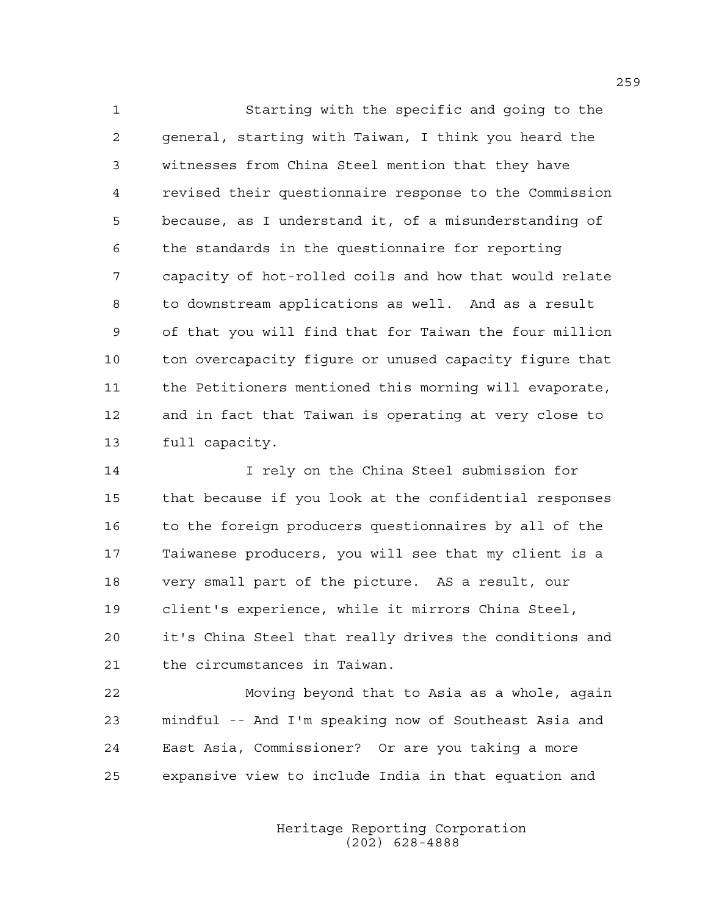1 Starting with the specific and going to the 2 general, starting with Taiwan, I think you heard the 3 witnesses from China Steel mention that they have 4 revised their questionnaire response to the Commission 5 because, as I understand it, of a misunderstanding of 6 the standards in the questionnaire for reporting 7 capacity of hot-rolled coils and how that would relate 8 to downstream applications as well. And as a result 9 of that you will find that for Taiwan the four million 10 ton overcapacity figure or unused capacity figure that 11 the Petitioners mentioned this morning will evaporate, 12 and in fact that Taiwan is operating at very close to 13 full capacity.

14 I rely on the China Steel submission for 15 that because if you look at the confidential responses 16 to the foreign producers questionnaires by all of the 17 Taiwanese producers, you will see that my client is a 18 very small part of the picture. AS a result, our 19 client's experience, while it mirrors China Steel, 20 it's China Steel that really drives the conditions and 21 the circumstances in Taiwan.

22 Moving beyond that to Asia as a whole, again 23 mindful -- And I'm speaking now of Southeast Asia and 24 East Asia, Commissioner? Or are you taking a more 25 expansive view to include India in that equation and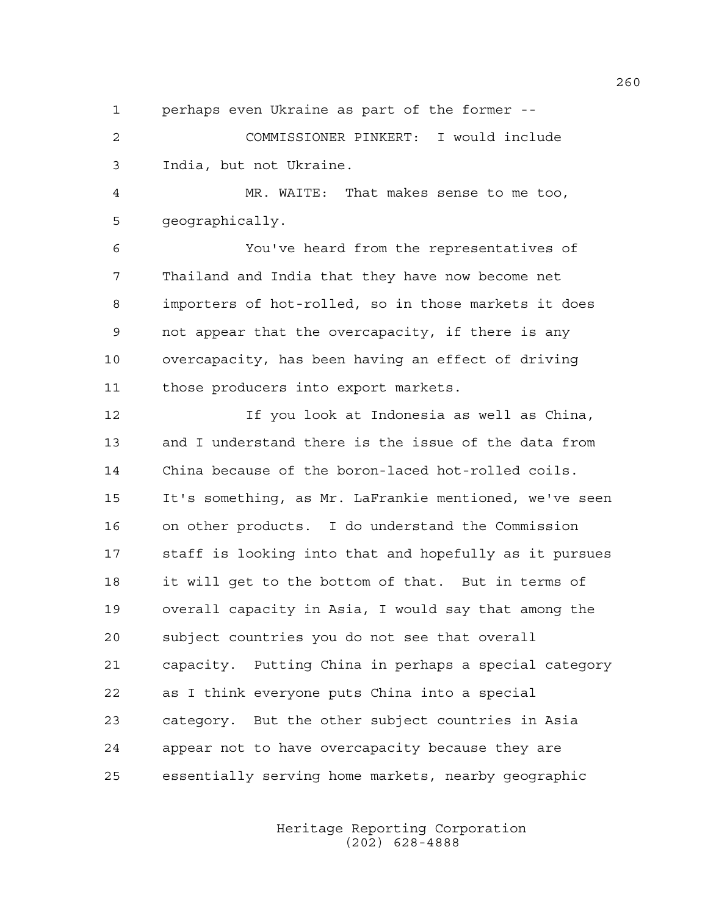1 perhaps even Ukraine as part of the former --

2 COMMISSIONER PINKERT: I would include 3 India, but not Ukraine.

4 MR. WAITE: That makes sense to me too, 5 geographically.

6 You've heard from the representatives of 7 Thailand and India that they have now become net 8 importers of hot-rolled, so in those markets it does 9 not appear that the overcapacity, if there is any 10 overcapacity, has been having an effect of driving 11 those producers into export markets.

12 If you look at Indonesia as well as China, 13 and I understand there is the issue of the data from 14 China because of the boron-laced hot-rolled coils. 15 It's something, as Mr. LaFrankie mentioned, we've seen 16 on other products. I do understand the Commission 17 staff is looking into that and hopefully as it pursues 18 it will get to the bottom of that. But in terms of 19 overall capacity in Asia, I would say that among the 20 subject countries you do not see that overall 21 capacity. Putting China in perhaps a special category 22 as I think everyone puts China into a special 23 category. But the other subject countries in Asia 24 appear not to have overcapacity because they are 25 essentially serving home markets, nearby geographic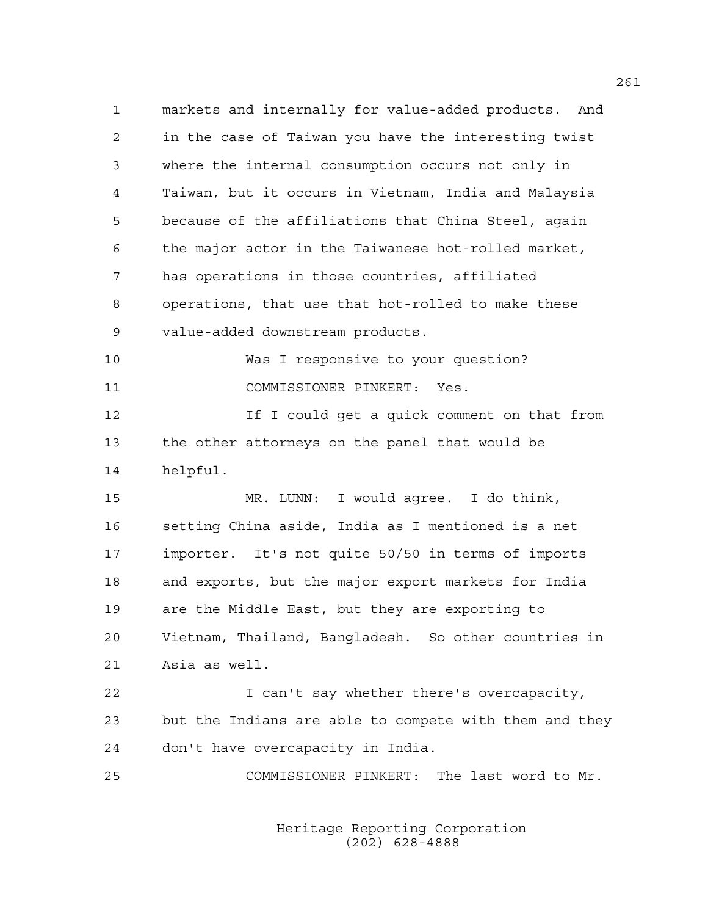1 markets and internally for value-added products. And 2 in the case of Taiwan you have the interesting twist 3 where the internal consumption occurs not only in 4 Taiwan, but it occurs in Vietnam, India and Malaysia 5 because of the affiliations that China Steel, again 6 the major actor in the Taiwanese hot-rolled market, 7 has operations in those countries, affiliated 8 operations, that use that hot-rolled to make these 9 value-added downstream products. 10 Was I responsive to your question? 11 COMMISSIONER PINKERT: Yes. 12 If I could get a quick comment on that from 13 the other attorneys on the panel that would be 14 helpful. 15 MR. LUNN: I would agree. I do think, 16 setting China aside, India as I mentioned is a net 17 importer. It's not quite 50/50 in terms of imports 18 and exports, but the major export markets for India 19 are the Middle East, but they are exporting to 20 Vietnam, Thailand, Bangladesh. So other countries in 21 Asia as well. 22 I can't say whether there's overcapacity, 23 but the Indians are able to compete with them and they 24 don't have overcapacity in India. 25 COMMISSIONER PINKERT: The last word to Mr.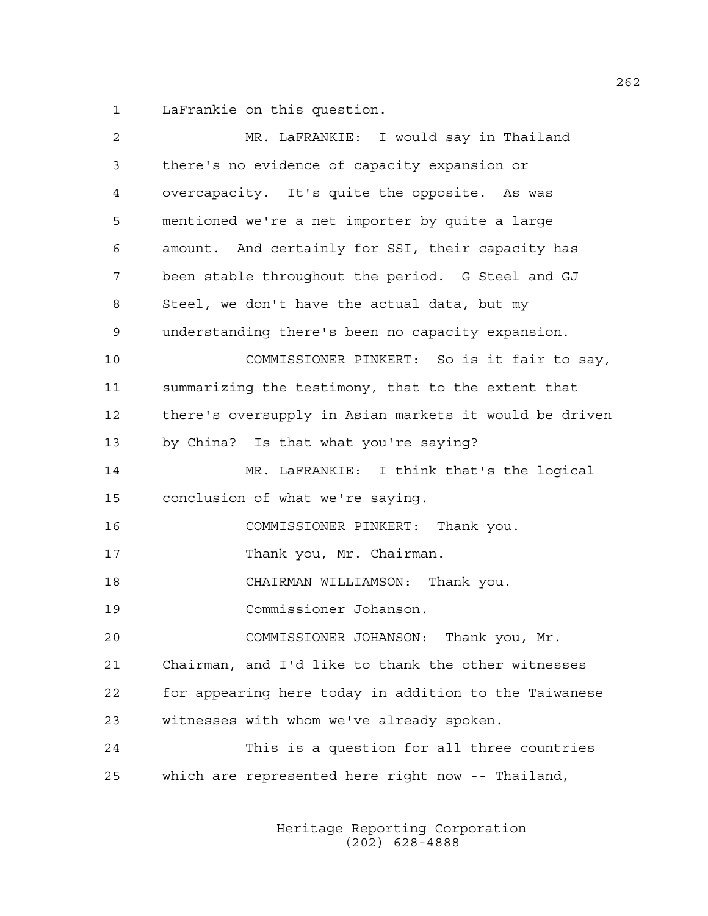1 LaFrankie on this question.

| 2  | MR. LaFRANKIE: I would say in Thailand                 |
|----|--------------------------------------------------------|
| 3  | there's no evidence of capacity expansion or           |
| 4  | overcapacity. It's quite the opposite. As was          |
| 5  | mentioned we're a net importer by quite a large        |
| 6  | amount. And certainly for SSI, their capacity has      |
| 7  | been stable throughout the period. G Steel and GJ      |
| 8  | Steel, we don't have the actual data, but my           |
| 9  | understanding there's been no capacity expansion.      |
| 10 | COMMISSIONER PINKERT: So is it fair to say,            |
| 11 | summarizing the testimony, that to the extent that     |
| 12 | there's oversupply in Asian markets it would be driven |
| 13 | by China? Is that what you're saying?                  |
| 14 | MR. LaFRANKIE: I think that's the logical              |
| 15 | conclusion of what we're saying.                       |
| 16 | COMMISSIONER PINKERT: Thank you.                       |
| 17 | Thank you, Mr. Chairman.                               |
| 18 | CHAIRMAN WILLIAMSON: Thank you.                        |
| 19 | Commissioner Johanson.                                 |
| 20 | COMMISSIONER JOHANSON: Thank you, Mr.                  |
| 21 | Chairman, and I'd like to thank the other witnesses    |
| 22 | for appearing here today in addition to the Taiwanese  |
| 23 | witnesses with whom we've already spoken.              |
| 24 | This is a question for all three countries             |
| 25 | which are represented here right now -- Thailand,      |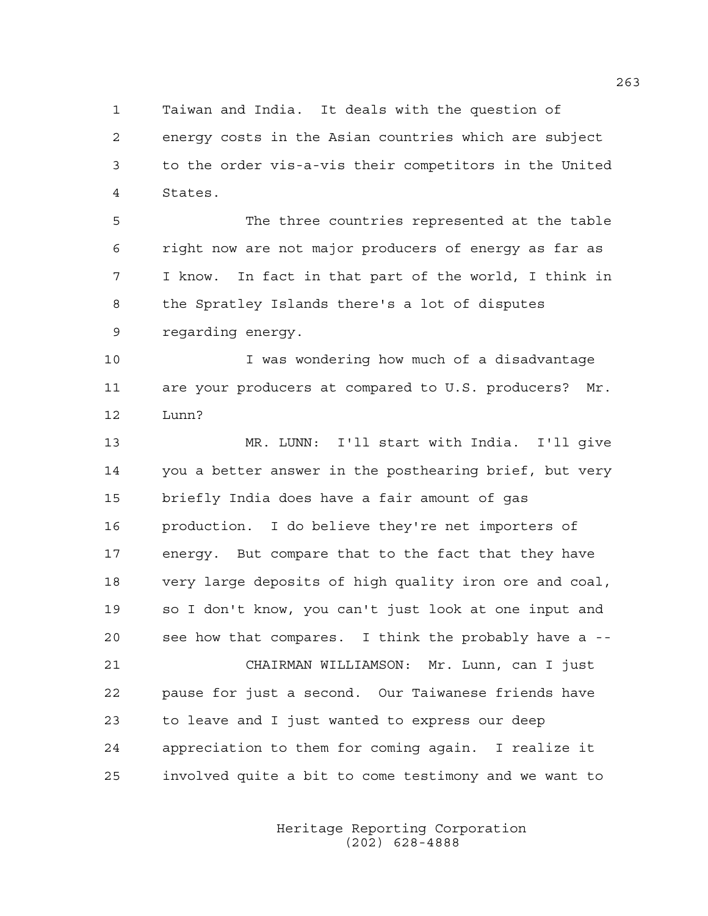1 Taiwan and India. It deals with the question of 2 energy costs in the Asian countries which are subject 3 to the order vis-a-vis their competitors in the United 4 States.

5 The three countries represented at the table 6 right now are not major producers of energy as far as 7 I know. In fact in that part of the world, I think in 8 the Spratley Islands there's a lot of disputes 9 regarding energy.

10 I was wondering how much of a disadvantage 11 are your producers at compared to U.S. producers? Mr. 12 Lunn?

13 MR. LUNN: I'll start with India. I'll give 14 you a better answer in the posthearing brief, but very 15 briefly India does have a fair amount of gas 16 production. I do believe they're net importers of 17 energy. But compare that to the fact that they have 18 very large deposits of high quality iron ore and coal, 19 so I don't know, you can't just look at one input and 20 see how that compares. I think the probably have a --

21 CHAIRMAN WILLIAMSON: Mr. Lunn, can I just 22 pause for just a second. Our Taiwanese friends have 23 to leave and I just wanted to express our deep 24 appreciation to them for coming again. I realize it 25 involved quite a bit to come testimony and we want to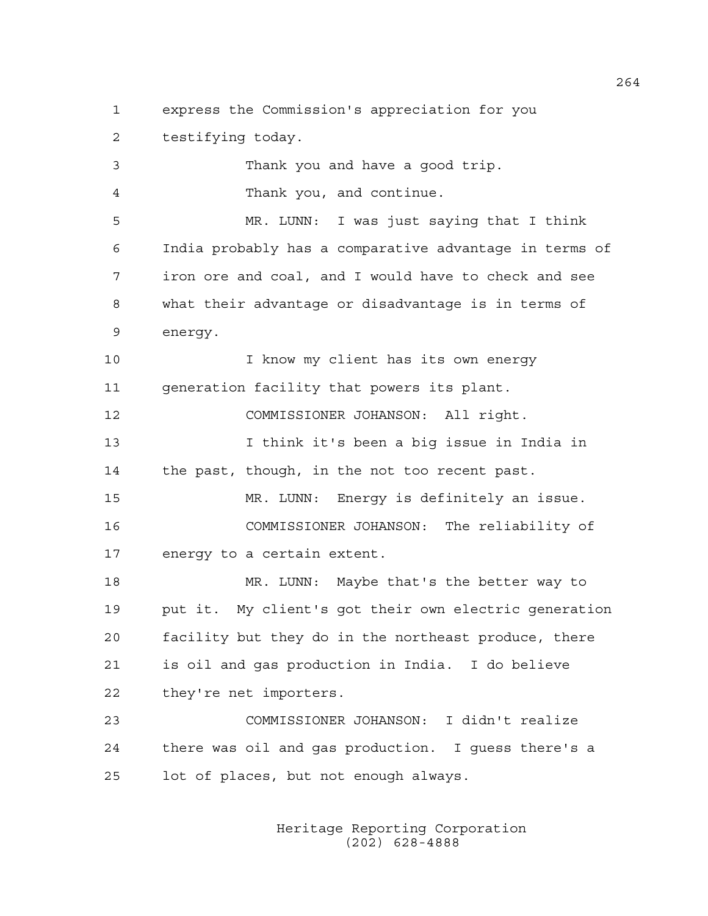1 express the Commission's appreciation for you 2 testifying today. 3 Thank you and have a good trip. 4 Thank you, and continue. 5 MR. LUNN: I was just saying that I think 6 India probably has a comparative advantage in terms of 7 iron ore and coal, and I would have to check and see 8 what their advantage or disadvantage is in terms of 9 energy. 10 10 I know my client has its own energy 11 generation facility that powers its plant. 12 COMMISSIONER JOHANSON: All right. 13 I think it's been a big issue in India in 14 the past, though, in the not too recent past. 15 MR. LUNN: Energy is definitely an issue. 16 COMMISSIONER JOHANSON: The reliability of 17 energy to a certain extent. 18 MR. LUNN: Maybe that's the better way to 19 put it. My client's got their own electric generation 20 facility but they do in the northeast produce, there 21 is oil and gas production in India. I do believe 22 they're net importers. 23 COMMISSIONER JOHANSON: I didn't realize 24 there was oil and gas production. I guess there's a 25 lot of places, but not enough always.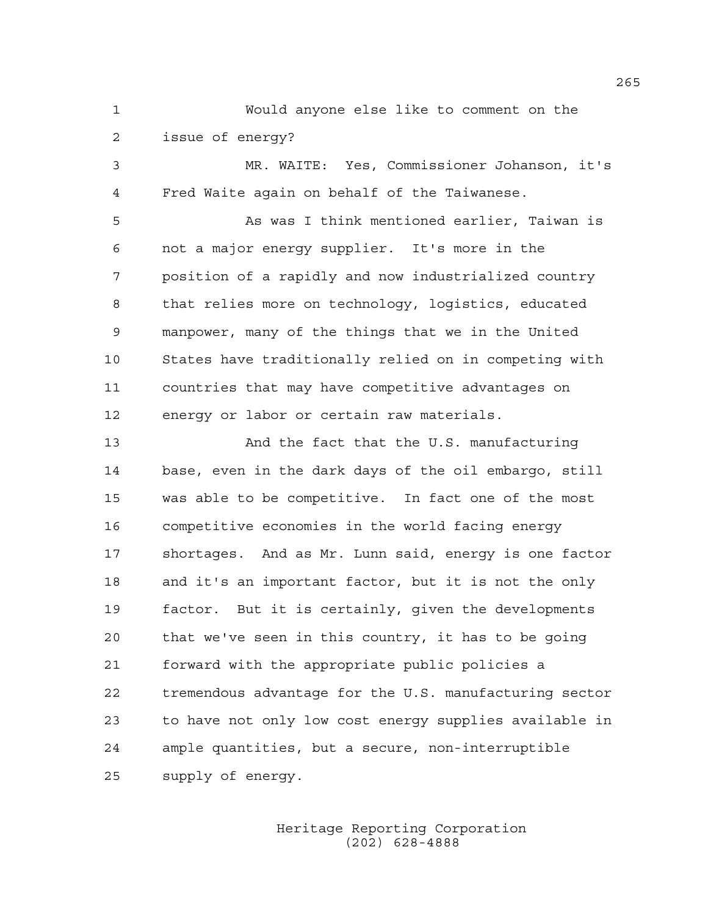1 Would anyone else like to comment on the 2 issue of energy?

3 MR. WAITE: Yes, Commissioner Johanson, it's 4 Fred Waite again on behalf of the Taiwanese.

5 As was I think mentioned earlier, Taiwan is 6 not a major energy supplier. It's more in the 7 position of a rapidly and now industrialized country 8 that relies more on technology, logistics, educated 9 manpower, many of the things that we in the United 10 States have traditionally relied on in competing with 11 countries that may have competitive advantages on 12 energy or labor or certain raw materials.

13 And the fact that the U.S. manufacturing 14 base, even in the dark days of the oil embargo, still 15 was able to be competitive. In fact one of the most 16 competitive economies in the world facing energy 17 shortages. And as Mr. Lunn said, energy is one factor 18 and it's an important factor, but it is not the only 19 factor. But it is certainly, given the developments 20 that we've seen in this country, it has to be going 21 forward with the appropriate public policies a 22 tremendous advantage for the U.S. manufacturing sector 23 to have not only low cost energy supplies available in 24 ample quantities, but a secure, non-interruptible 25 supply of energy.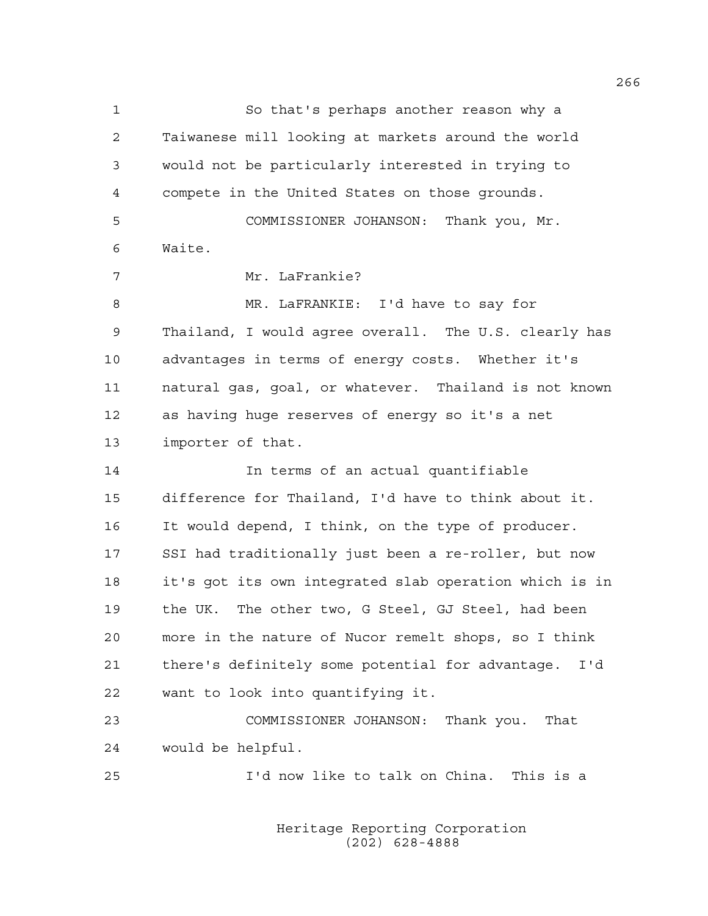1 So that's perhaps another reason why a 2 Taiwanese mill looking at markets around the world 3 would not be particularly interested in trying to 4 compete in the United States on those grounds. 5 COMMISSIONER JOHANSON: Thank you, Mr. 6 Waite. 7 Mr. LaFrankie? 8 MR. LaFRANKIE: I'd have to say for 9 Thailand, I would agree overall. The U.S. clearly has 10 advantages in terms of energy costs. Whether it's 11 natural gas, goal, or whatever. Thailand is not known 12 as having huge reserves of energy so it's a net 13 importer of that. 14 In terms of an actual quantifiable 15 difference for Thailand, I'd have to think about it. 16 It would depend, I think, on the type of producer. 17 SSI had traditionally just been a re-roller, but now 18 it's got its own integrated slab operation which is in 19 the UK. The other two, G Steel, GJ Steel, had been 20 more in the nature of Nucor remelt shops, so I think 21 there's definitely some potential for advantage. I'd 22 want to look into quantifying it. 23 COMMISSIONER JOHANSON: Thank you. That 24 would be helpful. 25 I'd now like to talk on China. This is a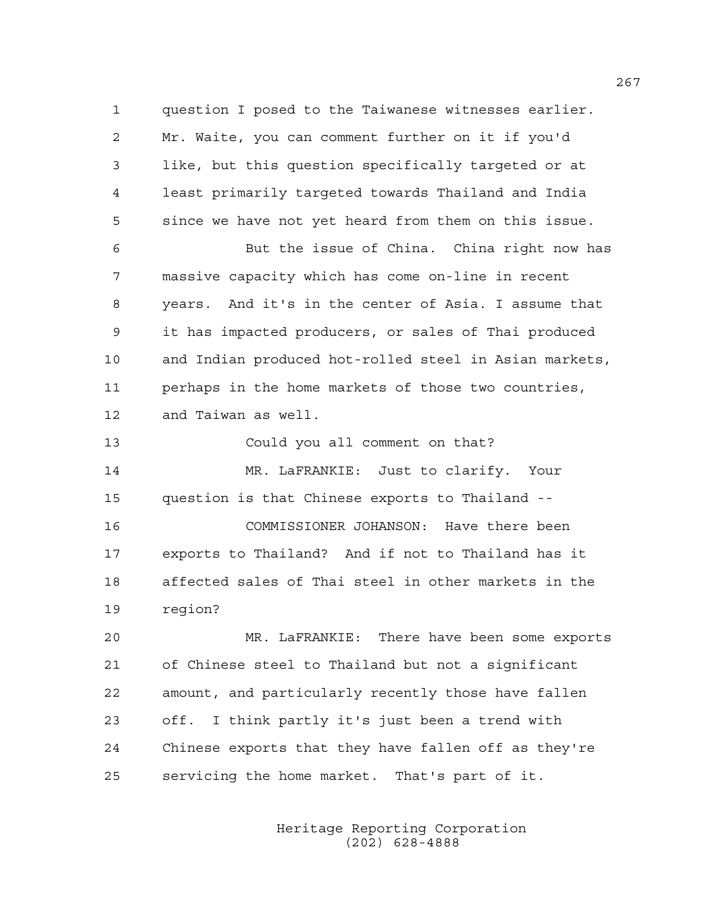1 question I posed to the Taiwanese witnesses earlier. 2 Mr. Waite, you can comment further on it if you'd 3 like, but this question specifically targeted or at 4 least primarily targeted towards Thailand and India 5 since we have not yet heard from them on this issue.

6 But the issue of China. China right now has 7 massive capacity which has come on-line in recent 8 years. And it's in the center of Asia. I assume that 9 it has impacted producers, or sales of Thai produced 10 and Indian produced hot-rolled steel in Asian markets, 11 perhaps in the home markets of those two countries, 12 and Taiwan as well.

13 Could you all comment on that? 14 MR. LaFRANKIE: Just to clarify. Your 15 question is that Chinese exports to Thailand -- 16 COMMISSIONER JOHANSON: Have there been 17 exports to Thailand? And if not to Thailand has it 18 affected sales of Thai steel in other markets in the 19 region?

20 MR. LaFRANKIE: There have been some exports 21 of Chinese steel to Thailand but not a significant 22 amount, and particularly recently those have fallen 23 off. I think partly it's just been a trend with 24 Chinese exports that they have fallen off as they're 25 servicing the home market. That's part of it.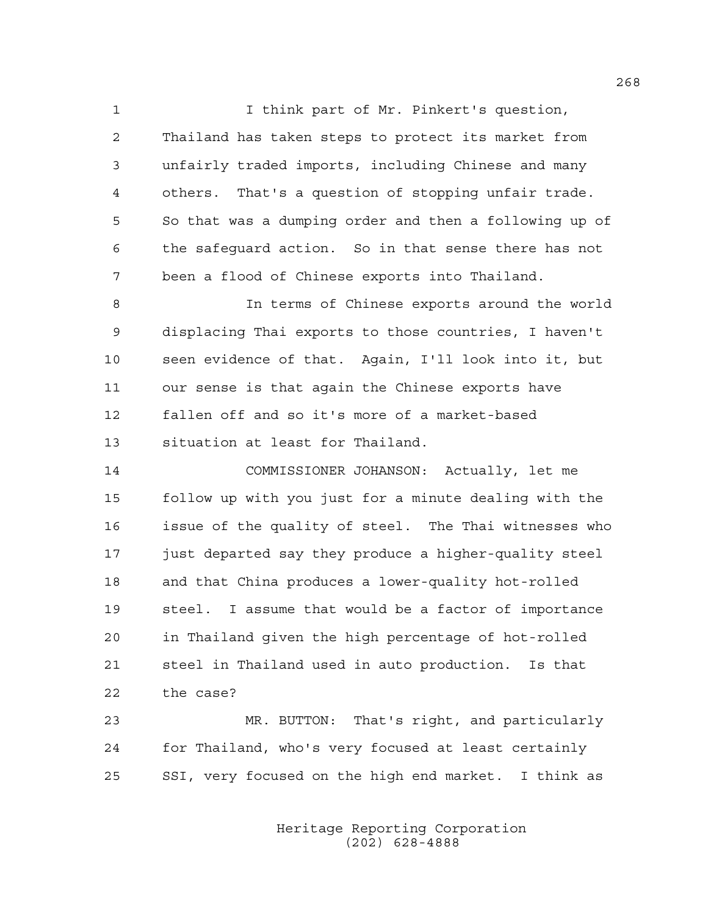1 I think part of Mr. Pinkert's question, 2 Thailand has taken steps to protect its market from 3 unfairly traded imports, including Chinese and many 4 others. That's a question of stopping unfair trade. 5 So that was a dumping order and then a following up of 6 the safeguard action. So in that sense there has not 7 been a flood of Chinese exports into Thailand.

8 In terms of Chinese exports around the world 9 displacing Thai exports to those countries, I haven't 10 seen evidence of that. Again, I'll look into it, but 11 our sense is that again the Chinese exports have 12 fallen off and so it's more of a market-based 13 situation at least for Thailand.

14 COMMISSIONER JOHANSON: Actually, let me 15 follow up with you just for a minute dealing with the 16 issue of the quality of steel. The Thai witnesses who 17 just departed say they produce a higher-quality steel 18 and that China produces a lower-quality hot-rolled 19 steel. I assume that would be a factor of importance 20 in Thailand given the high percentage of hot-rolled 21 steel in Thailand used in auto production. Is that 22 the case?

23 MR. BUTTON: That's right, and particularly 24 for Thailand, who's very focused at least certainly 25 SSI, very focused on the high end market. I think as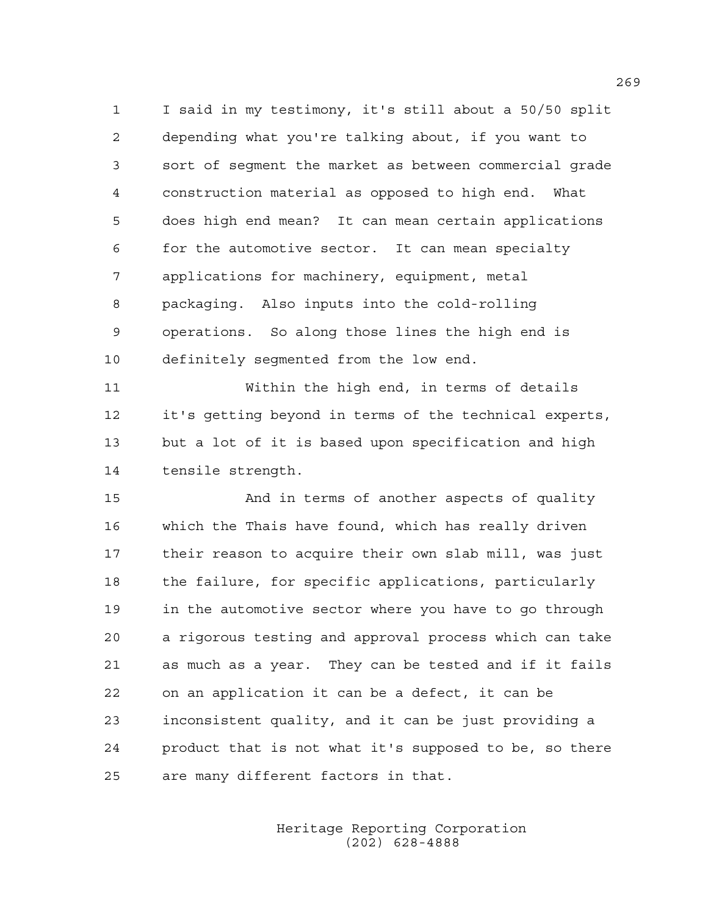1 I said in my testimony, it's still about a 50/50 split 2 depending what you're talking about, if you want to 3 sort of segment the market as between commercial grade 4 construction material as opposed to high end. What 5 does high end mean? It can mean certain applications 6 for the automotive sector. It can mean specialty 7 applications for machinery, equipment, metal 8 packaging. Also inputs into the cold-rolling 9 operations. So along those lines the high end is 10 definitely segmented from the low end.

11 Within the high end, in terms of details 12 it's getting beyond in terms of the technical experts, 13 but a lot of it is based upon specification and high 14 tensile strength.

15 And in terms of another aspects of quality 16 which the Thais have found, which has really driven 17 their reason to acquire their own slab mill, was just 18 the failure, for specific applications, particularly 19 in the automotive sector where you have to go through 20 a rigorous testing and approval process which can take 21 as much as a year. They can be tested and if it fails 22 on an application it can be a defect, it can be 23 inconsistent quality, and it can be just providing a 24 product that is not what it's supposed to be, so there 25 are many different factors in that.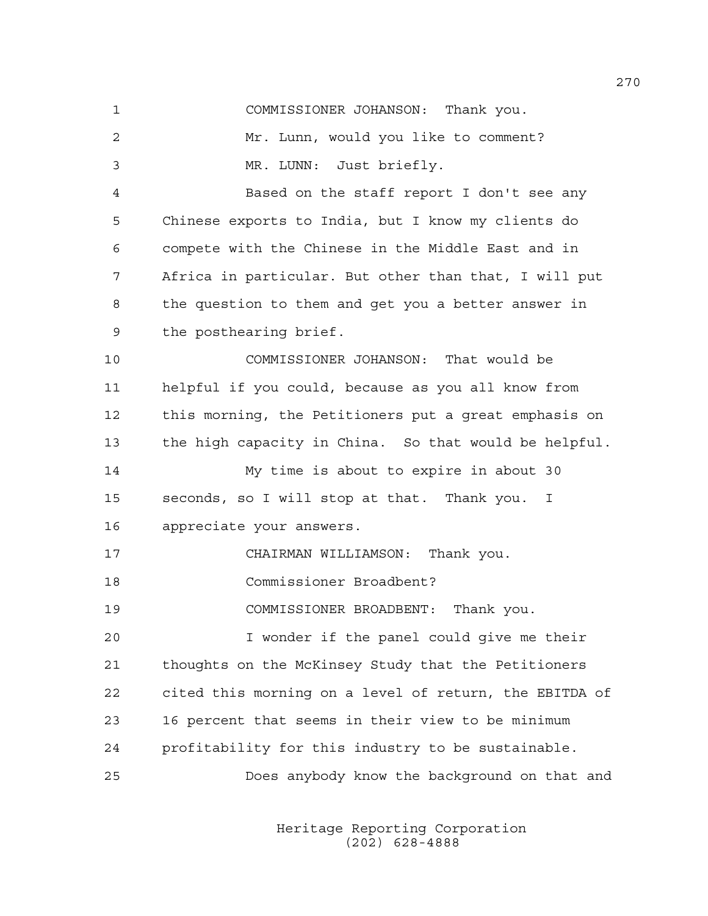1 COMMISSIONER JOHANSON: Thank you. 2 Mr. Lunn, would you like to comment? 3 MR. LUNN: Just briefly. 4 Based on the staff report I don't see any 5 Chinese exports to India, but I know my clients do 6 compete with the Chinese in the Middle East and in 7 Africa in particular. But other than that, I will put 8 the question to them and get you a better answer in 9 the posthearing brief. 10 COMMISSIONER JOHANSON: That would be 11 helpful if you could, because as you all know from 12 this morning, the Petitioners put a great emphasis on 13 the high capacity in China. So that would be helpful. 14 My time is about to expire in about 30 15 seconds, so I will stop at that. Thank you. I 16 appreciate your answers. 17 CHAIRMAN WILLIAMSON: Thank you. 18 Commissioner Broadbent? 19 COMMISSIONER BROADBENT: Thank you. 20 I wonder if the panel could give me their 21 thoughts on the McKinsey Study that the Petitioners 22 cited this morning on a level of return, the EBITDA of 23 16 percent that seems in their view to be minimum 24 profitability for this industry to be sustainable. 25 Does anybody know the background on that and

> Heritage Reporting Corporation (202) 628-4888

270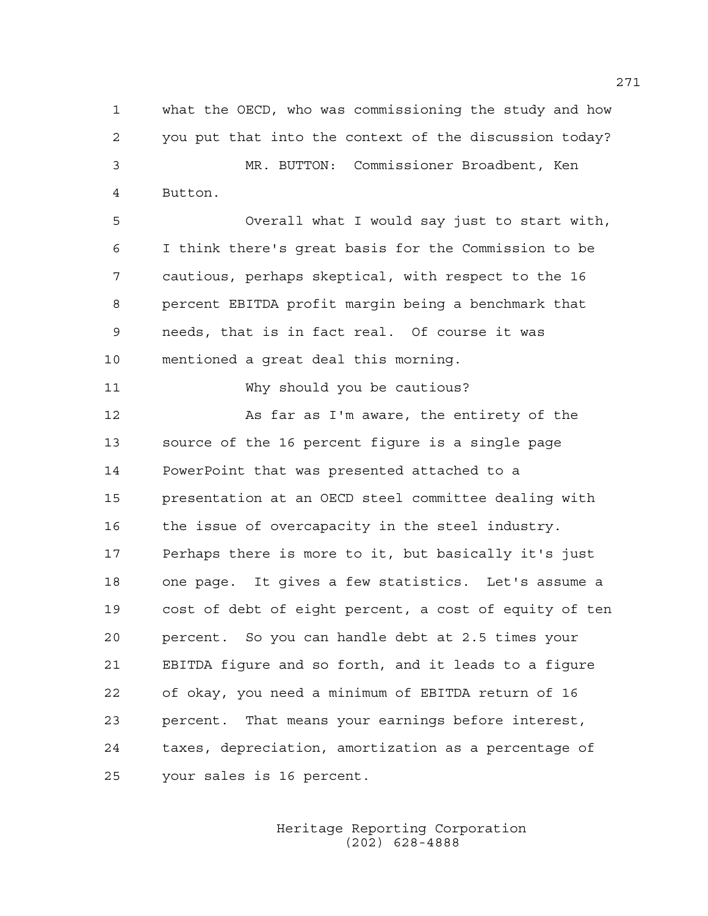1 what the OECD, who was commissioning the study and how 2 you put that into the context of the discussion today? 3 MR. BUTTON: Commissioner Broadbent, Ken 4 Button.

5 Overall what I would say just to start with, 6 I think there's great basis for the Commission to be 7 cautious, perhaps skeptical, with respect to the 16 8 percent EBITDA profit margin being a benchmark that 9 needs, that is in fact real. Of course it was 10 mentioned a great deal this morning.

11 Why should you be cautious?

12 As far as I'm aware, the entirety of the 13 source of the 16 percent figure is a single page 14 PowerPoint that was presented attached to a 15 presentation at an OECD steel committee dealing with 16 the issue of overcapacity in the steel industry. 17 Perhaps there is more to it, but basically it's just 18 one page. It gives a few statistics. Let's assume a 19 cost of debt of eight percent, a cost of equity of ten 20 percent. So you can handle debt at 2.5 times your 21 EBITDA figure and so forth, and it leads to a figure 22 of okay, you need a minimum of EBITDA return of 16 23 percent. That means your earnings before interest, 24 taxes, depreciation, amortization as a percentage of 25 your sales is 16 percent.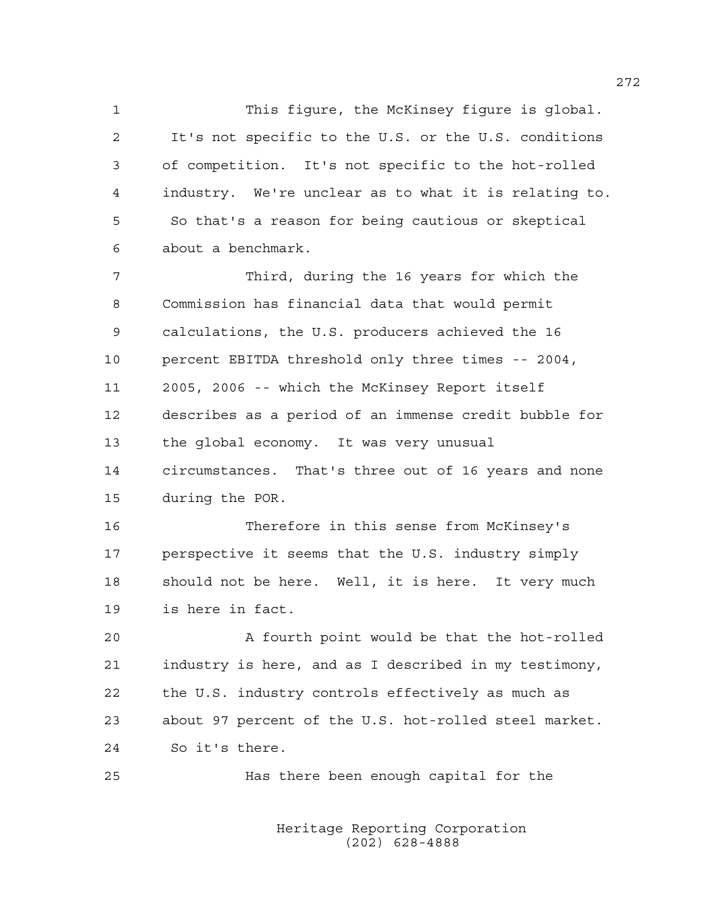1 This figure, the McKinsey figure is global. 2 It's not specific to the U.S. or the U.S. conditions 3 of competition. It's not specific to the hot-rolled 4 industry. We're unclear as to what it is relating to. 5 So that's a reason for being cautious or skeptical 6 about a benchmark.

7 Third, during the 16 years for which the 8 Commission has financial data that would permit 9 calculations, the U.S. producers achieved the 16 10 percent EBITDA threshold only three times -- 2004, 11 2005, 2006 -- which the McKinsey Report itself 12 describes as a period of an immense credit bubble for 13 the global economy. It was very unusual 14 circumstances. That's three out of 16 years and none 15 during the POR.

16 Therefore in this sense from McKinsey's 17 perspective it seems that the U.S. industry simply 18 should not be here. Well, it is here. It very much 19 is here in fact.

20 A fourth point would be that the hot-rolled 21 industry is here, and as I described in my testimony, 22 the U.S. industry controls effectively as much as 23 about 97 percent of the U.S. hot-rolled steel market. 24 So it's there.

25 Has there been enough capital for the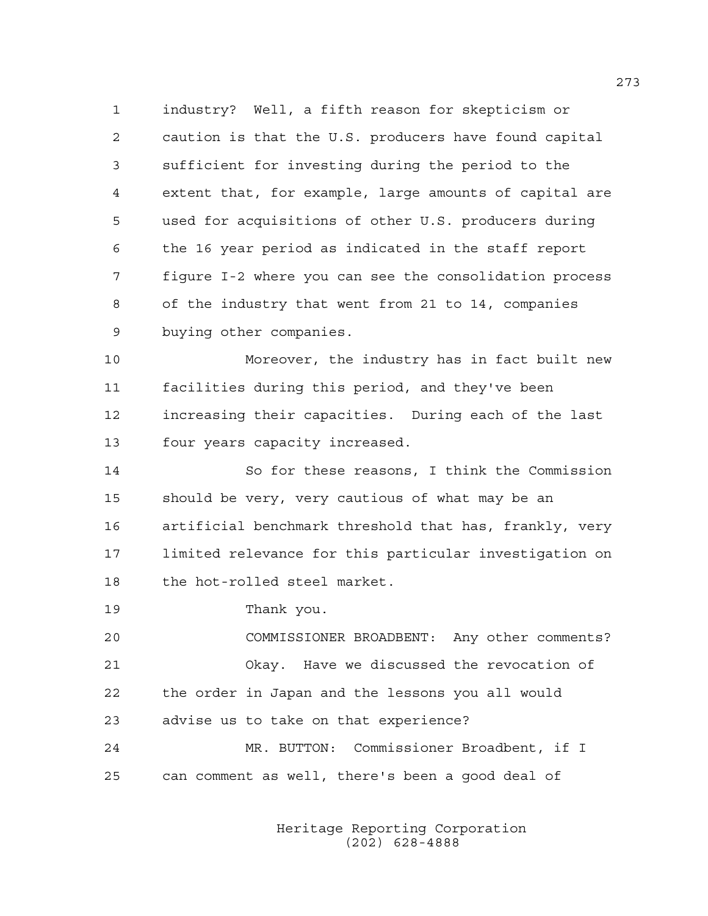1 industry? Well, a fifth reason for skepticism or 2 caution is that the U.S. producers have found capital 3 sufficient for investing during the period to the 4 extent that, for example, large amounts of capital are 5 used for acquisitions of other U.S. producers during 6 the 16 year period as indicated in the staff report 7 figure I-2 where you can see the consolidation process 8 of the industry that went from 21 to 14, companies 9 buying other companies.

10 Moreover, the industry has in fact built new 11 facilities during this period, and they've been 12 increasing their capacities. During each of the last 13 four years capacity increased.

14 So for these reasons, I think the Commission 15 should be very, very cautious of what may be an 16 artificial benchmark threshold that has, frankly, very 17 limited relevance for this particular investigation on 18 the hot-rolled steel market.

19 Thank you.

20 COMMISSIONER BROADBENT: Any other comments? 21 Okay. Have we discussed the revocation of 22 the order in Japan and the lessons you all would 23 advise us to take on that experience? 24 MR. BUTTON: Commissioner Broadbent, if I 25 can comment as well, there's been a good deal of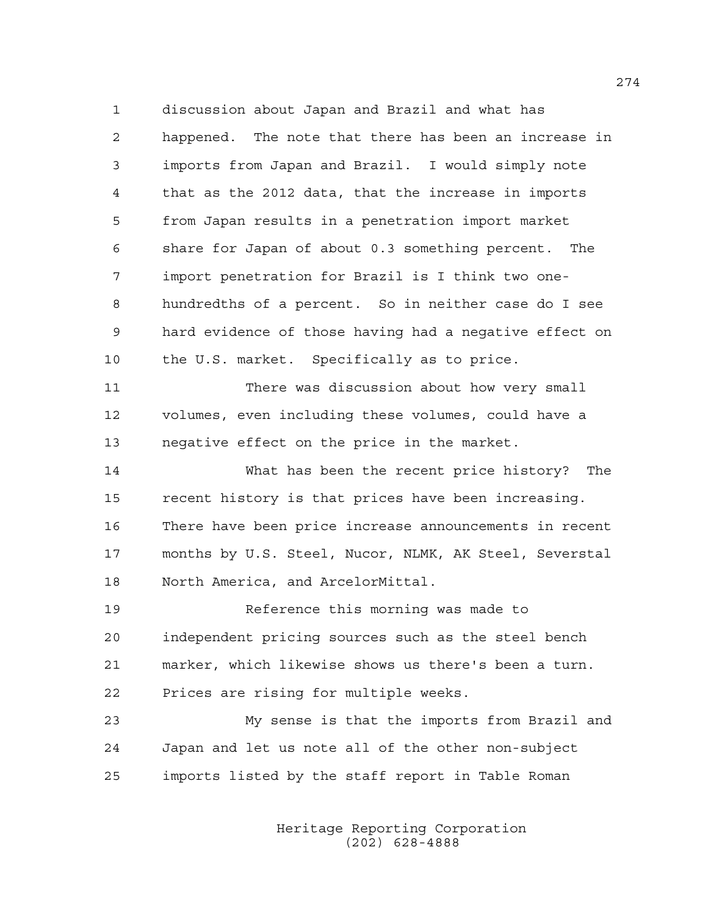1 discussion about Japan and Brazil and what has 2 happened. The note that there has been an increase in 3 imports from Japan and Brazil. I would simply note 4 that as the 2012 data, that the increase in imports 5 from Japan results in a penetration import market 6 share for Japan of about 0.3 something percent. The 7 import penetration for Brazil is I think two one-8 hundredths of a percent. So in neither case do I see 9 hard evidence of those having had a negative effect on 10 the U.S. market. Specifically as to price.

11 There was discussion about how very small 12 volumes, even including these volumes, could have a 13 negative effect on the price in the market.

14 What has been the recent price history? The 15 recent history is that prices have been increasing. 16 There have been price increase announcements in recent 17 months by U.S. Steel, Nucor, NLMK, AK Steel, Severstal 18 North America, and ArcelorMittal.

19 Reference this morning was made to 20 independent pricing sources such as the steel bench 21 marker, which likewise shows us there's been a turn. 22 Prices are rising for multiple weeks.

23 My sense is that the imports from Brazil and 24 Japan and let us note all of the other non-subject 25 imports listed by the staff report in Table Roman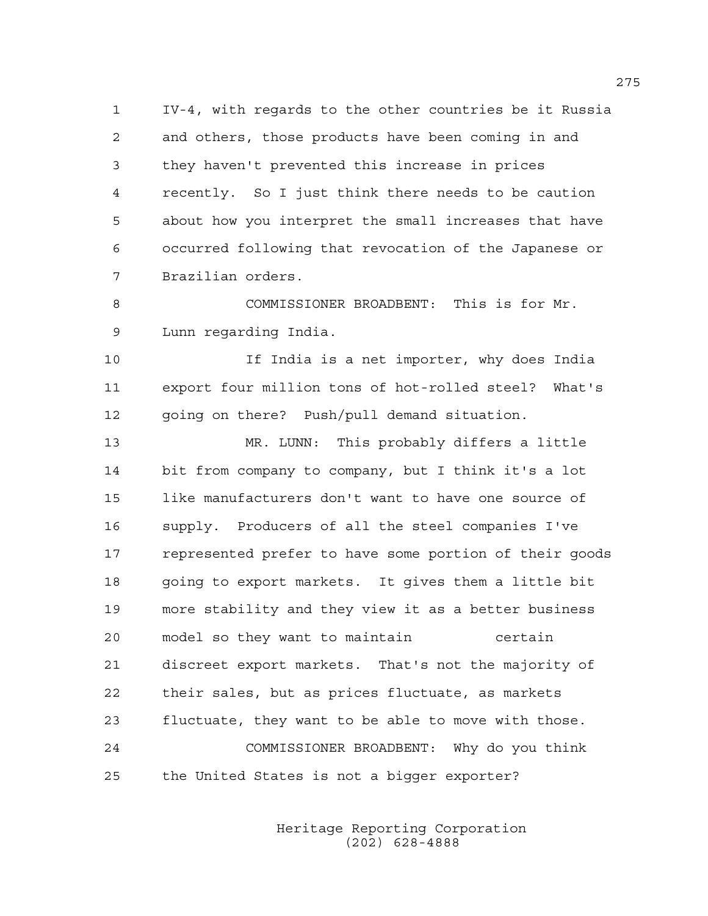1 IV-4, with regards to the other countries be it Russia 2 and others, those products have been coming in and 3 they haven't prevented this increase in prices 4 recently. So I just think there needs to be caution 5 about how you interpret the small increases that have 6 occurred following that revocation of the Japanese or 7 Brazilian orders.

8 COMMISSIONER BROADBENT: This is for Mr. 9 Lunn regarding India.

10 If India is a net importer, why does India 11 export four million tons of hot-rolled steel? What's 12 going on there? Push/pull demand situation.

13 MR. LUNN: This probably differs a little 14 bit from company to company, but I think it's a lot 15 like manufacturers don't want to have one source of 16 supply. Producers of all the steel companies I've 17 represented prefer to have some portion of their goods 18 going to export markets. It gives them a little bit 19 more stability and they view it as a better business 20 model so they want to maintain certain 21 discreet export markets. That's not the majority of 22 their sales, but as prices fluctuate, as markets 23 fluctuate, they want to be able to move with those. 24 COMMISSIONER BROADBENT: Why do you think 25 the United States is not a bigger exporter?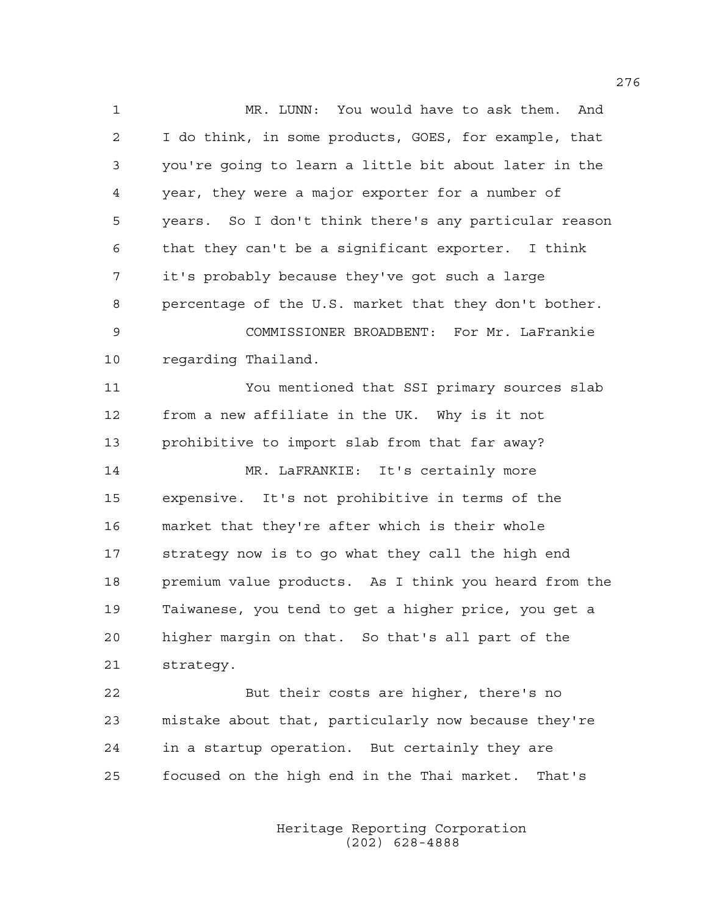1 MR. LUNN: You would have to ask them. And 2 I do think, in some products, GOES, for example, that 3 you're going to learn a little bit about later in the 4 year, they were a major exporter for a number of 5 years. So I don't think there's any particular reason 6 that they can't be a significant exporter. I think 7 it's probably because they've got such a large 8 percentage of the U.S. market that they don't bother. 9 COMMISSIONER BROADBENT: For Mr. LaFrankie 10 regarding Thailand.

11 You mentioned that SSI primary sources slab 12 from a new affiliate in the UK. Why is it not 13 prohibitive to import slab from that far away? 14 MR. LaFRANKIE: It's certainly more 15 expensive. It's not prohibitive in terms of the

16 market that they're after which is their whole 17 strategy now is to go what they call the high end 18 premium value products. As I think you heard from the 19 Taiwanese, you tend to get a higher price, you get a 20 higher margin on that. So that's all part of the 21 strategy.

22 But their costs are higher, there's no 23 mistake about that, particularly now because they're 24 in a startup operation. But certainly they are 25 focused on the high end in the Thai market. That's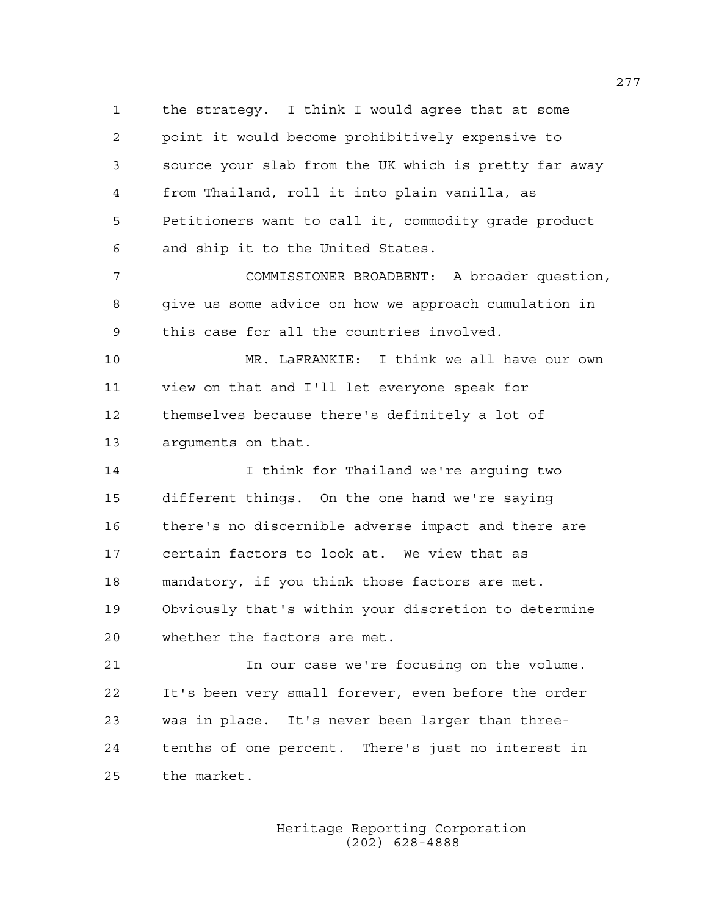1 the strategy. I think I would agree that at some 2 point it would become prohibitively expensive to 3 source your slab from the UK which is pretty far away 4 from Thailand, roll it into plain vanilla, as 5 Petitioners want to call it, commodity grade product 6 and ship it to the United States.

7 COMMISSIONER BROADBENT: A broader question, 8 give us some advice on how we approach cumulation in 9 this case for all the countries involved.

10 MR. LaFRANKIE: I think we all have our own 11 view on that and I'll let everyone speak for 12 themselves because there's definitely a lot of 13 arguments on that.

14 I think for Thailand we're arguing two 15 different things. On the one hand we're saying 16 there's no discernible adverse impact and there are 17 certain factors to look at. We view that as 18 mandatory, if you think those factors are met. 19 Obviously that's within your discretion to determine 20 whether the factors are met.

21 In our case we're focusing on the volume. 22 It's been very small forever, even before the order 23 was in place. It's never been larger than three-24 tenths of one percent. There's just no interest in 25 the market.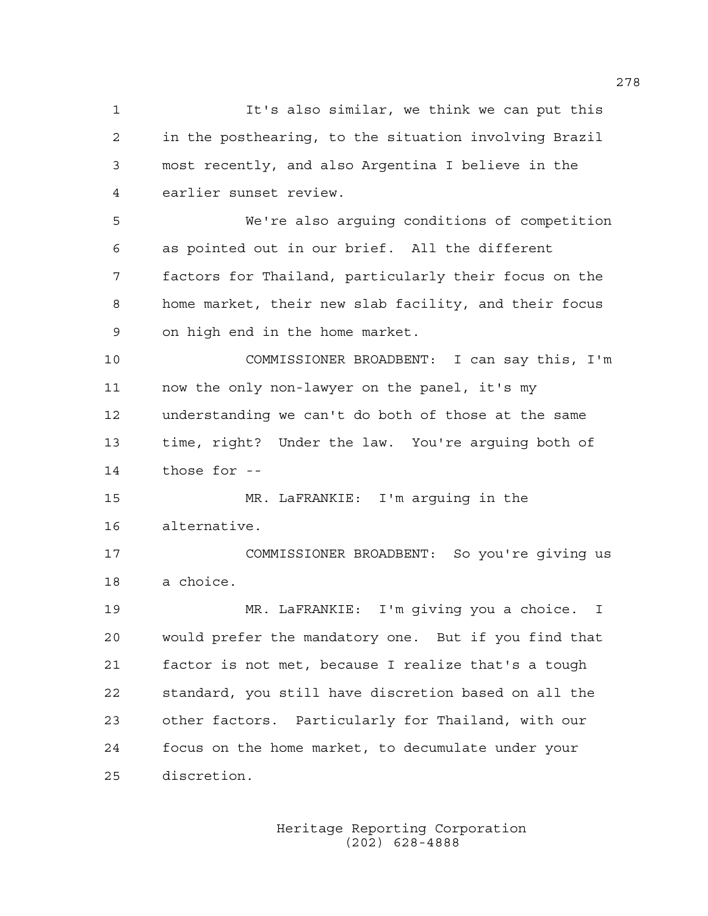1 It's also similar, we think we can put this 2 in the posthearing, to the situation involving Brazil 3 most recently, and also Argentina I believe in the 4 earlier sunset review.

5 We're also arguing conditions of competition 6 as pointed out in our brief. All the different 7 factors for Thailand, particularly their focus on the 8 home market, their new slab facility, and their focus 9 on high end in the home market.

10 COMMISSIONER BROADBENT: I can say this, I'm 11 now the only non-lawyer on the panel, it's my 12 understanding we can't do both of those at the same 13 time, right? Under the law. You're arguing both of 14 those for --

15 MR. LaFRANKIE: I'm arguing in the 16 alternative.

17 COMMISSIONER BROADBENT: So you're giving us 18 a choice.

19 MR. LaFRANKIE: I'm giving you a choice. I 20 would prefer the mandatory one. But if you find that 21 factor is not met, because I realize that's a tough 22 standard, you still have discretion based on all the 23 other factors. Particularly for Thailand, with our 24 focus on the home market, to decumulate under your 25 discretion.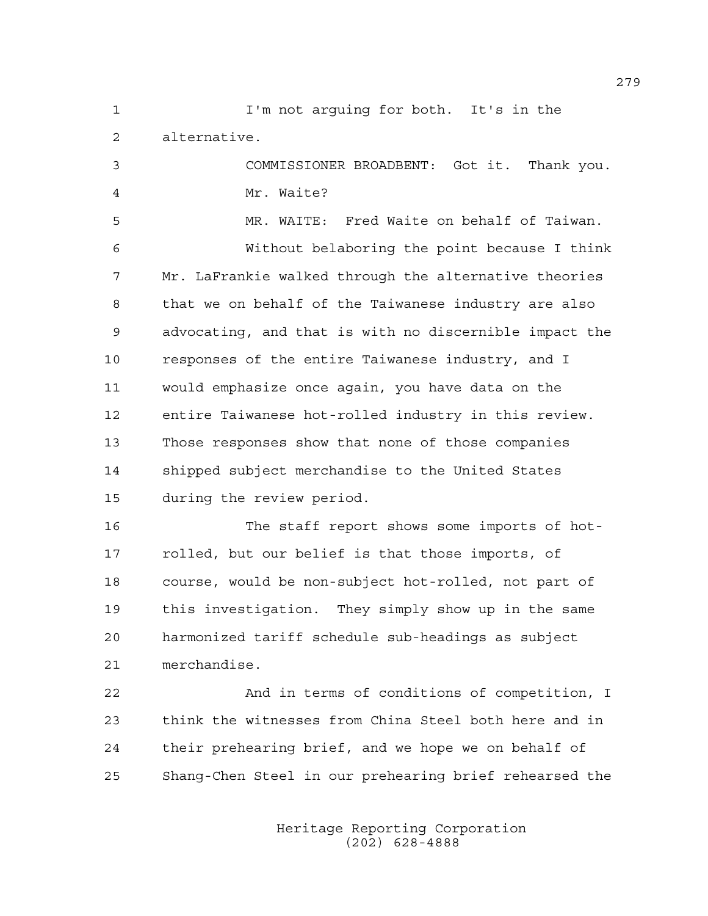1 I'm not arguing for both. It's in the 2 alternative.

3 COMMISSIONER BROADBENT: Got it. Thank you. 4 Mr. Waite?

5 MR. WAITE: Fred Waite on behalf of Taiwan. 6 Without belaboring the point because I think 7 Mr. LaFrankie walked through the alternative theories 8 that we on behalf of the Taiwanese industry are also 9 advocating, and that is with no discernible impact the 10 responses of the entire Taiwanese industry, and I 11 would emphasize once again, you have data on the 12 entire Taiwanese hot-rolled industry in this review. 13 Those responses show that none of those companies 14 shipped subject merchandise to the United States 15 during the review period.

16 The staff report shows some imports of hot-17 rolled, but our belief is that those imports, of 18 course, would be non-subject hot-rolled, not part of 19 this investigation. They simply show up in the same 20 harmonized tariff schedule sub-headings as subject 21 merchandise.

22 And in terms of conditions of competition, I 23 think the witnesses from China Steel both here and in 24 their prehearing brief, and we hope we on behalf of 25 Shang-Chen Steel in our prehearing brief rehearsed the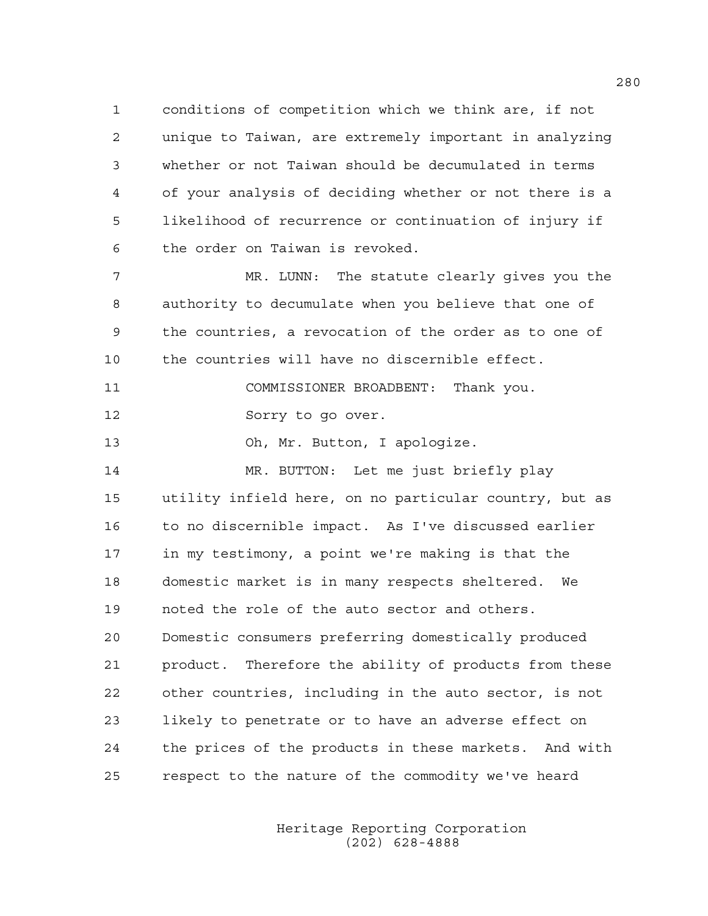1 conditions of competition which we think are, if not 2 unique to Taiwan, are extremely important in analyzing 3 whether or not Taiwan should be decumulated in terms 4 of your analysis of deciding whether or not there is a 5 likelihood of recurrence or continuation of injury if 6 the order on Taiwan is revoked.

7 MR. LUNN: The statute clearly gives you the 8 authority to decumulate when you believe that one of 9 the countries, a revocation of the order as to one of 10 the countries will have no discernible effect.

11 COMMISSIONER BROADBENT: Thank you. 12 Sorry to go over.

13 Oh, Mr. Button, I apologize.

14 MR. BUTTON: Let me just briefly play 15 utility infield here, on no particular country, but as 16 to no discernible impact. As I've discussed earlier 17 in my testimony, a point we're making is that the 18 domestic market is in many respects sheltered. We 19 noted the role of the auto sector and others. 20 Domestic consumers preferring domestically produced 21 product. Therefore the ability of products from these 22 other countries, including in the auto sector, is not 23 likely to penetrate or to have an adverse effect on 24 the prices of the products in these markets. And with 25 respect to the nature of the commodity we've heard

> Heritage Reporting Corporation (202) 628-4888

280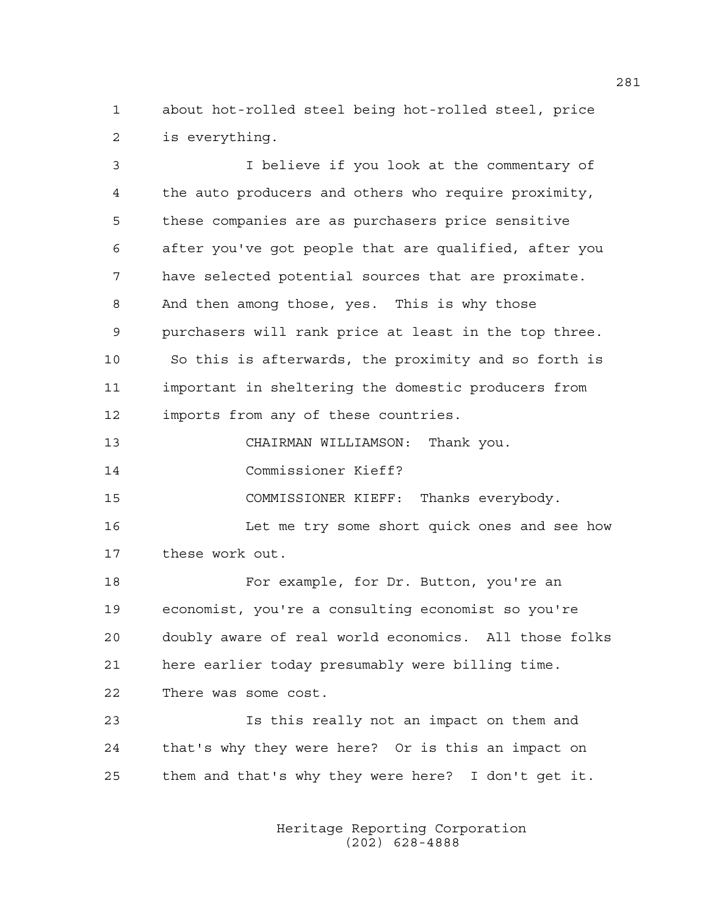1 about hot-rolled steel being hot-rolled steel, price 2 is everything.

3 I believe if you look at the commentary of 4 the auto producers and others who require proximity, 5 these companies are as purchasers price sensitive 6 after you've got people that are qualified, after you 7 have selected potential sources that are proximate. 8 And then among those, yes. This is why those 9 purchasers will rank price at least in the top three. 10 So this is afterwards, the proximity and so forth is 11 important in sheltering the domestic producers from 12 imports from any of these countries. 13 CHAIRMAN WILLIAMSON: Thank you. 14 Commissioner Kieff? 15 COMMISSIONER KIEFF: Thanks everybody. 16 Let me try some short quick ones and see how 17 these work out. 18 For example, for Dr. Button, you're an 19 economist, you're a consulting economist so you're 20 doubly aware of real world economics. All those folks 21 here earlier today presumably were billing time. 22 There was some cost. 23 Is this really not an impact on them and 24 that's why they were here? Or is this an impact on

> Heritage Reporting Corporation (202) 628-4888

25 them and that's why they were here? I don't get it.

281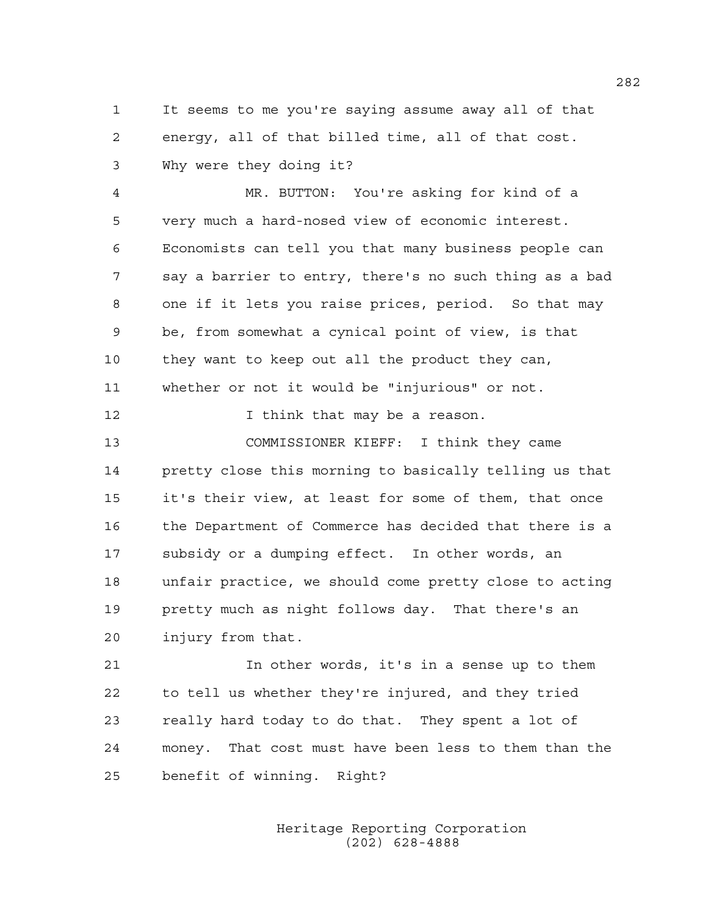1 It seems to me you're saying assume away all of that 2 energy, all of that billed time, all of that cost. 3 Why were they doing it?

4 MR. BUTTON: You're asking for kind of a 5 very much a hard-nosed view of economic interest. 6 Economists can tell you that many business people can 7 say a barrier to entry, there's no such thing as a bad 8 one if it lets you raise prices, period. So that may 9 be, from somewhat a cynical point of view, is that 10 they want to keep out all the product they can, 11 whether or not it would be "injurious" or not.

12 **I** think that may be a reason.

13 COMMISSIONER KIEFF: I think they came 14 pretty close this morning to basically telling us that 15 it's their view, at least for some of them, that once 16 the Department of Commerce has decided that there is a 17 subsidy or a dumping effect. In other words, an 18 unfair practice, we should come pretty close to acting 19 pretty much as night follows day. That there's an 20 injury from that.

21 In other words, it's in a sense up to them 22 to tell us whether they're injured, and they tried 23 really hard today to do that. They spent a lot of 24 money. That cost must have been less to them than the 25 benefit of winning. Right?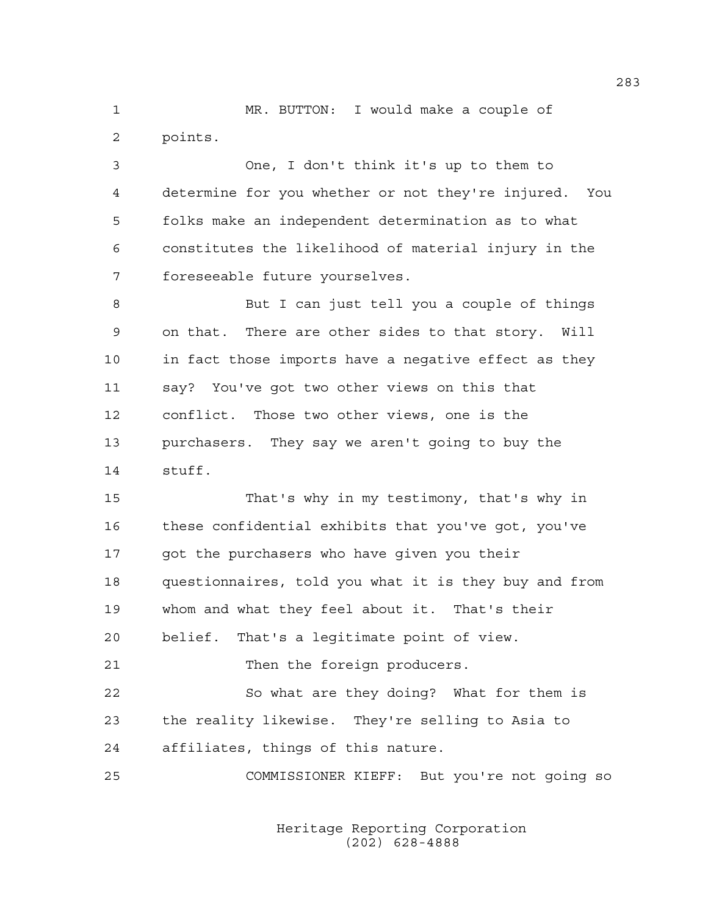1 MR. BUTTON: I would make a couple of 2 points.

3 One, I don't think it's up to them to 4 determine for you whether or not they're injured. You 5 folks make an independent determination as to what 6 constitutes the likelihood of material injury in the 7 foreseeable future yourselves.

8 But I can just tell you a couple of things 9 on that. There are other sides to that story. Will 10 in fact those imports have a negative effect as they 11 say? You've got two other views on this that 12 conflict. Those two other views, one is the 13 purchasers. They say we aren't going to buy the 14 stuff.

15 That's why in my testimony, that's why in 16 these confidential exhibits that you've got, you've 17 got the purchasers who have given you their 18 questionnaires, told you what it is they buy and from 19 whom and what they feel about it. That's their 20 belief. That's a legitimate point of view.

21 Then the foreign producers.

22 So what are they doing? What for them is 23 the reality likewise. They're selling to Asia to 24 affiliates, things of this nature.

25 COMMISSIONER KIEFF: But you're not going so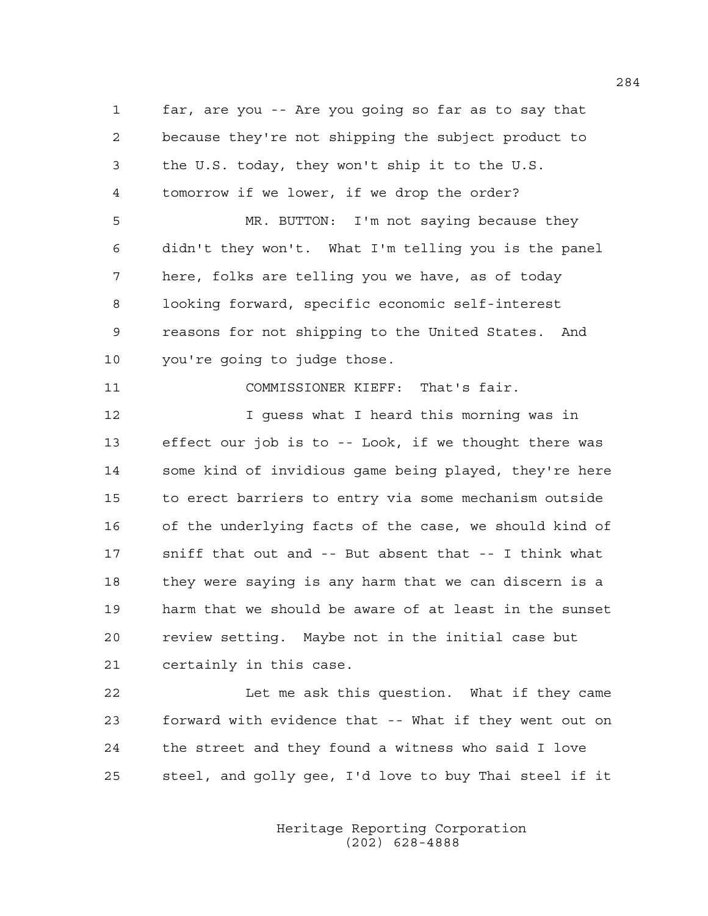1 far, are you -- Are you going so far as to say that 2 because they're not shipping the subject product to 3 the U.S. today, they won't ship it to the U.S. 4 tomorrow if we lower, if we drop the order? 5 MR. BUTTON: I'm not saying because they 6 didn't they won't. What I'm telling you is the panel 7 here, folks are telling you we have, as of today 8 looking forward, specific economic self-interest 9 reasons for not shipping to the United States. And 10 you're going to judge those. 11 COMMISSIONER KIEFF: That's fair. 12 I guess what I heard this morning was in 13 effect our job is to -- Look, if we thought there was 14 some kind of invidious game being played, they're here 15 to erect barriers to entry via some mechanism outside 16 of the underlying facts of the case, we should kind of 17 sniff that out and -- But absent that -- I think what 18 they were saying is any harm that we can discern is a 19 harm that we should be aware of at least in the sunset 20 review setting. Maybe not in the initial case but 21 certainly in this case. 22 Let me ask this question. What if they came

23 forward with evidence that -- What if they went out on 24 the street and they found a witness who said I love 25 steel, and golly gee, I'd love to buy Thai steel if it

> Heritage Reporting Corporation (202) 628-4888

284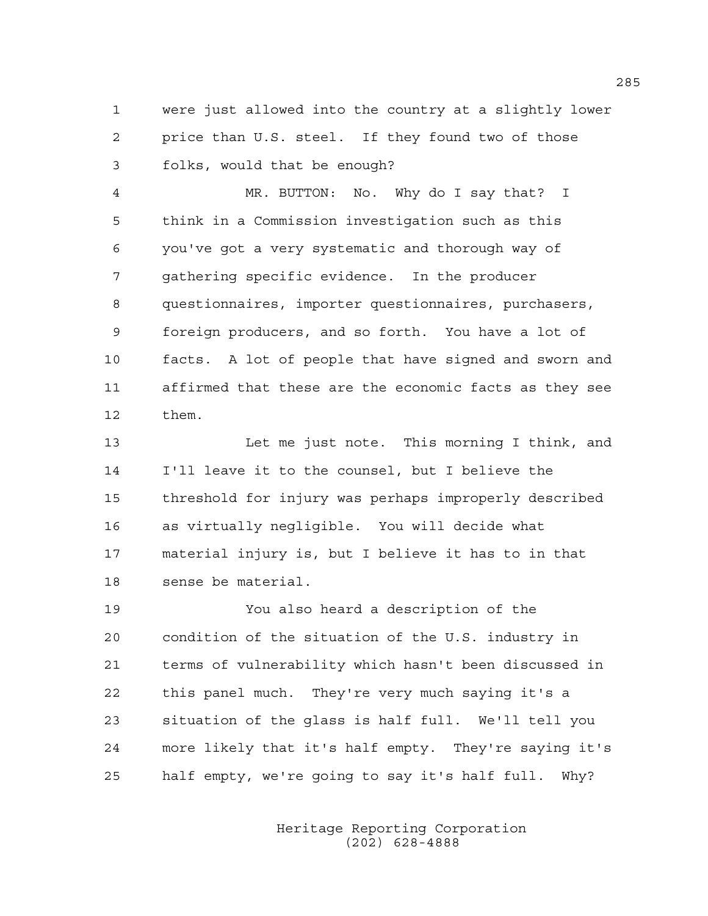1 were just allowed into the country at a slightly lower 2 price than U.S. steel. If they found two of those 3 folks, would that be enough?

4 MR. BUTTON: No. Why do I say that? I 5 think in a Commission investigation such as this 6 you've got a very systematic and thorough way of 7 gathering specific evidence. In the producer 8 questionnaires, importer questionnaires, purchasers, 9 foreign producers, and so forth. You have a lot of 10 facts. A lot of people that have signed and sworn and 11 affirmed that these are the economic facts as they see 12 them.

13 Let me just note. This morning I think, and 14 I'll leave it to the counsel, but I believe the 15 threshold for injury was perhaps improperly described 16 as virtually negligible. You will decide what 17 material injury is, but I believe it has to in that 18 sense be material.

19 You also heard a description of the 20 condition of the situation of the U.S. industry in 21 terms of vulnerability which hasn't been discussed in 22 this panel much. They're very much saying it's a 23 situation of the glass is half full. We'll tell you 24 more likely that it's half empty. They're saying it's 25 half empty, we're going to say it's half full. Why?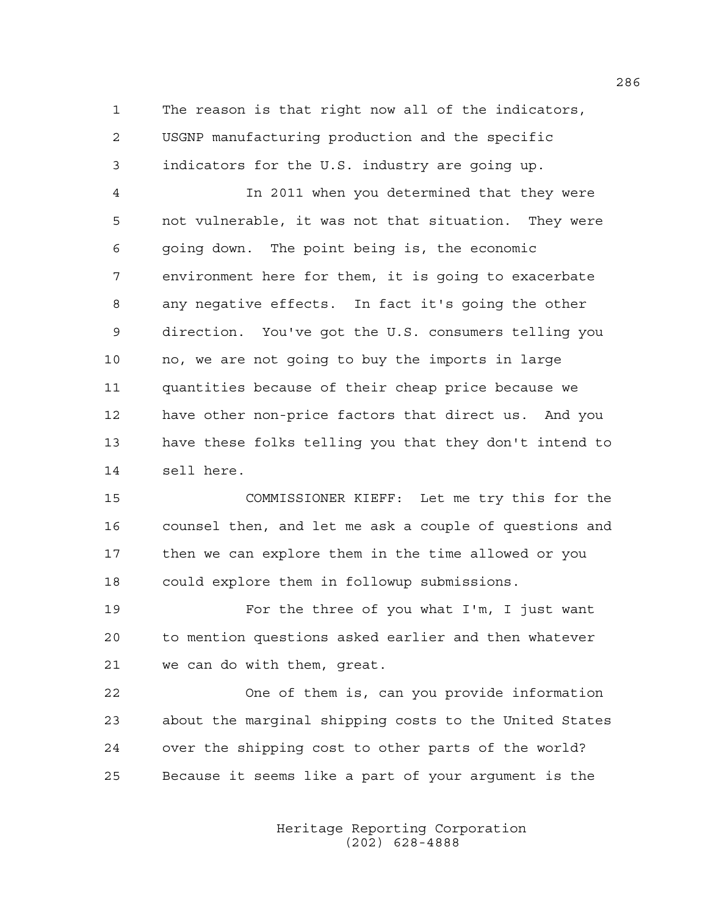1 The reason is that right now all of the indicators, 2 USGNP manufacturing production and the specific 3 indicators for the U.S. industry are going up.

4 In 2011 when you determined that they were 5 not vulnerable, it was not that situation. They were 6 going down. The point being is, the economic 7 environment here for them, it is going to exacerbate 8 any negative effects. In fact it's going the other 9 direction. You've got the U.S. consumers telling you 10 no, we are not going to buy the imports in large 11 quantities because of their cheap price because we 12 have other non-price factors that direct us. And you 13 have these folks telling you that they don't intend to 14 sell here.

15 COMMISSIONER KIEFF: Let me try this for the 16 counsel then, and let me ask a couple of questions and 17 then we can explore them in the time allowed or you 18 could explore them in followup submissions.

19 For the three of you what I'm, I just want 20 to mention questions asked earlier and then whatever 21 we can do with them, great.

22 One of them is, can you provide information 23 about the marginal shipping costs to the United States 24 over the shipping cost to other parts of the world? 25 Because it seems like a part of your argument is the

> Heritage Reporting Corporation (202) 628-4888

286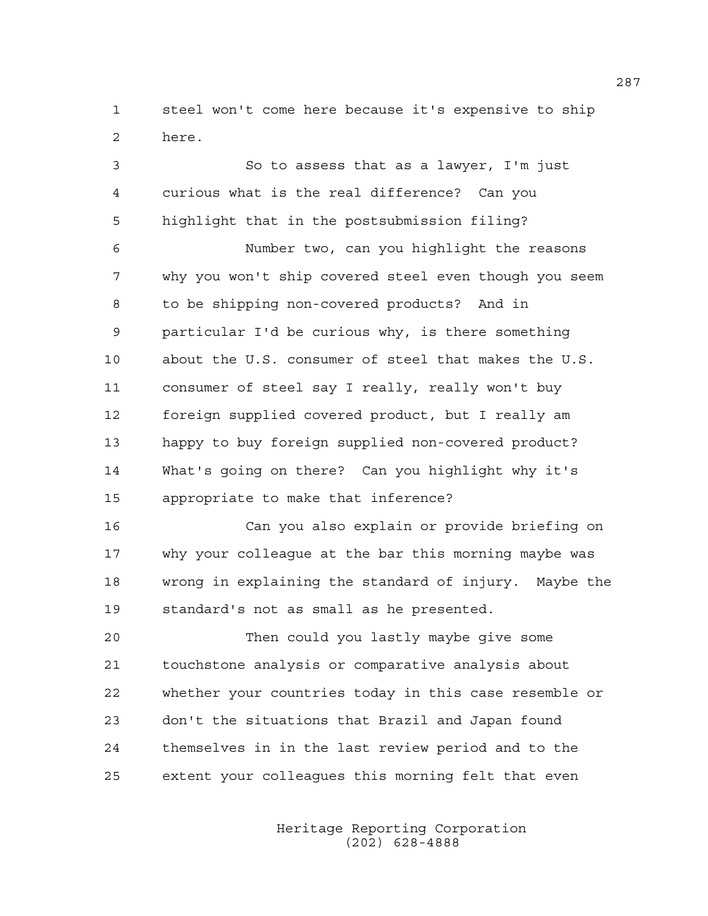1 steel won't come here because it's expensive to ship 2 here.

3 So to assess that as a lawyer, I'm just 4 curious what is the real difference? Can you 5 highlight that in the postsubmission filing? 6 Number two, can you highlight the reasons 7 why you won't ship covered steel even though you seem 8 to be shipping non-covered products? And in 9 particular I'd be curious why, is there something 10 about the U.S. consumer of steel that makes the U.S. 11 consumer of steel say I really, really won't buy 12 foreign supplied covered product, but I really am 13 happy to buy foreign supplied non-covered product? 14 What's going on there? Can you highlight why it's 15 appropriate to make that inference? 16 Can you also explain or provide briefing on

17 why your colleague at the bar this morning maybe was 18 wrong in explaining the standard of injury. Maybe the 19 standard's not as small as he presented.

20 Then could you lastly maybe give some 21 touchstone analysis or comparative analysis about 22 whether your countries today in this case resemble or 23 don't the situations that Brazil and Japan found 24 themselves in in the last review period and to the 25 extent your colleagues this morning felt that even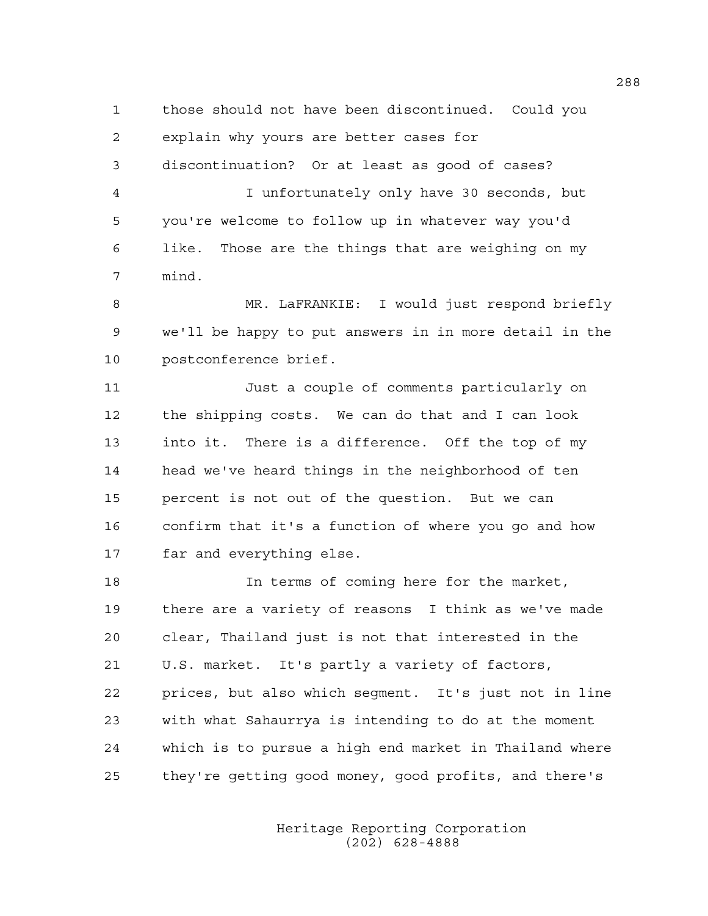1 those should not have been discontinued. Could you 2 explain why yours are better cases for 3 discontinuation? Or at least as good of cases? 4 I unfortunately only have 30 seconds, but 5 you're welcome to follow up in whatever way you'd 6 like. Those are the things that are weighing on my 7 mind.

8 MR. LaFRANKIE: I would just respond briefly 9 we'll be happy to put answers in in more detail in the 10 postconference brief.

11 Just a couple of comments particularly on 12 the shipping costs. We can do that and I can look 13 into it. There is a difference. Off the top of my 14 head we've heard things in the neighborhood of ten 15 percent is not out of the question. But we can 16 confirm that it's a function of where you go and how 17 far and everything else.

18 In terms of coming here for the market, 19 there are a variety of reasons I think as we've made 20 clear, Thailand just is not that interested in the 21 U.S. market. It's partly a variety of factors, 22 prices, but also which segment. It's just not in line 23 with what Sahaurrya is intending to do at the moment 24 which is to pursue a high end market in Thailand where 25 they're getting good money, good profits, and there's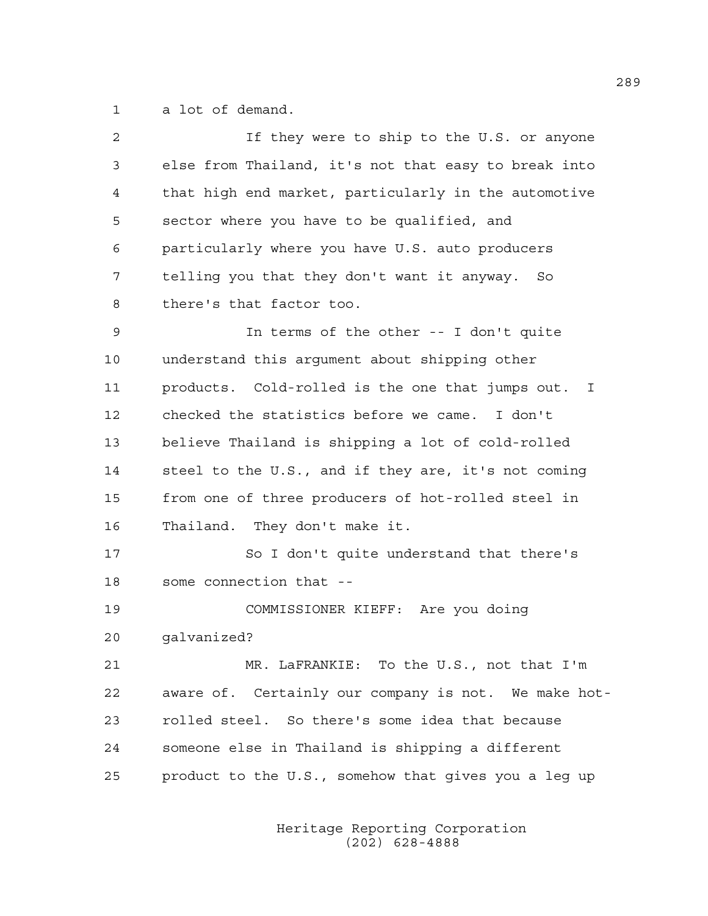1 a lot of demand.

| 2  | If they were to ship to the U.S. or anyone           |
|----|------------------------------------------------------|
| 3  | else from Thailand, it's not that easy to break into |
| 4  | that high end market, particularly in the automotive |
| 5  | sector where you have to be qualified, and           |
| 6  | particularly where you have U.S. auto producers      |
| 7  | telling you that they don't want it anyway. So       |
| 8  | there's that factor too.                             |
| 9  | In terms of the other -- I don't quite               |
| 10 | understand this argument about shipping other        |
| 11 | products. Cold-rolled is the one that jumps out. I   |
| 12 | checked the statistics before we came. I don't       |
| 13 | believe Thailand is shipping a lot of cold-rolled    |
| 14 | steel to the U.S., and if they are, it's not coming  |
| 15 | from one of three producers of hot-rolled steel in   |
| 16 | Thailand. They don't make it.                        |
| 17 | So I don't quite understand that there's             |
| 18 | some connection that --                              |
| 19 | COMMISSIONER KIEFF: Are you doing                    |
| 20 | qalvanized?                                          |
| 21 | MR. LaFRANKIE: To the U.S., not that I'm             |
| 22 | aware of. Certainly our company is not. We make hot- |
| 23 | rolled steel. So there's some idea that because      |
| 24 | someone else in Thailand is shipping a different     |
| 25 | product to the U.S., somehow that gives you a leg up |
|    |                                                      |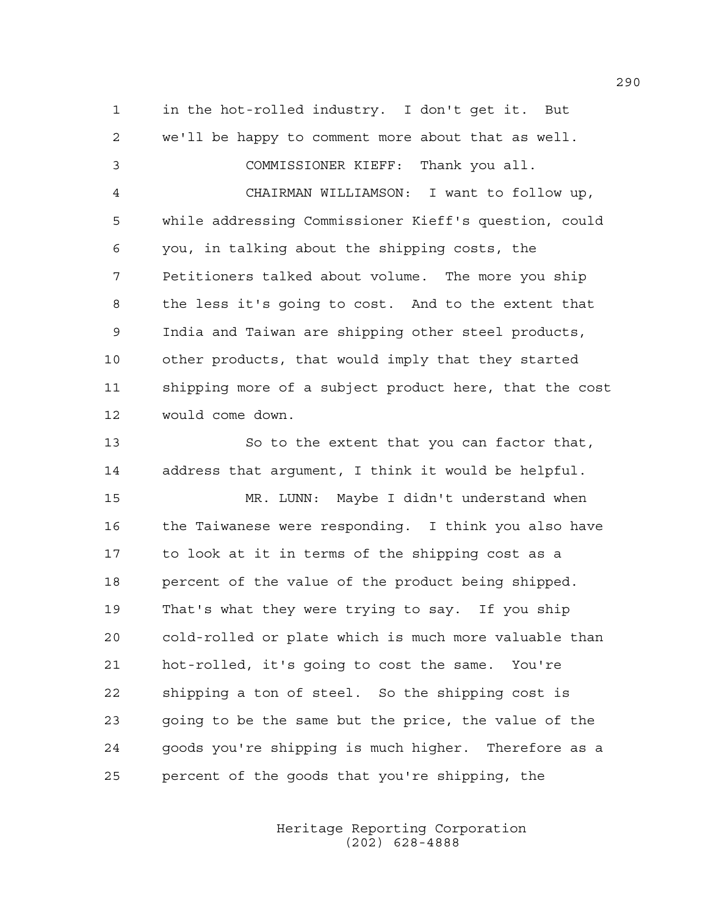1 in the hot-rolled industry. I don't get it. But 2 we'll be happy to comment more about that as well. 3 COMMISSIONER KIEFF: Thank you all. 4 CHAIRMAN WILLIAMSON: I want to follow up, 5 while addressing Commissioner Kieff's question, could 6 you, in talking about the shipping costs, the 7 Petitioners talked about volume. The more you ship 8 the less it's going to cost. And to the extent that 9 India and Taiwan are shipping other steel products, 10 other products, that would imply that they started 11 shipping more of a subject product here, that the cost 12 would come down.

13 So to the extent that you can factor that, 14 address that argument, I think it would be helpful.

15 MR. LUNN: Maybe I didn't understand when 16 the Taiwanese were responding. I think you also have 17 to look at it in terms of the shipping cost as a 18 percent of the value of the product being shipped. 19 That's what they were trying to say. If you ship 20 cold-rolled or plate which is much more valuable than 21 hot-rolled, it's going to cost the same. You're 22 shipping a ton of steel. So the shipping cost is 23 going to be the same but the price, the value of the 24 goods you're shipping is much higher. Therefore as a 25 percent of the goods that you're shipping, the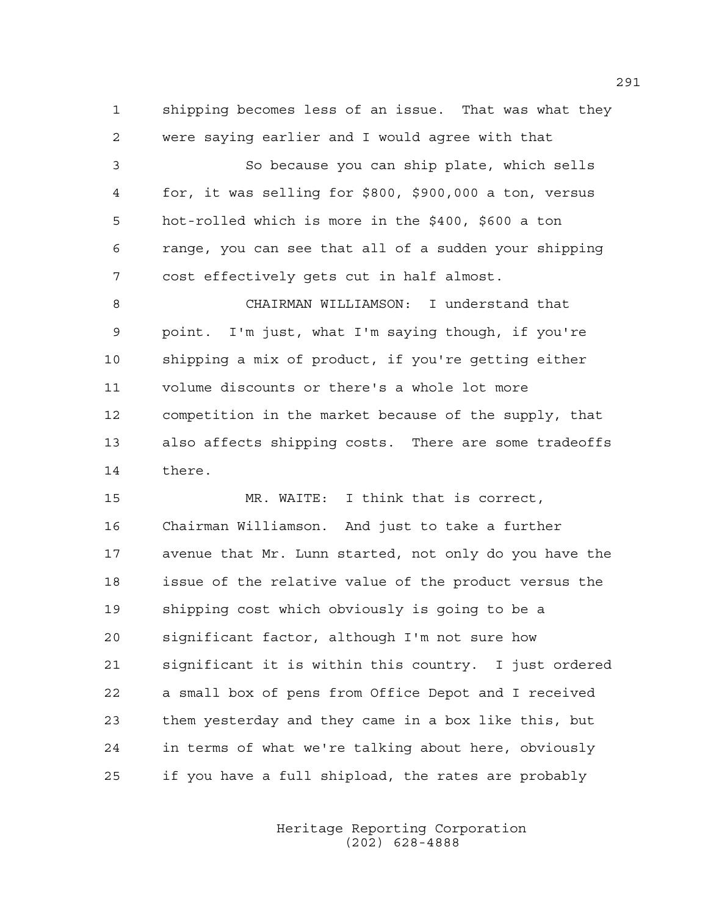1 shipping becomes less of an issue. That was what they 2 were saying earlier and I would agree with that

3 So because you can ship plate, which sells 4 for, it was selling for \$800, \$900,000 a ton, versus 5 hot-rolled which is more in the \$400, \$600 a ton 6 range, you can see that all of a sudden your shipping 7 cost effectively gets cut in half almost.

8 CHAIRMAN WILLIAMSON: I understand that 9 point. I'm just, what I'm saying though, if you're 10 shipping a mix of product, if you're getting either 11 volume discounts or there's a whole lot more 12 competition in the market because of the supply, that 13 also affects shipping costs. There are some tradeoffs 14 there.

15 MR. WAITE: I think that is correct, 16 Chairman Williamson. And just to take a further 17 avenue that Mr. Lunn started, not only do you have the 18 issue of the relative value of the product versus the 19 shipping cost which obviously is going to be a 20 significant factor, although I'm not sure how 21 significant it is within this country. I just ordered 22 a small box of pens from Office Depot and I received 23 them yesterday and they came in a box like this, but 24 in terms of what we're talking about here, obviously 25 if you have a full shipload, the rates are probably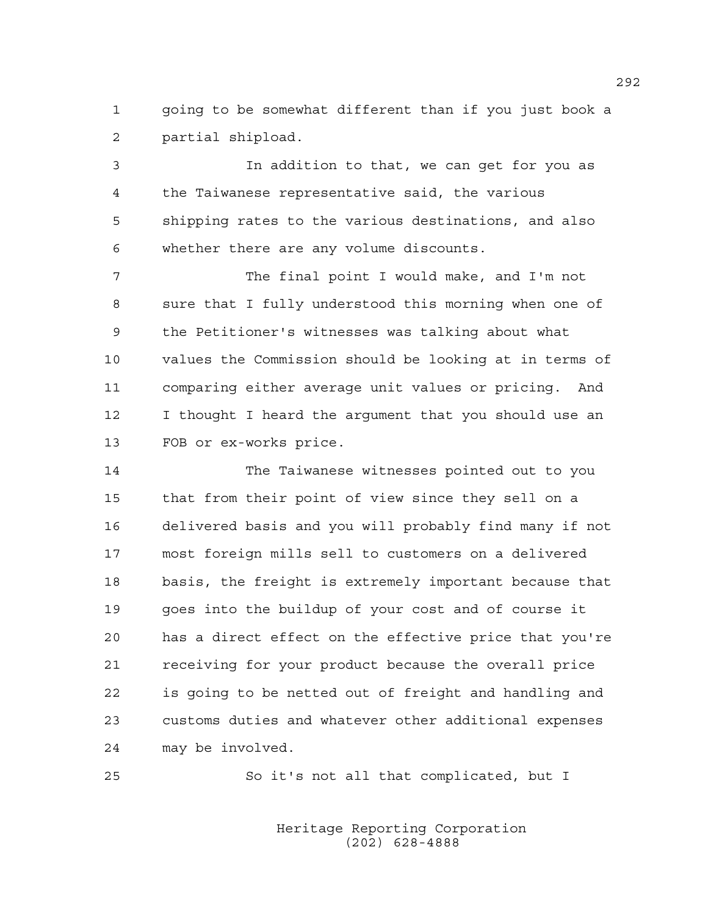1 going to be somewhat different than if you just book a 2 partial shipload.

3 In addition to that, we can get for you as 4 the Taiwanese representative said, the various 5 shipping rates to the various destinations, and also 6 whether there are any volume discounts.

7 The final point I would make, and I'm not 8 sure that I fully understood this morning when one of 9 the Petitioner's witnesses was talking about what 10 values the Commission should be looking at in terms of 11 comparing either average unit values or pricing. And 12 I thought I heard the argument that you should use an 13 FOB or ex-works price.

14 The Taiwanese witnesses pointed out to you 15 that from their point of view since they sell on a 16 delivered basis and you will probably find many if not 17 most foreign mills sell to customers on a delivered 18 basis, the freight is extremely important because that 19 goes into the buildup of your cost and of course it 20 has a direct effect on the effective price that you're 21 receiving for your product because the overall price 22 is going to be netted out of freight and handling and 23 customs duties and whatever other additional expenses 24 may be involved.

25 So it's not all that complicated, but I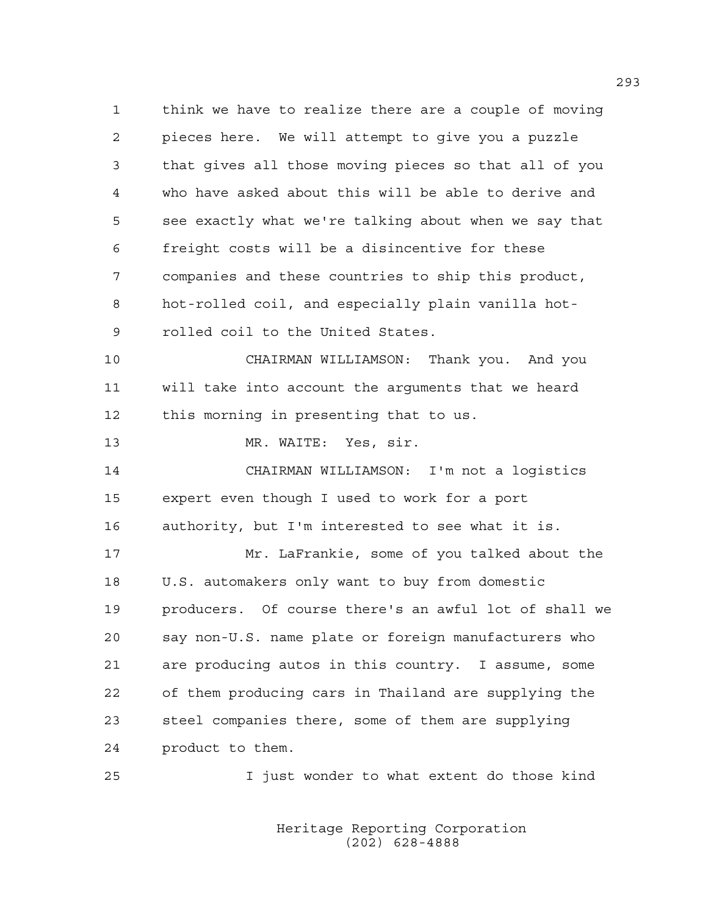1 think we have to realize there are a couple of moving 2 pieces here. We will attempt to give you a puzzle 3 that gives all those moving pieces so that all of you 4 who have asked about this will be able to derive and 5 see exactly what we're talking about when we say that 6 freight costs will be a disincentive for these 7 companies and these countries to ship this product, 8 hot-rolled coil, and especially plain vanilla hot-9 rolled coil to the United States. 10 CHAIRMAN WILLIAMSON: Thank you. And you 11 will take into account the arguments that we heard 12 this morning in presenting that to us. 13 MR. WAITE: Yes, sir. 14 CHAIRMAN WILLIAMSON: I'm not a logistics 15 expert even though I used to work for a port 16 authority, but I'm interested to see what it is. 17 Mr. LaFrankie, some of you talked about the 18 U.S. automakers only want to buy from domestic 19 producers. Of course there's an awful lot of shall we 20 say non-U.S. name plate or foreign manufacturers who 21 are producing autos in this country. I assume, some 22 of them producing cars in Thailand are supplying the 23 steel companies there, some of them are supplying 24 product to them. 25 I just wonder to what extent do those kind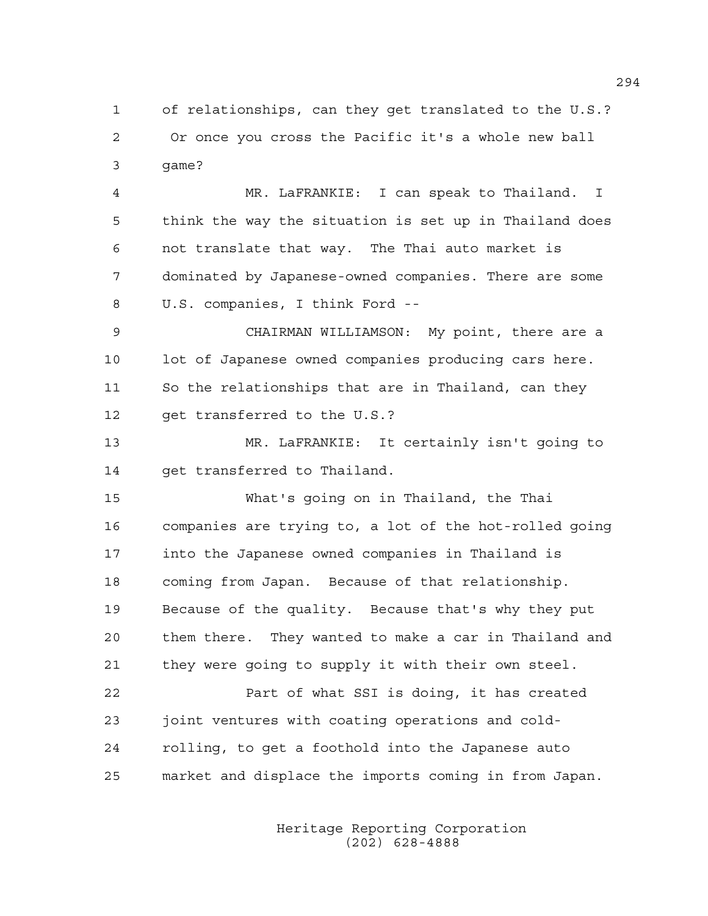1 of relationships, can they get translated to the U.S.? 2 Or once you cross the Pacific it's a whole new ball 3 game?

4 MR. LaFRANKIE: I can speak to Thailand. I 5 think the way the situation is set up in Thailand does 6 not translate that way. The Thai auto market is 7 dominated by Japanese-owned companies. There are some 8 U.S. companies, I think Ford --

9 CHAIRMAN WILLIAMSON: My point, there are a 10 lot of Japanese owned companies producing cars here. 11 So the relationships that are in Thailand, can they 12 get transferred to the U.S.?

13 MR. LaFRANKIE: It certainly isn't going to 14 get transferred to Thailand.

15 What's going on in Thailand, the Thai 16 companies are trying to, a lot of the hot-rolled going 17 into the Japanese owned companies in Thailand is 18 coming from Japan. Because of that relationship. 19 Because of the quality. Because that's why they put 20 them there. They wanted to make a car in Thailand and 21 they were going to supply it with their own steel.

22 Part of what SSI is doing, it has created 23 joint ventures with coating operations and cold-24 rolling, to get a foothold into the Japanese auto 25 market and displace the imports coming in from Japan.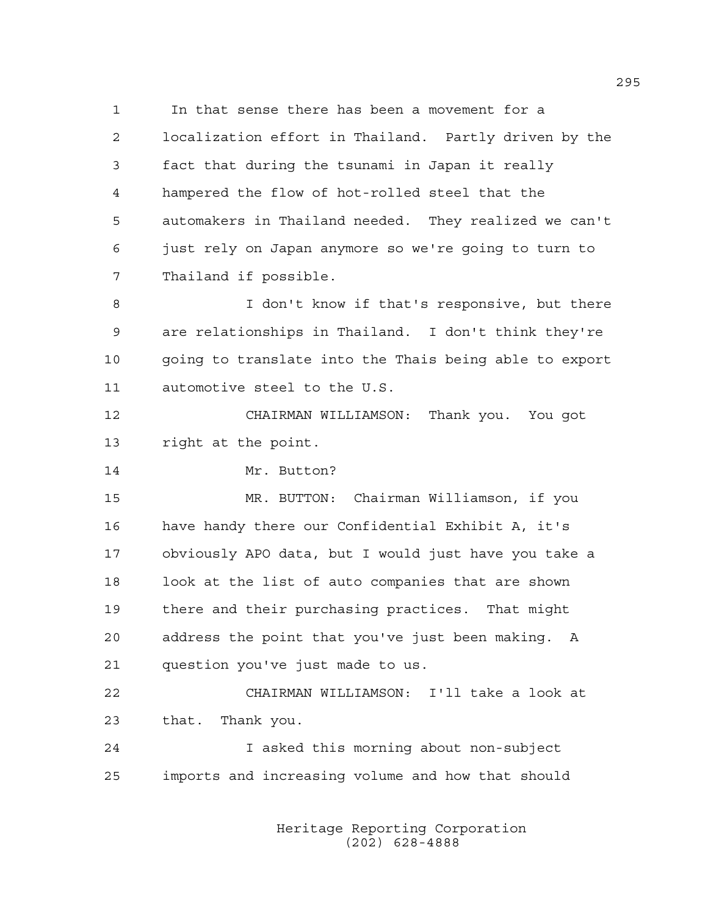1 In that sense there has been a movement for a 2 localization effort in Thailand. Partly driven by the 3 fact that during the tsunami in Japan it really 4 hampered the flow of hot-rolled steel that the 5 automakers in Thailand needed. They realized we can't 6 just rely on Japan anymore so we're going to turn to 7 Thailand if possible.

8 I don't know if that's responsive, but there 9 are relationships in Thailand. I don't think they're 10 going to translate into the Thais being able to export 11 automotive steel to the U.S.

12 CHAIRMAN WILLIAMSON: Thank you. You got 13 right at the point.

14 Mr. Button?

15 MR. BUTTON: Chairman Williamson, if you 16 have handy there our Confidential Exhibit A, it's 17 obviously APO data, but I would just have you take a 18 look at the list of auto companies that are shown 19 there and their purchasing practices. That might 20 address the point that you've just been making. A 21 question you've just made to us.

22 CHAIRMAN WILLIAMSON: I'll take a look at 23 that. Thank you.

24 I asked this morning about non-subject 25 imports and increasing volume and how that should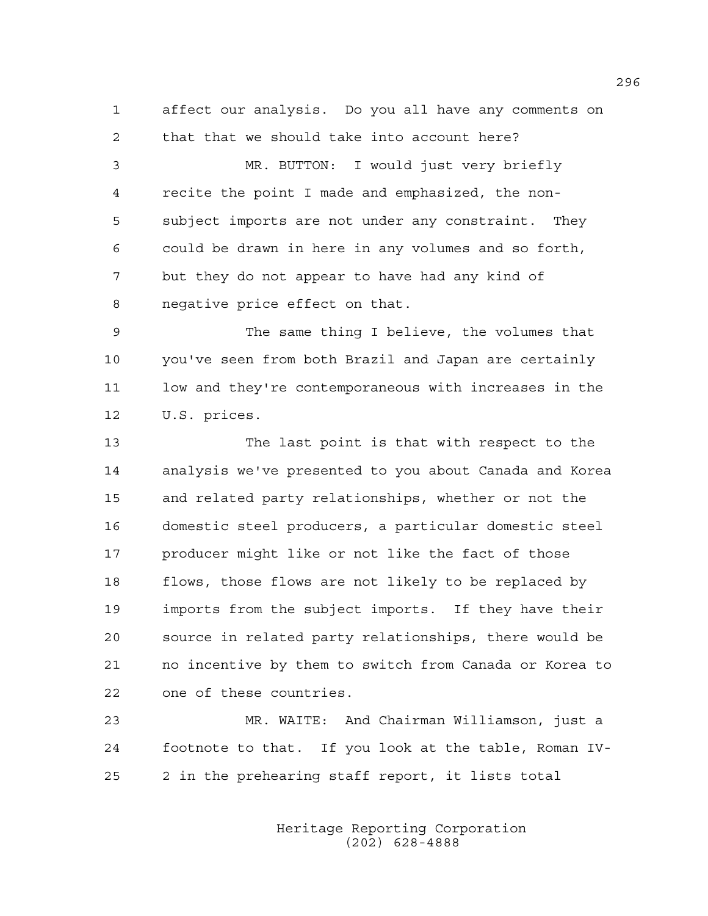1 affect our analysis. Do you all have any comments on 2 that that we should take into account here?

3 MR. BUTTON: I would just very briefly 4 recite the point I made and emphasized, the non-5 subject imports are not under any constraint. They 6 could be drawn in here in any volumes and so forth, 7 but they do not appear to have had any kind of 8 negative price effect on that.

9 The same thing I believe, the volumes that 10 you've seen from both Brazil and Japan are certainly 11 low and they're contemporaneous with increases in the 12 U.S. prices.

13 The last point is that with respect to the 14 analysis we've presented to you about Canada and Korea 15 and related party relationships, whether or not the 16 domestic steel producers, a particular domestic steel 17 producer might like or not like the fact of those 18 flows, those flows are not likely to be replaced by 19 imports from the subject imports. If they have their 20 source in related party relationships, there would be 21 no incentive by them to switch from Canada or Korea to 22 one of these countries.

23 MR. WAITE: And Chairman Williamson, just a 24 footnote to that. If you look at the table, Roman IV-25 2 in the prehearing staff report, it lists total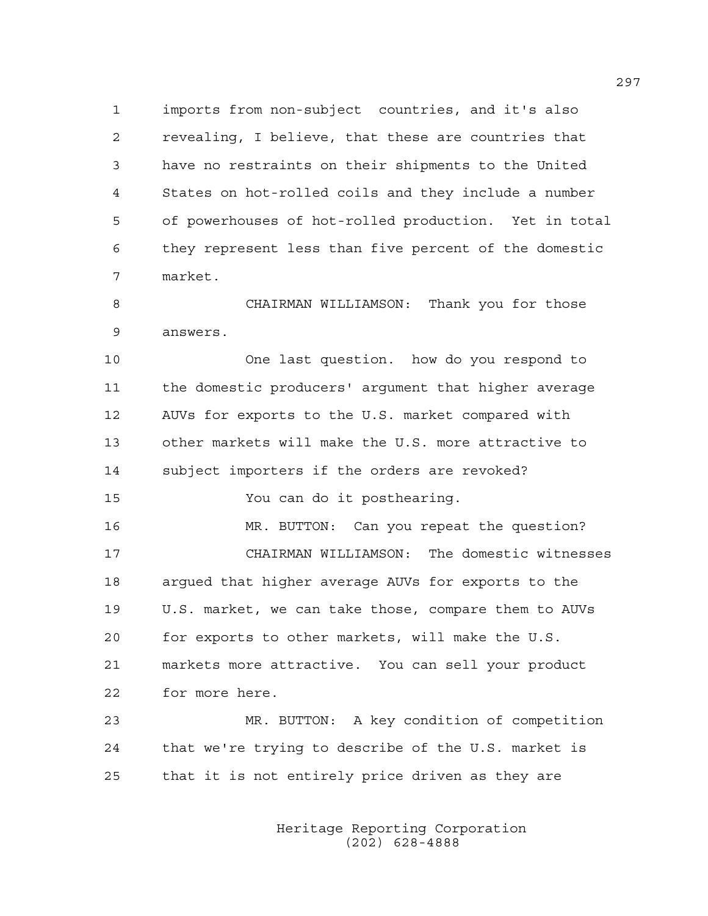1 imports from non-subject countries, and it's also 2 revealing, I believe, that these are countries that 3 have no restraints on their shipments to the United 4 States on hot-rolled coils and they include a number 5 of powerhouses of hot-rolled production. Yet in total 6 they represent less than five percent of the domestic 7 market.

8 CHAIRMAN WILLIAMSON: Thank you for those 9 answers.

10 One last question. how do you respond to 11 the domestic producers' argument that higher average 12 AUVs for exports to the U.S. market compared with 13 other markets will make the U.S. more attractive to 14 subject importers if the orders are revoked? 15 You can do it posthearing. 16 MR. BUTTON: Can you repeat the question?

17 CHAIRMAN WILLIAMSON: The domestic witnesses 18 argued that higher average AUVs for exports to the 19 U.S. market, we can take those, compare them to AUVs 20 for exports to other markets, will make the U.S. 21 markets more attractive. You can sell your product 22 for more here.

23 MR. BUTTON: A key condition of competition 24 that we're trying to describe of the U.S. market is 25 that it is not entirely price driven as they are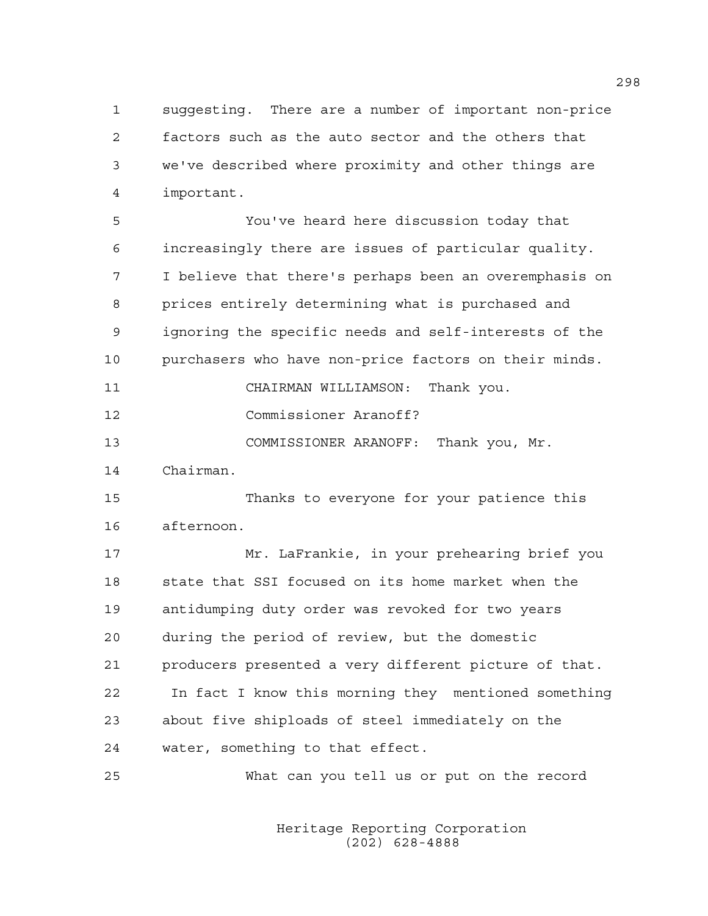1 suggesting. There are a number of important non-price 2 factors such as the auto sector and the others that 3 we've described where proximity and other things are 4 important.

5 You've heard here discussion today that 6 increasingly there are issues of particular quality. 7 I believe that there's perhaps been an overemphasis on 8 prices entirely determining what is purchased and 9 ignoring the specific needs and self-interests of the 10 purchasers who have non-price factors on their minds. 11 CHAIRMAN WILLIAMSON: Thank you.

12 Commissioner Aranoff?

13 COMMISSIONER ARANOFF: Thank you, Mr.

14 Chairman.

15 Thanks to everyone for your patience this 16 afternoon.

17 Mr. LaFrankie, in your prehearing brief you 18 state that SSI focused on its home market when the 19 antidumping duty order was revoked for two years 20 during the period of review, but the domestic 21 producers presented a very different picture of that. 22 In fact I know this morning they mentioned something 23 about five shiploads of steel immediately on the 24 water, something to that effect.

25 What can you tell us or put on the record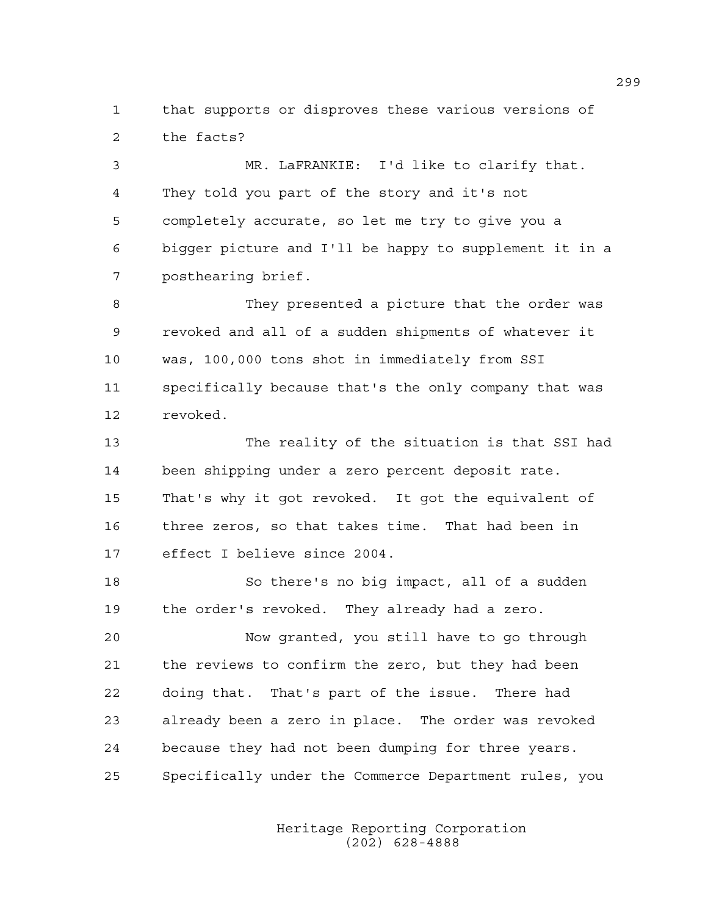1 that supports or disproves these various versions of 2 the facts?

3 MR. LaFRANKIE: I'd like to clarify that. 4 They told you part of the story and it's not 5 completely accurate, so let me try to give you a 6 bigger picture and I'll be happy to supplement it in a 7 posthearing brief.

8 They presented a picture that the order was 9 revoked and all of a sudden shipments of whatever it 10 was, 100,000 tons shot in immediately from SSI 11 specifically because that's the only company that was 12 revoked.

13 The reality of the situation is that SSI had 14 been shipping under a zero percent deposit rate. 15 That's why it got revoked. It got the equivalent of 16 three zeros, so that takes time. That had been in 17 effect I believe since 2004.

18 So there's no big impact, all of a sudden 19 the order's revoked. They already had a zero.

20 Now granted, you still have to go through 21 the reviews to confirm the zero, but they had been 22 doing that. That's part of the issue. There had 23 already been a zero in place. The order was revoked 24 because they had not been dumping for three years. 25 Specifically under the Commerce Department rules, you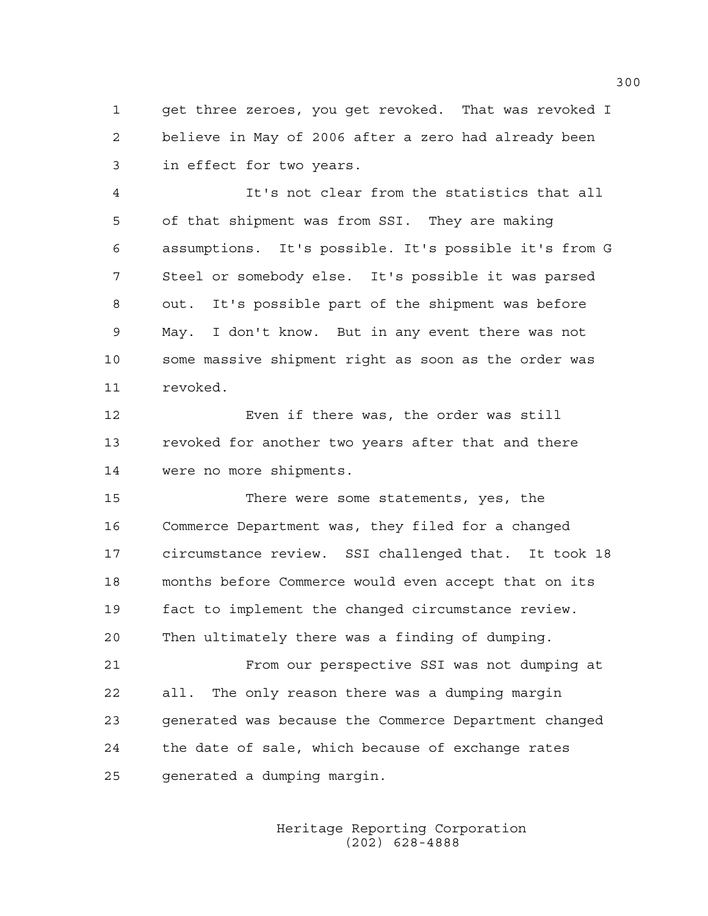1 get three zeroes, you get revoked. That was revoked I 2 believe in May of 2006 after a zero had already been 3 in effect for two years.

4 It's not clear from the statistics that all 5 of that shipment was from SSI. They are making 6 assumptions. It's possible. It's possible it's from G 7 Steel or somebody else. It's possible it was parsed 8 out. It's possible part of the shipment was before 9 May. I don't know. But in any event there was not 10 some massive shipment right as soon as the order was 11 revoked.

12 Even if there was, the order was still 13 revoked for another two years after that and there 14 were no more shipments.

15 There were some statements, yes, the 16 Commerce Department was, they filed for a changed 17 circumstance review. SSI challenged that. It took 18 18 months before Commerce would even accept that on its 19 fact to implement the changed circumstance review. 20 Then ultimately there was a finding of dumping.

21 From our perspective SSI was not dumping at 22 all. The only reason there was a dumping margin 23 generated was because the Commerce Department changed 24 the date of sale, which because of exchange rates 25 generated a dumping margin.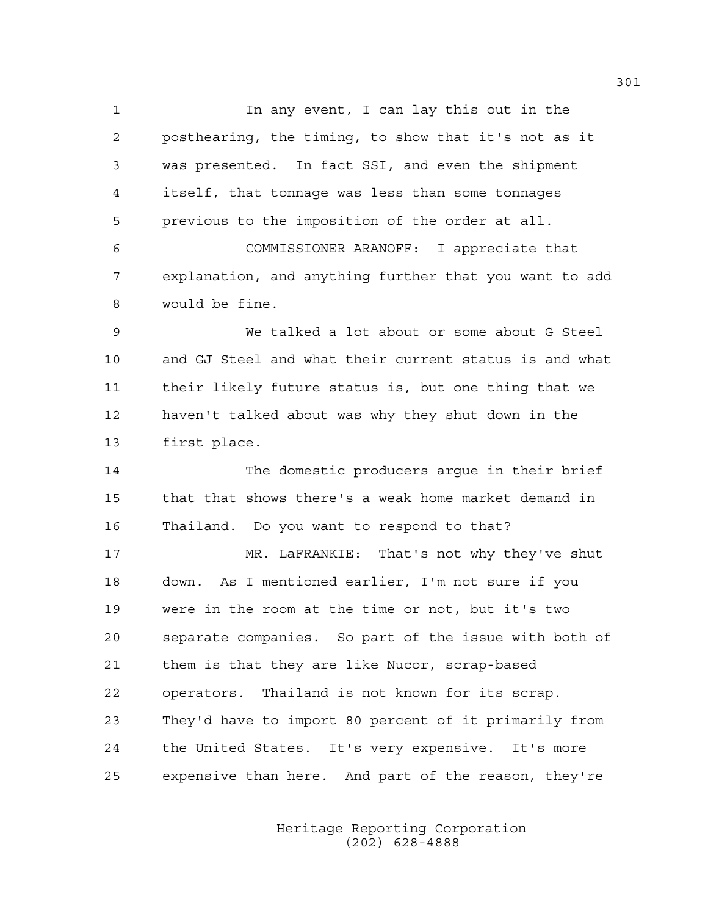1 In any event, I can lay this out in the 2 posthearing, the timing, to show that it's not as it 3 was presented. In fact SSI, and even the shipment 4 itself, that tonnage was less than some tonnages 5 previous to the imposition of the order at all.

6 COMMISSIONER ARANOFF: I appreciate that 7 explanation, and anything further that you want to add 8 would be fine.

9 We talked a lot about or some about G Steel 10 and GJ Steel and what their current status is and what 11 their likely future status is, but one thing that we 12 haven't talked about was why they shut down in the 13 first place.

14 The domestic producers argue in their brief 15 that that shows there's a weak home market demand in 16 Thailand. Do you want to respond to that?

17 MR. LaFRANKIE: That's not why they've shut 18 down. As I mentioned earlier, I'm not sure if you 19 were in the room at the time or not, but it's two 20 separate companies. So part of the issue with both of 21 them is that they are like Nucor, scrap-based 22 operators. Thailand is not known for its scrap. 23 They'd have to import 80 percent of it primarily from 24 the United States. It's very expensive. It's more 25 expensive than here. And part of the reason, they're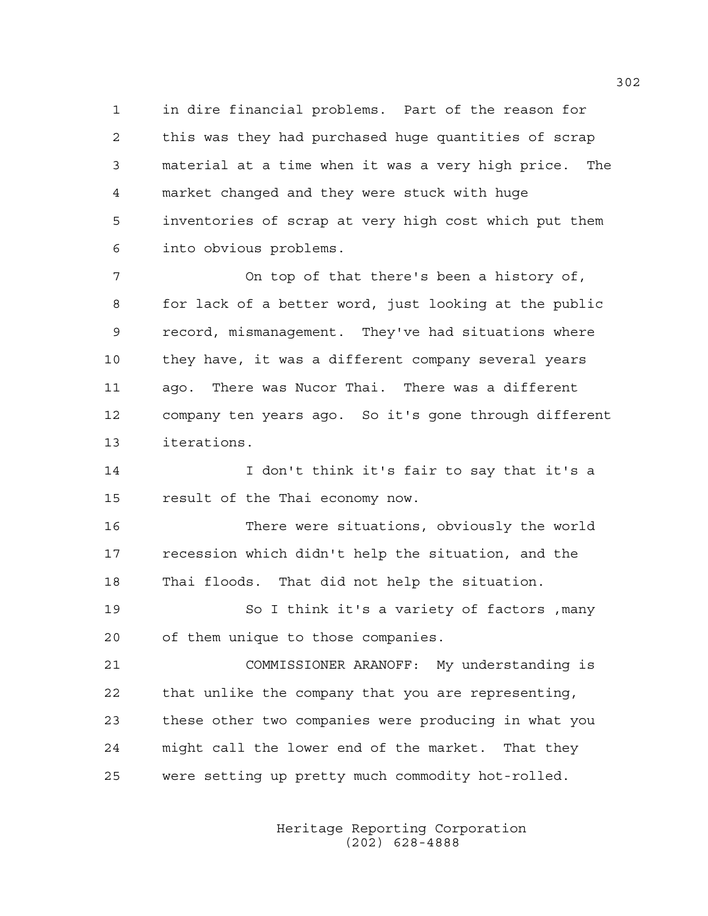1 in dire financial problems. Part of the reason for 2 this was they had purchased huge quantities of scrap 3 material at a time when it was a very high price. The 4 market changed and they were stuck with huge 5 inventories of scrap at very high cost which put them 6 into obvious problems.

7 On top of that there's been a history of, 8 for lack of a better word, just looking at the public 9 record, mismanagement. They've had situations where 10 they have, it was a different company several years 11 ago. There was Nucor Thai. There was a different 12 company ten years ago. So it's gone through different 13 iterations.

14 I don't think it's fair to say that it's a 15 result of the Thai economy now.

16 There were situations, obviously the world 17 recession which didn't help the situation, and the 18 Thai floods. That did not help the situation.

19 So I think it's a variety of factors ,many 20 of them unique to those companies.

21 COMMISSIONER ARANOFF: My understanding is 22 that unlike the company that you are representing, 23 these other two companies were producing in what you 24 might call the lower end of the market. That they 25 were setting up pretty much commodity hot-rolled.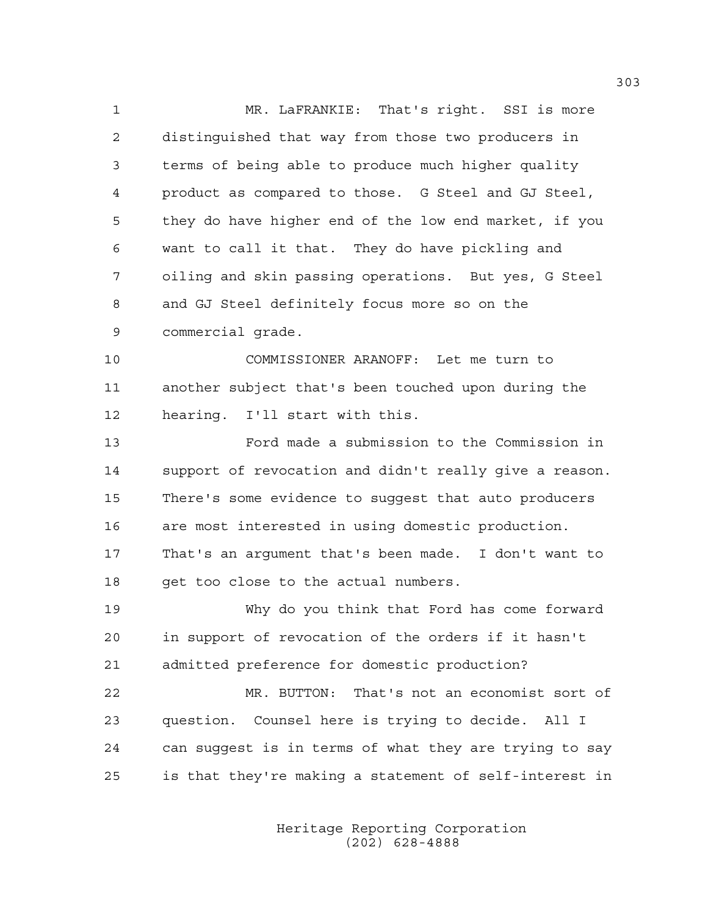1 MR. LaFRANKIE: That's right. SSI is more 2 distinguished that way from those two producers in 3 terms of being able to produce much higher quality 4 product as compared to those. G Steel and GJ Steel, 5 they do have higher end of the low end market, if you 6 want to call it that. They do have pickling and 7 oiling and skin passing operations. But yes, G Steel 8 and GJ Steel definitely focus more so on the 9 commercial grade.

10 COMMISSIONER ARANOFF: Let me turn to 11 another subject that's been touched upon during the 12 hearing. I'll start with this.

13 Ford made a submission to the Commission in 14 support of revocation and didn't really give a reason. 15 There's some evidence to suggest that auto producers 16 are most interested in using domestic production. 17 That's an argument that's been made. I don't want to 18 get too close to the actual numbers.

19 Why do you think that Ford has come forward 20 in support of revocation of the orders if it hasn't 21 admitted preference for domestic production?

22 MR. BUTTON: That's not an economist sort of 23 question. Counsel here is trying to decide. All I 24 can suggest is in terms of what they are trying to say 25 is that they're making a statement of self-interest in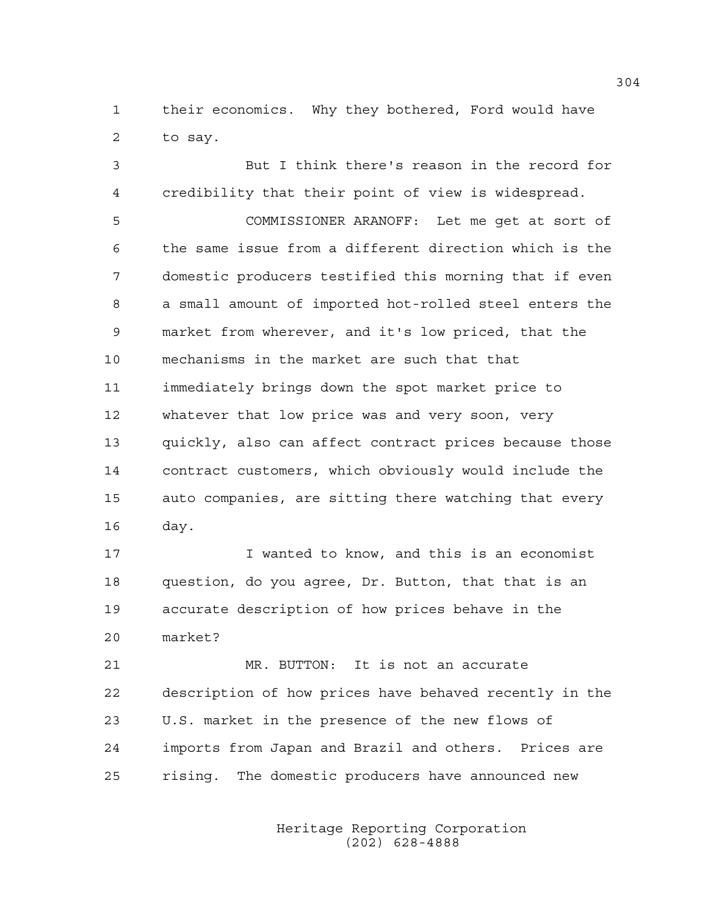1 their economics. Why they bothered, Ford would have 2 to say.

3 But I think there's reason in the record for 4 credibility that their point of view is widespread. 5 COMMISSIONER ARANOFF: Let me get at sort of 6 the same issue from a different direction which is the 7 domestic producers testified this morning that if even 8 a small amount of imported hot-rolled steel enters the 9 market from wherever, and it's low priced, that the 10 mechanisms in the market are such that that 11 immediately brings down the spot market price to 12 whatever that low price was and very soon, very 13 quickly, also can affect contract prices because those 14 contract customers, which obviously would include the 15 auto companies, are sitting there watching that every 16 day.

17 I wanted to know, and this is an economist 18 question, do you agree, Dr. Button, that that is an 19 accurate description of how prices behave in the 20 market?

21 MR. BUTTON: It is not an accurate 22 description of how prices have behaved recently in the 23 U.S. market in the presence of the new flows of 24 imports from Japan and Brazil and others. Prices are 25 rising. The domestic producers have announced new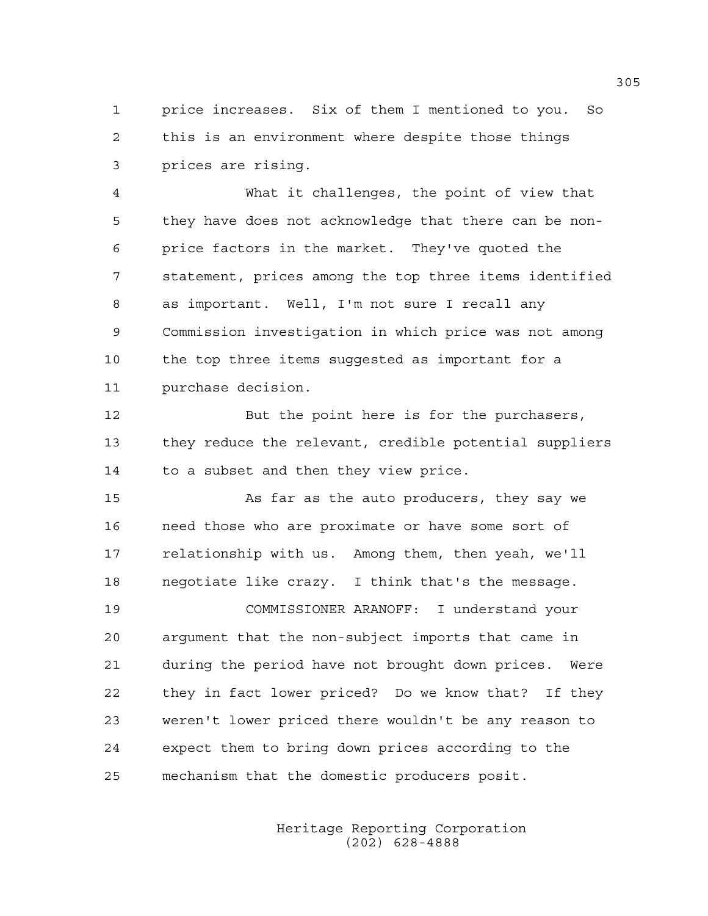1 price increases. Six of them I mentioned to you. So 2 this is an environment where despite those things 3 prices are rising.

4 What it challenges, the point of view that 5 they have does not acknowledge that there can be non-6 price factors in the market. They've quoted the 7 statement, prices among the top three items identified 8 as important. Well, I'm not sure I recall any 9 Commission investigation in which price was not among 10 the top three items suggested as important for a 11 purchase decision.

12 But the point here is for the purchasers, 13 they reduce the relevant, credible potential suppliers 14 to a subset and then they view price.

15 As far as the auto producers, they say we 16 need those who are proximate or have some sort of 17 relationship with us. Among them, then yeah, we'll 18 negotiate like crazy. I think that's the message.

19 COMMISSIONER ARANOFF: I understand your 20 argument that the non-subject imports that came in 21 during the period have not brought down prices. Were 22 they in fact lower priced? Do we know that? If they 23 weren't lower priced there wouldn't be any reason to 24 expect them to bring down prices according to the 25 mechanism that the domestic producers posit.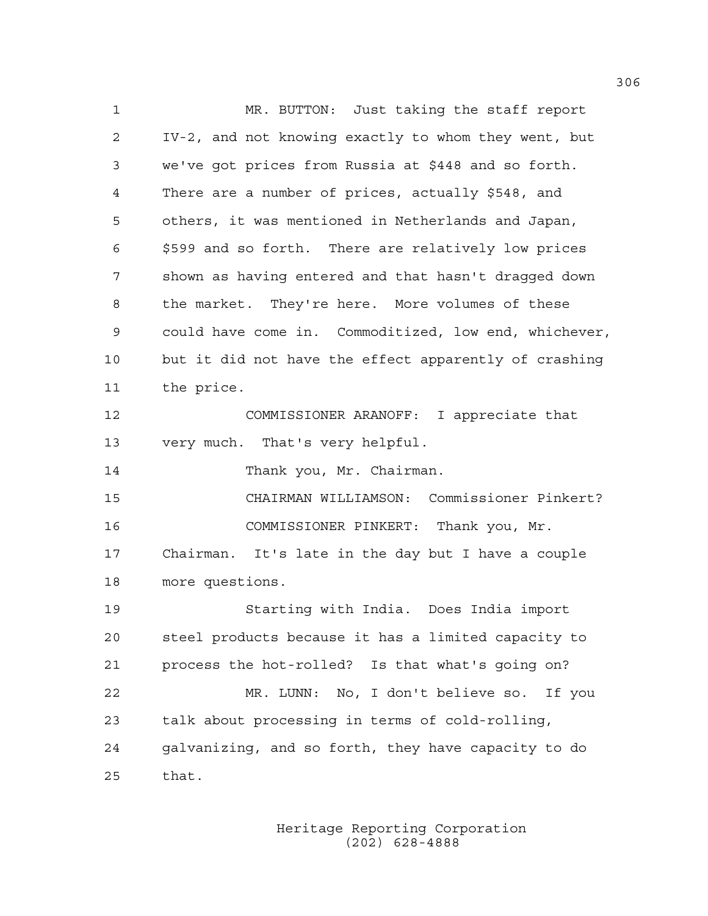1 MR. BUTTON: Just taking the staff report 2 IV-2, and not knowing exactly to whom they went, but 3 we've got prices from Russia at \$448 and so forth. 4 There are a number of prices, actually \$548, and 5 others, it was mentioned in Netherlands and Japan, 6 \$599 and so forth. There are relatively low prices 7 shown as having entered and that hasn't dragged down 8 the market. They're here. More volumes of these 9 could have come in. Commoditized, low end, whichever, 10 but it did not have the effect apparently of crashing 11 the price. 12 COMMISSIONER ARANOFF: I appreciate that 13 very much. That's very helpful. 14 Thank you, Mr. Chairman. 15 CHAIRMAN WILLIAMSON: Commissioner Pinkert? 16 COMMISSIONER PINKERT: Thank you, Mr. 17 Chairman. It's late in the day but I have a couple 18 more questions. 19 Starting with India. Does India import 20 steel products because it has a limited capacity to 21 process the hot-rolled? Is that what's going on? 22 MR. LUNN: No, I don't believe so. If you 23 talk about processing in terms of cold-rolling, 24 galvanizing, and so forth, they have capacity to do 25 that.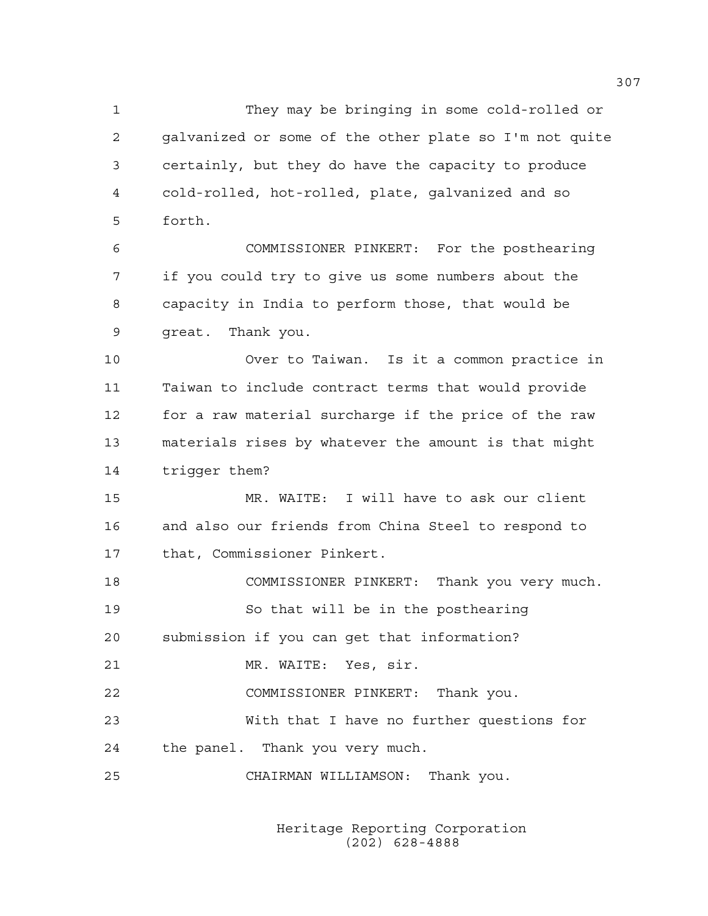1 They may be bringing in some cold-rolled or 2 galvanized or some of the other plate so I'm not quite 3 certainly, but they do have the capacity to produce 4 cold-rolled, hot-rolled, plate, galvanized and so 5 forth.

6 COMMISSIONER PINKERT: For the posthearing 7 if you could try to give us some numbers about the 8 capacity in India to perform those, that would be 9 great. Thank you.

10 Over to Taiwan. Is it a common practice in 11 Taiwan to include contract terms that would provide 12 for a raw material surcharge if the price of the raw 13 materials rises by whatever the amount is that might 14 trigger them?

15 MR. WAITE: I will have to ask our client 16 and also our friends from China Steel to respond to 17 that, Commissioner Pinkert.

18 COMMISSIONER PINKERT: Thank you very much. 19 So that will be in the posthearing 20 submission if you can get that information? 21 MR. WAITE: Yes, sir.

22 COMMISSIONER PINKERT: Thank you. 23 With that I have no further questions for 24 the panel. Thank you very much.

25 CHAIRMAN WILLIAMSON: Thank you.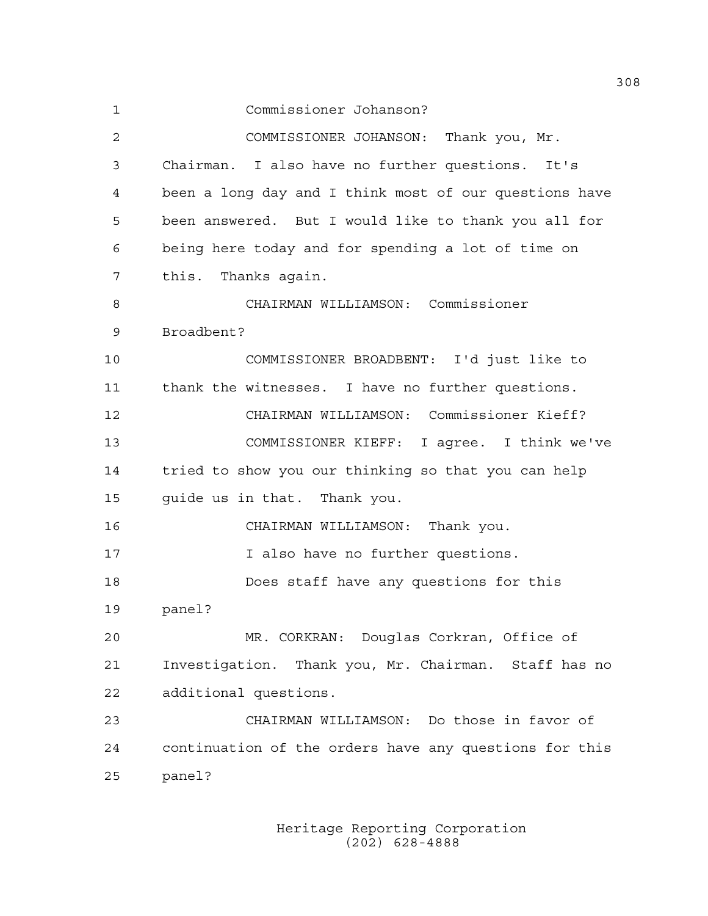1 Commissioner Johanson? 2 COMMISSIONER JOHANSON: Thank you, Mr. 3 Chairman. I also have no further questions. It's 4 been a long day and I think most of our questions have 5 been answered. But I would like to thank you all for 6 being here today and for spending a lot of time on 7 this. Thanks again. 8 CHAIRMAN WILLIAMSON: Commissioner 9 Broadbent? 10 COMMISSIONER BROADBENT: I'd just like to 11 thank the witnesses. I have no further questions. 12 CHAIRMAN WILLIAMSON: Commissioner Kieff? 13 COMMISSIONER KIEFF: I agree. I think we've 14 tried to show you our thinking so that you can help 15 guide us in that. Thank you. 16 CHAIRMAN WILLIAMSON: Thank you. 17 17 I also have no further questions. 18 Does staff have any questions for this 19 panel? 20 MR. CORKRAN: Douglas Corkran, Office of 21 Investigation. Thank you, Mr. Chairman. Staff has no 22 additional questions. 23 CHAIRMAN WILLIAMSON: Do those in favor of 24 continuation of the orders have any questions for this 25 panel?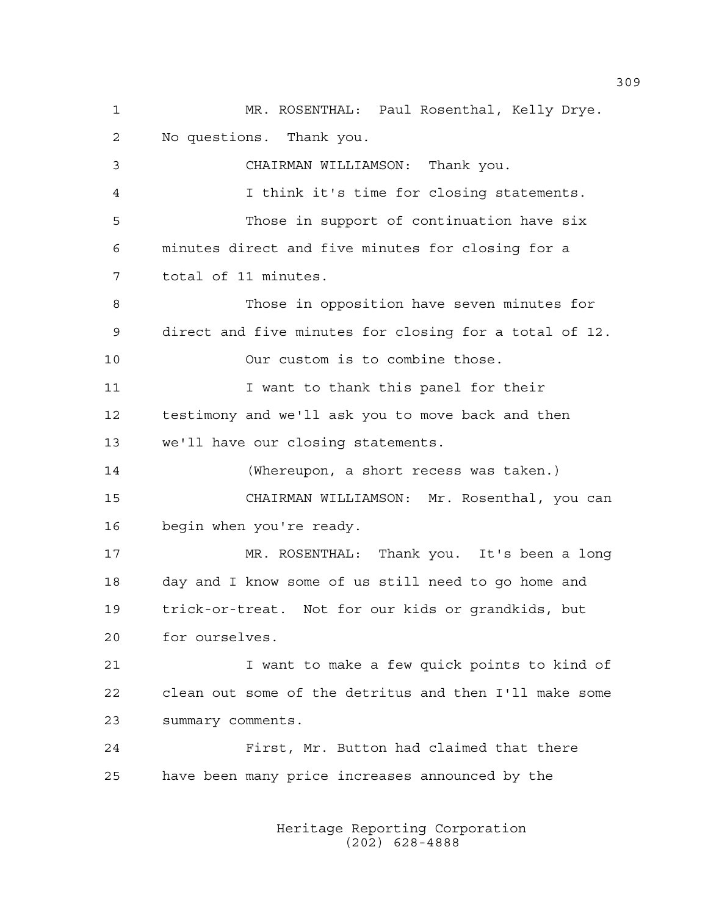1 MR. ROSENTHAL: Paul Rosenthal, Kelly Drye. 2 No questions. Thank you. 3 CHAIRMAN WILLIAMSON: Thank you. 4 I think it's time for closing statements. 5 Those in support of continuation have six 6 minutes direct and five minutes for closing for a 7 total of 11 minutes. 8 Those in opposition have seven minutes for 9 direct and five minutes for closing for a total of 12. 10 Our custom is to combine those. 11 T want to thank this panel for their 12 testimony and we'll ask you to move back and then 13 we'll have our closing statements. 14 (Whereupon, a short recess was taken.) 15 CHAIRMAN WILLIAMSON: Mr. Rosenthal, you can 16 begin when you're ready. 17 MR. ROSENTHAL: Thank you. It's been a long 18 day and I know some of us still need to go home and 19 trick-or-treat. Not for our kids or grandkids, but 20 for ourselves. 21 I want to make a few quick points to kind of 22 clean out some of the detritus and then I'll make some 23 summary comments. 24 First, Mr. Button had claimed that there 25 have been many price increases announced by the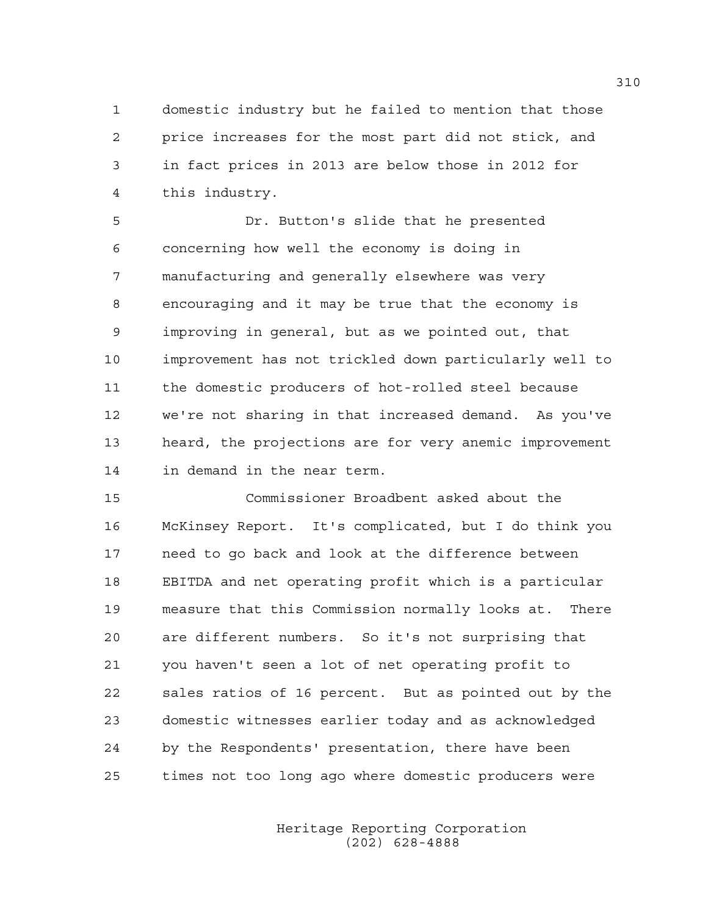1 domestic industry but he failed to mention that those 2 price increases for the most part did not stick, and 3 in fact prices in 2013 are below those in 2012 for 4 this industry.

5 Dr. Button's slide that he presented 6 concerning how well the economy is doing in 7 manufacturing and generally elsewhere was very 8 encouraging and it may be true that the economy is 9 improving in general, but as we pointed out, that 10 improvement has not trickled down particularly well to 11 the domestic producers of hot-rolled steel because 12 we're not sharing in that increased demand. As you've 13 heard, the projections are for very anemic improvement 14 in demand in the near term.

15 Commissioner Broadbent asked about the 16 McKinsey Report. It's complicated, but I do think you 17 need to go back and look at the difference between 18 EBITDA and net operating profit which is a particular 19 measure that this Commission normally looks at. There 20 are different numbers. So it's not surprising that 21 you haven't seen a lot of net operating profit to 22 sales ratios of 16 percent. But as pointed out by the 23 domestic witnesses earlier today and as acknowledged 24 by the Respondents' presentation, there have been 25 times not too long ago where domestic producers were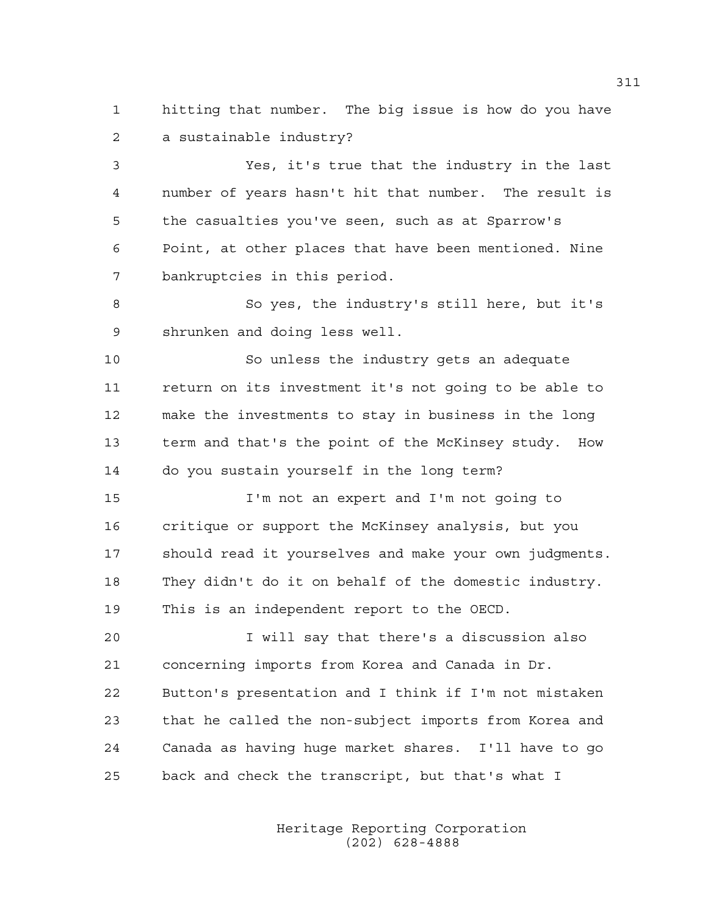1 hitting that number. The big issue is how do you have 2 a sustainable industry?

3 Yes, it's true that the industry in the last 4 number of years hasn't hit that number. The result is 5 the casualties you've seen, such as at Sparrow's 6 Point, at other places that have been mentioned. Nine 7 bankruptcies in this period.

8 So yes, the industry's still here, but it's 9 shrunken and doing less well.

10 So unless the industry gets an adequate 11 return on its investment it's not going to be able to 12 make the investments to stay in business in the long 13 term and that's the point of the McKinsey study. How 14 do you sustain yourself in the long term?

15 I'm not an expert and I'm not going to 16 critique or support the McKinsey analysis, but you 17 should read it yourselves and make your own judgments. 18 They didn't do it on behalf of the domestic industry. 19 This is an independent report to the OECD.

20 I will say that there's a discussion also 21 concerning imports from Korea and Canada in Dr. 22 Button's presentation and I think if I'm not mistaken 23 that he called the non-subject imports from Korea and 24 Canada as having huge market shares. I'll have to go 25 back and check the transcript, but that's what I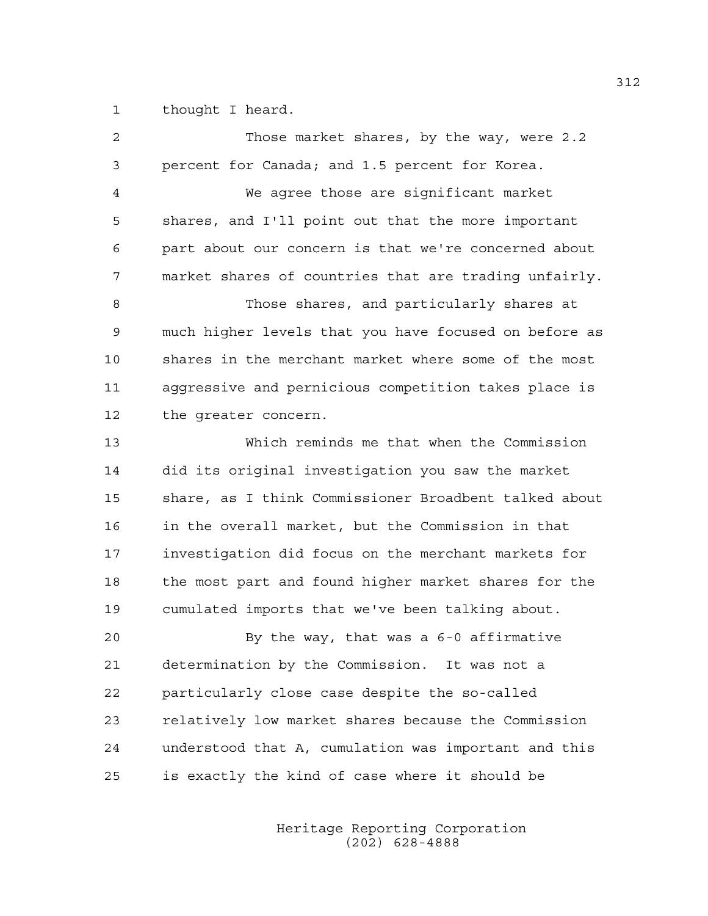1 thought I heard.

| 2  | Those market shares, by the way, were 2.2             |
|----|-------------------------------------------------------|
| 3  | percent for Canada; and 1.5 percent for Korea.        |
| 4  | We agree those are significant market                 |
| 5  | shares, and I'll point out that the more important    |
| 6  | part about our concern is that we're concerned about  |
| 7  | market shares of countries that are trading unfairly. |
| 8  | Those shares, and particularly shares at              |
| 9  | much higher levels that you have focused on before as |
| 10 | shares in the merchant market where some of the most  |
| 11 | aggressive and pernicious competition takes place is  |
| 12 | the qreater concern.                                  |
| 13 | Which reminds me that when the Commission             |
| 14 | did its original investigation you saw the market     |
| 15 | share, as I think Commissioner Broadbent talked about |
| 16 | in the overall market, but the Commission in that     |
| 17 | investigation did focus on the merchant markets for   |
| 18 | the most part and found higher market shares for the  |
| 19 | cumulated imports that we've been talking about.      |
| 20 | By the way, that was a 6-0 affirmative                |
| 21 | determination by the Commission. It was not a         |
| 22 | particularly close case despite the so-called         |
| 23 | relatively low market shares because the Commission   |
| 24 | understood that A, cumulation was important and this  |
| 25 | is exactly the kind of case where it should be        |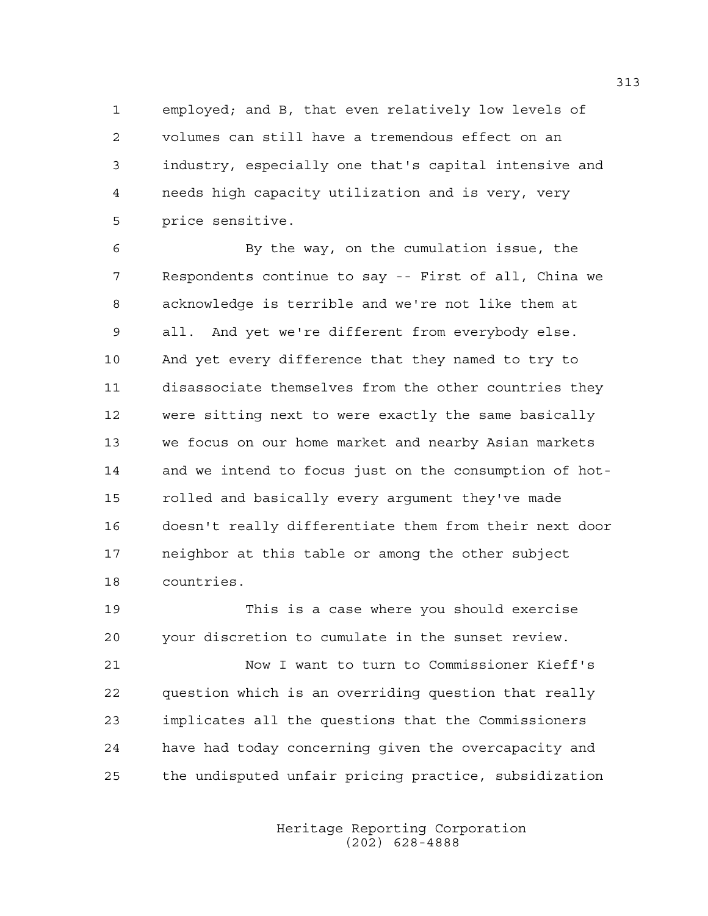1 employed; and B, that even relatively low levels of 2 volumes can still have a tremendous effect on an 3 industry, especially one that's capital intensive and 4 needs high capacity utilization and is very, very 5 price sensitive.

6 By the way, on the cumulation issue, the 7 Respondents continue to say -- First of all, China we 8 acknowledge is terrible and we're not like them at 9 all. And yet we're different from everybody else. 10 And yet every difference that they named to try to 11 disassociate themselves from the other countries they 12 were sitting next to were exactly the same basically 13 we focus on our home market and nearby Asian markets 14 and we intend to focus just on the consumption of hot-15 rolled and basically every argument they've made 16 doesn't really differentiate them from their next door 17 neighbor at this table or among the other subject 18 countries.

19 This is a case where you should exercise 20 your discretion to cumulate in the sunset review.

21 Now I want to turn to Commissioner Kieff's 22 question which is an overriding question that really 23 implicates all the questions that the Commissioners 24 have had today concerning given the overcapacity and 25 the undisputed unfair pricing practice, subsidization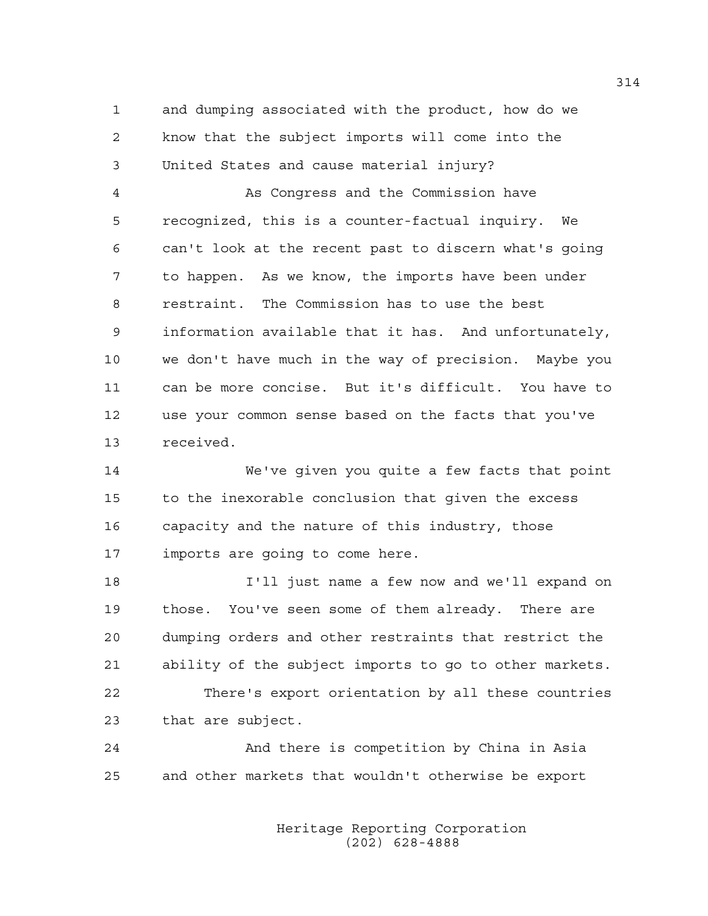1 and dumping associated with the product, how do we 2 know that the subject imports will come into the 3 United States and cause material injury?

4 As Congress and the Commission have 5 recognized, this is a counter-factual inquiry. We 6 can't look at the recent past to discern what's going 7 to happen. As we know, the imports have been under 8 restraint. The Commission has to use the best 9 information available that it has. And unfortunately, 10 we don't have much in the way of precision. Maybe you 11 can be more concise. But it's difficult. You have to 12 use your common sense based on the facts that you've 13 received.

14 We've given you quite a few facts that point 15 to the inexorable conclusion that given the excess 16 capacity and the nature of this industry, those 17 imports are going to come here.

18 I'll just name a few now and we'll expand on 19 those. You've seen some of them already. There are 20 dumping orders and other restraints that restrict the 21 ability of the subject imports to go to other markets. 22 There's export orientation by all these countries 23 that are subject.

24 And there is competition by China in Asia 25 and other markets that wouldn't otherwise be export

> Heritage Reporting Corporation (202) 628-4888

314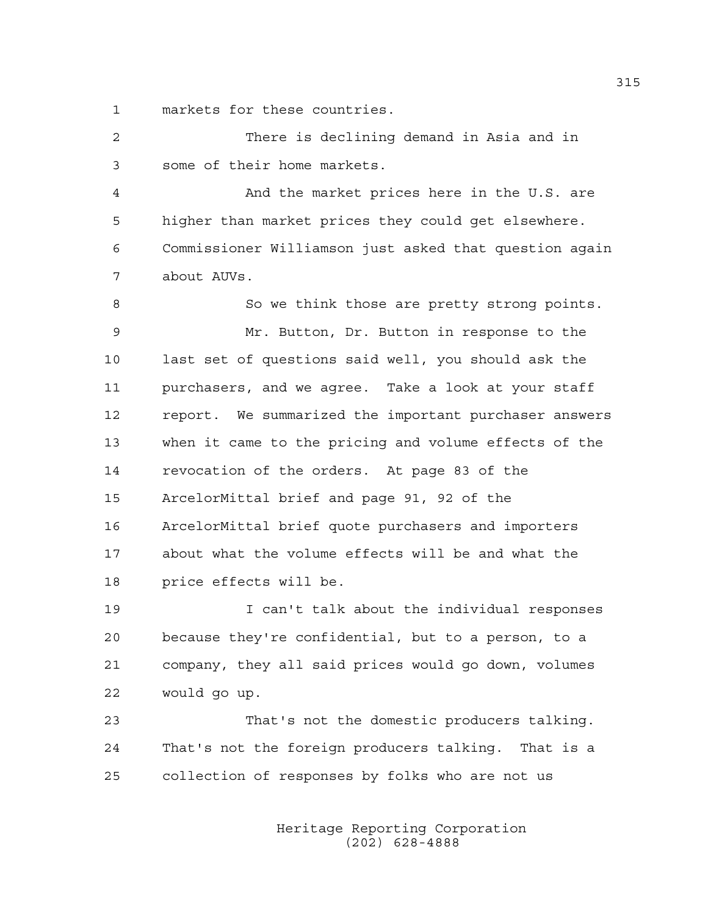1 markets for these countries.

| $\overline{2}$ | There is declining demand in Asia and in               |  |  |
|----------------|--------------------------------------------------------|--|--|
| 3              | some of their home markets.                            |  |  |
| 4              | And the market prices here in the U.S. are             |  |  |
| 5              | higher than market prices they could get elsewhere.    |  |  |
| 6              | Commissioner Williamson just asked that question again |  |  |
| 7              | about AUVs.                                            |  |  |
| 8              | So we think those are pretty strong points.            |  |  |
| $\mathsf 9$    | Mr. Button, Dr. Button in response to the              |  |  |
| 10             | last set of questions said well, you should ask the    |  |  |
| 11             | purchasers, and we agree. Take a look at your staff    |  |  |
| 12             | report. We summarized the important purchaser answers  |  |  |
| 13             | when it came to the pricing and volume effects of the  |  |  |
| 14             | revocation of the orders. At page 83 of the            |  |  |
| 15             | ArcelorMittal brief and page 91, 92 of the             |  |  |
| 16             | ArcelorMittal brief quote purchasers and importers     |  |  |
| 17             | about what the volume effects will be and what the     |  |  |
| 18             | price effects will be.                                 |  |  |
| 19             | I can't talk about the individual responses            |  |  |
| 20             | because they're confidential, but to a person, to a    |  |  |

y're confidential, but to a person, 21 company, they all said prices would go down, volumes 22 would go up.

23 That's not the domestic producers talking. 24 That's not the foreign producers talking. That is a 25 collection of responses by folks who are not us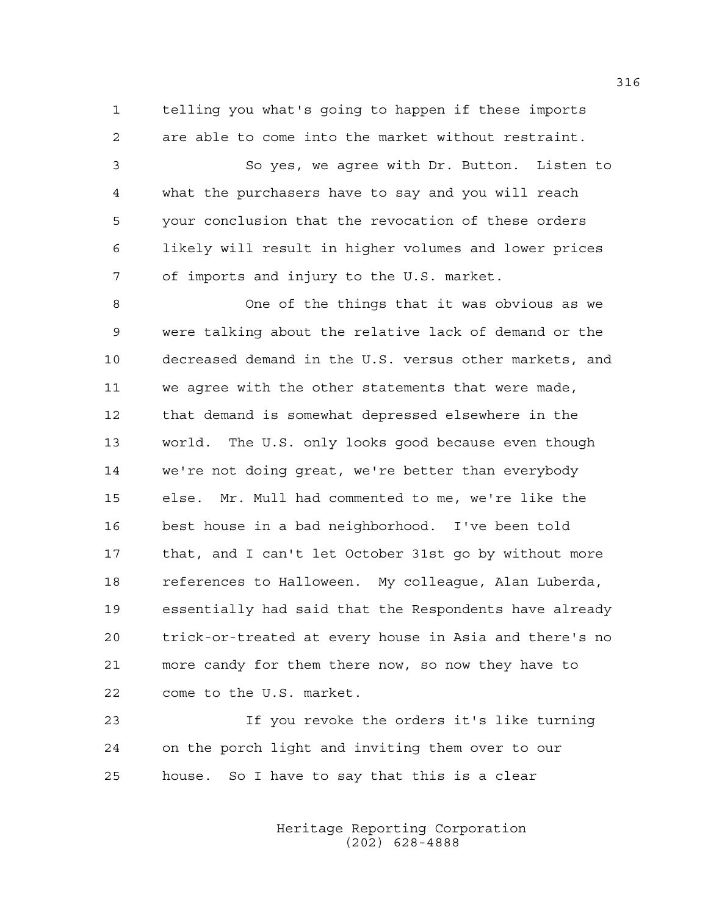1 telling you what's going to happen if these imports 2 are able to come into the market without restraint.

3 So yes, we agree with Dr. Button. Listen to 4 what the purchasers have to say and you will reach 5 your conclusion that the revocation of these orders 6 likely will result in higher volumes and lower prices 7 of imports and injury to the U.S. market.

8 One of the things that it was obvious as we 9 were talking about the relative lack of demand or the 10 decreased demand in the U.S. versus other markets, and 11 we agree with the other statements that were made, 12 that demand is somewhat depressed elsewhere in the 13 world. The U.S. only looks good because even though 14 we're not doing great, we're better than everybody 15 else. Mr. Mull had commented to me, we're like the 16 best house in a bad neighborhood. I've been told 17 that, and I can't let October 31st go by without more 18 references to Halloween. My colleague, Alan Luberda, 19 essentially had said that the Respondents have already 20 trick-or-treated at every house in Asia and there's no 21 more candy for them there now, so now they have to 22 come to the U.S. market.

23 If you revoke the orders it's like turning 24 on the porch light and inviting them over to our 25 house. So I have to say that this is a clear

> Heritage Reporting Corporation (202) 628-4888

316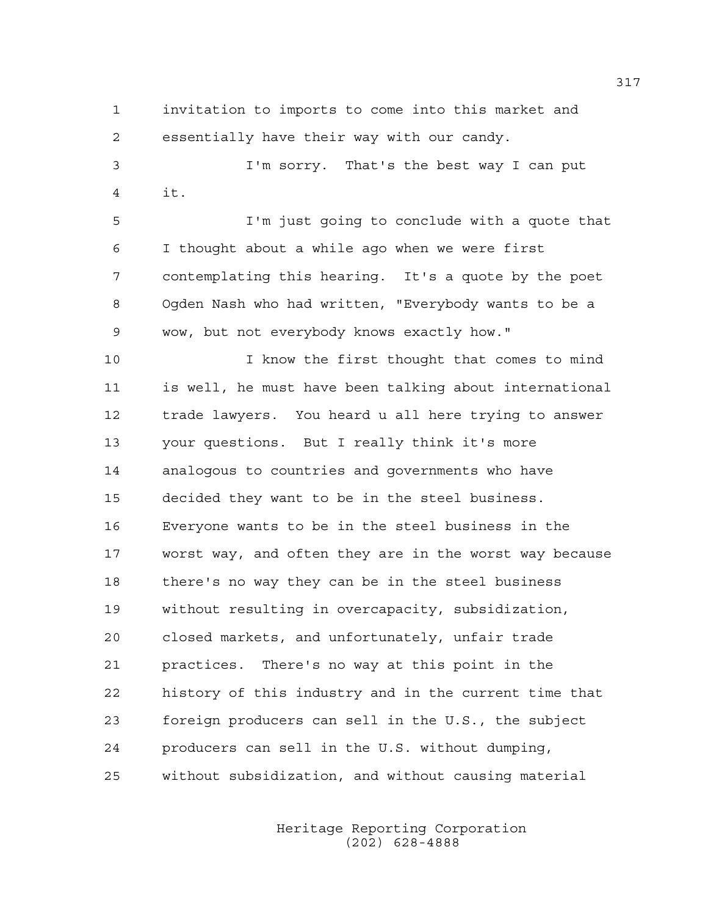1 invitation to imports to come into this market and 2 essentially have their way with our candy.

3 I'm sorry. That's the best way I can put 4 it.

5 I'm just going to conclude with a quote that 6 I thought about a while ago when we were first 7 contemplating this hearing. It's a quote by the poet 8 Ogden Nash who had written, "Everybody wants to be a 9 wow, but not everybody knows exactly how."

10 I know the first thought that comes to mind 11 is well, he must have been talking about international 12 trade lawyers. You heard u all here trying to answer 13 your questions. But I really think it's more 14 analogous to countries and governments who have 15 decided they want to be in the steel business. 16 Everyone wants to be in the steel business in the 17 worst way, and often they are in the worst way because 18 there's no way they can be in the steel business 19 without resulting in overcapacity, subsidization, 20 closed markets, and unfortunately, unfair trade 21 practices. There's no way at this point in the 22 history of this industry and in the current time that 23 foreign producers can sell in the U.S., the subject 24 producers can sell in the U.S. without dumping, 25 without subsidization, and without causing material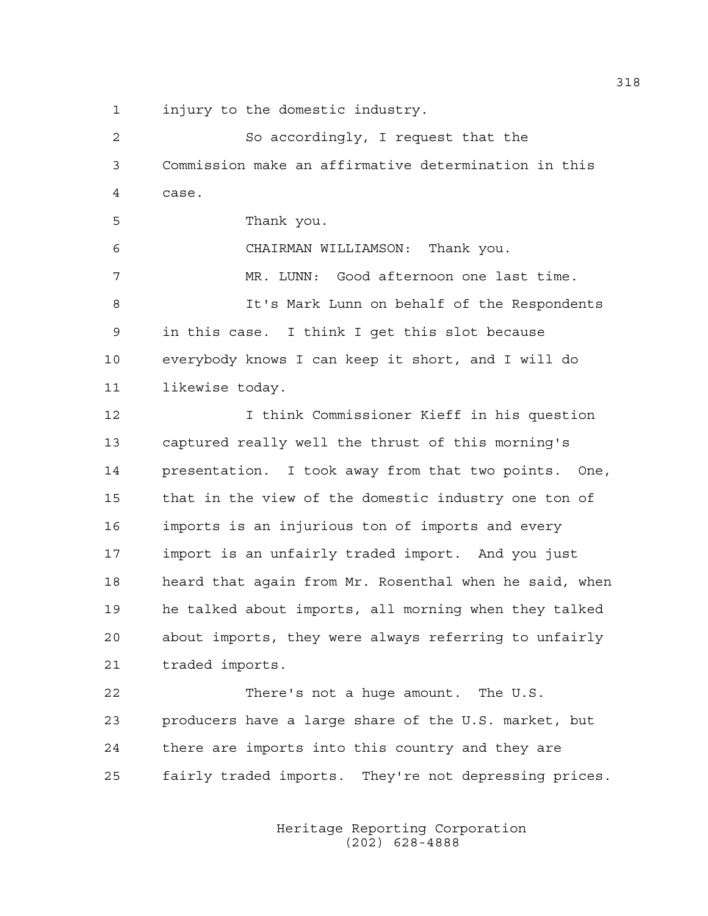1 injury to the domestic industry.

2 So accordingly, I request that the 3 Commission make an affirmative determination in this 4 case. 5 Thank you. 6 CHAIRMAN WILLIAMSON: Thank you. 7 MR. LUNN: Good afternoon one last time. 8 It's Mark Lunn on behalf of the Respondents 9 in this case. I think I get this slot because 10 everybody knows I can keep it short, and I will do 11 likewise today. 12 I think Commissioner Kieff in his question 13 captured really well the thrust of this morning's 14 presentation. I took away from that two points. One, 15 that in the view of the domestic industry one ton of 16 imports is an injurious ton of imports and every 17 import is an unfairly traded import. And you just 18 heard that again from Mr. Rosenthal when he said, when 19 he talked about imports, all morning when they talked 20 about imports, they were always referring to unfairly 21 traded imports. 22 There's not a huge amount. The U.S. 23 producers have a large share of the U.S. market, but 24 there are imports into this country and they are 25 fairly traded imports. They're not depressing prices.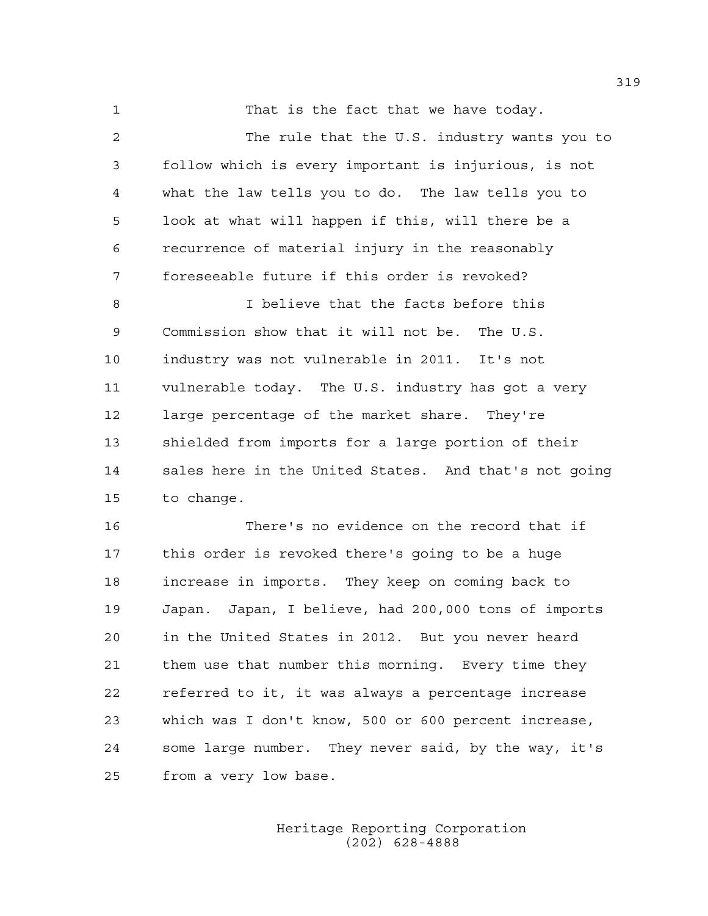1 That is the fact that we have today.

2 The rule that the U.S. industry wants you to 3 follow which is every important is injurious, is not 4 what the law tells you to do. The law tells you to 5 look at what will happen if this, will there be a 6 recurrence of material injury in the reasonably 7 foreseeable future if this order is revoked? 8 I believe that the facts before this 9 Commission show that it will not be. The U.S. 10 industry was not vulnerable in 2011. It's not 11 vulnerable today. The U.S. industry has got a very 12 large percentage of the market share. They're 13 shielded from imports for a large portion of their 14 sales here in the United States. And that's not going 15 to change.

16 There's no evidence on the record that if 17 this order is revoked there's going to be a huge 18 increase in imports. They keep on coming back to 19 Japan. Japan, I believe, had 200,000 tons of imports 20 in the United States in 2012. But you never heard 21 them use that number this morning. Every time they 22 referred to it, it was always a percentage increase 23 which was I don't know, 500 or 600 percent increase, 24 some large number. They never said, by the way, it's 25 from a very low base.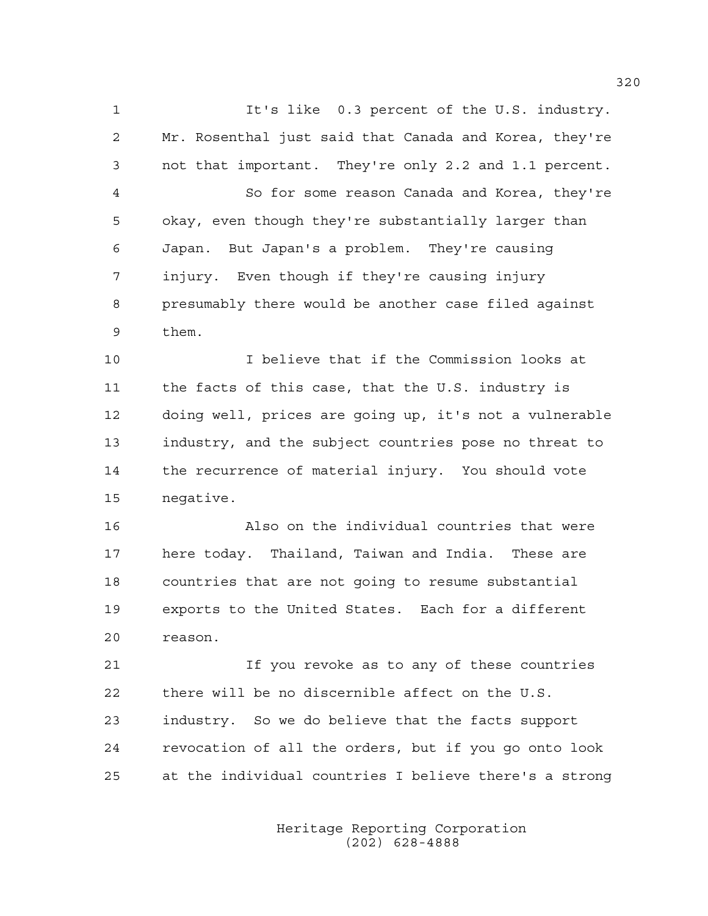1 It's like 0.3 percent of the U.S. industry. 2 Mr. Rosenthal just said that Canada and Korea, they're 3 not that important. They're only 2.2 and 1.1 percent. 4 So for some reason Canada and Korea, they're 5 okay, even though they're substantially larger than 6 Japan. But Japan's a problem. They're causing 7 injury. Even though if they're causing injury 8 presumably there would be another case filed against 9 them. 10 I believe that if the Commission looks at 11 the facts of this case, that the U.S. industry is 12 doing well, prices are going up, it's not a vulnerable

13 industry, and the subject countries pose no threat to 14 the recurrence of material injury. You should vote 15 negative.

16 Also on the individual countries that were 17 here today. Thailand, Taiwan and India. These are 18 countries that are not going to resume substantial 19 exports to the United States. Each for a different 20 reason.

21 If you revoke as to any of these countries 22 there will be no discernible affect on the U.S. 23 industry. So we do believe that the facts support 24 revocation of all the orders, but if you go onto look 25 at the individual countries I believe there's a strong

> Heritage Reporting Corporation (202) 628-4888

320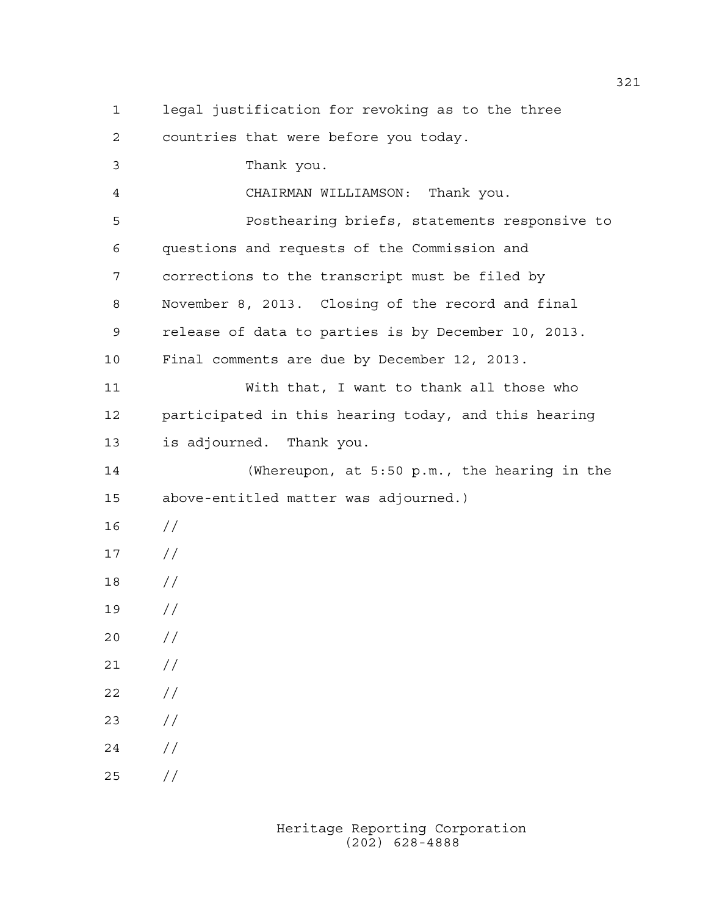1 legal justification for revoking as to the three 2 countries that were before you today. 3 Thank you. 4 CHAIRMAN WILLIAMSON: Thank you. 5 Posthearing briefs, statements responsive to 6 questions and requests of the Commission and 7 corrections to the transcript must be filed by 8 November 8, 2013. Closing of the record and final 9 release of data to parties is by December 10, 2013. 10 Final comments are due by December 12, 2013. 11 With that, I want to thank all those who 12 participated in this hearing today, and this hearing 13 is adjourned. Thank you. 14 (Whereupon, at 5:50 p.m., the hearing in the 15 above-entitled matter was adjourned.) 16 // 17 // 18 // 19 // 20 // 21 // 22 // 23 // 24 // 25 //